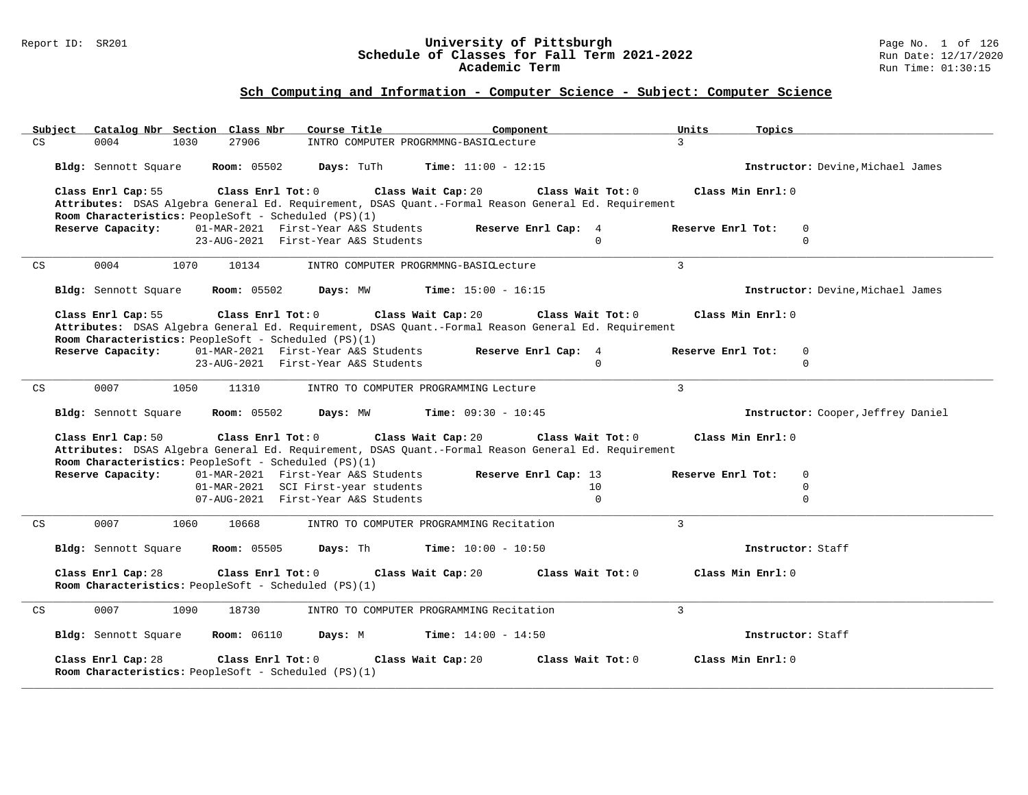#### Report ID: SR201 **University of Pittsburgh** Page No. 1 of 126 **Schedule of Classes for Fall Term 2021-2022** Run Date: 12/17/2020 **Academic Term** Run Time: 01:30:15

| Subject Catalog Nbr Section Class Nbr<br>Course Title<br>Component                                  | Units<br>Topics                    |
|-----------------------------------------------------------------------------------------------------|------------------------------------|
| 27906<br>CS<br>0004<br>1030<br>INTRO COMPUTER PROGRMMNG-BASICLecture                                | $\mathcal{L}$                      |
|                                                                                                     |                                    |
| Bldg: Sennott Square<br><b>Room:</b> 05502<br>Days: TuTh<br><b>Time:</b> $11:00 - 12:15$            | Instructor: Devine, Michael James  |
|                                                                                                     |                                    |
| Class Enrl Cap: 55<br>Class Enrl Tot: 0<br>Class Wait Cap: 20<br>Class Wait Tot: 0                  | Class Min Enrl: 0                  |
| Attributes: DSAS Algebra General Ed. Requirement, DSAS Quant.-Formal Reason General Ed. Requirement |                                    |
| Room Characteristics: PeopleSoft - Scheduled (PS)(1)                                                |                                    |
| Reserve Enrl Cap: 4<br>Reserve Capacity:<br>01-MAR-2021 First-Year A&S Students                     | Reserve Enrl Tot:<br>0             |
| $\Omega$<br>23-AUG-2021 First-Year A&S Students                                                     | $\Omega$                           |
|                                                                                                     |                                    |
| 0004<br>1070<br>10134<br>CS<br>INTRO COMPUTER PROGRMMNG-BASICLecture                                | $\mathcal{L}$                      |
|                                                                                                     |                                    |
|                                                                                                     |                                    |
| <b>Room:</b> 05502<br>Days: MW<br><b>Time:</b> $15:00 - 16:15$<br>Bldg: Sennott Square              | Instructor: Devine, Michael James  |
|                                                                                                     |                                    |
| Class Enrl Tot: 0<br>Class Enrl Cap: 55<br>Class Wait Cap: 20<br>Class Wait Tot: 0                  | Class Min Enrl: 0                  |
| Attributes: DSAS Algebra General Ed. Requirement, DSAS Quant.-Formal Reason General Ed. Requirement |                                    |
| Room Characteristics: PeopleSoft - Scheduled (PS)(1)                                                |                                    |
| Reserve Capacity:<br>01-MAR-2021 First-Year A&S Students<br>Reserve Enrl Cap: 4                     | Reserve Enrl Tot:<br>$\Omega$      |
| 23-AUG-2021 First-Year A&S Students<br>$\Omega$                                                     | $\Omega$                           |
|                                                                                                     |                                    |
| CS<br>0007<br>1050<br>11310<br>INTRO TO COMPUTER PROGRAMMING Lecture                                | $\mathcal{L}$                      |
|                                                                                                     |                                    |
|                                                                                                     |                                    |
|                                                                                                     |                                    |
| Bldg: Sennott Square<br><b>Room:</b> 05502<br>Days: MW<br><b>Time:</b> $09:30 - 10:45$              | Instructor: Cooper, Jeffrey Daniel |
|                                                                                                     |                                    |
| Class Enrl Cap: 50<br>Class Enrl Tot: 0<br>Class Wait Cap: 20<br>Class Wait Tot: 0                  | Class Min Enrl: 0                  |
| Attributes: DSAS Algebra General Ed. Requirement, DSAS Quant.-Formal Reason General Ed. Requirement |                                    |
| Room Characteristics: PeopleSoft - Scheduled (PS)(1)                                                |                                    |
| Reserve Capacity:<br>01-MAR-2021 First-Year A&S Students<br>Reserve Enrl Cap: 13                    | Reserve Enrl Tot:<br>$\mathbf 0$   |
| 01-MAR-2021 SCI First-year students<br>10                                                           | $\mathbf 0$                        |
| 07-AUG-2021 First-Year A&S Students<br>$\Omega$                                                     | $\Omega$                           |
|                                                                                                     |                                    |
| 0007<br>INTRO TO COMPUTER PROGRAMMING Recitation<br>CS<br>1060<br>10668                             | $\mathbf{3}$                       |
|                                                                                                     |                                    |
| <b>Room: 05505</b><br>Days: Th<br><b>Time:</b> $10:00 - 10:50$<br>Bldg: Sennott Square              | Instructor: Staff                  |
|                                                                                                     |                                    |
| Class Enrl Tot: 0<br>Class Enrl Cap: 28<br>Class Wait Cap: 20<br>Class Wait Tot: 0                  | Class Min Enrl: 0                  |
|                                                                                                     |                                    |
| Room Characteristics: PeopleSoft - Scheduled (PS)(1)                                                |                                    |
|                                                                                                     |                                    |
| 0007<br>1090<br>18730<br>INTRO TO COMPUTER PROGRAMMING Recitation<br>CS                             | $\overline{3}$                     |
|                                                                                                     |                                    |
| Days: M<br>Bldg: Sennott Square<br><b>Room:</b> 06110<br><b>Time:</b> $14:00 - 14:50$               | Instructor: Staff                  |
|                                                                                                     |                                    |
| Class Enrl Cap: 28<br>Class Enrl Tot: 0<br>Class Wait Cap: 20<br>Class Wait Tot: 0                  | Class Min Enrl: 0                  |
| Room Characteristics: PeopleSoft - Scheduled (PS)(1)                                                |                                    |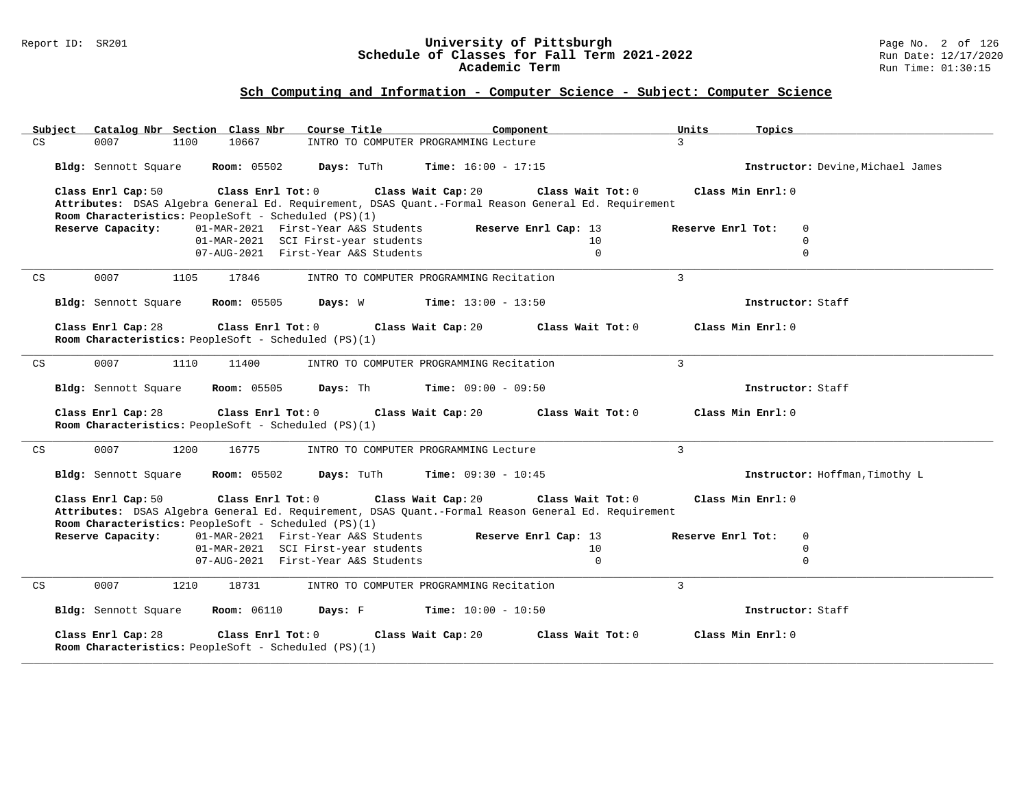#### Report ID: SR201 **University of Pittsburgh** Page No. 2 of 126 **Schedule of Classes for Fall Term 2021-2022** Run Date: 12/17/2020 **Academic Term** Run Time: 01:30:15

|                                                                                                     | Units<br>Topics                   |
|-----------------------------------------------------------------------------------------------------|-----------------------------------|
| 10667<br>CS<br>0007<br>1100<br>INTRO TO COMPUTER PROGRAMMING Lecture                                | $\overline{3}$                    |
|                                                                                                     |                                   |
| <b>Room:</b> 05502<br>Days: TuTh<br><b>Time:</b> $16:00 - 17:15$<br>Bldg: Sennott Square            | Instructor: Devine, Michael James |
|                                                                                                     |                                   |
| Class Enrl Tot: 0<br>Class Enrl Cap: 50<br>Class Wait Cap: 20<br>Class Wait Tot: 0                  | Class Min Enrl: 0                 |
| Attributes: DSAS Algebra General Ed. Requirement, DSAS Quant.-Formal Reason General Ed. Requirement |                                   |
| Room Characteristics: PeopleSoft - Scheduled (PS)(1)                                                |                                   |
| Reserve Capacity:<br>01-MAR-2021 First-Year A&S Students<br>Reserve Enrl Cap: 13                    | $\Omega$<br>Reserve Enrl Tot:     |
| 01-MAR-2021 SCI First-year students<br>10                                                           | $\Omega$                          |
| 07-AUG-2021 First-Year A&S Students<br>$\Omega$                                                     | $\Omega$                          |
|                                                                                                     |                                   |
| 0007<br>17846<br>INTRO TO COMPUTER PROGRAMMING Recitation<br>CS<br>1105                             | $\mathbf{3}$                      |
|                                                                                                     |                                   |
| <b>Room:</b> 05505<br>$Time: 13:00 - 13:50$                                                         | Instructor: Staff                 |
| Bldg: Sennott Square<br>Days: W                                                                     |                                   |
|                                                                                                     |                                   |
| Class Enrl Cap: 28<br>Class Enrl Tot: 0<br>Class Wait Cap: 20<br>Class Wait Tot: 0                  | Class Min Enrl: 0                 |
| Room Characteristics: PeopleSoft - Scheduled (PS)(1)                                                |                                   |
|                                                                                                     |                                   |
| 0007<br>1110<br>11400<br>INTRO TO COMPUTER PROGRAMMING Recitation<br>CS                             | $\mathbf{3}$                      |
|                                                                                                     |                                   |
| <b>Room:</b> 05505<br>Days: Th<br><b>Time:</b> $09:00 - 09:50$<br>Bldg: Sennott Square              | Instructor: Staff                 |
|                                                                                                     |                                   |
| Class Enrl Cap: 28<br>Class Enrl Tot: 0<br>Class Wait Cap: 20<br>Class Wait Tot: 0                  | Class Min Enrl: 0                 |
|                                                                                                     |                                   |
| Room Characteristics: PeopleSoft - Scheduled (PS)(1)                                                |                                   |
|                                                                                                     |                                   |
| 0007<br>1200<br>16775<br>CS<br>INTRO TO COMPUTER PROGRAMMING Lecture                                | $\overline{3}$                    |
|                                                                                                     |                                   |
| <b>Room:</b> 05502<br>Bldg: Sennott Square<br>Days: TuTh<br><b>Time:</b> $09:30 - 10:45$            | Instructor: Hoffman, Timothy L    |
|                                                                                                     |                                   |
| Class Enrl Tot: 0<br>Class Enrl Cap: 50<br>Class Wait Cap: 20<br>Class Wait Tot: 0                  | Class Min Enrl: 0                 |
| Attributes: DSAS Algebra General Ed. Requirement, DSAS Quant.-Formal Reason General Ed. Requirement |                                   |
| Room Characteristics: PeopleSoft - Scheduled (PS)(1)                                                |                                   |
| Reserve Enrl Cap: 13                                                                                | Reserve Enrl Tot:<br>0            |
| Reserve Capacity:<br>01-MAR-2021 First-Year A&S Students                                            |                                   |
| 01-MAR-2021 SCI First-year students<br>10                                                           | 0                                 |
| 07-AUG-2021 First-Year A&S Students<br>$\Omega$                                                     | $\Omega$                          |
|                                                                                                     |                                   |
| 0007<br>CS<br>1210<br>18731<br>INTRO TO COMPUTER PROGRAMMING Recitation                             | $\overline{3}$                    |
|                                                                                                     |                                   |
| Bldg: Sennott Square<br><b>Room:</b> 06110<br>Days: F<br><b>Time:</b> $10:00 - 10:50$               | Instructor: Staff                 |
|                                                                                                     |                                   |
| Class Enrl Cap: 28<br>Class Enrl Tot: 0<br>Class Wait Cap: 20<br>Class Wait Tot: 0                  | Class Min Enrl: 0                 |
| Room Characteristics: PeopleSoft - Scheduled (PS)(1)                                                |                                   |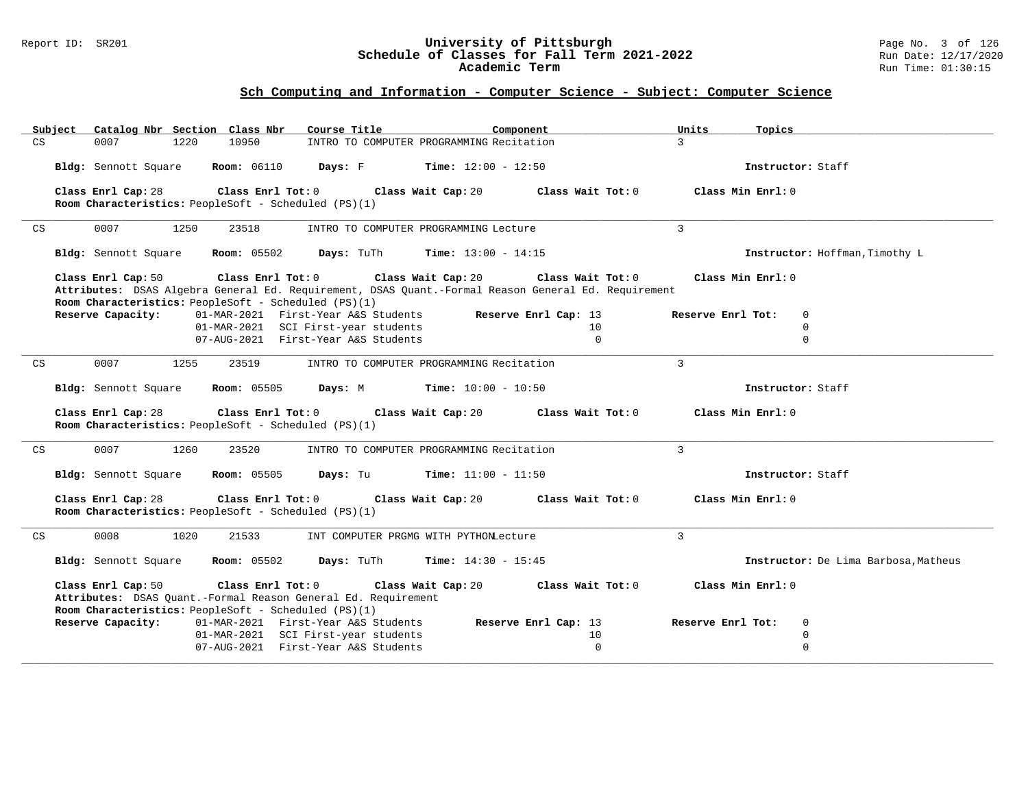#### Report ID: SR201 **University of Pittsburgh** Page No. 3 of 126 **Schedule of Classes for Fall Term 2021-2022** Run Date: 12/17/2020 **Academic Term** Run Time: 01:30:15

| Catalog Nbr Section Class Nbr<br>Subject                                                            | Course Title                               | Component                  | Units<br>Topics                                 |
|-----------------------------------------------------------------------------------------------------|--------------------------------------------|----------------------------|-------------------------------------------------|
| 10950<br>CS<br>0007<br>1220                                                                         | INTRO TO COMPUTER PROGRAMMING Recitation   |                            | $\overline{3}$                                  |
| <b>Room: 06110</b><br>Bldg: Sennott Square                                                          | Days: F<br><b>Time:</b> $12:00 - 12:50$    |                            | Instructor: Staff                               |
| Class Enrl Cap: 28<br>Class Enrl Tot: 0                                                             | Class Wait Cap: 20                         | Class Wait Tot: 0          | Class Min Enrl: 0                               |
| Room Characteristics: PeopleSoft - Scheduled (PS)(1)                                                |                                            |                            |                                                 |
| 0007<br>1250<br>23518<br>CS                                                                         | INTRO TO COMPUTER PROGRAMMING Lecture      |                            | 3                                               |
| Bldg: Sennott Square<br><b>Room:</b> 05502                                                          | Time: $13:00 - 14:15$<br>Days: TuTh        |                            | Instructor: Hoffman, Timothy L                  |
| Class Enrl Cap: 50<br>Class Enrl Tot: 0                                                             | Class Wait Cap: 20                         | Class Wait Tot: 0          | Class Min Enrl: 0                               |
| Attributes: DSAS Algebra General Ed. Requirement, DSAS Quant.-Formal Reason General Ed. Requirement |                                            |                            |                                                 |
| Room Characteristics: PeopleSoft - Scheduled (PS)(1)<br>Reserve Capacity:                           | 01-MAR-2021 First-Year A&S Students        | Reserve Enrl Cap: 13       | Reserve Enrl Tot:<br>0                          |
|                                                                                                     | 01-MAR-2021 SCI First-year students        | 10                         | $\mathbf 0$                                     |
|                                                                                                     | 07-AUG-2021 First-Year A&S Students        | $\mathbf{0}$               | $\mathbf 0$                                     |
|                                                                                                     |                                            |                            |                                                 |
| 0007<br>CS<br>1255<br>23519                                                                         | INTRO TO COMPUTER PROGRAMMING Recitation   |                            | $\mathcal{L}$                                   |
| Bldg: Sennott Square<br><b>Room:</b> 05505                                                          | Days: M<br><b>Time:</b> $10:00 - 10:50$    |                            | Instructor: Staff                               |
|                                                                                                     |                                            |                            |                                                 |
| Class Enrl Cap: 28<br>Class Enrl Tot: 0                                                             | Class Wait Cap: 20                         | Class Wait Tot: 0          | Class Min Enrl: 0                               |
| Room Characteristics: PeopleSoft - Scheduled (PS)(1)                                                |                                            |                            |                                                 |
| 0007<br>1260<br>23520<br>CS                                                                         | INTRO TO COMPUTER PROGRAMMING Recitation   |                            | $\mathcal{L}$                                   |
| <b>Room:</b> 05505<br>Bldg: Sennott Square                                                          | <b>Time:</b> $11:00 - 11:50$<br>Days: Tu   |                            | Instructor: Staff                               |
| Class Enrl Cap: 28<br>Class Enrl Tot: 0                                                             | Class Wait Cap: 20                         | Class Wait Tot: 0          | Class Min Enrl: 0                               |
| Room Characteristics: PeopleSoft - Scheduled (PS)(1)                                                |                                            |                            |                                                 |
|                                                                                                     |                                            |                            |                                                 |
| 0008<br>1020<br>CS<br>21533                                                                         | INT COMPUTER PRGMG WITH PYTHONLecture      |                            | 3                                               |
| <b>Room:</b> 05502<br>Bldg: Sennott Square                                                          | Days: TuTh<br><b>Time:</b> $14:30 - 15:45$ |                            | Instructor: De Lima Barbosa, Matheus            |
| Class Enrl Cap: 50<br>Class Enrl Tot: 0                                                             | Class Wait Cap: 20                         | Class Wait Tot: 0          | Class Min Enrl: 0                               |
| Attributes: DSAS Quant.-Formal Reason General Ed. Requirement                                       |                                            |                            |                                                 |
| Room Characteristics: PeopleSoft - Scheduled (PS)(1)                                                | 01-MAR-2021 First-Year A&S Students        |                            |                                                 |
| Reserve Capacity:                                                                                   | 01-MAR-2021 SCI First-year students        | Reserve Enrl Cap: 13<br>10 | $\mathbf 0$<br>Reserve Enrl Tot:<br>$\mathbf 0$ |
|                                                                                                     | 07-AUG-2021 First-Year A&S Students        | $\mathbf{0}$               | $\mathbf 0$                                     |
|                                                                                                     |                                            |                            |                                                 |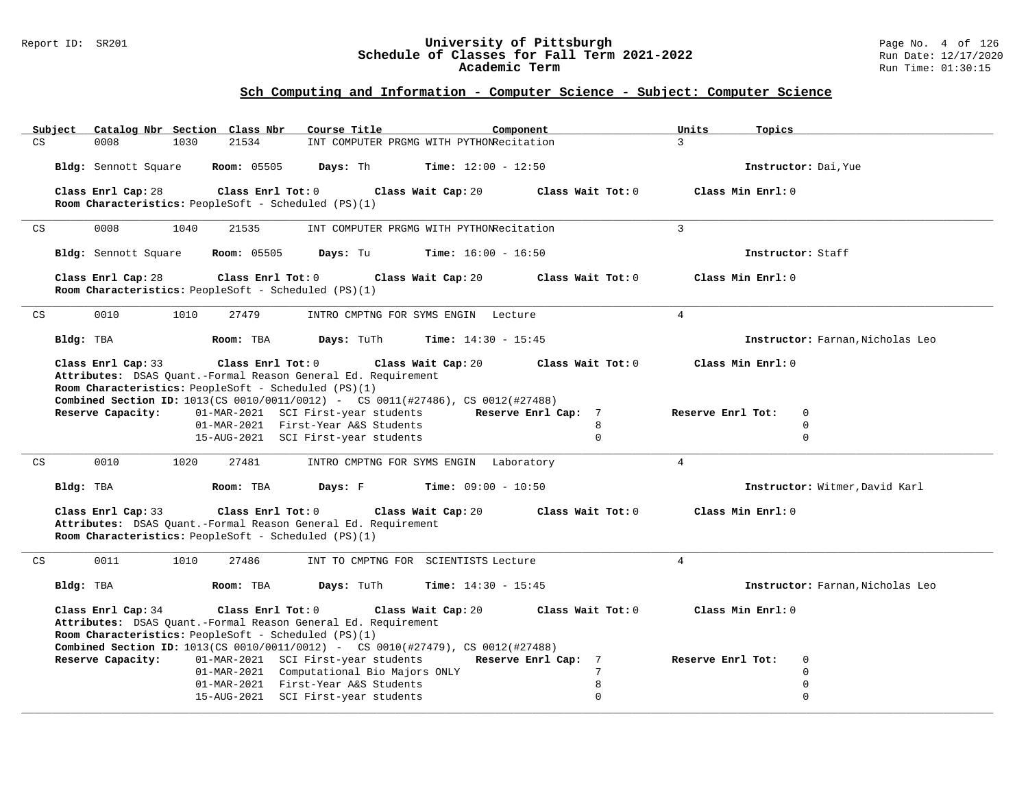#### Report ID: SR201 **University of Pittsburgh** Page No. 4 of 126 **Schedule of Classes for Fall Term 2021-2022** Run Date: 12/17/2020 **Academic Term** Run Time: 01:30:15

| Catalog Nbr Section Class Nbr<br>Subject                      | Course Title<br>Component                                                              | Units             | Topics                           |
|---------------------------------------------------------------|----------------------------------------------------------------------------------------|-------------------|----------------------------------|
| 0008<br>21534<br>CS<br>1030                                   | INT COMPUTER PRGMG WITH PYTHONRecitation                                               | $\mathcal{E}$     |                                  |
| Bldg: Sennott Square<br><b>Room: 05505</b>                    | Days: Th<br><b>Time:</b> $12:00 - 12:50$                                               |                   | Instructor: Dai, Yue             |
| Class Enrl Cap: 28<br>Class Enrl Tot: 0                       | Class Wait Cap: 20                                                                     | Class Wait Tot: 0 | Class Min Enrl: 0                |
| Room Characteristics: PeopleSoft - Scheduled (PS)(1)          |                                                                                        |                   |                                  |
|                                                               |                                                                                        |                   |                                  |
| 0008<br>CS<br>1040<br>21535                                   | INT COMPUTER PRGMG WITH PYTHONRecitation                                               | $\overline{3}$    |                                  |
| Bldg: Sennott Square<br><b>Room: 05505</b>                    | Days: Tu<br><b>Time:</b> $16:00 - 16:50$                                               |                   | Instructor: Staff                |
| Class Enrl Cap: 28<br>Class Enrl Tot: 0                       | Class Wait Cap: 20                                                                     | Class Wait Tot: 0 | Class Min Enrl: 0                |
| Room Characteristics: PeopleSoft - Scheduled (PS)(1)          |                                                                                        |                   |                                  |
|                                                               |                                                                                        |                   |                                  |
| CS<br>0010<br>1010<br>27479                                   | INTRO CMPTNG FOR SYMS ENGIN Lecture                                                    | $\overline{4}$    |                                  |
| Bldg: TBA<br>Room: TBA                                        | Days: TuTh<br><b>Time:</b> $14:30 - 15:45$                                             |                   | Instructor: Farnan, Nicholas Leo |
| Class Enrl Cap: 33<br>Class Enrl Tot: 0                       | Class Wait Cap: 20                                                                     | Class Wait Tot: 0 | Class Min Enrl: 0                |
| Attributes: DSAS Quant.-Formal Reason General Ed. Requirement |                                                                                        |                   |                                  |
| Room Characteristics: PeopleSoft - Scheduled (PS)(1)          |                                                                                        |                   |                                  |
|                                                               | Combined Section ID: 1013(CS 0010/0011/0012) - CS 0011(#27486), CS 0012(#27488)        |                   |                                  |
| Reserve Capacity:                                             | 01-MAR-2021 SCI First-year students<br>Reserve Enrl Cap: 7                             | Reserve Enrl Tot: | $\mathbf 0$                      |
|                                                               | 01-MAR-2021 First-Year A&S Students                                                    | 8<br>$\Omega$     | $\Omega$<br>$\mathbf 0$          |
|                                                               | 15-AUG-2021 SCI First-year students                                                    |                   |                                  |
| 0010<br>1020<br>27481<br>CS                                   | INTRO CMPTNG FOR SYMS ENGIN Laboratory                                                 | $\overline{4}$    |                                  |
| Room: TBA                                                     | <b>Time:</b> $09:00 - 10:50$                                                           |                   |                                  |
| Bldg: TBA                                                     | Days: F                                                                                |                   | Instructor: Witmer, David Karl   |
| Class Enrl Cap: 33<br>Class Enrl Tot: 0                       | Class Wait Cap: 20                                                                     | Class Wait Tot: 0 | Class Min Enrl: 0                |
| Attributes: DSAS Quant.-Formal Reason General Ed. Requirement |                                                                                        |                   |                                  |
| Room Characteristics: PeopleSoft - Scheduled (PS)(1)          |                                                                                        |                   |                                  |
|                                                               |                                                                                        |                   |                                  |
| 0011<br>CS<br>1010<br>27486                                   | INT TO CMPTNG FOR SCIENTISTS Lecture                                                   | $\overline{4}$    |                                  |
| Bldg: TBA<br>Room: TBA                                        | Days: TuTh<br><b>Time:</b> $14:30 - 15:45$                                             |                   | Instructor: Farnan, Nicholas Leo |
| Class Enrl Tot: 0<br>Class Enrl Cap: 34                       | Class Wait Cap: 20                                                                     | Class Wait Tot: 0 | Class Min Enrl: 0                |
| Attributes: DSAS Quant.-Formal Reason General Ed. Requirement |                                                                                        |                   |                                  |
| Room Characteristics: PeopleSoft - Scheduled (PS)(1)          |                                                                                        |                   |                                  |
|                                                               | <b>Combined Section ID:</b> 1013(CS 0010/0011/0012) - CS 0010(#27479), CS 0012(#27488) |                   |                                  |
| Reserve Capacity:                                             | 01-MAR-2021 SCI First-year students<br>Reserve Enrl Cap: 7                             | Reserve Enrl Tot: | 0                                |
|                                                               | 01-MAR-2021 Computational Bio Majors ONLY                                              | 7                 | $\mathbf 0$                      |
|                                                               | 01-MAR-2021 First-Year A&S Students                                                    | 8                 | $\mathbf 0$                      |
|                                                               | 15-AUG-2021 SCI First-year students                                                    | $\Omega$          | $\mathbf 0$                      |
|                                                               |                                                                                        |                   |                                  |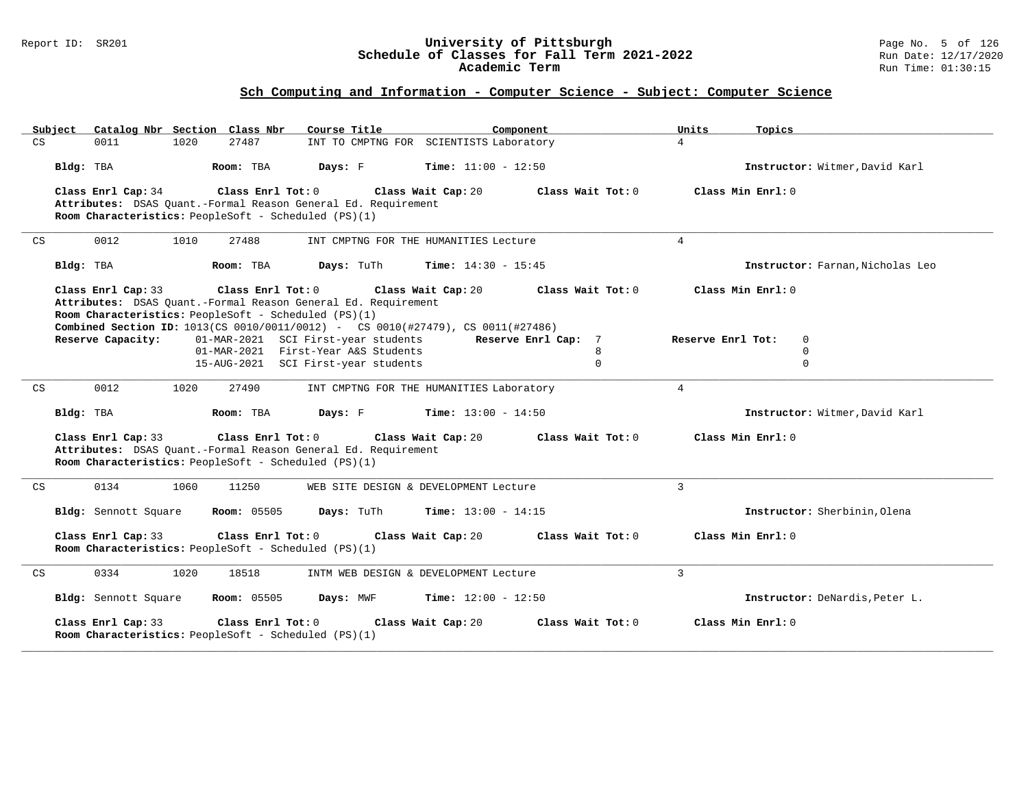#### Report ID: SR201 **University of Pittsburgh** Page No. 5 of 126 **Schedule of Classes for Fall Term 2021-2022** Run Date: 12/17/2020 **Academic Term** Run Time: 01:30:15

| Subject<br>Catalog Nbr Section Class Nbr                                   | Course Title                                                                                                           | Component                    | Units<br>Topics                  |
|----------------------------------------------------------------------------|------------------------------------------------------------------------------------------------------------------------|------------------------------|----------------------------------|
| CS<br>0011<br>1020                                                         | 27487<br>INT TO CMPTNG FOR SCIENTISTS Laboratory                                                                       |                              | $\overline{4}$                   |
| Bldg: TBA                                                                  | Room: TBA<br>Days: F                                                                                                   | Time: $11:00 - 12:50$        | Instructor: Witmer, David Karl   |
| Class Enrl Cap: 34                                                         | Class Enrl Tot: 0<br>Class Wait Cap: 20                                                                                | Class Wait Tot: 0            | Class Min Enrl: 0                |
| Room Characteristics: PeopleSoft - Scheduled (PS)(1)                       | Attributes: DSAS Quant.-Formal Reason General Ed. Requirement                                                          |                              |                                  |
|                                                                            |                                                                                                                        |                              |                                  |
| 0012<br>1010<br>CS                                                         | 27488<br>INT CMPTNG FOR THE HUMANITIES Lecture                                                                         |                              | $\overline{4}$                   |
| Bldg: TBA                                                                  | Days: TuTh<br>Room: TBA                                                                                                | <b>Time:</b> $14:30 - 15:45$ | Instructor: Farnan, Nicholas Leo |
| Class Enrl Cap: 33                                                         | Class Enrl Tot: 0<br>Class Wait Cap: 20                                                                                | Class Wait Tot: 0            | Class Min Enrl: 0                |
|                                                                            | Attributes: DSAS Ouant.-Formal Reason General Ed. Requirement                                                          |                              |                                  |
| Room Characteristics: PeopleSoft - Scheduled (PS)(1)                       |                                                                                                                        |                              |                                  |
| Reserve Capacity:                                                          | Combined Section ID: 1013(CS 0010/0011/0012) - CS 0010(#27479), CS 0011(#27486)<br>01-MAR-2021 SCI First-year students | Reserve Enrl Cap: 7          | Reserve Enrl Tot:<br>$\Omega$    |
|                                                                            | 01-MAR-2021 First-Year A&S Students                                                                                    | 8                            | $\Omega$                         |
|                                                                            | 15-AUG-2021 SCI First-year students                                                                                    | $\Omega$                     | $\Omega$                         |
|                                                                            |                                                                                                                        |                              |                                  |
| CS<br>0012<br>1020                                                         | 27490<br>INT CMPTNG FOR THE HUMANITIES Laboratory                                                                      |                              | $\overline{4}$                   |
| Bldg: TBA                                                                  | Room: TBA<br>Days: F                                                                                                   | <b>Time:</b> $13:00 - 14:50$ | Instructor: Witmer, David Karl   |
| Class Enrl Cap: 33<br>Room Characteristics: PeopleSoft - Scheduled (PS)(1) | Class Enrl Tot: 0<br>Class Wait Cap: 20<br>Attributes: DSAS Quant.-Formal Reason General Ed. Requirement               | Class Wait Tot: 0            | Class Min Enrl: 0                |
| 0134<br>1060<br>CS                                                         | 11250<br>WEB SITE DESIGN & DEVELOPMENT Lecture                                                                         |                              | $\mathbf{3}$                     |
| Bldg: Sennott Square                                                       | <b>Room: 05505</b><br>Days: TuTh                                                                                       | <b>Time:</b> $13:00 - 14:15$ | Instructor: Sherbinin, Olena     |
| Class Enrl Cap: 33<br>Room Characteristics: PeopleSoft - Scheduled (PS)(1) | Class Enrl Tot: 0<br>Class Wait Cap: 20                                                                                | Class Wait Tot: 0            | Class Min Enrl: 0                |
| 0334<br>1020<br>CS                                                         | 18518<br>INTM WEB DESIGN & DEVELOPMENT Lecture                                                                         |                              | $\mathbf{3}$                     |
| Bldg: Sennott Square                                                       | <b>Room:</b> 05505<br>Days: MWF                                                                                        | <b>Time:</b> $12:00 - 12:50$ | Instructor: DeNardis, Peter L.   |
| Class Enrl Cap: 33<br>Room Characteristics: PeopleSoft - Scheduled (PS)(1) | Class Enrl Tot: 0<br>Class Wait Cap: 20                                                                                | Class Wait Tot: 0            | Class Min Enrl: 0                |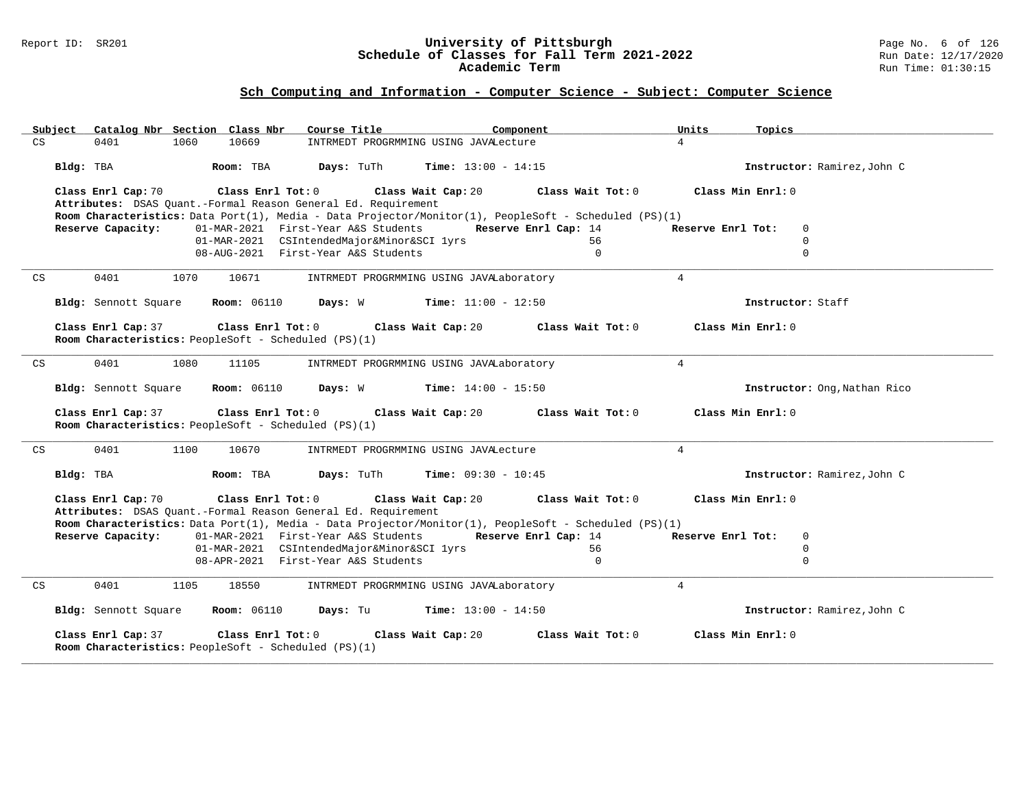#### Report ID: SR201 **University of Pittsburgh** Page No. 6 of 126 **Schedule of Classes for Fall Term 2021-2022** Run Date: 12/17/2020 **Academic Term** Run Time: 01:30:15

| Subject<br>Catalog Nbr Section Class Nbr                                                                                                                                                                          | Course Title                                                                      | Component                  | Units<br>Topics                                 |
|-------------------------------------------------------------------------------------------------------------------------------------------------------------------------------------------------------------------|-----------------------------------------------------------------------------------|----------------------------|-------------------------------------------------|
| 10669<br>CS<br>0401<br>1060                                                                                                                                                                                       | INTRMEDT PROGRMMING USING JAVALecture                                             |                            | $\overline{4}$                                  |
| Bldg: TBA<br>Room: TBA                                                                                                                                                                                            | Days: TuTh<br><b>Time:</b> $13:00 - 14:15$                                        |                            | Instructor: Ramirez, John C                     |
| Class Enrl Cap: 70<br>Class Enrl Tot: 0                                                                                                                                                                           | Class Wait Cap: 20                                                                | Class Wait Tot: 0          | Class Min Enrl: 0                               |
| Attributes: DSAS Quant.-Formal Reason General Ed. Requirement                                                                                                                                                     |                                                                                   |                            |                                                 |
| Room Characteristics: Data Port(1), Media - Data Projector/Monitor(1), PeopleSoft - Scheduled (PS)(1)<br>Reserve Capacity:                                                                                        |                                                                                   |                            |                                                 |
|                                                                                                                                                                                                                   | 01-MAR-2021 First-Year A&S Students<br>01-MAR-2021 CSIntendedMajor&Minor&SCI lyrs | Reserve Enrl Cap: 14<br>56 | Reserve Enrl Tot:<br>$\mathbf 0$<br>$\mathbf 0$ |
|                                                                                                                                                                                                                   | 08-AUG-2021 First-Year A&S Students                                               | $\mathbf{0}$               | $\mathbf 0$                                     |
|                                                                                                                                                                                                                   |                                                                                   |                            |                                                 |
| 0401<br>CS<br>1070<br>10671                                                                                                                                                                                       | INTRMEDT PROGRMMING USING JAVALaboratory                                          |                            | $\overline{4}$                                  |
| Bldg: Sennott Square<br><b>Room:</b> 06110                                                                                                                                                                        | <b>Time:</b> $11:00 - 12:50$<br>Days: W                                           |                            | Instructor: Staff                               |
| Class Enrl Cap: 37<br>Class Enrl Tot: 0<br>Room Characteristics: PeopleSoft - Scheduled (PS)(1)                                                                                                                   | Class Wait Cap: 20                                                                | Class Wait $Tot: 0$        | Class Min Enrl: 0                               |
|                                                                                                                                                                                                                   |                                                                                   |                            |                                                 |
| 0401<br>1080<br>CS<br>11105                                                                                                                                                                                       | INTRMEDT PROGRMMING USING JAVALaboratory                                          |                            | $\overline{4}$                                  |
| <b>Room: 06110</b><br>Bldg: Sennott Square                                                                                                                                                                        | Days: W<br>$Time: 14:00 - 15:50$                                                  |                            | Instructor: Ong, Nathan Rico                    |
| Class Enrl Cap: 37<br>Class Enrl Tot: 0<br>Room Characteristics: PeopleSoft - Scheduled (PS)(1)                                                                                                                   | Class Wait Cap: 20                                                                | Class Wait Tot: 0          | Class Min Enrl: 0                               |
| 0401<br>1100<br>10670<br>CS                                                                                                                                                                                       | INTRMEDT PROGRMMING USING JAVALecture                                             |                            | $\overline{4}$                                  |
| Bldg: TBA<br>Room: TBA                                                                                                                                                                                            | Days: TuTh<br><b>Time:</b> $09:30 - 10:45$                                        |                            | Instructor: Ramirez, John C                     |
| Class Enrl Cap: 70<br>Class Enrl Tot: 0<br>Attributes: DSAS Quant.-Formal Reason General Ed. Requirement<br>Room Characteristics: Data Port(1), Media - Data Projector/Monitor(1), PeopleSoft - Scheduled (PS)(1) | Class Wait Cap: 20                                                                | Class Wait Tot: 0          | Class Min Enrl: 0                               |
| Reserve Capacity:                                                                                                                                                                                                 | 01-MAR-2021 First-Year A&S Students                                               | Reserve Enrl Cap: 14       | $\mathbf 0$<br>Reserve Enrl Tot:                |
|                                                                                                                                                                                                                   | 01-MAR-2021 CSIntendedMajor&Minor&SCI lyrs                                        | 56                         | $\mathbf 0$                                     |
|                                                                                                                                                                                                                   | 08-APR-2021 First-Year A&S Students                                               | $\Omega$                   | $\Omega$                                        |
|                                                                                                                                                                                                                   |                                                                                   |                            |                                                 |
| CS<br>0401<br>1105<br>18550                                                                                                                                                                                       | INTRMEDT PROGRMMING USING JAVALaboratory                                          |                            | $\overline{4}$                                  |
| <b>Room: 06110</b><br>Bldg: Sennott Square                                                                                                                                                                        | <b>Time:</b> $13:00 - 14:50$<br>Days: Tu                                          |                            | Instructor: Ramirez, John C                     |
| Class Enrl Cap: 37<br>Class Enrl Tot: 0<br>Room Characteristics: PeopleSoft - Scheduled (PS)(1)                                                                                                                   | Class Wait Cap: 20                                                                | Class Wait Tot: 0          | Class Min Enrl: 0                               |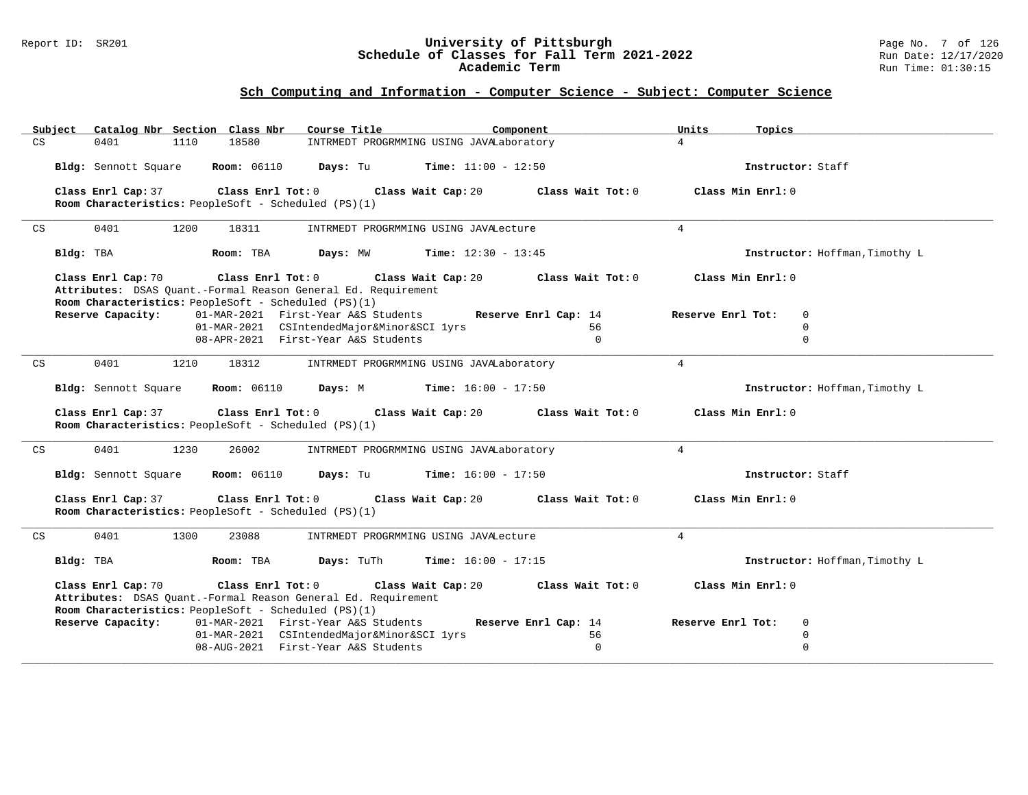#### Report ID: SR201 **University of Pittsburgh** Page No. 7 of 126 **Schedule of Classes for Fall Term 2021-2022** Run Date: 12/17/2020 **Academic Term** Run Time: 01:30:15

|    | Catalog Nbr Section Class Nbr<br>Subject                                                                                                                         | Course Title                                                                      | Component            | Units<br>Topics                  |
|----|------------------------------------------------------------------------------------------------------------------------------------------------------------------|-----------------------------------------------------------------------------------|----------------------|----------------------------------|
| CS | 18580<br>0401<br>1110                                                                                                                                            | INTRMEDT PROGRMMING USING JAVALaboratory                                          |                      | $\overline{4}$                   |
|    | <b>Room: 06110</b><br>Bldg: Sennott Square                                                                                                                       | <b>Time:</b> $11:00 - 12:50$<br>Days: Tu                                          |                      | Instructor: Staff                |
|    | Class Enrl Cap: 37<br>Class Enrl Tot: 0<br>Room Characteristics: PeopleSoft - Scheduled (PS)(1)                                                                  | Class Wait Cap: 20                                                                | Class Wait Tot: 0    | Class Min Enrl: 0                |
| CS | 0401<br>1200<br>18311                                                                                                                                            | INTRMEDT PROGRMMING USING JAVALecture                                             |                      | $\overline{4}$                   |
|    | Bldg: TBA<br>Room: TBA                                                                                                                                           | <b>Time:</b> $12:30 - 13:45$<br>Days: MW                                          |                      | Instructor: Hoffman, Timothy L   |
|    | Class Enrl Cap: 70<br>Class Enrl Tot: 0<br>Attributes: DSAS Quant.-Formal Reason General Ed. Requirement<br>Room Characteristics: PeopleSoft - Scheduled (PS)(1) | Class Wait Cap: 20                                                                | Class Wait Tot: 0    | Class Min Enrl: 0                |
|    | Reserve Capacity:                                                                                                                                                | 01-MAR-2021 First-Year A&S Students                                               | Reserve Enrl Cap: 14 | Reserve Enrl Tot:<br>0           |
|    |                                                                                                                                                                  | 01-MAR-2021 CSIntendedMajor&Minor&SCI lyrs<br>08-APR-2021 First-Year A&S Students | 56<br>$\Omega$       | $\mathbf 0$<br>$\Omega$          |
|    |                                                                                                                                                                  |                                                                                   |                      |                                  |
| CS | 0401<br>1210<br>18312                                                                                                                                            | INTRMEDT PROGRMMING USING JAVALaboratory                                          |                      | $\overline{4}$                   |
|    | Bldg: Sennott Square<br><b>Room:</b> 06110                                                                                                                       | Days: M<br>$Time: 16:00 - 17:50$                                                  |                      | Instructor: Hoffman, Timothy L   |
|    | Class Enrl Cap: 37<br>Class Enrl Tot: 0<br>Room Characteristics: PeopleSoft - Scheduled (PS)(1)                                                                  | Class Wait Cap: 20                                                                | Class Wait Tot: 0    | $Class Min$ $Rnr1: 0$            |
| CS | 0401<br>1230<br>26002                                                                                                                                            | INTRMEDT PROGRMMING USING JAVALaboratory                                          |                      | $\overline{4}$                   |
|    | <b>Room: 06110</b><br>Bldg: Sennott Square                                                                                                                       | <b>Time:</b> $16:00 - 17:50$<br>Days: Tu                                          |                      | Instructor: Staff                |
|    | Class Enrl Cap: 37<br>Class Enrl Tot: 0<br>Room Characteristics: PeopleSoft - Scheduled (PS)(1)                                                                  | Class Wait Cap: 20                                                                | Class Wait Tot: 0    | Class Min Enrl: 0                |
| CS | 0401<br>1300<br>23088                                                                                                                                            | INTRMEDT PROGRMMING USING JAVALecture                                             |                      | $\overline{4}$                   |
|    | Bldg: TBA<br>Room: TBA                                                                                                                                           | Time: $16:00 - 17:15$<br>Days: TuTh                                               |                      | Instructor: Hoffman, Timothy L   |
|    | Class Enrl Cap: 70<br>Class Enrl Tot: 0<br>Attributes: DSAS Quant.-Formal Reason General Ed. Requirement<br>Room Characteristics: PeopleSoft - Scheduled (PS)(1) | Class Wait Cap: 20                                                                | Class Wait Tot: 0    | Class Min Enrl: 0                |
|    | Reserve Capacity:                                                                                                                                                | 01-MAR-2021 First-Year A&S Students                                               | Reserve Enrl Cap: 14 | $\mathbf 0$<br>Reserve Enrl Tot: |
|    |                                                                                                                                                                  | 01-MAR-2021 CSIntendedMajor&Minor&SCI lyrs                                        | 56                   | $\mathbf 0$                      |
|    |                                                                                                                                                                  | 08-AUG-2021 First-Year A&S Students                                               | $\mathbf 0$          | $\mathbf 0$                      |
|    |                                                                                                                                                                  |                                                                                   |                      |                                  |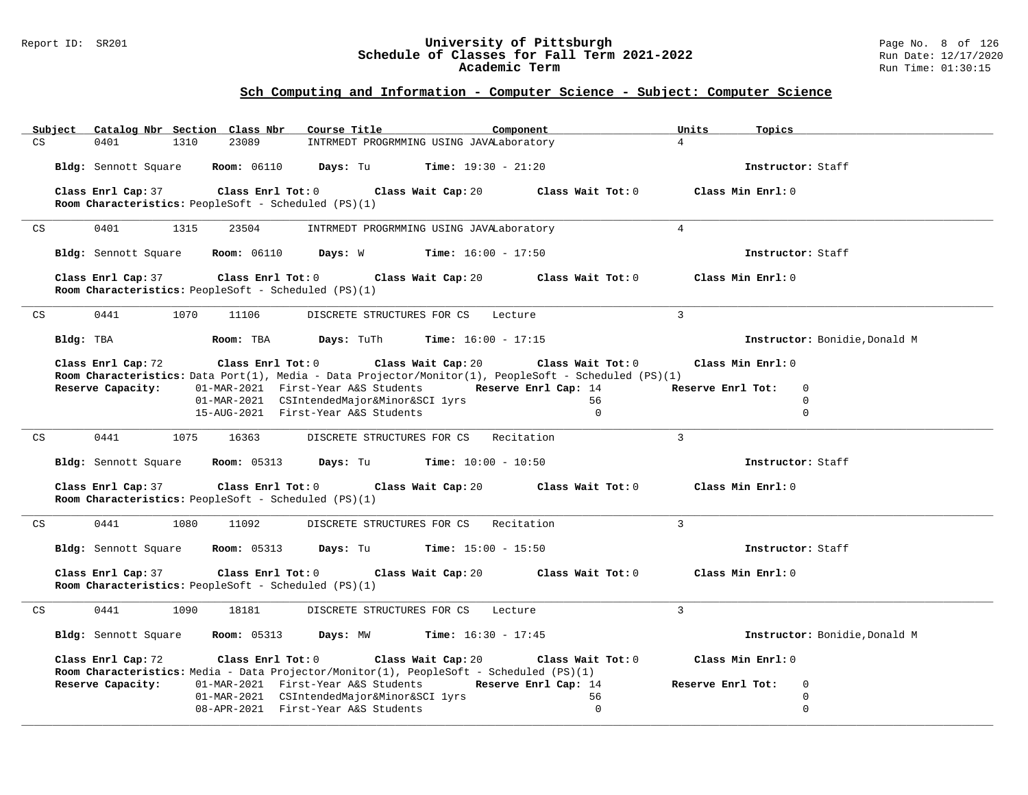#### Report ID: SR201 **University of Pittsburgh** Page No. 8 of 126 **Schedule of Classes for Fall Term 2021-2022** Run Date: 12/17/2020 **Academic Term** Run Time: 01:30:15

| Subject | Catalog Nbr Section Class Nbr                                                                                                      | Course Title                                             | Component            | Units<br>Topics                  |  |
|---------|------------------------------------------------------------------------------------------------------------------------------------|----------------------------------------------------------|----------------------|----------------------------------|--|
| CS      | 23089<br>0401<br>1310                                                                                                              | INTRMEDT PROGRMMING USING JAVALaboratory                 |                      | $\overline{4}$                   |  |
|         | Room: 06110 Days: Tu<br>Bldg: Sennott Square                                                                                       | $Time: 19:30 - 21:20$                                    |                      | Instructor: Staff                |  |
|         | Class Enrl Cap: 37<br>$Class$ $Enrl$ $Tot: 0$                                                                                      | Class Wait Cap: 20                                       | Class Wait Tot: 0    | Class Min Enrl: 0                |  |
|         | Room Characteristics: PeopleSoft - Scheduled (PS)(1)                                                                               |                                                          |                      |                                  |  |
| CS      | 0401<br>1315<br>23504                                                                                                              | INTRMEDT PROGRMMING USING JAVALaboratory                 |                      | $\overline{4}$                   |  |
|         |                                                                                                                                    |                                                          |                      |                                  |  |
|         | Bldg: Sennott Square<br><b>Room:</b> 06110                                                                                         | <b>Days:</b> W <b>Time:</b> $16:00 - 17:50$              |                      | Instructor: Staff                |  |
|         | Class Enrl Tot: 0<br>Class Enrl Cap: 37                                                                                            | Class Wait Cap: 20                                       | Class Wait Tot: 0    | Class Min Enrl: 0                |  |
|         | Room Characteristics: PeopleSoft - Scheduled (PS)(1)                                                                               |                                                          |                      |                                  |  |
|         |                                                                                                                                    |                                                          |                      |                                  |  |
| CS      | 0441<br>1070<br>11106                                                                                                              | DISCRETE STRUCTURES FOR CS Lecture                       |                      | 3                                |  |
|         | Bldg: TBA<br>Room: TBA                                                                                                             | <b>Days:</b> TuTh<br><b>Time:</b> $16:00 - 17:15$        |                      | Instructor: Bonidie, Donald M    |  |
|         | Class Enrl Cap: 72<br>$Class$ $Enr1$ $Tot: 0$                                                                                      | Class Wait Cap: 20                                       | Class Wait Tot: 0    | Class Min Enrl: 0                |  |
|         | Room Characteristics: Data Port(1), Media - Data Projector/Monitor(1), PeopleSoft - Scheduled (PS)(1)                              |                                                          |                      |                                  |  |
|         | Reserve Capacity:                                                                                                                  | 01-MAR-2021 First-Year A&S Students Reserve Enrl Cap: 14 |                      | Reserve Enrl Tot:<br>$\mathbf 0$ |  |
|         |                                                                                                                                    | 01-MAR-2021 CSIntendedMajor&Minor&SCI lyrs               | 56<br>$\Omega$       | $\mathbf 0$<br>$\mathbf 0$       |  |
|         |                                                                                                                                    | 15-AUG-2021 First-Year A&S Students                      |                      |                                  |  |
| CS      | 0441<br>1075<br>16363                                                                                                              | DISCRETE STRUCTURES FOR CS Recitation                    |                      | $\mathcal{L}$                    |  |
|         | <b>Room:</b> 05313<br>Bldg: Sennott Square                                                                                         | <b>Days:</b> Tu <b>Time:</b> $10:00 - 10:50$             |                      | Instructor: Staff                |  |
|         | Class Enrl Cap: 37<br>$\verb Class Enrl Tot: 0 $<br>Room Characteristics: PeopleSoft - Scheduled (PS)(1)                           | Class Wait Cap: 20                                       | Class Wait Tot: 0    | Class Min Enrl: 0                |  |
| CS      | 0441<br>1080<br>11092                                                                                                              | DISCRETE STRUCTURES FOR CS Recitation                    |                      | $\mathcal{L}$                    |  |
|         | <b>Room:</b> 05313<br>Bldg: Sennott Square                                                                                         | <b>Days:</b> Tu <b>Time:</b> $15:00 - 15:50$             |                      | Instructor: Staff                |  |
|         | Class Enrl Cap: 37<br>$Class$ $Enrl$ $Tot: 0$                                                                                      | Class Wait Cap: 20                                       | Class Wait Tot: 0    | Class Min Enrl: 0                |  |
|         | Room Characteristics: PeopleSoft - Scheduled (PS)(1)                                                                               |                                                          |                      |                                  |  |
| CS      | 0441<br>1090<br>18181                                                                                                              | DISCRETE STRUCTURES FOR CS                               | Lecture              | $\overline{3}$                   |  |
|         |                                                                                                                                    |                                                          |                      |                                  |  |
|         | Bldg: Sennott Square                                                                                                               | Room: 05313 Days: MW Time: 16:30 - 17:45                 |                      | Instructor: Bonidie, Donald M    |  |
|         | Class Enrl Cap: 72<br>Class Enrl Tot: 0<br>Room Characteristics: Media - Data Projector/Monitor(1), PeopleSoft - Scheduled (PS)(1) | Class Wait Cap: 20                                       | Class Wait Tot: 0    | Class Min Enrl: 0                |  |
|         | Reserve Capacity:                                                                                                                  | 01-MAR-2021 First-Year A&S Students                      | Reserve Enrl Cap: 14 | Reserve Enrl Tot:<br>$\mathbf 0$ |  |
|         |                                                                                                                                    | 01-MAR-2021 CSIntendedMajor&Minor&SCI lyrs               | 56                   | $\mathbf 0$                      |  |
|         |                                                                                                                                    | 08-APR-2021 First-Year A&S Students                      | $\Omega$             | $\mathbf 0$                      |  |
|         |                                                                                                                                    |                                                          |                      |                                  |  |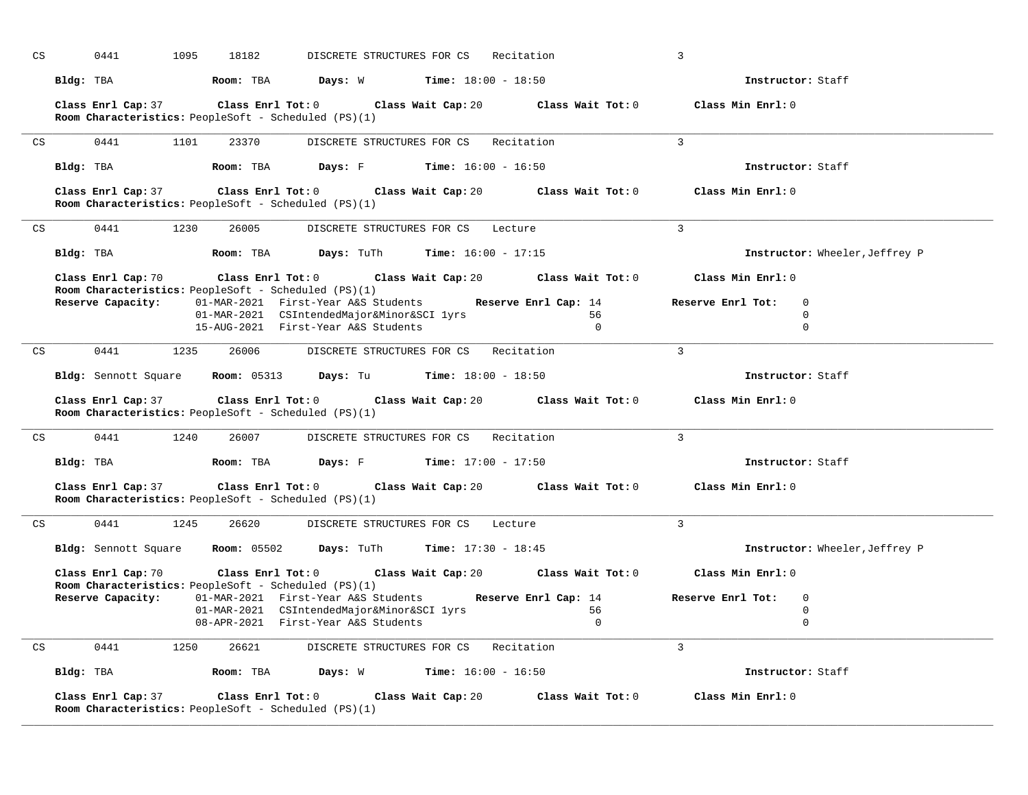| CS | 0441               | 1095<br>18182                                                                                                | DISCRETE STRUCTURES FOR CS                                                                             |                                       | Recitation                                                   | 3                                                                                           |  |
|----|--------------------|--------------------------------------------------------------------------------------------------------------|--------------------------------------------------------------------------------------------------------|---------------------------------------|--------------------------------------------------------------|---------------------------------------------------------------------------------------------|--|
|    | Bldg: TBA          | Room: TBA                                                                                                    | <b>Days:</b> W <b>Time:</b> $18:00 - 18:50$                                                            |                                       |                                                              | Instructor: Staff                                                                           |  |
|    |                    | Room Characteristics: PeopleSoft - Scheduled (PS)(1)                                                         |                                                                                                        |                                       |                                                              | Class Enrl Cap: 37 Class Enrl Tot: 0 Class Wait Cap: 20 Class Wait Tot: 0 Class Min Enrl: 0 |  |
| CS | 0441               | 1101<br>23370                                                                                                |                                                                                                        | DISCRETE STRUCTURES FOR CS Recitation |                                                              | $\mathbf{3}$                                                                                |  |
|    | Bldg: TBA          | Room: TBA                                                                                                    | <b>Days:</b> F Time: $16:00 - 16:50$                                                                   |                                       |                                                              | Instructor: Staff                                                                           |  |
|    |                    | Room Characteristics: PeopleSoft - Scheduled (PS)(1)                                                         |                                                                                                        |                                       |                                                              | Class Enrl Cap: 37 Class Enrl Tot: 0 Class Wait Cap: 20 Class Wait Tot: 0 Class Min Enrl: 0 |  |
| CS | 0441               | 1230<br>26005                                                                                                |                                                                                                        | DISCRETE STRUCTURES FOR CS Lecture    |                                                              | 3                                                                                           |  |
|    | Bldg: TBA          |                                                                                                              | <b>Room:</b> TBA $\qquad$ <b>Days:</b> TuTh $\qquad$ <b>Time:</b> 16:00 - 17:15                        |                                       |                                                              | Instructor: Wheeler, Jeffrey P                                                              |  |
|    | Class Enrl Cap: 70 | Room Characteristics: PeopleSoft - Scheduled (PS)(1)                                                         |                                                                                                        |                                       | Class Enrl Tot: $0$ Class Wait Cap: $20$ Class Wait Tot: $0$ | Class Min Enrl: 0                                                                           |  |
|    | Reserve Capacity:  |                                                                                                              | 01-MAR-2021 First-Year A&S Students Reserve Enrl Cap: 14<br>01-MAR-2021 CSIntendedMajor&Minor&SCI lyrs |                                       | 56                                                           | Reserve Enrl Tot:<br>$\overline{0}$<br>$\mathbf 0$                                          |  |
|    |                    |                                                                                                              | 15-AUG-2021 First-Year A&S Students                                                                    |                                       | $\Omega$                                                     | $\mathbf 0$                                                                                 |  |
| CS |                    | 0441 1235 26006 DISCRETE STRUCTURES FOR CS Recitation                                                        |                                                                                                        |                                       |                                                              | $\mathbf{3}$                                                                                |  |
|    |                    | <b>Bldg:</b> Sennott Square <b>Room:</b> $05313$ <b>Days:</b> Tu <b>Time:</b> $18:00 - 18:50$                |                                                                                                        |                                       |                                                              | Instructor: Staff                                                                           |  |
|    | Class Enrl Cap: 37 | Room Characteristics: PeopleSoft - Scheduled (PS)(1)                                                         |                                                                                                        |                                       |                                                              | Class Enrl Tot: $0$ Class Wait Cap: $20$ Class Wait Tot: $0$ Class Min Enrl: $0$            |  |
| CS | 0441               | 1240<br>26007                                                                                                |                                                                                                        | DISCRETE STRUCTURES FOR CS Recitation |                                                              | $\overline{3}$                                                                              |  |
|    |                    | Bldg: TBA $\blacksquare$ Room: TBA $\blacksquare$ Days: F $\blacksquare$ Time: 17:00 - 17:50                 |                                                                                                        |                                       |                                                              | Instructor: Staff                                                                           |  |
|    | Class Enrl Cap: 37 | $\texttt{Class}$ $\texttt{Enrl}$ $\texttt{Tot:}$ $0$<br>Room Characteristics: PeopleSoft - Scheduled (PS)(1) |                                                                                                        |                                       | Class Wait Cap: 20 $\,$ Class Wait Tot: 0 $\,$               | Class Min Enrl: 0                                                                           |  |
| CS | 0441               | 1245<br>26620                                                                                                |                                                                                                        | DISCRETE STRUCTURES FOR CS Lecture    |                                                              | $\mathbf{3}$                                                                                |  |
|    |                    | Bldg: Sennott Square Room: 05502 Days: TuTh Time: 17:30 - 18:45                                              |                                                                                                        |                                       |                                                              | Instructor: Wheeler, Jeffrey P                                                              |  |
|    | Class Enrl Cap: 70 | Class Enrl Tot: $0$<br>Room Characteristics: PeopleSoft - Scheduled (PS)(1)                                  |                                                                                                        |                                       | Class Wait Cap: 20 Class Wait Tot: 0                         | Class Min Enrl: 0                                                                           |  |
|    | Reserve Capacity:  |                                                                                                              | 01-MAR-2021 First-Year A&S Students Reserve Enrl Cap: 14                                               |                                       |                                                              | Reserve Enrl Tot:<br>$\overline{0}$                                                         |  |
|    |                    |                                                                                                              | 01-MAR-2021 CSIntendedMajor&Minor&SCI lyrs                                                             |                                       | 56                                                           | $\mathbf 0$                                                                                 |  |
|    |                    |                                                                                                              | 08-APR-2021 First-Year A&S Students                                                                    |                                       | $\Omega$                                                     | $\mathbf 0$                                                                                 |  |
| CS | 0441               | 1250<br>26621                                                                                                |                                                                                                        | DISCRETE STRUCTURES FOR CS Recitation |                                                              | $\mathbf{3}$                                                                                |  |
|    |                    | Bldg: TBA                   Room: TBA         Days: W          Time: 16:00 - 16:50                           |                                                                                                        |                                       |                                                              | Instructor: Staff                                                                           |  |
|    | Class Enrl Cap: 37 | Class Enrl Tot:0<br>Room Characteristics: PeopleSoft - Scheduled (PS)(1)                                     |                                                                                                        | Class Wait Cap: 20                    | Class Wait Tot: 0                                            | Class Min Enrl: 0                                                                           |  |

**\_\_\_\_\_\_\_\_\_\_\_\_\_\_\_\_\_\_\_\_\_\_\_\_\_\_\_\_\_\_\_\_\_\_\_\_\_\_\_\_\_\_\_\_\_\_\_\_\_\_\_\_\_\_\_\_\_\_\_\_\_\_\_\_\_\_\_\_\_\_\_\_\_\_\_\_\_\_\_\_\_\_\_\_\_\_\_\_\_\_\_\_\_\_\_\_\_\_\_\_\_\_\_\_\_\_\_\_\_\_\_\_\_\_\_\_\_\_\_\_\_\_\_\_\_\_\_\_\_\_\_\_\_\_\_\_\_\_\_\_\_\_\_\_\_\_\_\_\_\_\_\_\_\_\_\_**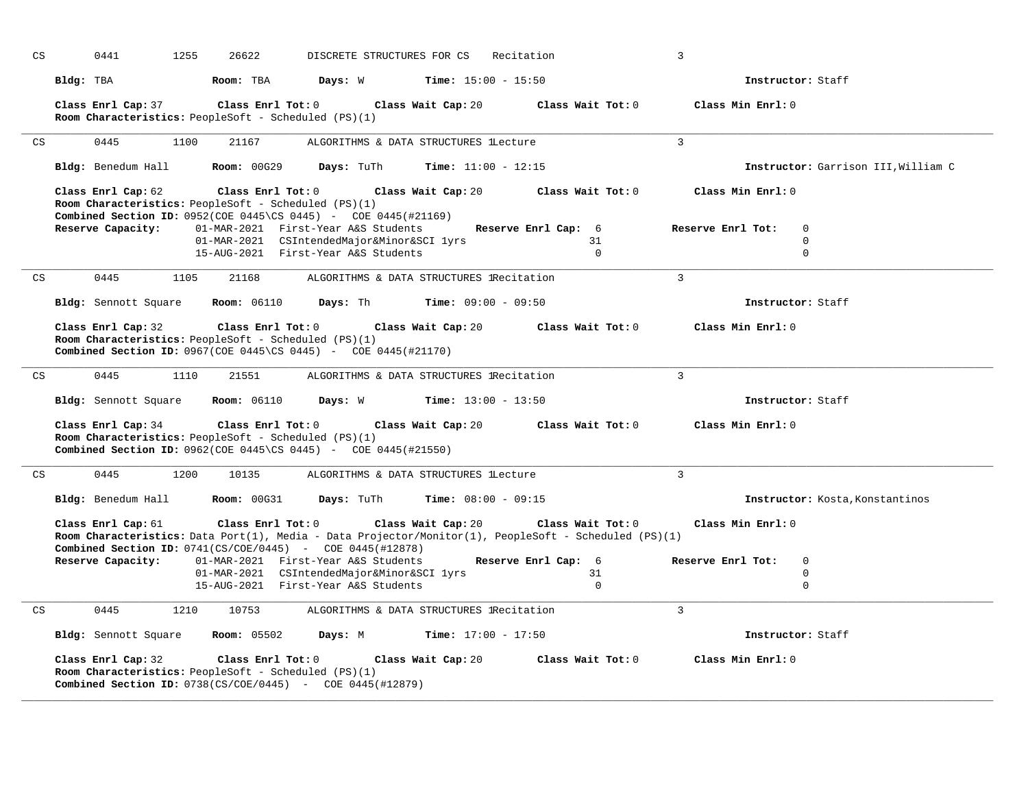|                            |           | 0441<br>1255                            | 26622                                                                              | DISCRETE STRUCTURES FOR CS                                                                                                                                                                                    |                                                                | Recitation                                                                                                                                                          | 3                                                                                    |
|----------------------------|-----------|-----------------------------------------|------------------------------------------------------------------------------------|---------------------------------------------------------------------------------------------------------------------------------------------------------------------------------------------------------------|----------------------------------------------------------------|---------------------------------------------------------------------------------------------------------------------------------------------------------------------|--------------------------------------------------------------------------------------|
|                            | Bldg: TBA |                                         | Room: TBA                                                                          | Days: W                                                                                                                                                                                                       | <b>Time:</b> $15:00 - 15:50$                                   |                                                                                                                                                                     | Instructor: Staff                                                                    |
|                            |           | Class Enrl Cap: 37                      | Class Enrl Tot: 0<br>Room Characteristics: PeopleSoft - Scheduled (PS)(1)          |                                                                                                                                                                                                               | Class Wait Cap: 20                                             | Class Wait Tot: 0                                                                                                                                                   | Class Min Enrl: 0                                                                    |
| CS                         |           | 0445<br>1100                            | 21167                                                                              |                                                                                                                                                                                                               | ALGORITHMS & DATA STRUCTURES lLecture                          |                                                                                                                                                                     | $\overline{3}$                                                                       |
|                            |           | Bldg: Benedum Hall                      | <b>Room: 00G29</b>                                                                 | Days: TuTh                                                                                                                                                                                                    | Time: $11:00 - 12:15$                                          |                                                                                                                                                                     | Instructor: Garrison III, William C                                                  |
|                            |           | Class Enrl Cap: 62<br>Reserve Capacity: | Class Enrl Tot: 0<br>Room Characteristics: PeopleSoft - Scheduled (PS)(1)          | <b>Combined Section ID:</b> $0952$ (COE $0445$ \CS $0445$ ) - COE $0445$ (#21169)<br>01-MAR-2021 First-Year A&S Students<br>01-MAR-2021 CSIntendedMajor&Minor&SCI lyrs<br>15-AUG-2021 First-Year A&S Students | Class Wait Cap: 20                                             | Class Wait Tot: 0<br>Reserve Enrl Cap: 6<br>31<br>$\Omega$                                                                                                          | Class Min Enrl: 0<br>Reserve Enrl Tot:<br>$\mathbf 0$<br>$\mathbf 0$<br>$\mathbf 0$  |
| CS                         |           | 0445<br>1105                            | 21168                                                                              |                                                                                                                                                                                                               | ALGORITHMS & DATA STRUCTURES lRecitation                       |                                                                                                                                                                     | $\overline{3}$                                                                       |
|                            |           | Bldg: Sennott Square                    | <b>Room:</b> 06110                                                                 | Days: Th                                                                                                                                                                                                      | <b>Time:</b> $09:00 - 09:50$                                   |                                                                                                                                                                     | Instructor: Staff                                                                    |
| CS                         |           | Class Enrl Cap: 32<br>0445<br>1110      | Class Enrl Tot: 0<br>Room Characteristics: PeopleSoft - Scheduled (PS)(1)<br>21551 | <b>Combined Section ID:</b> 0967(COE 0445\CS 0445) - COE 0445(#21170)                                                                                                                                         | Class Wait Cap: 20<br>ALGORITHMS & DATA STRUCTURES lRecitation | Class Wait Tot: 0                                                                                                                                                   | Class Min Enrl: 0<br>3                                                               |
|                            |           | Bldg: Sennott Square                    | <b>Room: 06110</b>                                                                 | Days: W                                                                                                                                                                                                       | <b>Time:</b> $13:00 - 13:50$                                   |                                                                                                                                                                     | Instructor: Staff                                                                    |
|                            |           | Class Enrl Cap: 34                      | Class Enrl Tot: 0<br>Room Characteristics: PeopleSoft - Scheduled (PS)(1)          | <b>Combined Section ID:</b> $0962$ (COE 0445\CS 0445) - COE 0445(#21550)                                                                                                                                      | Class Wait Cap: 20                                             | Class Wait Tot: 0                                                                                                                                                   | Class Min Enrl: 0                                                                    |
| $\mathop{\rm CS}\nolimits$ |           | 0445<br>1200                            | 10135                                                                              |                                                                                                                                                                                                               | ALGORITHMS & DATA STRUCTURES lLecture                          |                                                                                                                                                                     | $\overline{3}$                                                                       |
|                            |           | Bldg: Benedum Hall                      | <b>Room: 00G31</b>                                                                 | Days: TuTh                                                                                                                                                                                                    | Time: $08:00 - 09:15$                                          |                                                                                                                                                                     | Instructor: Kosta, Konstantinos                                                      |
|                            |           | Class Enrl Cap: 61<br>Reserve Capacity: | Class Enrl Tot: 0                                                                  | <b>Combined Section ID:</b> $0741(CS/COE/0445)$ - COE $0445(\text{\#}12878)$<br>01-MAR-2021 First-Year A&S Students<br>01-MAR-2021 CSIntendedMajor&Minor&SCI lyrs<br>15-AUG-2021 First-Year A&S Students      | Class Wait Cap: 20                                             | Class Wait Tot: 0<br>Room Characteristics: Data Port(1), Media - Data Projector/Monitor(1), PeopleSoft - Scheduled (PS)(1)<br>Reserve Enrl Cap: 6<br>31<br>$\Omega$ | Class Min Enrl: 0<br>Reserve Enrl Tot:<br>$\mathbf{0}$<br>$\mathbf 0$<br>$\mathbf 0$ |
|                            |           | 0445<br>1210                            | 10753                                                                              |                                                                                                                                                                                                               | ALGORITHMS & DATA STRUCTURES lRecitation                       |                                                                                                                                                                     | $\overline{3}$                                                                       |
| $\mathop{\rm CS}\nolimits$ |           |                                         |                                                                                    |                                                                                                                                                                                                               |                                                                |                                                                                                                                                                     |                                                                                      |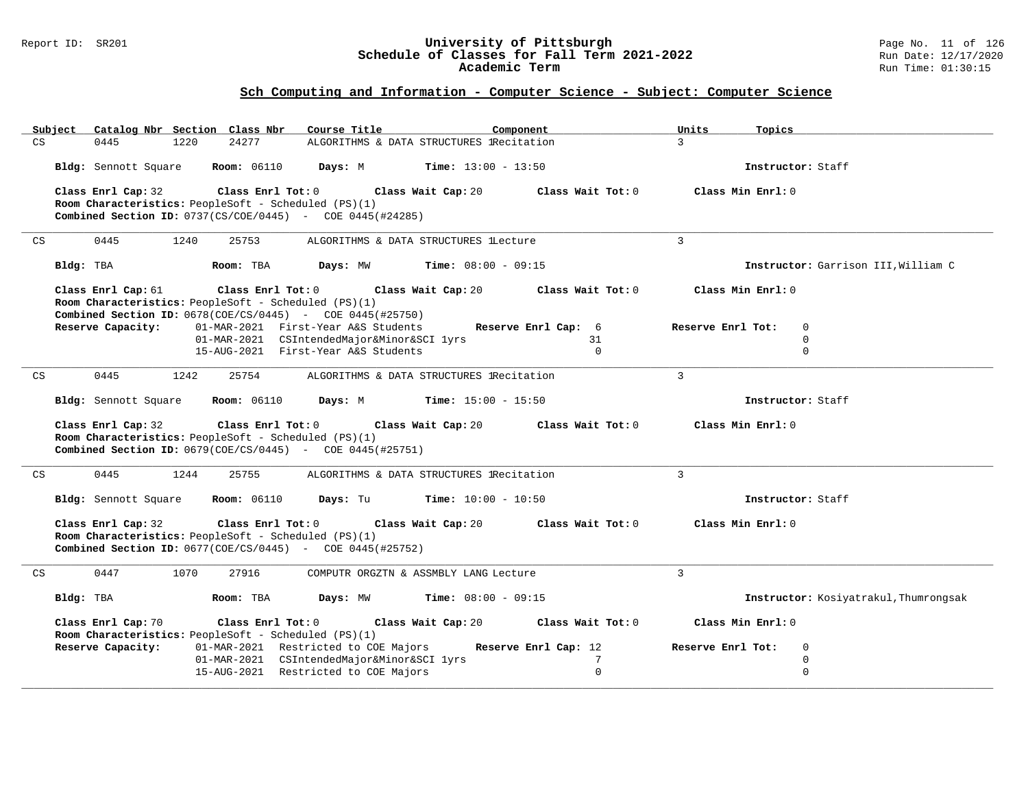#### Report ID: SR201 **University of Pittsburgh** Page No. 11 of 126 **Schedule of Classes for Fall Term 2021-2022** Run Date: 12/17/2020 **Academic Term** Run Time: 01:30:15

|    | Subject   |                      |      | Catalog Nbr Section Class Nbr    | Course Title                                                                                                                |                                              | Component            | Units             | Topics            |                                       |
|----|-----------|----------------------|------|----------------------------------|-----------------------------------------------------------------------------------------------------------------------------|----------------------------------------------|----------------------|-------------------|-------------------|---------------------------------------|
| CS |           | 0445                 | 1220 | 24277                            | ALGORITHMS & DATA STRUCTURES IRecitation                                                                                    |                                              |                      | $\mathcal{L}$     |                   |                                       |
|    |           |                      |      | Bldg: Sennott Square Room: 06110 | Days: M                                                                                                                     | <b>Time:</b> $13:00 - 13:50$                 |                      |                   | Instructor: Staff |                                       |
|    |           | Class Enrl Cap: 32   |      | Class Enrl Tot: 0                |                                                                                                                             | Class Wait Cap: 20                           | Class Wait Tot: 0    |                   | Class Min Enrl: 0 |                                       |
|    |           |                      |      |                                  | Room Characteristics: PeopleSoft - Scheduled (PS)(1)                                                                        |                                              |                      |                   |                   |                                       |
|    |           |                      |      |                                  | <b>Combined Section ID:</b> $0737(CS/COE/0445)$ - COE $0445(#24285)$                                                        |                                              |                      |                   |                   |                                       |
| CS |           | 0445                 | 1240 | 25753                            | ALGORITHMS & DATA STRUCTURES lLecture                                                                                       |                                              |                      | $\mathbf{3}$      |                   |                                       |
|    | Bldg: TBA |                      |      | Room: TBA                        |                                                                                                                             | <b>Days:</b> MW <b>Time:</b> $08:00 - 09:15$ |                      |                   |                   | Instructor: Garrison III, William C   |
|    |           | Class Enrl Cap: 61   |      | Class Enrl Tot: 0                | Room Characteristics: PeopleSoft - Scheduled (PS)(1)<br><b>Combined Section ID:</b> $0678 (COE/CS/0445)$ - COE 0445(#25750) | Class Wait Cap: 20                           | Class Wait Tot: 0    |                   | Class Min Enrl: 0 |                                       |
|    |           | Reserve Capacity:    |      |                                  | 01-MAR-2021 First-Year A&S Students                                                                                         |                                              | Reserve Enrl Cap: 6  | Reserve Enrl Tot: |                   | $\mathbf 0$                           |
|    |           |                      |      |                                  | 01-MAR-2021 CSIntendedMajor&Minor&SCI lyrs                                                                                  |                                              | 31                   |                   |                   | $\mathbf 0$                           |
|    |           |                      |      |                                  | 15-AUG-2021 First-Year A&S Students                                                                                         |                                              | $\Omega$             |                   |                   | $\mathbf 0$                           |
| CS |           | 0445                 | 1242 | 25754                            | ALGORITHMS & DATA STRUCTURES lRecitation                                                                                    |                                              |                      | $\mathbf{3}$      |                   |                                       |
|    |           | Bldg: Sennott Square |      | <b>Room:</b> 06110               | <b>Days:</b> M <b>Time:</b> $15:00 - 15:50$                                                                                 |                                              |                      |                   | Instructor: Staff |                                       |
|    |           | Class Enrl Cap: 32   |      | Class Enrl Tot: $0$              |                                                                                                                             | Class Wait Cap: 20                           | Class Wait Tot: 0    |                   | Class Min Enrl: 0 |                                       |
|    |           |                      |      |                                  | Room Characteristics: PeopleSoft - Scheduled (PS)(1)                                                                        |                                              |                      |                   |                   |                                       |
|    |           |                      |      |                                  | <b>Combined Section ID:</b> $0679 (COE / CS / 0445)$ - COE 0445(#25751)                                                     |                                              |                      |                   |                   |                                       |
| CS |           | 0445                 | 1244 | 25755                            | ALGORITHMS & DATA STRUCTURES IRecitation                                                                                    |                                              |                      | 3                 |                   |                                       |
|    |           |                      |      | Bldg: Sennott Square Room: 06110 | Days: Tu                                                                                                                    | $Time: 10:00 - 10:50$                        |                      |                   | Instructor: Staff |                                       |
|    |           | Class Enrl Cap: 32   |      | Class Enrl Tot: 0                |                                                                                                                             | Class Wait Cap: 20                           | Class Wait Tot: 0    |                   | Class Min Enrl: 0 |                                       |
|    |           |                      |      |                                  | Room Characteristics: PeopleSoft - Scheduled (PS)(1)                                                                        |                                              |                      |                   |                   |                                       |
|    |           |                      |      |                                  | <b>Combined Section ID:</b> $0677 (COE/CS/0445)$ - $COE 0445 (#25752)$                                                      |                                              |                      |                   |                   |                                       |
| CS |           | 0447                 | 1070 | 27916                            | COMPUTR ORGZTN & ASSMBLY LANG Lecture                                                                                       |                                              |                      | $\mathbf{3}$      |                   |                                       |
|    | Bldg: TBA |                      |      | Room: TBA                        | Days: MW                                                                                                                    | <b>Time:</b> $08:00 - 09:15$                 |                      |                   |                   | Instructor: Kosiyatrakul, Thumrongsak |
|    |           | Class Enrl Cap: 70   |      | Class Enrl Tot: 0                | Room Characteristics: PeopleSoft - Scheduled (PS)(1)                                                                        | Class Wait Cap: 20                           | Class Wait Tot: 0    |                   | Class Min Enrl: 0 |                                       |
|    |           | Reserve Capacity:    |      |                                  | 01-MAR-2021 Restricted to COE Majors                                                                                        |                                              | Reserve Enrl Cap: 12 | Reserve Enrl Tot: |                   | $\mathbf 0$                           |
|    |           |                      |      |                                  | 01-MAR-2021 CSIntendedMajor&Minor&SCI lyrs                                                                                  |                                              | $7\phantom{.0}$      |                   |                   | $\mathbf 0$                           |
|    |           |                      |      |                                  | 15-AUG-2021 Restricted to COE Majors                                                                                        |                                              | $\Omega$             |                   |                   | $\Omega$                              |
|    |           |                      |      |                                  |                                                                                                                             |                                              |                      |                   |                   |                                       |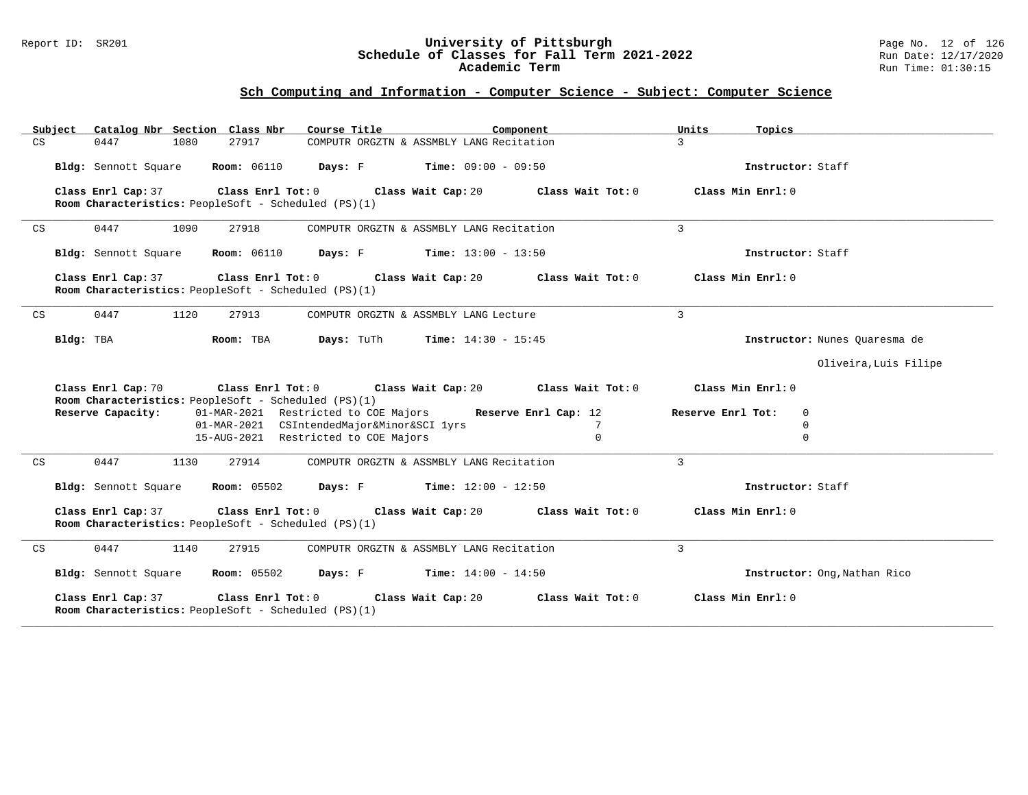#### Report ID: SR201 **University of Pittsburgh** Page No. 12 of 126 **Schedule of Classes for Fall Term 2021-2022** Run Date: 12/17/2020 **Academic Term** Run Time: 01:30:15

| Subject | Catalog Nbr Section Class Nbr                                                                                   | Course Title                                                   | Component            | Units<br>Topics        |                               |
|---------|-----------------------------------------------------------------------------------------------------------------|----------------------------------------------------------------|----------------------|------------------------|-------------------------------|
| CS      | 0447<br>1080<br>27917                                                                                           | COMPUTR ORGZTN & ASSMBLY LANG Recitation                       |                      | $\mathbf{3}$           |                               |
|         | <b>Bldg:</b> Sennott Square <b>Room:</b> $06110$ <b>Days:</b> F <b>Time:</b> $09:00 - 09:50$                    |                                                                |                      | Instructor: Staff      |                               |
|         | Class Enrl Cap: 37 Class Enrl Tot: 0 Class Wait Cap: 20<br>Room Characteristics: PeopleSoft - Scheduled (PS)(1) |                                                                | Class Wait Tot: 0    | Class Min Enrl: 0      |                               |
| CS      | 0447<br>1090<br>27918                                                                                           | COMPUTR ORGZTN & ASSMBLY LANG Recitation                       |                      | $\overline{3}$         |                               |
|         | Bldg: Sennott Square                                                                                            | <b>Room:</b> 06110 <b>Days:</b> F <b>Time:</b> $13:00 - 13:50$ |                      | Instructor: Staff      |                               |
|         | Class Enrl Tot: 0<br>Class Enrl Cap: 37<br>Room Characteristics: PeopleSoft - Scheduled (PS)(1)                 | Class Wait Cap: 20                                             | Class Wait Tot: $0$  | Class Min Enrl: 0      |                               |
| CS      | 0447<br>1120<br>27913                                                                                           | COMPUTR ORGZTN & ASSMBLY LANG Lecture                          |                      | $\overline{3}$         |                               |
|         | Bldg: TBA<br>Room: TBA                                                                                          | Days: TuTh<br><b>Time:</b> $14:30 - 15:45$                     |                      |                        | Instructor: Nunes Quaresma de |
|         |                                                                                                                 |                                                                |                      |                        | Oliveira, Luis Filipe         |
|         | Class Enrl Cap: 70<br>Room Characteristics: PeopleSoft - Scheduled (PS)(1)                                      | Class Enrl Tot: $0$ Class Wait Cap: $20$ Class Wait Tot: $0$   |                      | Class Min Enrl: 0      |                               |
|         | Reserve Capacity:                                                                                               | 01-MAR-2021 Restricted to COE Majors                           | Reserve Enrl Cap: 12 | Reserve Enrl Tot:<br>0 |                               |
|         |                                                                                                                 | 01-MAR-2021 CSIntendedMajor&Minor&SCI lyrs                     | 7                    | $\Omega$               |                               |
|         |                                                                                                                 | 15-AUG-2021 Restricted to COE Majors                           | $\mathbf{0}$         | $\mathbf 0$            |                               |
| CS      | 0447<br>1130<br>27914                                                                                           | COMPUTR ORGZTN & ASSMBLY LANG Recitation                       |                      | $\mathbf{3}$           |                               |
|         | Bldg: Sennott Square                                                                                            | <b>Room:</b> 05502 <b>Days:</b> F <b>Time:</b> $12:00 - 12:50$ |                      | Instructor: Staff      |                               |
|         | Class Enrl Cap: 37<br>Room Characteristics: PeopleSoft - Scheduled (PS)(1)                                      | Class Enrl Tot: 0 Class Wait Cap: 20                           | Class Wait Tot: 0    | Class Min Enrl: 0      |                               |
| CS      | 0447<br>1140<br>27915                                                                                           | COMPUTR ORGZTN & ASSMBLY LANG Recitation                       |                      | $\mathbf{3}$           |                               |
|         | <b>Room:</b> 05502<br>Bldg: Sennott Square                                                                      | <b>Days:</b> F Time: $14:00 - 14:50$                           |                      |                        | Instructor: Ong, Nathan Rico  |
|         | Class Enrl Cap: 37<br>Class Enrl Tot: 0<br>Room Characteristics: PeopleSoft - Scheduled (PS)(1)                 | Class Wait Cap: 20                                             | Class Wait Tot: 0    | Class Min Enrl: 0      |                               |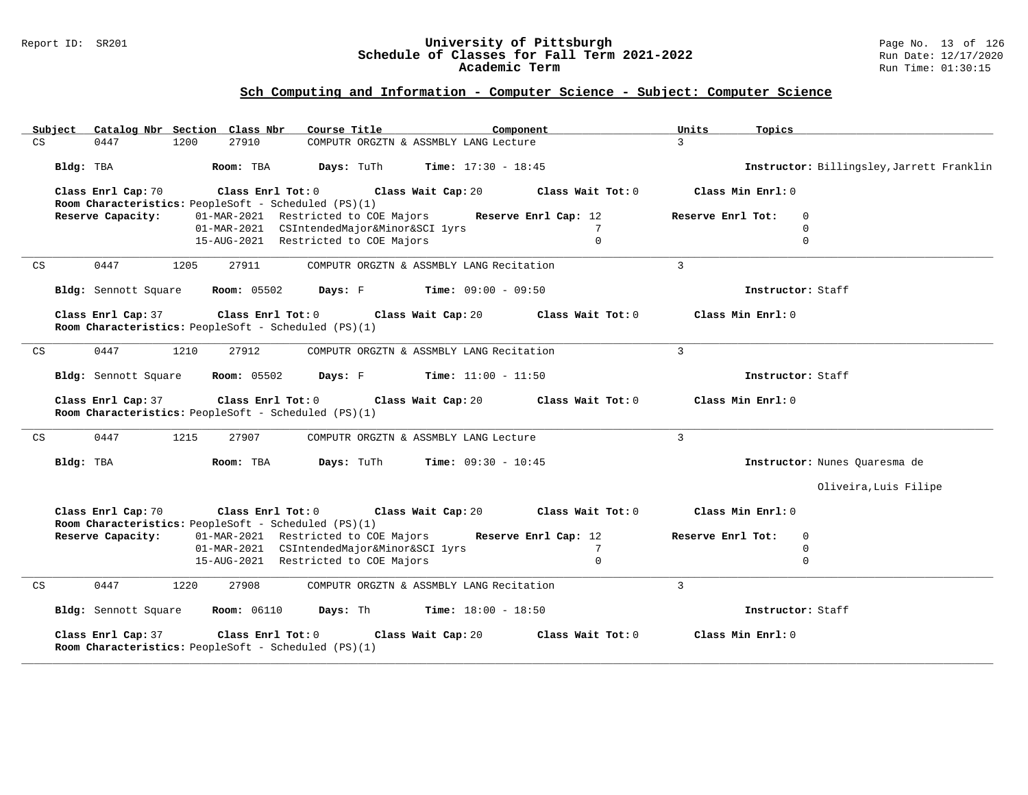#### Report ID: SR201 **University of Pittsburgh** Page No. 13 of 126 **Schedule of Classes for Fall Term 2021-2022** Run Date: 12/17/2020 **Academic Term** Run Time: 01:30:15

| Subject Catalog Nbr Section Class Nbr | Course Title                                                              | Component                                   | Units<br>Topics                           |  |
|---------------------------------------|---------------------------------------------------------------------------|---------------------------------------------|-------------------------------------------|--|
| CS<br>0447                            | 27910<br>1200                                                             | COMPUTR ORGZTN & ASSMBLY LANG Lecture       | $\mathcal{L}$                             |  |
| Bldg: TBA                             | Room: TBA<br><b>Days:</b> TuTh                                            | <b>Time:</b> $17:30 - 18:45$                | Instructor: Billingsley, Jarrett Franklin |  |
| Class Enrl Cap: 70                    | Class Enrl Tot: 0<br>Room Characteristics: PeopleSoft - Scheduled (PS)(1) | Class Wait Cap: 20<br>Class Wait Tot: 0     | Class Min Enrl: 0                         |  |
| Reserve Capacity:                     | 01-MAR-2021 Restricted to COE Majors                                      | Reserve Enrl Cap: 12                        | Reserve Enrl Tot:<br>$\Omega$             |  |
|                                       | 01-MAR-2021 CSIntendedMajor&Minor&SCI lyrs                                | 7                                           | $\Omega$                                  |  |
|                                       | 15-AUG-2021 Restricted to COE Majors                                      | $\mathbf 0$                                 | $\mathbf 0$                               |  |
| CS<br>0447                            | 27911<br>1205                                                             | COMPUTR ORGZTN & ASSMBLY LANG Recitation    | $\mathcal{E}$                             |  |
| Bldg: Sennott Square                  | <b>Room:</b> 05502                                                        | <b>Days:</b> F <b>Time:</b> $09:00 - 09:50$ | Instructor: Staff                         |  |
| Class Enrl Cap: 37                    | Class Enrl Tot: 0<br>Room Characteristics: PeopleSoft - Scheduled (PS)(1) | Class Wait Cap: 20<br>Class Wait Tot: 0     | Class Min Enrl: 0                         |  |
| 0447<br>CS                            | 1210<br>27912                                                             | COMPUTR ORGZTN & ASSMBLY LANG Recitation    | 3                                         |  |
| Bldg: Sennott Square                  | <b>Room:</b> 05502<br>Days: F                                             | <b>Time:</b> $11:00 - 11:50$                | Instructor: Staff                         |  |
| Class Enrl Cap: 37                    | Class Enrl Tot: 0<br>Room Characteristics: PeopleSoft - Scheduled (PS)(1) | Class Wait Cap: 20<br>Class Wait Tot: 0     | Class Min Enrl: 0                         |  |
| 0447<br>CS                            | 1215<br>27907                                                             | COMPUTR ORGZTN & ASSMBLY LANG Lecture       | $\overline{3}$                            |  |
| Bldg: TBA                             | Days: TuTh<br>Room: TBA                                                   | <b>Time:</b> $09:30 - 10:45$                | Instructor: Nunes Quaresma de             |  |
|                                       |                                                                           |                                             | Oliveira, Luis Filipe                     |  |
| Class Enrl Cap: 70                    | Class Enrl Tot: 0<br>Room Characteristics: PeopleSoft - Scheduled (PS)(1) | Class Wait Tot: 0<br>Class Wait Cap: 20     | Class Min Enrl: 0                         |  |
| Reserve Capacity:                     | 01-MAR-2021 Restricted to COE Majors                                      | Reserve Enrl Cap: 12                        | $\mathbf 0$<br>Reserve Enrl Tot:          |  |
|                                       | 01-MAR-2021 CSIntendedMajor&Minor&SCI lyrs                                | $7\phantom{.0}$                             | $\mathbf 0$                               |  |
|                                       | 15-AUG-2021 Restricted to COE Majors                                      | $\Omega$                                    | $\Omega$                                  |  |
| CS<br>0447                            | 1220<br>27908                                                             | COMPUTR ORGZTN & ASSMBLY LANG Recitation    | $\overline{3}$                            |  |
| Bldg: Sennott Square                  | <b>Room: 06110</b><br>Days: Th                                            | <b>Time:</b> $18:00 - 18:50$                | Instructor: Staff                         |  |
| Class Enrl Cap: 37                    | Class Enrl Tot: 0<br>Room Characteristics: PeopleSoft - Scheduled (PS)(1) | Class Wait Cap: 20<br>Class Wait Tot: 0     | Class Min Enrl: 0                         |  |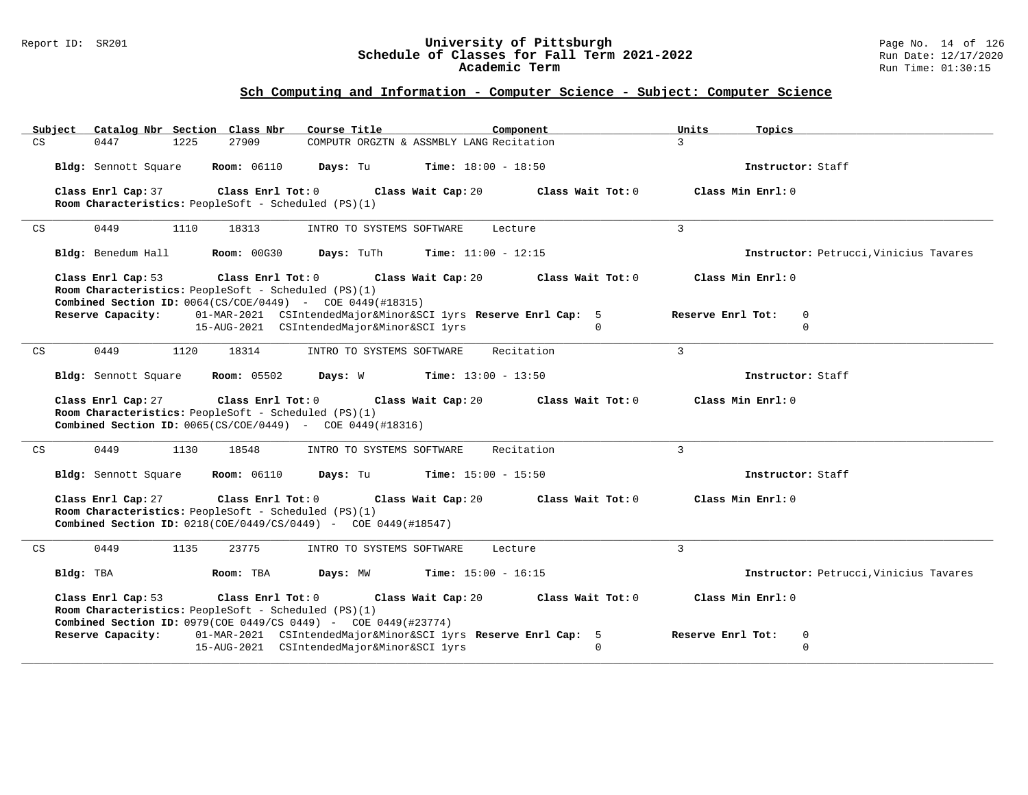#### Report ID: SR201 **University of Pittsburgh** Page No. 14 of 126 **Schedule of Classes for Fall Term 2021-2022** Run Date: 12/17/2020 **Academic Term** Run Time: 01:30:15

| Catalog Nbr Section Class Nbr<br>Subject                                                                                                         | Course Title                                                                                                 | Component                    | Units<br>Topics                                  |
|--------------------------------------------------------------------------------------------------------------------------------------------------|--------------------------------------------------------------------------------------------------------------|------------------------------|--------------------------------------------------|
| 27909<br>CS<br>0447<br>1225                                                                                                                      | COMPUTR ORGZTN & ASSMBLY LANG Recitation                                                                     |                              | $\mathcal{R}$                                    |
| <b>Room: 06110</b><br>Bldg: Sennott Square                                                                                                       | Days: Tu                                                                                                     | <b>Time:</b> $18:00 - 18:50$ | Instructor: Staff                                |
| Class Enrl Cap: 37<br>Room Characteristics: PeopleSoft - Scheduled (PS)(1)                                                                       | $Class$ $Enr1$ $Tot: 0$<br>Class Wait Cap: 20                                                                | Class Wait Tot: 0            | Class Min Enrl: 0                                |
| 0449<br>CS<br>1110<br>18313                                                                                                                      | INTRO TO SYSTEMS SOFTWARE                                                                                    | Lecture                      | $\overline{3}$                                   |
| Bldg: Benedum Hall<br><b>Room: 00G30</b>                                                                                                         | Days: TuTh                                                                                                   | <b>Time:</b> $11:00 - 12:15$ | Instructor: Petrucci, Vinicius Tavares           |
| Class Enrl Cap: 53<br>Room Characteristics: PeopleSoft - Scheduled (PS)(1)<br><b>Combined Section ID:</b> $0064(CS/COE/0449)$ - COE 0449(#18315) | Class Enrl Tot: 0<br>Class Wait Cap: 20                                                                      | Class Wait Tot: 0            | Class Min Enrl: 0                                |
| Reserve Capacity:                                                                                                                                | 01-MAR-2021 CSIntendedMajor&Minor&SCI lyrs Reserve Enrl Cap: 5<br>15-AUG-2021 CSIntendedMajor&Minor&SCI lyrs | $\mathbf{0}$                 | Reserve Enrl Tot:<br>$\mathbf{0}$<br>$\mathbf 0$ |
| 0449<br>1120<br>18314<br>CS                                                                                                                      | INTRO TO SYSTEMS SOFTWARE                                                                                    | Recitation                   | 3                                                |
| Bldg: Sennott Square                                                                                                                             | <b>Room:</b> 05502 <b>Days:</b> W <b>Time:</b> $13:00 - 13:50$                                               |                              | Instructor: Staff                                |
| Class Enrl Cap: 27<br>Room Characteristics: PeopleSoft - Scheduled (PS)(1)<br><b>Combined Section ID:</b> $0065(CS/COE/0449)$ - COE 0449(#18316) | Class Enrl Tot: $0$<br>Class Wait Cap: 20                                                                    | Class Wait Tot: 0            | Class Min Enrl: 0                                |
| 0449<br>CS<br>1130<br>18548                                                                                                                      | INTRO TO SYSTEMS SOFTWARE                                                                                    | Recitation                   | $\mathbf{3}$                                     |
| <b>Room: 06110</b><br>Bldg: Sennott Square                                                                                                       | <b>Days:</b> Tu <b>Time:</b> $15:00 - 15:50$                                                                 |                              | Instructor: Staff                                |
| Class Enrl Cap: 27<br>Class Enrl Tot: 0<br>Room Characteristics: PeopleSoft - Scheduled (PS)(1)                                                  | Class Wait Cap: 20<br>Combined Section ID: 0218(COE/0449/CS/0449) - COE 0449(#18547)                         | Class Wait Tot: 0            | Class Min Enrl: 0                                |
| 0449<br>1135<br>23775<br>CS                                                                                                                      | INTRO TO SYSTEMS SOFTWARE                                                                                    | Lecture                      | 3                                                |
| Bldg: TBA<br>Room: TBA                                                                                                                           | Days: MW                                                                                                     | <b>Time:</b> $15:00 - 16:15$ | Instructor: Petrucci, Vinicius Tavares           |
| Class Enrl Cap: 53<br>Room Characteristics: PeopleSoft - Scheduled (PS)(1)                                                                       | Class Enrl Tot: 0<br>Class Wait Cap: 20<br>Combined Section ID: 0979(COE 0449/CS 0449) - COE 0449(#23774)    | Class Wait Tot: 0            | Class Min Enrl: 0                                |
| Reserve Capacity:                                                                                                                                | 01-MAR-2021 CSIntendedMajor&Minor&SCI lyrs Reserve Enrl Cap: 5<br>15-AUG-2021 CSIntendedMajor&Minor&SCI lyrs | $\Omega$                     | Reserve Enrl Tot:<br>$\mathbf 0$<br>$\mathbf 0$  |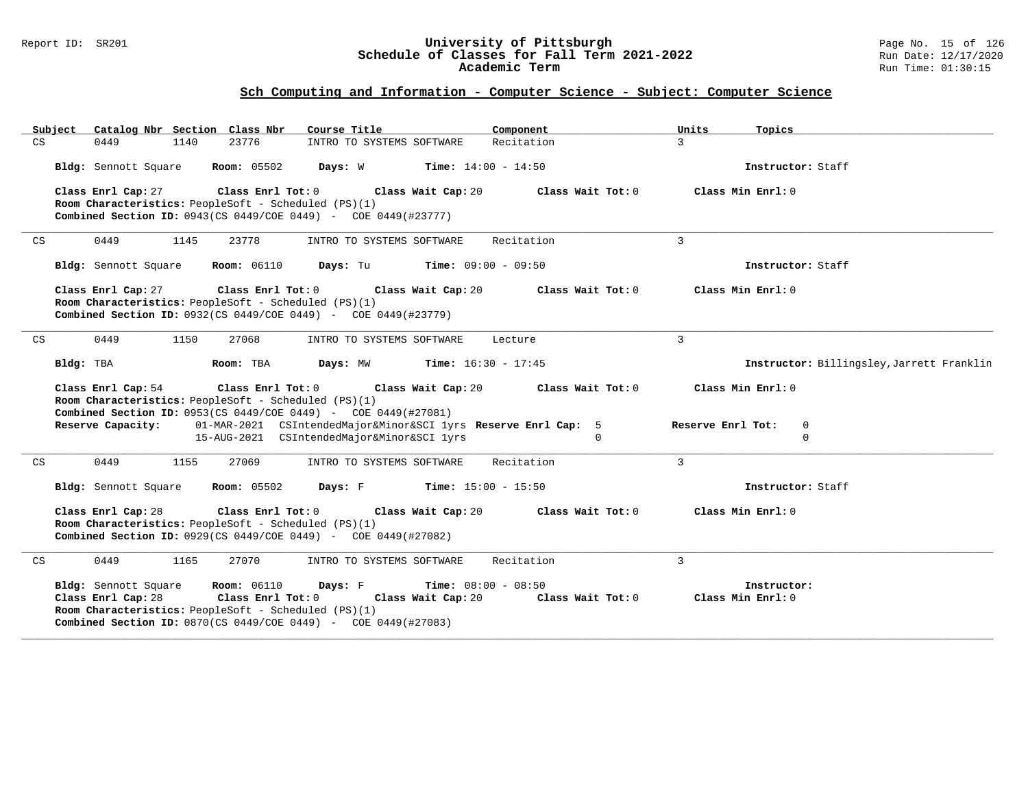#### Report ID: SR201 **University of Pittsburgh** Page No. 15 of 126 **Schedule of Classes for Fall Term 2021-2022** Run Date: 12/17/2020 **Academic Term** Run Time: 01:30:15

|    | Subject   |                      |      | Catalog Nbr Section Class Nbr                                             | Course Title                                                                      |                              | Component  |                   | Units             | Topics                                    |
|----|-----------|----------------------|------|---------------------------------------------------------------------------|-----------------------------------------------------------------------------------|------------------------------|------------|-------------------|-------------------|-------------------------------------------|
| CS |           | 0449                 | 1140 | 23776                                                                     | INTRO TO SYSTEMS SOFTWARE                                                         |                              | Recitation |                   | $\overline{3}$    |                                           |
|    |           | Bldg: Sennott Square |      |                                                                           | <b>Room:</b> 05502 <b>Days:</b> W <b>Time:</b> $14:00 - 14:50$                    |                              |            |                   |                   | Instructor: Staff                         |
|    |           | Class Enrl Cap: 27   |      | Class Enrl Tot: 0                                                         | Class Wait Cap: 20                                                                |                              |            | Class Wait Tot: 0 |                   | Class Min Enrl: 0                         |
|    |           |                      |      | Room Characteristics: PeopleSoft - Scheduled (PS)(1)                      | <b>Combined Section ID:</b> 0943(CS 0449/COE 0449) - COE 0449(#23777)             |                              |            |                   |                   |                                           |
|    |           |                      |      |                                                                           |                                                                                   |                              |            |                   |                   |                                           |
| CS |           | 0449                 | 1145 | 23778                                                                     | INTRO TO SYSTEMS SOFTWARE                                                         |                              | Recitation |                   | $\overline{3}$    |                                           |
|    |           | Bldg: Sennott Square |      |                                                                           | <b>Room:</b> $06110$ <b>Days:</b> Tu <b>Time:</b> $09:00 - 09:50$                 |                              |            |                   |                   | Instructor: Staff                         |
|    |           | Class Enrl Cap: 27   |      |                                                                           | Class Enrl Tot: 0 Class Wait Cap: 20                                              |                              |            | Class Wait Tot: 0 |                   | Class Min Enrl: 0                         |
|    |           |                      |      | Room Characteristics: PeopleSoft - Scheduled (PS)(1)                      | <b>Combined Section ID:</b> 0932(CS 0449/COE 0449) - COE 0449(#23779)             |                              |            |                   |                   |                                           |
|    |           |                      |      |                                                                           |                                                                                   |                              |            |                   |                   |                                           |
| CS |           | 0449                 | 1150 | 27068                                                                     | INTRO TO SYSTEMS SOFTWARE                                                         |                              | Lecture    |                   | $\mathbf{3}$      |                                           |
|    | Bldg: TBA |                      |      | Room: TBA                                                                 | <b>Days:</b> MW <b>Time:</b> $16:30 - 17:45$                                      |                              |            |                   |                   | Instructor: Billingsley, Jarrett Franklin |
|    |           | Class Enrl Cap: 54   |      |                                                                           | Class Enrl Tot: 0 Class Wait Cap: 20                                              |                              |            | Class Wait Tot: 0 |                   | Class Min Enrl: 0                         |
|    |           |                      |      | Room Characteristics: PeopleSoft - Scheduled (PS)(1)                      | Combined Section ID: 0953(CS 0449/COE 0449) - COE 0449(#27081)                    |                              |            |                   |                   |                                           |
|    |           | Reserve Capacity:    |      |                                                                           | 01-MAR-2021 CSIntendedMajor&Minor&SCI lyrs Reserve Enrl Cap: 5                    |                              |            |                   | Reserve Enrl Tot: | $\mathbf 0$                               |
|    |           |                      |      |                                                                           | 15-AUG-2021 CSIntendedMajor&Minor&SCI lyrs                                        |                              |            | $\Omega$          |                   | $\Omega$                                  |
| CS |           | 0449                 | 1155 | 27069                                                                     | INTRO TO SYSTEMS SOFTWARE                                                         |                              | Recitation |                   | $\mathbf{3}$      |                                           |
|    |           | Bldg: Sennott Square |      | <b>Room:</b> 05502                                                        | <b>Days:</b> $F$ <b>Time:</b> $15:00 - 15:50$                                     |                              |            |                   |                   | Instructor: Staff                         |
|    |           | Class Enrl Cap: 28   |      |                                                                           | Class Enrl Tot: 0 Class Wait Cap: 20                                              |                              |            | Class Wait Tot: 0 |                   | Class Min Enrl: 0                         |
|    |           |                      |      | Room Characteristics: PeopleSoft - Scheduled (PS)(1)                      | <b>Combined Section ID:</b> $0929$ (CS $0449$ /COE $0449$ ) - COE $0449$ (#27082) |                              |            |                   |                   |                                           |
|    |           |                      |      |                                                                           |                                                                                   |                              |            |                   |                   |                                           |
| CS |           | 0449                 | 1165 | 27070                                                                     | INTRO TO SYSTEMS SOFTWARE                                                         |                              | Recitation |                   | $\mathbf{3}$      |                                           |
|    |           |                      |      |                                                                           | Bldg: Sennott Square Room: 06110 Days: F                                          | <b>Time:</b> $08:00 - 08:50$ |            |                   |                   | Instructor:                               |
|    |           | Class Enrl Cap: 28   |      | Class Enrl Tot: 0<br>Room Characteristics: PeopleSoft - Scheduled (PS)(1) |                                                                                   | Class Wait Cap: 20           |            | Class Wait Tot: 0 |                   | Class Min Enrl: 0                         |
|    |           |                      |      |                                                                           | Combined Section ID: 0870(CS 0449/COE 0449) - COE 0449(#27083)                    |                              |            |                   |                   |                                           |
|    |           |                      |      |                                                                           |                                                                                   |                              |            |                   |                   |                                           |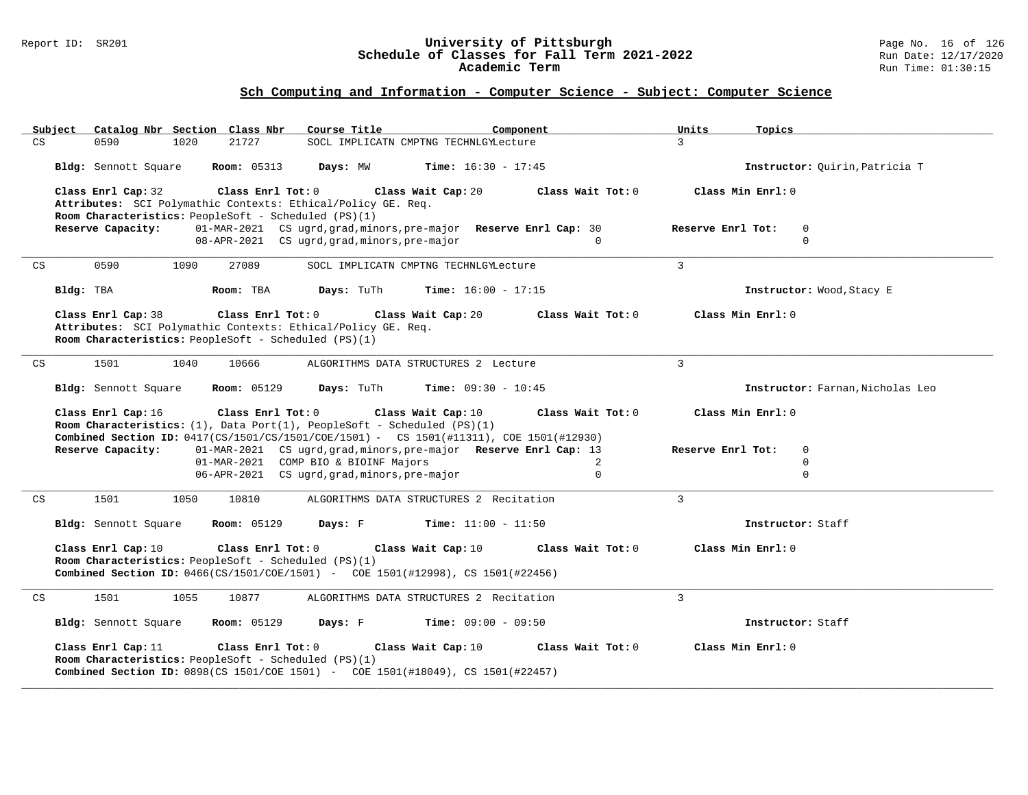#### Report ID: SR201 **University of Pittsburgh** Page No. 16 of 126 **Schedule of Classes for Fall Term 2021-2022** Run Date: 12/17/2020 **Academic Term** Run Time: 01:30:15

|                            | Subject Catalog Nbr Section Class Nbr                                                                                                                                                             |                         | Course Title                                                                                                      | Component                    |                   | Units             | Topics                           |
|----------------------------|---------------------------------------------------------------------------------------------------------------------------------------------------------------------------------------------------|-------------------------|-------------------------------------------------------------------------------------------------------------------|------------------------------|-------------------|-------------------|----------------------------------|
| CS                         | 0590<br>1020                                                                                                                                                                                      | 21727                   | SOCL IMPLICATN CMPTNG TECHNLGYLecture                                                                             |                              |                   | $\mathbf{3}$      |                                  |
|                            | Bldg: Sennott Square                                                                                                                                                                              | <b>Room:</b> 05313      | Days: MW                                                                                                          | <b>Time:</b> $16:30 - 17:45$ |                   |                   | Instructor: Ouirin, Patricia T   |
|                            | Class Enrl Cap: 32<br>Attributes: SCI Polymathic Contexts: Ethical/Policy GE. Req.<br>Room Characteristics: PeopleSoft - Scheduled (PS)(1)                                                        | $Class$ $Enr1$ $Tot: 0$ |                                                                                                                   | Class Wait Cap: 20           | Class Wait Tot: 0 | Class Min Enrl: 0 |                                  |
|                            | Reserve Capacity:                                                                                                                                                                                 |                         | 01-MAR-2021 CS ugrd, grad, minors, pre-major Reserve Enrl Cap: 30<br>08-APR-2021 CS ugrd, grad, minors, pre-major |                              | $\Omega$          | Reserve Enrl Tot: | $\Omega$<br>$\Omega$             |
| CS                         | 0590<br>1090                                                                                                                                                                                      | 27089                   | SOCL IMPLICATN CMPTNG TECHNLGYLecture                                                                             |                              |                   | $\overline{3}$    |                                  |
|                            | Bldg: TBA                                                                                                                                                                                         | Room: TBA               | Days: TuTh                                                                                                        | <b>Time:</b> $16:00 - 17:15$ |                   |                   | Instructor: Wood, Stacy E        |
|                            | Class Enrl Cap: 38<br>Attributes: SCI Polymathic Contexts: Ethical/Policy GE. Req.<br>Room Characteristics: PeopleSoft - Scheduled (PS)(1)                                                        | Class Enrl Tot: 0       |                                                                                                                   | Class Wait Cap: 20           | Class Wait Tot: 0 | Class Min Enrl: 0 |                                  |
| $\mathop{\rm CS}\nolimits$ | 1501<br>1040                                                                                                                                                                                      | 10666                   | ALGORITHMS DATA STRUCTURES 2 Lecture                                                                              |                              |                   | $\mathbf{3}$      |                                  |
|                            | Bldg: Sennott Square                                                                                                                                                                              | <b>Room: 05129</b>      | Days: TuTh                                                                                                        | <b>Time:</b> $09:30 - 10:45$ |                   |                   | Instructor: Farnan, Nicholas Leo |
|                            | Class Enrl Cap: 16<br>Room Characteristics: $(1)$ , Data Port $(1)$ , PeopleSoft - Scheduled $(PS)(1)$<br>Combined Section ID: 0417(CS/1501/CS/1501/COE/1501) - CS 1501(#11311), COE 1501(#12930) | Class Enrl Tot: 0       |                                                                                                                   | Class Wait Cap: 10           | Class Wait Tot: 0 | Class Min Enrl: 0 |                                  |
|                            | Reserve Capacity:                                                                                                                                                                                 |                         | 01-MAR-2021 CS ugrd, grad, minors, pre-major Reserve Enrl Cap: 13                                                 |                              |                   | Reserve Enrl Tot: | 0                                |
|                            |                                                                                                                                                                                                   |                         | 01-MAR-2021 COMP BIO & BIOINF Majors                                                                              |                              | 2                 |                   | $\mathbf 0$                      |
|                            |                                                                                                                                                                                                   |                         | 06-APR-2021 CS ugrd, grad, minors, pre-major                                                                      |                              | $\Omega$          |                   | $\Omega$                         |
| $\mathop{\rm CS}\nolimits$ | 1501<br>1050                                                                                                                                                                                      | 10810                   | ALGORITHMS DATA STRUCTURES 2 Recitation                                                                           |                              |                   | $\mathbf{3}$      |                                  |
|                            | Bldg: Sennott Square                                                                                                                                                                              | <b>Room: 05129</b>      | Days: F                                                                                                           | <b>Time:</b> $11:00 - 11:50$ |                   |                   | Instructor: Staff                |
|                            | Class Enrl Cap: 10<br>Room Characteristics: PeopleSoft - Scheduled $(PS)(1)$<br>Combined Section ID: 0466(CS/1501/COE/1501) - COE 1501(#12998), CS 1501(#22456)                                   | Class Enrl Tot: 0       |                                                                                                                   | Class Wait Cap: 10           | Class Wait Tot: 0 | Class Min Enrl: 0 |                                  |
| CS                         | 1501<br>1055                                                                                                                                                                                      | 10877                   | ALGORITHMS DATA STRUCTURES 2 Recitation                                                                           |                              |                   | $\overline{3}$    |                                  |
|                            | Bldg: Sennott Square                                                                                                                                                                              | <b>Room: 05129</b>      | Days: F                                                                                                           | <b>Time:</b> $09:00 - 09:50$ |                   |                   | Instructor: Staff                |
|                            | Class Enrl Cap: 11<br>Room Characteristics: PeopleSoft - Scheduled (PS)(1)<br><b>Combined Section ID:</b> 0898(CS 1501/COE 1501) - COE 1501(#18049), CS 1501(#22457)                              | Class Enrl Tot: 0       |                                                                                                                   | Class Wait Cap: 10           | Class Wait Tot: 0 | Class Min Enrl: 0 |                                  |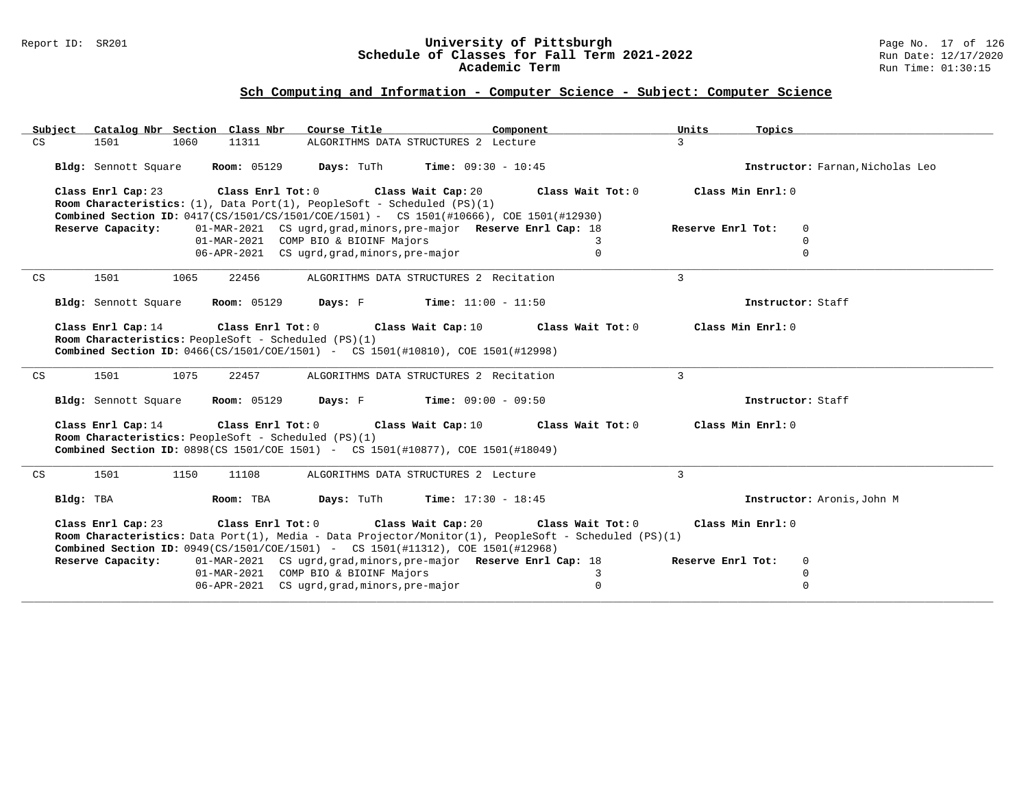#### Report ID: SR201 **University of Pittsburgh** Page No. 17 of 126 **Schedule of Classes for Fall Term 2021-2022** Run Date: 12/17/2020 **Academic Term** Run Time: 01:30:15

| Catalog Nbr Section Class Nbr<br>Subject | Course Title                                                                                                                                                                                                                     | Component                    | Units<br>Topics                  |
|------------------------------------------|----------------------------------------------------------------------------------------------------------------------------------------------------------------------------------------------------------------------------------|------------------------------|----------------------------------|
| CS<br>1501<br>1060                       | 11311<br>ALGORITHMS DATA STRUCTURES 2 Lecture                                                                                                                                                                                    |                              | $\mathbf{3}$                     |
| Bldg: Sennott Square                     | <b>Room:</b> 05129 <b>Days:</b> TuTh <b>Time:</b> 09:30 - 10:45                                                                                                                                                                  |                              | Instructor: Farnan, Nicholas Leo |
|                                          | Class Enrl Cap: 23 Class Enrl Tot: 0 Class Wait Cap: 20                                                                                                                                                                          | Class Wait Tot: 0            | Class Min Enrl: 0                |
|                                          | Room Characteristics: $(1)$ , Data Port $(1)$ , PeopleSoft - Scheduled $(PS)(1)$<br><b>Combined Section ID:</b> 0417(CS/1501/CS/1501/COE/1501) - CS 1501(#10666), COE 1501(#12930)                                               |                              |                                  |
| Reserve Capacity:                        | 01-MAR-2021 CS ugrd, grad, minors, pre-major Reserve Enrl Cap: 18                                                                                                                                                                |                              | Reserve Enrl Tot:<br>$\mathbf 0$ |
|                                          | 01-MAR-2021 COMP BIO & BIOINF Majors                                                                                                                                                                                             | 3                            | $\Omega$                         |
|                                          | 06-APR-2021 CS ugrd, grad, minors, pre-major                                                                                                                                                                                     | $\Omega$                     | $\Omega$                         |
|                                          |                                                                                                                                                                                                                                  |                              |                                  |
| CS<br>1501<br>1065                       | 22456<br>ALGORITHMS DATA STRUCTURES 2 Recitation                                                                                                                                                                                 |                              | $\mathbf{3}$                     |
| Bldg: Sennott Square                     | <b>Room:</b> 05129 <b>Days:</b> F                                                                                                                                                                                                | $Time: 11:00 - 11:50$        | Instructor: Staff                |
| Class Enrl Cap: 14                       | Class Enrl Tot: $0$ Class Wait Cap: $10$<br>Room Characteristics: PeopleSoft - Scheduled (PS)(1)<br>Combined Section ID: 0466(CS/1501/COE/1501) - CS 1501(#10810), COE 1501(#12998)                                              | Class Wait Tot: 0            | Class Min Enrl: 0                |
| 1075<br>1501<br>CS                       | 22457<br>ALGORITHMS DATA STRUCTURES 2 Recitation                                                                                                                                                                                 |                              | $\mathbf{3}$                     |
| Bldg: Sennott Square                     | <b>Days:</b> F Time: $09:00 - 09:50$<br><b>Room: 05129</b>                                                                                                                                                                       |                              | Instructor: Staff                |
| Class Enrl Cap: 14                       | Class Wait Cap: 10<br>Class Enrl Tot: 0<br>Room Characteristics: PeopleSoft - Scheduled (PS)(1)<br><b>Combined Section ID:</b> 0898(CS 1501/COE 1501) - CS 1501(#10877), COE 1501(#18049)                                        | Class Wait Tot: 0            | Class Min Enrl: 0                |
| 1150<br>1501<br>CS                       | ALGORITHMS DATA STRUCTURES 2 Lecture<br>11108                                                                                                                                                                                    |                              | 3                                |
| Bldg: TBA                                | Days: TuTh<br>Room: TBA                                                                                                                                                                                                          | <b>Time:</b> $17:30 - 18:45$ | Instructor: Aronis, John M       |
| Class Enrl Cap: 23                       | Class Enrl Tot: 0 Class Wait Cap: 20<br>Room Characteristics: Data Port(1), Media - Data Projector/Monitor(1), PeopleSoft - Scheduled (PS)(1)<br>Combined Section ID: 0949(CS/1501/COE/1501) - CS 1501(#11312), COE 1501(#12968) | Class Wait Tot: 0            | Class Min Enrl: 0                |
| Reserve Capacity:                        | 01-MAR-2021 CS ugrd, grad, minors, pre-major Reserve Enrl Cap: 18                                                                                                                                                                |                              | Reserve Enrl Tot:<br>0           |
|                                          | 01-MAR-2021 COMP BIO & BIOINF Majors                                                                                                                                                                                             | 3                            | $\mathbf 0$                      |
|                                          | 06-APR-2021 CS ugrd, grad, minors, pre-major                                                                                                                                                                                     | $\mathsf 0$                  | $\mathbf 0$                      |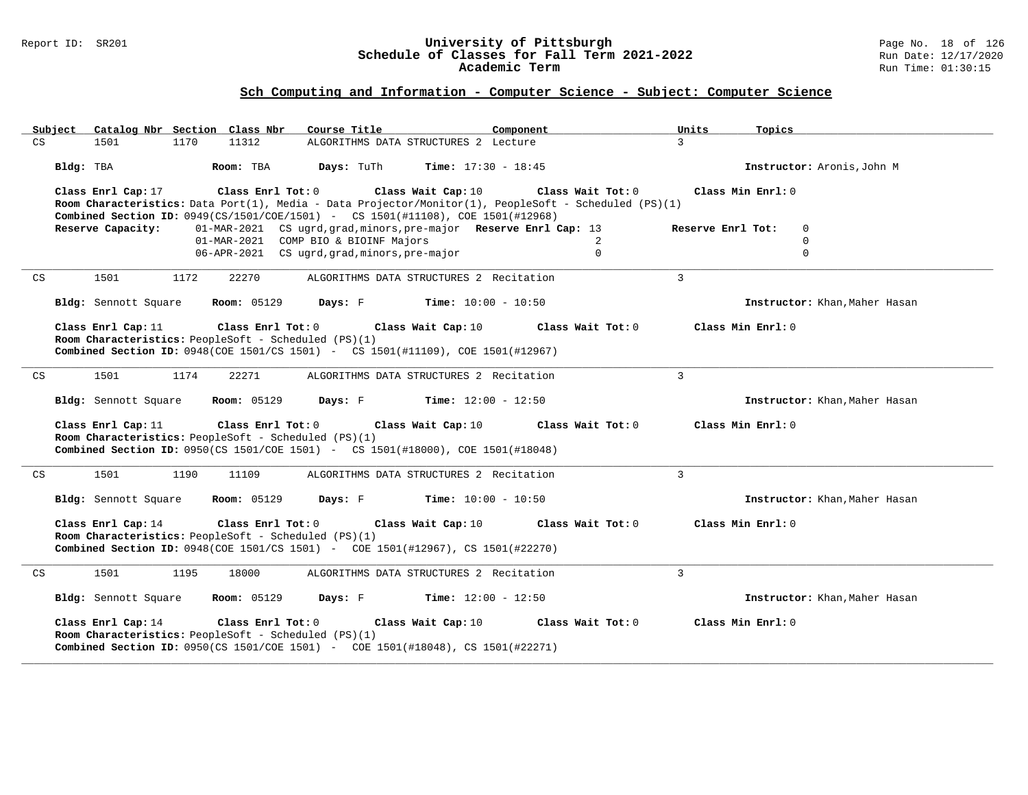#### Report ID: SR201 **University of Pittsburgh** Page No. 18 of 126 **Schedule of Classes for Fall Term 2021-2022** Run Date: 12/17/2020 **Academic Term** Run Time: 01:30:15

| Subject Catalog Nbr Section Class Nbr                                    | Course Title<br>Component                                                                                                                            | Units<br>Topics                        |
|--------------------------------------------------------------------------|------------------------------------------------------------------------------------------------------------------------------------------------------|----------------------------------------|
| 11312<br>CS<br>1501<br>1170                                              | ALGORITHMS DATA STRUCTURES 2 Lecture                                                                                                                 | $\mathcal{L}$                          |
| Bldg: TBA<br>Room: TBA                                                   | <b>Days:</b> TuTh<br><b>Time:</b> $17:30 - 18:45$                                                                                                    | Instructor: Aronis, John M             |
| Class Enrl Cap: 17<br>Class Enrl Tot: 0                                  | Class Wait Cap: 10                                                                                                                                   | Class Wait Tot: 0<br>Class Min Enrl: 0 |
|                                                                          | Room Characteristics: Data Port(1), Media - Data Projector/Monitor(1), PeopleSoft - Scheduled (PS)(1)                                                |                                        |
| Reserve Capacity:                                                        | Combined Section ID: 0949(CS/1501/COE/1501) - CS 1501(#11108), COE 1501(#12968)<br>01-MAR-2021 CS ugrd, grad, minors, pre-major Reserve Enrl Cap: 13 | Reserve Enrl Tot:<br>$\Omega$          |
|                                                                          | 01-MAR-2021 COMP BIO & BIOINF Majors                                                                                                                 | 2<br>$\mathbf 0$                       |
|                                                                          | 06-APR-2021 CS ugrd, grad, minors, pre-major                                                                                                         | $\mathbf 0$<br>$\Omega$                |
| 1501<br>CS<br>1172<br>22270                                              | ALGORITHMS DATA STRUCTURES 2 Recitation                                                                                                              | $\mathbf{3}$                           |
| Bldg: Sennott Square<br><b>Room:</b> 05129                               | <b>Days:</b> F Time: $10:00 - 10:50$                                                                                                                 | Instructor: Khan, Maher Hasan          |
| Class Enrl Cap: 11<br>Class Enrl Tot: 0                                  | Class Wait Cap: 10                                                                                                                                   | Class Min Enrl: 0<br>Class Wait Tot: 0 |
| Room Characteristics: PeopleSoft - Scheduled (PS)(1)                     |                                                                                                                                                      |                                        |
|                                                                          | <b>Combined Section ID:</b> 0948(COE 1501/CS 1501) - CS 1501(#11109), COE 1501(#12967)                                                               |                                        |
|                                                                          |                                                                                                                                                      |                                        |
| 1501<br>1174<br>22271<br>CS                                              | ALGORITHMS DATA STRUCTURES 2 Recitation                                                                                                              | 3                                      |
| Bldg: Sennott Square<br><b>Room: 05129</b>                               | <b>Days:</b> $F$ <b>Time:</b> $12:00 - 12:50$                                                                                                        | Instructor: Khan, Maher Hasan          |
| Class Enrl Cap: 11<br>Class Enrl Tot: 0                                  | Class Wait Cap: 10                                                                                                                                   | Class Min Enrl: 0<br>Class Wait Tot: 0 |
| Room Characteristics: PeopleSoft - Scheduled (PS)(1)                     | Combined Section ID: 0950(CS 1501/COE 1501) - CS 1501(#18000), COE 1501(#18048)                                                                      |                                        |
|                                                                          |                                                                                                                                                      |                                        |
| 1501<br>1190<br>CS<br>11109                                              | ALGORITHMS DATA STRUCTURES 2 Recitation                                                                                                              | 3                                      |
| Bldg: Sennott Square<br><b>Room:</b> 05129                               | <b>Days:</b> F Time: $10:00 - 10:50$                                                                                                                 | Instructor: Khan, Maher Hasan          |
| Class Enrl Tot: 0<br>Class Enrl Cap: 14                                  | Class Wait Cap: 10                                                                                                                                   | Class Min Enrl: 0<br>Class Wait Tot: 0 |
| Room Characteristics: PeopleSoft - Scheduled (PS)(1)                     |                                                                                                                                                      |                                        |
|                                                                          | <b>Combined Section ID:</b> 0948(COE 1501/CS 1501) - COE 1501(#12967), CS 1501(#22270)                                                               |                                        |
| CS<br>1501<br>1195<br>18000                                              | ALGORITHMS DATA STRUCTURES 2 Recitation                                                                                                              | $\mathbf{3}$                           |
| <b>Room:</b> 05129<br>Bldg: Sennott Square                               | <b>Days:</b> F Time: $12:00 - 12:50$                                                                                                                 | Instructor: Khan, Maher Hasan          |
| $\texttt{Class}$ $\texttt{Enrl}$ $\texttt{Tot:}~0$<br>Class Enrl Cap: 14 | Class Wait Cap: 10                                                                                                                                   | Class Wait Tot: 0<br>Class Min Enrl: 0 |
| Room Characteristics: PeopleSoft - Scheduled (PS)(1)                     | <b>Combined Section ID:</b> 0950(CS 1501/COE 1501) - COE 1501(#18048), CS 1501(#22271)                                                               |                                        |
|                                                                          |                                                                                                                                                      |                                        |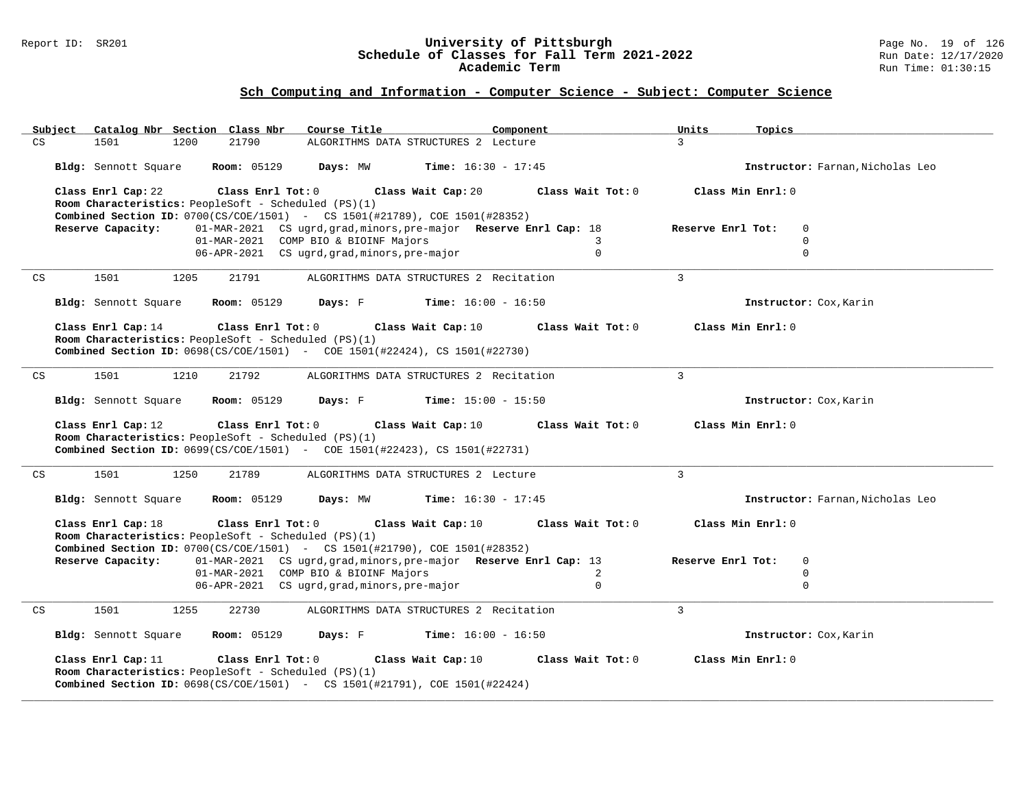#### Report ID: SR201 **University of Pittsburgh** Page No. 19 of 126 **Schedule of Classes for Fall Term 2021-2022** Run Date: 12/17/2020 **Academic Term** Run Time: 01:30:15

| Subject<br>Catalog Nbr Section Class Nbr                                                                                                                                      | Course Title<br>Component                                         | Units<br>Topics                  |
|-------------------------------------------------------------------------------------------------------------------------------------------------------------------------------|-------------------------------------------------------------------|----------------------------------|
| 21790<br>CS<br>1501<br>1200                                                                                                                                                   | ALGORITHMS DATA STRUCTURES 2 Lecture                              | $\overline{3}$                   |
| Bldg: Sennott Square<br><b>Room: 05129</b>                                                                                                                                    | Days: MW<br><b>Time:</b> $16:30 - 17:45$                          | Instructor: Farnan, Nicholas Leo |
| Class Enrl Cap: 22<br>Class Enrl Tot: 0<br>Room Characteristics: PeopleSoft - Scheduled (PS)(1)                                                                               | Class Wait Cap: 20<br>Class Wait Tot: 0                           | Class Min Enrl: 0                |
| <b>Combined Section ID:</b> $0700(CS/COE/1501)$ - CS 1501(#21789), COE 1501(#28352)                                                                                           |                                                                   |                                  |
| Reserve Capacity:                                                                                                                                                             | 01-MAR-2021 CS ugrd, grad, minors, pre-major Reserve Enrl Cap: 18 | Reserve Enrl Tot:<br>$\Omega$    |
|                                                                                                                                                                               | 01-MAR-2021 COMP BIO & BIOINF Majors<br>3                         | $\mathbf 0$                      |
|                                                                                                                                                                               | 06-APR-2021 CS ugrd, grad, minors, pre-major<br>$\Omega$          | $\Omega$                         |
| 1501<br>CS<br>1205<br>21791                                                                                                                                                   | ALGORITHMS DATA STRUCTURES 2 Recitation                           | $\mathbf{3}$                     |
| Bldg: Sennott Square<br><b>Room:</b> 05129                                                                                                                                    | Days: F<br><b>Time:</b> $16:00 - 16:50$                           | Instructor: Cox, Karin           |
| Class Enrl Cap: 14<br>Class Enrl Tot: 0                                                                                                                                       | Class Wait Cap: 10<br>Class Wait Tot: 0                           | Class Min Enrl: 0                |
| Room Characteristics: PeopleSoft - Scheduled (PS)(1)                                                                                                                          |                                                                   |                                  |
| <b>Combined Section ID:</b> 0698(CS/COE/1501) - COE 1501(#22424), CS 1501(#22730)                                                                                             |                                                                   |                                  |
|                                                                                                                                                                               |                                                                   |                                  |
| 1501<br>1210<br>21792<br>CS                                                                                                                                                   | ALGORITHMS DATA STRUCTURES 2 Recitation                           | $\overline{3}$                   |
| Bldg: Sennott Square<br><b>Room:</b> 05129                                                                                                                                    | <b>Time:</b> $15:00 - 15:50$<br>Days: F                           | Instructor: Cox, Karin           |
| Class Enrl Cap: 12<br>Class Enrl Tot: 0                                                                                                                                       | Class Wait Cap: 10<br>Class Wait Tot: 0                           | Class Min Enrl: 0                |
| Room Characteristics: PeopleSoft - Scheduled (PS)(1)                                                                                                                          |                                                                   |                                  |
| <b>Combined Section ID:</b> 0699(CS/COE/1501) - COE 1501(#22423), CS 1501(#22731)                                                                                             |                                                                   |                                  |
| 1501                                                                                                                                                                          |                                                                   | $\overline{3}$                   |
| $\mathop{\rm CS}\nolimits$<br>1250<br>21789                                                                                                                                   | ALGORITHMS DATA STRUCTURES 2 Lecture                              |                                  |
| Bldg: Sennott Square<br><b>Room:</b> 05129                                                                                                                                    | Days: MW<br><b>Time:</b> $16:30 - 17:45$                          | Instructor: Farnan, Nicholas Leo |
| Class Enrl Cap: 18<br>Class Enrl Tot: 0                                                                                                                                       | Class Wait Cap: 10<br>Class Wait Tot: 0                           | Class Min Enrl: 0                |
| Room Characteristics: PeopleSoft - Scheduled (PS)(1)                                                                                                                          |                                                                   |                                  |
| Combined Section ID: 0700(CS/COE/1501) - CS 1501(#21790), COE 1501(#28352)                                                                                                    |                                                                   |                                  |
| Reserve Capacity:                                                                                                                                                             | 01-MAR-2021 CS ugrd, grad, minors, pre-major Reserve Enrl Cap: 13 | Reserve Enrl Tot:<br>$\mathbf 0$ |
|                                                                                                                                                                               | 01-MAR-2021 COMP BIO & BIOINF Majors<br>2                         | $\mathbf 0$                      |
|                                                                                                                                                                               | 06-APR-2021 CS ugrd, grad, minors, pre-major<br>$\mathbf 0$       | $\Omega$                         |
| CS<br>1501<br>1255<br>22730                                                                                                                                                   | ALGORITHMS DATA STRUCTURES 2 Recitation                           | $\mathcal{L}$                    |
| <b>Room: 05129</b><br>Bldg: Sennott Square                                                                                                                                    | <b>Time:</b> $16:00 - 16:50$<br>Days: F                           | Instructor: Cox, Karin           |
| Class Enrl Cap: 11<br>Class Enrl Tot: 0<br>Room Characteristics: PeopleSoft - Scheduled (PS)(1)<br>Combined Section ID: 0698(CS/COE/1501) - CS 1501(#21791), COE 1501(#22424) | Class Wait Cap: 10<br>Class Wait Tot: 0                           | Class Min Enrl: 0                |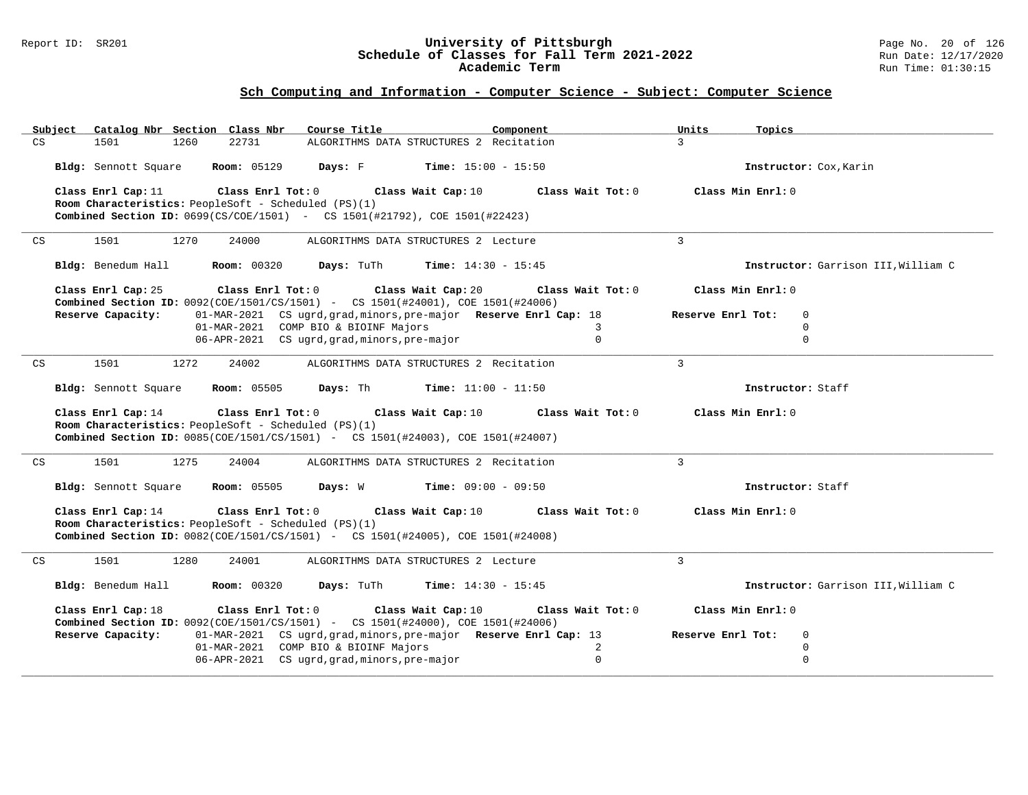#### Report ID: SR201 **University of Pittsburgh** Page No. 20 of 126 **Schedule of Classes for Fall Term 2021-2022** Run Date: 12/17/2020 **Academic Term** Run Time: 01:30:15

| Catalog Nbr Section Class Nbr<br>Course Title<br>Subject                                                                                                                  | Units<br>Component                     | Topics                              |
|---------------------------------------------------------------------------------------------------------------------------------------------------------------------------|----------------------------------------|-------------------------------------|
| ALGORITHMS DATA STRUCTURES 2 Recitation<br>CS<br>1501<br>1260<br>22731                                                                                                    | $\mathcal{L}$                          |                                     |
| <b>Room: 05129</b><br>Bldg: Sennott Square<br>Days: F                                                                                                                     | <b>Time:</b> $15:00 - 15:50$           | Instructor: Cox, Karin              |
| Class Enrl Cap: 11<br>Class Enrl Tot: 0<br>Class Wait Cap: 10                                                                                                             | Class Wait Tot: 0<br>Class Min Enrl: 0 |                                     |
| Room Characteristics: PeopleSoft - Scheduled (PS)(1)<br><b>Combined Section ID:</b> $0699(CS/COE/1501)$ - CS 1501(#21792), COE 1501(#22423)                               |                                        |                                     |
|                                                                                                                                                                           |                                        |                                     |
| 1501<br>1270<br>24000<br>ALGORITHMS DATA STRUCTURES 2 Lecture<br>CS                                                                                                       | $\mathbf{3}$                           |                                     |
| Days: TuTh<br>Bldg: Benedum Hall<br><b>Room:</b> 00320                                                                                                                    | <b>Time:</b> $14:30 - 15:45$           | Instructor: Garrison III, William C |
| Class Enrl Cap: 25<br>Class Enrl Tot: 0<br>Class Wait Cap: 20<br>Combined Section ID: 0092(COE/1501/CS/1501) - CS 1501(#24001), COE 1501(#24006)                          | Class Wait Tot: 0<br>Class Min Enrl: 0 |                                     |
| 01-MAR-2021 CS ugrd, grad, minors, pre-major Reserve Enrl Cap: 18<br>Reserve Capacity:                                                                                    | Reserve Enrl Tot:                      | $\Omega$                            |
| 01-MAR-2021 COMP BIO & BIOINF Majors<br>06-APR-2021 CS ugrd, grad, minors, pre-major                                                                                      | $\mathbf{3}$<br>$\Omega$               | $\Omega$<br>$\Omega$                |
|                                                                                                                                                                           |                                        |                                     |
| CS<br>1501<br>1272<br>24002<br>ALGORITHMS DATA STRUCTURES 2 Recitation                                                                                                    | 3                                      |                                     |
| <b>Room:</b> 05505<br>Days: Th<br>Bldg: Sennott Square                                                                                                                    | <b>Time:</b> $11:00 - 11:50$           | Instructor: Staff                   |
| Class Enrl Cap: 14<br>Class Enrl Tot: 0<br>Class Wait Cap: 10                                                                                                             | Class Wait Tot: 0<br>Class Min Enrl: 0 |                                     |
| Room Characteristics: PeopleSoft - Scheduled (PS)(1)                                                                                                                      |                                        |                                     |
|                                                                                                                                                                           |                                        |                                     |
| <b>Combined Section ID:</b> 0085(COE/1501/CS/1501) - CS 1501(#24003), COE 1501(#24007)                                                                                    |                                        |                                     |
| 1501<br>1275<br>24004<br>ALGORITHMS DATA STRUCTURES 2 Recitation<br>CS                                                                                                    | $\mathbf{3}$                           |                                     |
| Bldg: Sennott Square<br><b>Room: 05505</b><br>Days: W                                                                                                                     | <b>Time:</b> $09:00 - 09:50$           | Instructor: Staff                   |
| Class Enrl Cap: 14<br>Class Enrl Tot: 0<br>Class Wait Cap: 10                                                                                                             | Class Wait Tot: 0<br>Class Min Enrl: 0 |                                     |
| Room Characteristics: PeopleSoft - Scheduled (PS)(1)                                                                                                                      |                                        |                                     |
| Combined Section ID: 0082(COE/1501/CS/1501) - CS 1501(#24005), COE 1501(#24008)                                                                                           |                                        |                                     |
| 1501<br>1280<br>24001<br>ALGORITHMS DATA STRUCTURES 2 Lecture<br>CS                                                                                                       | 3                                      |                                     |
| Bldg: Benedum Hall<br><b>Room:</b> 00320<br>Days: TuTh                                                                                                                    | <b>Time:</b> $14:30 - 15:45$           | Instructor: Garrison III, William C |
| Class Enrl Cap: 18<br>Class Enrl Tot: 0<br>Class Wait Cap: 10                                                                                                             | Class Wait Tot: 0<br>Class Min Enrl: 0 |                                     |
| Combined Section ID: 0092(COE/1501/CS/1501) - CS 1501(#24000), COE 1501(#24006)<br>01-MAR-2021 CS ugrd, grad, minors, pre-major Reserve Enrl Cap: 13<br>Reserve Capacity: | Reserve Enrl Tot:                      | $\mathbf 0$                         |
| 01-MAR-2021 COMP BIO & BIOINF Majors                                                                                                                                      | 2                                      | 0                                   |
| 06-APR-2021 CS ugrd, grad, minors, pre-major                                                                                                                              | $\Omega$                               | $\Omega$                            |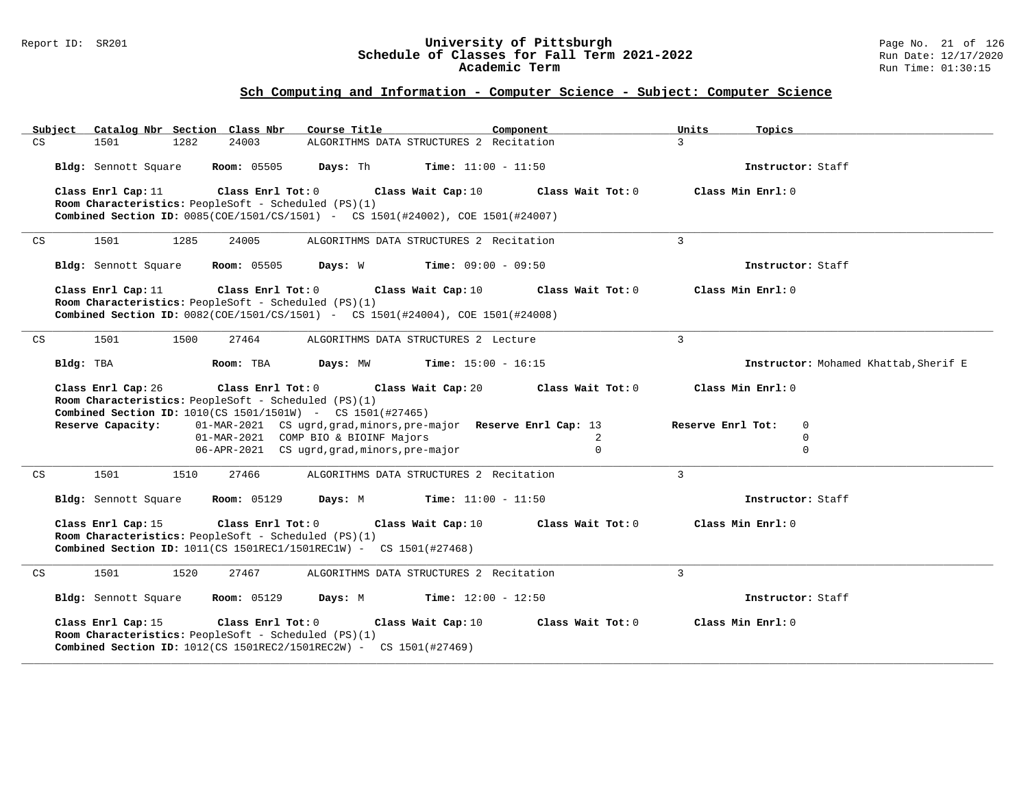#### Report ID: SR201 **University of Pittsburgh** Page No. 21 of 126 **Schedule of Classes for Fall Term 2021-2022** Run Date: 12/17/2020 **Academic Term** Run Time: 01:30:15

| Catalog Nbr Section Class Nbr<br>Subject                                                                                                       | Course Title<br>Component                                         | Units<br>Topics                        |
|------------------------------------------------------------------------------------------------------------------------------------------------|-------------------------------------------------------------------|----------------------------------------|
| CS<br>1501<br>1282<br>24003                                                                                                                    | ALGORITHMS DATA STRUCTURES 2 Recitation                           | $\mathcal{L}$                          |
| Bldg: Sennott Square<br><b>Room:</b> 05505                                                                                                     | <b>Days:</b> Th <b>Time:</b> $11:00 - 11:50$                      | Instructor: Staff                      |
| Class Enrl Cap: 11<br>Class Enrl Tot: 0                                                                                                        | Class Wait Cap: 10                                                | Class Min Enrl: 0<br>Class Wait Tot: 0 |
| Room Characteristics: PeopleSoft - Scheduled (PS)(1)<br><b>Combined Section ID:</b> 0085(COE/1501/CS/1501) - CS 1501(#24002), COE 1501(#24007) |                                                                   |                                        |
|                                                                                                                                                |                                                                   |                                        |
| 1501<br>1285<br>24005<br>CS                                                                                                                    | ALGORITHMS DATA STRUCTURES 2 Recitation                           | $\overline{3}$                         |
| Bldg: Sennott Square<br><b>Room:</b> 05505                                                                                                     | <b>Days:</b> W Time: 09:00 - 09:50                                | Instructor: Staff                      |
| Class Enrl Cap: 11<br>Class Enrl Tot: 0                                                                                                        | Class Wait Cap: 10                                                | Class Wait Tot: 0<br>Class Min Enrl: 0 |
| Room Characteristics: PeopleSoft - Scheduled (PS)(1)<br>Combined Section ID: 0082(COE/1501/CS/1501) - CS 1501(#24004), COE 1501(#24008)        |                                                                   |                                        |
|                                                                                                                                                |                                                                   |                                        |
| CS<br>1501<br>1500<br>27464                                                                                                                    | ALGORITHMS DATA STRUCTURES 2 Lecture                              | $\mathbf{R}$                           |
| Bldg: TBA<br>Room: TBA                                                                                                                         | Days: MW<br><b>Time:</b> $15:00 - 16:15$                          | Instructor: Mohamed Khattab, Sherif E  |
| Class Enrl Tot: 0<br>Class Enrl Cap: 26                                                                                                        | Class Wait Cap: 20                                                | Class Min Enrl: 0<br>Class Wait Tot: 0 |
| Room Characteristics: PeopleSoft - Scheduled (PS)(1)<br><b>Combined Section ID:</b> $1010$ (CS $1501/1501W$ ) - CS $1501$ (#27465)             |                                                                   |                                        |
| Reserve Capacity:                                                                                                                              | 01-MAR-2021 CS ugrd, grad, minors, pre-major Reserve Enrl Cap: 13 | Reserve Enrl Tot:<br>$\mathbf 0$       |
| 01-MAR-2021 COMP BIO & BIOINF Majors                                                                                                           |                                                                   | 2<br>$\Omega$                          |
|                                                                                                                                                | 06-APR-2021 CS ugrd, grad, minors, pre-major                      | $\mathbf 0$<br>$\Omega$                |
| 1501<br>1510<br>27466<br>CS                                                                                                                    | ALGORITHMS DATA STRUCTURES 2 Recitation                           | 3                                      |
| Bldg: Sennott Square<br><b>Room:</b> 05129                                                                                                     | Days: M<br>$Time: 11:00 - 11:50$                                  | Instructor: Staff                      |
| Class Enrl Cap: 15<br>Class Enrl Tot: $0$                                                                                                      | Class Wait Cap: 10                                                | Class Wait Tot: 0<br>Class Min Enrl: 0 |
| Room Characteristics: PeopleSoft - Scheduled (PS)(1)                                                                                           |                                                                   |                                        |
| <b>Combined Section ID:</b> $1011$ (CS $1501$ REC1/1501REC1W) - CS $1501$ (#27468)                                                             |                                                                   |                                        |
| 1501<br>1520<br>27467<br>CS                                                                                                                    | ALGORITHMS DATA STRUCTURES 2 Recitation                           | 3                                      |
| Bldg: Sennott Square<br><b>Room:</b> 05129                                                                                                     | <b>Days:</b> M <b>Time:</b> $12:00 - 12:50$                       | Instructor: Staff                      |
| Class Enrl Cap: 15<br>Class Enrl Tot: 0                                                                                                        | Class Wait Cap: 10                                                | Class Wait Tot: 0<br>Class Min Enrl: 0 |
| Room Characteristics: PeopleSoft - Scheduled (PS)(1)                                                                                           |                                                                   |                                        |
| <b>Combined Section ID:</b> $1012$ (CS $1501$ REC2/1501REC2W) - CS $1501$ (#27469)                                                             |                                                                   |                                        |
|                                                                                                                                                |                                                                   |                                        |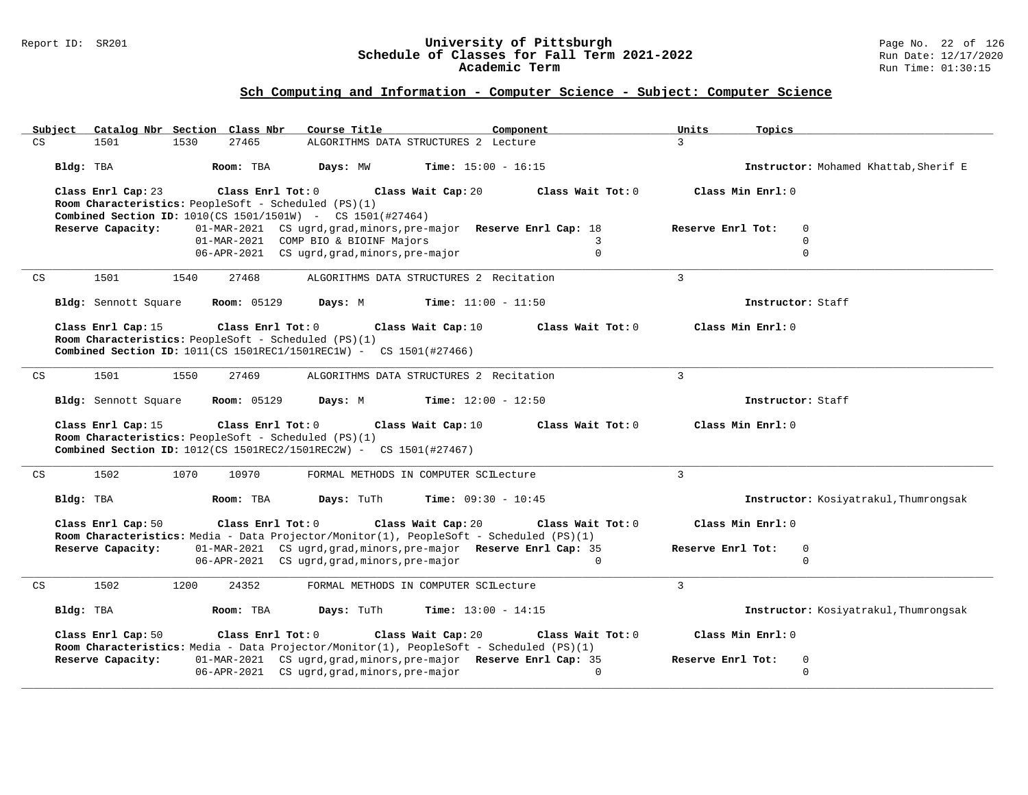#### Report ID: SR201 **University of Pittsburgh** Page No. 22 of 126 **Schedule of Classes for Fall Term 2021-2022** Run Date: 12/17/2020 **Academic Term** Run Time: 01:30:15

| Catalog Nbr Section Class Nbr<br>Course Title<br>Subject<br>Component                                                                                                             | Units<br>Topics                              |
|-----------------------------------------------------------------------------------------------------------------------------------------------------------------------------------|----------------------------------------------|
| 1530<br>27465<br>CS<br>1501<br>ALGORITHMS DATA STRUCTURES 2 Lecture                                                                                                               | 3                                            |
| Days: MW<br><b>Time:</b> $15:00 - 16:15$<br>Bldg: TBA<br>Room: TBA                                                                                                                | Instructor: Mohamed Khattab, Sherif E        |
| Class Enrl Cap: 23<br>Class Enrl Tot: $0$<br>Class Wait Cap: 20<br>Class Wait Tot: 0                                                                                              | Class Min Enrl: 0                            |
| Room Characteristics: PeopleSoft - Scheduled (PS)(1)                                                                                                                              |                                              |
| <b>Combined Section ID:</b> 1010(CS 1501/1501W) - CS 1501(#27464)                                                                                                                 |                                              |
| 01-MAR-2021 CS ugrd, grad, minors, pre-major Reserve Enrl Cap: 18<br>Reserve Capacity:<br>01-MAR-2021 COMP BIO & BIOINF Majors<br>3                                               | Reserve Enrl Tot:<br>$\mathbf 0$<br>$\Omega$ |
| 06-APR-2021 CS ugrd, grad, minors, pre-major<br>$\Omega$                                                                                                                          | $\Omega$                                     |
|                                                                                                                                                                                   |                                              |
| 1501<br>ALGORITHMS DATA STRUCTURES 2 Recitation<br>CS<br>1540<br>27468                                                                                                            | $\overline{3}$                               |
| Bldg: Sennott Square<br><b>Room:</b> 05129<br>Days: M<br><b>Time:</b> $11:00 - 11:50$                                                                                             | Instructor: Staff                            |
| Class Enrl Cap: 15<br>Class Enrl Tot: 0<br>Class Wait Cap: 10<br>Class Wait Tot: 0                                                                                                | Class Min Enrl: 0                            |
| Room Characteristics: PeopleSoft - Scheduled (PS)(1)                                                                                                                              |                                              |
| Combined Section ID: $1011$ (CS 1501REC1/1501REC1W) - CS 1501(#27466)                                                                                                             |                                              |
| CS<br>1501<br>1550<br>27469<br>ALGORITHMS DATA STRUCTURES 2 Recitation                                                                                                            | $\mathbf{3}$                                 |
|                                                                                                                                                                                   |                                              |
| Bldg: Sennott Square<br><b>Room: 05129</b><br>Days: M<br><b>Time:</b> $12:00 - 12:50$                                                                                             | Instructor: Staff                            |
| Class Enrl Cap: 15<br>Class Enrl Tot: 0<br>Class Wait Cap: 10<br>Class Wait Tot: 0                                                                                                | Class Min Enrl: 0                            |
| Room Characteristics: PeopleSoft - Scheduled (PS)(1)                                                                                                                              |                                              |
| <b>Combined Section ID:</b> $1012$ (CS $1501$ REC2/1501REC2W) - CS $1501$ (#27467)                                                                                                |                                              |
| 1502<br>1070<br>10970<br>CS<br>FORMAL METHODS IN COMPUTER SCILecture                                                                                                              | $\mathbf{3}$                                 |
|                                                                                                                                                                                   |                                              |
| Days: TuTh<br><b>Time:</b> $09:30 - 10:45$<br>Bldg: TBA<br>Room: TBA                                                                                                              | Instructor: Kosiyatrakul, Thumrongsak        |
| Class Enrl Cap: 50<br>Class Enrl Tot: 0<br>Class Wait Cap: 20<br>Class Wait Tot: 0                                                                                                | Class Min Enrl: 0                            |
| Room Characteristics: Media - Data Projector/Monitor(1), PeopleSoft - Scheduled (PS)(1)                                                                                           |                                              |
| Reserve Capacity:<br>01-MAR-2021 CS ugrd, grad, minors, pre-major Reserve Enrl Cap: 35                                                                                            | Reserve Enrl Tot:<br>$\mathbf 0$             |
| 06-APR-2021 CS ugrd, grad, minors, pre-major<br>$\Omega$                                                                                                                          | $\Omega$                                     |
| 1502<br>1200<br>24352                                                                                                                                                             | $\overline{3}$                               |
| CS<br>FORMAL METHODS IN COMPUTER SCILecture                                                                                                                                       |                                              |
| <b>Time:</b> $13:00 - 14:15$<br>Bldg: TBA<br>Room: TBA<br>Days: TuTh                                                                                                              |                                              |
|                                                                                                                                                                                   | Instructor: Kosiyatrakul, Thumrongsak        |
|                                                                                                                                                                                   |                                              |
| Class Enrl Cap: 50<br>Class Wait Cap: 20<br>Class Enrl Tot: 0<br>Class Wait Tot: 0                                                                                                | Class Min Enrl: 0                            |
| Room Characteristics: Media - Data Projector/Monitor(1), PeopleSoft - Scheduled (PS)(1)<br>01-MAR-2021 CS ugrd, grad, minors, pre-major Reserve Enrl Cap: 35<br>Reserve Capacity: | Reserve Enrl Tot:<br>$\mathbf 0$             |
| 06-APR-2021 CS ugrd, grad, minors, pre-major<br>$\Omega$                                                                                                                          | $\Omega$                                     |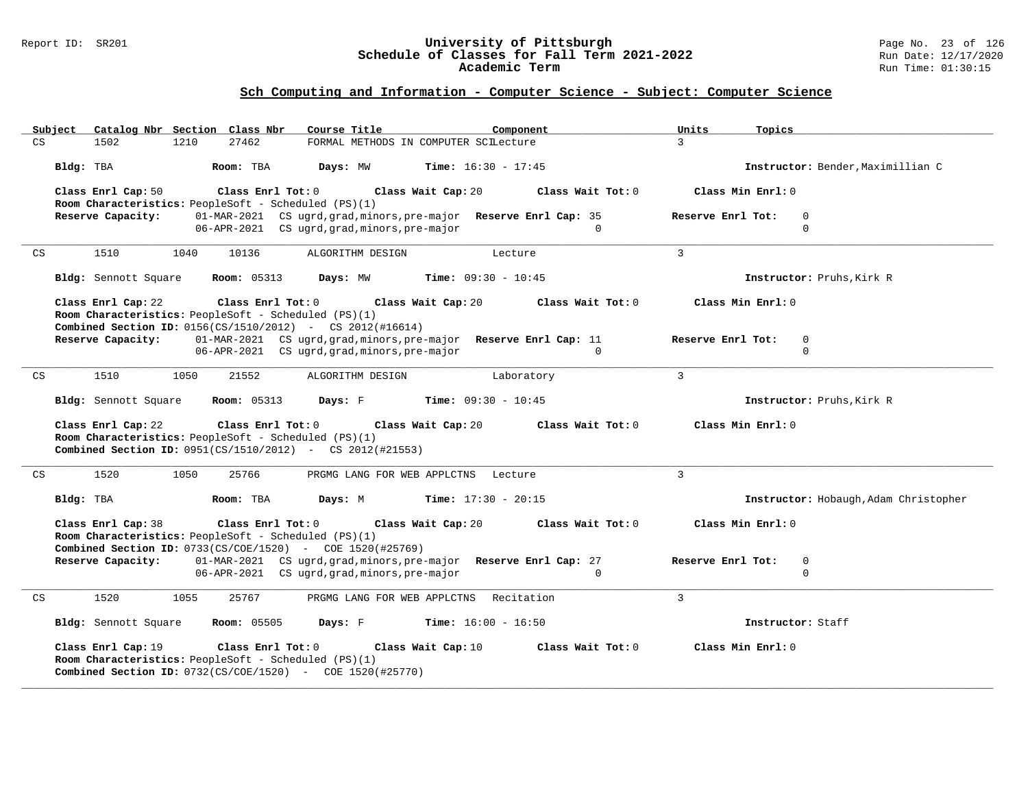#### Report ID: SR201 **University of Pittsburgh** Page No. 23 of 126 **Schedule of Classes for Fall Term 2021-2022** Run Date: 12/17/2020 **Academic Term** Run Time: 01:30:15

| Catalog Nbr Section Class Nbr<br>Subject                                                                                                                                | Course Title<br>Component                                                                                                     | Units<br>Topics                              |
|-------------------------------------------------------------------------------------------------------------------------------------------------------------------------|-------------------------------------------------------------------------------------------------------------------------------|----------------------------------------------|
| 27462<br>1502<br>1210<br>CS                                                                                                                                             | FORMAL METHODS IN COMPUTER SCILecture                                                                                         | $\overline{3}$                               |
| Bldg: TBA<br>Room: TBA                                                                                                                                                  | Days: MW<br><b>Time:</b> $16:30 - 17:45$                                                                                      | Instructor: Bender, Maximillian C            |
| Class Enrl Cap: 50<br>$Class$ $Enrl$ $Tot: 0$<br>Room Characteristics: PeopleSoft - Scheduled (PS)(1)                                                                   | Class Wait Cap: 20<br>Class Wait Tot: 0                                                                                       | Class Min Enrl: 0                            |
| Reserve Capacity:                                                                                                                                                       | 01-MAR-2021 CS ugrd, grad, minors, pre-major Reserve Enrl Cap: 35<br>06-APR-2021 CS ugrd, grad, minors, pre-major<br>$\Omega$ | Reserve Enrl Tot:<br>$\Omega$<br>$\Omega$    |
| 1510<br>1040<br>10136<br>CS                                                                                                                                             | ALGORITHM DESIGN<br>Lecture                                                                                                   | $\mathbf{3}$                                 |
| <b>Room: 05313</b><br>Bldg: Sennott Square                                                                                                                              | <b>Time:</b> $09:30 - 10:45$<br>Days: MW                                                                                      | Instructor: Pruhs, Kirk R                    |
| Class Enrl Cap: 22<br>Class Enrl Tot: 0<br>Room Characteristics: PeopleSoft - Scheduled (PS)(1)                                                                         | Class Wait Tot: 0<br>Class Wait Cap: 20                                                                                       | Class Min Enrl: 0                            |
| <b>Combined Section ID:</b> $0156(CS/1510/2012)$ - CS $2012(\text{\#}16614)$<br>Reserve Capacity:                                                                       | 01-MAR-2021 CS ugrd, grad, minors, pre-major Reserve Enrl Cap: 11                                                             | Reserve Enrl Tot:<br>$\mathbf 0$             |
|                                                                                                                                                                         | 06-APR-2021 CS ugrd, grad, minors, pre-major<br>$\Omega$                                                                      | $\Omega$                                     |
|                                                                                                                                                                         |                                                                                                                               |                                              |
| 1510<br>1050<br>21552<br>CS                                                                                                                                             | ALGORITHM DESIGN<br>Laboratory                                                                                                | $\overline{3}$                               |
| <b>Room:</b> 05313<br>Bldg: Sennott Square                                                                                                                              | Days: F<br><b>Time:</b> $09:30 - 10:45$                                                                                       | Instructor: Pruhs, Kirk R                    |
| Class Enrl Cap: 22<br>Class Enrl Tot: 0                                                                                                                                 | Class Wait Tot: 0<br>Class Wait Cap: 20                                                                                       | Class Min Enrl: 0                            |
| Room Characteristics: PeopleSoft - Scheduled (PS)(1)                                                                                                                    |                                                                                                                               |                                              |
| <b>Combined Section ID:</b> 0951(CS/1510/2012) - CS 2012(#21553)                                                                                                        |                                                                                                                               |                                              |
| 1520<br>1050<br>25766<br>CS                                                                                                                                             | PRGMG LANG FOR WEB APPLCTNS Lecture                                                                                           | $\overline{3}$                               |
| Bldg: TBA<br>Room: TBA                                                                                                                                                  | <b>Time:</b> $17:30 - 20:15$<br>Days: M                                                                                       | Instructor: Hobaugh, Adam Christopher        |
| Class Enrl Cap: 38<br>Class Enrl Tot: 0                                                                                                                                 | Class Wait Cap: 20<br>Class Wait Tot: 0                                                                                       | Class Min Enrl: 0                            |
| Room Characteristics: PeopleSoft - Scheduled (PS)(1)                                                                                                                    |                                                                                                                               |                                              |
| <b>Combined Section ID:</b> 0733(CS/COE/1520) - COE 1520(#25769)                                                                                                        |                                                                                                                               |                                              |
| Reserve Capacity:                                                                                                                                                       | 01-MAR-2021 CS ugrd, grad, minors, pre-major Reserve Enrl Cap: 27<br>06-APR-2021 CS ugrd, grad, minors, pre-major<br>$\Omega$ | Reserve Enrl Tot:<br>$\mathbf 0$<br>$\Omega$ |
|                                                                                                                                                                         |                                                                                                                               |                                              |
| 1520<br>1055<br>25767<br>CS                                                                                                                                             | PRGMG LANG FOR WEB APPLCTNS Recitation                                                                                        | 3                                            |
| Bldg: Sennott Square<br><b>Room:</b> 05505                                                                                                                              | Days: F<br>$Time: 16:00 - 16:50$                                                                                              | Instructor: Staff                            |
| Class Enrl Cap: 19<br>Class Enrl Tot: 0<br>Room Characteristics: PeopleSoft - Scheduled (PS)(1)<br><b>Combined Section ID:</b> $0732(CS/COE/1520)$ - COE $1520(#25770)$ | Class Wait Cap: 10<br>Class Wait Tot: 0                                                                                       | Class Min Enrl: 0                            |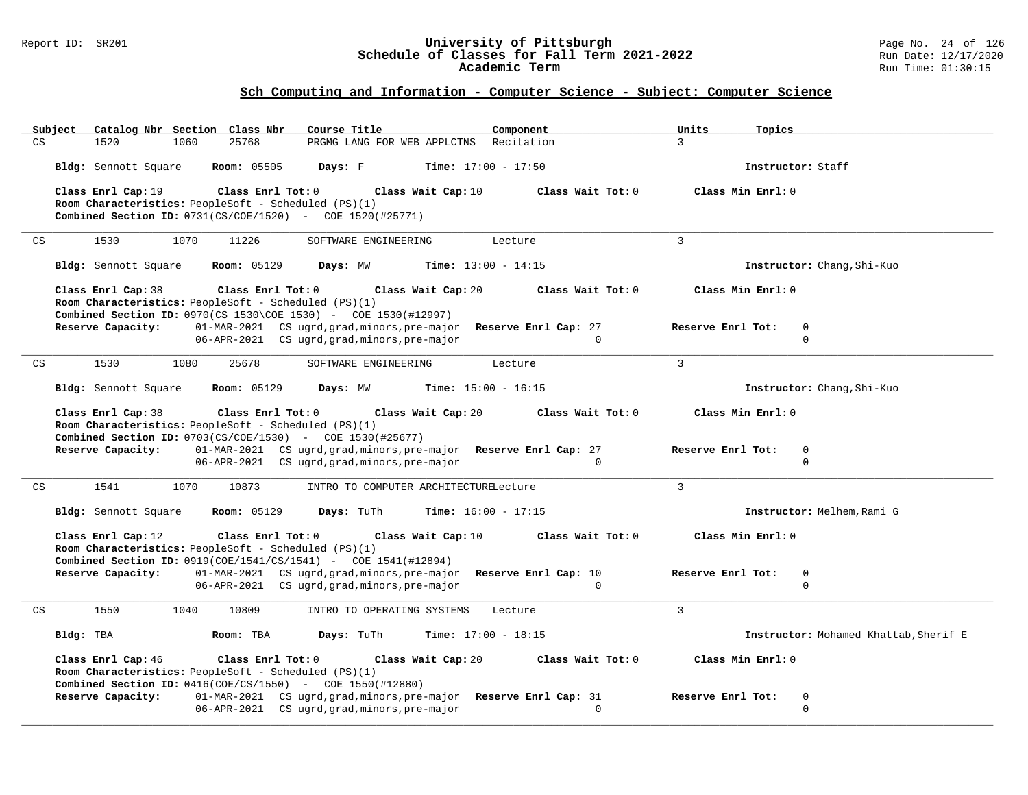#### Report ID: SR201 **University of Pittsburgh** Page No. 24 of 126 **Schedule of Classes for Fall Term 2021-2022** Run Date: 12/17/2020 **Academic Term** Run Time: 01:30:15

| <u>Subject</u>     | Catalog Nbr Section Class Nbr                        |                    | Course Title                                                                                                                                                                          | Component         | Units<br>Topics                       |
|--------------------|------------------------------------------------------|--------------------|---------------------------------------------------------------------------------------------------------------------------------------------------------------------------------------|-------------------|---------------------------------------|
| CS<br>1520         | 1060                                                 | 25768              | PRGMG LANG FOR WEB APPLCTNS                                                                                                                                                           | Recitation        | $\mathbf{R}$                          |
|                    | Bldg: Sennott Square                                 | Room: 05505        | Days: F<br><b>Time:</b> $17:00 - 17:50$                                                                                                                                               |                   | Instructor: Staff                     |
| Class Enrl Cap: 19 | Room Characteristics: PeopleSoft - Scheduled (PS)(1) | Class Enrl Tot: 0  | Class Wait Cap: 10<br><b>Combined Section ID:</b> $0731(CS/COE/1520)$ - COE $1520(#25771)$                                                                                            | Class Wait Tot: 0 | Class Min Enrl: 0                     |
| 1530<br>CS         | 1070                                                 | 11226              | SOFTWARE ENGINEERING                                                                                                                                                                  | Lecture           | $\mathbf{3}$                          |
|                    | Bldg: Sennott Square                                 | <b>Room:</b> 05129 | Days: MW<br><b>Time:</b> $13:00 - 14:15$                                                                                                                                              |                   | Instructor: Chang, Shi-Kuo            |
| Class Enrl Cap: 38 | Room Characteristics: PeopleSoft - Scheduled (PS)(1) | Class Enrl Tot: 0  | Class Wait Cap: 20<br><b>Combined Section ID:</b> 0970(CS 1530\COE 1530) - COE 1530(#12997)                                                                                           | Class Wait Tot: 0 | Class Min Enrl: 0                     |
| Reserve Capacity:  |                                                      |                    | 01-MAR-2021 CS ugrd, grad, minors, pre-major Reserve Enrl Cap: 27<br>06-APR-2021 CS ugrd, grad, minors, pre-major                                                                     | $\Omega$          | Reserve Enrl Tot:<br>0<br>$\mathbf 0$ |
| 1530<br>CS         | 1080                                                 | 25678              | SOFTWARE ENGINEERING                                                                                                                                                                  | Lecture           | 3                                     |
|                    | Bldg: Sennott Square                                 | <b>Room: 05129</b> | Days: MW<br><b>Time:</b> $15:00 - 16:15$                                                                                                                                              |                   | Instructor: Chang, Shi-Kuo            |
| Class Enrl Cap: 38 | Room Characteristics: PeopleSoft - Scheduled (PS)(1) | Class Enrl Tot: 0  | Class Wait Cap: 20                                                                                                                                                                    | Class Wait Tot: 0 | Class Min Enrl: 0                     |
|                    | Reserve Capacity:                                    |                    | <b>Combined Section ID:</b> 0703(CS/COE/1530) - COE 1530(#25677)<br>01-MAR-2021 CS ugrd, grad, minors, pre-major Reserve Enrl Cap: 27<br>06-APR-2021 CS ugrd, grad, minors, pre-major | $\Omega$          | Reserve Enrl Tot:<br>0<br>$\mathbf 0$ |
| 1541<br>CS         | 1070                                                 | 10873              | INTRO TO COMPUTER ARCHITECTURELecture                                                                                                                                                 |                   | $\mathbf{3}$                          |
|                    | Bldg: Sennott Square                                 | <b>Room: 05129</b> | <b>Time:</b> $16:00 - 17:15$<br>Days: TuTh                                                                                                                                            |                   | Instructor: Melhem, Rami G            |
| Class Enrl Cap: 12 | Room Characteristics: PeopleSoft - Scheduled (PS)(1) | Class Enrl Tot: 0  | Class Wait Cap: 10                                                                                                                                                                    | Class Wait Tot: 0 | Class Min Enrl: 0                     |
|                    |                                                      |                    | Combined Section ID: 0919(COE/1541/CS/1541) - COE 1541(#12894)                                                                                                                        |                   |                                       |
|                    | Reserve Capacity:                                    |                    | 01-MAR-2021 CS ugrd, grad, minors, pre-major Reserve Enrl Cap: 10<br>06-APR-2021 CS ugrd, grad, minors, pre-major                                                                     | $\Omega$          | Reserve Enrl Tot:<br>0<br>$\mathbf 0$ |
| CS<br>1550         | 1040                                                 | 10809              | INTRO TO OPERATING SYSTEMS                                                                                                                                                            | Lecture           | $\mathbf{3}$                          |
| Bldg: TBA          |                                                      | Room: TBA          | Days: TuTh<br>Time: $17:00 - 18:15$                                                                                                                                                   |                   | Instructor: Mohamed Khattab, Sherif E |
| Class Enrl Cap: 46 | Room Characteristics: PeopleSoft - Scheduled (PS)(1) | Class Enrl Tot: 0  | Class Wait Cap: 20<br><b>Combined Section ID:</b> $0416$ (COE/CS/1550) - COE 1550(#12880)                                                                                             | Class Wait Tot: 0 | Class Min Enrl: 0                     |
| Reserve Capacity:  |                                                      |                    | 01-MAR-2021 CS ugrd, grad, minors, pre-major Reserve Enrl Cap: 31<br>06-APR-2021 CS ugrd, grad, minors, pre-major                                                                     | $\Omega$          | Reserve Enrl Tot:<br>0<br>$\mathbf 0$ |
|                    |                                                      |                    |                                                                                                                                                                                       |                   |                                       |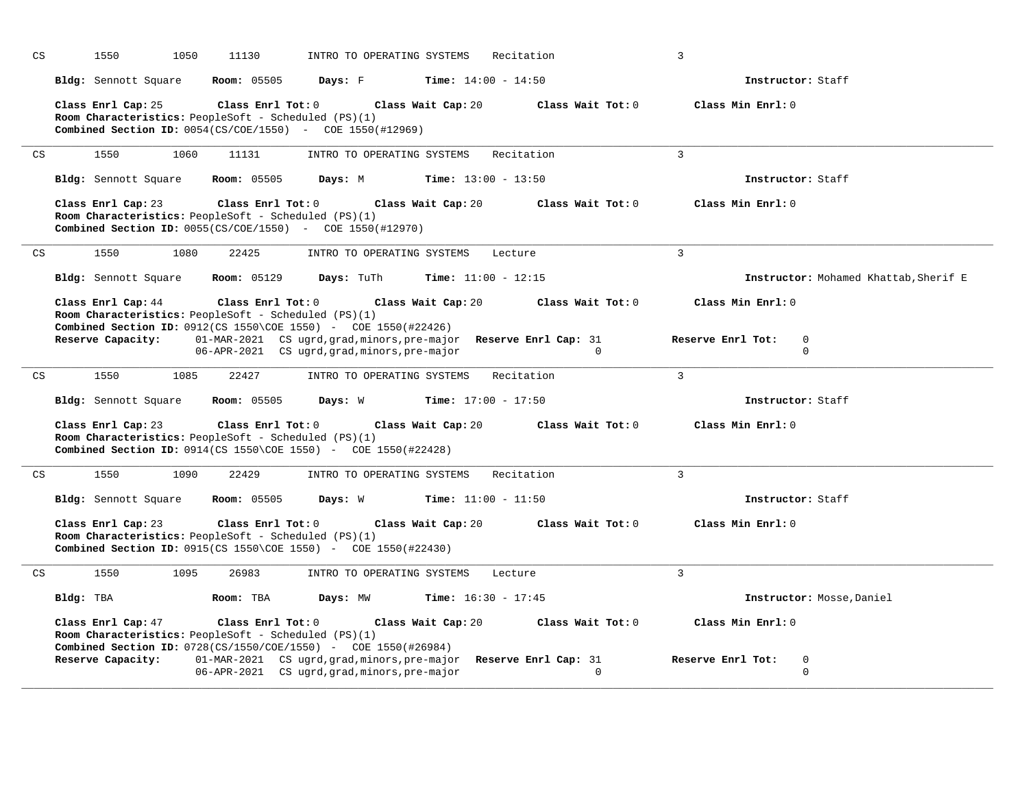| CS                         | 1050<br>1550         | 11130<br>INTRO TO OPERATING SYSTEMS                                                                                                                | Recitation                                                                    | 3                                               |
|----------------------------|----------------------|----------------------------------------------------------------------------------------------------------------------------------------------------|-------------------------------------------------------------------------------|-------------------------------------------------|
|                            | Bldg: Sennott Square | Room: 05505<br>Days: F                                                                                                                             | <b>Time:</b> $14:00 - 14:50$                                                  | Instructor: Staff                               |
|                            | Class Enrl Cap: 25   | Class Enrl Tot: 0<br>Room Characteristics: PeopleSoft - Scheduled (PS)(1)<br><b>Combined Section ID:</b> 0054(CS/COE/1550) - COE 1550(#12969)      | Class Wait Cap: 20<br>Class Wait Tot: 0                                       | Class Min Enrl: 0                               |
| $\mathop{\rm CS}\nolimits$ | 1550<br>1060         | 11131<br>INTRO TO OPERATING SYSTEMS                                                                                                                | Recitation                                                                    | $\overline{3}$                                  |
|                            | Bldg: Sennott Square | <b>Room:</b> 05505<br>Days: M                                                                                                                      | <b>Time:</b> $13:00 - 13:50$                                                  | Instructor: Staff                               |
|                            | Class Enrl Cap: 23   | Class Enrl Tot: 0<br>Room Characteristics: PeopleSoft - Scheduled (PS)(1)<br><b>Combined Section ID:</b> $0055(CS/COE/1550)$ - COE 1550(#12970)    | Class Wait Cap: 20<br>Class Wait Tot: 0                                       | Class Min Enrl: 0                               |
| CS                         | 1550<br>1080         | 22425<br>INTRO TO OPERATING SYSTEMS                                                                                                                | Lecture                                                                       | $\overline{3}$                                  |
|                            | Bldg: Sennott Square | <b>Room: 05129</b><br>Days: TuTh                                                                                                                   | Time: $11:00 - 12:15$                                                         | Instructor: Mohamed Khattab, Sherif E           |
|                            | Class Enrl Cap: 44   | Class Enrl Tot: 0<br>Room Characteristics: PeopleSoft - Scheduled (PS)(1)<br><b>Combined Section ID:</b> 0912(CS 1550\COE 1550) - COE 1550(#22426) | Class Wait Cap: 20<br>Class Wait Tot: 0                                       | Class Min Enrl: 0                               |
|                            | Reserve Capacity:    | 06-APR-2021 CS ugrd, grad, minors, pre-major                                                                                                       | 01-MAR-2021 CS ugrd, grad, minors, pre-major Reserve Enrl Cap: 31<br>$\Omega$ | Reserve Enrl Tot:<br>$\mathbf 0$<br>$\Omega$    |
| $\mathop{\rm CS}\nolimits$ | 1550<br>1085         | 22427<br>INTRO TO OPERATING SYSTEMS                                                                                                                | Recitation                                                                    | $\overline{3}$                                  |
|                            | Bldg: Sennott Square | <b>Room: 05505</b><br>Days: W                                                                                                                      | <b>Time:</b> $17:00 - 17:50$                                                  | Instructor: Staff                               |
|                            | Class Enrl Cap: 23   | Class Enrl Tot: 0<br>Room Characteristics: PeopleSoft - Scheduled (PS)(1)<br><b>Combined Section ID:</b> 0914(CS 1550\COE 1550) - COE 1550(#22428) | Class Wait Cap: 20<br>Class Wait Tot: 0                                       | Class Min Enrl: 0                               |
| CS                         | 1550<br>1090         | 22429<br>INTRO TO OPERATING SYSTEMS                                                                                                                | Recitation                                                                    | 3                                               |
|                            | Bldg: Sennott Square | <b>Room: 05505</b><br>Days: W                                                                                                                      | <b>Time:</b> $11:00 - 11:50$                                                  | Instructor: Staff                               |
|                            | Class Enrl Cap: 23   | Class Enrl Tot: 0<br>Room Characteristics: PeopleSoft - Scheduled (PS)(1)<br><b>Combined Section ID:</b> 0915(CS 1550\COE 1550) - COE 1550(#22430) | Class Wait Cap: 20<br>Class Wait Tot: 0                                       | Class Min Enrl: 0                               |
| CS                         | 1550<br>1095         | 26983<br>INTRO TO OPERATING SYSTEMS                                                                                                                | Lecture                                                                       | 3                                               |
|                            | Bldg: TBA            | Room: TBA<br>Days: MW                                                                                                                              | <b>Time:</b> $16:30 - 17:45$                                                  | Instructor: Mosse, Daniel                       |
|                            | Class Enrl Cap: 47   | Class Enrl Tot: 0<br>Room Characteristics: PeopleSoft - Scheduled (PS)(1)<br><b>Combined Section ID:</b> 0728(CS/1550/COE/1550) - COE 1550(#26984) | Class Wait Cap: 20<br>Class Wait $Tot: 0$                                     | Class Min Enrl: 0                               |
|                            | Reserve Capacity:    | 06-APR-2021 CS ugrd, grad, minors, pre-major                                                                                                       | 01-MAR-2021 CS ugrd, grad, minors, pre-major Reserve Enrl Cap: 31<br>$\Omega$ | Reserve Enrl Tot:<br>$\mathbf 0$<br>$\mathbf 0$ |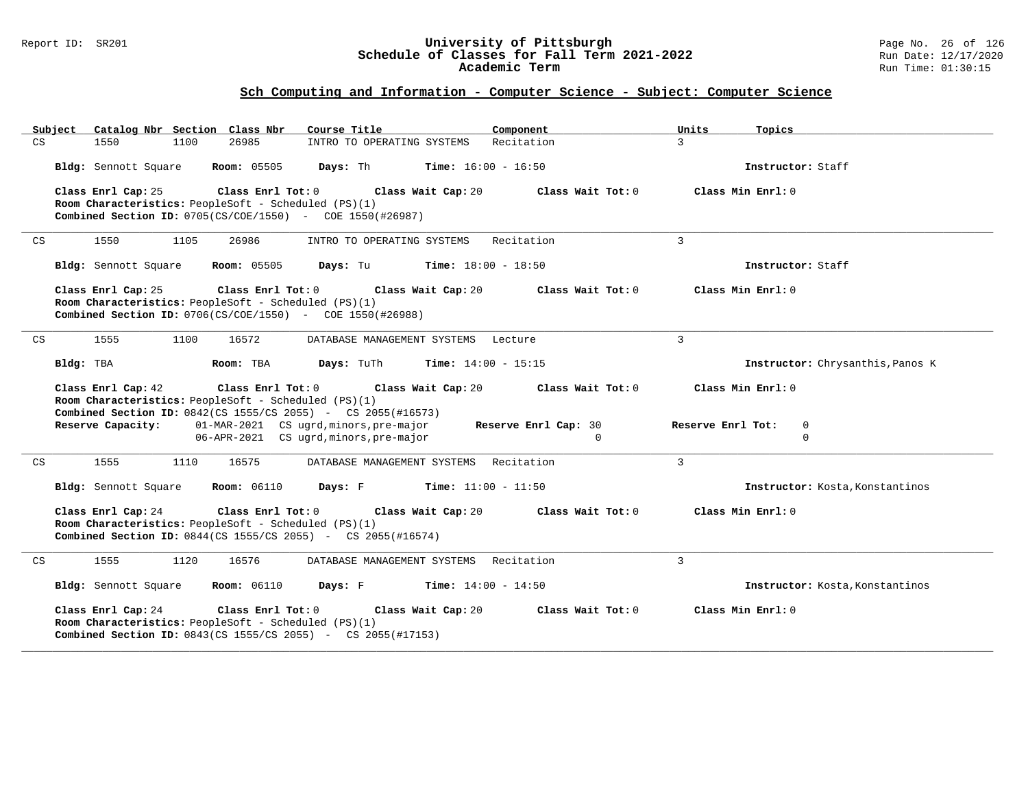#### Report ID: SR201 **University of Pittsburgh** Page No. 26 of 126 **Schedule of Classes for Fall Term 2021-2022** Run Date: 12/17/2020 **Academic Term** Run Time: 01:30:15

|    | Subject   |                      |      | Catalog Nbr Section Class Nbr                                             | Course Title                                                         |                              | Component            |                | Units             | Topics                           |
|----|-----------|----------------------|------|---------------------------------------------------------------------------|----------------------------------------------------------------------|------------------------------|----------------------|----------------|-------------------|----------------------------------|
| CS |           | 1550                 | 1100 | 26985                                                                     | INTRO TO OPERATING SYSTEMS                                           |                              | Recitation           |                | 3 <sup>1</sup>    |                                  |
|    |           | Bldg: Sennott Square |      | <b>Room:</b> 05505                                                        | Days: Th                                                             | <b>Time:</b> $16:00 - 16:50$ |                      |                |                   | Instructor: Staff                |
|    |           | Class Enrl Cap: 25   |      | Class Enrl Tot:0<br>Room Characteristics: PeopleSoft - Scheduled (PS)(1)  | <b>Combined Section ID:</b> $0705(CS/COE/1550)$ - COE 1550(#26987)   | Class Wait Cap: 20           | Class Wait Tot: 0    |                |                   | Class Min Enrl: 0                |
| CS |           | 1550                 | 1105 | 26986                                                                     | INTRO TO OPERATING SYSTEMS                                           |                              | Recitation           | $\overline{3}$ |                   |                                  |
|    |           | Bldg: Sennott Square |      | <b>Room:</b> 05505                                                        | Days: Tu                                                             | <b>Time:</b> $18:00 - 18:50$ |                      |                |                   | Instructor: Staff                |
|    |           | Class Enrl Cap: 25   |      | Class Enrl Tot: 0<br>Room Characteristics: PeopleSoft - Scheduled (PS)(1) | <b>Combined Section ID:</b> $0706(CS/COE/1550)$ - COE $1550(#26988)$ | Class Wait Cap: 20           | Class Wait Tot: 0    |                |                   | Class Min $Enrl: 0$              |
| CS |           | 1555                 | 1100 | 16572                                                                     | DATABASE MANAGEMENT SYSTEMS Lecture                                  |                              |                      | 3              |                   |                                  |
|    | Bldg: TBA |                      |      | Room: TBA                                                                 | Days: TuTh                                                           | <b>Time:</b> $14:00 - 15:15$ |                      |                |                   | Instructor: Chrysanthis, Panos K |
|    |           | Class Enrl Cap: 42   |      | Class Enrl Tot: 0<br>Room Characteristics: PeopleSoft - Scheduled (PS)(1) | <b>Combined Section ID:</b> 0842(CS 1555/CS 2055) - CS 2055(#16573)  | Class Wait Cap: 20           | Class Wait Tot: 0    |                |                   | Class Min Enrl: 0                |
|    |           | Reserve Capacity:    |      |                                                                           | 01-MAR-2021 CS ugrd, minors, pre-major                               |                              | Reserve Enrl Cap: 30 |                | Reserve Enrl Tot: | 0                                |
|    |           |                      |      |                                                                           | 06-APR-2021 CS ugrd, minors, pre-major                               |                              | $\Omega$             |                |                   | $\Omega$                         |
| CS |           | 1555                 | 1110 | 16575                                                                     | DATABASE MANAGEMENT SYSTEMS Recitation                               |                              |                      | $\overline{3}$ |                   |                                  |
|    |           | Bldg: Sennott Square |      | <b>Room:</b> 06110                                                        | Days: F                                                              | <b>Time:</b> $11:00 - 11:50$ |                      |                |                   | Instructor: Kosta, Konstantinos  |
|    |           | Class Enrl Cap: 24   |      | Class Enrl Tot: 0<br>Room Characteristics: PeopleSoft - Scheduled (PS)(1) | <b>Combined Section ID:</b> 0844(CS 1555/CS 2055) - CS 2055(#16574)  | Class Wait Cap: 20           | Class Wait Tot: 0    |                |                   | Class Min Enrl: 0                |
| CS |           | 1555                 | 1120 | 16576                                                                     | DATABASE MANAGEMENT SYSTEMS Recitation                               |                              |                      | $\overline{3}$ |                   |                                  |
|    |           | Bldg: Sennott Square |      | <b>Room: 06110</b>                                                        | Days: F                                                              | <b>Time:</b> $14:00 - 14:50$ |                      |                |                   | Instructor: Kosta, Konstantinos  |
|    |           | Class Enrl Cap: 24   |      | Class Enrl Tot: 0<br>Room Characteristics: PeopleSoft - Scheduled (PS)(1) | <b>Combined Section ID:</b> 0843(CS 1555/CS 2055) - CS 2055(#17153)  | Class Wait Cap: 20           | Class Wait Tot: 0    |                |                   | Class Min Enrl: 0                |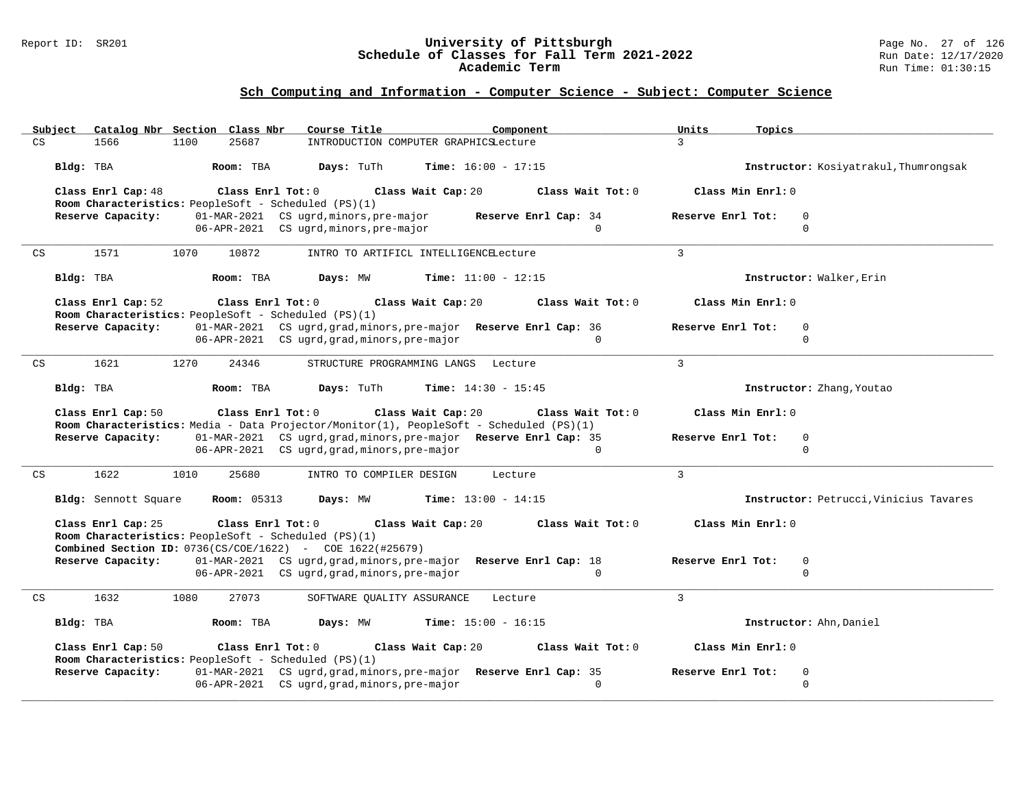#### Report ID: SR201 **University of Pittsburgh** Page No. 27 of 126 **Schedule of Classes for Fall Term 2021-2022** Run Date: 12/17/2020 **Academic Term** Run Time: 01:30:15

| Subject<br>Catalog Nbr Section Class Nbr<br>Course Title<br>Component                                                                                                         | Units<br>Topics                        |
|-------------------------------------------------------------------------------------------------------------------------------------------------------------------------------|----------------------------------------|
| $\mathop{\rm CS}\nolimits$<br>1100<br>25687<br>1566<br>INTRODUCTION COMPUTER GRAPHICSLecture                                                                                  | $\mathbf{R}$                           |
| Bldg: TBA<br>Room: TBA<br>Days: TuTh<br><b>Time:</b> $16:00 - 17:15$                                                                                                          | Instructor: Kosiyatrakul, Thumrongsak  |
| Class Enrl Cap: 48<br>Class Enrl Tot: 0<br>Class Wait Cap: 20<br>Class Wait Tot: 0<br>Room Characteristics: PeopleSoft - Scheduled (PS)(1)                                    | Class Min Enrl: 0                      |
| Reserve Capacity:<br>01-MAR-2021 CS ugrd, minors, pre-major<br>Reserve Enrl Cap: 34                                                                                           | Reserve Enrl Tot:<br>$\mathbf 0$       |
| 06-APR-2021 CS ugrd, minors, pre-major<br>$\Omega$                                                                                                                            | $\Omega$                               |
|                                                                                                                                                                               |                                        |
| 1571<br>10872<br>CS<br>1070<br>INTRO TO ARTIFICL INTELLIGENCELecture                                                                                                          | 3                                      |
| Bldg: TBA<br>Days: MW<br><b>Time:</b> $11:00 - 12:15$<br>Room: TBA                                                                                                            | Instructor: Walker, Erin               |
| Class Enrl Cap: 52<br>Class Enrl Tot: 0<br>Class Wait Cap: 20<br>Class Wait Tot: 0<br>Room Characteristics: PeopleSoft - Scheduled (PS)(1)                                    | Class Min Enrl: 0                      |
| 01-MAR-2021 CS ugrd, grad, minors, pre-major Reserve Enrl Cap: 36<br>Reserve Capacity:                                                                                        | Reserve Enrl Tot:<br>$\mathbf 0$       |
| 06-APR-2021 CS ugrd, grad, minors, pre-major<br>$\Omega$                                                                                                                      | $\Omega$                               |
|                                                                                                                                                                               |                                        |
| 1621<br>1270<br>24346<br>CS<br>STRUCTURE PROGRAMMING LANGS Lecture                                                                                                            | $\mathbf{3}$                           |
| Bldg: TBA<br>Days: TuTh<br>Time: $14:30 - 15:45$<br>Room: TBA                                                                                                                 | Instructor: Zhang, Youtao              |
| Class Enrl Cap: 50<br>Class Enrl Tot: 0<br>Class Wait Cap: 20<br>Class Wait Tot: 0<br>Room Characteristics: Media - Data Projector/Monitor(1), PeopleSoft - Scheduled (PS)(1) | Class Min Enrl: 0                      |
| 01-MAR-2021 CS ugrd, grad, minors, pre-major Reserve Enrl Cap: 35<br>Reserve Capacity:                                                                                        | Reserve Enrl Tot:<br>$\mathbf 0$       |
| 06-APR-2021 CS ugrd, grad, minors, pre-major<br>$\mathbf{0}$                                                                                                                  | $\mathbf 0$                            |
|                                                                                                                                                                               |                                        |
| CS<br>1622<br>1010<br>25680<br>INTRO TO COMPILER DESIGN<br>Lecture                                                                                                            | $\mathbf{3}$                           |
| Bldg: Sennott Square<br><b>Room:</b> 05313<br>Days: MW<br><b>Time:</b> $13:00 - 14:15$                                                                                        | Instructor: Petrucci, Vinicius Tavares |
| Class Enrl Cap: 25<br>Class Enrl Tot: 0<br>Class Wait Cap: 20<br>Class Wait Tot: 0<br>Room Characteristics: PeopleSoft - Scheduled (PS)(1)                                    | Class Min Enrl: 0                      |
|                                                                                                                                                                               |                                        |
| <b>Combined Section ID:</b> 0736(CS/COE/1622) - COE 1622(#25679)                                                                                                              |                                        |
| Reserve Capacity:<br>01-MAR-2021 CS ugrd, grad, minors, pre-major Reserve Enrl Cap: 18                                                                                        | Reserve Enrl Tot:<br>$\mathbf 0$       |
| 06-APR-2021 CS ugrd, grad, minors, pre-major<br>$\mathbf{0}$                                                                                                                  | $\mathbf 0$                            |
| 1632<br>27073<br>CS<br>1080<br>SOFTWARE OUALITY ASSURANCE<br>Lecture                                                                                                          | $\mathbf{3}$                           |
| Bldg: TBA<br>Days: MW<br>Time: $15:00 - 16:15$<br>Room: TBA                                                                                                                   | Instructor: Ahn, Daniel                |
| Class Enrl Cap: 50<br>Class Enrl Tot: 0<br>Class Wait Cap: 20<br>Class Wait Tot: 0                                                                                            | Class Min Enrl: 0                      |
| Room Characteristics: PeopleSoft - Scheduled (PS)(1)                                                                                                                          |                                        |
| 01-MAR-2021 CS ugrd, grad, minors, pre-major Reserve Enrl Cap: 35<br>Reserve Capacity:                                                                                        | Reserve Enrl Tot:<br>$\mathbf 0$       |
| 06-APR-2021 CS ugrd, grad, minors, pre-major<br>$\Omega$                                                                                                                      | $\mathbf 0$                            |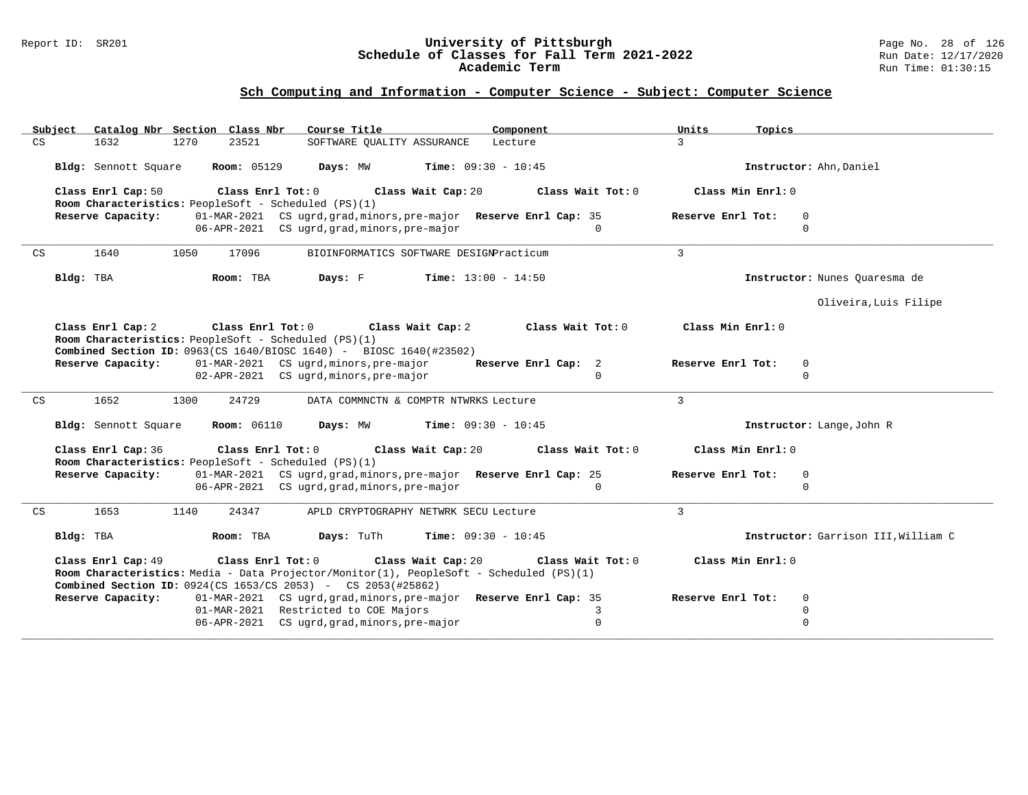#### Report ID: SR201 **University of Pittsburgh** Page No. 28 of 126 **Schedule of Classes for Fall Term 2021-2022** Run Date: 12/17/2020 **Academic Term** Run Time: 01:30:15

| Catalog Nbr Section Class Nbr<br>Subiect<br>Course Title<br>Component                                                                                                                                                                                      | Units<br>Topics                              |
|------------------------------------------------------------------------------------------------------------------------------------------------------------------------------------------------------------------------------------------------------------|----------------------------------------------|
| CS<br>1632<br>1270<br>23521<br>SOFTWARE OUALITY ASSURANCE<br>Lecture                                                                                                                                                                                       | $\mathcal{E}$                                |
| Room: 05129<br>Days: MW<br><b>Time:</b> $09:30 - 10:45$<br>Bldg: Sennott Square                                                                                                                                                                            | Instructor: Ahn, Daniel                      |
| Class Enrl Cap: 50<br>Class Enrl Tot: 0<br>Class Wait Cap: 20<br>Class Wait Tot: 0<br>Room Characteristics: PeopleSoft - Scheduled (PS)(1)                                                                                                                 | Class Min Enrl: 0                            |
| Reserve Capacity:<br>01-MAR-2021 CS ugrd, grad, minors, pre-major Reserve Enrl Cap: 35<br>06-APR-2021 CS ugrd, grad, minors, pre-major<br>$\cap$                                                                                                           | Reserve Enrl Tot:<br>$\mathbf 0$<br>$\Omega$ |
| 1640<br>1050<br>17096<br>BIOINFORMATICS SOFTWARE DESIGNPracticum<br>CS                                                                                                                                                                                     | 3                                            |
| <b>Time:</b> $13:00 - 14:50$<br>Bldg: TBA<br>Room: TBA<br>Days: F                                                                                                                                                                                          | Instructor: Nunes Quaresma de                |
|                                                                                                                                                                                                                                                            | Oliveira, Luis Filipe                        |
| Class Enrl Cap: 2<br>Class Enrl Tot: 0<br>Class Wait Cap: 2<br>Class Wait Tot: 0<br>Room Characteristics: PeopleSoft - Scheduled (PS)(1)<br><b>Combined Section ID:</b> 0963(CS 1640/BIOSC 1640) - BIOSC 1640(#23502)                                      | Class Min Enrl: 0                            |
| 01-MAR-2021 CS ugrd, minors, pre-major<br>Reserve Capacity:<br>Reserve Enrl Cap: 2                                                                                                                                                                         | Reserve Enrl Tot:<br>$\mathbf 0$             |
| 02-APR-2021 CS ugrd, minors, pre-major<br>$\Omega$                                                                                                                                                                                                         | $\mathbf 0$                                  |
| 1652<br>1300<br>24729<br>DATA COMMNCTN & COMPTR NTWRKS Lecture<br>CS                                                                                                                                                                                       | $\mathbf{3}$                                 |
| <b>Room: 06110</b><br><b>Time:</b> $09:30 - 10:45$<br>Bldg: Sennott Square<br>Days: MW                                                                                                                                                                     | Instructor: Lange, John R                    |
| Class Enrl Cap: 36<br>Class Enrl Tot: 0<br>Class Wait Cap: 20<br>Class Wait Tot: 0<br>Room Characteristics: PeopleSoft - Scheduled (PS)(1)                                                                                                                 | Class Min Enrl: 0                            |
| Reserve Capacity:<br>01-MAR-2021 CS ugrd, grad, minors, pre-major Reserve Enrl Cap: 25<br>06-APR-2021 CS ugrd, grad, minors, pre-major<br>$\Omega$                                                                                                         | Reserve Enrl Tot:<br>$\mathbf 0$<br>$\Omega$ |
| 1653<br>1140<br>CS<br>24347<br>APLD CRYPTOGRAPHY NETWRK SECU Lecture                                                                                                                                                                                       | $\mathbf{3}$                                 |
| Bldg: TBA<br>Room: TBA<br>Days: TuTh<br><b>Time:</b> $09:30 - 10:45$                                                                                                                                                                                       | Instructor: Garrison III, William C          |
| Class Enrl Cap: 49<br>Class Enrl Tot: 0<br>Class Wait Cap: 20<br>Class Wait Tot: 0<br>Room Characteristics: Media - Data Projector/Monitor(1), PeopleSoft - Scheduled (PS)(1)<br><b>Combined Section ID:</b> $0924$ (CS $1653$ /CS 2053) - CS 2053(#25862) | Class Min Enrl: 0                            |
| 01-MAR-2021 CS ugrd, grad, minors, pre-major Reserve Enrl Cap: 35<br>Reserve Capacity:                                                                                                                                                                     | Reserve Enrl Tot:<br>$\mathbf 0$             |
| 01-MAR-2021 Restricted to COE Majors<br>3<br>$\mathbf 0$<br>06-APR-2021 CS ugrd, grad, minors, pre-major                                                                                                                                                   | $\mathbf 0$<br>$\Omega$                      |
|                                                                                                                                                                                                                                                            |                                              |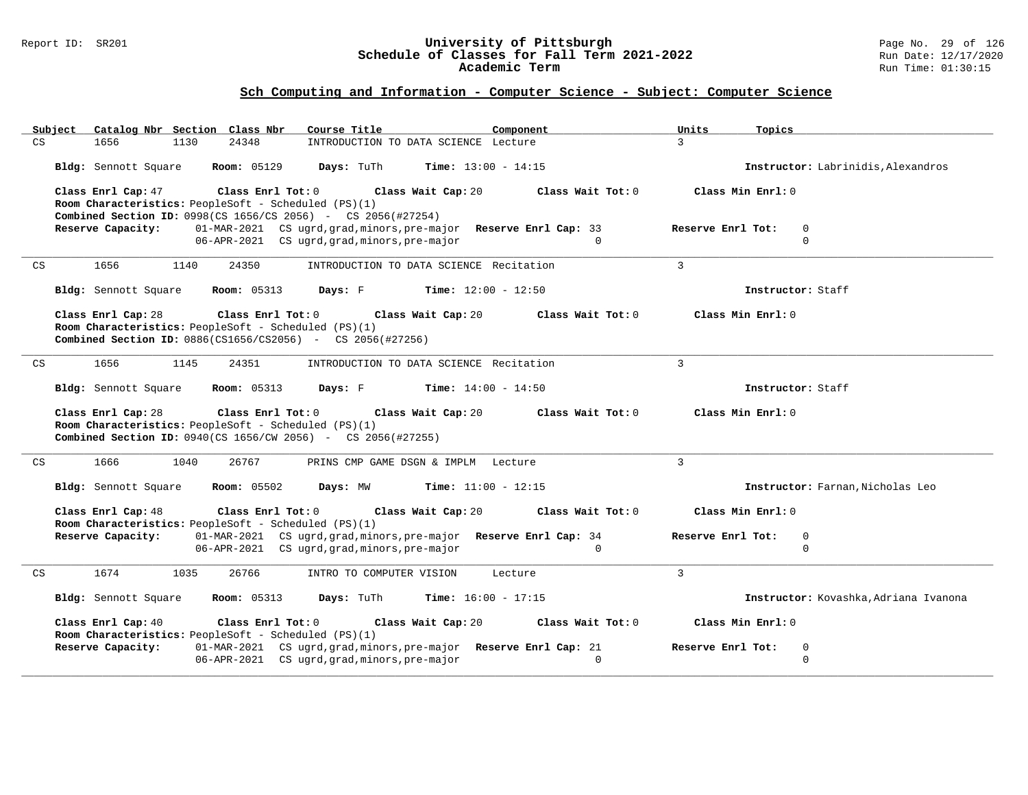#### Report ID: SR201 **University of Pittsburgh** Page No. 29 of 126 **Schedule of Classes for Fall Term 2021-2022** Run Date: 12/17/2020 **Academic Term** Run Time: 01:30:15

| Subject<br>Catalog Nbr Section Class Nbr | Course Title                                                                                                                                         | Component                                                                     | Units<br>Topics                       |
|------------------------------------------|------------------------------------------------------------------------------------------------------------------------------------------------------|-------------------------------------------------------------------------------|---------------------------------------|
| CS<br>1656<br>1130                       | 24348                                                                                                                                                | INTRODUCTION TO DATA SCIENCE Lecture                                          | $\mathcal{L}$                         |
| Bldg: Sennott Square                     | <b>Room:</b> 05129<br>Days: TuTh                                                                                                                     | <b>Time:</b> $13:00 - 14:15$                                                  | Instructor: Labrinidis, Alexandros    |
| Class Enrl Cap: 47                       | Class Enrl Tot: 0<br>Room Characteristics: PeopleSoft - Scheduled (PS)(1)                                                                            | Class Wait Tot: 0<br>Class Wait Cap: 20                                       | Class Min Enrl: 0                     |
| Reserve Capacity:                        | <b>Combined Section ID:</b> 0998(CS 1656/CS 2056) - CS 2056(#27254)                                                                                  | 01-MAR-2021 CS ugrd, grad, minors, pre-major Reserve Enrl Cap: 33             | Reserve Enrl Tot:<br>$\mathbf 0$      |
|                                          | 06-APR-2021 CS ugrd, grad, minors, pre-major                                                                                                         | $\Omega$                                                                      | $\Omega$                              |
|                                          |                                                                                                                                                      |                                                                               |                                       |
| 1656<br>CS<br>1140                       | 24350                                                                                                                                                | INTRODUCTION TO DATA SCIENCE Recitation                                       | $\mathbf{3}$                          |
| Bldg: Sennott Square                     | <b>Room: 05313</b>                                                                                                                                   | <b>Days:</b> F Time: $12:00 - 12:50$                                          | Instructor: Staff                     |
| Class Enrl Cap: 28                       | $Class$ $Enr1$ $Tot: 0$<br>Room Characteristics: PeopleSoft - Scheduled (PS)(1)<br><b>Combined Section ID:</b> 0886(CS1656/CS2056) - CS 2056(#27256) | Class Wait Cap: 20<br>Class Wait Tot: 0                                       | Class Min Enrl: 0                     |
| 1656<br>1145<br>CS                       | 24351                                                                                                                                                | INTRODUCTION TO DATA SCIENCE Recitation                                       | $\overline{3}$                        |
| Bldg: Sennott Square                     | <b>Room: 05313</b><br>Days: F                                                                                                                        | <b>Time:</b> $14:00 - 14:50$                                                  | Instructor: Staff                     |
| Class Enrl Cap: 28                       | $\texttt{Class}$ $\texttt{Enrl}$ $\texttt{Tot:}$ $0$                                                                                                 | Class Wait Cap: 20<br>Class Wait Tot: 0                                       | Class Min Enrl: 0                     |
|                                          | Room Characteristics: PeopleSoft - Scheduled (PS)(1)<br><b>Combined Section ID:</b> 0940(CS 1656/CW 2056) - CS 2056(#27255)                          |                                                                               |                                       |
| 1666<br>CS<br>1040                       | 26767                                                                                                                                                | PRINS CMP GAME DSGN & IMPLM Lecture                                           | $\overline{3}$                        |
| Bldg: Sennott Square                     | <b>Room: 05502</b><br>Days: MW                                                                                                                       | <b>Time:</b> $11:00 - 12:15$                                                  | Instructor: Farnan, Nicholas Leo      |
| Class Enrl Cap: 48                       | Class Enrl Tot: 0                                                                                                                                    | Class Wait Cap: 20<br>Class Wait Tot: 0                                       | Class Min Enrl: 0                     |
|                                          | Room Characteristics: PeopleSoft - Scheduled (PS)(1)                                                                                                 |                                                                               |                                       |
| Reserve Capacity:                        |                                                                                                                                                      | 01-MAR-2021 CS ugrd, grad, minors, pre-major Reserve Enrl Cap: 34<br>$\Omega$ | Reserve Enrl Tot:<br>0<br>$\Omega$    |
|                                          | 06-APR-2021 CS ugrd, grad, minors, pre-major                                                                                                         |                                                                               |                                       |
| CS<br>1674<br>1035                       | 26766<br>INTRO TO COMPUTER VISION                                                                                                                    | Lecture                                                                       | 3                                     |
| Bldg: Sennott Square                     | <b>Room:</b> 05313<br>Days: TuTh                                                                                                                     | <b>Time:</b> $16:00 - 17:15$                                                  | Instructor: Kovashka, Adriana Ivanona |
| Class Enrl Cap: 40                       | Class Enrl Tot: 0                                                                                                                                    | Class Wait Cap: 20<br>Class Wait Tot: 0                                       | Class Min Enrl: 0                     |
|                                          | Room Characteristics: PeopleSoft - Scheduled (PS)(1)                                                                                                 |                                                                               | Reserve Enrl Tot:<br>$\mathbf 0$      |
| Reserve Capacity:                        | 06-APR-2021 CS ugrd, grad, minors, pre-major                                                                                                         | 01-MAR-2021 CS ugrd, grad, minors, pre-major Reserve Enrl Cap: 21<br>$\Omega$ | $\mathbf 0$                           |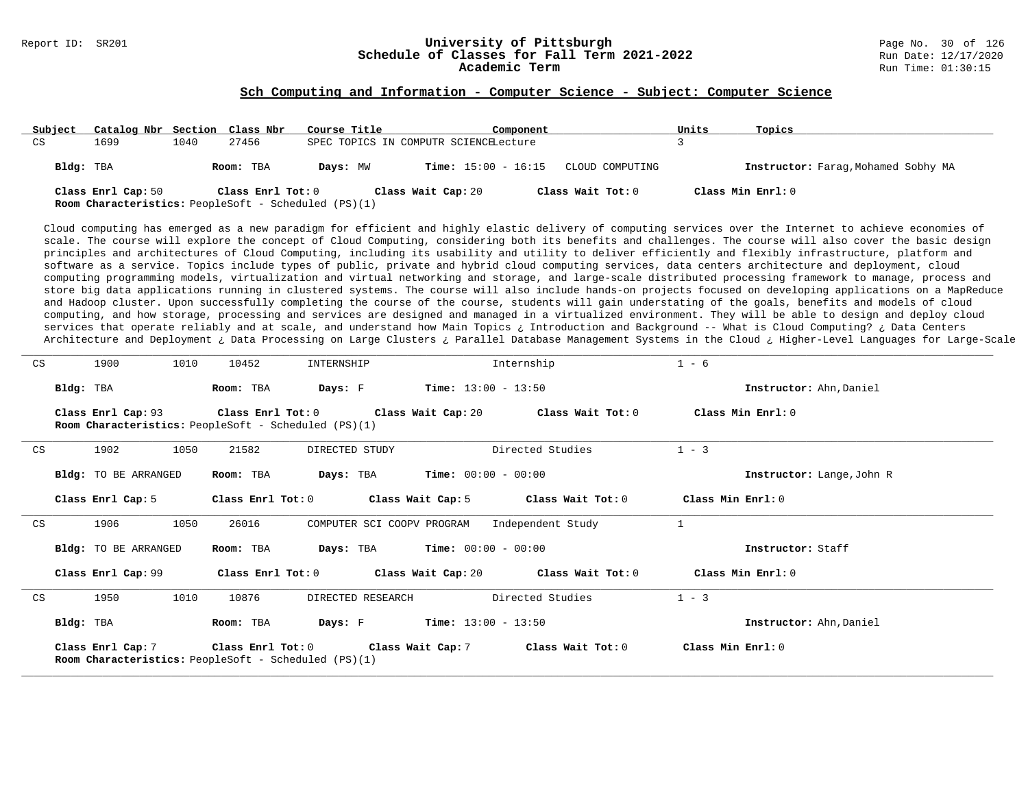# Report ID: SR201 **126** Check **University of Pittsburgh University of Pittsburgh** Page No. 30 of 126<br>**Schedule of Classes for Fall Term 2021-2022** 2011 Page No. 30 of 126 Schedule of Classes for Fall Term 2021-2022

#### **Sch Computing and Information - Computer Science - Subject: Computer Science**

| Subject   | Catalog Nbr Section Class Nbr |      |                   | Course Title                                                | Component                             |                   | Units             | Topics                              |
|-----------|-------------------------------|------|-------------------|-------------------------------------------------------------|---------------------------------------|-------------------|-------------------|-------------------------------------|
| CS        | 1699                          | 1040 | 27456             |                                                             | SPEC TOPICS IN COMPUTR SCIENCELecture |                   |                   |                                     |
| Bldg: TBA |                               |      | Room: TBA         | Days: MW                                                    | <b>Time:</b> $15:00 - 16:15$          | CLOUD COMPUTING   |                   | Instructor: Farag, Mohamed Sobhy MA |
|           | Class Enrl Cap: 50            |      | Class Enrl Tot: 0 | <b>Room Characteristics:</b> PeopleSoft - Scheduled (PS)(1) | Class Wait Cap: 20                    | Class Wait Tot: 0 | Class Min Enrl: 0 |                                     |

Cloud computing has emerged as a new paradigm for efficient and highly elastic delivery of computing services over the Internet to achieve economies of scale. The course will explore the concept of Cloud Computing, considering both its benefits and challenges. The course will also cover the basic design principles and architectures of Cloud Computing, including its usability and utility to deliver efficiently and flexibly infrastructure, platform and software as a service. Topics include types of public, private and hybrid cloud computing services, data centers architecture and deployment, cloud computing programming models, virtualization and virtual networking and storage, and large-scale distributed processing framework to manage, process and store big data applications running in clustered systems. The course will also include hands-on projects focused on developing applications on a MapReduce and Hadoop cluster. Upon successfully completing the course of the course, students will gain understating of the goals, benefits and models of cloud computing, and how storage, processing and services are designed and managed in a virtualized environment. They will be able to design and deploy cloud services that operate reliably and at scale, and understand how Main Topics ¿ Introduction and Background -- What is Cloud Computing? ¿ Data Centers Architecture and Deployment ¿ Data Processing on Large Clusters ¿ Parallel Database Management Systems in the Cloud ¿ Higher-Level Languages for Large-Scale

| CS |           | 1900                        | 1010 | 10452             | INTERNSHIP                                                  |                       | Internship                                                   | $1 - 6$                   |  |
|----|-----------|-----------------------------|------|-------------------|-------------------------------------------------------------|-----------------------|--------------------------------------------------------------|---------------------------|--|
|    | Bldg: TBA |                             |      | Room: TBA         | Days: F                                                     | $Time: 13:00 - 13:50$ |                                                              | Instructor: Ahn, Daniel   |  |
|    |           | Class Enrl Cap: 93          |      |                   | <b>Room Characteristics:</b> PeopleSoft - Scheduled (PS)(1) |                       | Class Enrl Tot: $0$ Class Wait Cap: $20$ Class Wait Tot: $0$ | Class Min Enrl: 0         |  |
| CS |           | 1902                        | 1050 | 21582             | DIRECTED STUDY                                              |                       | Directed Studies                                             | $1 - 3$                   |  |
|    |           | Bldg: TO BE ARRANGED        |      | Room: TBA         | Days: TBA                                                   | $Time: 00:00 - 00:00$ |                                                              | Instructor: Lange, John R |  |
|    |           | Class Enrl Cap: 5           |      |                   |                                                             |                       | Class Enrl Tot: 0 Class Wait Cap: 5 Class Wait Tot: 0        | Class Min Enrl: 0         |  |
| CS |           | 1906                        | 1050 | 26016             | COMPUTER SCI COOPV PROGRAM                                  |                       | Independent Study                                            | $\mathbf{1}$              |  |
|    |           | <b>Bldg:</b> TO BE ARRANGED |      | Room: TBA         | <b>Days:</b> TBA <b>Time:</b> $00:00 - 00:00$               |                       |                                                              | Instructor: Staff         |  |
|    |           | Class Enrl Cap: 99          |      | Class Enrl Tot: 0 |                                                             |                       | Class Wait Cap: 20 $\hspace{1.6cm}$ Class Wait Tot: 0        | Class Min Enrl: 0         |  |
| CS |           | 1950                        | 1010 | 10876             | DIRECTED RESEARCH                                           |                       | Directed Studies                                             | $1 - 3$                   |  |
|    | Bldg: TBA |                             |      | Room: TBA         | <b>Days:</b> F <b>Time:</b> $13:00 - 13:50$                 |                       |                                                              | Instructor: Ahn, Daniel   |  |
|    |           | Class Enrl Cap: 7           |      |                   | <b>Room Characteristics:</b> PeopleSoft - Scheduled (PS)(1) |                       | Class Enrl Tot: $0$ Class Wait Cap: $7$ Class Wait Tot: $0$  | Class Min Enrl: 0         |  |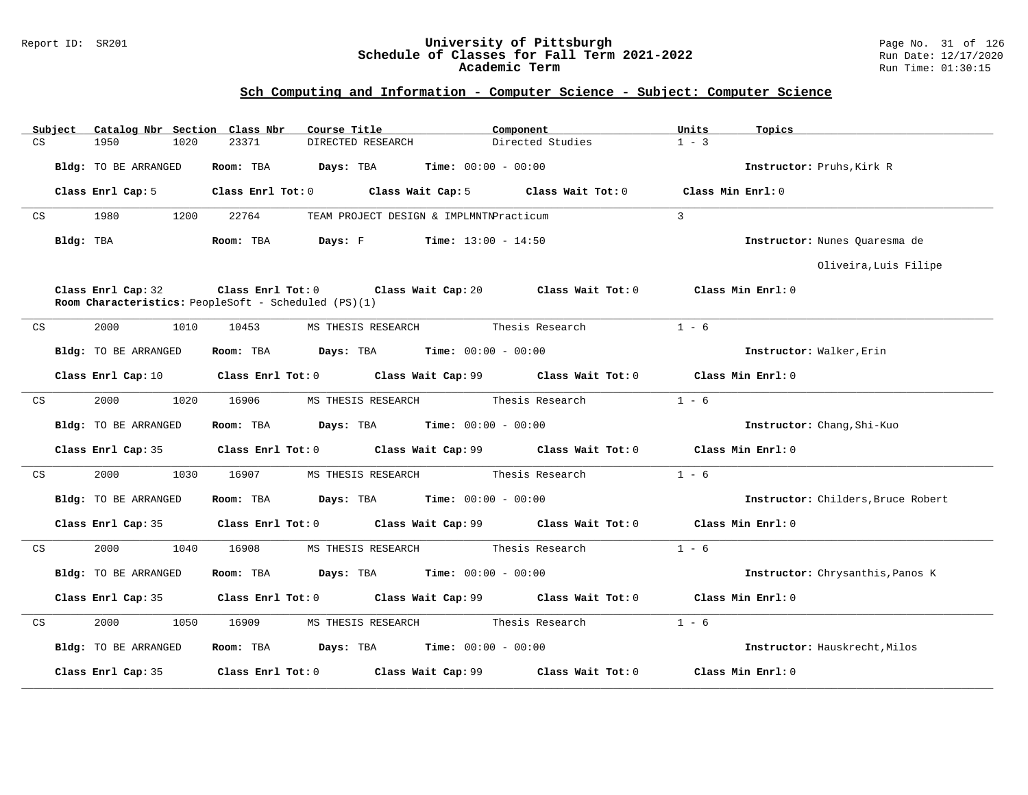#### Report ID: SR201 **University of Pittsburgh** Page No. 31 of 126 **Schedule of Classes for Fall Term 2021-2022** Run Date: 12/17/2020 **Academic Term** Run Time: 01:30:15

| CS | Subject   | Catalog Nbr Section Class Nbr<br>1950                                      | 1020 | 23371     | Course Title | DIRECTED RESEARCH                                              | Component       | Directed Studies                                                                 | Units<br>$1 - 3$  | Topics                             |
|----|-----------|----------------------------------------------------------------------------|------|-----------|--------------|----------------------------------------------------------------|-----------------|----------------------------------------------------------------------------------|-------------------|------------------------------------|
|    |           |                                                                            |      |           |              |                                                                |                 |                                                                                  |                   |                                    |
|    |           | Bldg: TO BE ARRANGED                                                       |      | Room: TBA | Days: TBA    | $Time: 00:00 - 00:00$                                          |                 |                                                                                  |                   | Instructor: Pruhs, Kirk R          |
|    |           | Class Enrl Cap: 5                                                          |      |           |              |                                                                |                 | Class Enrl Tot: 0 Class Wait Cap: 5 Class Wait Tot: 0                            |                   | Class Min Enrl: 0                  |
| CS |           | 1980                                                                       | 1200 | 22764     |              | TEAM PROJECT DESIGN & IMPLMNTNPracticum                        |                 |                                                                                  | $\overline{3}$    |                                    |
|    | Bldg: TBA |                                                                            |      | Room: TBA | Days: F      | $Time: 13:00 - 14:50$                                          |                 |                                                                                  |                   | Instructor: Nunes Ouaresma de      |
|    |           |                                                                            |      |           |              |                                                                |                 |                                                                                  |                   | Oliveira, Luis Filipe              |
|    |           | Class Enrl Cap: 32<br>Room Characteristics: PeopleSoft - Scheduled (PS)(1) |      |           |              |                                                                |                 | Class Enrl Tot: $0$ Class Wait Cap: $20$ Class Wait Tot: $0$ Class Min Enrl: $0$ |                   |                                    |
| CS |           | 2000                                                                       | 1010 | 10453     |              | MS THESIS RESEARCH Thesis Research                             |                 |                                                                                  | $1 - 6$           |                                    |
|    |           | Bldg: TO BE ARRANGED                                                       |      |           |              | Room: TBA $Days: TBA$ Time: $00:00 - 00:00$                    |                 |                                                                                  |                   | Instructor: Walker, Erin           |
|    |           |                                                                            |      |           |              |                                                                |                 | Class Enrl Cap: 10 Class Enrl Tot: 0 Class Wait Cap: 99 Class Wait Tot: 0        | Class Min Enrl: 0 |                                    |
| CS |           | 2000                                                                       | 1020 | 16906     |              | MS THESIS RESEARCH                                             |                 | Thesis Research                                                                  | $1 - 6$           |                                    |
|    |           | Bldg: TO BE ARRANGED                                                       |      | Room: TBA |              | <b>Days:</b> TBA <b>Time:</b> $00:00 - 00:00$                  |                 |                                                                                  |                   | Instructor: Chang, Shi-Kuo         |
|    |           | Class Enrl Cap: 35                                                         |      |           |              |                                                                |                 | Class Enrl Tot: 0 Class Wait Cap: 99 Class Wait Tot: 0                           | Class Min Enrl: 0 |                                    |
| CS |           | 2000                                                                       | 1030 | 16907     |              | MS THESIS RESEARCH                                             |                 | Thesis Research                                                                  | $1 - 6$           |                                    |
|    |           | Bldg: TO BE ARRANGED                                                       |      | Room: TBA |              | $\texttt{DayS:}$ TBA $\texttt{Time:}$ 00:00 - 00:00            |                 |                                                                                  |                   | Instructor: Childers, Bruce Robert |
|    |           | Class Enrl Cap: 35                                                         |      |           |              |                                                                |                 | Class Enrl Tot: 0 Class Wait Cap: 99 Class Wait Tot: 0                           | Class Min Enrl: 0 |                                    |
| CS |           | 2000                                                                       | 1040 | 16908     |              | MS THESIS RESEARCH                                             | Thesis Research |                                                                                  | $1 - 6$           |                                    |
|    |           | Bldg: TO BE ARRANGED                                                       |      | Room: TBA |              | <b>Days:</b> TBA <b>Time:</b> $00:00 - 00:00$                  |                 |                                                                                  |                   | Instructor: Chrysanthis, Panos K   |
|    |           | Class Enrl Cap: 35                                                         |      |           |              |                                                                |                 | Class Enrl Tot: $0$ Class Wait Cap: $99$ Class Wait Tot: $0$ Class Min Enrl: $0$ |                   |                                    |
| CS |           | 2000                                                                       | 1050 | 16909     |              | MS THESIS RESEARCH                                             | Thesis Research |                                                                                  | $1 - 6$           |                                    |
|    |           | Bldg: TO BE ARRANGED                                                       |      |           |              | Room: TBA $\rule{1em}{0.15mm}$ Days: TBA Time: $00:00 - 00:00$ |                 |                                                                                  |                   | Instructor: Hauskrecht, Milos      |
|    |           | Class Enrl Cap: 35                                                         |      |           |              | Class Enrl Tot: 0 Class Wait Cap: 99                           |                 | Class Wait Tot: 0                                                                |                   | Class Min Enrl: 0                  |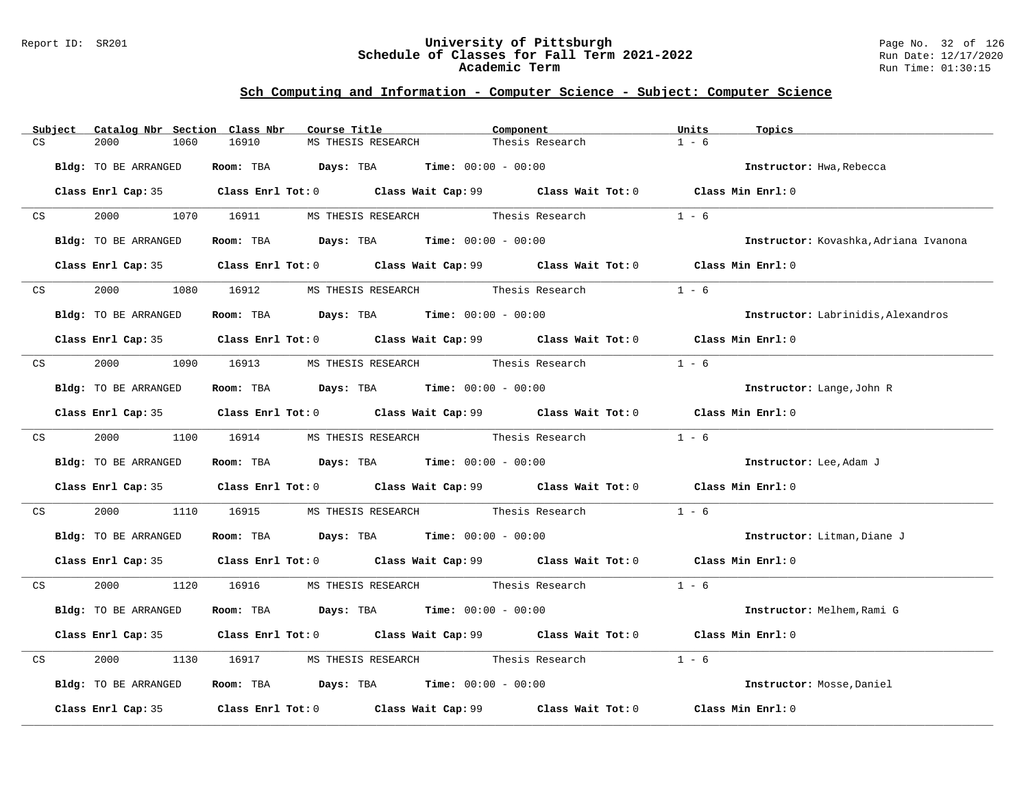#### Report ID: SR201 **University of Pittsburgh** Page No. 32 of 126 **Schedule of Classes for Fall Term 2021-2022** Run Date: 12/17/2020 **Academic Term** Run Time: 01:30:15

|                         | Subject | Catalog Nbr Section Class Nbr | Course Title                                  |                    | Component                                                                                   | Units<br>Topics                           |  |
|-------------------------|---------|-------------------------------|-----------------------------------------------|--------------------|---------------------------------------------------------------------------------------------|-------------------------------------------|--|
| CS                      |         | 2000<br>1060                  | 16910                                         | MS THESIS RESEARCH | Thesis Research                                                                             | $1 - 6$                                   |  |
|                         |         | Bldg: TO BE ARRANGED          | Room: TBA $Days:$ TBA $Time: 00:00 - 00:00$   |                    |                                                                                             | Instructor: Hwa, Rebecca                  |  |
|                         |         |                               |                                               |                    | Class Enrl Cap: 35 Class Enrl Tot: 0 Class Wait Cap: 99 Class Wait Tot: 0 Class Min Enrl: 0 |                                           |  |
|                         | CS      |                               |                                               |                    | 2000 1070 16911 MS THESIS RESEARCH Thesis Research                                          | $1 - 6$                                   |  |
|                         |         | Bldg: TO BE ARRANGED          | Room: TBA $Days:$ TBA $Time: 00:00 - 00:00$   |                    |                                                                                             | Instructor: Kovashka, Adriana Ivanona     |  |
|                         |         |                               |                                               |                    | Class Enrl Cap: 35 Class Enrl Tot: 0 Class Wait Cap: 99 Class Wait Tot: 0 Class Min Enrl: 0 |                                           |  |
|                         | CS      | 2000<br>1080                  | 16912 MS THESIS RESEARCH Thesis Research      |                    |                                                                                             | $1 - 6$                                   |  |
|                         |         | Bldg: TO BE ARRANGED          | Room: TBA $Days:$ TBA $Time: 00:00 - 00:00$   |                    |                                                                                             | <b>Instructor:</b> Labrinidis, Alexandros |  |
|                         |         |                               |                                               |                    | Class Enrl Cap: 35 Class Enrl Tot: 0 Class Wait Cap: 99 Class Wait Tot: 0 Class Min Enrl: 0 |                                           |  |
| CS                      |         |                               |                                               |                    | 2000 1090 16913 MS THESIS RESEARCH Thesis Research                                          | $1 - 6$                                   |  |
|                         |         | Bldg: TO BE ARRANGED          | Room: TBA $Days:$ TBA Time: $00:00 - 00:00$   |                    |                                                                                             | Instructor: Lange, John R                 |  |
|                         |         |                               |                                               |                    | Class Enrl Cap: 35 Class Enrl Tot: 0 Class Wait Cap: 99 Class Wait Tot: 0 Class Min Enrl: 0 |                                           |  |
|                         | CS      |                               |                                               |                    | 2000 1100 16914 MS THESIS RESEARCH Thesis Research                                          | $1 - 6$                                   |  |
|                         |         | Bldg: TO BE ARRANGED          | Room: TBA $Days:$ TBA $Time: 00:00 - 00:00$   |                    |                                                                                             | Instructor: Lee, Adam J                   |  |
|                         |         |                               |                                               |                    | Class Enrl Cap: 35 Class Enrl Tot: 0 Class Wait Cap: 99 Class Wait Tot: 0 Class Min Enrl: 0 |                                           |  |
| $\mathbb{C} \mathbf{S}$ |         | 2000 000                      |                                               |                    | 1110 16915 MS THESIS RESEARCH Thesis Research                                               | $1 - 6$                                   |  |
|                         |         | Bldg: TO BE ARRANGED          | Room: TBA $Days:$ TBA $Time:$ $00:00 - 00:00$ |                    |                                                                                             | Instructor: Litman, Diane J               |  |
|                         |         |                               |                                               |                    | Class Enrl Cap: 35 Class Enrl Tot: 0 Class Wait Cap: 99 Class Wait Tot: 0 Class Min Enrl: 0 |                                           |  |
|                         | CS      |                               |                                               |                    | 2000 1120 16916 MS THESIS RESEARCH Thesis Research 1 - 6                                    |                                           |  |
|                         |         | Bldg: TO BE ARRANGED          | Room: TBA $Days:$ TBA $Time: 00:00 - 00:00$   |                    |                                                                                             | Instructor: Melhem, Rami G                |  |
|                         |         |                               |                                               |                    | Class Enrl Cap: 35 Class Enrl Tot: 0 Class Wait Cap: 99 Class Wait Tot: 0 Class Min Enrl: 0 |                                           |  |
| CS                      |         | 2000<br>1130                  | 16917                                         |                    | MS THESIS RESEARCH Thesis Research                                                          | $1 - 6$                                   |  |
|                         |         | Bldg: TO BE ARRANGED          | Room: TBA $Days:$ TBA Time: $00:00 - 00:00$   |                    |                                                                                             | Instructor: Mosse, Daniel                 |  |
|                         |         |                               |                                               |                    | Class Enrl Cap: 35 Class Enrl Tot: 0 Class Wait Cap: 99 Class Wait Tot: 0 Class Min Enrl: 0 |                                           |  |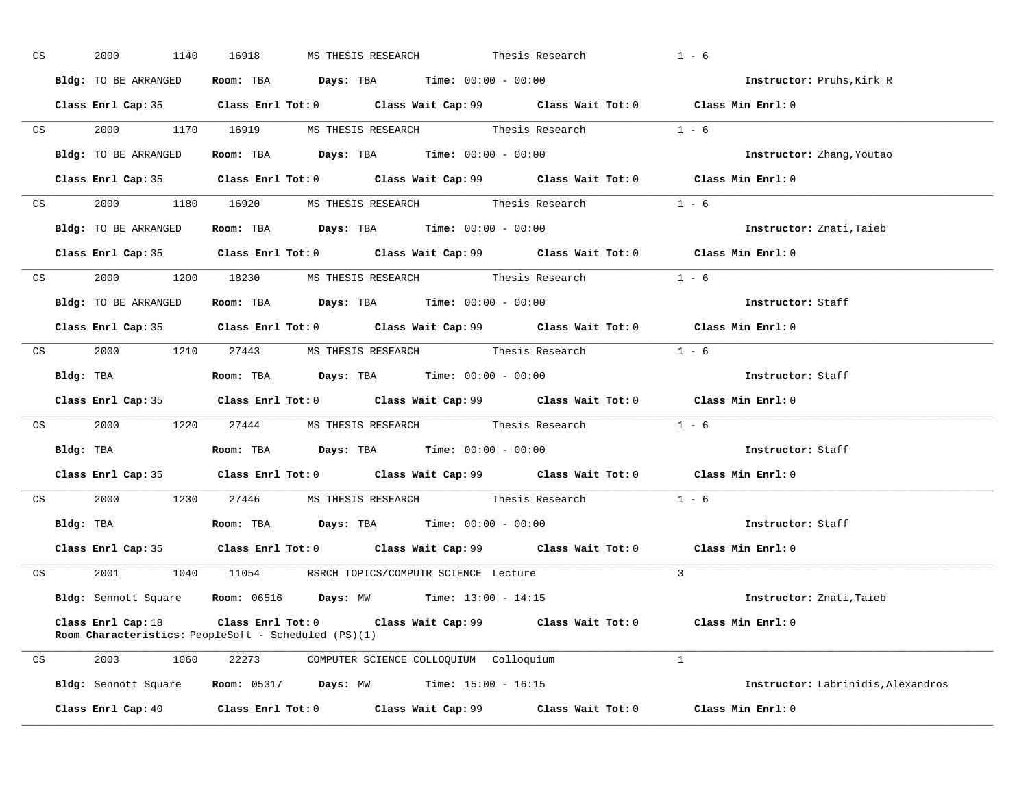| CS | 2000<br>1140                                                                                 | 16918 |  | MS THESIS RESEARCH Thesis Research                                                      |                                                                     | $1 - 6$                                                                                     |
|----|----------------------------------------------------------------------------------------------|-------|--|-----------------------------------------------------------------------------------------|---------------------------------------------------------------------|---------------------------------------------------------------------------------------------|
|    | Bldg: TO BE ARRANGED                                                                         |       |  | Room: TBA $Days:$ TBA $Time: 00:00 - 00:00$                                             |                                                                     | Instructor: Pruhs, Kirk R                                                                   |
|    |                                                                                              |       |  |                                                                                         |                                                                     | Class Enrl Cap: 35 Class Enrl Tot: 0 Class Wait Cap: 99 Class Wait Tot: 0 Class Min Enrl: 0 |
|    |                                                                                              |       |  |                                                                                         | CS 2000 1170 16919 MS THESIS RESEARCH Thesis Research 1 - 6         |                                                                                             |
|    | Bldg: TO BE ARRANGED                                                                         |       |  | Room: TBA $\rule{1em}{0.15mm}$ Days: TBA $\rule{1.15mm}]{0.15mm}$ Time: $0.000 - 0.000$ |                                                                     | <b>Instructor:</b> Zhang, Youtao                                                            |
|    |                                                                                              |       |  |                                                                                         |                                                                     | Class Enrl Cap: 35 Class Enrl Tot: 0 Class Wait Cap: 99 Class Wait Tot: 0 Class Min Enrl: 0 |
|    |                                                                                              |       |  |                                                                                         | CS 2000 1180 16920 MS THESIS RESEARCH Thesis Research 1 - 6         |                                                                                             |
|    | Bldg: TO BE ARRANGED                                                                         |       |  | Room: TBA $Days:$ TBA $Time: 00:00 - 00:00$                                             |                                                                     | Instructor: Znati, Taieb                                                                    |
|    |                                                                                              |       |  |                                                                                         |                                                                     | Class Enrl Cap: 35 Class Enrl Tot: 0 Class Wait Cap: 99 Class Wait Tot: 0 Class Min Enrl: 0 |
|    |                                                                                              |       |  |                                                                                         | CS 2000 1200 18230 MS THESIS RESEARCH Thesis Research 1 - 6         |                                                                                             |
|    | <b>Bldg:</b> TO BE ARRANGED <b>Room:</b> TBA <b>Days:</b> TBA <b>Time:</b> $00:00 - 00:00$   |       |  |                                                                                         |                                                                     | Instructor: Staff                                                                           |
|    |                                                                                              |       |  |                                                                                         |                                                                     | Class Enrl Cap: 35 Class Enrl Tot: 0 Class Wait Cap: 99 Class Wait Tot: 0 Class Min Enrl: 0 |
|    |                                                                                              |       |  |                                                                                         | CS 2000 1210 27443 MS THESIS RESEARCH Thesis Research 1 - 6         |                                                                                             |
|    | Bldg: TBA                   Room: TBA         Days: TBA         Time: $00:00 - 00:00$        |       |  |                                                                                         |                                                                     | Instructor: Staff                                                                           |
|    |                                                                                              |       |  |                                                                                         |                                                                     |                                                                                             |
|    |                                                                                              |       |  |                                                                                         |                                                                     | Class Enrl Cap: 35 Class Enrl Tot: 0 Class Wait Cap: 99 Class Wait Tot: 0 Class Min Enrl: 0 |
|    |                                                                                              |       |  |                                                                                         | CS 2000 1220 27444 MS THESIS RESEARCH Thesis Research 1 - 6         |                                                                                             |
|    | Bldg: TBA                    Room: TBA         Days: TBA         Time: $00:00 - 00:00$       |       |  |                                                                                         |                                                                     | Instructor: Staff                                                                           |
|    |                                                                                              |       |  |                                                                                         |                                                                     | Class Enrl Cap: 35 Class Enrl Tot: 0 Class Wait Cap: 99 Class Wait Tot: 0 Class Min Enrl: 0 |
|    |                                                                                              |       |  |                                                                                         | CS $2000$ $1230$ $27446$ MS THESIS RESEARCH Thesis Research $1 - 6$ |                                                                                             |
|    | Bldg: TBA                       Room: TBA           Days: TBA          Time: $00:00 - 00:00$ |       |  |                                                                                         |                                                                     | Instructor: Staff                                                                           |
|    |                                                                                              |       |  |                                                                                         |                                                                     | Class Enrl Cap: 35 Class Enrl Tot: 0 Class Wait Cap: 99 Class Wait Tot: 0 Class Min Enrl: 0 |
|    | CS 2001 1040 11054 RSRCH TOPICS/COMPUTR SCIENCE Lecture                                      |       |  |                                                                                         |                                                                     | $\overline{3}$                                                                              |
|    | Bldg: Sennott Square Room: 06516 Days: MW Time: 13:00 - 14:15                                |       |  |                                                                                         |                                                                     | Instructor: Znati, Taieb                                                                    |
|    | Class Enrl Cap: 18<br>Room Characteristics: PeopleSoft - Scheduled (PS)(1)                   |       |  |                                                                                         |                                                                     | Class Enrl Tot: $0$ Class Wait Cap: $99$ Class Wait Tot: $0$ Class Min Enrl: $0$            |
|    | CS 2003 1060 22273 COMPUTER SCIENCE COLLOQUIUM Colloquium                                    |       |  |                                                                                         |                                                                     | $\overline{1}$                                                                              |
|    | Bldg: Sennott Square Room: 05317 Days: MW Time: 15:00 - 16:15                                |       |  |                                                                                         |                                                                     | Instructor: Labrinidis, Alexandros                                                          |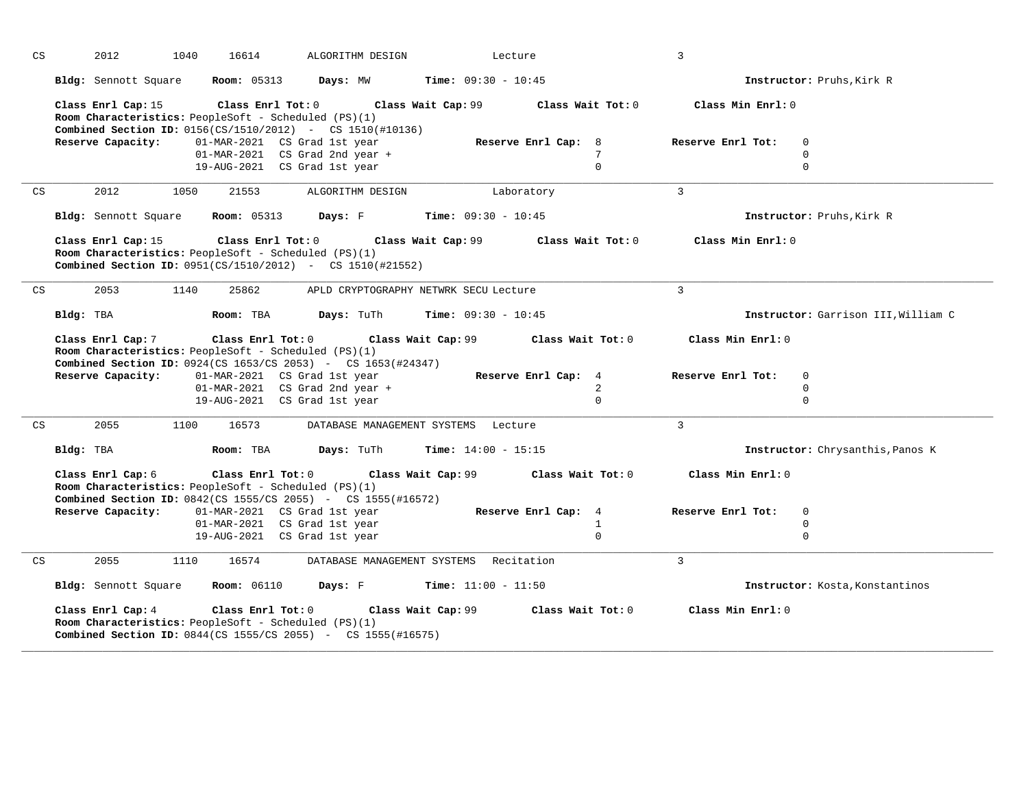| CS |           | 2012<br>1040                           | 16614                                                                                                                                     | ALGORITHM DESIGN                                                                                      |                              | Lecture                                                 | $\overline{3}$                         |                                     |
|----|-----------|----------------------------------------|-------------------------------------------------------------------------------------------------------------------------------------------|-------------------------------------------------------------------------------------------------------|------------------------------|---------------------------------------------------------|----------------------------------------|-------------------------------------|
|    |           | Bldg: Sennott Square                   | <b>Room:</b> 05313                                                                                                                        | Days: MW                                                                                              | Time: $09:30 - 10:45$        |                                                         |                                        | Instructor: Pruhs, Kirk R           |
|    |           | Class Enrl Cap: 15                     | Class Enrl Tot: 0<br>Room Characteristics: PeopleSoft - Scheduled (PS)(1)                                                                 | <b>Combined Section ID:</b> 0156(CS/1510/2012) - CS 1510(#10136)                                      | Class Wait Cap: 99           | Class Wait Tot: 0                                       | Class Min Enrl: 0                      |                                     |
|    |           | Reserve Capacity:                      | 01-MAR-2021 CS Grad 1st year<br>19-AUG-2021 CS Grad 1st year                                                                              | 01-MAR-2021 CS Grad 2nd year +                                                                        |                              | Reserve Enrl Cap: 8<br>7<br>$\Omega$                    | Reserve Enrl Tot:                      | $\mathbf{0}$<br>0<br>$\mathbf 0$    |
| CS |           | 2012<br>1050                           | 21553                                                                                                                                     | ALGORITHM DESIGN                                                                                      |                              | Laboratory                                              | $\overline{3}$                         |                                     |
|    |           | Bldg: Sennott Square                   | <b>Room:</b> 05313                                                                                                                        | Days: F                                                                                               | <b>Time:</b> $09:30 - 10:45$ |                                                         |                                        | Instructor: Pruhs, Kirk R           |
|    |           | Class Enrl Cap: 15                     | Class Enrl Tot: 0<br>Room Characteristics: PeopleSoft - Scheduled (PS)(1)                                                                 | <b>Combined Section ID:</b> $0951(CS/1510/2012)$ - CS $1510(\#21552)$                                 | Class Wait Cap: 99           | Class Wait Tot: 0                                       | Class Min Enrl: 0                      |                                     |
| CS |           | 2053<br>1140                           | 25862                                                                                                                                     | APLD CRYPTOGRAPHY NETWRK SECU Lecture                                                                 |                              |                                                         | $\mathbf{3}$                           |                                     |
|    | Bldg: TBA |                                        | Room: TBA                                                                                                                                 | Days: TuTh                                                                                            | Time: $09:30 - 10:45$        |                                                         |                                        | Instructor: Garrison III, William C |
|    |           | Class Enrl Cap: 7<br>Reserve Capacity: | Class Enrl Tot: 0<br>Room Characteristics: PeopleSoft - Scheduled (PS)(1)<br>01-MAR-2021 CS Grad 1st year<br>19-AUG-2021 CS Grad 1st year | <b>Combined Section ID:</b> 0924(CS 1653/CS 2053) - CS 1653(#24347)<br>01-MAR-2021 CS Grad 2nd year + | Class Wait Cap: 99           | Class Wait Tot: 0<br>Reserve Enrl Cap: 4<br>2<br>$\cap$ | Class Min Enrl: 0<br>Reserve Enrl Tot: | $\mathbf 0$<br>0<br>$\mathbf 0$     |
| CS |           | 2055<br>1100                           | 16573                                                                                                                                     | DATABASE MANAGEMENT SYSTEMS                                                                           |                              | Lecture                                                 | $\overline{3}$                         |                                     |
|    | Bldg: TBA |                                        | Room: TBA                                                                                                                                 | Days: TuTh                                                                                            | <b>Time:</b> $14:00 - 15:15$ |                                                         |                                        | Instructor: Chrysanthis, Panos K    |
|    |           | Class Enrl Cap: 6                      | Class Enrl Tot: 0<br>Room Characteristics: PeopleSoft - Scheduled (PS)(1)                                                                 | Combined Section ID: 0842(CS 1555/CS 2055) - CS 1555(#16572)                                          | Class Wait Cap: 99           | Class Wait Tot: 0                                       | Class Min Enrl: 0                      |                                     |
|    |           | Reserve Capacity:                      | 01-MAR-2021 CS Grad 1st year<br>01-MAR-2021 CS Grad 1st year                                                                              |                                                                                                       |                              | Reserve Enrl Cap: 4<br>$\mathbf{1}$                     | Reserve Enrl Tot:                      | $\mathbf 0$<br>$\mathbf 0$          |
|    |           |                                        | 19-AUG-2021 CS Grad 1st year                                                                                                              |                                                                                                       |                              | $\Omega$                                                |                                        | $\mathbf 0$                         |
| CS |           | 2055<br>1110                           | 16574                                                                                                                                     | DATABASE MANAGEMENT SYSTEMS Recitation                                                                |                              |                                                         | $\mathbf{3}$                           |                                     |
|    |           | Bldg: Sennott Square                   | <b>Room: 06110</b>                                                                                                                        | Days: F                                                                                               | <b>Time:</b> $11:00 - 11:50$ |                                                         |                                        | Instructor: Kosta, Konstantinos     |
|    |           | Class Enrl Cap: 4                      | Class Enrl Tot: 0<br>Room Characteristics: PeopleSoft - Scheduled (PS)(1)                                                                 | <b>Combined Section ID:</b> 0844(CS 1555/CS 2055) - CS 1555(#16575)                                   | Class Wait Cap: 99           | Class Wait Tot: 0                                       | Class Min Enrl: 0                      |                                     |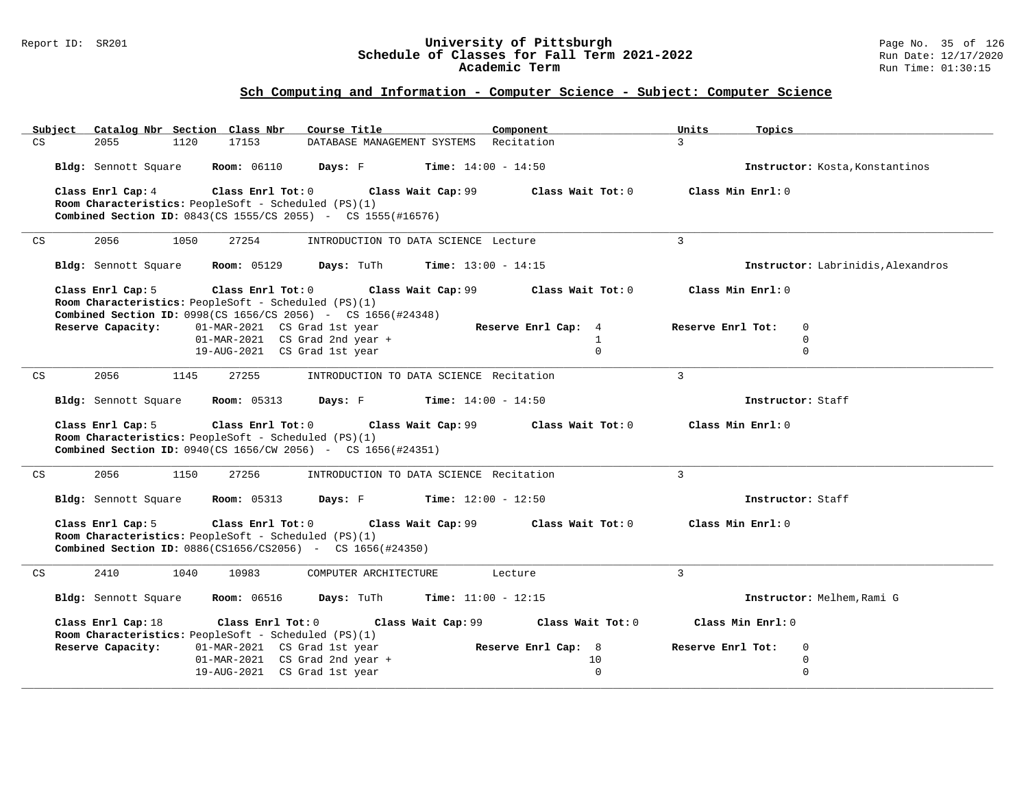#### Report ID: SR201 **University of Pittsburgh** Page No. 35 of 126 **Schedule of Classes for Fall Term 2021-2022** Run Date: 12/17/2020 **Academic Term** Run Time: 01:30:15

|    | Subject |                      |      | Catalog Nbr Section Class Nbr    | Course Title                                                                                                                |                                                | Component                    |                   | Units             | Topics            |                                    |
|----|---------|----------------------|------|----------------------------------|-----------------------------------------------------------------------------------------------------------------------------|------------------------------------------------|------------------------------|-------------------|-------------------|-------------------|------------------------------------|
| CS |         | 2055                 | 1120 | 17153                            |                                                                                                                             | DATABASE MANAGEMENT SYSTEMS Recitation         |                              |                   | $\mathcal{L}$     |                   |                                    |
|    |         | Bldg: Sennott Square |      | <b>Room:</b> 06110               |                                                                                                                             | <b>Days:</b> F <b>Time:</b> $14:00 - 14:50$    |                              |                   |                   |                   | Instructor: Kosta, Konstantinos    |
|    |         | Class Enrl Cap: 4    |      | Class Enrl Tot: 0                |                                                                                                                             | Class Wait Cap: 99                             |                              | Class Wait Tot: 0 | Class Min Enrl: 0 |                   |                                    |
|    |         |                      |      |                                  | Room Characteristics: PeopleSoft - Scheduled (PS)(1)                                                                        |                                                |                              |                   |                   |                   |                                    |
|    |         |                      |      |                                  | Combined Section ID: 0843(CS 1555/CS 2055) - CS 1555(#16576)                                                                |                                                |                              |                   |                   |                   |                                    |
| CS |         | 2056                 | 1050 | 27254                            |                                                                                                                             | INTRODUCTION TO DATA SCIENCE Lecture           |                              |                   | 3                 |                   |                                    |
|    |         | Bldg: Sennott Square |      | <b>Room: 05129</b>               |                                                                                                                             | <b>Days:</b> TuTh <b>Time:</b> $13:00 - 14:15$ |                              |                   |                   |                   | Instructor: Labrinidis, Alexandros |
|    |         | Class Enrl Cap: 5    |      | Class Enrl Tot: 0                | Room Characteristics: PeopleSoft - Scheduled (PS)(1)<br><b>Combined Section ID:</b> 0998(CS 1656/CS 2056) - CS 1656(#24348) | Class Wait Cap: 99                             |                              | Class Wait Tot: 0 | Class Min Enrl: 0 |                   |                                    |
|    |         | Reserve Capacity:    |      |                                  | 01-MAR-2021 CS Grad 1st year                                                                                                |                                                | Reserve Enrl Cap: 4          |                   | Reserve Enrl Tot: | $\mathbf 0$       |                                    |
|    |         |                      |      |                                  | 01-MAR-2021 CS Grad 2nd year +                                                                                              |                                                |                              | $\mathbf{1}$      |                   | $\Omega$          |                                    |
|    |         |                      |      |                                  | 19-AUG-2021 CS Grad 1st year                                                                                                |                                                |                              | $\mathbf 0$       |                   | $\Omega$          |                                    |
| CS |         | 2056                 | 1145 | 27255                            |                                                                                                                             | INTRODUCTION TO DATA SCIENCE Recitation        |                              |                   | $\mathcal{L}$     |                   |                                    |
|    |         | Bldg: Sennott Square |      | <b>Room:</b> 05313               |                                                                                                                             | <b>Days:</b> F <b>Time:</b> $14:00 - 14:50$    |                              |                   |                   | Instructor: Staff |                                    |
|    |         | Class Enrl Cap: 5    |      | Class Enrl Tot: 0                | Room Characteristics: PeopleSoft - Scheduled (PS)(1)<br><b>Combined Section ID:</b> 0940(CS 1656/CW 2056) - CS 1656(#24351) | Class Wait Cap: 99                             | Class Wait Tot: 0            |                   | Class Min Enrl: 0 |                   |                                    |
| CS |         | 2056                 | 1150 | 27256                            |                                                                                                                             | INTRODUCTION TO DATA SCIENCE Recitation        |                              |                   | $\mathbf{R}$      |                   |                                    |
|    |         |                      |      | Bldg: Sennott Square Room: 05313 |                                                                                                                             | <b>Days:</b> F Time: $12:00 - 12:50$           |                              |                   |                   | Instructor: Staff |                                    |
|    |         | Class Enrl Cap: 5    |      | Class Enrl Tot: 0                | Room Characteristics: PeopleSoft - Scheduled (PS)(1)<br><b>Combined Section ID:</b> 0886(CS1656/CS2056) - CS 1656(#24350)   | Class Wait Cap: 99 Class Wait Tot: 0           |                              |                   | Class Min Enrl: 0 |                   |                                    |
| CS |         | 2410                 | 1040 | 10983                            | COMPUTER ARCHITECTURE                                                                                                       |                                                | Lecture                      |                   | $\mathbf{3}$      |                   |                                    |
|    |         |                      |      | Bldg: Sennott Square Room: 06516 | Days: TuTh                                                                                                                  |                                                | <b>Time:</b> $11:00 - 12:15$ |                   |                   |                   | Instructor: Melhem, Rami G         |
|    |         | Class Enrl Cap: 18   |      | $Class$ $Enrl$ $Tot: 0$          | Room Characteristics: PeopleSoft - Scheduled (PS)(1)                                                                        | Class Wait Cap: 99                             |                              | Class Wait Tot: 0 |                   | Class Min Enrl: 0 |                                    |
|    |         | Reserve Capacity:    |      |                                  | 01-MAR-2021 CS Grad 1st year                                                                                                |                                                | Reserve Enrl Cap: 8          |                   | Reserve Enrl Tot: | 0                 |                                    |
|    |         |                      |      |                                  | 01-MAR-2021 CS Grad 2nd year +                                                                                              |                                                |                              | 10                |                   | $\mathbf 0$       |                                    |
|    |         |                      |      |                                  | 19-AUG-2021 CS Grad 1st year                                                                                                |                                                |                              | $\Omega$          |                   | $\Omega$          |                                    |
|    |         |                      |      |                                  |                                                                                                                             |                                                |                              |                   |                   |                   |                                    |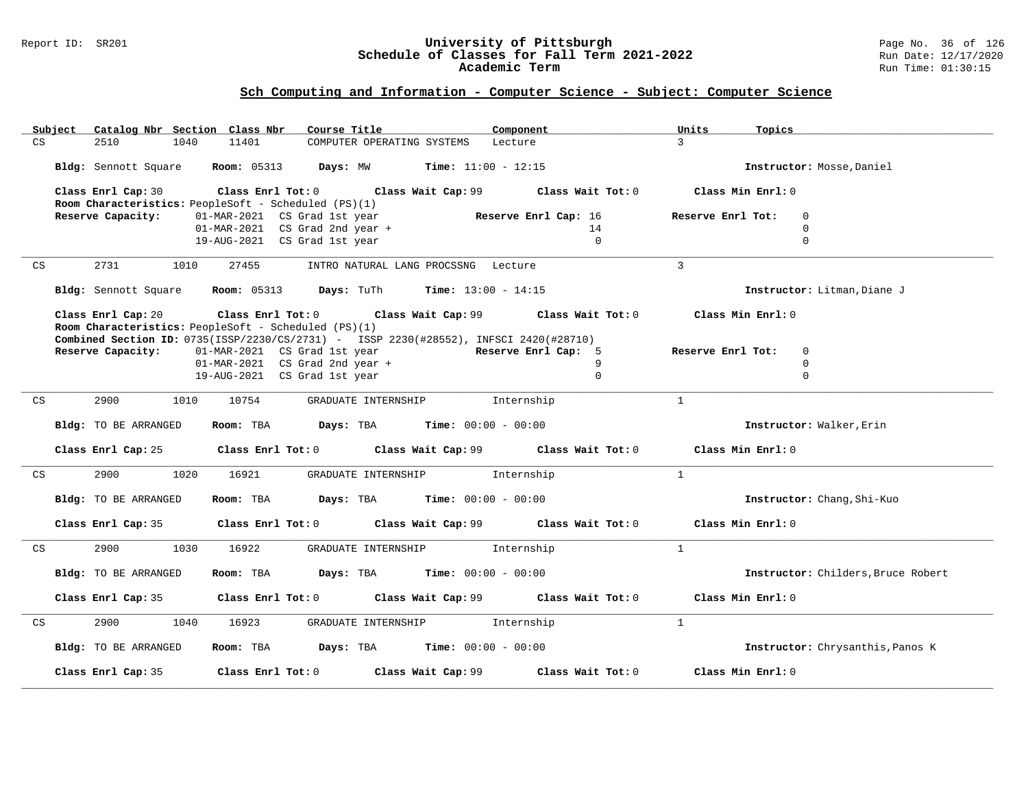#### Report ID: SR201 **University of Pittsburgh** Page No. 36 of 126 **Schedule of Classes for Fall Term 2021-2022** Run Date: 12/17/2020 **Academic Term** Run Time: 01:30:15

|    | Subject                                                                         |                                                                                                          | Catalog Nbr Section Class Nbr                        | Course Title                                                      | Component                                     |                   | Units                    | Topics                             |
|----|---------------------------------------------------------------------------------|----------------------------------------------------------------------------------------------------------|------------------------------------------------------|-------------------------------------------------------------------|-----------------------------------------------|-------------------|--------------------------|------------------------------------|
| CS |                                                                                 | 2510<br>1040                                                                                             | 11401                                                | COMPUTER OPERATING SYSTEMS                                        | Lecture                                       |                   | $\mathcal{L}$            |                                    |
|    |                                                                                 | <b>Bldg:</b> Sennott Square $\blacksquare$ <b>Room:</b> 05313 <b>Days:</b> MW <b>Time:</b> 11:00 - 12:15 |                                                      |                                                                   | Instructor: Mosse, Daniel                     |                   |                          |                                    |
|    | Class Enrl Cap: 30<br>Class Enrl Tot: 0<br>Class Wait Cap: 99 Class Wait Tot: 0 |                                                                                                          |                                                      |                                                                   |                                               | Class Min Enrl: 0 |                          |                                    |
|    | Room Characteristics: PeopleSoft - Scheduled (PS)(1)                            |                                                                                                          |                                                      |                                                                   |                                               |                   |                          |                                    |
|    |                                                                                 | Reserve Capacity:                                                                                        | 01-MAR-2021 CS Grad 1st year                         |                                                                   | Reserve Enrl Cap: 16                          |                   | Reserve Enrl Tot:        | $\Omega$                           |
|    |                                                                                 |                                                                                                          |                                                      | $01-MAR-2021$ CS Grad 2nd year +                                  |                                               | 14                |                          | $\mathbf 0$                        |
|    |                                                                                 |                                                                                                          | 19-AUG-2021 CS Grad 1st year                         |                                                                   |                                               | $\Omega$          |                          | $\Omega$                           |
| CS |                                                                                 | 2731                                                                                                     | 1010<br>27455<br>INTRO NATURAL LANG PROCSSNG Lecture |                                                                   |                                               | $\mathbf{R}$      |                          |                                    |
|    |                                                                                 | Bldg: Sennott Square                                                                                     |                                                      | <b>Room:</b> 05313 <b>Days:</b> TuTh <b>Time:</b> $13:00 - 14:15$ |                                               |                   |                          | Instructor: Litman, Diane J        |
|    |                                                                                 | Class Enrl Cap: 20<br>Class Enrl Tot: 0<br>Class Wait Cap: 99                                            |                                                      |                                                                   | Class Wait Tot: 0                             | Class Min Enrl: 0 |                          |                                    |
|    |                                                                                 | Room Characteristics: PeopleSoft - Scheduled (PS)(1)                                                     |                                                      |                                                                   |                                               |                   |                          |                                    |
|    |                                                                                 | Combined Section ID: 0735(ISSP/2230/CS/2731) - ISSP 2230(#28552), INFSCI 2420(#28710)                    |                                                      |                                                                   |                                               |                   |                          |                                    |
|    |                                                                                 | Reserve Capacity:                                                                                        | 01-MAR-2021 CS Grad 1st year                         |                                                                   | Reserve Enrl Cap: 5                           |                   | Reserve Enrl Tot:        | $\mathbf{0}$                       |
|    |                                                                                 |                                                                                                          |                                                      | 01-MAR-2021 CS Grad 2nd year +                                    |                                               | 9<br>$\Omega$     |                          | $\mathbf 0$<br>$\Omega$            |
|    |                                                                                 |                                                                                                          | 19-AUG-2021 CS Grad 1st year                         |                                                                   |                                               |                   |                          |                                    |
| CS |                                                                                 | 2900<br>1010                                                                                             | 10754                                                | GRADUATE INTERNSHIP                                               | Internship                                    |                   | $\mathbf{1}$             |                                    |
|    |                                                                                 | Bldg: TO BE ARRANGED                                                                                     | Room: TBA                                            |                                                                   | <b>Days:</b> TBA <b>Time:</b> $00:00 - 00:00$ |                   | Instructor: Walker, Erin |                                    |
|    |                                                                                 |                                                                                                          |                                                      |                                                                   |                                               |                   |                          |                                    |
|    |                                                                                 | Class Enrl Cap: 25                                                                                       |                                                      | Class Enrl Tot: 0 Class Wait Cap: 99 Class Wait Tot: 0            |                                               |                   | Class Min Enrl: 0        |                                    |
| CS |                                                                                 | 2900<br>1020                                                                                             | 16921                                                | GRADUATE INTERNSHIP                                               | Internship                                    |                   | $\mathbf{1}$             |                                    |
|    |                                                                                 |                                                                                                          |                                                      |                                                                   |                                               |                   |                          |                                    |
|    |                                                                                 | Bldg: TO BE ARRANGED                                                                                     | Room: TBA                                            | $\texttt{Days:}$ TBA $\texttt{Time:}$ 00:00 - 00:00               |                                               |                   |                          | Instructor: Chang, Shi-Kuo         |
|    |                                                                                 | Class Enrl Cap: 35                                                                                       |                                                      | Class Enrl Tot: 0 Class Wait Cap: 99 Class Wait Tot: 0            |                                               |                   | Class Min Enrl: 0        |                                    |
| CS |                                                                                 | 2900<br>1030                                                                                             | 16922                                                | GRADUATE INTERNSHIP                                               | Internship                                    |                   | $\mathbf{1}$             |                                    |
|    |                                                                                 | Bldg: TO BE ARRANGED                                                                                     | Room: TBA                                            | <b>Days:</b> TBA <b>Time:</b> $00:00 - 00:00$                     |                                               |                   |                          | Instructor: Childers, Bruce Robert |
|    |                                                                                 | Class Enrl Cap: 35                                                                                       |                                                      | Class Enrl Tot: 0 Class Wait Cap: 99 Class Wait Tot: 0            |                                               |                   | Class Min Enrl: 0        |                                    |
| CS |                                                                                 | 2900<br>1040                                                                                             | 16923                                                | GRADUATE INTERNSHIP                                               | Internship                                    |                   | $\mathbf{1}$             |                                    |
|    | Bldg: TO BE ARRANGED                                                            |                                                                                                          | Room: TBA                                            | <b>Days:</b> TBA <b>Time:</b> $00:00 - 00:00$                     |                                               |                   |                          | Instructor: Chrysanthis, Panos K   |
|    |                                                                                 | Class Enrl Cap: 35                                                                                       | Class Enrl Tot: 0                                    |                                                                   | Class Wait Cap: 99                            | Class Wait Tot: 0 | Class Min Enrl: 0        |                                    |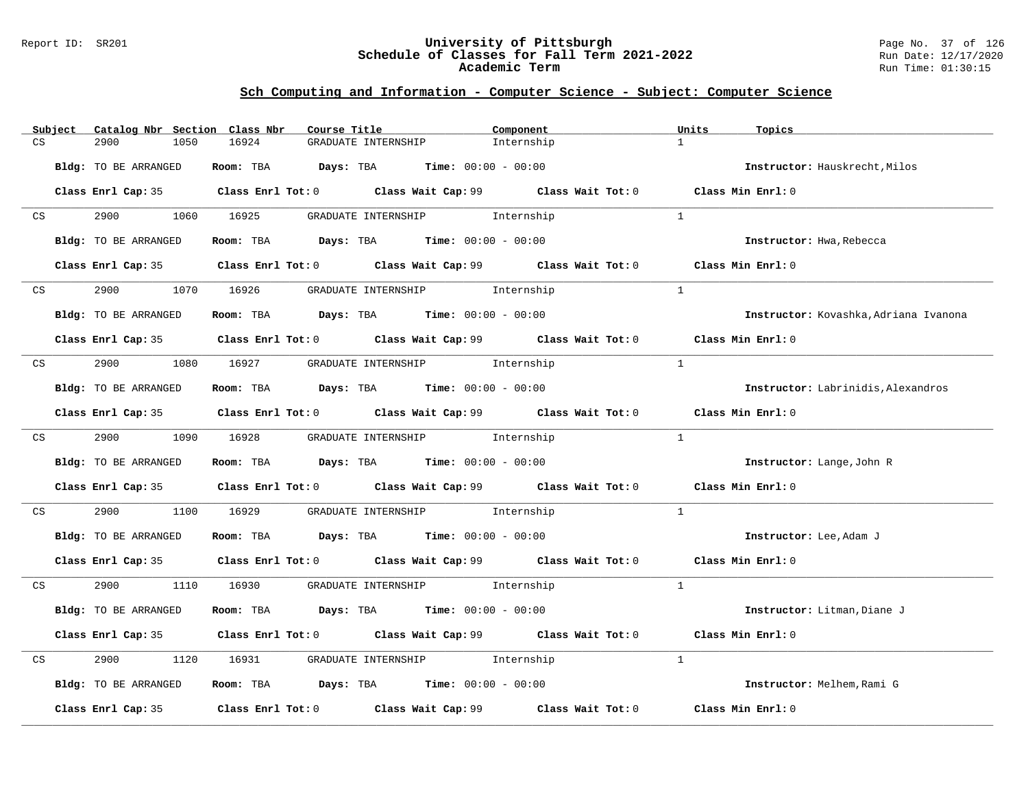### Report ID: SR201 **University of Pittsburgh** Page No. 37 of 126 **Schedule of Classes for Fall Term 2021-2022** Run Date: 12/17/2020 **Academic Term** Run Time: 01:30:15

|    | Subject         | Catalog Nbr Section Class Nbr | Course Title                                                              |                                | Component                                                                                   | Units          | Topics                                |
|----|-----------------|-------------------------------|---------------------------------------------------------------------------|--------------------------------|---------------------------------------------------------------------------------------------|----------------|---------------------------------------|
| CS |                 | 1050<br>2900                  | 16924                                                                     | GRADUATE INTERNSHIP            | Internship                                                                                  | $\mathbf{1}$   |                                       |
|    |                 | Bldg: TO BE ARRANGED          | Room: TBA $Days:$ TBA $Time: 00:00 - 00:00$                               |                                |                                                                                             |                | Instructor: Hauskrecht, Milos         |
|    |                 |                               |                                                                           |                                | Class Enrl Cap: 35 Class Enrl Tot: 0 Class Wait Cap: 99 Class Wait Tot: 0 Class Min Enrl: 0 |                |                                       |
|    | CS <sub>2</sub> | 2900                          | 1060 16925                                                                | GRADUATE INTERNSHIP 1nternship |                                                                                             | $\mathbf{1}$   |                                       |
|    |                 | Bldg: TO BE ARRANGED          | Room: TBA $Days:$ TBA $Time: 00:00 - 00:00$                               |                                |                                                                                             |                | Instructor: Hwa, Rebecca              |
|    |                 |                               |                                                                           |                                | Class Enrl Cap: 35 Class Enrl Tot: 0 Class Wait Cap: 99 Class Wait Tot: 0 Class Min Enrl: 0 |                |                                       |
|    | CS              | 2900                          | 1070 16926                                                                | GRADUATE INTERNSHIP 1nternship |                                                                                             | <sup>1</sup>   |                                       |
|    |                 | Bldg: TO BE ARRANGED          | Room: TBA $Days:$ TBA $Time: 00:00 - 00:00$                               |                                |                                                                                             |                | Instructor: Kovashka, Adriana Ivanona |
|    |                 |                               |                                                                           |                                | Class Enrl Cap: 35 Class Enrl Tot: 0 Class Wait Cap: 99 Class Wait Tot: 0 Class Min Enrl: 0 |                |                                       |
| CS |                 | 2900 000                      | 1080 16927 GRADUATE INTERNSHIP Internship                                 |                                |                                                                                             | $\overline{1}$ |                                       |
|    |                 | Bldg: TO BE ARRANGED          | Room: TBA $Days: TBA$ Time: $00:00 - 00:00$                               |                                |                                                                                             |                | Instructor: Labrinidis, Alexandros    |
|    |                 |                               |                                                                           |                                | Class Enrl Cap: 35 Class Enrl Tot: 0 Class Wait Cap: 99 Class Wait Tot: 0 Class Min Enrl: 0 |                |                                       |
|    | CS              | 2900 1090 16928               |                                                                           | GRADUATE INTERNSHIP 1nternship |                                                                                             | $\overline{1}$ |                                       |
|    |                 | Bldg: TO BE ARRANGED          | Room: TBA $Days:$ TBA $Time: 00:00 - 00:00$                               |                                |                                                                                             |                | Instructor: Lange, John R             |
|    |                 |                               | Class Enrl Cap: 35 Class Enrl Tot: 0 Class Wait Cap: 99 Class Wait Tot: 0 |                                |                                                                                             |                | Class Min Enrl: 0                     |
| CS |                 | 2900<br>1100                  | 16929                                                                     | GRADUATE INTERNSHIP 1nternship |                                                                                             | 1              |                                       |
|    |                 | Bldg: TO BE ARRANGED          | Room: TBA $Days:$ TBA $Time: 00:00 - 00:00$                               |                                |                                                                                             |                | Instructor: Lee, Adam J               |
|    |                 |                               |                                                                           |                                | Class Enrl Cap: 35 Class Enrl Tot: 0 Class Wait Cap: 99 Class Wait Tot: 0 Class Min Enrl: 0 |                |                                       |
| CS |                 | 2900 000                      | 1110 16930                                                                | GRADUATE INTERNSHIP 1nternship |                                                                                             | $\mathbf{1}$   |                                       |
|    |                 | Bldg: TO BE ARRANGED          | Room: TBA $Days:$ TBA $Time: 00:00 - 00:00$                               |                                |                                                                                             |                | Instructor: Litman, Diane J           |
|    |                 |                               |                                                                           |                                | Class Enrl Cap: 35 Class Enrl Tot: 0 Class Wait Cap: 99 Class Wait Tot: 0                   |                | Class Min Enrl: 0                     |
| CS |                 | 2900<br>1120                  | 16931                                                                     | GRADUATE INTERNSHIP 1nternship |                                                                                             | $\overline{1}$ |                                       |
|    |                 | Bldg: TO BE ARRANGED          | Room: TBA $Days:$ TBA $Time: 00:00 - 00:00$                               |                                |                                                                                             |                | Instructor: Melhem, Rami G            |
|    |                 |                               |                                                                           |                                | Class Enrl Cap: 35 Class Enrl Tot: 0 Class Wait Cap: 99 Class Wait Tot: 0 Class Min Enrl: 0 |                |                                       |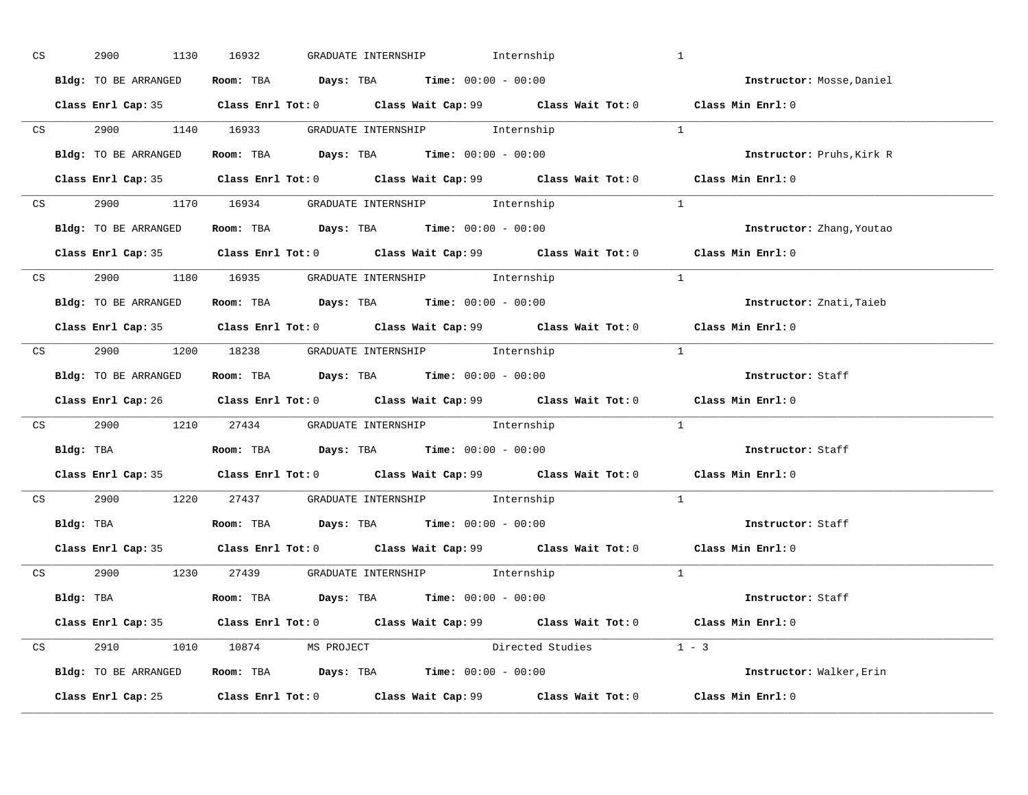| CS | 2900 1130 16932      | GRADUATE INTERNSHIP 1nternship                                                                          | $\mathbf{1}$           |                           |
|----|----------------------|---------------------------------------------------------------------------------------------------------|------------------------|---------------------------|
|    | Bldg: TO BE ARRANGED | Room: TBA $Days$ : TBA Time: $00:00 - 00:00$                                                            |                        | Instructor: Mosse, Daniel |
|    |                      | Class Enrl Cap: 35 Class Enrl Tot: 0 Class Wait Cap: 99 Class Wait Tot: 0 Class Min Enrl: 0             |                        |                           |
|    |                      | CS 2900 1140 16933 GRADUATE INTERNSHIP Internship                                                       | $\overline{1}$         |                           |
|    | Bldg: TO BE ARRANGED | Room: TBA $Days:$ TBA $Time:$ 00:00 - 00:00                                                             |                        | Instructor: Pruhs, Kirk R |
|    |                      | Class Enrl Cap: 35 Class Enrl Tot: 0 Class Wait Cap: 99 Class Wait Tot: 0                               |                        | Class Min Enrl: 0         |
|    |                      | CS 2900 1170 16934 GRADUATE INTERNSHIP Internship                                                       | $\sim$ 1               |                           |
|    |                      | Bldg: TO BE ARRANGED Room: TBA Days: TBA Time: 00:00 - 00:00                                            |                        | Instructor: Zhang, Youtao |
|    |                      | Class Enrl Cap: 35 Class Enrl Tot: 0 Class Wait Cap: 99 Class Wait Tot: 0 Class Min Enrl: 0             |                        |                           |
|    |                      | CS 2900 1180 16935 GRADUATE INTERNSHIP Internship                                                       |                        |                           |
|    | Bldg: TO BE ARRANGED | Room: TBA $\rule{1em}{0.15mm}$ Days: TBA $\rule{1.5mm}{0.15mm}$ Time: $00:00 - 00:00$                   |                        | Instructor: Znati, Taieb  |
|    |                      | Class Enrl Cap: 35 Class Enrl Tot: 0 Class Wait Cap: 99 Class Wait Tot: 0 Class Min Enrl: 0             |                        |                           |
|    |                      | CS 2900 1200 18238 GRADUATE INTERNSHIP Internship                                                       | $\sim$ 1               |                           |
|    |                      | <b>Bldg:</b> TO BE ARRANGED <b>ROOM:</b> TBA <b>Days:</b> TBA <b>Time:</b> $00:00 - 00:00$              |                        | Instructor: Staff         |
|    |                      | Class Enrl Cap: 26 		 Class Enrl Tot: 0 		 Class Wait Cap: 99 		 Class Wait Tot: 0 		 Class Min Enrl: 0 |                        |                           |
|    |                      | CS 2900 1210 27434 GRADUATE INTERNSHIP Internship                                                       | $\overline{1}$         |                           |
|    |                      | <b>Bldg:</b> TBA <b>ROOM:</b> TBA <b>Days:</b> TBA <b>Time:</b> $00:00 - 00:00$                         |                        | Instructor: Staff         |
|    |                      | Class Enrl Cap: 35 Class Enrl Tot: 0 Class Wait Cap: 99 Class Wait Tot: 0 Class Min Enrl: 0             |                        |                           |
|    |                      | CS 2900 1220 27437 GRADUATE INTERNSHIP Internship                                                       | $\mathbf{1}$           |                           |
|    |                      | Bldg: TBA                       Room: TBA          Days: TBA          Time: $00:00 - 00:00$             |                        | Instructor: Staff         |
|    |                      | Class Enrl Cap: 35 Class Enrl Tot: 0 Class Wait Cap: 99 Class Wait Tot: 0 Class Min Enrl: 0             |                        |                           |
|    |                      | CS 2900 1230 27439 GRADUATE INTERNSHIP Internship                                                       | $\sim$ 1               |                           |
|    |                      | Bldg: TBA                    Room: TBA         Days: TBA         Time: 00:00 - 00:00                    |                        | Instructor: Staff         |
|    |                      | Class Enrl Cap: 35 Class Enrl Tot: 0 Class Wait Cap: 99 Class Wait Tot: 0 Class Min Enrl: 0             |                        |                           |
|    |                      | CS 2910 1010 10874 MS PROJECT                                                                           | Directed Studies 1 - 3 |                           |
|    |                      | Bldg: TO BE ARRANGED Room: TBA Days: TBA Time: 00:00 - 00:00                                            |                        | Instructor: Walker, Erin  |
|    |                      | Class Enrl Cap: 25 Class Enrl Tot: 0 Class Wait Cap: 99 Class Wait Tot: 0                               |                        | Class Min Enrl: 0         |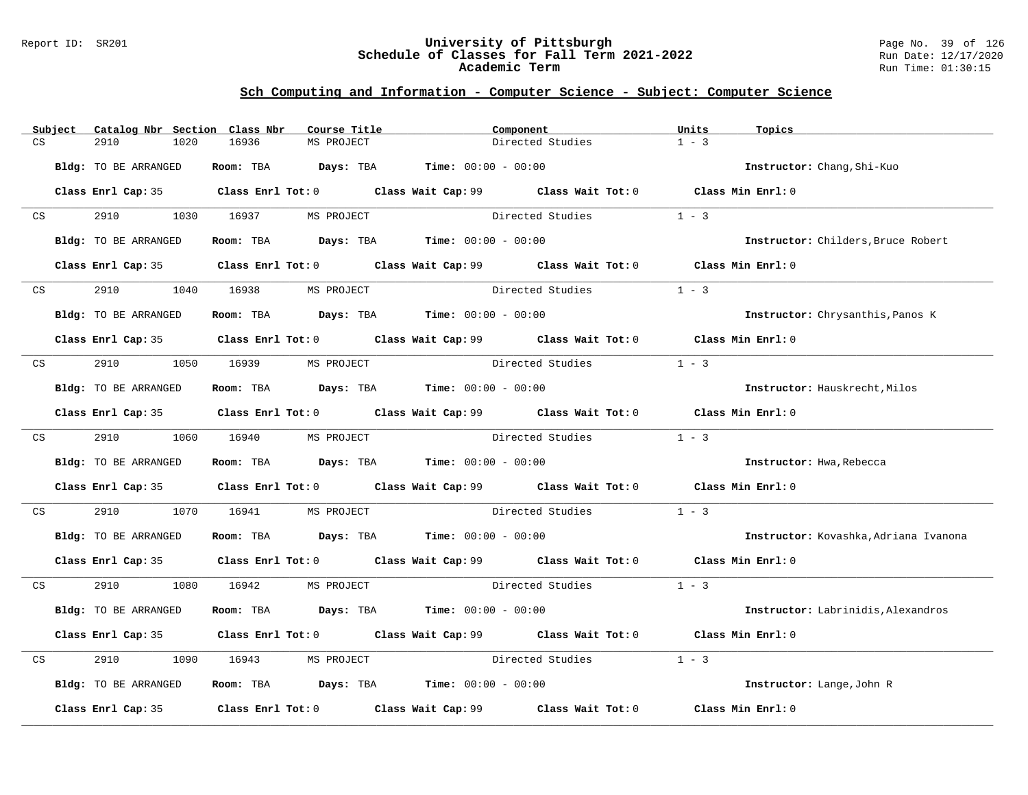### Report ID: SR201 **University of Pittsburgh** Page No. 39 of 126 **Schedule of Classes for Fall Term 2021-2022** Run Date: 12/17/2020 **Academic Term** Run Time: 01:30:15

|    | Subject | Catalog Nbr Section Class Nbr |                       | Course Title                                                                          | Component |                                                                                                      | Units             | Topics                                |
|----|---------|-------------------------------|-----------------------|---------------------------------------------------------------------------------------|-----------|------------------------------------------------------------------------------------------------------|-------------------|---------------------------------------|
| CS |         | 2910<br>1020                  | 16936                 | MS PROJECT                                                                            |           | Directed Studies                                                                                     | $1 - 3$           |                                       |
|    |         | Bldg: TO BE ARRANGED          |                       | Room: TBA $Days:$ TBA $Time: 00:00 - 00:00$                                           |           |                                                                                                      |                   | Instructor: Chang, Shi-Kuo            |
|    |         |                               |                       |                                                                                       |           | Class Enrl Cap: 35 Class Enrl Tot: 0 Class Wait Cap: 99 Class Wait Tot: 0 Class Min Enrl: 0          |                   |                                       |
| CS |         | 2910 2012                     | 1030 16937 MS PROJECT |                                                                                       |           | Directed Studies                                                                                     | $1 - 3$           |                                       |
|    |         | Bldg: TO BE ARRANGED          |                       | Room: TBA $Days: TBA$ Time: $00:00 - 00:00$                                           |           |                                                                                                      |                   | Instructor: Childers, Bruce Robert    |
|    |         |                               |                       |                                                                                       |           | Class Enrl Cap: 35 $\qquad$ Class Enrl Tot: 0 $\qquad$ Class Wait Cap: 99 $\qquad$ Class Wait Tot: 0 | Class Min Enrl: 0 |                                       |
|    | CS      | 2910<br>1040                  | 16938                 | MS PROJECT                                                                            |           | Directed Studies                                                                                     | $1 - 3$           |                                       |
|    |         | Bldg: TO BE ARRANGED          |                       | Room: TBA $\rule{1em}{0.15mm}$ Days: TBA $\rule{1.5mm}{0.15mm}$ Time: $00:00 - 00:00$ |           |                                                                                                      |                   | Instructor: Chrysanthis, Panos K      |
|    |         |                               |                       |                                                                                       |           | Class Enrl Cap: 35 Class Enrl Tot: 0 Class Wait Cap: 99 Class Wait Tot: 0 Class Min Enrl: 0          |                   |                                       |
| CS |         | 2910 1050 16939               |                       | MS PROJECT                                                                            |           | Directed Studies                                                                                     | $1 - 3$           |                                       |
|    |         | Bldg: TO BE ARRANGED          |                       | Room: TBA $Days:$ TBA Time: $00:00 - 00:00$                                           |           |                                                                                                      |                   | Instructor: Hauskrecht, Milos         |
|    |         |                               |                       |                                                                                       |           | Class Enrl Cap: 35 Class Enrl Tot: 0 Class Wait Cap: 99 Class Wait Tot: 0 Class Min Enrl: 0          |                   |                                       |
|    | CS      | 2910 1060 16940               |                       | MS PROJECT                                                                            |           | Directed Studies                                                                                     | $1 - 3$           |                                       |
|    |         | Bldg: TO BE ARRANGED          |                       | Room: TBA $\rule{1em}{0.15mm}$ Days: TBA $\rule{1.5mm}{0.15mm}$ Time: $00:00 - 00:00$ |           |                                                                                                      |                   | Instructor: Hwa, Rebecca              |
|    |         |                               |                       |                                                                                       |           | Class Enrl Cap: 35 Class Enrl Tot: 0 Class Wait Cap: 99 Class Wait Tot: 0                            | Class Min Enrl: 0 |                                       |
| CS |         | 2910<br>1070                  | 16941                 |                                                                                       |           | MS PROJECT Directed Studies                                                                          | $1 - 3$           |                                       |
|    |         | Bldg: TO BE ARRANGED          |                       | Room: TBA $\rule{1em}{0.15mm}$ Days: TBA Time: $00:00 - 00:00$                        |           |                                                                                                      |                   | Instructor: Kovashka, Adriana Ivanona |
|    |         |                               |                       |                                                                                       |           | Class Enrl Cap: 35 Class Enrl Tot: 0 Class Wait Cap: 99 Class Wait Tot: 0 Class Min Enrl: 0          |                   |                                       |
| CS |         | 2910                          | 1080 16942            | MS PROJECT                                                                            |           | Directed Studies 1 - 3                                                                               |                   |                                       |
|    |         | Bldg: TO BE ARRANGED          |                       | Room: TBA $Days:$ TBA $Time: 00:00 - 00:00$                                           |           |                                                                                                      |                   | Instructor: Labrinidis, Alexandros    |
|    |         |                               |                       |                                                                                       |           | Class Enrl Cap: 35 Class Enrl Tot: 0 Class Wait Cap: 99 Class Wait Tot: 0                            | Class Min Enrl: 0 |                                       |
| CS |         | 2910<br>1090                  | 16943                 | MS PROJECT                                                                            |           | Directed Studies                                                                                     | $1 - 3$           |                                       |
|    |         | Bldg: TO BE ARRANGED          |                       | Room: TBA $Days: TBA$ Time: $00:00 - 00:00$                                           |           |                                                                                                      |                   | Instructor: Lange, John R             |
|    |         |                               |                       |                                                                                       |           | Class Enrl Cap: 35 $\,$ Class Enrl Tot: 0 $\,$ Class Wait Cap: 99 $\,$ Class Wait Tot: 0 $\,$        | Class Min Enrl: 0 |                                       |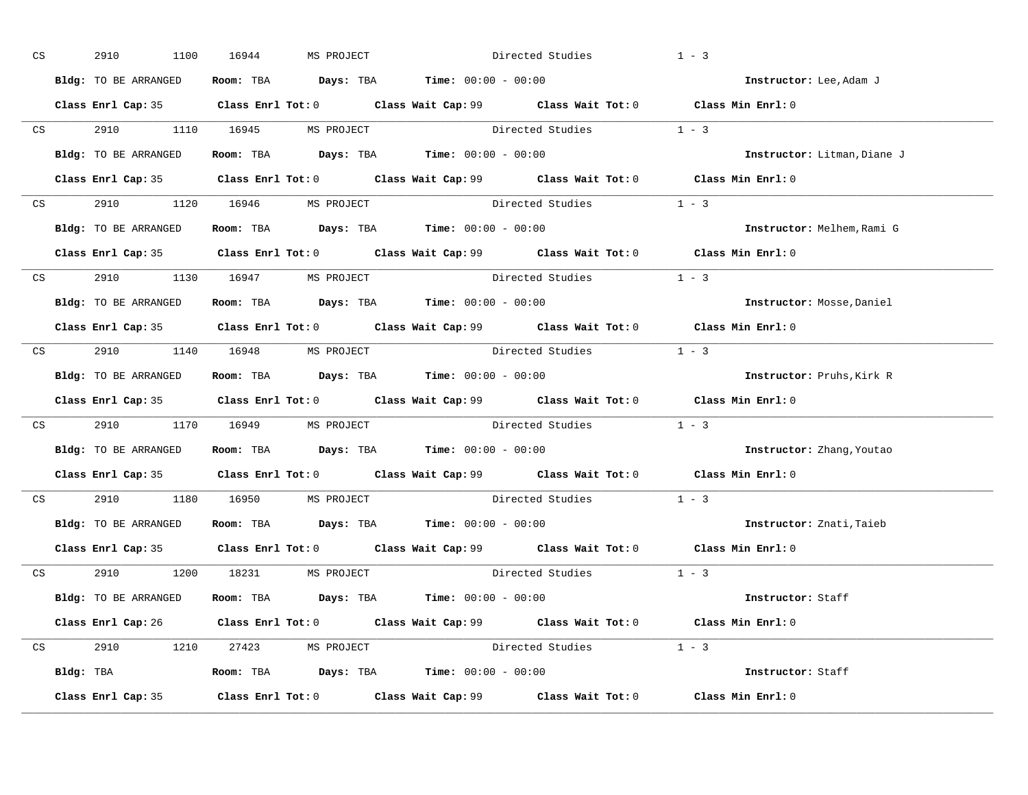| CS | 2910<br>1100         | MS PROJECT<br>16944                                                                   |  | Directed Studies                                     | $1 - 3$                                                                                     |
|----|----------------------|---------------------------------------------------------------------------------------|--|------------------------------------------------------|---------------------------------------------------------------------------------------------|
|    | Bldg: TO BE ARRANGED | Room: TBA $\rule{1em}{0.15mm}$ Days: TBA Time: $00:00 - 00:00$                        |  |                                                      | Instructor: Lee, Adam J                                                                     |
|    |                      |                                                                                       |  |                                                      | Class Enrl Cap: 35 Class Enrl Tot: 0 Class Wait Cap: 99 Class Wait Tot: 0 Class Min Enrl: 0 |
|    |                      |                                                                                       |  | CS 2910 1110 16945 MS PROJECT Directed Studies 1 - 3 |                                                                                             |
|    | Bldg: TO BE ARRANGED | Room: TBA $\rule{1em}{0.15mm}$ Days: TBA $\rule{1.5mm}{0.15mm}$ Time: $00:00 - 00:00$ |  |                                                      | Instructor: Litman, Diane J                                                                 |
|    |                      |                                                                                       |  |                                                      | Class Enrl Cap: 35 Class Enrl Tot: 0 Class Wait Cap: 99 Class Wait Tot: 0 Class Min Enrl: 0 |
|    |                      | CS 2910 1120 16946 MS PROJECT                                                         |  | Directed Studies 1 - 3                               |                                                                                             |
|    |                      | Bldg: TO BE ARRANGED ROOM: TBA Days: TBA Time: 00:00 - 00:00                          |  |                                                      | Instructor: Melhem, Rami G                                                                  |
|    |                      |                                                                                       |  |                                                      | Class Enrl Cap: 35 Class Enrl Tot: 0 Class Wait Cap: 99 Class Wait Tot: 0 Class Min Enrl: 0 |
|    |                      | CS 2910 1130 16947 MS PROJECT                                                         |  | Directed Studies 1 - 3                               |                                                                                             |
|    | Bldg: TO BE ARRANGED | Room: TBA $\rule{1em}{0.15mm}$ Days: TBA Time: $00:00 - 00:00$                        |  |                                                      | Instructor: Mosse, Daniel                                                                   |
|    |                      |                                                                                       |  |                                                      | Class Enrl Cap: 35 Class Enrl Tot: 0 Class Wait Cap: 99 Class Wait Tot: 0 Class Min Enrl: 0 |
|    |                      | CS 2910 1140 16948 MS PROJECT                                                         |  | Directed Studies 1 - 3                               |                                                                                             |
|    |                      | Bldg: TO BE ARRANGED Room: TBA Days: TBA Time: 00:00 - 00:00                          |  |                                                      | Instructor: Pruhs, Kirk R                                                                   |
|    |                      |                                                                                       |  |                                                      | Class Enrl Cap: 35 Class Enrl Tot: 0 Class Wait Cap: 99 Class Wait Tot: 0 Class Min Enrl: 0 |
|    |                      |                                                                                       |  | CS 2910 1170 16949 MS PROJECT Directed Studies 1 - 3 |                                                                                             |
|    |                      | Bldg: TO BE ARRANGED Room: TBA Days: TBA Time: 00:00 - 00:00                          |  |                                                      | Instructor: Zhang, Youtao                                                                   |
|    |                      |                                                                                       |  |                                                      | Class Enrl Cap: 35 Class Enrl Tot: 0 Class Wait Cap: 99 Class Wait Tot: 0 Class Min Enrl: 0 |
|    |                      | CS 2910 1180 16950 MS PROJECT                                                         |  | Directed Studies 1 - 3                               |                                                                                             |
|    |                      | Bldg: TO BE ARRANGED ROOM: TBA Days: TBA Time: 00:00 - 00:00                          |  |                                                      | Instructor: Znati, Taieb                                                                    |
|    |                      |                                                                                       |  |                                                      | Class Enrl Cap: 35 Class Enrl Tot: 0 Class Wait Cap: 99 Class Wait Tot: 0 Class Min Enrl: 0 |
|    |                      | CS 2910 1200 18231 MS PROJECT                                                         |  | Directed Studies 1 - 3                               |                                                                                             |
|    |                      | Bldg: TO BE ARRANGED Room: TBA Days: TBA Time: 00:00 - 00:00                          |  |                                                      | Instructor: Staff                                                                           |
|    |                      |                                                                                       |  |                                                      | Class Enrl Cap: 26 Class Enrl Tot: 0 Class Wait Cap: 99 Class Wait Tot: 0 Class Min Enrl: 0 |
|    |                      | CS 2910 1210 27423 MS PROJECT                                                         |  | Directed Studies 1 - 3                               |                                                                                             |
|    |                      | Bldg: TBA                  Room: TBA        Days: TBA        Time: $00:00 - 00:00$    |  |                                                      | Instructor: Staff                                                                           |
|    |                      |                                                                                       |  |                                                      | Class Enrl Cap: 35 Class Enrl Tot: 0 Class Wait Cap: 99 Class Wait Tot: 0 Class Min Enrl: 0 |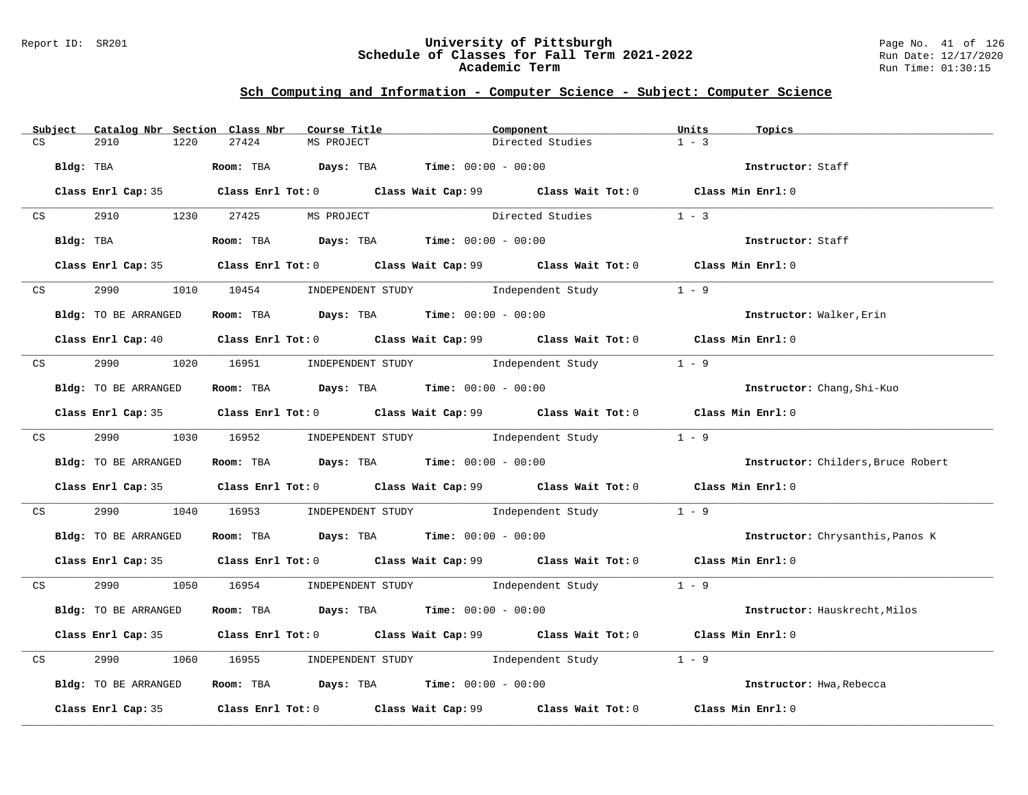### Report ID: SR201 **University of Pittsburgh** Page No. 41 of 126 **Schedule of Classes for Fall Term 2021-2022** Run Date: 12/17/2020 **Academic Term** Run Time: 01:30:15

|    | Subject |                      | Catalog Nbr Section Class Nbr | Course Title                                                   | Component                                                                                                                       | Units             | Topics                             |
|----|---------|----------------------|-------------------------------|----------------------------------------------------------------|---------------------------------------------------------------------------------------------------------------------------------|-------------------|------------------------------------|
| CS |         | 2910<br>1220         | 27424                         | MS PROJECT                                                     | Directed Studies                                                                                                                | $1 - 3$           |                                    |
|    |         | Bldg: TBA            |                               | Room: TBA $Days:$ TBA $Time: 00:00 - 00:00$                    |                                                                                                                                 |                   | Instructor: Staff                  |
|    |         |                      |                               |                                                                | Class Enrl Cap: 35 Class Enrl Tot: 0 Class Wait Cap: 99 Class Wait Tot: 0 Class Min Enrl: 0                                     |                   |                                    |
|    | CS      |                      |                               | 2910 1230 27425 MS PROJECT                                     | Directed Studies 1 - 3                                                                                                          |                   |                                    |
|    |         | Bldg: TBA            |                               | Room: TBA Days: TBA Time: $00:00 - 00:00$                      |                                                                                                                                 | Instructor: Staff |                                    |
|    |         |                      |                               |                                                                | Class Enrl Cap: 35 Class Enrl Tot: 0 Class Wait Cap: 99 Class Wait Tot: 0 Class Min Enrl: 0                                     |                   |                                    |
|    |         | CS 2990              |                               |                                                                | 1010 10454 INDEPENDENT STUDY Independent Study                                                                                  | $1 - 9$           |                                    |
|    |         | Bldg: TO BE ARRANGED |                               | Room: TBA $\rule{1em}{0.15mm}$ Days: TBA Time: $00:00 - 00:00$ |                                                                                                                                 |                   | Instructor: Walker, Erin           |
|    |         |                      |                               |                                                                | Class Enrl Cap: 40 $\qquad$ Class Enrl Tot: 0 $\qquad$ Class Wait Cap: 99 $\qquad$ Class Wait Tot: 0 $\qquad$ Class Min Enrl: 0 |                   |                                    |
|    |         |                      |                               |                                                                | CS 2990 1020 16951 INDEPENDENT STUDY Independent Study 1 - 9                                                                    |                   |                                    |
|    |         | Bldg: TO BE ARRANGED |                               | Room: TBA $Days:$ TBA $Time: 00:00 - 00:00$                    |                                                                                                                                 |                   | Instructor: Chang, Shi-Kuo         |
|    |         |                      |                               |                                                                | Class Enrl Cap: 35 Class Enrl Tot: 0 Class Wait Cap: 99 Class Wait Tot: 0 Class Min Enrl: 0                                     |                   |                                    |
|    |         |                      |                               |                                                                | CS 2990 1030 16952 INDEPENDENT STUDY Independent Study 1 - 9                                                                    |                   |                                    |
|    |         | Bldg: TO BE ARRANGED |                               |                                                                | <b>ROOM:</b> TBA $Days$ : TBA $Time: 00:00 - 00:00$                                                                             |                   | Instructor: Childers, Bruce Robert |
|    |         |                      |                               |                                                                | Class Enrl Cap: 35 Class Enrl Tot: 0 Class Wait Cap: 99 Class Wait Tot: 0 Class Min Enrl: 0                                     |                   |                                    |
|    |         |                      |                               |                                                                | CS 2990 1040 16953 INDEPENDENT STUDY Independent Study 1 - 9                                                                    |                   |                                    |
|    |         | Bldg: TO BE ARRANGED |                               | Room: TBA Days: TBA Time: $00:00 - 00:00$                      |                                                                                                                                 |                   | Instructor: Chrysanthis, Panos K   |
|    |         |                      |                               |                                                                | Class Enrl Cap: 35 Class Enrl Tot: 0 Class Wait Cap: 99 Class Wait Tot: 0 Class Min Enrl: 0                                     |                   |                                    |
|    |         |                      |                               |                                                                | CS 2990 1050 16954 INDEPENDENT STUDY Independent Study 1 - 9                                                                    |                   |                                    |
|    |         | Bldg: TO BE ARRANGED |                               | Room: TBA $Days:$ TBA $Time: 00:00 - 00:00$                    |                                                                                                                                 |                   | Instructor: Hauskrecht, Milos      |
|    |         |                      |                               |                                                                | Class Enrl Cap: 35 Class Enrl Tot: 0 Class Wait Cap: 99 Class Wait Tot: 0 Class Min Enrl: 0                                     |                   |                                    |
|    | CS      | 2990                 |                               |                                                                | 1060 16955 INDEPENDENT STUDY Independent Study 1 - 9                                                                            |                   |                                    |
|    |         | Bldg: TO BE ARRANGED |                               | Room: TBA $Days:$ TBA Time: $00:00 - 00:00$                    |                                                                                                                                 |                   | Instructor: Hwa, Rebecca           |
|    |         |                      |                               |                                                                | Class Enrl Cap: 35 Class Enrl Tot: 0 Class Wait Cap: 99 Class Wait Tot: 0                                                       | Class Min Enrl: 0 |                                    |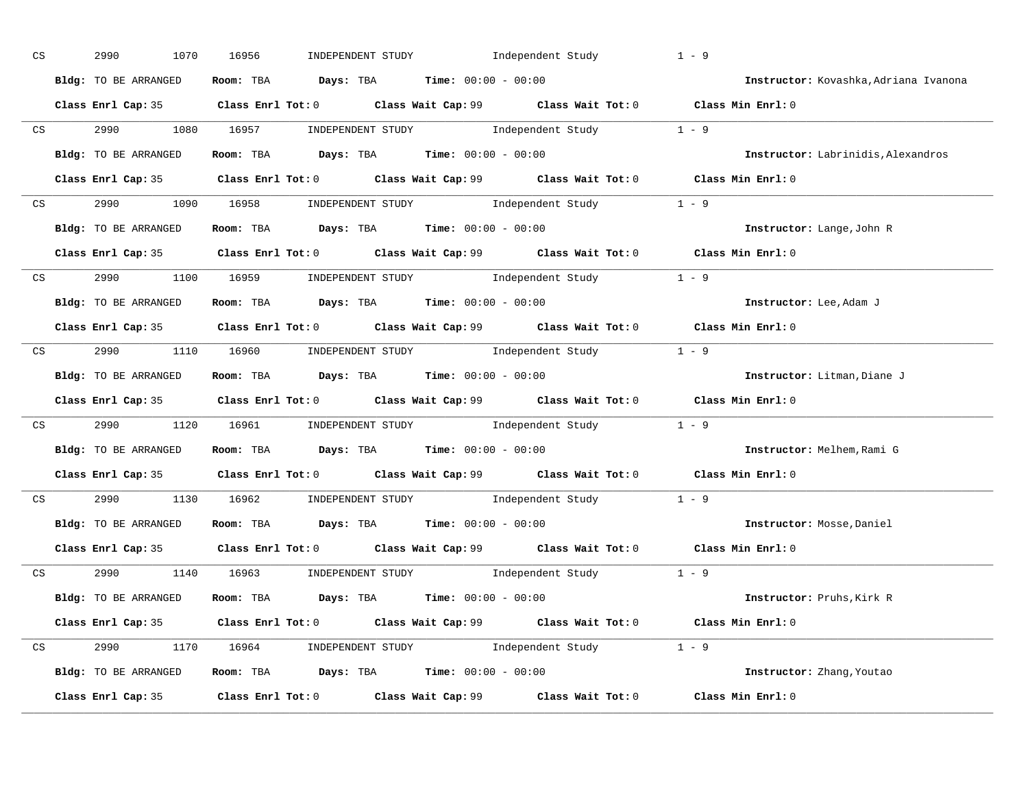| CS | 2990<br>1070         | 16956                                                                                       | INDEPENDENT STUDY 1ndependent Study | $1 - 9$                               |
|----|----------------------|---------------------------------------------------------------------------------------------|-------------------------------------|---------------------------------------|
|    | Bldg: TO BE ARRANGED | Room: TBA $\rule{1em}{0.15mm}$ Days: TBA $\rule{1.5mm}{0.15mm}$ Time: $00:00 - 00:00$       |                                     | Instructor: Kovashka, Adriana Ivanona |
|    |                      | Class Enrl Cap: 35 Class Enrl Tot: 0 Class Wait Cap: 99 Class Wait Tot: 0 Class Min Enrl: 0 |                                     |                                       |
|    |                      | CS 2990 1080 16957 INDEPENDENT STUDY Independent Study 1 - 9                                |                                     |                                       |
|    | Bldg: TO BE ARRANGED | Room: TBA $Days: TBA$ Time: $00:00 - 00:00$                                                 |                                     | Instructor: Labrinidis, Alexandros    |
|    |                      | Class Enrl Cap: 35 Class Enrl Tot: 0 Class Wait Cap: 99 Class Wait Tot: 0 Class Min Enrl: 0 |                                     |                                       |
|    |                      | CS 2990 1090 16958 INDEPENDENT STUDY Independent Study 1 - 9                                |                                     |                                       |
|    |                      | Bldg: TO BE ARRANGED Room: TBA Days: TBA Time: 00:00 - 00:00                                |                                     | Instructor: Lange, John R             |
|    |                      | Class Enrl Cap: 35 Class Enrl Tot: 0 Class Wait Cap: 99 Class Wait Tot: 0 Class Min Enrl: 0 |                                     |                                       |
|    |                      | CS 2990 1100 16959 INDEPENDENT STUDY Independent Study 1 - 9                                |                                     |                                       |
|    | Bldg: TO BE ARRANGED | Room: TBA $Days:$ TBA $Time: 00:00 - 00:00$                                                 |                                     | Instructor: Lee, Adam J               |
|    |                      | Class Enrl Cap: 35 Class Enrl Tot: 0 Class Wait Cap: 99 Class Wait Tot: 0 Class Min Enrl: 0 |                                     |                                       |
|    |                      | CS 2990 1110 16960 INDEPENDENT STUDY Independent Study 1 - 9                                |                                     |                                       |
|    |                      | Bldg: TO BE ARRANGED Room: TBA Days: TBA Time: 00:00 - 00:00                                |                                     | Instructor: Litman, Diane J           |
|    |                      | Class Enrl Cap: 35 Class Enrl Tot: 0 Class Wait Cap: 99 Class Wait Tot: 0 Class Min Enrl: 0 |                                     |                                       |
|    |                      | CS 2990 1120 16961 INDEPENDENT STUDY Independent Study 1 - 9                                |                                     |                                       |
|    |                      | Bldg: TO BE ARRANGED ROOM: TBA Days: TBA Time: 00:00 - 00:00                                |                                     | Instructor: Melhem, Rami G            |
|    |                      | Class Enrl Cap: 35 Class Enrl Tot: 0 Class Wait Cap: 99 Class Wait Tot: 0 Class Min Enrl: 0 |                                     |                                       |
|    |                      | CS 2990 1130 16962 INDEPENDENT STUDY Independent Study 1 - 9                                |                                     |                                       |
|    |                      | Bldg: TO BE ARRANGED Room: TBA Days: TBA Time: 00:00 - 00:00                                |                                     | Instructor: Mosse, Daniel             |
|    |                      | Class Enrl Cap: 35 Class Enrl Tot: 0 Class Wait Cap: 99 Class Wait Tot: 0 Class Min Enrl: 0 |                                     |                                       |
|    |                      | CS 2990 1140 16963 INDEPENDENT STUDY Independent Study 1 - 9                                |                                     |                                       |
|    | Bldg: TO BE ARRANGED | <b>Room:</b> TBA $\qquad$ <b>Days:</b> TBA $\qquad$ <b>Time:</b> $00:00 - 00:00$            |                                     | Instructor: Pruhs, Kirk R             |
|    |                      | Class Enrl Cap: 35 Class Enrl Tot: 0 Class Wait Cap: 99 Class Wait Tot: 0 Class Min Enrl: 0 |                                     |                                       |
|    |                      | CS 2990 1170 16964 INDEPENDENT STUDY Independent Study 1 - 9                                |                                     |                                       |
|    |                      | Bldg: TO BE ARRANGED Room: TBA Days: TBA Time: 00:00 - 00:00                                |                                     | Instructor: Zhang, Youtao             |
|    |                      | Class Enrl Cap: 35 Class Enrl Tot: 0 Class Wait Cap: 99 Class Wait Tot: 0                   |                                     | Class Min Enrl: 0                     |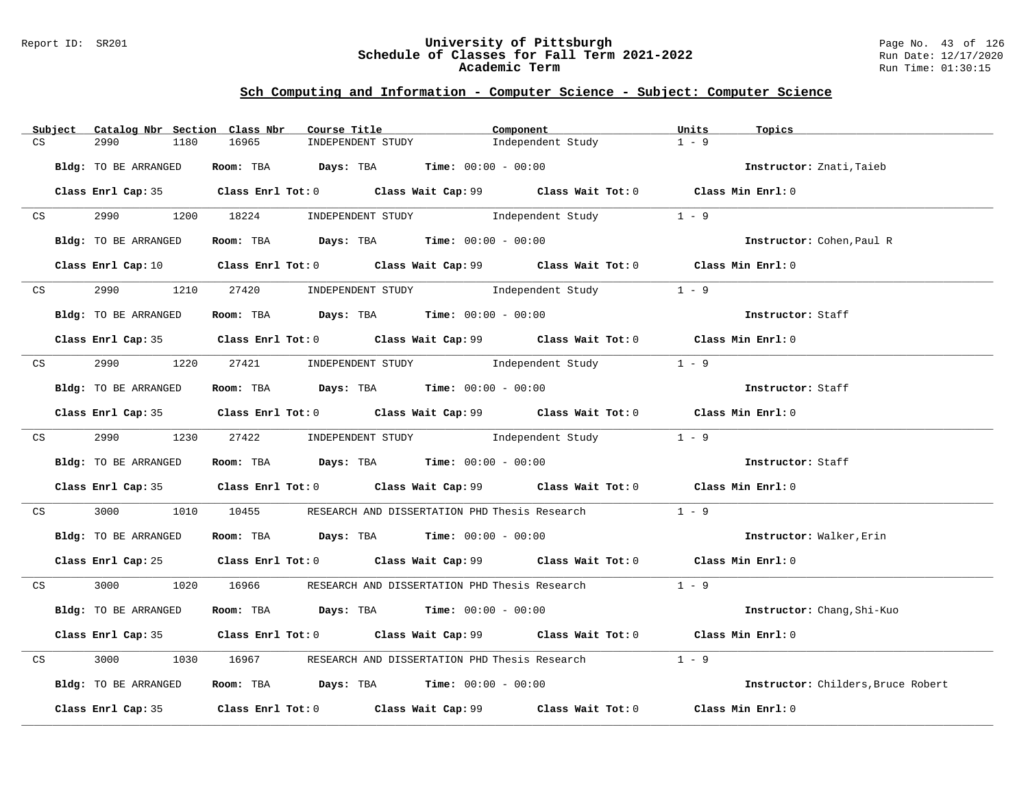### Report ID: SR201 **University of Pittsburgh** Page No. 43 of 126 **Schedule of Classes for Fall Term 2021-2022** Run Date: 12/17/2020 **Academic Term** Run Time: 01:30:15

|    | Subject         | Catalog Nbr Section Class Nbr |            | Course Title                                                   | Component                                                                                                                       | Units<br>Topics                    |  |
|----|-----------------|-------------------------------|------------|----------------------------------------------------------------|---------------------------------------------------------------------------------------------------------------------------------|------------------------------------|--|
| CS |                 | 2990<br>1180                  | 16965      | INDEPENDENT STUDY                                              | Independent Study                                                                                                               | $1 - 9$                            |  |
|    |                 | Bldg: TO BE ARRANGED          |            | Room: TBA $Days: TBA$ Time: $00:00 - 00:00$                    |                                                                                                                                 | Instructor: Znati, Taieb           |  |
|    |                 |                               |            |                                                                | Class Enrl Cap: 35 Class Enrl Tot: 0 Class Wait Cap: 99 Class Wait Tot: 0 Class Min Enrl: 0                                     |                                    |  |
|    | CS <sub>2</sub> |                               |            |                                                                | 2990 1200 18224 INDEPENDENT STUDY Independent Study                                                                             | $1 - 9$                            |  |
|    |                 | Bldg: TO BE ARRANGED          |            |                                                                | <b>Room:</b> TBA <b>Days:</b> TBA <b>Time:</b> 00:00 - 00:00                                                                    | Instructor: Cohen, Paul R          |  |
|    |                 |                               |            |                                                                | Class Enrl Cap: 10 $\qquad$ Class Enrl Tot: 0 $\qquad$ Class Wait Cap: 99 $\qquad$ Class Wait Tot: 0 $\qquad$ Class Min Enrl: 0 |                                    |  |
|    | CS              |                               |            | 2990 1210 27420 INDEPENDENT STUDY Independent Study            |                                                                                                                                 | $1 - 9$                            |  |
|    |                 | Bldg: TO BE ARRANGED          |            | Room: TBA Days: TBA Time: $00:00 - 00:00$                      |                                                                                                                                 | Instructor: Staff                  |  |
|    |                 |                               |            |                                                                | Class Enrl Cap: 35 Class Enrl Tot: 0 Class Wait Cap: 99 Class Wait Tot: 0 Class Min Enrl: 0                                     |                                    |  |
|    |                 |                               |            | CS 2990 1220 27421 INDEPENDENT STUDY Independent Study         |                                                                                                                                 | $1 - 9$                            |  |
|    |                 | Bldg: TO BE ARRANGED          |            | Room: TBA $Days:$ TBA $Time: 00:00 - 00:00$                    |                                                                                                                                 | Instructor: Staff                  |  |
|    |                 |                               |            |                                                                | Class Enrl Cap: 35 Class Enrl Tot: 0 Class Wait Cap: 99 Class Wait Tot: 0 Class Min Enrl: 0                                     |                                    |  |
|    |                 |                               |            |                                                                | CS 2990 1230 27422 INDEPENDENT STUDY Independent Study 1 - 9                                                                    |                                    |  |
|    |                 | Bldg: TO BE ARRANGED          |            | Room: TBA $Days:$ TBA Time: $00:00 - 00:00$                    |                                                                                                                                 | Instructor: Staff                  |  |
|    |                 |                               |            |                                                                | Class Enrl Cap: 35 Class Enrl Tot: 0 Class Wait Cap: 99 Class Wait Tot: 0 Class Min Enrl: 0                                     |                                    |  |
|    | CS              | 3000 000                      | 1010 10455 |                                                                | RESEARCH AND DISSERTATION PHD Thesis Research                                                                                   | $1 - 9$                            |  |
|    |                 | Bldg: TO BE ARRANGED          |            | Room: TBA $Days:$ TBA Time: $00:00 - 00:00$                    |                                                                                                                                 | Instructor: Walker, Erin           |  |
|    |                 |                               |            |                                                                | Class Enrl Cap: 25 Class Enrl Tot: 0 Class Wait Cap: 99 Class Wait Tot: 0 Class Min Enrl: 0                                     |                                    |  |
|    |                 |                               |            |                                                                | CS 3000 1020 16966 RESEARCH AND DISSERTATION PHD Thesis Research 1 - 9                                                          |                                    |  |
|    |                 | Bldg: TO BE ARRANGED          |            | Room: TBA $Days:$ TBA $Time: 00:00 - 00:00$                    |                                                                                                                                 | Instructor: Chang, Shi-Kuo         |  |
|    |                 |                               |            |                                                                | Class Enrl Cap: 35 Class Enrl Tot: 0 Class Wait Cap: 99 Class Wait Tot: 0 Class Min Enrl: 0                                     |                                    |  |
| CS |                 | 3000<br>1030                  | 16967      |                                                                | RESEARCH AND DISSERTATION PHD Thesis Research                                                                                   | $1 - 9$                            |  |
|    |                 | Bldg: TO BE ARRANGED          |            | Room: TBA $\rule{1em}{0.15mm}$ Days: TBA Time: $00:00 - 00:00$ |                                                                                                                                 | Instructor: Childers, Bruce Robert |  |
|    |                 |                               |            |                                                                | Class Enrl Cap: 35 Class Enrl Tot: 0 Class Wait Cap: 99 Class Wait Tot: 0 Class Min Enrl: 0                                     |                                    |  |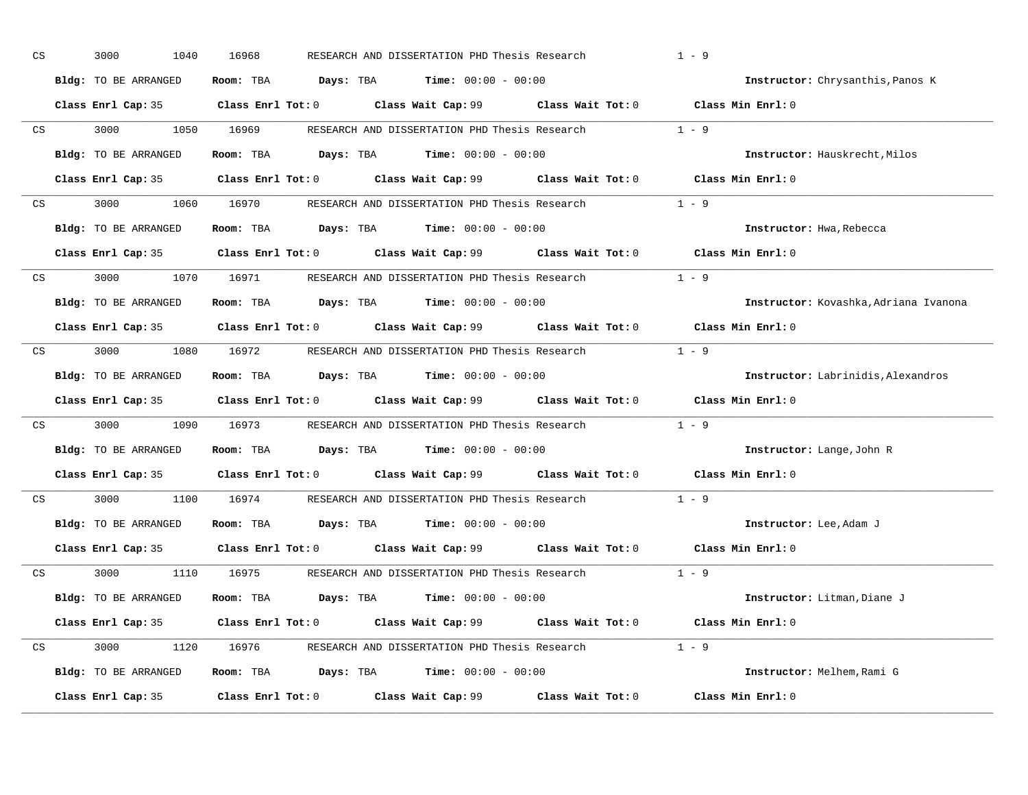| Room: TBA $\rule{1em}{0.15mm}$ Days: TBA $\rule{1.15mm}]{0.15mm}$ Time: $0.000 - 0.0000$<br>Bldg: TO BE ARRANGED<br>Instructor: Chrysanthis, Panos K<br>Class Enrl Cap: 35 Class Enrl Tot: 0 Class Wait Cap: 99 Class Wait Tot: 0<br>Class Min Enrl: 0<br>RESEARCH AND DISSERTATION PHD Thesis Research 1 - 9<br>1050 16969<br>CS<br>3000 000<br>Room: TBA $\rule{1em}{0.15mm}$ Days: TBA $\rule{1.15mm}]{0.15mm}$ Time: $0.000 - 0.0000$<br>Bldg: TO BE ARRANGED<br>Instructor: Hauskrecht, Milos<br>Class Enrl Cap: 35 Class Enrl Tot: 0 Class Wait Cap: 99 Class Wait Tot: 0 Class Min Enrl: 0<br>3000 1060 16970 RESEARCH AND DISSERTATION PHD Thesis Research 1 - 9<br>CS<br>Room: TBA $\rule{1em}{0.15mm}$ Days: TBA Time: $00:00 - 00:00$<br>Bldg: TO BE ARRANGED<br>Instructor: Hwa, Rebecca<br>Class Enrl Cap: 35 Class Enrl Tot: 0 Class Wait Cap: 99 Class Wait Tot: 0 Class Min Enrl: 0<br>3000 1070 16971 RESEARCH AND DISSERTATION PHD Thesis Research 1 - 9<br>CS<br>Room: TBA $\rule{1em}{0.15mm}$ Days: TBA Time: $00:00 - 00:00$<br>Bldg: TO BE ARRANGED<br>Instructor: Kovashka, Adriana Ivanona |  |
|---------------------------------------------------------------------------------------------------------------------------------------------------------------------------------------------------------------------------------------------------------------------------------------------------------------------------------------------------------------------------------------------------------------------------------------------------------------------------------------------------------------------------------------------------------------------------------------------------------------------------------------------------------------------------------------------------------------------------------------------------------------------------------------------------------------------------------------------------------------------------------------------------------------------------------------------------------------------------------------------------------------------------------------------------------------------------------------------------------------------|--|
|                                                                                                                                                                                                                                                                                                                                                                                                                                                                                                                                                                                                                                                                                                                                                                                                                                                                                                                                                                                                                                                                                                                     |  |
|                                                                                                                                                                                                                                                                                                                                                                                                                                                                                                                                                                                                                                                                                                                                                                                                                                                                                                                                                                                                                                                                                                                     |  |
|                                                                                                                                                                                                                                                                                                                                                                                                                                                                                                                                                                                                                                                                                                                                                                                                                                                                                                                                                                                                                                                                                                                     |  |
|                                                                                                                                                                                                                                                                                                                                                                                                                                                                                                                                                                                                                                                                                                                                                                                                                                                                                                                                                                                                                                                                                                                     |  |
|                                                                                                                                                                                                                                                                                                                                                                                                                                                                                                                                                                                                                                                                                                                                                                                                                                                                                                                                                                                                                                                                                                                     |  |
|                                                                                                                                                                                                                                                                                                                                                                                                                                                                                                                                                                                                                                                                                                                                                                                                                                                                                                                                                                                                                                                                                                                     |  |
|                                                                                                                                                                                                                                                                                                                                                                                                                                                                                                                                                                                                                                                                                                                                                                                                                                                                                                                                                                                                                                                                                                                     |  |
|                                                                                                                                                                                                                                                                                                                                                                                                                                                                                                                                                                                                                                                                                                                                                                                                                                                                                                                                                                                                                                                                                                                     |  |
|                                                                                                                                                                                                                                                                                                                                                                                                                                                                                                                                                                                                                                                                                                                                                                                                                                                                                                                                                                                                                                                                                                                     |  |
|                                                                                                                                                                                                                                                                                                                                                                                                                                                                                                                                                                                                                                                                                                                                                                                                                                                                                                                                                                                                                                                                                                                     |  |
| Class Enrl Cap: 35 $\qquad$ Class Enrl Tot: 0 $\qquad$ Class Wait Cap: 99 $\qquad$ Class Wait Tot: 0<br>Class Min Enrl: 0                                                                                                                                                                                                                                                                                                                                                                                                                                                                                                                                                                                                                                                                                                                                                                                                                                                                                                                                                                                           |  |
| $1 - 9$<br>3000 1080 16972 RESEARCH AND DISSERTATION PHD Thesis Research<br>CS                                                                                                                                                                                                                                                                                                                                                                                                                                                                                                                                                                                                                                                                                                                                                                                                                                                                                                                                                                                                                                      |  |
| Bldg: TO BE ARRANGED<br>Room: TBA $Days:$ TBA $Time: 00:00 - 00:00$<br>Instructor: Labrinidis, Alexandros                                                                                                                                                                                                                                                                                                                                                                                                                                                                                                                                                                                                                                                                                                                                                                                                                                                                                                                                                                                                           |  |
| Class Enrl Cap: 35 Class Enrl Tot: 0 Class Wait Cap: 99 Class Wait Tot: 0<br>Class Min Enrl: 0                                                                                                                                                                                                                                                                                                                                                                                                                                                                                                                                                                                                                                                                                                                                                                                                                                                                                                                                                                                                                      |  |
| $1 - 9$<br>3000<br>1090 16973 RESEARCH AND DISSERTATION PHD Thesis Research<br>CS                                                                                                                                                                                                                                                                                                                                                                                                                                                                                                                                                                                                                                                                                                                                                                                                                                                                                                                                                                                                                                   |  |
| Bldg: TO BE ARRANGED<br>Room: TBA $Days:$ TBA $Time: 00:00 - 00:00$<br>Instructor: Lange, John R                                                                                                                                                                                                                                                                                                                                                                                                                                                                                                                                                                                                                                                                                                                                                                                                                                                                                                                                                                                                                    |  |
| Class Enrl Cap: 35 Class Enrl Tot: 0 Class Wait Cap: 99 Class Wait Tot: 0 Class Min Enrl: 0                                                                                                                                                                                                                                                                                                                                                                                                                                                                                                                                                                                                                                                                                                                                                                                                                                                                                                                                                                                                                         |  |
| 1100 16974<br>$1 - 9$<br>3000 000<br>$\mathbb{C}\mathbf{S}$<br>RESEARCH AND DISSERTATION PHD Thesis Research                                                                                                                                                                                                                                                                                                                                                                                                                                                                                                                                                                                                                                                                                                                                                                                                                                                                                                                                                                                                        |  |
| Room: TBA $Days:$ TBA $Time: 00:00 - 00:00$<br>Bldg: TO BE ARRANGED<br>Instructor: Lee, Adam J                                                                                                                                                                                                                                                                                                                                                                                                                                                                                                                                                                                                                                                                                                                                                                                                                                                                                                                                                                                                                      |  |
| Class Enrl Cap: 35 Class Enrl Tot: 0 Class Wait Cap: 99 Class Wait Tot: 0 Class Min Enrl: 0                                                                                                                                                                                                                                                                                                                                                                                                                                                                                                                                                                                                                                                                                                                                                                                                                                                                                                                                                                                                                         |  |
| $1 - 9$<br>CS 3000<br>1110 16975 RESEARCH AND DISSERTATION PHD Thesis Research                                                                                                                                                                                                                                                                                                                                                                                                                                                                                                                                                                                                                                                                                                                                                                                                                                                                                                                                                                                                                                      |  |
| Room: TBA $Days:$ TBA $Time: 00:00 - 00:00$<br>Bldg: TO BE ARRANGED<br>Instructor: Litman, Diane J                                                                                                                                                                                                                                                                                                                                                                                                                                                                                                                                                                                                                                                                                                                                                                                                                                                                                                                                                                                                                  |  |
|                                                                                                                                                                                                                                                                                                                                                                                                                                                                                                                                                                                                                                                                                                                                                                                                                                                                                                                                                                                                                                                                                                                     |  |
| Class Enrl Cap: 35 Class Enrl Tot: 0 Class Wait Cap: 99 Class Wait Tot: 0<br>Class Min Enrl: 0                                                                                                                                                                                                                                                                                                                                                                                                                                                                                                                                                                                                                                                                                                                                                                                                                                                                                                                                                                                                                      |  |
| 3000 1120 16976 RESEARCH AND DISSERTATION PHD Thesis Research 1 - 9<br>CS                                                                                                                                                                                                                                                                                                                                                                                                                                                                                                                                                                                                                                                                                                                                                                                                                                                                                                                                                                                                                                           |  |
| Bldg: TO BE ARRANGED<br>Room: TBA $Days: TBA$ Time: $00:00 - 00:00$<br>Instructor: Melhem, Rami G                                                                                                                                                                                                                                                                                                                                                                                                                                                                                                                                                                                                                                                                                                                                                                                                                                                                                                                                                                                                                   |  |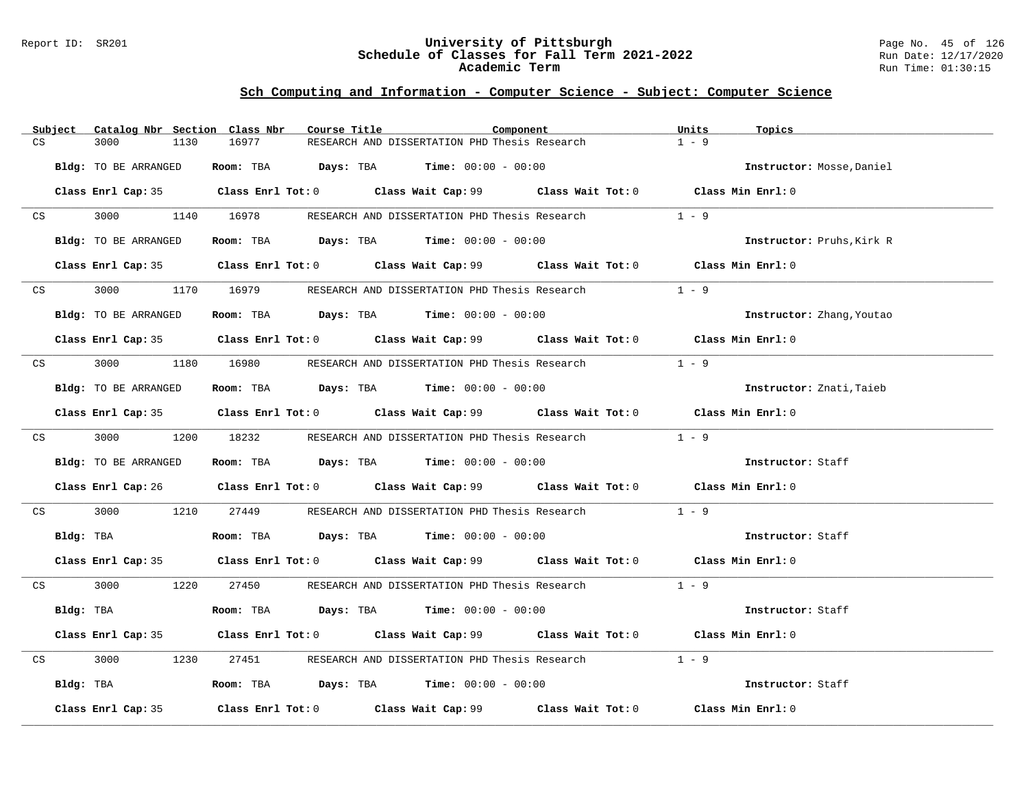### Report ID: SR201 **University of Pittsburgh** Page No. 45 of 126 **Schedule of Classes for Fall Term 2021-2022** Run Date: 12/17/2020 **Academic Term** Run Time: 01:30:15

|    | Subject |                      | Catalog Nbr Section Class Nbr | Course Title |                                                                                                | Component                                                                                           | Units   | Topics                    |
|----|---------|----------------------|-------------------------------|--------------|------------------------------------------------------------------------------------------------|-----------------------------------------------------------------------------------------------------|---------|---------------------------|
| CS |         | 3000                 | 16977<br>1130                 |              | RESEARCH AND DISSERTATION PHD Thesis Research                                                  |                                                                                                     | $1 - 9$ |                           |
|    |         | Bldg: TO BE ARRANGED |                               |              | Room: TBA $Days:$ TBA $Time: 00:00 - 00:00$                                                    |                                                                                                     |         | Instructor: Mosse, Daniel |
|    |         |                      |                               |              |                                                                                                |                                                                                                     |         |                           |
|    |         |                      |                               |              |                                                                                                | Class Enrl Cap: 35 Class Enrl Tot: 0 Class Wait Cap: 99 Class Wait Tot: 0 Class Min Enrl: 0         |         |                           |
|    |         |                      |                               |              |                                                                                                | CS 3000 1140 16978 RESEARCH AND DISSERTATION PHD Thesis Research                                    | $1 - 9$ |                           |
|    |         | Bldg: TO BE ARRANGED |                               |              | Room: TBA $Days:$ TBA $Time: 00:00 - 00:00$                                                    |                                                                                                     |         | Instructor: Pruhs, Kirk R |
|    |         |                      |                               |              |                                                                                                | Class Enrl Cap: 35 Class Enrl Tot: 0 Class Wait Cap: 99 Class Wait Tot: 0 Class Min Enrl: 0         |         |                           |
|    | CS      | 3000 000             | 1170 16979                    |              | RESEARCH AND DISSERTATION PHD Thesis Research                                                  |                                                                                                     | $1 - 9$ |                           |
|    |         | Bldg: TO BE ARRANGED |                               |              | Room: TBA $Days:$ TBA $Time: 00:00 - 00:00$                                                    |                                                                                                     |         | Instructor: Zhang, Youtao |
|    |         |                      |                               |              |                                                                                                | Class Enrl Cap: 35 Class Enrl Tot: 0 Class Wait Cap: 99 Class Wait Tot: 0 Class Min Enrl: 0         |         |                           |
|    |         |                      |                               |              |                                                                                                |                                                                                                     |         |                           |
| CS |         |                      |                               |              | 3000 1180 16980 RESEARCH AND DISSERTATION PHD Thesis Research                                  |                                                                                                     | $1 - 9$ |                           |
|    |         | Bldg: TO BE ARRANGED |                               |              | Room: TBA $Days:$ TBA $Time: 00:00 - 00:00$                                                    |                                                                                                     |         | Instructor: Znati, Taieb  |
|    |         |                      |                               |              |                                                                                                | Class Enrl Cap: 35 Class Enrl Tot: 0 Class Wait Cap: 99 Class Wait Tot: 0 Class Min Enrl: 0         |         |                           |
|    |         |                      |                               |              |                                                                                                | CS 3000 1200 18232 RESEARCH AND DISSERTATION PHD Thesis Research                                    | $1 - 9$ |                           |
|    |         | Bldg: TO BE ARRANGED |                               |              | Room: TBA $Days:$ TBA $Time:$ $00:00 - 00:00$                                                  |                                                                                                     |         | Instructor: Staff         |
|    |         |                      |                               |              |                                                                                                | Class Enrl Cap: 26 Class Enrl Tot: 0 Class Wait Cap: 99 Class Wait Tot: 0 Class Min Enrl: 0         |         |                           |
| CS |         | 3000                 | 1210 27449                    |              |                                                                                                | RESEARCH AND DISSERTATION PHD Thesis Research                                                       | $1 - 9$ |                           |
|    |         | Bldg: TBA            |                               |              | Room: TBA $Days:$ TBA $Time: 00:00 - 00:00$                                                    |                                                                                                     |         | Instructor: Staff         |
|    |         |                      |                               |              |                                                                                                | Class Enrl Cap: 35 Class Enrl Tot: 0 Class Wait Cap: 99 Class Wait Tot: 0 Class Min Enrl: 0         |         |                           |
|    |         | CS 3000              |                               |              |                                                                                                | 1220 27450 RESEARCH AND DISSERTATION PHD Thesis Research 1 - 9                                      |         |                           |
|    |         | Bldg: TBA            |                               |              | Room: TBA $Days:$ TBA $Time: 00:00 - 00:00$                                                    |                                                                                                     |         | Instructor: Staff         |
|    |         |                      |                               |              |                                                                                                | Class Enrl Cap: 35 Class Enrl Tot: 0 Class Wait Cap: 99 Class Wait Tot: 0 Class Min Enrl: 0         |         |                           |
| CS |         | 3000                 | 1230<br>27451                 |              |                                                                                                | RESEARCH AND DISSERTATION PHD Thesis Research                                                       | $1 - 9$ |                           |
|    |         | Bldg: TBA            |                               |              | <b>Room:</b> TBA $\qquad \qquad$ <b>Days:</b> TBA $\qquad \qquad$ <b>Time:</b> $00:00 - 00:00$ |                                                                                                     |         | Instructor: Staff         |
|    |         | Class Enrl Cap: 35   |                               |              |                                                                                                | Class Enrl Tot: 0 $\qquad$ Class Wait Cap: 99 $\qquad$ Class Wait Tot: 0 $\qquad$ Class Min Enrl: 0 |         |                           |
|    |         |                      |                               |              |                                                                                                |                                                                                                     |         |                           |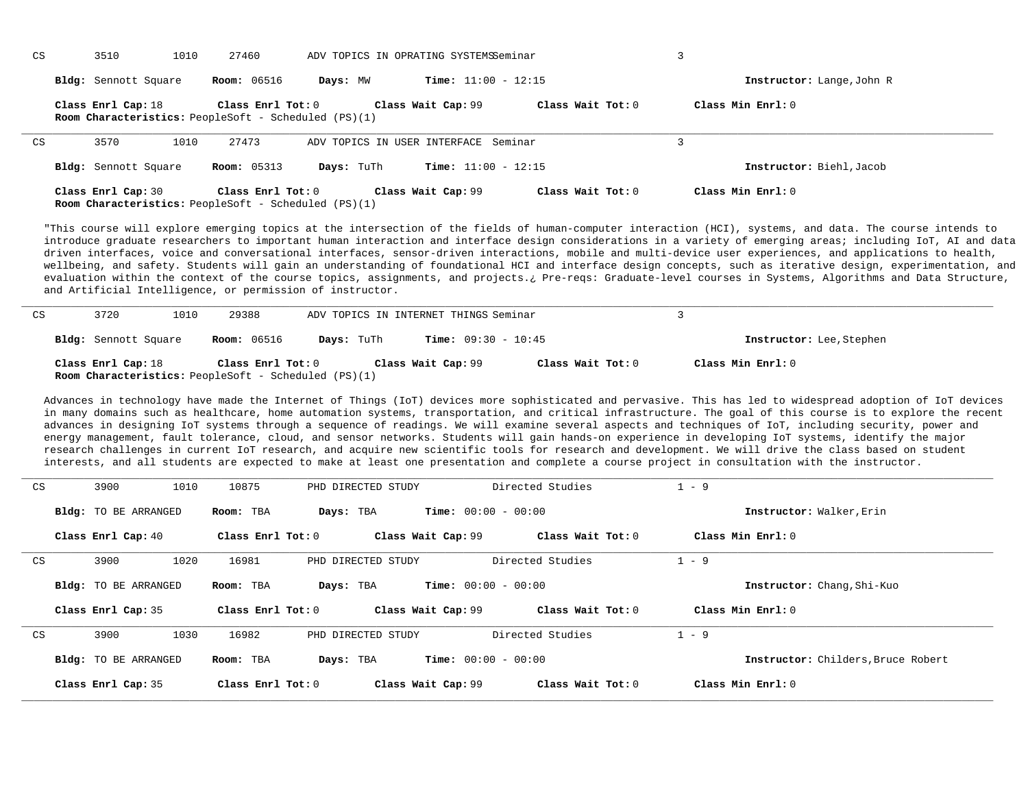| CS | 3510                                                                              | 27460<br>1010       |            | ADV TOPICS IN OPRATING SYSTEMSSeminar |                     |                           |  |
|----|-----------------------------------------------------------------------------------|---------------------|------------|---------------------------------------|---------------------|---------------------------|--|
|    | Bldg: Sennott Square                                                              | <b>Room:</b> 06516  | Days: MW   | <b>Time:</b> $11:00 - 12:15$          |                     | Instructor: Lange, John R |  |
|    | Class Enrl Cap: 18<br><b>Room Characteristics:</b> PeopleSoft - Scheduled (PS)(1) | Class Enrl Tot: $0$ |            | Class Wait Cap: 99                    | Class Wait Tot: $0$ | Class Min $Enr1:0$        |  |
| CS | 3570                                                                              | 27473<br>1010       |            | ADV TOPICS IN USER INTERFACE Seminar  |                     |                           |  |
|    | Bldg: Sennott Square                                                              | <b>Room:</b> 05313  | Days: TuTh | <b>Time:</b> $11:00 - 12:15$          |                     | Instructor: Biehl, Jacob  |  |
|    | Class Enrl Cap: 30<br><b>Room Characteristics:</b> PeopleSoft - Scheduled (PS)(1) | Class Enrl Tot: $0$ |            | Class Wait Cap: 99                    | Class Wait Tot: $0$ | Class Min $Enr1:0$        |  |

"This course will explore emerging topics at the intersection of the fields of human-computer interaction (HCI), systems, and data. The course intends to introduce graduate researchers to important human interaction and interface design considerations in a variety of emerging areas; including IoT, AI and data driven interfaces, voice and conversational interfaces, sensor-driven interactions, mobile and multi-device user experiences, and applications to health, wellbeing, and safety. Students will gain an understanding of foundational HCI and interface design concepts, such as iterative design, experimentation, and evaluation within the context of the course topics, assignments, and projects.¿ Pre-reqs: Graduate-level courses in Systems, Algorithms and Data Structure, and Artificial Intelligence, or permission of instructor.

| CS | 3720                 | 1010 | 29388                                                                            |            | ADV TOPICS IN INTERNET THINGS Seminar |                   |                          |  |
|----|----------------------|------|----------------------------------------------------------------------------------|------------|---------------------------------------|-------------------|--------------------------|--|
|    | Bldg: Sennott Square |      | <b>Room:</b> 06516                                                               | Days: TuTh | <b>Time:</b> $09:30 - 10:45$          |                   | Instructor: Lee, Stephen |  |
|    | Class Enrl Cap: 18   |      | Class Enrl Tot: 0<br><b>Room Characteristics:</b> PeopleSoft - Scheduled (PS)(1) |            | Class Wait Cap: 99                    | Class Wait Tot: 0 | Class Min Enrl: 0        |  |

Advances in technology have made the Internet of Things (IoT) devices more sophisticated and pervasive. This has led to widespread adoption of IoT devices in many domains such as healthcare, home automation systems, transportation, and critical infrastructure. The goal of this course is to explore the recent advances in designing IoT systems through a sequence of readings. We will examine several aspects and techniques of IoT, including security, power and energy management, fault tolerance, cloud, and sensor networks. Students will gain hands-on experience in developing IoT systems, identify the major research challenges in current IoT research, and acquire new scientific tools for research and development. We will drive the class based on student interests, and all students are expected to make at least one presentation and complete a course project in consultation with the instructor.

| CS | 3900<br>1010                | 10875               | PHD DIRECTED STUDY                        | Directed Studies    | $-9$                               |
|----|-----------------------------|---------------------|-------------------------------------------|---------------------|------------------------------------|
|    | <b>Bldg:</b> TO BE ARRANGED | Room: TBA           | <b>Time:</b> $00:00 - 00:00$<br>Days: TBA |                     | Instructor: Walker, Erin           |
|    | Class Enrl Cap: 40          | Class Enrl Tot: 0   | Class Wait Cap: 99                        | Class Wait Tot: 0   | Class Min Enrl: 0                  |
| CS | 3900<br>1020                | 16981               | PHD DIRECTED STUDY                        | Directed Studies    | $1 - 9$                            |
|    | <b>Bldg:</b> TO BE ARRANGED | Room: TBA           | <b>Time:</b> $00:00 - 00:00$<br>Days: TBA |                     | Instructor: Chang, Shi-Kuo         |
|    | Class Enrl Cap: 35          | Class Enrl Tot: $0$ | Class Wait Cap: 99                        | Class Wait $Tot: 0$ | Class Min Enrl: 0                  |
| CS | 3900<br>1030                | 16982               | PHD DIRECTED STUDY                        | Directed Studies    | $1 - 9$                            |
|    | <b>Bldg:</b> TO BE ARRANGED | Room: TBA           | <b>Time:</b> $00:00 - 00:00$<br>Days: TBA |                     | Instructor: Childers, Bruce Robert |
|    | Class Enrl Cap: 35          | Class Enrl Tot: 0   | Class Wait Cap: 99                        | Class Wait Tot: 0   | Class Min Enrl: 0                  |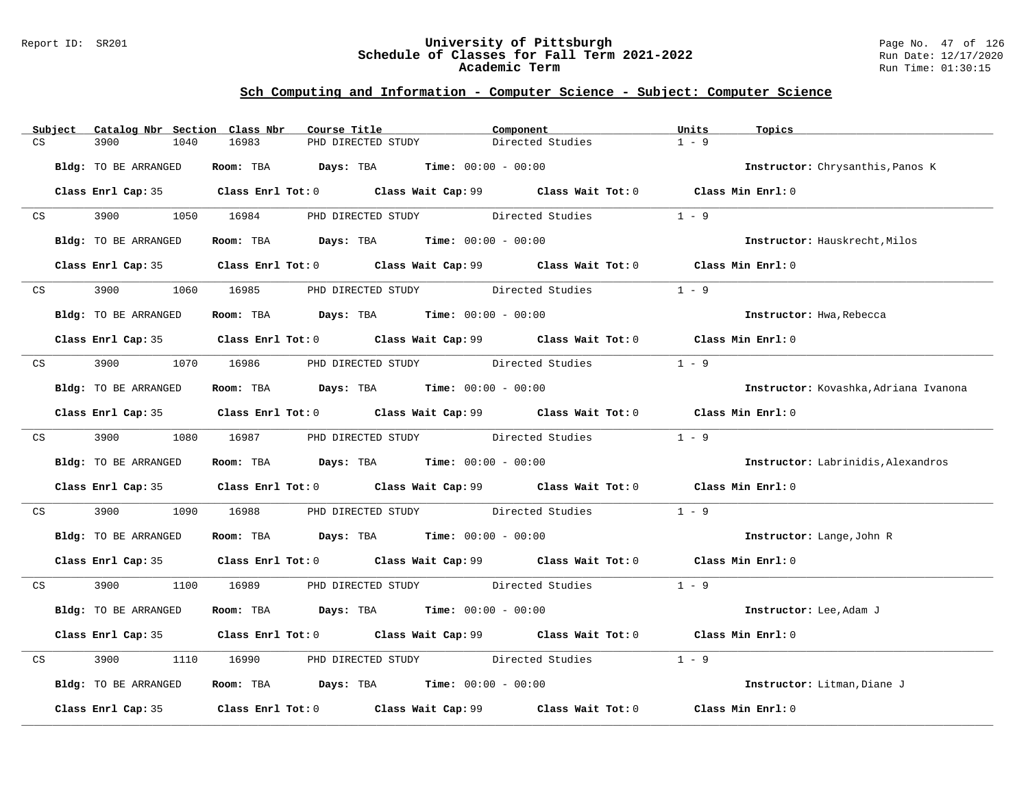### Report ID: SR201 **University of Pittsburgh** Page No. 47 of 126 **Schedule of Classes for Fall Term 2021-2022** Run Date: 12/17/2020 **Academic Term** Run Time: 01:30:15

|    | Subject         | Catalog Nbr Section Class Nbr | Course Title                                                   | Component                                                                                   | Units<br>Topics                       |
|----|-----------------|-------------------------------|----------------------------------------------------------------|---------------------------------------------------------------------------------------------|---------------------------------------|
| CS |                 | 3900<br>1040                  | 16983<br>PHD DIRECTED STUDY                                    | Directed Studies                                                                            | $1 - 9$                               |
|    |                 | Bldg: TO BE ARRANGED          | Room: TBA $Days:$ TBA Time: $00:00 - 00:00$                    |                                                                                             | Instructor: Chrysanthis, Panos K      |
|    |                 |                               |                                                                | Class Enrl Cap: 35 Class Enrl Tot: 0 Class Wait Cap: 99 Class Wait Tot: 0 Class Min Enrl: 0 |                                       |
|    | CS              |                               |                                                                | 3900 1050 16984 PHD DIRECTED STUDY Directed Studies 1 - 9                                   |                                       |
|    |                 | Bldg: TO BE ARRANGED          | Room: TBA $Days:$ TBA $Time: 00:00 - 00:00$                    |                                                                                             | Instructor: Hauskrecht, Milos         |
|    |                 |                               |                                                                | Class Enrl Cap: 35 Class Enrl Tot: 0 Class Wait Cap: 99 Class Wait Tot: 0 Class Min Enrl: 0 |                                       |
|    | CS <sub>2</sub> | 3900 000                      |                                                                | 1060 16985 PHD DIRECTED STUDY Directed Studies                                              | $1 - 9$                               |
|    |                 | Bldg: TO BE ARRANGED          | Room: TBA $Days:$ TBA $Time: 00:00 - 00:00$                    |                                                                                             | Instructor: Hwa, Rebecca              |
|    |                 |                               |                                                                | Class Enrl Cap: 35 Class Enrl Tot: 0 Class Wait Cap: 99 Class Wait Tot: 0 Class Min Enrl: 0 |                                       |
|    |                 |                               |                                                                | CS 3900 1070 16986 PHD DIRECTED STUDY Directed Studies                                      | $1 - 9$                               |
|    |                 | Bldg: TO BE ARRANGED          | Room: TBA $Days:$ TBA Time: $00:00 - 00:00$                    |                                                                                             | Instructor: Kovashka, Adriana Ivanona |
|    |                 |                               |                                                                | Class Enrl Cap: 35 Class Enrl Tot: 0 Class Wait Cap: 99 Class Wait Tot: 0 Class Min Enrl: 0 |                                       |
|    |                 |                               |                                                                | CS 3900 1080 16987 PHD DIRECTED STUDY Directed Studies 1 - 9                                |                                       |
|    |                 | Bldg: TO BE ARRANGED          | Room: TBA $Days:$ TBA $Time: 00:00 - 00:00$                    |                                                                                             | Instructor: Labrinidis, Alexandros    |
|    |                 |                               |                                                                | Class Enrl Cap: 35 Class Enrl Tot: 0 Class Wait Cap: 99 Class Wait Tot: 0 Class Min Enrl: 0 |                                       |
|    |                 | CS 3900                       |                                                                | 1090 16988 PHD DIRECTED STUDY Directed Studies                                              | $1 - 9$                               |
|    |                 | Bldg: TO BE ARRANGED          | Room: TBA $Days:$ TBA $Time: 00:00 - 00:00$                    |                                                                                             | <b>Instructor:</b> Lange, John R      |
|    |                 |                               |                                                                | Class Enrl Cap: 35 Class Enrl Tot: 0 Class Wait Cap: 99 Class Wait Tot: 0 Class Min Enrl: 0 |                                       |
|    |                 |                               |                                                                | CS 3900 1100 16989 PHD DIRECTED STUDY Directed Studies 1 - 9                                |                                       |
|    |                 | Bldg: TO BE ARRANGED          | Room: TBA $Days:$ TBA $Time: 00:00 - 00:00$                    |                                                                                             | Instructor: Lee, Adam J               |
|    |                 |                               |                                                                | Class Enrl Cap: 35 Class Enrl Tot: 0 Class Wait Cap: 99 Class Wait Tot: 0 Class Min Enrl: 0 |                                       |
| CS |                 | 3900                          |                                                                | 1110 16990 PHD DIRECTED STUDY Directed Studies                                              | $1 - 9$                               |
|    |                 | Bldg: TO BE ARRANGED          | Room: TBA $\rule{1em}{0.15mm}$ Days: TBA Time: $00:00 - 00:00$ |                                                                                             | Instructor: Litman, Diane J           |
|    |                 |                               |                                                                | Class Enrl Cap: 35 Class Enrl Tot: 0 Class Wait Cap: 99 Class Wait Tot: 0 Class Min Enrl: 0 |                                       |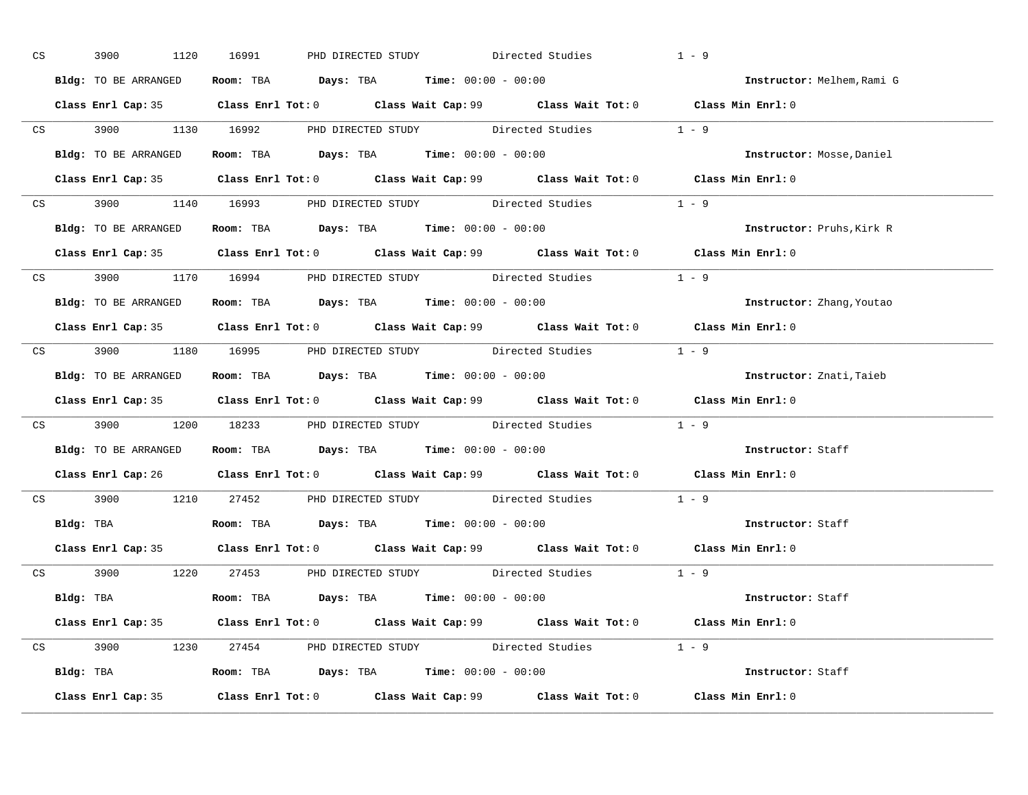| CS | 3900 1120 16991      | PHD DIRECTED STUDY Directed Studies                                                         | $1 - 9$                    |
|----|----------------------|---------------------------------------------------------------------------------------------|----------------------------|
|    | Bldg: TO BE ARRANGED | Room: TBA $\rule{1em}{0.15mm}$ Days: TBA Time: $00:00 - 00:00$                              | Instructor: Melhem, Rami G |
|    |                      | Class Enrl Cap: 35 Class Enrl Tot: 0 Class Wait Cap: 99 Class Wait Tot: 0 Class Min Enrl: 0 |                            |
|    |                      | CS 3900 1130 16992 PHD DIRECTED STUDY Directed Studies 1 - 9                                |                            |
|    |                      | <b>Bldg:</b> TO BE ARRANGED <b>ROOM:</b> TBA <b>Days:</b> TBA <b>Time:</b> $00:00 - 00:00$  | Instructor: Mosse, Daniel  |
|    |                      | Class Enrl Cap: 35 Class Enrl Tot: 0 Class Wait Cap: 99 Class Wait Tot: 0 Class Min Enrl: 0 |                            |
|    |                      | CS 3900 1140 16993 PHD DIRECTED STUDY Directed Studies 1 - 9                                |                            |
|    |                      | Bldg: TO BE ARRANGED ROOM: TBA Days: TBA Time: 00:00 - 00:00                                | Instructor: Pruhs, Kirk R  |
|    |                      | Class Enrl Cap: 35 Class Enrl Tot: 0 Class Wait Cap: 99 Class Wait Tot: 0 Class Min Enrl: 0 |                            |
|    |                      | CS 3900 1170 16994 PHD DIRECTED STUDY Directed Studies 1 - 9                                |                            |
|    |                      | Bldg: TO BE ARRANGED Room: TBA Days: TBA Time: 00:00 - 00:00                                | Instructor: Zhang, Youtao  |
|    |                      | Class Enrl Cap: 35 Class Enrl Tot: 0 Class Wait Cap: 99 Class Wait Tot: 0 Class Min Enrl: 0 |                            |
|    |                      | CS 3900 1180 16995 PHD DIRECTED STUDY Directed Studies 1 - 9                                |                            |
|    |                      | Bldg: TO BE ARRANGED ROOM: TBA Days: TBA Time: 00:00 - 00:00                                | Instructor: Znati, Taieb   |
|    |                      | Class Enrl Cap: 35 Class Enrl Tot: 0 Class Wait Cap: 99 Class Wait Tot: 0 Class Min Enrl: 0 |                            |
|    |                      | CS 3900 $1200$ 18233 PHD DIRECTED STUDY Directed Studies $1 - 9$                            |                            |
|    |                      | Bldg: TO BE ARRANGED Room: TBA Days: TBA Time: 00:00 - 00:00                                | Instructor: Staff          |
|    |                      | Class Enrl Cap: 26 Class Enrl Tot: 0 Class Wait Cap: 99 Class Wait Tot: 0 Class Min Enrl: 0 |                            |
|    |                      | CS 3900 1210 27452 PHD DIRECTED STUDY Directed Studies 1 - 9                                |                            |
|    |                      | Bldg: TBA                    Room: TBA         Days: TBA         Time: 00:00 - 00:00        | Instructor: Staff          |
|    |                      | Class Enrl Cap: 35 Class Enrl Tot: 0 Class Wait Cap: 99 Class Wait Tot: 0 Class Min Enrl: 0 |                            |
|    |                      | CS 3900 1220 27453 PHD DIRECTED STUDY Directed Studies 1 - 9                                |                            |
|    |                      | Bldg: TBA                   Room: TBA        Days: TBA        Time: 00:00 - 00:00           | Instructor: Staff          |
|    |                      | Class Enrl Cap: 35 Class Enrl Tot: 0 Class Wait Cap: 99 Class Wait Tot: 0 Class Min Enrl: 0 |                            |
|    |                      | CS 3900 1230 27454 PHD DIRECTED STUDY Directed Studies 1 - 9                                |                            |
|    |                      |                                                                                             | Instructor: Staff          |
|    |                      | Class Enrl Cap: 35 Class Enrl Tot: 0 Class Wait Cap: 99 Class Wait Tot: 0 Class Min Enrl: 0 |                            |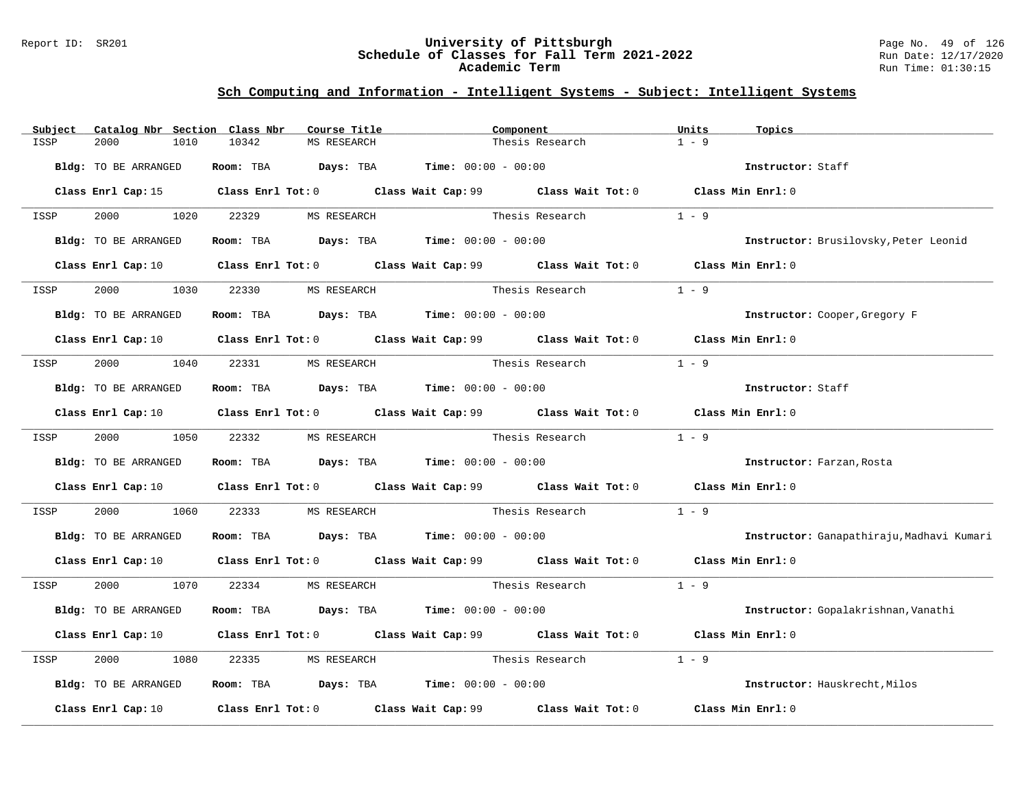### Report ID: SR201 **University of Pittsburgh** Page No. 49 of 126 **Schedule of Classes for Fall Term 2021-2022** Run Date: 12/17/2020 **Academic Term** Run Time: 01:30:15

| Subject | Catalog Nbr Section Class Nbr | Course Title                                | Component                                                                                                                       | Units   | Topics                                    |
|---------|-------------------------------|---------------------------------------------|---------------------------------------------------------------------------------------------------------------------------------|---------|-------------------------------------------|
| ISSP    | 2000<br>1010                  | 10342<br>MS RESEARCH                        | Thesis Research                                                                                                                 | $1 - 9$ |                                           |
|         | Bldg: TO BE ARRANGED          | Room: TBA $Days:$ TBA $Time: 00:00 - 00:00$ |                                                                                                                                 |         | Instructor: Staff                         |
|         |                               |                                             | Class Enrl Cap: 15 Class Enrl Tot: 0 Class Wait Cap: 99 Class Wait Tot: 0 Class Min Enrl: 0                                     |         |                                           |
| ISSP    | 2000 1020                     | 22329 MS RESEARCH                           | Thesis Research                                                                                                                 | $1 - 9$ |                                           |
|         | Bldg: TO BE ARRANGED          |                                             | Room: TBA $Days: TBA$ Time: $00:00 - 00:00$                                                                                     |         | Instructor: Brusilovsky, Peter Leonid     |
|         |                               |                                             | Class Enrl Cap: 10 $\qquad$ Class Enrl Tot: 0 $\qquad$ Class Wait Cap: 99 $\qquad$ Class Wait Tot: 0 $\qquad$ Class Min Enrl: 0 |         |                                           |
| ISSP    | 2000<br>1030                  | 22330<br>MS RESEARCH                        | Thesis Research                                                                                                                 | $1 - 9$ |                                           |
|         | <b>Bldg:</b> TO BE ARRANGED   | Room: TBA $Days:$ TBA $Time: 00:00 - 00:00$ |                                                                                                                                 |         | Instructor: Cooper, Gregory F             |
|         |                               |                                             | Class Enrl Cap: 10 Class Enrl Tot: 0 Class Wait Cap: 99 Class Wait Tot: 0 Class Min Enrl: 0                                     |         |                                           |
| ISSP    | 2000 1040                     | 22331 MS RESEARCH                           | Thesis Research                                                                                                                 | $1 - 9$ |                                           |
|         | Bldg: TO BE ARRANGED          |                                             | Room: TBA $Days:$ TBA $Time: 00:00 - 00:00$                                                                                     |         | Instructor: Staff                         |
|         |                               |                                             | Class Enrl Cap: 10 Class Enrl Tot: 0 Class Wait Cap: 99 Class Wait Tot: 0 Class Min Enrl: 0                                     |         |                                           |
| ISSP    |                               | 2000 1050 22332 MS RESEARCH                 | Thesis Research                                                                                                                 | $1 - 9$ |                                           |
|         | Bldg: TO BE ARRANGED          | Room: TBA $Days:$ TBA $Time: 00:00 - 00:00$ |                                                                                                                                 |         | Instructor: Farzan, Rosta                 |
|         |                               |                                             | Class Enrl Cap: 10 $\qquad$ Class Enrl Tot: 0 $\qquad$ Class Wait Cap: 99 $\qquad$ Class Wait Tot: 0 $\qquad$ Class Min Enrl: 0 |         |                                           |
| ISSP    | 2000<br>1060                  | 22333                                       | MS RESEARCH <b>Example 2018</b> Thesis Research                                                                                 | $1 - 9$ |                                           |
|         | Bldg: TO BE ARRANGED          | Room: TBA $Days:$ TBA $Time: 00:00 - 00:00$ |                                                                                                                                 |         | Instructor: Ganapathiraju, Madhavi Kumari |
|         |                               |                                             | Class Enrl Cap: 10 $\qquad$ Class Enrl Tot: 0 $\qquad$ Class Wait Cap: 99 $\qquad$ Class Wait Tot: 0 $\qquad$ Class Min Enrl: 0 |         |                                           |
| ISSP    | 2000 1070                     | 22334<br>MS RESEARCH                        | Thesis Research $1 - 9$                                                                                                         |         |                                           |
|         | Bldg: TO BE ARRANGED          | Room: TBA $Days:$ TBA $Time: 00:00 - 00:00$ |                                                                                                                                 |         | Instructor: Gopalakrishnan, Vanathi       |
|         |                               |                                             | Class Enrl Cap: 10 $\qquad$ Class Enrl Tot: 0 $\qquad$ Class Wait Cap: 99 $\qquad$ Class Wait Tot: 0                            |         | Class Min Enrl: 0                         |
| ISSP    | 2000<br>1080                  | 22335<br>MS RESEARCH                        | Thesis Research                                                                                                                 | $1 - 9$ |                                           |
|         | Bldg: TO BE ARRANGED          |                                             | Room: TBA $Days:$ TBA Time: $00:00 - 00:00$                                                                                     |         | Instructor: Hauskrecht, Milos             |
|         | Class Enrl Cap: 10            |                                             | Class Enrl Tot: $0$ Class Wait Cap: $99$ Class Wait Tot: $0$                                                                    |         | Class Min Enrl: 0                         |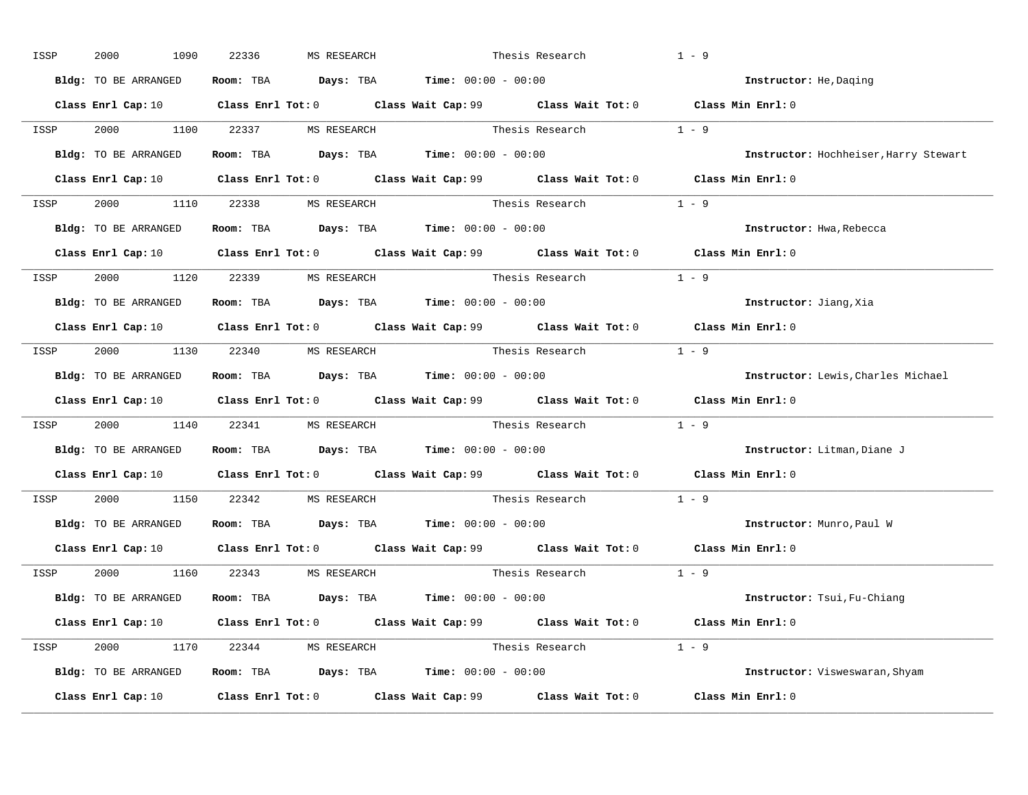| ISSP | 2000                             | 1090 | 22336 | MS RESEARCH |                                                                                          | Thesis Research                                                           | $1 - 9$                                                                                                                         |
|------|----------------------------------|------|-------|-------------|------------------------------------------------------------------------------------------|---------------------------------------------------------------------------|---------------------------------------------------------------------------------------------------------------------------------|
|      | <b>Bldg:</b> TO BE ARRANGED      |      |       |             | Room: TBA $\rule{1em}{0.15mm}$ Days: TBA $\rule{1.15mm}]{0.15mm}$ Time: $0.000 - 0.0000$ |                                                                           | Instructor: He, Daging                                                                                                          |
|      |                                  |      |       |             |                                                                                          |                                                                           | Class Enrl Cap: 10 Class Enrl Tot: 0 Class Wait Cap: 99 Class Wait Tot: 0 Class Min Enrl: 0                                     |
| ISSP |                                  |      |       |             |                                                                                          | 2000 1100 22337 MS RESEARCH Thesis Research 1 - 9                         |                                                                                                                                 |
|      | Bldg: TO BE ARRANGED             |      |       |             | Room: TBA $Days:$ TBA $Time: 00:00 - 00:00$                                              |                                                                           | Instructor: Hochheiser, Harry Stewart                                                                                           |
|      |                                  |      |       |             |                                                                                          |                                                                           | Class Enrl Cap: 10 Class Enrl Tot: 0 Class Wait Cap: 99 Class Wait Tot: 0 Class Min Enrl: 0                                     |
|      | ISSP 2000 1110 22338 MS RESEARCH |      |       |             |                                                                                          | Thesis Research $1 - 9$                                                   |                                                                                                                                 |
|      |                                  |      |       |             | Bldg: TO BE ARRANGED ROOM: TBA Days: TBA Time: 00:00 - 00:00                             |                                                                           | Instructor: Hwa, Rebecca                                                                                                        |
|      |                                  |      |       |             |                                                                                          | Class Enrl Cap: 10 Class Enrl Tot: 0 Class Wait Cap: 99 Class Wait Tot: 0 | Class Min Enrl: 0                                                                                                               |
|      | ISSP 2000 1120 22339 MS RESEARCH |      |       |             |                                                                                          | Thesis Research $1 - 9$                                                   |                                                                                                                                 |
|      | Bldg: TO BE ARRANGED             |      |       |             | Room: TBA $Days:$ TBA $Time: 00:00 - 00:00$                                              |                                                                           | Instructor: Jiang, Xia                                                                                                          |
|      |                                  |      |       |             |                                                                                          |                                                                           | Class Enrl Cap: 10 Class Enrl Tot: 0 Class Wait Cap: 99 Class Wait Tot: 0 Class Min Enrl: 0                                     |
|      | ISSP 2000 1130 22340 MS RESEARCH |      |       |             |                                                                                          | Thesis Research $1 - 9$                                                   |                                                                                                                                 |
|      | Bldg: TO BE ARRANGED             |      |       |             | Room: TBA $Days:$ TBA $Time: 00:00 - 00:00$                                              |                                                                           | Instructor: Lewis, Charles Michael                                                                                              |
|      |                                  |      |       |             |                                                                                          |                                                                           | Class Enrl Cap: 10 Class Enrl Tot: 0 Class Wait Cap: 99 Class Wait Tot: 0 Class Min Enrl: 0                                     |
| ISSP |                                  |      |       |             |                                                                                          | 2000 1140 22341 MS RESEARCH Thesis Research 1 - 9                         |                                                                                                                                 |
|      | Bldg: TO BE ARRANGED             |      |       |             | Room: TBA $Days:$ TBA Time: $00:00 - 00:00$                                              |                                                                           | Instructor: Litman, Diane J                                                                                                     |
|      |                                  |      |       |             |                                                                                          |                                                                           | Class Enrl Cap: 10 Class Enrl Tot: 0 Class Wait Cap: 99 Class Wait Tot: 0 Class Min Enrl: 0                                     |
| ISSP | 2000 1150 22342 MS RESEARCH      |      |       |             |                                                                                          | Thesis Research                                                           | $1 - 9$                                                                                                                         |
|      |                                  |      |       |             | Bldg: TO BE ARRANGED Room: TBA Days: TBA Time: 00:00 - 00:00                             |                                                                           | Instructor: Munro, Paul W                                                                                                       |
|      | Class Enrl Cap: 10               |      |       |             |                                                                                          |                                                                           | Class Enrl Tot: 0 $\,$ Class Wait Cap: 99 $\,$ Class Wait Tot: 0 $\,$ Class Min Enrl: 0 $\,$                                    |
|      | ISSP 2000 1160 22343 MS RESEARCH |      |       |             |                                                                                          | Thesis Research                                                           | $1 - 9$                                                                                                                         |
|      | Bldg: TO BE ARRANGED             |      |       |             | Room: TBA $\rule{1em}{0.15mm}$ Days: TBA Time: $00:00 - 00:00$                           |                                                                           | Instructor: Tsui, Fu-Chiang                                                                                                     |
|      |                                  |      |       |             |                                                                                          |                                                                           | Class Enrl Cap: 10 $\qquad$ Class Enrl Tot: 0 $\qquad$ Class Wait Cap: 99 $\qquad$ Class Wait Tot: 0 $\qquad$ Class Min Enrl: 0 |
|      | ISSP 2000 1170 22344 MS RESEARCH |      |       |             |                                                                                          | Thesis Research $1 - 9$                                                   |                                                                                                                                 |
|      | Bldg: TO BE ARRANGED             |      |       |             | Room: TBA $\rule{1em}{0.15mm}$ Days: TBA Time: $00:00 - 00:00$                           |                                                                           | Instructor: Visweswaran, Shyam                                                                                                  |
|      |                                  |      |       |             |                                                                                          | Class Enrl Cap: 10 Class Enrl Tot: 0 Class Wait Cap: 99 Class Wait Tot: 0 | Class Min Enrl: 0                                                                                                               |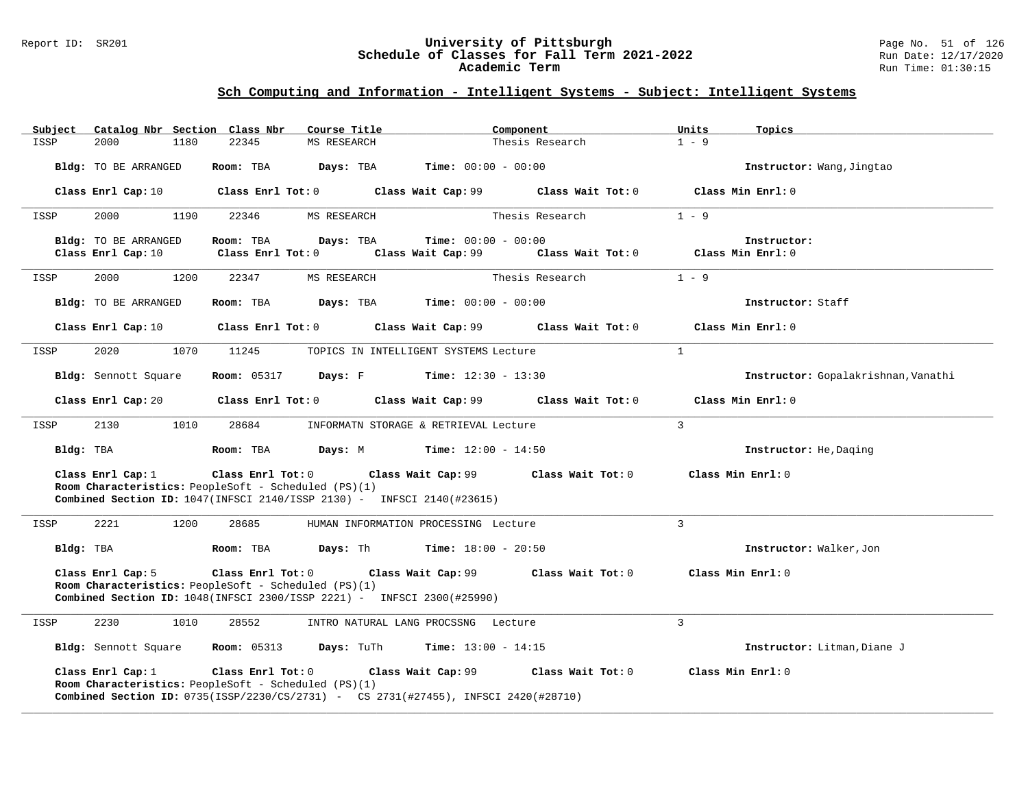### Report ID: SR201 **University of Pittsburgh** Page No. 51 of 126 **Schedule of Classes for Fall Term 2021-2022** Run Date: 12/17/2020 **Academic Term** Run Time: 01:30:15

### **Sch Computing and Information - Intelligent Systems - Subject: Intelligent Systems**

| Catalog Nbr Section Class Nbr<br>Subject | Course Title                                                                                                                                                                           | Component                                                    | Units<br>Topics                     |
|------------------------------------------|----------------------------------------------------------------------------------------------------------------------------------------------------------------------------------------|--------------------------------------------------------------|-------------------------------------|
| ISSP<br>2000<br>1180                     | 22345<br>MS RESEARCH                                                                                                                                                                   | Thesis Research                                              | $1 - 9$                             |
| Bldg: TO BE ARRANGED                     | Room: TBA                                                                                                                                                                              | <b>Days:</b> TBA <b>Time:</b> $00:00 - 00:00$                | Instructor: Wang, Jingtao           |
| Class Enrl Cap: 10                       |                                                                                                                                                                                        | Class Enrl Tot: $0$ Class Wait Cap: $99$ Class Wait Tot: $0$ | Class Min Enrl: 0                   |
| 2000<br>1190<br>ISSP                     | 22346<br>MS RESEARCH                                                                                                                                                                   | Thesis Research                                              | $1 - 9$                             |
| Bldg: TO BE ARRANGED                     | Room: TBA<br>Days: TBA                                                                                                                                                                 | <b>Time:</b> $00:00 - 00:00$                                 | Instructor:                         |
| Class Enrl Cap: 10                       | $Class$ $Enrl$ $Tot: 0$                                                                                                                                                                | Class Wait Cap: 99 Class Wait Tot: 0 Class Min Enrl: 0       |                                     |
| 2000<br>ISSP<br>1200                     | 22347<br>MS RESEARCH                                                                                                                                                                   | Thesis Research                                              | $1 - 9$                             |
| <b>Bldg:</b> TO BE ARRANGED              | Room: TBA                                                                                                                                                                              | <b>Days:</b> TBA <b>Time:</b> $00:00 - 00:00$                | Instructor: Staff                   |
| Class Enrl Cap: 10                       | Class Enrl Tot: $0$                                                                                                                                                                    | Class Wait Cap: 99<br>Class Wait Tot: 0                      | Class Min Enrl: 0                   |
| 2020<br>1070<br>ISSP                     | 11245                                                                                                                                                                                  | TOPICS IN INTELLIGENT SYSTEMS Lecture                        | <sup>1</sup>                        |
| Bldg: Sennott Square                     | <b>Room:</b> 05317                                                                                                                                                                     | <b>Days:</b> F <b>Time:</b> $12:30 - 13:30$                  | Instructor: Gopalakrishnan, Vanathi |
| Class Enrl Cap: 20                       | Class Enrl Tot: 0 Class Wait Cap: 99                                                                                                                                                   | Class Wait Tot: 0                                            | Class Min Enrl: 0                   |
| 2130<br>1010<br>ISSP                     | 28684                                                                                                                                                                                  | INFORMATN STORAGE & RETRIEVAL Lecture                        | $\mathcal{L}$                       |
| Bldg: TBA                                | Room: TBA                                                                                                                                                                              | <b>Days:</b> M <b>Time:</b> $12:00 - 14:50$                  | Instructor: He, Daging              |
| Class Enrl Cap: 1                        | Class Enrl Tot: 0                                                                                                                                                                      | Class Wait Cap: 99 Class Wait Tot: 0                         | Class Min Enrl: 0                   |
|                                          | Room Characteristics: PeopleSoft - Scheduled (PS)(1)<br><b>Combined Section ID:</b> $1047$ (INFSCI 2140/ISSP 2130) - INFSCI 2140(#23615)                                               |                                                              |                                     |
| 2221<br>1200<br>ISSP                     | 28685                                                                                                                                                                                  | HUMAN INFORMATION PROCESSING Lecture                         | $\overline{3}$                      |
| Bldg: TBA                                | Room: TBA                                                                                                                                                                              | <b>Days:</b> Th <b>Time:</b> $18:00 - 20:50$                 | Instructor: Walker, Jon             |
| Class Enrl Cap: 5                        |                                                                                                                                                                                        | Class Enrl Tot: 0 Class Wait Cap: 99 Class Wait Tot: 0       | Class Min Enrl: 0                   |
|                                          | Room Characteristics: PeopleSoft - Scheduled (PS)(1)<br><b>Combined Section ID:</b> 1048(INFSCI 2300/ISSP 2221) - INFSCI 2300(#25990)                                                  |                                                              |                                     |
| 2230<br>1010<br>ISSP                     | 28552                                                                                                                                                                                  | INTRO NATURAL LANG PROCSSNG Lecture                          | 3                                   |
| Bldg: Sennott Square                     | <b>Room:</b> 05313                                                                                                                                                                     | <b>Days:</b> TuTh <b>Time:</b> $13:00 - 14:15$               | Instructor: Litman, Diane J         |
| Class Enrl Cap: 1                        | Class Enrl Tot: 0<br>Class Wait Cap: 99<br>Room Characteristics: PeopleSoft - Scheduled (PS)(1)<br>Combined Section ID: 0735(ISSP/2230/CS/2731) - CS 2731(#27455), INFSCI 2420(#28710) | Class Wait Tot: 0                                            | Class Min Enrl: 0                   |

**\_\_\_\_\_\_\_\_\_\_\_\_\_\_\_\_\_\_\_\_\_\_\_\_\_\_\_\_\_\_\_\_\_\_\_\_\_\_\_\_\_\_\_\_\_\_\_\_\_\_\_\_\_\_\_\_\_\_\_\_\_\_\_\_\_\_\_\_\_\_\_\_\_\_\_\_\_\_\_\_\_\_\_\_\_\_\_\_\_\_\_\_\_\_\_\_\_\_\_\_\_\_\_\_\_\_\_\_\_\_\_\_\_\_\_\_\_\_\_\_\_\_\_\_\_\_\_\_\_\_\_\_\_\_\_\_\_\_\_\_\_\_\_\_\_\_\_\_\_\_\_\_\_\_\_\_**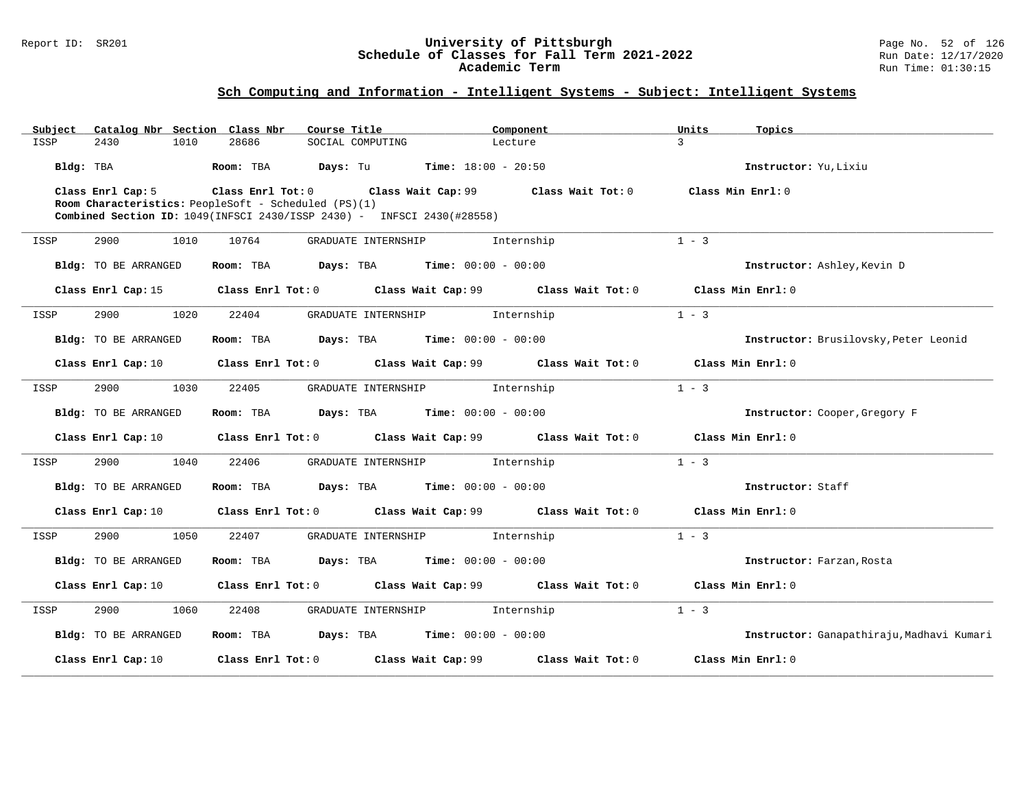### Report ID: SR201 **University of Pittsburgh** Page No. 52 of 126 **Schedule of Classes for Fall Term 2021-2022** Run Date: 12/17/2020 **Academic Term** Run Time: 01:30:15

| Subject              |      | Catalog Nbr Section Class Nbr | Course Title                                                           |                                | Component                                                                                   | Units             | Topics                                    |
|----------------------|------|-------------------------------|------------------------------------------------------------------------|--------------------------------|---------------------------------------------------------------------------------------------|-------------------|-------------------------------------------|
| ISSP<br>2430         | 1010 | 28686                         | SOCIAL COMPUTING                                                       | Lecture                        |                                                                                             | $\mathcal{L}$     |                                           |
| Bldg: TBA            |      | Room: TBA                     | <b>Days:</b> Tu <b>Time:</b> $18:00 - 20:50$                           |                                |                                                                                             |                   | Instructor: Yu, Lixiu                     |
| Class Enrl Cap: 5    |      |                               | Class Enrl Tot: $0$ Class Wait Cap: $99$ Class Wait Tot: $0$           |                                |                                                                                             | Class Min Enrl: 0 |                                           |
|                      |      |                               | Room Characteristics: PeopleSoft - Scheduled (PS)(1)                   |                                |                                                                                             |                   |                                           |
|                      |      |                               | Combined Section ID: 1049(INFSCI 2430/ISSP 2430) - INFSCI 2430(#28558) |                                |                                                                                             |                   |                                           |
| 2900<br>ISSP         | 1010 | 10764                         | GRADUATE INTERNSHIP                                                    |                                | Internship                                                                                  | $1 - 3$           |                                           |
| Bldg: TO BE ARRANGED |      |                               | Room: TBA $Days:$ TBA $Time: 00:00 - 00:00$                            |                                |                                                                                             |                   | Instructor: Ashley, Kevin D               |
|                      |      |                               |                                                                        |                                | Class Enrl Cap: 15 Class Enrl Tot: 0 Class Wait Cap: 99 Class Wait Tot: 0 Class Min Enrl: 0 |                   |                                           |
| 2900<br>ISSP         | 1020 | 22404                         |                                                                        | GRADUATE INTERNSHIP 1nternship |                                                                                             | $1 - 3$           |                                           |
| Bldg: TO BE ARRANGED |      |                               | Room: TBA $Days:$ TBA $Time: 00:00 - 00:00$                            |                                |                                                                                             |                   | Instructor: Brusilovsky, Peter Leonid     |
| Class Enrl Cap: 10   |      |                               |                                                                        |                                | Class Enrl Tot: 0 Class Wait Cap: 99 Class Wait Tot: 0                                      |                   | Class Min Enrl: 0                         |
| 2900<br>ISSP         | 1030 | 22405                         |                                                                        | GRADUATE INTERNSHIP 1nternship |                                                                                             | $1 - 3$           |                                           |
| Bldg: TO BE ARRANGED |      |                               | Room: TBA $Days:$ TBA $Time: 00:00 - 00:00$                            |                                |                                                                                             |                   | Instructor: Cooper, Gregory F             |
| Class Enrl Cap: 10   |      |                               |                                                                        |                                | Class Enrl Tot: $0$ Class Wait Cap: $99$ Class Wait Tot: $0$                                |                   | Class Min Enrl: 0                         |
| ISSP<br>2900         | 1040 | 22406                         |                                                                        | GRADUATE INTERNSHIP 1nternship |                                                                                             | $1 - 3$           |                                           |
| Bldg: TO BE ARRANGED |      |                               | Room: TBA $Days:$ TBA $Time: 00:00 - 00:00$                            |                                |                                                                                             |                   | Instructor: Staff                         |
| Class Enrl Cap: 10   |      |                               |                                                                        |                                | Class Enrl Tot: $0$ Class Wait Cap: $99$ Class Wait Tot: $0$                                |                   | Class Min Enrl: 0                         |
| 2900<br>ISSP         | 1050 | 22407                         |                                                                        | GRADUATE INTERNSHIP 1nternship |                                                                                             | $1 - 3$           |                                           |
| Bldg: TO BE ARRANGED |      |                               | Room: TBA $Days:$ TBA $Time: 00:00 - 00:00$                            |                                |                                                                                             |                   | Instructor: Farzan, Rosta                 |
| Class Enrl Cap: 10   |      |                               |                                                                        |                                | Class Enrl Tot: $0$ Class Wait Cap: $99$ Class Wait Tot: $0$                                |                   | Class Min Enrl: 0                         |
| 2900<br>ISSP         | 1060 | 22408                         |                                                                        | GRADUATE INTERNSHIP 1nternship |                                                                                             | $1 - 3$           |                                           |
| Bldg: TO BE ARRANGED |      |                               | Room: TBA $Days:$ TBA $Time: 00:00 - 00:00$                            |                                |                                                                                             |                   | Instructor: Ganapathiraju, Madhavi Kumari |
| Class Enrl Cap: 10   |      |                               | Class Enrl Tot: 0 Class Wait Cap: 99                                   |                                | Class Wait Tot: 0                                                                           |                   | Class Min Enrl: 0                         |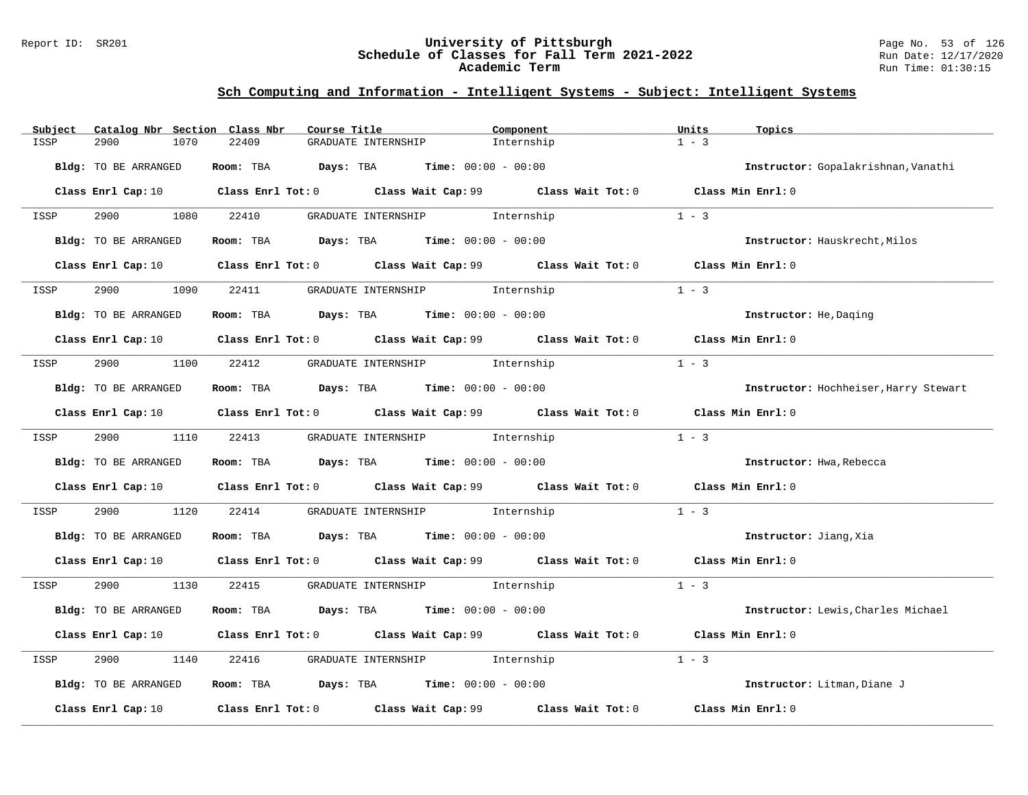### Report ID: SR201 **University of Pittsburgh** Page No. 53 of 126 **Schedule of Classes for Fall Term 2021-2022** Run Date: 12/17/2020 **Academic Term** Run Time: 01:30:15

| Catalog Nbr Section Class Nbr<br>Subject | Course Title                                                                                                                    | Component  | Units<br>Topics                       |
|------------------------------------------|---------------------------------------------------------------------------------------------------------------------------------|------------|---------------------------------------|
| 2900<br>1070<br>ISSP                     | 22409<br>GRADUATE INTERNSHIP                                                                                                    | Internship | $1 - 3$                               |
| <b>Bldg:</b> TO BE ARRANGED              | Room: TBA $Days:$ TBA $Time: 00:00 - 00:00$                                                                                     |            | Instructor: Gopalakrishnan, Vanathi   |
|                                          | Class Enrl Cap: 10 Class Enrl Tot: 0 Class Wait Cap: 99 Class Wait Tot: 0 Class Min Enrl: 0                                     |            |                                       |
| 2900<br>1080<br>ISSP                     | GRADUATE INTERNSHIP 1nternship<br>22410                                                                                         |            | $1 - 3$                               |
| Bldg: TO BE ARRANGED                     | <b>Room:</b> TBA <b>Days:</b> TBA <b>Time:</b> 00:00 - 00:00                                                                    |            | Instructor: Hauskrecht, Milos         |
|                                          | Class Enrl Cap: 10 Class Enrl Tot: 0 Class Wait Cap: 99 Class Wait Tot: 0 Class Min Enrl: 0                                     |            |                                       |
| 2900<br>1090<br>ISSP                     | GRADUATE INTERNSHIP 1nternship<br>22411                                                                                         |            | $1 - 3$                               |
| Bldg: TO BE ARRANGED                     | Room: TBA $Days:$ TBA $Time: 00:00 - 00:00$                                                                                     |            | Instructor: He, Daging                |
|                                          | Class Enrl Cap: 10 Class Enrl Tot: 0 Class Wait Cap: 99 Class Wait Tot: 0 Class Min Enrl: 0                                     |            |                                       |
| ISSP                                     | 2900 1100 22412 GRADUATE INTERNSHIP Internship                                                                                  |            | $1 - 3$                               |
| Bldg: TO BE ARRANGED                     | Room: TBA Days: TBA Time: $00:00 - 00:00$                                                                                       |            | Instructor: Hochheiser, Harry Stewart |
|                                          | Class Enrl Cap: 10 Class Enrl Tot: 0 Class Wait Cap: 99 Class Wait Tot: 0 Class Min Enrl: 0                                     |            |                                       |
| 2900 1110 22413<br>ISSP                  | GRADUATE INTERNSHIP 1nternship                                                                                                  |            | $1 - 3$                               |
| Bldg: TO BE ARRANGED                     | Room: TBA $Days:$ TBA $Time:$ $00:00 - 00:00$                                                                                   |            | Instructor: Hwa, Rebecca              |
|                                          | Class Enrl Cap: 10 $\qquad$ Class Enrl Tot: 0 $\qquad$ Class Wait Cap: 99 $\qquad$ Class Wait Tot: 0 $\qquad$ Class Min Enrl: 0 |            |                                       |
| 2900<br>1120<br>ISSP                     | 22414<br>GRADUATE INTERNSHIP 1nternship                                                                                         |            | $1 - 3$                               |
| Bldg: TO BE ARRANGED                     | Room: TBA $Days:$ TBA $Time: 00:00 - 00:00$                                                                                     |            | Instructor: Jiang, Xia                |
|                                          | Class Enrl Cap: 10 $\qquad$ Class Enrl Tot: 0 $\qquad$ Class Wait Cap: 99 $\qquad$ Class Wait Tot: 0 $\qquad$ Class Min Enrl: 0 |            |                                       |
| 2900<br>1130<br>ISSP                     | 22415<br>GRADUATE INTERNSHIP 1nternship                                                                                         |            | $1 - 3$                               |
| Bldg: TO BE ARRANGED                     | Room: TBA $Days:$ TBA $Time: 00:00 - 00:00$                                                                                     |            | Instructor: Lewis, Charles Michael    |
|                                          | Class Enrl Cap: 10 $\qquad$ Class Enrl Tot: 0 $\qquad$ Class Wait Cap: 99 $\qquad$ Class Wait Tot: 0                            |            | Class Min Enrl: 0                     |
| 2900<br>1140<br>ISSP                     | GRADUATE INTERNSHIP 1nternship<br>22416                                                                                         |            | $1 - 3$                               |
| Bldg: TO BE ARRANGED                     | Room: TBA $Days:$ TBA $Time: 00:00 - 00:00$                                                                                     |            | Instructor: Litman, Diane J           |
| Class Enrl Cap: 10                       | Class Enrl Tot: $0$ Class Wait Cap: $99$ Class Wait Tot: $0$                                                                    |            | Class Min Enrl: 0                     |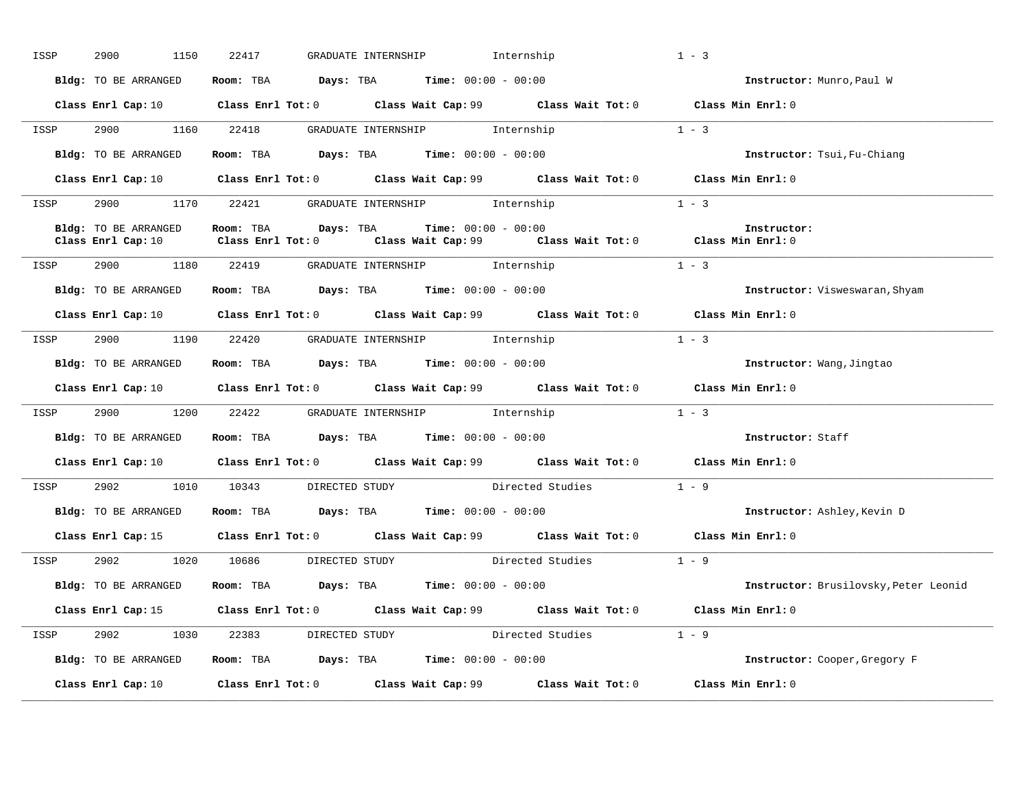| ISSP | 2900<br>1150                               | 22417                               | GRADUATE INTERNSHIP                                                                   | Internship                                                                                  | $1 - 3$                               |
|------|--------------------------------------------|-------------------------------------|---------------------------------------------------------------------------------------|---------------------------------------------------------------------------------------------|---------------------------------------|
|      | Bldg: TO BE ARRANGED                       |                                     | Room: TBA $Days:$ TBA $Time: 00:00 - 00:00$                                           |                                                                                             | Instructor: Munro, Paul W             |
|      |                                            |                                     |                                                                                       | Class Enrl Cap: 10 Class Enrl Tot: 0 Class Wait Cap: 99 Class Wait Tot: 0 Class Min Enrl: 0 |                                       |
| ISSP |                                            |                                     | 2900 1160 22418 GRADUATE INTERNSHIP Internship                                        |                                                                                             | $1 - 3$                               |
|      | Bldg: TO BE ARRANGED                       |                                     | Room: TBA $\rule{1em}{0.15mm}$ Days: TBA Time: $00:00 - 00:00$                        |                                                                                             | Instructor: Tsui, Fu-Chiang           |
|      |                                            |                                     |                                                                                       | Class Enrl Cap: 10 Class Enrl Tot: 0 Class Wait Cap: 99 Class Wait Tot: 0 Class Min Enrl: 0 |                                       |
| ISSP |                                            |                                     | 2900 1170 22421 GRADUATE INTERNSHIP Internship                                        |                                                                                             | $1 - 3$                               |
|      | Bldg: TO BE ARRANGED<br>Class Enrl Cap: 10 |                                     | Room: TBA $Days:$ TBA $Time: 00:00 - 00:00$                                           | Class Enrl Tot: $0$ Class Wait Cap: $99$ Class Wait Tot: $0$ Class Min Enrl: $0$            | Instructor:                           |
| ISSP |                                            |                                     | 2900 1180 22419 GRADUATE INTERNSHIP Internship                                        |                                                                                             | $1 - 3$                               |
|      | Bldg: TO BE ARRANGED                       |                                     | Room: TBA $Days:$ TBA $Time: 00:00 - 00:00$                                           |                                                                                             | Instructor: Visweswaran, Shyam        |
|      |                                            |                                     |                                                                                       | Class Enrl Cap: 10 Class Enrl Tot: 0 Class Wait Cap: 99 Class Wait Tot: 0 Class Min Enrl: 0 |                                       |
|      |                                            |                                     | ISSP 2900 1190 22420 GRADUATE INTERNSHIP Internship                                   |                                                                                             | $1 - 3$                               |
|      |                                            |                                     | Bldg: TO BE ARRANGED ROOM: TBA Days: TBA Time: 00:00 - 00:00                          |                                                                                             | Instructor: Wang, Jingtao             |
|      |                                            |                                     |                                                                                       |                                                                                             |                                       |
|      |                                            |                                     |                                                                                       | Class Enrl Cap: 10 Class Enrl Tot: 0 Class Wait Cap: 99 Class Wait Tot: 0 Class Min Enrl: 0 |                                       |
|      |                                            |                                     | ISSP 2900 1200 22422 GRADUATE INTERNSHIP Internship                                   |                                                                                             | $1 - 3$                               |
|      | Bldg: TO BE ARRANGED                       |                                     | Room: TBA $Days:$ TBA $Time: 00:00 - 00:00$                                           |                                                                                             | Instructor: Staff                     |
|      |                                            |                                     |                                                                                       | Class Enrl Cap: 10 Class Enrl Tot: 0 Class Wait Cap: 99 Class Wait Tot: 0 Class Min Enrl: 0 |                                       |
| ISSP |                                            |                                     |                                                                                       | 2902 1010 10343 DIRECTED STUDY Directed Studies 1 - 9                                       |                                       |
|      | Bldg: TO BE ARRANGED                       |                                     | <b>Room:</b> TBA $Days:$ TBA $Time: 00:00 - 00:00$                                    |                                                                                             | Instructor: Ashley, Kevin D           |
|      |                                            |                                     |                                                                                       | Class Enrl Cap: 15 Class Enrl Tot: 0 Class Wait Cap: 99 Class Wait Tot: 0 Class Min Enrl: 0 |                                       |
| ISSP |                                            |                                     |                                                                                       | 2902 1020 10686 DIRECTED STUDY Directed Studies                                             | $1 - 9$                               |
|      | Bldg: TO BE ARRANGED                       |                                     | Room: TBA $\rule{1em}{0.15mm}$ Days: TBA $\rule{1.5mm}{0.15mm}$ Time: $00:00 - 00:00$ |                                                                                             | Instructor: Brusilovsky, Peter Leonid |
|      |                                            |                                     |                                                                                       | Class Enrl Cap: 15 Class Enrl Tot: 0 Class Wait Cap: 99 Class Wait Tot: 0 Class Min Enrl: 0 |                                       |
|      |                                            | ISSP 2902 1030 22383 DIRECTED STUDY |                                                                                       | Directed Studies                                                                            | $1 - 9$                               |
|      | Bldg: TO BE ARRANGED                       |                                     | Room: TBA $\rule{1em}{0.15mm}$ Days: TBA $\rule{1.5mm}{0.15mm}$ Time: $00:00 - 00:00$ |                                                                                             | Instructor: Cooper, Gregory F         |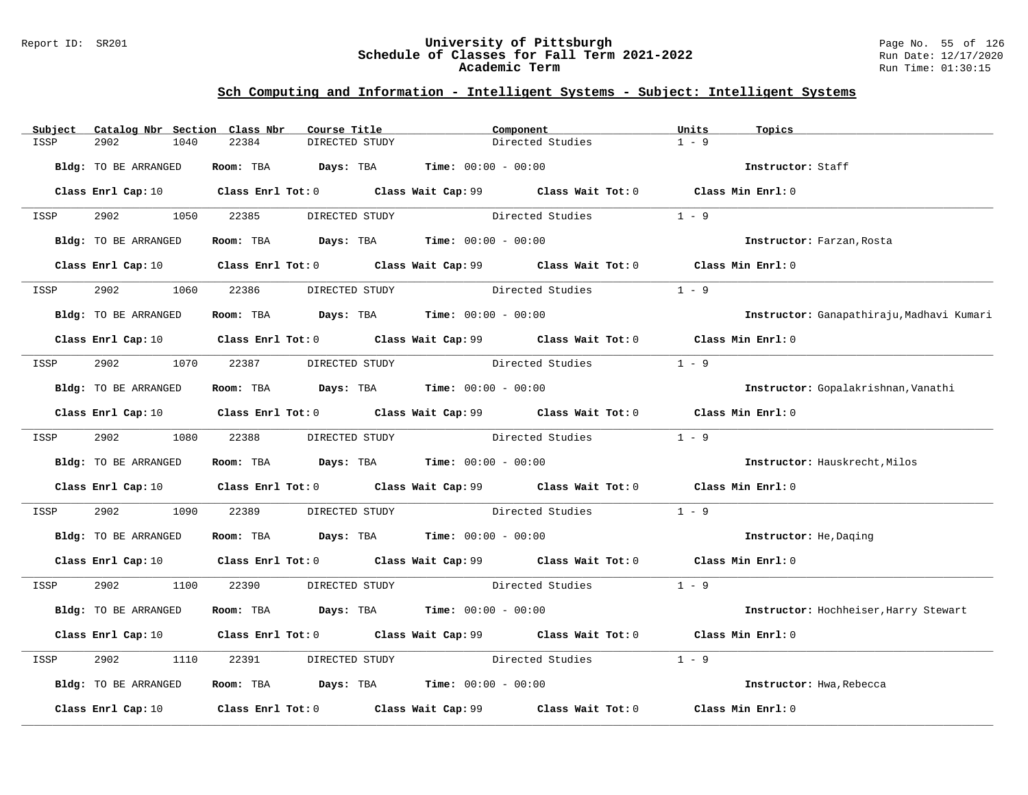### Report ID: SR201 **University of Pittsburgh** Page No. 55 of 126 **Schedule of Classes for Fall Term 2021-2022** Run Date: 12/17/2020 **Academic Term** Run Time: 01:30:15

| Subject | Catalog Nbr Section Class Nbr | Course Title                                                                                                                    |                |                  | Component                             | Units<br>Topics   |                                           |
|---------|-------------------------------|---------------------------------------------------------------------------------------------------------------------------------|----------------|------------------|---------------------------------------|-------------------|-------------------------------------------|
| ISSP    | 2902<br>1040                  | 22384<br>DIRECTED STUDY                                                                                                         |                |                  | Directed Studies                      | $1 - 9$           |                                           |
|         | Bldg: TO BE ARRANGED          | Room: TBA $Days:$ TBA $Time: 00:00 - 00:00$                                                                                     |                |                  |                                       |                   | Instructor: Staff                         |
|         |                               | Class Enrl Cap: 10 $\qquad$ Class Enrl Tot: 0 $\qquad$ Class Wait Cap: 99 $\qquad$ Class Wait Tot: 0 $\qquad$ Class Min Enrl: 0 |                |                  |                                       |                   |                                           |
| ISSP    | 2902 1050                     | 22385                                                                                                                           | DIRECTED STUDY |                  | Directed Studies                      | $1 - 9$           |                                           |
|         | Bldg: TO BE ARRANGED          | Room: TBA $Days:$ TBA $Time: 00:00 - 00:00$                                                                                     |                |                  |                                       |                   | Instructor: Farzan, Rosta                 |
|         |                               | Class Enrl Cap: 10 Class Enrl Tot: 0 Class Wait Cap: 99 Class Wait Tot: 0 Class Min Enrl: 0                                     |                |                  |                                       |                   |                                           |
| ISSP    | 2902<br>1060                  | 22386                                                                                                                           | DIRECTED STUDY | Directed Studies |                                       | $1 - 9$           |                                           |
|         | Bldg: TO BE ARRANGED          | Room: TBA $Days:$ TBA $Time: 00:00 - 00:00$                                                                                     |                |                  |                                       |                   | Instructor: Ganapathiraju, Madhavi Kumari |
|         |                               | Class Enrl Cap: 10 Class Enrl Tot: 0 Class Wait Cap: 99 Class Wait Tot: 0 Class Min Enrl: 0                                     |                |                  |                                       |                   |                                           |
| ISSP    | 2902<br>1070                  | 22387                                                                                                                           | DIRECTED STUDY |                  | Directed Studies                      | $1 - 9$           |                                           |
|         | Bldg: TO BE ARRANGED          | Room: TBA Days: TBA Time: $00:00 - 00:00$                                                                                       |                |                  |                                       |                   | Instructor: Gopalakrishnan, Vanathi       |
|         |                               | Class Enrl Cap: 10 $\qquad$ Class Enrl Tot: 0 $\qquad$ Class Wait Cap: 99 $\qquad$ Class Wait Tot: 0 $\qquad$ Class Min Enrl: 0 |                |                  |                                       |                   |                                           |
| ISSP    | 2902                          | 1080 22388                                                                                                                      | DIRECTED STUDY |                  | Directed Studies                      | $1 - 9$           |                                           |
|         | Bldg: TO BE ARRANGED          | Room: TBA $Days:$ TBA $Time: 00:00 - 00:00$                                                                                     |                |                  |                                       |                   | Instructor: Hauskrecht, Milos             |
|         |                               | Class Enrl Cap: 10 $\qquad$ Class Enrl Tot: 0 $\qquad$ Class Wait Cap: 99 $\qquad$ Class Wait Tot: 0 $\qquad$ Class Min Enrl: 0 |                |                  |                                       |                   |                                           |
| ISSP    | 2902<br>1090                  | 22389                                                                                                                           |                |                  | DIRECTED STUDY Directed Studies       | $1 - 9$           |                                           |
|         | Bldg: TO BE ARRANGED          | Room: TBA $Days:$ TBA $Time: 00:00 - 00:00$                                                                                     |                |                  |                                       |                   | Instructor: He, Daging                    |
|         |                               | Class Enrl Cap: 10 Class Enrl Tot: 0 Class Wait Cap: 99 Class Wait Tot: 0 Class Min Enrl: 0                                     |                |                  |                                       |                   |                                           |
| ISSP    | 2902<br>1100                  | 22390                                                                                                                           |                |                  | DIRECTED STUDY Directed Studies 1 - 9 |                   |                                           |
|         | Bldg: TO BE ARRANGED          | Room: TBA $Days:$ TBA $Time: 00:00 - 00:00$                                                                                     |                |                  |                                       |                   | Instructor: Hochheiser, Harry Stewart     |
|         |                               | Class Enrl Cap: 10 $\qquad$ Class Enrl Tot: 0 $\qquad$ Class Wait Cap: 99 $\qquad$ Class Wait Tot: 0 $\qquad$ Class Min Enrl: 0 |                |                  |                                       |                   |                                           |
| ISSP    | 2902<br>1110                  | 22391                                                                                                                           |                |                  | DIRECTED STUDY Directed Studies       | $1 - 9$           |                                           |
|         | Bldg: TO BE ARRANGED          | Room: TBA $Days:$ TBA $Time: 00:00 - 00:00$                                                                                     |                |                  |                                       |                   | Instructor: Hwa, Rebecca                  |
|         |                               | Class Enrl Cap: 10 $\qquad$ Class Enrl Tot: 0 $\qquad$ Class Wait Cap: 99 $\qquad$ Class Wait Tot: 0                            |                |                  |                                       | Class Min Enrl: 0 |                                           |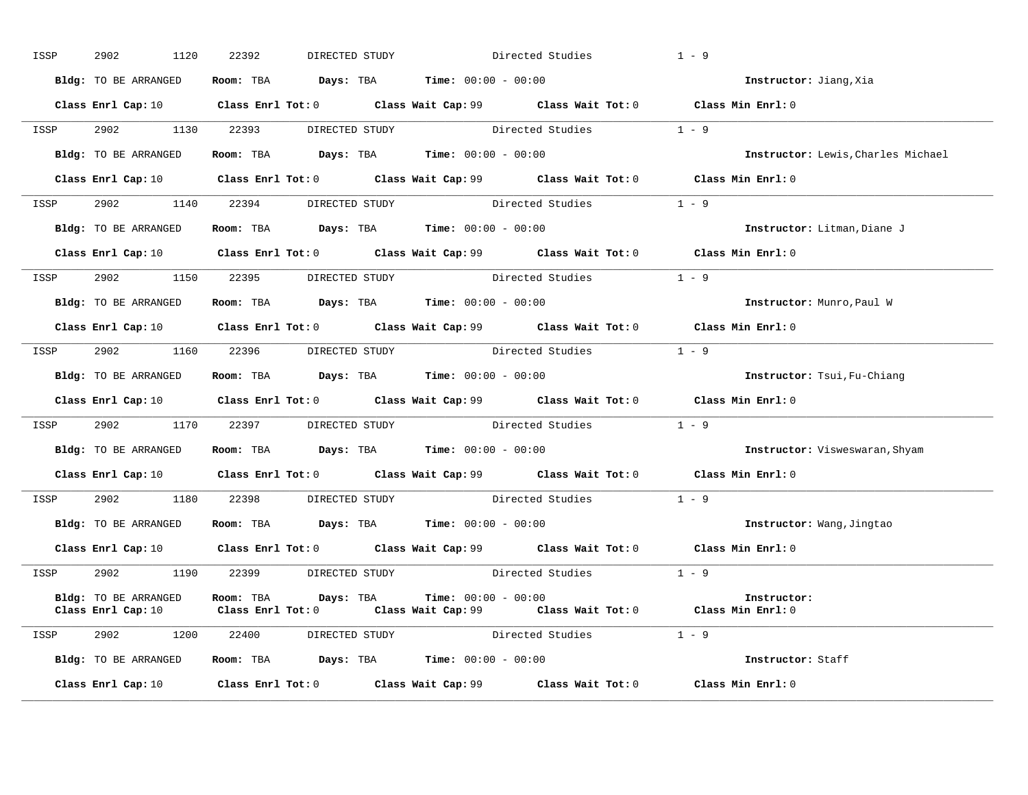| ISSP | 2902<br>1120                                                 | 22392 | DIRECTED STUDY                                                                         |                       | Directed Studies                                                                            | $1 - 9$                            |
|------|--------------------------------------------------------------|-------|----------------------------------------------------------------------------------------|-----------------------|---------------------------------------------------------------------------------------------|------------------------------------|
|      | Bldg: TO BE ARRANGED                                         |       | Room: TBA $\rule{1em}{0.15mm}$ Days: TBA Time: $00:00 - 00:00$                         |                       |                                                                                             | Instructor: Jiang, Xia             |
|      |                                                              |       |                                                                                        |                       | Class Enrl Cap: 10 Class Enrl Tot: 0 Class Wait Cap: 99 Class Wait Tot: 0 Class Min Enrl: 0 |                                    |
| ISSP | 2902 1130 22393                                              |       |                                                                                        |                       | DIRECTED STUDY Directed Studies 1 - 9                                                       |                                    |
|      | Bldg: TO BE ARRANGED Room: TBA Days: TBA Time: 00:00 - 00:00 |       |                                                                                        |                       |                                                                                             | Instructor: Lewis, Charles Michael |
|      |                                                              |       |                                                                                        |                       | Class Enrl Cap: 10 Class Enrl Tot: 0 Class Wait Cap: 99 Class Wait Tot: 0 Class Min Enrl: 0 |                                    |
| ISSP |                                                              |       |                                                                                        |                       | 2902 1140 22394 DIRECTED STUDY Directed Studies 1 - 9                                       |                                    |
|      | Bldg: TO BE ARRANGED                                         |       | Room: TBA Days: TBA Time: $00:00 - 00:00$                                              |                       |                                                                                             | Instructor: Litman, Diane J        |
|      |                                                              |       |                                                                                        |                       | Class Enrl Cap: 10 Class Enrl Tot: 0 Class Wait Cap: 99 Class Wait Tot: 0 Class Min Enrl: 0 |                                    |
|      |                                                              |       |                                                                                        |                       | ISSP 2902 1150 22395 DIRECTED STUDY Directed Studies 1 - 9                                  |                                    |
|      | Bldg: TO BE ARRANGED Room: TBA Days: TBA Time: 00:00 - 00:00 |       |                                                                                        |                       |                                                                                             | Instructor: Munro, Paul W          |
|      |                                                              |       |                                                                                        |                       | Class Enrl Cap: 10 Class Enrl Tot: 0 Class Wait Cap: 99 Class Wait Tot: 0 Class Min Enrl: 0 |                                    |
| ISSP |                                                              |       |                                                                                        |                       | 2902 1160 22396 DIRECTED STUDY Directed Studies 1 - 9                                       |                                    |
|      | Bldg: TO BE ARRANGED Room: TBA Days: TBA Time: 00:00 - 00:00 |       |                                                                                        |                       |                                                                                             | Instructor: Tsui, Fu-Chiang        |
|      |                                                              |       |                                                                                        |                       | Class Enrl Cap: 10 Class Enrl Tot: 0 Class Wait Cap: 99 Class Wait Tot: 0 Class Min Enrl: 0 |                                    |
|      |                                                              |       |                                                                                        |                       | ISSP 2902 1170 22397 DIRECTED STUDY Directed Studies 1 - 9                                  |                                    |
|      | Bldg: TO BE ARRANGED Room: TBA Days: TBA Time: 00:00 - 00:00 |       |                                                                                        |                       |                                                                                             | Instructor: Visweswaran, Shyam     |
|      |                                                              |       |                                                                                        |                       | Class Enrl Cap: 10 Class Enrl Tot: 0 Class Wait Cap: 99 Class Wait Tot: 0 Class Min Enrl: 0 |                                    |
|      |                                                              |       |                                                                                        |                       | ISSP 2902 1180 22398 DIRECTED STUDY Directed Studies 1 - 9                                  |                                    |
|      | Bldg: TO BE ARRANGED                                         |       | Room: TBA $\rule{1em}{0.15mm}$ Days: TBA $\rule{1.15mm}{0.15mm}$ Time: $00:00 - 00:00$ |                       |                                                                                             | Instructor: Wang, Jingtao          |
|      |                                                              |       |                                                                                        |                       | Class Enrl Cap: 10 Class Enrl Tot: 0 Class Wait Cap: 99 Class Wait Tot: 0 Class Min Enrl: 0 |                                    |
|      |                                                              |       |                                                                                        |                       | ISSP 2902 1190 22399 DIRECTED STUDY Directed Studies 1 - 9                                  |                                    |
|      | Bldg: TO BE ARRANGED<br>Class Enrl Cap: 10                   |       | Room: TBA Days: TBA<br>Class Enrl Tot: 0                                               | $Time: 00:00 - 00:00$ | Class Wait Cap: 99 Class Wait Tot: 0 Class Min Enrl: 0                                      | Instructor:                        |
|      | ISSP 2902 1200 22400                                         |       | DIRECTED STUDY                                                                         |                       | Directed Studies 1 - 9                                                                      |                                    |
|      | Bldg: TO BE ARRANGED Room: TBA Days: TBA Time: 00:00 - 00:00 |       |                                                                                        |                       |                                                                                             | Instructor: Staff                  |
|      | Class Enrl Cap: 10                                           |       |                                                                                        |                       | Class Enrl Tot: $0$ Class Wait Cap: $99$ Class Wait Tot: $0$ Class Min Enrl: $0$            |                                    |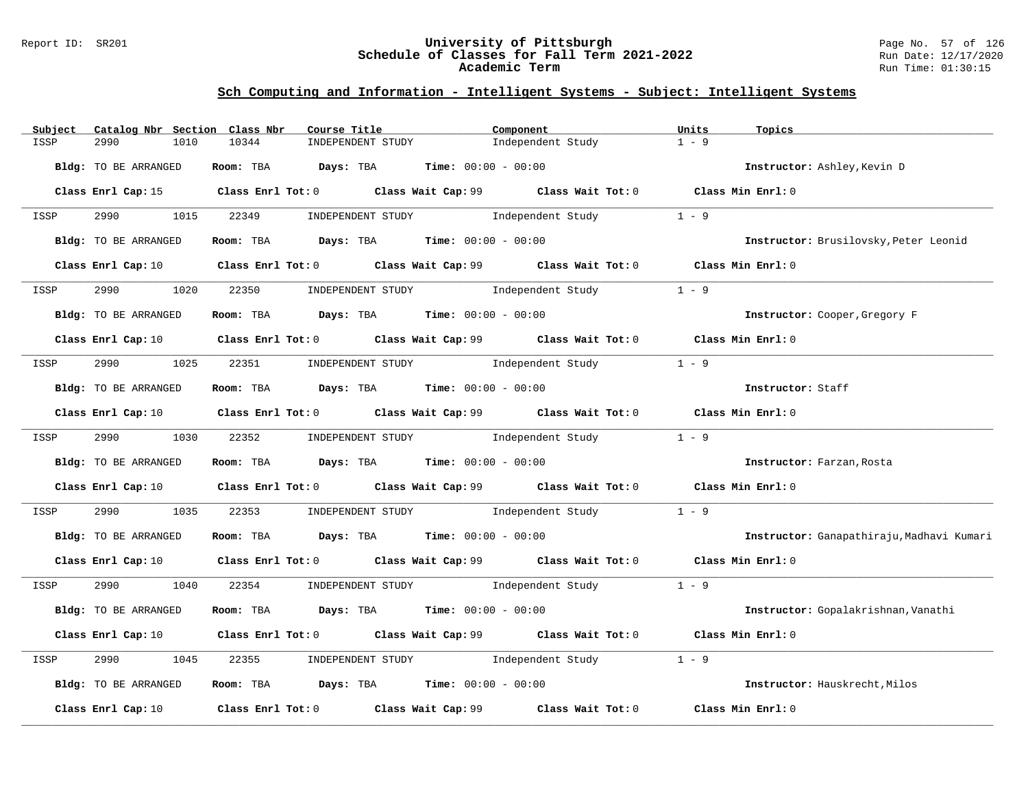### Report ID: SR201 **University of Pittsburgh** Page No. 57 of 126 **Schedule of Classes for Fall Term 2021-2022** Run Date: 12/17/2020 **Academic Term** Run Time: 01:30:15

| $1 - 9$<br>ISSP<br>2990<br>1010<br>10344<br>INDEPENDENT STUDY<br>Independent Study<br>Room: TBA $Days:$ TBA $Time: 00:00 - 00:00$<br>Bldg: TO BE ARRANGED<br>Instructor: Ashley, Kevin D<br>Class Enrl Cap: 15 Class Enrl Tot: 0 Class Wait Cap: 99 Class Wait Tot: 0 Class Min Enrl: 0<br>2990<br>1015 22349<br>INDEPENDENT STUDY 1 - 9<br>ISSP<br>Room: TBA $Days:$ TBA $Time: 00:00 - 00:00$<br>Bldg: TO BE ARRANGED<br>Instructor: Brusilovsky, Peter Leonid<br>Class Enrl Cap: 10 $\qquad$ Class Enrl Tot: 0 $\qquad$ Class Wait Cap: 99 $\qquad$ Class Wait Tot: 0 $\qquad$ Class Min Enrl: 0<br>22350 INDEPENDENT STUDY 1ndependent Study<br>$1 - 9$<br>2990<br>1020<br>ISSP<br>Room: TBA $Days:$ TBA $Time: 00:00 - 00:00$<br>Bldg: TO BE ARRANGED<br>Instructor: Cooper, Gregory F<br>Class Enrl Cap: 10 $\qquad$ Class Enrl Tot: 0 $\qquad$ Class Wait Cap: 99 $\qquad$ Class Wait Tot: 0 $\qquad$ Class Min Enrl: 0<br>22351 INDEPENDENT STUDY Independent Study 1 - 9<br>2990 1025<br>ISSP<br>Room: TBA $Days:$ TBA $Time: 00:00 - 00:00$<br>Instructor: Staff<br>Bldg: TO BE ARRANGED<br>Class Enrl Cap: 10 Class Enrl Tot: 0 Class Wait Cap: 99 Class Wait Tot: 0 Class Min Enrl: 0<br>2990 1030 22352 INDEPENDENT STUDY Independent Study 1 - 9<br>ISSP<br>Room: TBA $Days:$ TBA $Time:$ 00:00 - 00:00<br>Bldg: TO BE ARRANGED<br>Instructor: Farzan, Rosta<br>Class Enrl Cap: 10 $\qquad$ Class Enrl Tot: 0 $\qquad$ Class Wait Cap: 99 $\qquad$ Class Wait Tot: 0 $\qquad$ Class Min Enrl: 0<br>INDEPENDENT STUDY 1 - 9<br>2990 700<br>22353<br>1035<br>ISSP<br>Room: TBA $Days:$ TBA Time: $00:00 - 00:00$<br>Bldg: TO BE ARRANGED<br>Class Enrl Cap: 10 Class Enrl Tot: 0 Class Wait Cap: 99 Class Wait Tot: 0 Class Min Enrl: 0<br>22354 INDEPENDENT STUDY 1 Independent Study 1 - 9<br>2990 1040<br>ISSP<br>Room: TBA $Days:$ TBA $Time: 00:00 - 00:00$<br>Bldg: TO BE ARRANGED<br>Instructor: Gopalakrishnan, Vanathi<br>Class Enrl Cap: 10 $\qquad$ Class Enrl Tot: 0 $\qquad$ Class Wait Cap: 99 $\qquad$ Class Wait Tot: 0 $\qquad$ Class Min Enrl: 0<br>2990<br>INDEPENDENT STUDY The Independent Study<br>$1 - 9$<br>1045<br>22355<br>ISSP<br>Room: TBA $Days:$ TBA $Time: 00:00 - 00:00$<br>Bldg: TO BE ARRANGED<br>Instructor: Hauskrecht, Milos<br>Class Enrl Tot: 0 Class Wait Cap: 99<br>Class Wait Tot: 0<br>Class Min Enrl: 0<br>Class Enrl Cap: 10 | Subject | Catalog Nbr Section Class Nbr | Course Title | Component | Units | Topics                                    |
|---------------------------------------------------------------------------------------------------------------------------------------------------------------------------------------------------------------------------------------------------------------------------------------------------------------------------------------------------------------------------------------------------------------------------------------------------------------------------------------------------------------------------------------------------------------------------------------------------------------------------------------------------------------------------------------------------------------------------------------------------------------------------------------------------------------------------------------------------------------------------------------------------------------------------------------------------------------------------------------------------------------------------------------------------------------------------------------------------------------------------------------------------------------------------------------------------------------------------------------------------------------------------------------------------------------------------------------------------------------------------------------------------------------------------------------------------------------------------------------------------------------------------------------------------------------------------------------------------------------------------------------------------------------------------------------------------------------------------------------------------------------------------------------------------------------------------------------------------------------------------------------------------------------------------------------------------------------------------------------------------------------------------------------------------------------------------------------------------------------------------------------------------------------------------------------------------------------------------------------------------------------------------------------------------------------------------------------------------------------------------------------|---------|-------------------------------|--------------|-----------|-------|-------------------------------------------|
|                                                                                                                                                                                                                                                                                                                                                                                                                                                                                                                                                                                                                                                                                                                                                                                                                                                                                                                                                                                                                                                                                                                                                                                                                                                                                                                                                                                                                                                                                                                                                                                                                                                                                                                                                                                                                                                                                                                                                                                                                                                                                                                                                                                                                                                                                                                                                                                       |         |                               |              |           |       |                                           |
|                                                                                                                                                                                                                                                                                                                                                                                                                                                                                                                                                                                                                                                                                                                                                                                                                                                                                                                                                                                                                                                                                                                                                                                                                                                                                                                                                                                                                                                                                                                                                                                                                                                                                                                                                                                                                                                                                                                                                                                                                                                                                                                                                                                                                                                                                                                                                                                       |         |                               |              |           |       |                                           |
|                                                                                                                                                                                                                                                                                                                                                                                                                                                                                                                                                                                                                                                                                                                                                                                                                                                                                                                                                                                                                                                                                                                                                                                                                                                                                                                                                                                                                                                                                                                                                                                                                                                                                                                                                                                                                                                                                                                                                                                                                                                                                                                                                                                                                                                                                                                                                                                       |         |                               |              |           |       |                                           |
|                                                                                                                                                                                                                                                                                                                                                                                                                                                                                                                                                                                                                                                                                                                                                                                                                                                                                                                                                                                                                                                                                                                                                                                                                                                                                                                                                                                                                                                                                                                                                                                                                                                                                                                                                                                                                                                                                                                                                                                                                                                                                                                                                                                                                                                                                                                                                                                       |         |                               |              |           |       |                                           |
|                                                                                                                                                                                                                                                                                                                                                                                                                                                                                                                                                                                                                                                                                                                                                                                                                                                                                                                                                                                                                                                                                                                                                                                                                                                                                                                                                                                                                                                                                                                                                                                                                                                                                                                                                                                                                                                                                                                                                                                                                                                                                                                                                                                                                                                                                                                                                                                       |         |                               |              |           |       |                                           |
|                                                                                                                                                                                                                                                                                                                                                                                                                                                                                                                                                                                                                                                                                                                                                                                                                                                                                                                                                                                                                                                                                                                                                                                                                                                                                                                                                                                                                                                                                                                                                                                                                                                                                                                                                                                                                                                                                                                                                                                                                                                                                                                                                                                                                                                                                                                                                                                       |         |                               |              |           |       |                                           |
|                                                                                                                                                                                                                                                                                                                                                                                                                                                                                                                                                                                                                                                                                                                                                                                                                                                                                                                                                                                                                                                                                                                                                                                                                                                                                                                                                                                                                                                                                                                                                                                                                                                                                                                                                                                                                                                                                                                                                                                                                                                                                                                                                                                                                                                                                                                                                                                       |         |                               |              |           |       |                                           |
|                                                                                                                                                                                                                                                                                                                                                                                                                                                                                                                                                                                                                                                                                                                                                                                                                                                                                                                                                                                                                                                                                                                                                                                                                                                                                                                                                                                                                                                                                                                                                                                                                                                                                                                                                                                                                                                                                                                                                                                                                                                                                                                                                                                                                                                                                                                                                                                       |         |                               |              |           |       |                                           |
|                                                                                                                                                                                                                                                                                                                                                                                                                                                                                                                                                                                                                                                                                                                                                                                                                                                                                                                                                                                                                                                                                                                                                                                                                                                                                                                                                                                                                                                                                                                                                                                                                                                                                                                                                                                                                                                                                                                                                                                                                                                                                                                                                                                                                                                                                                                                                                                       |         |                               |              |           |       |                                           |
|                                                                                                                                                                                                                                                                                                                                                                                                                                                                                                                                                                                                                                                                                                                                                                                                                                                                                                                                                                                                                                                                                                                                                                                                                                                                                                                                                                                                                                                                                                                                                                                                                                                                                                                                                                                                                                                                                                                                                                                                                                                                                                                                                                                                                                                                                                                                                                                       |         |                               |              |           |       |                                           |
|                                                                                                                                                                                                                                                                                                                                                                                                                                                                                                                                                                                                                                                                                                                                                                                                                                                                                                                                                                                                                                                                                                                                                                                                                                                                                                                                                                                                                                                                                                                                                                                                                                                                                                                                                                                                                                                                                                                                                                                                                                                                                                                                                                                                                                                                                                                                                                                       |         |                               |              |           |       |                                           |
|                                                                                                                                                                                                                                                                                                                                                                                                                                                                                                                                                                                                                                                                                                                                                                                                                                                                                                                                                                                                                                                                                                                                                                                                                                                                                                                                                                                                                                                                                                                                                                                                                                                                                                                                                                                                                                                                                                                                                                                                                                                                                                                                                                                                                                                                                                                                                                                       |         |                               |              |           |       |                                           |
|                                                                                                                                                                                                                                                                                                                                                                                                                                                                                                                                                                                                                                                                                                                                                                                                                                                                                                                                                                                                                                                                                                                                                                                                                                                                                                                                                                                                                                                                                                                                                                                                                                                                                                                                                                                                                                                                                                                                                                                                                                                                                                                                                                                                                                                                                                                                                                                       |         |                               |              |           |       |                                           |
|                                                                                                                                                                                                                                                                                                                                                                                                                                                                                                                                                                                                                                                                                                                                                                                                                                                                                                                                                                                                                                                                                                                                                                                                                                                                                                                                                                                                                                                                                                                                                                                                                                                                                                                                                                                                                                                                                                                                                                                                                                                                                                                                                                                                                                                                                                                                                                                       |         |                               |              |           |       |                                           |
|                                                                                                                                                                                                                                                                                                                                                                                                                                                                                                                                                                                                                                                                                                                                                                                                                                                                                                                                                                                                                                                                                                                                                                                                                                                                                                                                                                                                                                                                                                                                                                                                                                                                                                                                                                                                                                                                                                                                                                                                                                                                                                                                                                                                                                                                                                                                                                                       |         |                               |              |           |       |                                           |
|                                                                                                                                                                                                                                                                                                                                                                                                                                                                                                                                                                                                                                                                                                                                                                                                                                                                                                                                                                                                                                                                                                                                                                                                                                                                                                                                                                                                                                                                                                                                                                                                                                                                                                                                                                                                                                                                                                                                                                                                                                                                                                                                                                                                                                                                                                                                                                                       |         |                               |              |           |       |                                           |
|                                                                                                                                                                                                                                                                                                                                                                                                                                                                                                                                                                                                                                                                                                                                                                                                                                                                                                                                                                                                                                                                                                                                                                                                                                                                                                                                                                                                                                                                                                                                                                                                                                                                                                                                                                                                                                                                                                                                                                                                                                                                                                                                                                                                                                                                                                                                                                                       |         |                               |              |           |       | Instructor: Ganapathiraju, Madhavi Kumari |
|                                                                                                                                                                                                                                                                                                                                                                                                                                                                                                                                                                                                                                                                                                                                                                                                                                                                                                                                                                                                                                                                                                                                                                                                                                                                                                                                                                                                                                                                                                                                                                                                                                                                                                                                                                                                                                                                                                                                                                                                                                                                                                                                                                                                                                                                                                                                                                                       |         |                               |              |           |       |                                           |
|                                                                                                                                                                                                                                                                                                                                                                                                                                                                                                                                                                                                                                                                                                                                                                                                                                                                                                                                                                                                                                                                                                                                                                                                                                                                                                                                                                                                                                                                                                                                                                                                                                                                                                                                                                                                                                                                                                                                                                                                                                                                                                                                                                                                                                                                                                                                                                                       |         |                               |              |           |       |                                           |
|                                                                                                                                                                                                                                                                                                                                                                                                                                                                                                                                                                                                                                                                                                                                                                                                                                                                                                                                                                                                                                                                                                                                                                                                                                                                                                                                                                                                                                                                                                                                                                                                                                                                                                                                                                                                                                                                                                                                                                                                                                                                                                                                                                                                                                                                                                                                                                                       |         |                               |              |           |       |                                           |
|                                                                                                                                                                                                                                                                                                                                                                                                                                                                                                                                                                                                                                                                                                                                                                                                                                                                                                                                                                                                                                                                                                                                                                                                                                                                                                                                                                                                                                                                                                                                                                                                                                                                                                                                                                                                                                                                                                                                                                                                                                                                                                                                                                                                                                                                                                                                                                                       |         |                               |              |           |       |                                           |
|                                                                                                                                                                                                                                                                                                                                                                                                                                                                                                                                                                                                                                                                                                                                                                                                                                                                                                                                                                                                                                                                                                                                                                                                                                                                                                                                                                                                                                                                                                                                                                                                                                                                                                                                                                                                                                                                                                                                                                                                                                                                                                                                                                                                                                                                                                                                                                                       |         |                               |              |           |       |                                           |
|                                                                                                                                                                                                                                                                                                                                                                                                                                                                                                                                                                                                                                                                                                                                                                                                                                                                                                                                                                                                                                                                                                                                                                                                                                                                                                                                                                                                                                                                                                                                                                                                                                                                                                                                                                                                                                                                                                                                                                                                                                                                                                                                                                                                                                                                                                                                                                                       |         |                               |              |           |       |                                           |
|                                                                                                                                                                                                                                                                                                                                                                                                                                                                                                                                                                                                                                                                                                                                                                                                                                                                                                                                                                                                                                                                                                                                                                                                                                                                                                                                                                                                                                                                                                                                                                                                                                                                                                                                                                                                                                                                                                                                                                                                                                                                                                                                                                                                                                                                                                                                                                                       |         |                               |              |           |       |                                           |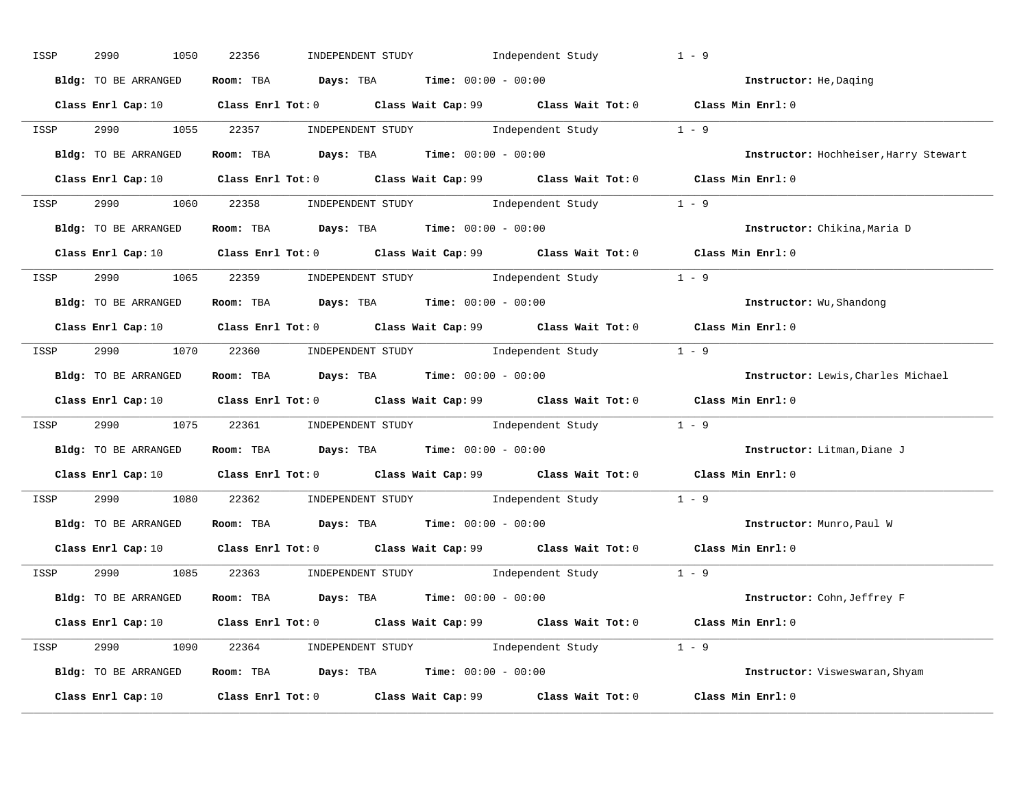| ISSP | 2990<br>1050         | INDEPENDENT STUDY 1ndependent Study<br>22356                                                                                    | $1 - 9$                               |
|------|----------------------|---------------------------------------------------------------------------------------------------------------------------------|---------------------------------------|
|      | Bldg: TO BE ARRANGED | Room: TBA $Days:$ TBA $Time: 00:00 - 00:00$                                                                                     | Instructor: He, Daging                |
|      |                      | Class Enrl Cap: 10 Class Enrl Tot: 0 Class Wait Cap: 99 Class Wait Tot: 0 Class Min Enrl: 0                                     |                                       |
|      |                      | ISSP 2990 1055 22357 INDEPENDENT STUDY Independent Study 1 - 9                                                                  |                                       |
|      | Bldg: TO BE ARRANGED | Room: TBA $Days:$ TBA $Time: 00:00 - 00:00$                                                                                     | Instructor: Hochheiser, Harry Stewart |
|      |                      | Class Enrl Cap: 10 Class Enrl Tot: 0 Class Wait Cap: 99 Class Wait Tot: 0 Class Min Enrl: 0                                     |                                       |
|      |                      | ISSP 2990 1060 22358 INDEPENDENT STUDY Independent Study 1 - 9                                                                  |                                       |
|      |                      | Bldg: TO BE ARRANGED ROOM: TBA Days: TBA Time: 00:00 - 00:00                                                                    | Instructor: Chikina, Maria D          |
|      |                      | Class Enrl Cap: 10 Class Enrl Tot: 0 Class Wait Cap: 99 Class Wait Tot: 0 Class Min Enrl: 0                                     |                                       |
| ISSP |                      | 2990 1065 22359 INDEPENDENT STUDY Independent Study 1 - 9                                                                       |                                       |
|      | Bldg: TO BE ARRANGED | Room: TBA $Days:$ TBA $Time: 00:00 - 00:00$                                                                                     | Instructor: Wu, Shandong              |
|      |                      | Class Enrl Cap: 10 $\qquad$ Class Enrl Tot: 0 $\qquad$ Class Wait Cap: 99 $\qquad$ Class Wait Tot: 0 $\qquad$ Class Min Enrl: 0 |                                       |
|      |                      | ISSP 2990 1070 22360 INDEPENDENT STUDY Independent Study 1 - 9                                                                  |                                       |
|      | Bldg: TO BE ARRANGED | Room: TBA $Days:$ TBA $Time:$ $00:00 - 00:00$                                                                                   | Instructor: Lewis, Charles Michael    |
|      |                      | Class Enrl Cap: 10 Class Enrl Tot: 0 Class Wait Cap: 99 Class Wait Tot: 0 Class Min Enrl: 0                                     |                                       |
| ISSP |                      | 2990 1075 22361 INDEPENDENT STUDY Independent Study 1 - 9                                                                       |                                       |
|      | Bldg: TO BE ARRANGED | Room: TBA $Days:$ TBA $Time: 00:00 - 00:00$                                                                                     | Instructor: Litman, Diane J           |
|      |                      | Class Enrl Cap: 10 Class Enrl Tot: 0 Class Wait Cap: 99 Class Wait Tot: 0 Class Min Enrl: 0                                     |                                       |
| ISSP |                      | 2990 1080 22362 INDEPENDENT STUDY Independent Study 1 - 9                                                                       |                                       |
|      | Bldg: TO BE ARRANGED | Room: TBA $Days: TBA$ Time: $00:00 - 00:00$                                                                                     | Instructor: Munro, Paul W             |
|      |                      | Class Enrl Cap: 10 Class Enrl Tot: 0 Class Wait Cap: 99 Class Wait Tot: 0 Class Min Enrl: 0                                     |                                       |
|      |                      | ISSP 2990 1085 22363 INDEPENDENT STUDY Independent Study 1 - 9                                                                  |                                       |
|      | Bldg: TO BE ARRANGED | Room: TBA $Days:$ TBA $Time: 00:00 - 00:00$                                                                                     | Instructor: Cohn, Jeffrey F           |
|      |                      | Class Enrl Cap: 10 $\qquad$ Class Enrl Tot: 0 $\qquad$ Class Wait Cap: 99 $\qquad$ Class Wait Tot: 0 $\qquad$ Class Min Enrl: 0 |                                       |
|      |                      | ISSP 2990 1090 22364 INDEPENDENT STUDY Independent Study 1 - 9                                                                  |                                       |
|      | Bldg: TO BE ARRANGED | Room: TBA $Days$ : TBA $Time: 00:00 - 00:00$                                                                                    | Instructor: Visweswaran, Shyam        |
|      |                      | Class Enrl Cap: 10 Class Enrl Tot: 0 Class Wait Cap: 99 Class Wait Tot: 0                                                       | Class Min Enrl: 0                     |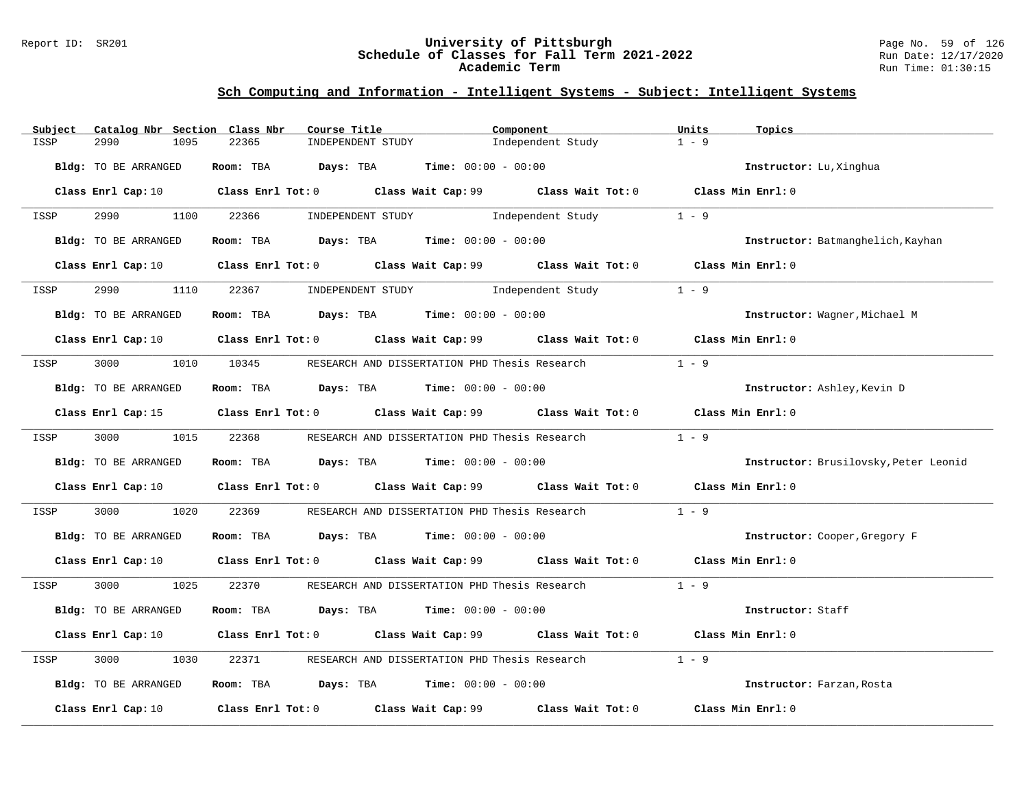### Report ID: SR201 **University of Pittsburgh** Page No. 59 of 126 **Schedule of Classes for Fall Term 2021-2022** Run Date: 12/17/2020 **Academic Term** Run Time: 01:30:15

| Subject              | Catalog Nbr Section Class Nbr |            | Course Title                                  | Component                                                                                                                       | Units<br>Topics                   |                                       |
|----------------------|-------------------------------|------------|-----------------------------------------------|---------------------------------------------------------------------------------------------------------------------------------|-----------------------------------|---------------------------------------|
| 2990<br>ISSP         | 1095                          | 22365      | INDEPENDENT STUDY                             | Independent Study                                                                                                               | $1 - 9$                           |                                       |
| Bldg: TO BE ARRANGED |                               |            | Room: TBA $Days:$ TBA $Time: 00:00 - 00:00$   |                                                                                                                                 | Instructor: Lu, Xinghua           |                                       |
|                      |                               |            |                                               | Class Enrl Cap: 10 $\qquad$ Class Enrl Tot: 0 $\qquad$ Class Wait Cap: 99 $\qquad$ Class Wait Tot: 0 $\qquad$ Class Min Enrl: 0 |                                   |                                       |
| ISSP                 | 2990<br>1100                  | 22366      |                                               | INDEPENDENT STUDY The Independent Study                                                                                         | $1 - 9$                           |                                       |
| Bldg: TO BE ARRANGED |                               |            | Room: TBA $Days:$ TBA $Time: 00:00 - 00:00$   |                                                                                                                                 | Instructor: Batmanghelich, Kayhan |                                       |
|                      |                               |            |                                               | Class Enrl Cap: 10 $\qquad$ Class Enrl Tot: 0 $\qquad$ Class Wait Cap: 99 $\qquad$ Class Wait Tot: 0 $\qquad$ Class Min Enrl: 0 |                                   |                                       |
| 2990<br>ISSP         | 1110                          |            | 22367 INDEPENDENT STUDY 1ndependent Study     |                                                                                                                                 | $1 - 9$                           |                                       |
| Bldg: TO BE ARRANGED |                               |            | Room: TBA $Days:$ TBA $Time: 00:00 - 00:00$   |                                                                                                                                 | Instructor: Wagner, Michael M     |                                       |
|                      |                               |            |                                               | Class Enrl Cap: 10 $\qquad$ Class Enrl Tot: 0 $\qquad$ Class Wait Cap: 99 $\qquad$ Class Wait Tot: 0 $\qquad$ Class Min Enrl: 0 |                                   |                                       |
| ISSP                 | 3000 000                      | 1010 10345 | RESEARCH AND DISSERTATION PHD Thesis Research |                                                                                                                                 | $1 - 9$                           |                                       |
| Bldg: TO BE ARRANGED |                               |            | Room: TBA $Days:$ TBA $Time: 00:00 - 00:00$   |                                                                                                                                 | Instructor: Ashley, Kevin D       |                                       |
|                      |                               |            |                                               | Class Enrl Cap: 15 Class Enrl Tot: 0 Class Wait Cap: 99 Class Wait Tot: 0 Class Min Enrl: 0                                     |                                   |                                       |
| 3000 000<br>ISSP     |                               | 1015 22368 |                                               | RESEARCH AND DISSERTATION PHD Thesis Research                                                                                   | $1 - 9$                           |                                       |
| Bldg: TO BE ARRANGED |                               |            | Room: TBA $Days:$ TBA $Time: 00:00 - 00:00$   |                                                                                                                                 |                                   | Instructor: Brusilovsky, Peter Leonid |
|                      |                               |            |                                               | Class Enrl Cap: 10 $\qquad$ Class Enrl Tot: 0 $\qquad$ Class Wait Cap: 99 $\qquad$ Class Wait Tot: 0 $\qquad$ Class Min Enrl: 0 |                                   |                                       |
| 3000<br>ISSP         | 1020                          | 22369      |                                               | RESEARCH AND DISSERTATION PHD Thesis Research                                                                                   | $1 - 9$                           |                                       |
| Bldg: TO BE ARRANGED |                               |            | Room: TBA $Days:$ TBA $Time: 00:00 - 00:00$   |                                                                                                                                 | Instructor: Cooper, Gregory F     |                                       |
|                      |                               |            |                                               | Class Enrl Cap: 10 $\qquad$ Class Enrl Tot: 0 $\qquad$ Class Wait Cap: 99 $\qquad$ Class Wait Tot: 0 $\qquad$ Class Min Enrl: 0 |                                   |                                       |
| ISSP                 | 3000 000<br>1025              | 22370      |                                               | RESEARCH AND DISSERTATION PHD Thesis Research 1 - 9                                                                             |                                   |                                       |
| Bldg: TO BE ARRANGED |                               |            | Room: TBA $Days:$ TBA $Time: 00:00 - 00:00$   |                                                                                                                                 | Instructor: Staff                 |                                       |
|                      |                               |            |                                               | Class Enrl Cap: 10 $\qquad$ Class Enrl Tot: 0 $\qquad$ Class Wait Cap: 99 $\qquad$ Class Wait Tot: 0 $\qquad$ Class Min Enrl: 0 |                                   |                                       |
| 3000<br>ISSP         | 1030                          | 22371      | RESEARCH AND DISSERTATION PHD Thesis Research |                                                                                                                                 | $1 - 9$                           |                                       |
| Bldg: TO BE ARRANGED |                               |            | Room: TBA $Days:$ TBA $Time: 00:00 - 00:00$   |                                                                                                                                 | Instructor: Farzan, Rosta         |                                       |
| Class Enrl Cap: 10   |                               |            | Class Enrl Tot: 0 Class Wait Cap: 99          | Class Wait Tot: 0                                                                                                               | Class Min Enrl: 0                 |                                       |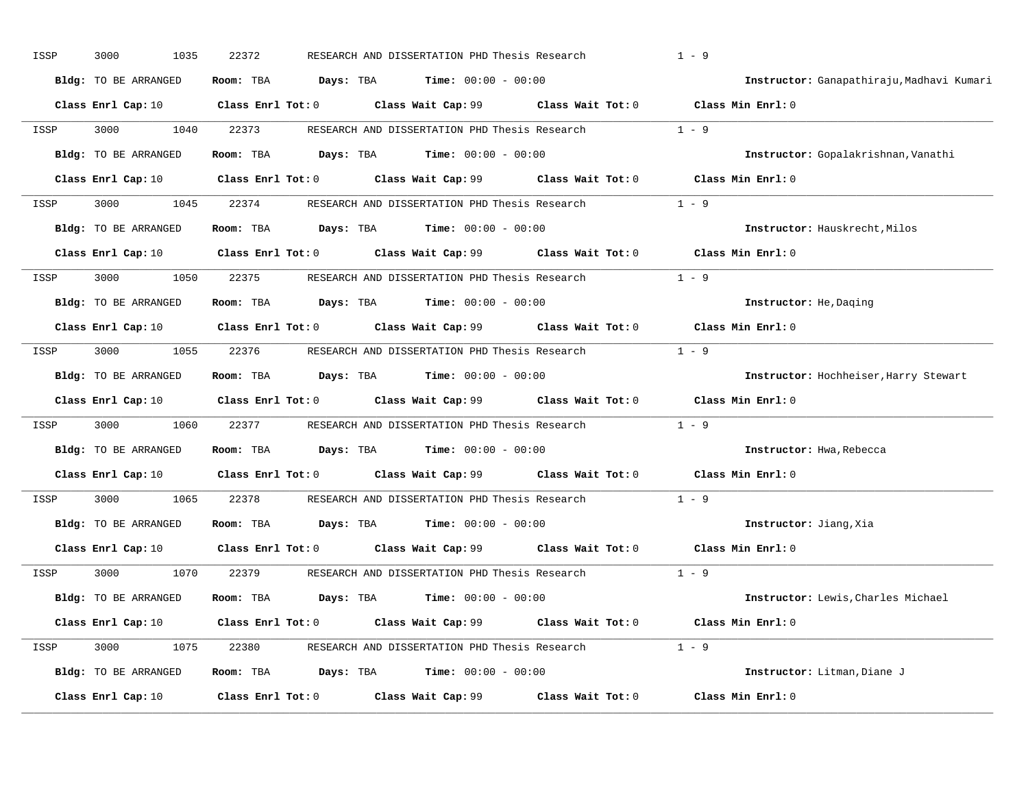| ISSP | 1035<br>3000                | 22372                   |           | RESEARCH AND DISSERTATION PHD Thesis Research |                                                     | $1 - 9$                                   |
|------|-----------------------------|-------------------------|-----------|-----------------------------------------------|-----------------------------------------------------|-------------------------------------------|
|      | Bldg: TO BE ARRANGED        | Room: TBA               | Days: TBA | <b>Time:</b> $00:00 - 00:00$                  |                                                     | Instructor: Ganapathiraju, Madhavi Kumari |
|      | Class Enrl Cap: 10          | Class Enrl Tot: 0       |           | Class Wait Cap: 99                            |                                                     | Class Wait Tot: 0 Class Min Enrl: 0       |
| ISSP | 3000<br>1040                | 22373                   |           | RESEARCH AND DISSERTATION PHD Thesis Research |                                                     | $1 - 9$                                   |
|      | <b>Bldg:</b> TO BE ARRANGED | Room: TBA               | Days: TBA | <b>Time:</b> $00:00 - 00:00$                  |                                                     | Instructor: Gopalakrishnan, Vanathi       |
|      | Class Enrl Cap: 10          | $Class$ $Enr1$ $Tot: 0$ |           | Class Wait Cap: 99                            |                                                     | Class Wait $Tot: 0$ Class Min Enrl: $0$   |
| ISSP | 3000<br>1045                | 22374                   |           |                                               | RESEARCH AND DISSERTATION PHD Thesis Research 1 - 9 |                                           |
|      | <b>Bldg:</b> TO BE ARRANGED | Room: TBA               | Days: TBA | <b>Time:</b> $00:00 - 00:00$                  |                                                     | Instructor: Hauskrecht, Milos             |
|      | Class Enrl Cap: 10          | $Class$ $Enr1$ $Tot: 0$ |           | Class Wait Cap: 99                            | Class Wait Tot: 0                                   | Class Min Enrl: 0                         |
| ISSP | 3000<br>1050                | 22375                   |           | RESEARCH AND DISSERTATION PHD Thesis Research |                                                     | $1 - 9$                                   |
|      | <b>Bldg:</b> TO BE ARRANGED | Room: TBA               | Days: TBA | <b>Time:</b> $00:00 - 00:00$                  |                                                     | Instructor: He, Daging                    |
|      | Class Enrl Cap: 10          | Class Enrl Tot: 0       |           | Class Wait Cap: 99                            | Class Wait Tot: 0                                   | Class Min Enrl: 0                         |
| ISSP | 3000<br>1055                | 22376                   |           | RESEARCH AND DISSERTATION PHD Thesis Research |                                                     | $1 - 9$                                   |
|      | <b>Bldg:</b> TO BE ARRANGED | Room: TBA               | Days: TBA | $Time: 00:00 - 00:00$                         |                                                     | Instructor: Hochheiser, Harry Stewart     |
|      | Class Enrl Cap: 10          | $Class$ $Enr1$ $Tot: 0$ |           |                                               | Class Wait Cap: 99 Class Wait Tot: 0                | Class Min Enrl: 0                         |
| ISSP | 3000<br>1060                | 22377                   |           | RESEARCH AND DISSERTATION PHD Thesis Research |                                                     | $1 - 9$                                   |
|      | Bldg: TO BE ARRANGED        | Room: TBA               | Days: TBA | $Time: 00:00 - 00:00$                         |                                                     | Instructor: Hwa, Rebecca                  |
|      | Class Enrl Cap: 10          | $Class$ $Enr1$ $Tot: 0$ |           | Class Wait Cap: 99                            | Class Wait Tot: 0                                   | Class Min Enrl: 0                         |
| ISSP | 3000<br>1065                | 22378                   |           | RESEARCH AND DISSERTATION PHD Thesis Research |                                                     | $1 - 9$                                   |
|      | Bldg: TO BE ARRANGED        | Room: TBA               | Days: TBA | <b>Time:</b> $00:00 - 00:00$                  |                                                     | Instructor: Jiang, Xia                    |
|      | Class Enrl Cap: 10          | $Class$ $Enrl$ $Tot: 0$ |           | Class Wait Cap: 99                            | Class Wait Tot: 0                                   | Class Min Enrl: 0                         |
| ISSP | 1070<br>3000                | 22379                   |           | RESEARCH AND DISSERTATION PHD Thesis Research |                                                     | $1 - 9$                                   |
|      | Bldg: TO BE ARRANGED        | Room: TBA               | Days: TBA | $Time: 00:00 - 00:00$                         |                                                     | Instructor: Lewis, Charles Michael        |
|      | Class Enrl Cap: 10          | $Class$ $Enrl$ $Tot: 0$ |           | Class Wait Cap: 99                            | Class Wait Tot: 0                                   | Class Min Enrl: 0                         |
| ISSP | 3000<br>1075                | 22380                   |           |                                               | RESEARCH AND DISSERTATION PHD Thesis Research 1 - 9 |                                           |
|      | Bldg: TO BE ARRANGED        | Room: TBA               | Days: TBA | <b>Time:</b> $00:00 - 00:00$                  |                                                     | Instructor: Litman, Diane J               |
|      |                             |                         |           |                                               |                                                     |                                           |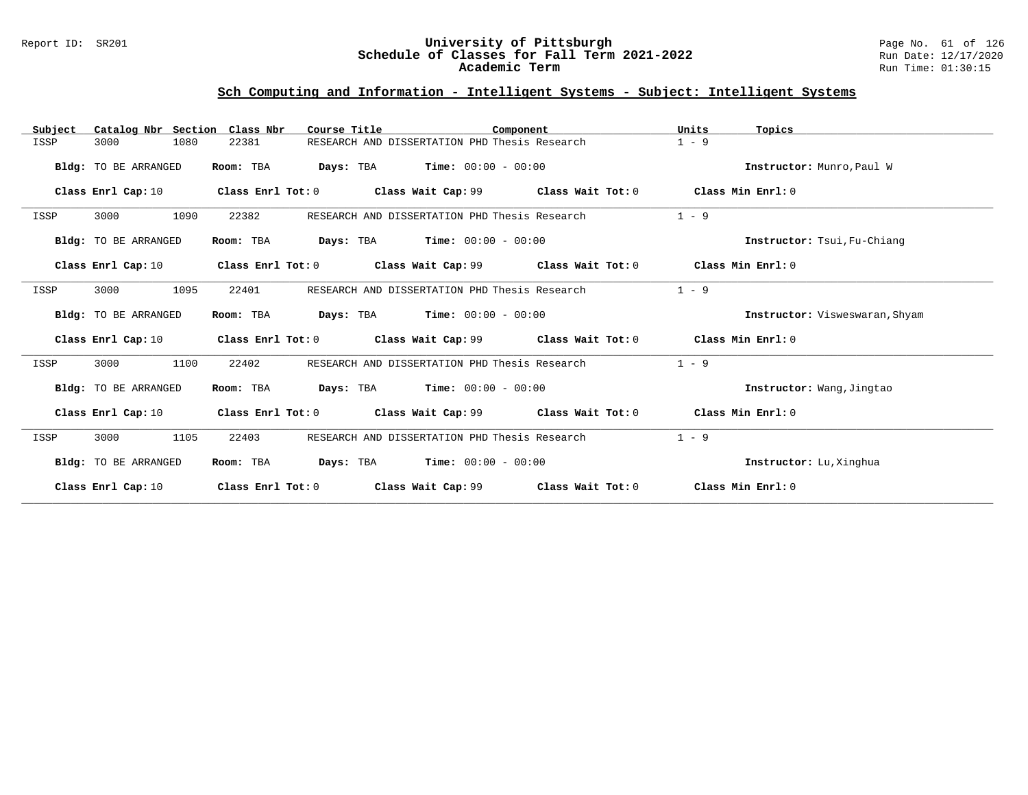### Report ID: SR201 **University of Pittsburgh** Page No. 61 of 126 **Schedule of Classes for Fall Term 2021-2022** Run Date: 12/17/2020 **Academic Term** Run Time: 01:30:15

| Catalog Nbr Section Class Nbr<br>Subject | Course Title                                               | Component                                                                        | Units<br>Topics                |
|------------------------------------------|------------------------------------------------------------|----------------------------------------------------------------------------------|--------------------------------|
| ISSP<br>3000<br>1080                     | 22381                                                      | RESEARCH AND DISSERTATION PHD Thesis Research                                    | $1 - 9$                        |
| Bldg: TO BE ARRANGED                     | Room: TBA                                                  | <b>Days:</b> TBA <b>Time:</b> $00:00 - 00:00$                                    | Instructor: Munro, Paul W      |
| Class Enrl Cap: 10                       |                                                            | Class Enrl Tot: 0 Class Wait Cap: 99 Class Wait Tot: 0                           | Class Min Enrl: 0              |
| 1090<br>ISSP<br>3000                     | 22382                                                      | RESEARCH AND DISSERTATION PHD Thesis Research                                    | $1 - 9$                        |
| Bldg: TO BE ARRANGED                     | Room: TBA<br><b>Days:</b> TBA <b>Time:</b> $00:00 - 00:00$ |                                                                                  | Instructor: Tsui, Fu-Chiang    |
| Class Enrl Cap: 10                       |                                                            | Class Enrl Tot: $0$ Class Wait Cap: $99$ Class Wait Tot: $0$ Class Min Enrl: $0$ |                                |
| 3000<br>1095<br>ISSP                     | 22401                                                      | RESEARCH AND DISSERTATION PHD Thesis Research                                    | $1 - 9$                        |
| Bldg: TO BE ARRANGED                     | $Days: TBA$ $Time: 00:00 - 00:00$<br>Room: TBA             |                                                                                  | Instructor: Visweswaran, Shyam |
| Class Enrl Cap: 10                       |                                                            | Class Enrl Tot: $0$ Class Wait Cap: 99 Class Wait Tot: $0$ Class Min Enrl: $0$   |                                |
| 3000<br>1100<br>ISSP                     | 22402                                                      | RESEARCH AND DISSERTATION PHD Thesis Research                                    | $1 - 9$                        |
| Bldg: TO BE ARRANGED                     | <b>Days:</b> TBA <b>Time:</b> $00:00 - 00:00$<br>Room: TBA |                                                                                  | Instructor: Wang, Jingtao      |
| Class Enrl Cap: 10                       |                                                            | Class Enrl Tot: $0$ Class Wait Cap: $99$ Class Wait Tot: $0$                     | Class Min Enrl: 0              |
| 1105<br>ISSP<br>3000                     | 22403                                                      | RESEARCH AND DISSERTATION PHD Thesis Research                                    | $1 - 9$                        |
| Bldg: TO BE ARRANGED                     | <b>Days:</b> TBA <b>Time:</b> $00:00 - 00:00$<br>Room: TBA |                                                                                  | Instructor: Lu, Xinghua        |
| Class Enrl Cap: 10                       | Class Enrl Tot: 0                                          | Class Wait Cap: 99 Class Wait Tot: 0                                             | Class Min Enrl: 0              |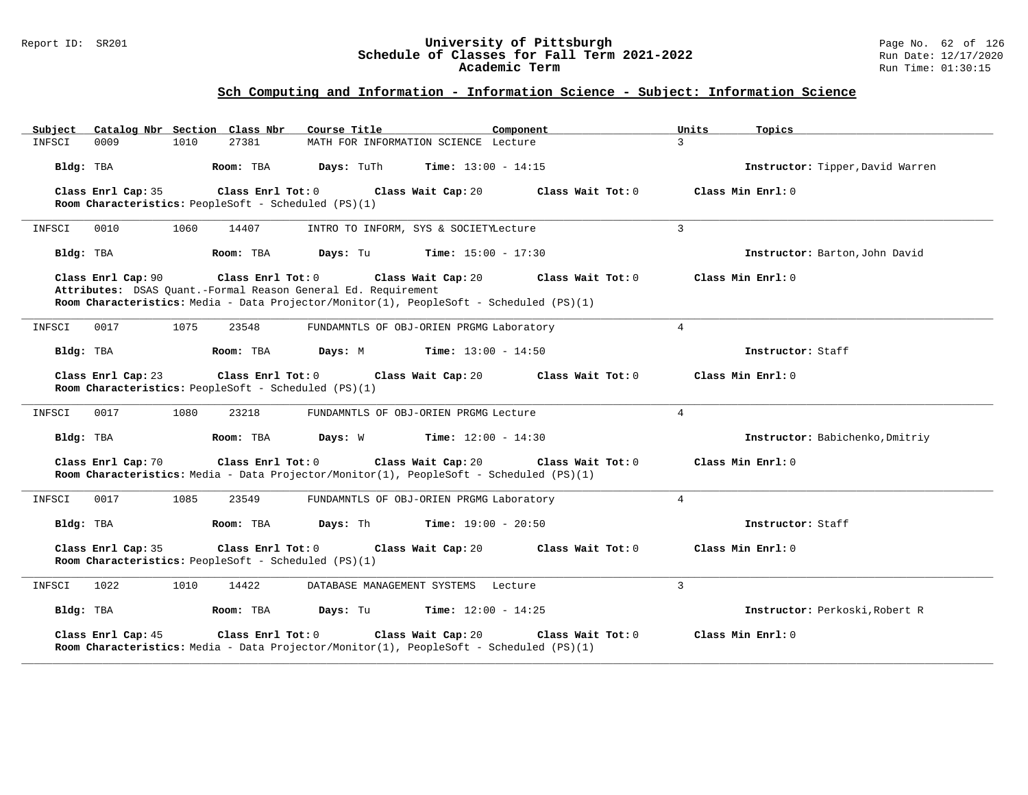### Report ID: SR201 **University of Pittsburgh** Page No. 62 of 126 **Schedule of Classes for Fall Term 2021-2022** Run Date: 12/17/2020 **Academic Term** Run Time: 01:30:15

| Catalog Nbr Section Class Nbr<br>Subject                                                                 | Course Title<br>Component                                                                                                          | Units<br>Topics                  |
|----------------------------------------------------------------------------------------------------------|------------------------------------------------------------------------------------------------------------------------------------|----------------------------------|
| 0009<br>1010<br>27381<br>INFSCI                                                                          | MATH FOR INFORMATION SCIENCE Lecture                                                                                               | $\mathbf{3}$                     |
| Bldg: TBA<br>Room: TBA                                                                                   | Days: TuTh<br><b>Time:</b> $13:00 - 14:15$                                                                                         | Instructor: Tipper, David Warren |
| Class Enrl Cap: 35<br>Class Enrl Tot: 0<br>Room Characteristics: PeopleSoft - Scheduled (PS)(1)          | Class Wait Tot: 0<br>Class Wait Cap: 20                                                                                            | Class Min Enrl: 0                |
| INFSCI<br>0010<br>1060<br>14407                                                                          | INTRO TO INFORM, SYS & SOCIETYLecture                                                                                              | $\mathbf{3}$                     |
| Bldg: TBA<br>Room: TBA                                                                                   | <b>Time:</b> $15:00 - 17:30$<br>Days: Tu                                                                                           | Instructor: Barton, John David   |
| Class Enrl Cap: 90<br>Class Enrl Tot: 0<br>Attributes: DSAS Quant.-Formal Reason General Ed. Requirement | Class Wait Cap: 20<br>Class Wait Tot: 0<br>Room Characteristics: Media - Data Projector/Monitor(1), PeopleSoft - Scheduled (PS)(1) | Class Min Enrl: 0                |
| 0017<br>1075<br>23548<br>INFSCI                                                                          | FUNDAMNTLS OF OBJ-ORIEN PRGMG Laboratory                                                                                           | $\overline{4}$                   |
| Room: TBA<br>Bldg: TBA                                                                                   | Days: M<br><b>Time:</b> $13:00 - 14:50$                                                                                            | Instructor: Staff                |
| Class Enrl Cap: 23<br>Class Enrl Tot: 0<br>Room Characteristics: PeopleSoft - Scheduled (PS)(1)          | Class Wait Cap: 20<br>Class Wait Tot: 0                                                                                            | Class Min Enrl: 0                |
| 0017<br>1080<br>23218<br>INFSCI                                                                          | FUNDAMNTLS OF OBJ-ORIEN PRGMG Lecture                                                                                              | $\overline{4}$                   |
| Bldg: TBA<br>Room: TBA                                                                                   | Days: W<br><b>Time:</b> $12:00 - 14:30$                                                                                            | Instructor: Babichenko, Dmitriy  |
| Class Enrl Cap: 70<br>Class Enrl Tot: 0                                                                  | Class Wait Cap: 20<br>Class Wait Tot: 0<br>Room Characteristics: Media - Data Projector/Monitor(1), PeopleSoft - Scheduled (PS)(1) | Class Min Enrl: 0                |
| 0017<br>1085<br>23549<br>INFSCI                                                                          | FUNDAMNTLS OF OBJ-ORIEN PRGMG Laboratory                                                                                           | $\overline{4}$                   |
| Room: TBA<br>Bldg: TBA                                                                                   | Days: Th<br>$Time: 19:00 - 20:50$                                                                                                  | Instructor: Staff                |
| Class Enrl Cap: 35<br>Class Enrl Tot: 0<br>Room Characteristics: PeopleSoft - Scheduled (PS)(1)          | Class Wait Cap: 20<br>Class Wait Tot: 0                                                                                            | Class Min Enrl: 0                |
| 1022<br>1010<br>14422<br>INFSCI                                                                          | DATABASE MANAGEMENT SYSTEMS<br>Lecture                                                                                             | $\overline{3}$                   |
| Bldg: TBA<br>Room: TBA                                                                                   | Days: Tu<br><b>Time:</b> $12:00 - 14:25$                                                                                           | Instructor: Perkoski, Robert R   |
| Class Enrl Cap: 45<br>Class Enrl Tot: 0                                                                  | Class Wait Cap: 20<br>Class Wait Tot: 0<br>Room Characteristics: Media - Data Projector/Monitor(1), PeopleSoft - Scheduled (PS)(1) | Class Min Enrl: 0                |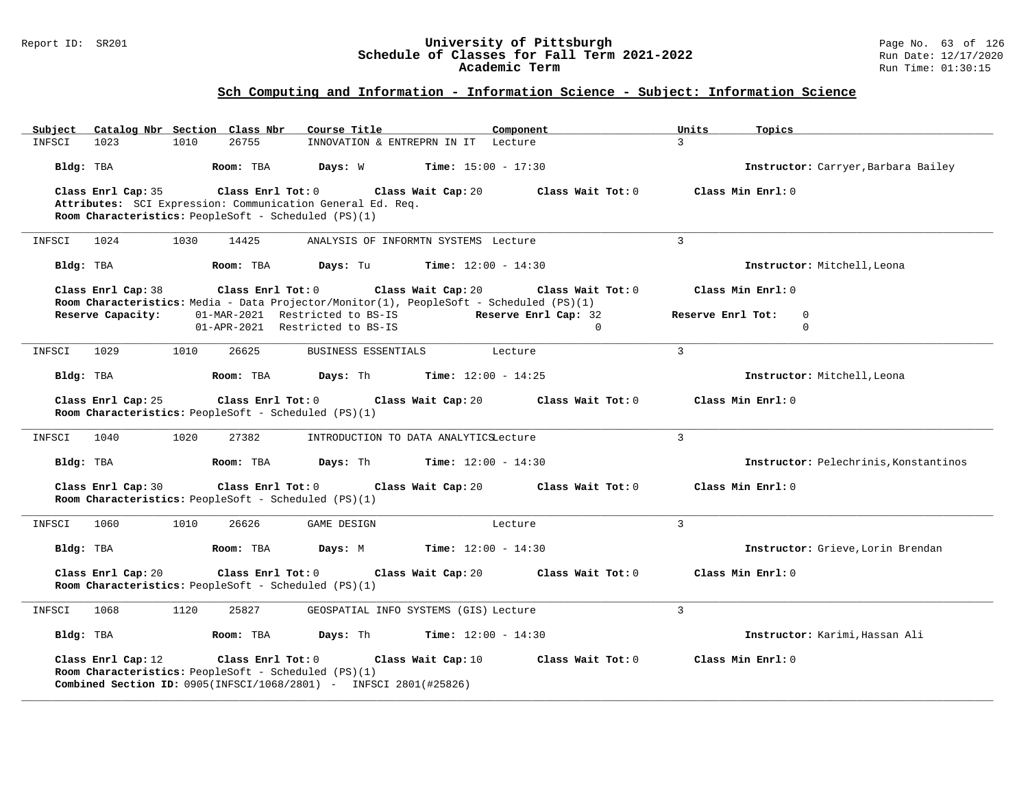### Report ID: SR201 **University of Pittsburgh** Page No. 63 of 126 **Schedule of Classes for Fall Term 2021-2022** Run Date: 12/17/2020 **Academic Term** Run Time: 01:30:15

| Catalog Nbr Section Class Nbr<br>Subject                                   | Course Title                                                                                                                       | Component                 | Topics<br>Units                       |
|----------------------------------------------------------------------------|------------------------------------------------------------------------------------------------------------------------------------|---------------------------|---------------------------------------|
| 1010<br>INFSCI<br>1023                                                     | 26755<br>INNOVATION & ENTREPRN IN IT Lecture                                                                                       | $\mathbf{R}$              |                                       |
| Bldg: TBA                                                                  | Room: TBA<br>Days: W<br><b>Time:</b> $15:00 - 17:30$                                                                               |                           | Instructor: Carryer, Barbara Bailey   |
| Class Enrl Cap: 35                                                         | $Class$ $Enr1$ $Tot: 0$<br>Class Wait Cap: 20                                                                                      | Class Wait Tot: 0         | Class Min Enrl: 0                     |
|                                                                            | Attributes: SCI Expression: Communication General Ed. Req.                                                                         |                           |                                       |
| Room Characteristics: PeopleSoft - Scheduled (PS)(1)                       |                                                                                                                                    |                           |                                       |
| INFSCI<br>1024<br>1030                                                     | 14425<br>ANALYSIS OF INFORMTN SYSTEMS Lecture                                                                                      | $\overline{3}$            |                                       |
| Bldg: TBA                                                                  | Room: TBA<br>Days: Tu<br><b>Time:</b> $12:00 - 14:30$                                                                              |                           | Instructor: Mitchell, Leona           |
| Class Enrl Cap: 38                                                         | Class Enrl Tot: 0<br>Class Wait Cap: 20<br>Room Characteristics: Media - Data Projector/Monitor(1), PeopleSoft - Scheduled (PS)(1) | Class Wait Tot: 0         | Class Min $Enr1: 0$                   |
| Reserve Capacity:                                                          | 01-MAR-2021 Restricted to BS-IS                                                                                                    | Reserve Enrl Cap: 32      | Reserve Enrl Tot:<br>$\mathbf 0$      |
|                                                                            | 01-APR-2021 Restricted to BS-IS                                                                                                    | $\Omega$                  | $\Omega$                              |
| 1029<br>1010<br>INFSCI                                                     | 26625<br>BUSINESS ESSENTIALS                                                                                                       | $\overline{3}$<br>Lecture |                                       |
| Bldg: TBA                                                                  | Room: TBA<br><b>Days:</b> Th <b>Time:</b> $12:00 - 14:25$                                                                          |                           | Instructor: Mitchell, Leona           |
| Class Enrl Cap: 25                                                         | Class Enrl Tot: 0<br>Class Wait Cap: 20                                                                                            | Class Wait Tot: 0         | Class Min Enrl: 0                     |
| Room Characteristics: PeopleSoft - Scheduled (PS)(1)                       |                                                                                                                                    |                           |                                       |
|                                                                            |                                                                                                                                    |                           |                                       |
| 1040<br>1020<br>INFSCI                                                     | 27382<br>INTRODUCTION TO DATA ANALYTICSLecture                                                                                     | $\overline{3}$            |                                       |
| Bldg: TBA                                                                  | Room: TBA<br><b>Days:</b> Th <b>Time:</b> $12:00 - 14:30$                                                                          |                           | Instructor: Pelechrinis, Konstantinos |
| Class Enrl Cap: 30<br>Room Characteristics: PeopleSoft - Scheduled (PS)(1) | Class Enrl Tot: 0<br>Class Wait Cap: 20                                                                                            | Class Wait Tot: 0         | Class Min Enrl: 0                     |
|                                                                            |                                                                                                                                    |                           |                                       |
| INFSCI<br>1060<br>1010                                                     | 26626<br>GAME DESIGN                                                                                                               | $\overline{3}$<br>Lecture |                                       |
| Bldg: TBA                                                                  | <b>Time:</b> $12:00 - 14:30$<br>Room: TBA<br>Days: M                                                                               |                           | Instructor: Grieve, Lorin Brendan     |
| Class Enrl Cap: 20                                                         | Class Enrl Tot: 0<br>Class Wait Cap: 20                                                                                            | Class Wait Tot: 0         | Class Min Enrl: 0                     |
| Room Characteristics: PeopleSoft - Scheduled (PS)(1)                       |                                                                                                                                    |                           |                                       |
| INFSCI<br>1068<br>1120                                                     | 25827<br>GEOSPATIAL INFO SYSTEMS (GIS) Lecture                                                                                     | 3                         |                                       |
| Bldg: TBA                                                                  | <b>Days:</b> Th <b>Time:</b> $12:00 - 14:30$<br>Room: TBA                                                                          |                           | Instructor: Karimi, Hassan Ali        |
| Class Enrl Cap: 12<br>Room Characteristics: PeopleSoft - Scheduled (PS)(1) | Class Enrl Tot: 0<br>Class Wait Cap: 10<br><b>Combined Section ID:</b> 0905(INFSCI/1068/2801) - INFSCI 2801(#25826)                | Class Wait Tot: 0         | Class Min Enrl: 0                     |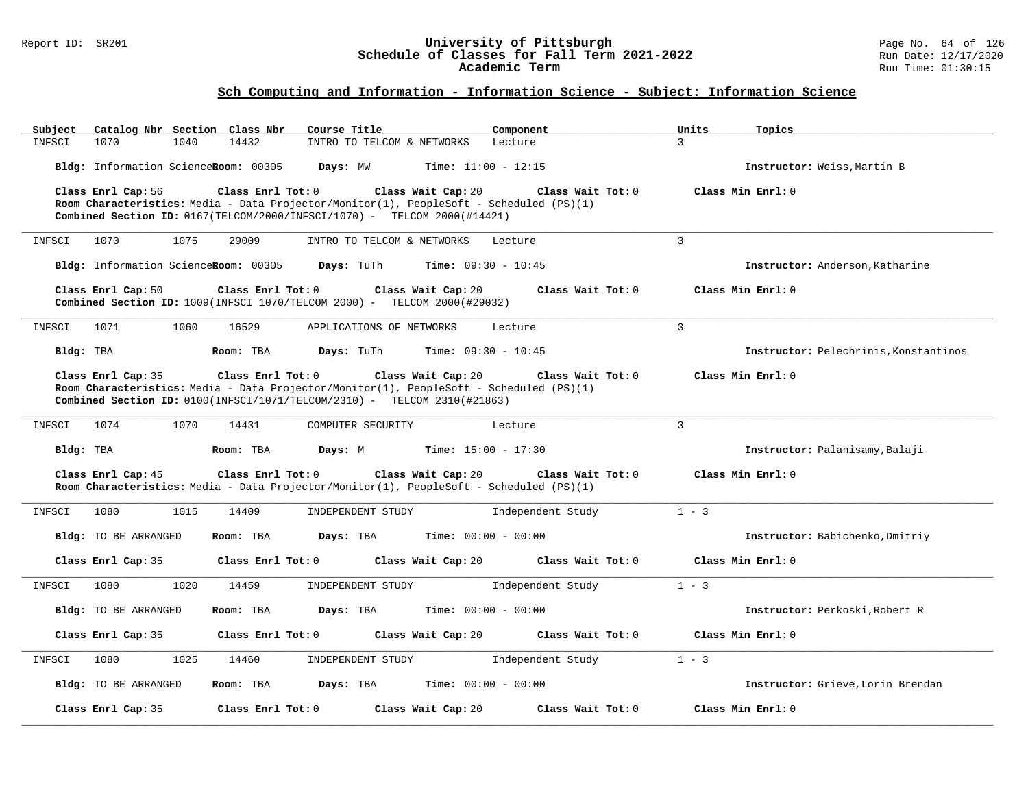### Report ID: SR201 **University of Pittsburgh** Page No. 64 of 126 **Schedule of Classes for Fall Term 2021-2022** Run Date: 12/17/2020 **Academic Term** Run Time: 01:30:15

| Subject<br>Catalog Nbr Section Class Nbr | Course Title                                                                                                                                                        | Component         | Units<br>Topics                       |
|------------------------------------------|---------------------------------------------------------------------------------------------------------------------------------------------------------------------|-------------------|---------------------------------------|
| INFSCI<br>1070<br>1040                   | 14432<br>INTRO TO TELCOM & NETWORKS                                                                                                                                 | Lecture           | 3                                     |
| Bldg: Information ScienceRoom: 00305     | Days: MW<br><b>Time:</b> $11:00 - 12:15$                                                                                                                            |                   | Instructor: Weiss, Martin B           |
| Class Enrl Cap: 56                       | Class Enrl Tot: 0<br>Class Wait Cap: 20                                                                                                                             | Class Wait Tot: 0 | Class Min Enrl: 0                     |
|                                          | Room Characteristics: Media - Data Projector/Monitor(1), PeopleSoft - Scheduled (PS)(1)<br>Combined Section ID: 0167(TELCOM/2000/INFSCI/1070) - TELCOM 2000(#14421) |                   |                                       |
|                                          |                                                                                                                                                                     |                   |                                       |
| INFSCI<br>1070<br>1075                   | 29009<br>INTRO TO TELCOM & NETWORKS                                                                                                                                 | Lecture           | 3                                     |
| Bldg: Information ScienceRoom: 00305     | Days: TuTh<br><b>Time:</b> $09:30 - 10:45$                                                                                                                          |                   | Instructor: Anderson, Katharine       |
| Class Enrl Cap: 50                       | Class Enrl Tot: 0<br>Class Wait Cap: 20                                                                                                                             | Class Wait Tot: 0 | Class Min Enrl: 0                     |
|                                          | Combined Section ID: 1009(INFSCI 1070/TELCOM 2000) - TELCOM 2000(#29032)                                                                                            |                   |                                       |
| INFSCI<br>1071<br>1060                   | 16529<br>APPLICATIONS OF NETWORKS                                                                                                                                   | Lecture           | 3                                     |
| Bldg: TBA                                | <b>Time:</b> $09:30 - 10:45$<br>Room: TBA<br>Days: TuTh                                                                                                             |                   | Instructor: Pelechrinis, Konstantinos |
| Class Enrl Cap: 35                       | Class Enrl Tot: 0<br>Class Wait Cap: 20                                                                                                                             | Class Wait Tot: 0 | Class Min Enrl: 0                     |
|                                          | Room Characteristics: Media - Data Projector/Monitor(1), PeopleSoft - Scheduled (PS)(1)                                                                             |                   |                                       |
|                                          | Combined Section ID: 0100(INFSCI/1071/TELCOM/2310) - TELCOM 2310(#21863)                                                                                            |                   |                                       |
| 1074<br>1070<br>INFSCI                   | 14431<br>COMPUTER SECURITY                                                                                                                                          | Lecture           | $\overline{3}$                        |
| Bldg: TBA                                | Room: TBA<br>Days: M<br><b>Time:</b> $15:00 - 17:30$                                                                                                                |                   | Instructor: Palanisamy, Balaji        |
|                                          |                                                                                                                                                                     |                   |                                       |
| Class Enrl Cap: 45                       | Class Enrl Tot: 0<br>Class Wait Cap: 20                                                                                                                             | Class Wait Tot: 0 | Class Min Enrl: 0                     |
|                                          | Room Characteristics: Media - Data Projector/Monitor(1), PeopleSoft - Scheduled (PS)(1)                                                                             |                   |                                       |
| INFSCI<br>1080<br>1015                   | 14409<br>INDEPENDENT STUDY                                                                                                                                          | Independent Study | $1 - 3$                               |
| Bldg: TO BE ARRANGED                     | Room: TBA<br>Days: TBA<br><b>Time:</b> $00:00 - 00:00$                                                                                                              |                   | Instructor: Babichenko, Dmitriy       |
|                                          |                                                                                                                                                                     |                   |                                       |
| Class Enrl Cap: 35                       | Class Enrl Tot: 0<br>Class Wait Cap: 20                                                                                                                             | Class Wait Tot: 0 | Class Min Enrl: 0                     |
| INFSCI<br>1020<br>1080                   | INDEPENDENT STUDY<br>14459                                                                                                                                          | Independent Study | $1 - 3$                               |
| Bldg: TO BE ARRANGED                     | Days: TBA<br><b>Time:</b> $00:00 - 00:00$<br>Room: TBA                                                                                                              |                   | Instructor: Perkoski, Robert R        |
|                                          |                                                                                                                                                                     |                   |                                       |
| Class Enrl Cap: 35                       | Class Enrl Tot: 0<br>Class Wait Cap: 20                                                                                                                             | Class Wait Tot: 0 | Class Min Enrl: 0                     |
| INFSCI<br>1080<br>1025                   | 14460<br>INDEPENDENT STUDY                                                                                                                                          | Independent Study | $1 - 3$                               |
| Bldg: TO BE ARRANGED                     | Room: TBA<br>Days: TBA<br><b>Time:</b> $00:00 - 00:00$                                                                                                              |                   | Instructor: Grieve. Lorin Brendan     |
|                                          |                                                                                                                                                                     |                   |                                       |
| Class Enrl Cap: 35                       | Class Enrl Tot: 0<br>Class Wait Cap: 20                                                                                                                             | Class Wait Tot: 0 | Class Min Enrl: 0                     |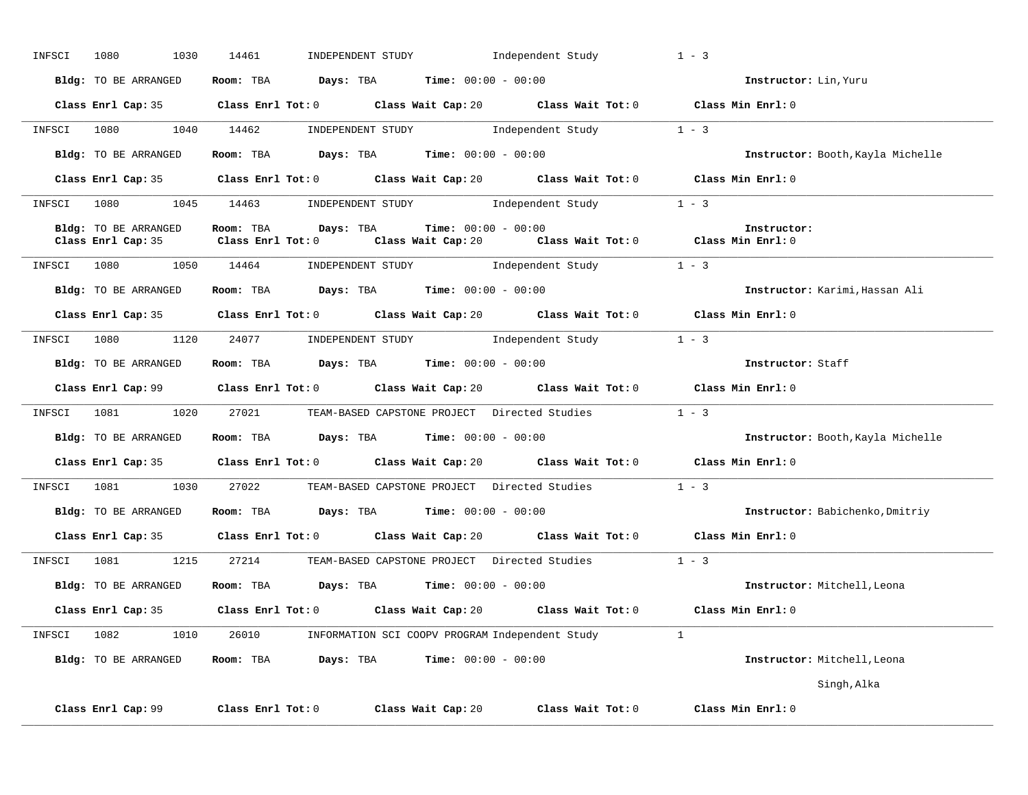| INFSCI | 1030<br>1080         | 14461               | INDEPENDENT STUDY 1ndependent Study                                                         | $1 - 3$                           |
|--------|----------------------|---------------------|---------------------------------------------------------------------------------------------|-----------------------------------|
|        | Bldg: TO BE ARRANGED |                     | Room: TBA $Days:$ TBA $Time: 00:00 - 00:00$                                                 | Instructor: Lin, Yuru             |
|        |                      |                     | Class Enrl Cap: 35 Class Enrl Tot: 0 Class Wait Cap: 20 Class Wait Tot: 0 Class Min Enrl: 0 |                                   |
|        |                      |                     | INFSCI 1080 1040 14462 INDEPENDENT STUDY Independent Study 1 - 3                            |                                   |
|        | Bldg: TO BE ARRANGED |                     | Room: TBA $Days:$ TBA $Time:$ $00:00 - 00:00$                                               | Instructor: Booth, Kayla Michelle |
|        |                      |                     | Class Enrl Cap: 35 Class Enrl Tot: 0 Class Wait Cap: 20 Class Wait Tot: 0 Class Min Enrl: 0 |                                   |
|        |                      |                     | INFSCI 1080 1045 14463 INDEPENDENT STUDY Independent Study 1 - 3                            |                                   |
|        | Bldg: TO BE ARRANGED | Room: TBA Days: TBA | <b>Time:</b> $00:00 - 00:00$                                                                | Instructor:                       |
|        |                      |                     | Class Enrl Cap: 35 Class Enrl Tot: 0 Class Wait Cap: 20 Class Wait Tot: 0 Class Min Enrl: 0 |                                   |
|        |                      |                     | INFSCI 1080 1050 14464 INDEPENDENT STUDY Independent Study 1 - 3                            |                                   |
|        | Bldg: TO BE ARRANGED |                     | Room: TBA $Days: TBA$ Time: $00:00 - 00:00$                                                 | Instructor: Karimi, Hassan Ali    |
|        |                      |                     | Class Enrl Cap: 35 Class Enrl Tot: 0 Class Wait Cap: 20 Class Wait Tot: 0 Class Min Enrl: 0 |                                   |
|        |                      |                     | INFSCI 1080 1120 24077 INDEPENDENT STUDY Independent Study 1 - 3                            |                                   |
|        | Bldg: TO BE ARRANGED |                     | Room: TBA $Days: TBA$ Time: $00:00 - 00:00$                                                 | Instructor: Staff                 |
|        |                      |                     | Class Enrl Cap: 99 Class Enrl Tot: 0 Class Wait Cap: 20 Class Wait Tot: 0 Class Min Enrl: 0 |                                   |
|        |                      |                     | INFSCI 1081 1020 27021 TEAM-BASED CAPSTONE PROJECT Directed Studies 1 - 3                   |                                   |
|        | Bldg: TO BE ARRANGED |                     | Room: TBA $Days: TBA$ Time: $00:00 - 00:00$                                                 | Instructor: Booth, Kayla Michelle |
|        |                      |                     | Class Enrl Cap: 35 Class Enrl Tot: 0 Class Wait Cap: 20 Class Wait Tot: 0 Class Min Enrl: 0 |                                   |
|        |                      |                     | INFSCI 1081 1030 27022 TEAM-BASED CAPSTONE PROJECT Directed Studies 1 - 3                   |                                   |
|        |                      |                     | Bldg: TO BE ARRANGED Room: TBA Days: TBA Time: 00:00 - 00:00                                | Instructor: Babichenko, Dmitriy   |
|        |                      |                     | Class Enrl Cap: 35 Class Enrl Tot: 0 Class Wait Cap: 20 Class Wait Tot: 0 Class Min Enrl: 0 |                                   |
|        |                      |                     | INFSCI 1081 1215 27214 TEAM-BASED CAPSTONE PROJECT Directed Studies                         | $1 - 3$                           |
|        |                      |                     | Bldg: TO BE ARRANGED Room: TBA Days: TBA Time: 00:00 - 00:00                                | Instructor: Mitchell, Leona       |
|        |                      |                     | Class Enrl Cap: 35 Class Enrl Tot: 0 Class Wait Cap: 20 Class Wait Tot: 0 Class Min Enrl: 0 |                                   |
|        |                      |                     | INFSCI 1082 1010 26010 INFORMATION SCI COOPV PROGRAM Independent Study 1                    |                                   |
|        | Bldg: TO BE ARRANGED |                     | Room: TBA $Days:$ TBA Time: $00:00 - 00:00$                                                 | Instructor: Mitchell, Leona       |
|        |                      |                     |                                                                                             | Singh,Alka                        |
|        |                      |                     | Class Enrl Cap: 99 Class Enrl Tot: 0 Class Wait Cap: 20 Class Wait Tot: 0 Class Min Enrl: 0 |                                   |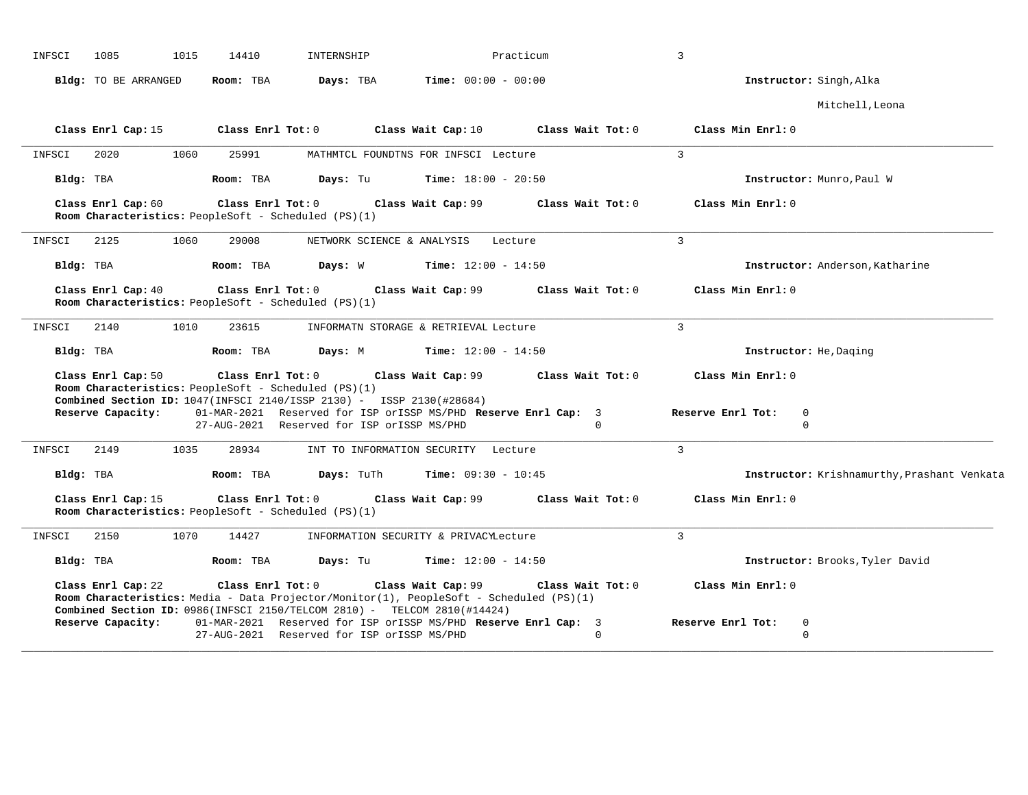| INFSCI    | 1085                 | 1015 | 14410             | INTERNSHIP                                                                                                                                                                           |                                             | Practicum                                                    | $\overline{3}$                        |                                             |
|-----------|----------------------|------|-------------------|--------------------------------------------------------------------------------------------------------------------------------------------------------------------------------------|---------------------------------------------|--------------------------------------------------------------|---------------------------------------|---------------------------------------------|
|           | Bldg: TO BE ARRANGED |      | Room: TBA         | Days: TBA                                                                                                                                                                            | $Time: 00:00 - 00:00$                       |                                                              |                                       | Instructor: Singh, Alka                     |
|           |                      |      |                   |                                                                                                                                                                                      |                                             |                                                              |                                       | Mitchell, Leona                             |
|           | Class Enrl Cap: 15   |      | Class Enrl Tot: 0 |                                                                                                                                                                                      | Class Wait Cap: $10$                        | Class Wait Tot: 0                                            | Class Min Enrl: 0                     |                                             |
| INFSCI    | 2020                 | 1060 | 25991             |                                                                                                                                                                                      | MATHMTCL FOUNDTNS FOR INFSCI Lecture        |                                                              | $\overline{3}$                        |                                             |
| Bldg: TBA |                      |      | Room: TBA         | Days: Tu                                                                                                                                                                             | <b>Time:</b> $18:00 - 20:50$                |                                                              |                                       | Instructor: Munro, Paul W                   |
|           | Class Enrl Cap: 60   |      | Class Enrl Tot: 0 | Room Characteristics: PeopleSoft - Scheduled (PS)(1)                                                                                                                                 | Class Wait Cap: 99                          | Class Wait Tot: 0                                            | Class Min Enrl: 0                     |                                             |
| INFSCI    | 2125                 | 1060 | 29008             |                                                                                                                                                                                      | NETWORK SCIENCE & ANALYSIS Lecture          |                                                              | $\overline{3}$                        |                                             |
| Bldg: TBA |                      |      | Room: TBA         |                                                                                                                                                                                      | <b>Days:</b> W <b>Time:</b> $12:00 - 14:50$ |                                                              |                                       | Instructor: Anderson, Katharine             |
|           | Class Enrl Cap: 40   |      |                   | Room Characteristics: PeopleSoft - Scheduled (PS)(1)                                                                                                                                 |                                             | Class Enrl Tot: $0$ Class Wait Cap: $99$ Class Wait Tot: $0$ | Class Min Enrl: 0                     |                                             |
| INFSCI    | 2140                 | 1010 | 23615             |                                                                                                                                                                                      | INFORMATN STORAGE & RETRIEVAL Lecture       |                                                              | $\overline{3}$                        |                                             |
| Bldg: TBA |                      |      | Room: TBA         | Days: M                                                                                                                                                                              | <b>Time:</b> $12:00 - 14:50$                |                                                              |                                       | Instructor: He, Daging                      |
|           | Class Enrl Cap: 50   |      | Class Enrl Tot: 0 | Room Characteristics: PeopleSoft - Scheduled (PS)(1)                                                                                                                                 |                                             | Class Wait Cap: 99 Class Wait Tot: 0                         | Class Min Enrl: 0                     |                                             |
|           | Reserve Capacity:    |      |                   | Combined Section ID: 1047(INFSCI 2140/ISSP 2130) - ISSP 2130(#28684)<br>01-MAR-2021 Reserved for ISP orISSP MS/PHD Reserve Enrl Cap: 3<br>27-AUG-2021 Reserved for ISP orISSP MS/PHD |                                             | $\Omega$                                                     | Reserve Enrl Tot:<br>0<br>$\mathbf 0$ |                                             |
| INFSCI    | 2149                 | 1035 | 28934             |                                                                                                                                                                                      | INT TO INFORMATION SECURITY Lecture         |                                                              | $\overline{3}$                        |                                             |
| Bldg: TBA |                      |      | Room: TBA         | Days: TuTh                                                                                                                                                                           | <b>Time:</b> $09:30 - 10:45$                |                                                              |                                       | Instructor: Krishnamurthy, Prashant Venkata |
|           | Class Enrl Cap: 15   |      |                   | $Class$ $Enrl$ $Tot: 0$<br>Room Characteristics: PeopleSoft - Scheduled (PS)(1)                                                                                                      | Class Wait Cap: 99                          | Class Wait Tot: 0                                            | Class Min Enrl: 0                     |                                             |
| INFSCI    | 2150                 | 1070 | 14427             |                                                                                                                                                                                      | INFORMATION SECURITY & PRIVACYLecture       |                                                              | $\overline{3}$                        |                                             |
| Bldg: TBA |                      |      | Room: TBA         | Days: Tu                                                                                                                                                                             | <b>Time:</b> $12:00 - 14:50$                |                                                              |                                       | Instructor: Brooks, Tyler David             |
|           | Class Enrl Cap: 22   |      | Class Enrl Tot: 0 | Room Characteristics: Media - Data Projector/Monitor(1), PeopleSoft - Scheduled (PS)(1)<br>Combined Section ID: 0986(INFSCI 2150/TELCOM 2810) - TELCOM 2810(#14424)                  | Class Wait Cap: 99                          | Class Wait Tot: 0                                            | Class Min Enrl: 0                     |                                             |
|           | Reserve Capacity:    |      |                   | 01-MAR-2021 Reserved for ISP orISSP MS/PHD Reserve Enrl Cap: 3<br>27-AUG-2021 Reserved for ISP orISSP MS/PHD                                                                         |                                             | $\cap$                                                       | Reserve Enrl Tot:<br>0<br>$\Omega$    |                                             |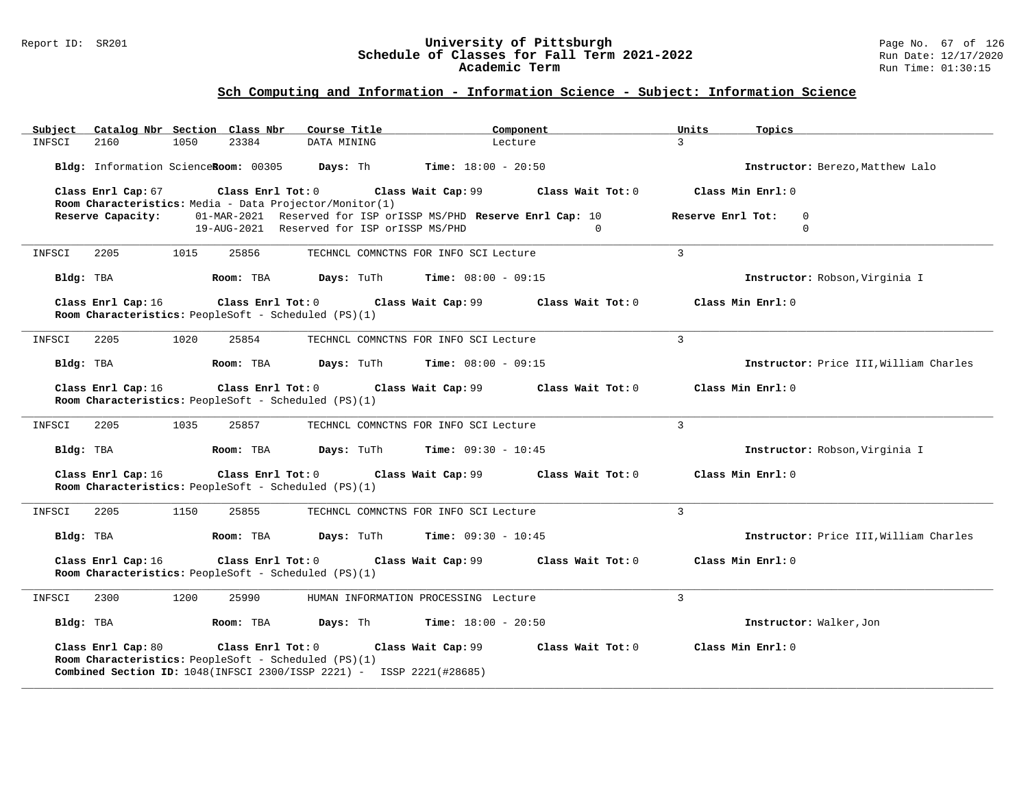### Report ID: SR201 **University of Pittsburgh** Page No. 67 of 126 **Schedule of Classes for Fall Term 2021-2022** Run Date: 12/17/2020 **Academic Term** Run Time: 01:30:15

| Subject   | Catalog Nbr Section Class Nbr |      |                                                                             | Course Title | Component                                                                                                       | Units             | Topics                                 |
|-----------|-------------------------------|------|-----------------------------------------------------------------------------|--------------|-----------------------------------------------------------------------------------------------------------------|-------------------|----------------------------------------|
| INFSCI    | 2160                          | 1050 | 23384                                                                       | DATA MINING  | Lecture                                                                                                         | $\mathcal{L}$     |                                        |
|           |                               |      |                                                                             |              | <b>Bldg:</b> Information ScienceRoom: $00305$ Days: Th Time: $18:00 - 20:50$                                    |                   | Instructor: Berezo, Matthew Lalo       |
|           | Class Enrl Cap: 67            |      |                                                                             |              | Class Enrl Tot: 0 Class Wait Cap: 99<br>Class Wait Tot: 0                                                       |                   | Class Min Enrl: 0                      |
|           |                               |      | Room Characteristics: Media - Data Projector/Monitor(1)                     |              |                                                                                                                 |                   |                                        |
|           | Reserve Capacity:             |      |                                                                             |              | 01-MAR-2021 Reserved for ISP orISSP MS/PHD Reserve Enrl Cap: 10                                                 | Reserve Enrl Tot: | $\Omega$                               |
|           |                               |      |                                                                             |              | 19-AUG-2021 Reserved for ISP orISSP MS/PHD<br>$\Omega$                                                          |                   | $\mathbf 0$                            |
| INFSCI    | 2205                          | 1015 | 25856                                                                       |              | TECHNCL COMNCTNS FOR INFO SCI Lecture                                                                           | $\mathcal{L}$     |                                        |
| Bldg: TBA |                               |      | Room: TBA                                                                   | Days: TuTh   | <b>Time:</b> $08:00 - 09:15$                                                                                    |                   | Instructor: Robson, Virginia I         |
|           | Class Enrl Cap: 16            |      | Room Characteristics: PeopleSoft - Scheduled (PS)(1)                        |              | Class Enrl Tot: 0 Class Wait Cap: 99<br>Class Wait Tot: 0                                                       |                   | Class Min Enrl: 0                      |
| INFSCI    | 2205                          | 1020 | 25854                                                                       |              | TECHNCL COMNCTNS FOR INFO SCI Lecture                                                                           | $\overline{3}$    |                                        |
| Bldg: TBA |                               |      | Room: TBA                                                                   |              | <b>Days:</b> TuTh <b>Time:</b> $08:00 - 09:15$                                                                  |                   | Instructor: Price III, William Charles |
|           | Class Enrl Cap: 16            |      | Room Characteristics: PeopleSoft - Scheduled (PS)(1)                        |              | Class Enrl Tot: 0 Class Wait Cap: 99<br>Class Wait Tot: 0                                                       |                   | Class Min Enrl: 0                      |
| INFSCI    | 2205                          | 1035 | 25857                                                                       |              | TECHNCL COMNCTNS FOR INFO SCI Lecture                                                                           | $\mathcal{L}$     |                                        |
| Bldg: TBA |                               |      | Room: TBA                                                                   |              | <b>Days:</b> TuTh <b>Time:</b> $09:30 - 10:45$                                                                  |                   | Instructor: Robson, Virginia I         |
|           | Class Enrl Cap: 16            |      | Room Characteristics: PeopleSoft - Scheduled (PS)(1)                        |              | Class Enrl Tot: 0 Class Wait Cap: 99<br>Class Wait Tot: 0                                                       |                   | Class Min Enrl: 0                      |
| INFSCI    | 2205                          | 1150 | 25855                                                                       |              | TECHNCL COMNCTNS FOR INFO SCI Lecture                                                                           | $\mathbf{3}$      |                                        |
| Bldg: TBA |                               |      | Room: TBA                                                                   | Days: TuTh   | <b>Time:</b> $09:30 - 10:45$                                                                                    |                   | Instructor: Price III, William Charles |
|           | Class Enrl Cap: 16            |      | Room Characteristics: PeopleSoft - Scheduled (PS)(1)                        |              | Class Enrl Tot: 0 Class Wait Cap: 99<br>Class Wait Tot: 0                                                       |                   | Class Min Enrl: 0                      |
| INFSCI    | 2300                          | 1200 | 25990                                                                       |              | HUMAN INFORMATION PROCESSING Lecture                                                                            | 3                 |                                        |
| Bldg: TBA |                               |      | Room: TBA                                                                   |              | <b>Days:</b> Th <b>Time:</b> $18:00 - 20:50$                                                                    |                   | Instructor: Walker, Jon                |
|           | Class Enrl Cap: 80            |      | Class Enrl Tot: $0$<br>Room Characteristics: PeopleSoft - Scheduled (PS)(1) |              | Class Wait Cap: 99<br>Class Wait Tot: 0<br>Combined Section ID: 1048(INFSCI 2300/ISSP 2221) - ISSP 2221(#28685) |                   | Class Min Enrl: 0                      |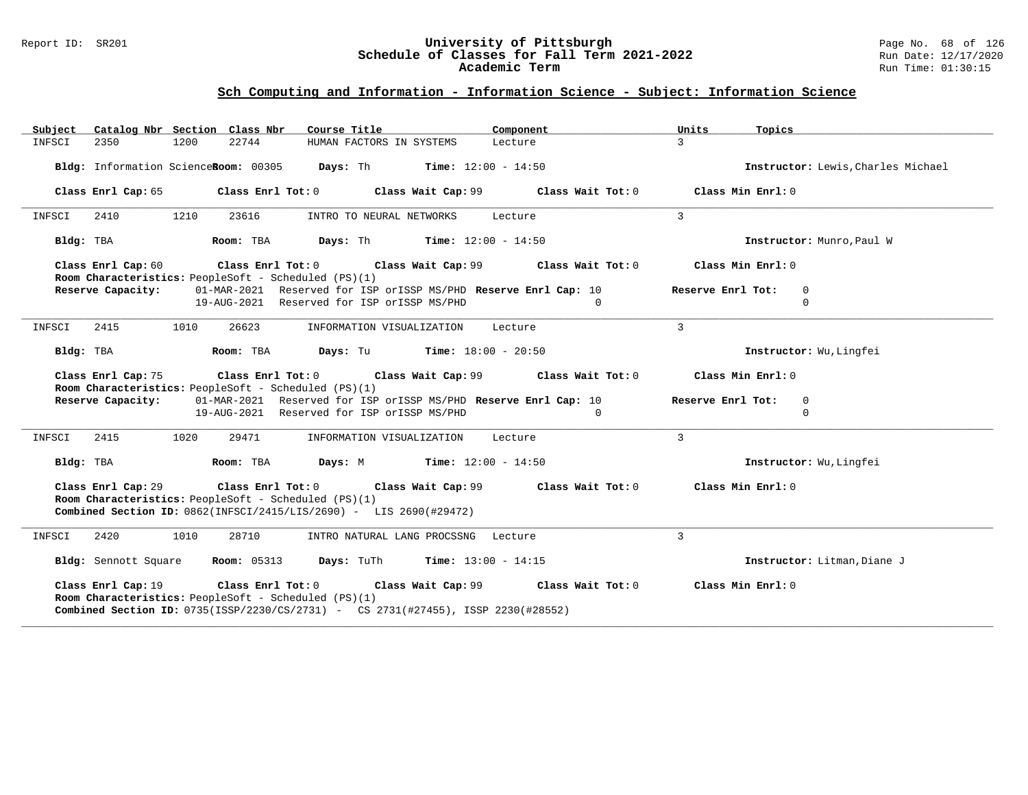### Report ID: SR201 **University of Pittsburgh** Page No. 68 of 126 **Schedule of Classes for Fall Term 2021-2022** Run Date: 12/17/2020 **Academic Term** Run Time: 01:30:15

| Subject Catalog Nbr Section Class Nbr                                                                                                                                                                                              | Course Title <b>Source Search</b>                               | Component         | Units<br>Topics                    |  |  |  |  |
|------------------------------------------------------------------------------------------------------------------------------------------------------------------------------------------------------------------------------------|-----------------------------------------------------------------|-------------------|------------------------------------|--|--|--|--|
| 22744<br>2350<br>1200<br>INFSCI                                                                                                                                                                                                    | HUMAN FACTORS IN SYSTEMS                                        | Lecture           | $\mathcal{L}$                      |  |  |  |  |
| Bldg: Information ScienceRoom: 00305 Days: Th Time: 12:00 - 14:50                                                                                                                                                                  |                                                                 |                   | Instructor: Lewis, Charles Michael |  |  |  |  |
| Class Enrl Cap: 65 Class Enrl Tot: 0 Class Wait Cap: 99 Class Wait Tot: 0                                                                                                                                                          |                                                                 |                   | Class Min Enrl: 0                  |  |  |  |  |
| 1210<br>23616<br>INFSCI<br>2410                                                                                                                                                                                                    | INTRO TO NEURAL NETWORKS                                        | Lecture           | $\mathbf{3}$                       |  |  |  |  |
| Bldg: TBA<br>Room: TBA                                                                                                                                                                                                             | <b>Days:</b> Th <b>Time:</b> $12:00 - 14:50$                    |                   | Instructor: Munro, Paul W          |  |  |  |  |
| Class Enrl Cap: 60<br>Room Characteristics: PeopleSoft - Scheduled (PS)(1)                                                                                                                                                         | Class Enrl Tot: $0$ Class Wait Cap: $99$ Class Wait Tot: $0$    |                   | Class Min Enrl: 0                  |  |  |  |  |
| Reserve Capacity:                                                                                                                                                                                                                  | 01-MAR-2021 Reserved for ISP orISSP MS/PHD Reserve Enrl Cap: 10 |                   | Reserve Enrl Tot:<br>$\mathbf 0$   |  |  |  |  |
|                                                                                                                                                                                                                                    | 19-AUG-2021 Reserved for ISP orISSP MS/PHD                      | $\Omega$          | $\Omega$                           |  |  |  |  |
| INFSCI<br>2415<br>1010<br>26623                                                                                                                                                                                                    | INFORMATION VISUALIZATION                                       | Lecture           | $\mathbf{3}$                       |  |  |  |  |
| Room: TBA<br>Bldg: TBA                                                                                                                                                                                                             | <b>Days:</b> Tu <b>Time:</b> $18:00 - 20:50$                    |                   | Instructor: Wu, Lingfei            |  |  |  |  |
| Class Enrl Cap: 75<br>Room Characteristics: PeopleSoft - Scheduled (PS)(1)                                                                                                                                                         | Class Enrl Tot: 0 Class Wait Cap: 99                            | Class Wait Tot: 0 | Class Min Enrl: 0                  |  |  |  |  |
| Reserve Capacity:                                                                                                                                                                                                                  | 01-MAR-2021 Reserved for ISP orISSP MS/PHD Reserve Enrl Cap: 10 |                   | Reserve Enrl Tot:<br>$\mathbf 0$   |  |  |  |  |
|                                                                                                                                                                                                                                    | 19-AUG-2021 Reserved for ISP orISSP MS/PHD                      | $\Omega$          | $\Omega$                           |  |  |  |  |
| 1020<br>29471<br>INFSCI<br>2415                                                                                                                                                                                                    | INFORMATION VISUALIZATION Lecture                               |                   | $\mathcal{L}$                      |  |  |  |  |
| Bldg: TBA                                                                                                                                                                                                                          | Room: TBA $Days: M$ Time: $12:00 - 14:50$                       |                   | Instructor: Wu, Lingfei            |  |  |  |  |
| Class Enrl Tot: 0 Class Wait Cap: 99<br>Class Min Enrl: 0<br>Class Enrl Cap: 29<br>Class Wait Tot: 0<br>Room Characteristics: PeopleSoft - Scheduled (PS)(1)<br>Combined Section ID: 0862(INFSCI/2415/LIS/2690) - LIS 2690(#29472) |                                                                 |                   |                                    |  |  |  |  |
| 28710<br>INFSCI<br>2420<br>1010                                                                                                                                                                                                    | INTRO NATURAL LANG PROCSSNG Lecture                             |                   | $\mathcal{L}$                      |  |  |  |  |
| Bldg: Sennott Square                                                                                                                                                                                                               | <b>Room:</b> 05313 <b>Days:</b> TuTh <b>Time:</b> 13:00 - 14:15 |                   | Instructor: Litman, Diane J        |  |  |  |  |
| Class Enrl Cap: 19<br>Room Characteristics: PeopleSoft - Scheduled (PS)(1)<br><b>Combined Section ID:</b> 0735(ISSP/2230/CS/2731) - CS 2731(#27455), ISSP 2230(#28552)                                                             | Class Enrl Tot: 0 Class Wait Cap: 99                            | Class Wait Tot: 0 | Class Min Enrl: 0                  |  |  |  |  |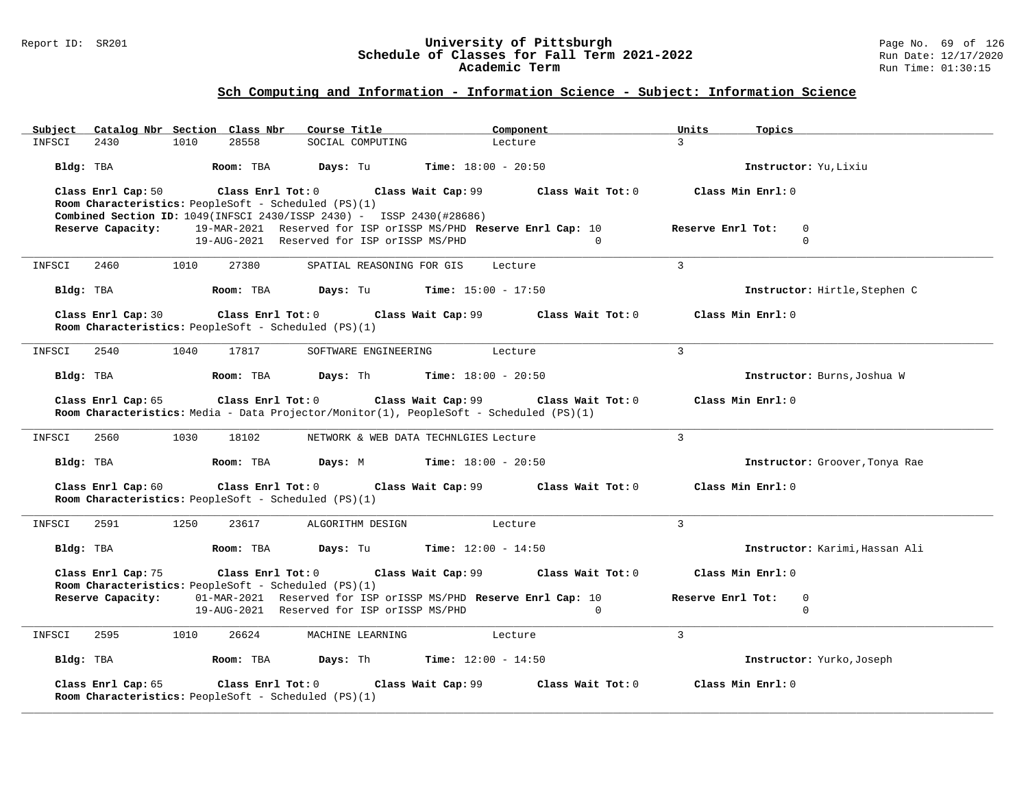### Report ID: SR201 **University of Pittsburgh** Page No. 69 of 126 **Schedule of Classes for Fall Term 2021-2022** Run Date: 12/17/2020 **Academic Term** Run Time: 01:30:15

| Catalog Nbr Section Class Nbr<br>Subject                                                                                           | Course Title                                                    | Component                    | Units<br>Topics                  |
|------------------------------------------------------------------------------------------------------------------------------------|-----------------------------------------------------------------|------------------------------|----------------------------------|
| 28558<br>INFSCI<br>2430<br>1010                                                                                                    | SOCIAL COMPUTING                                                | Lecture                      | $\mathbf{R}$                     |
| Bldg: TBA<br>Room: TBA                                                                                                             | Days: Tu                                                        | <b>Time:</b> $18:00 - 20:50$ | Instructor: Yu, Lixiu            |
| Class Enrl Cap: 50                                                                                                                 | Class Enrl Tot: 0 Class Wait Cap: 99                            | Class Wait Tot: 0            | Class Min Enrl: 0                |
| Room Characteristics: PeopleSoft - Scheduled (PS)(1)                                                                               |                                                                 |                              |                                  |
| <b>Combined Section ID:</b> 1049(INFSCI 2430/ISSP 2430) - ISSP 2430(#28686)                                                        |                                                                 |                              |                                  |
| Reserve Capacity:                                                                                                                  | 19-MAR-2021 Reserved for ISP orISSP MS/PHD Reserve Enrl Cap: 10 |                              | Reserve Enrl Tot:<br>$\mathbf 0$ |
|                                                                                                                                    | 19-AUG-2021 Reserved for ISP orISSP MS/PHD                      | $\Omega$                     | $\Omega$                         |
| 2460<br>INFSCI<br>1010<br>27380                                                                                                    | SPATIAL REASONING FOR GIS                                       | Lecture                      | 3                                |
| Room: TBA<br>Bldg: TBA                                                                                                             | <b>Days:</b> Tu <b>Time:</b> $15:00 - 17:50$                    |                              | Instructor: Hirtle, Stephen C    |
| Class Enrl Cap: 30                                                                                                                 | Class Enrl Tot: 0 Class Wait Cap: 99                            | Class Wait Tot: 0            | Class Min Enrl: 0                |
| Room Characteristics: PeopleSoft - Scheduled (PS)(1)                                                                               |                                                                 |                              |                                  |
|                                                                                                                                    |                                                                 |                              |                                  |
| INFSCI<br>2540<br>1040<br>17817                                                                                                    | SOFTWARE ENGINEERING                                            | Lecture                      | 3                                |
|                                                                                                                                    |                                                                 |                              |                                  |
| Room: TBA<br>Bldg: TBA                                                                                                             | <b>Days:</b> Th <b>Time:</b> $18:00 - 20:50$                    |                              | Instructor: Burns, Joshua W      |
|                                                                                                                                    |                                                                 |                              | Class Min Enrl: 0                |
| Class Enrl Cap: 65<br>Class Enrl Tot: 0<br>Room Characteristics: Media - Data Projector/Monitor(1), PeopleSoft - Scheduled (PS)(1) | Class Wait Cap: 99                                              | Class Wait Tot: 0            |                                  |
|                                                                                                                                    |                                                                 |                              |                                  |
| 1030<br>INFSCI<br>2560<br>18102                                                                                                    | NETWORK & WEB DATA TECHNLGIES Lecture                           |                              | $\overline{3}$                   |
| Bldg: TBA<br>Room: TBA                                                                                                             | <b>Days:</b> M <b>Time:</b> $18:00 - 20:50$                     |                              | Instructor: Groover, Tonya Rae   |
| Class Enrl Cap: 60<br>$Class$ $Enrl$ $Tot: 0$                                                                                      | Class Wait Cap: 99                                              | Class Wait Tot: 0            | Class Min Enrl: 0                |
| Room Characteristics: PeopleSoft - Scheduled (PS)(1)                                                                               |                                                                 |                              |                                  |
|                                                                                                                                    |                                                                 |                              |                                  |
| 2591<br>1250<br>INFSCI<br>23617                                                                                                    | ALGORITHM DESIGN                                                | Lecture                      | 3                                |
|                                                                                                                                    |                                                                 |                              |                                  |
| Bldg: TBA<br>Room: TBA                                                                                                             | <b>Days:</b> Tu <b>Time:</b> $12:00 - 14:50$                    |                              | Instructor: Karimi, Hassan Ali   |
|                                                                                                                                    |                                                                 |                              |                                  |
| Class Enrl Cap: 75<br>Room Characteristics: PeopleSoft - Scheduled (PS)(1)                                                         | Class Enrl Tot: 0 Class Wait Cap: 99                            | Class Wait Tot: 0            | Class Min Enrl: 0                |
| Reserve Capacity: 01-MAR-2021 Reserved for ISP orISSP MS/PHD Reserve Enrl Cap: 10                                                  |                                                                 |                              | Reserve Enrl Tot:<br>$\Omega$    |
|                                                                                                                                    | 19-AUG-2021 Reserved for ISP orISSP MS/PHD                      | $\Omega$                     | $\Omega$                         |
|                                                                                                                                    |                                                                 |                              |                                  |
| 2595<br>1010<br>26624<br>INFSCI                                                                                                    | MACHINE LEARNING                                                | Lecture                      | 3                                |
| Bldg: TBA<br>Room: TBA                                                                                                             | <b>Days:</b> Th <b>Time:</b> $12:00 - 14:50$                    |                              | Instructor: Yurko, Joseph        |
| Class Enrl Cap: 65<br>Class Enrl Tot: 0                                                                                            | Class Wait Cap: 99                                              | Class Wait Tot: 0            | Class Min Enrl: 0                |
| Room Characteristics: PeopleSoft - Scheduled (PS)(1)                                                                               |                                                                 |                              |                                  |
|                                                                                                                                    |                                                                 |                              |                                  |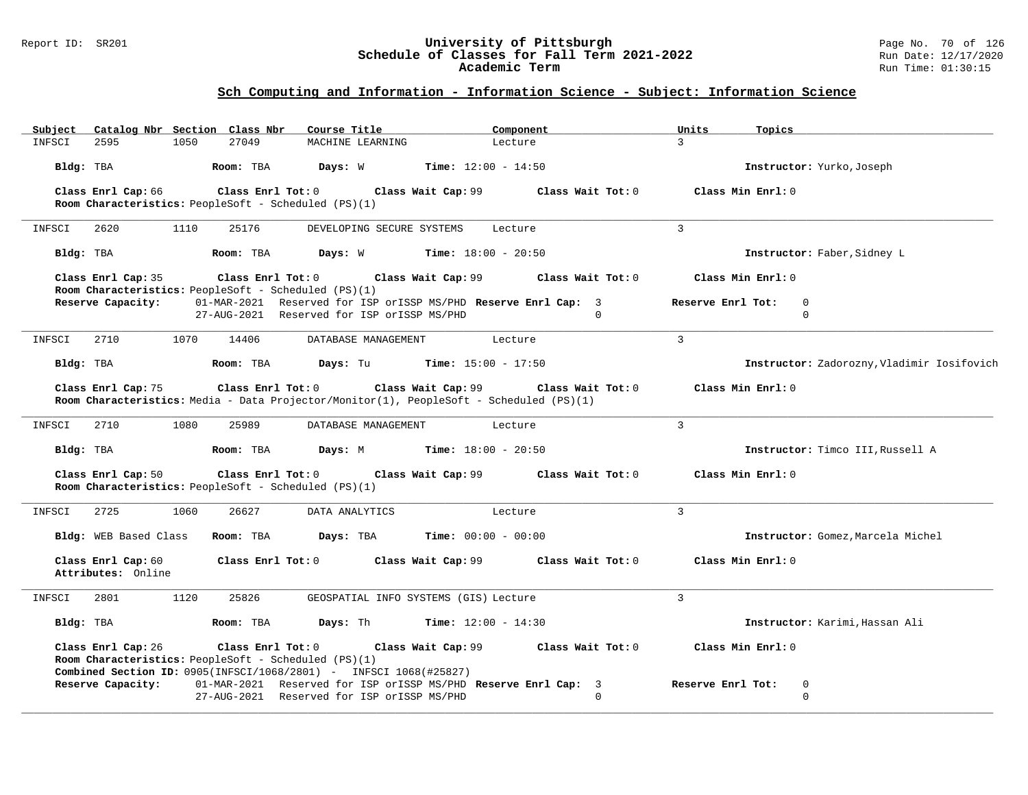### Report ID: SR201 **University of Pittsburgh** Page No. 70 of 126 **Schedule of Classes for Fall Term 2021-2022** Run Date: 12/17/2020 **Academic Term** Run Time: 01:30:15

| Subject   | Catalog Nbr Section Class Nbr            |      |                   | Course Title                                         |                                                                                                               | Component                    |                   | Units             | Topics                                     |
|-----------|------------------------------------------|------|-------------------|------------------------------------------------------|---------------------------------------------------------------------------------------------------------------|------------------------------|-------------------|-------------------|--------------------------------------------|
| INFSCI    | 2595                                     | 1050 | 27049             | MACHINE LEARNING                                     |                                                                                                               | Lecture                      |                   | $\overline{3}$    |                                            |
| Bldg: TBA |                                          |      | Room: TBA         | Days: W                                              |                                                                                                               | <b>Time:</b> $12:00 - 14:50$ |                   |                   | Instructor: Yurko, Joseph                  |
|           | Class Enrl Cap: 66                       |      | Class Enrl Tot: 0 |                                                      | Class Wait Cap: 99                                                                                            |                              | Class Wait Tot: 0 |                   | Class Min Enrl: 0                          |
|           |                                          |      |                   | Room Characteristics: PeopleSoft - Scheduled (PS)(1) |                                                                                                               |                              |                   |                   |                                            |
| INFSCI    | 2620                                     | 1110 | 25176             |                                                      | DEVELOPING SECURE SYSTEMS                                                                                     | Lecture                      |                   | $\overline{3}$    |                                            |
| Bldg: TBA |                                          |      | Room: TBA         |                                                      | <b>Days:</b> W <b>Time:</b> $18:00 - 20:50$                                                                   |                              |                   |                   | Instructor: Faber, Sidney L                |
|           | Class Enrl Cap: 35                       |      | Class Enrl Tot: 0 |                                                      | Class Wait Cap: 99                                                                                            |                              | Class Wait Tot: 0 |                   | Class Min Enrl: 0                          |
|           | Reserve Capacity:                        |      |                   | Room Characteristics: PeopleSoft - Scheduled (PS)(1) | 01-MAR-2021 Reserved for ISP orISSP MS/PHD Reserve Enrl Cap: 3                                                |                              |                   | Reserve Enrl Tot: | $\mathbf 0$                                |
|           |                                          |      |                   |                                                      | 27-AUG-2021 Reserved for ISP orISSP MS/PHD                                                                    |                              | $\Omega$          |                   | $\mathbf 0$                                |
| INFSCI    | 2710                                     | 1070 | 14406             |                                                      | DATABASE MANAGEMENT                                                                                           | Lecture                      |                   | $\mathbf{3}$      |                                            |
| Bldg: TBA |                                          |      | Room: TBA         |                                                      | <b>Days:</b> Tu <b>Time:</b> $15:00 - 17:50$                                                                  |                              |                   |                   | Instructor: Zadorozny, Vladimir Iosifovich |
|           | Class Enrl Cap: 75                       |      | Class Enrl Tot: 0 |                                                      | Class Wait Cap: 99<br>Room Characteristics: Media - Data Projector/Monitor(1), PeopleSoft - Scheduled (PS)(1) |                              | Class Wait Tot: 0 |                   | Class Min Enrl: 0                          |
| INFSCI    | 2710                                     | 1080 | 25989             |                                                      | DATABASE MANAGEMENT                                                                                           | Lecture                      |                   | $\overline{3}$    |                                            |
| Bldg: TBA |                                          |      | Room: TBA         |                                                      | <b>Days:</b> M <b>Time:</b> $18:00 - 20:50$                                                                   |                              |                   |                   | Instructor: Timco III, Russell A           |
|           | Class Enrl Cap: 50                       |      | Class Enrl Tot: 0 | Room Characteristics: PeopleSoft - Scheduled (PS)(1) | Class Wait Cap: 99                                                                                            |                              | Class Wait Tot: 0 |                   | Class Min Enrl: 0                          |
| INFSCI    | 2725                                     | 1060 | 26627             | DATA ANALYTICS                                       |                                                                                                               | Lecture                      |                   | $\overline{3}$    |                                            |
|           | Bldg: WEB Based Class                    |      | Room: TBA         | Days: TBA                                            |                                                                                                               | $Time: 00:00 - 00:00$        |                   |                   | Instructor: Gomez, Marcela Michel          |
|           | Class Enrl Cap: 60<br>Attributes: Online |      | Class Enrl Tot: 0 |                                                      | Class Wait Cap: 99                                                                                            |                              | Class Wait Tot: 0 |                   | Class Min Enrl: 0                          |
| INFSCI    | 2801                                     | 1120 | 25826             |                                                      | GEOSPATIAL INFO SYSTEMS (GIS) Lecture                                                                         |                              |                   | $\overline{3}$    |                                            |
| Bldg: TBA |                                          |      | Room: TBA         | Days: Th                                             | <b>Time:</b> $12:00 - 14:30$                                                                                  |                              |                   |                   | Instructor: Karimi, Hassan Ali             |
|           | Class Enrl Cap: 26                       |      | Class Enrl Tot: 0 | Room Characteristics: PeopleSoft - Scheduled (PS)(1) | Class Wait Cap: 99 Class Wait Tot: 0<br>Combined Section ID: 0905(INFSCI/1068/2801) - INFSCI 1068(#25827)     |                              |                   |                   | Class Min Enrl: 0                          |
|           | Reserve Capacity:                        |      |                   |                                                      | 01-MAR-2021 Reserved for ISP orISSP MS/PHD Reserve Enrl Cap: 3                                                |                              |                   | Reserve Enrl Tot: | 0                                          |
|           |                                          |      |                   |                                                      | 27-AUG-2021 Reserved for ISP orISSP MS/PHD                                                                    |                              | $\Omega$          |                   | $\Omega$                                   |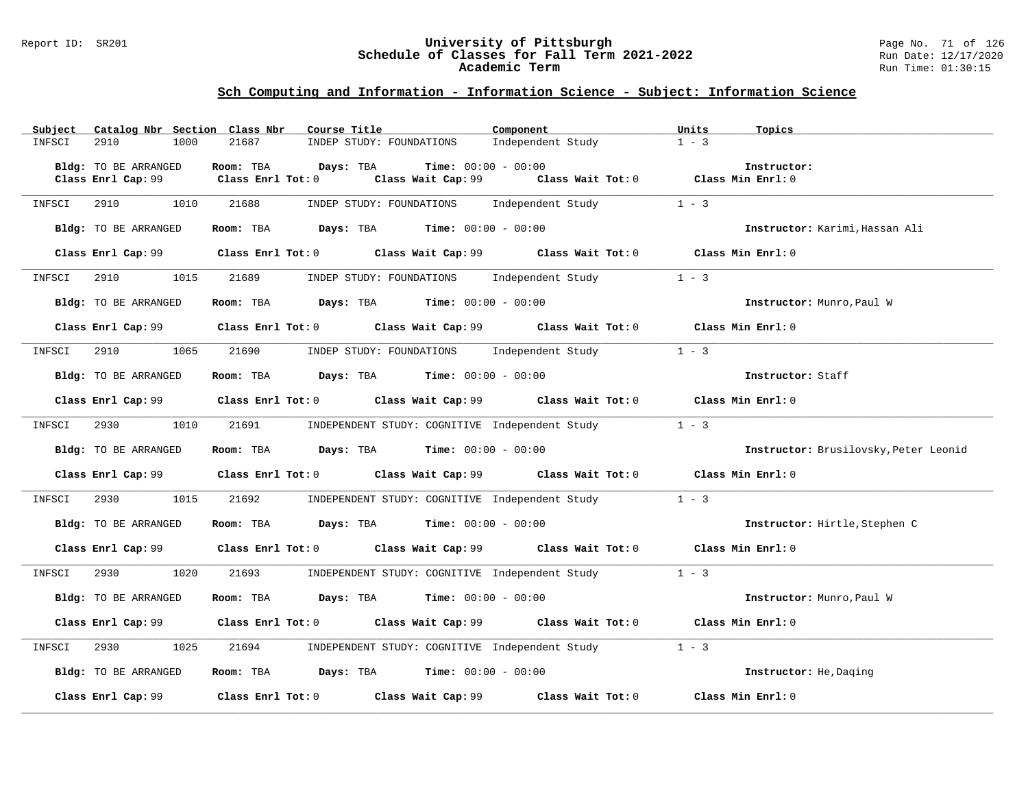### Report ID: SR201 **University of Pittsburgh** Page No. 71 of 126 **Schedule of Classes for Fall Term 2021-2022** Run Date: 12/17/2020 **Academic Term** Run Time: 01:30:15

| Subject |                      | Catalog Nbr Section Class Nbr | Course Title                                                                             |                              | Component                                                                                   | Units   | Topics                                |
|---------|----------------------|-------------------------------|------------------------------------------------------------------------------------------|------------------------------|---------------------------------------------------------------------------------------------|---------|---------------------------------------|
| INFSCI  | 2910<br>1000         | 21687                         | INDEP STUDY: FOUNDATIONS                                                                 |                              | Independent Study                                                                           | $1 - 3$ |                                       |
|         |                      |                               |                                                                                          |                              |                                                                                             |         |                                       |
|         | Bldg: TO BE ARRANGED | Room: TBA                     | Days: TBA                                                                                | <b>Time:</b> $00:00 - 00:00$ |                                                                                             |         | Instructor:                           |
|         | Class Enrl Cap: 99   | Class Enrl Tot: 0             |                                                                                          |                              | Class Wait Cap: 99 Class Wait Tot: 0 Class Min Enrl: 0                                      |         |                                       |
|         |                      |                               |                                                                                          |                              |                                                                                             |         |                                       |
| INFSCI  | 2910<br>1010         | 21688                         |                                                                                          |                              | INDEP STUDY: FOUNDATIONS Independent Study                                                  | $1 - 3$ |                                       |
|         | Bldg: TO BE ARRANGED |                               | Room: TBA $Days:$ TBA $Time: 00:00 - 00:00$                                              |                              |                                                                                             |         | Instructor: Karimi, Hassan Ali        |
|         |                      |                               |                                                                                          |                              |                                                                                             |         |                                       |
|         |                      |                               |                                                                                          |                              | Class Enrl Cap: 99 Class Enrl Tot: 0 Class Wait Cap: 99 Class Wait Tot: 0 Class Min Enrl: 0 |         |                                       |
|         |                      |                               |                                                                                          |                              |                                                                                             |         |                                       |
| INFSCI  | 2910 1015            | 21689                         |                                                                                          |                              | INDEP STUDY: FOUNDATIONS Independent Study 1 - 3                                            |         |                                       |
|         |                      |                               |                                                                                          |                              |                                                                                             |         |                                       |
|         | Bldg: TO BE ARRANGED |                               | Room: TBA $Days:$ TBA $Time: 00:00 - 00:00$                                              |                              |                                                                                             |         | Instructor: Munro, Paul W             |
|         |                      |                               |                                                                                          |                              |                                                                                             |         |                                       |
|         |                      |                               |                                                                                          |                              | Class Enrl Cap: 99 Class Enrl Tot: 0 Class Wait Cap: 99 Class Wait Tot: 0 Class Min Enrl: 0 |         |                                       |
|         |                      |                               |                                                                                          |                              |                                                                                             |         |                                       |
| INFSCI  | 2910                 | 1065<br>21690                 |                                                                                          |                              | INDEP STUDY: FOUNDATIONS Independent Study                                                  | $1 - 3$ |                                       |
|         |                      |                               |                                                                                          |                              |                                                                                             |         |                                       |
|         | Bldg: TO BE ARRANGED |                               | Room: TBA $\rule{1em}{0.15mm}$ Days: TBA $\rule{1.15mm}]{0.15mm}$ Time: $0.000 - 0.000$  |                              |                                                                                             |         | Instructor: Staff                     |
|         | Class Enrl Cap: 99   |                               |                                                                                          |                              | Class Enrl Tot: $0$ Class Wait Cap: $99$ Class Wait Tot: $0$ Class Min Enrl: $0$            |         |                                       |
|         |                      |                               |                                                                                          |                              |                                                                                             |         |                                       |
| INFSCI  | 2930<br>1010         | 21691                         |                                                                                          |                              | INDEPENDENT STUDY: COGNITIVE Independent Study                                              | $1 - 3$ |                                       |
|         |                      |                               |                                                                                          |                              |                                                                                             |         |                                       |
|         |                      |                               |                                                                                          |                              |                                                                                             |         |                                       |
|         | Bldg: TO BE ARRANGED |                               | <b>Room:</b> TBA <b>Days:</b> TBA <b>Time:</b> 00:00 - 00:00                             |                              |                                                                                             |         | Instructor: Brusilovsky, Peter Leonid |
|         |                      |                               |                                                                                          |                              |                                                                                             |         |                                       |
|         | Class Enrl Cap: 99   |                               |                                                                                          |                              | Class Enrl Tot: 0 Class Wait Cap: 99 Class Wait Tot: 0 Class Min Enrl: 0                    |         |                                       |
|         |                      |                               |                                                                                          |                              |                                                                                             |         |                                       |
| INFSCI  | 2930 1015            |                               |                                                                                          |                              | 21692 INDEPENDENT STUDY: COGNITIVE Independent Study 1 - 3                                  |         |                                       |
|         |                      |                               |                                                                                          |                              |                                                                                             |         |                                       |
|         | Bldg: TO BE ARRANGED |                               | Room: TBA $Days:$ TBA $Time: 00:00 - 00:00$                                              |                              |                                                                                             |         | Instructor: Hirtle, Stephen C         |
|         |                      |                               |                                                                                          |                              |                                                                                             |         |                                       |
|         |                      |                               |                                                                                          |                              | Class Enrl Cap: 99 Class Enrl Tot: 0 Class Wait Cap: 99 Class Wait Tot: 0 Class Min Enrl: 0 |         |                                       |
|         |                      |                               |                                                                                          |                              |                                                                                             |         |                                       |
| INFSCI  | 1020<br>2930         |                               | 21693 INDEPENDENT STUDY: COGNITIVE Independent Study                                     |                              |                                                                                             | $1 - 3$ |                                       |
|         |                      |                               |                                                                                          |                              |                                                                                             |         |                                       |
|         | Bldg: TO BE ARRANGED |                               | Room: TBA $Days:$ TBA $Time: 00:00 - 00:00$                                              |                              |                                                                                             |         | Instructor: Munro, Paul W             |
|         |                      |                               |                                                                                          |                              | Class Enrl Cap: 99 Class Enrl Tot: 0 Class Wait Cap: 99 Class Wait Tot: 0 Class Min Enrl: 0 |         |                                       |
|         |                      |                               |                                                                                          |                              |                                                                                             |         |                                       |
| INFSCI  | 2930<br>1025         |                               |                                                                                          |                              | 21694 INDEPENDENT STUDY: COGNITIVE Independent Study                                        | $1 - 3$ |                                       |
|         |                      |                               |                                                                                          |                              |                                                                                             |         |                                       |
|         | Bldg: TO BE ARRANGED |                               | Room: TBA $\rule{1em}{0.15mm}$ Days: TBA $\rule{1.15mm}]{0.15mm}$ Time: $0.000 - 0.0000$ |                              |                                                                                             |         | Instructor: He, Daging                |
|         |                      |                               |                                                                                          |                              |                                                                                             |         |                                       |
|         | Class Enrl Cap: 99   |                               |                                                                                          |                              | Class Enrl Tot: 0 Class Wait Cap: 99 Class Wait Tot: 0                                      |         | Class Min Enrl: 0                     |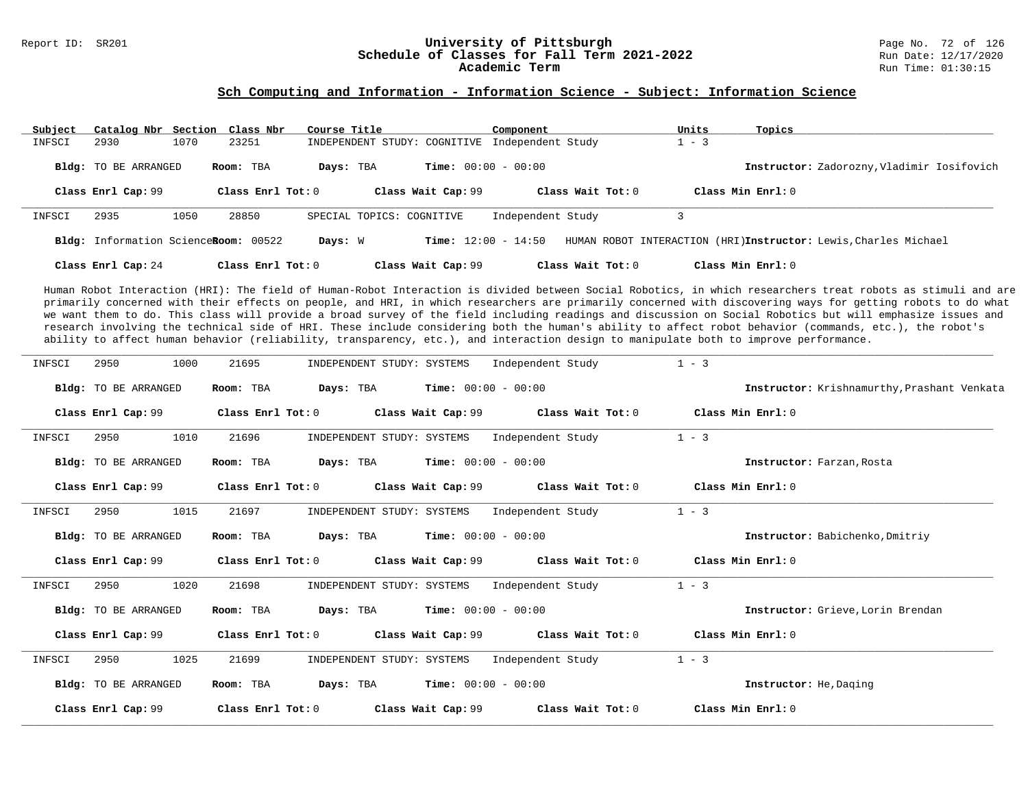# Report ID: SR201 **1988 Constrained Building Constrained Building Constrained Building Page No. 72 of 126 Pittsburgh**<br>**Schedule of Classes for Fall Term 2021-2022** 1999 Run Date: 12/17/2020 Schedule of Classes for Fall Term 2021-2022<br>Academic Term

#### **Sch Computing and Information - Information Science - Subject: Information Science**

| Subject | Catalog Nbr Section Class Nbr        |      |                     | Course Title |                              | Component                    |                     | Units   | Topics              |                                                                 |
|---------|--------------------------------------|------|---------------------|--------------|------------------------------|------------------------------|---------------------|---------|---------------------|-----------------------------------------------------------------|
| INFSCI  | 2930                                 | 1070 | 23251               |              | INDEPENDENT STUDY: COGNITIVE | Independent Study            |                     | $1 - 3$ |                     |                                                                 |
|         | <b>Bldg:</b> TO BE ARRANGED          |      | Room: TBA           | Days: TBA    |                              | <b>Time:</b> $00:00 - 00:00$ |                     |         |                     | Instructor: Zadorozny, Vladimir Iosifovich                      |
|         | Class Enrl Cap: 99                   |      | Class Enrl Tot: $0$ |              | Class Wait Cap: 99           |                              | Class Wait $Tot: 0$ |         | Class Min $Enr1: 0$ |                                                                 |
| INFSCI  | 2935                                 | 1050 | 28850               |              | SPECIAL TOPICS: COGNITIVE    | Independent Study            |                     |         |                     |                                                                 |
|         | Bldg: Information ScienceRoom: 00522 |      |                     | Days: W      |                              | <b>Time:</b> $12:00 - 14:50$ |                     |         |                     | HUMAN ROBOT INTERACTION (HRI)Instructor: Lewis, Charles Michael |
|         | Class Enrl Cap: 24                   |      | Class Enrl Tot: $0$ |              | Class Wait Cap: 99           |                              | Class Wait Tot: 0   |         | Class Min $Enrl: 0$ |                                                                 |

Human Robot Interaction (HRI): The field of Human-Robot Interaction is divided between Social Robotics, in which researchers treat robots as stimuli and are primarily concerned with their effects on people, and HRI, in which researchers are primarily concerned with discovering ways for getting robots to do what we want them to do. This class will provide a broad survey of the field including readings and discussion on Social Robotics but will emphasize issues and research involving the technical side of HRI. These include considering both the human's ability to affect robot behavior (commands, etc.), the robot's ability to affect human behavior (reliability, transparency, etc.), and interaction design to manipulate both to improve performance.

| INFSCI | 1000<br>2950                | 21695             | INDEPENDENT STUDY: SYSTEMS                    | Independent Study                                            | $1 - 3$                                     |
|--------|-----------------------------|-------------------|-----------------------------------------------|--------------------------------------------------------------|---------------------------------------------|
|        | Bldg: TO BE ARRANGED        | Room: TBA         | Days: TBA                                     | <b>Time:</b> $00:00 - 00:00$                                 | Instructor: Krishnamurthy, Prashant Venkata |
|        | Class Enrl Cap: 99          | Class Enrl Tot: 0 |                                               | Class Wait Cap: $99$ Class Wait Tot: 0 Class Min Enrl: 0     |                                             |
| INFSCI | 1010<br>2950                | 21696             | INDEPENDENT STUDY: SYSTEMS                    | Independent Study                                            | $1 - 3$                                     |
|        | Bldg: TO BE ARRANGED        | Room: TBA         | $Time: 00:00 - 00:00$<br>Days: TBA            |                                                              | Instructor: Farzan, Rosta                   |
|        | Class Enrl Cap: 99          | Class Enrl Tot: 0 |                                               | Class Wait Cap: 99 Class Wait Tot: 0 Class Min Enrl: 0       |                                             |
| INFSCI | 1015<br>2950                | 21697             | INDEPENDENT STUDY: SYSTEMS                    | Independent Study                                            | $1 - 3$                                     |
|        | Bldg: TO BE ARRANGED        | Room: TBA         | $Time: 00:00 - 00:00$<br>Days: TBA            |                                                              | Instructor: Babichenko, Dmitriy             |
|        | Class Enrl Cap: 99          |                   |                                               | Class Enrl Tot: $0$ Class Wait Cap: $99$ Class Wait Tot: $0$ | Class Min Enrl: 0                           |
| INFSCI | 2950<br>1020                | 21698             | INDEPENDENT STUDY: SYSTEMS                    | Independent Study                                            | $1 - 3$                                     |
|        | Bldg: TO BE ARRANGED        | Room: TBA         | <b>Days:</b> TBA <b>Time:</b> $00:00 - 00:00$ |                                                              | Instructor: Grieve, Lorin Brendan           |
|        | Class Enrl Cap: 99          | Class Enrl Tot: 0 |                                               | Class Wait Cap: 99 Class Wait Tot: 0                         | Class Min Enrl: 0                           |
| INFSCI | 1025<br>2950                | 21699             | INDEPENDENT STUDY: SYSTEMS                    | Independent Study                                            | $1 - 3$                                     |
|        | <b>Bldg:</b> TO BE ARRANGED | Room: TBA         | Days: TBA<br>$Time: 00:00 - 00:00$            |                                                              | Instructor: He, Daging                      |
|        | Class Enrl Cap: 99          | Class Enrl Tot: 0 | Class Wait Cap: 99                            | Class Wait Tot: 0                                            | Class Min Enrl: 0                           |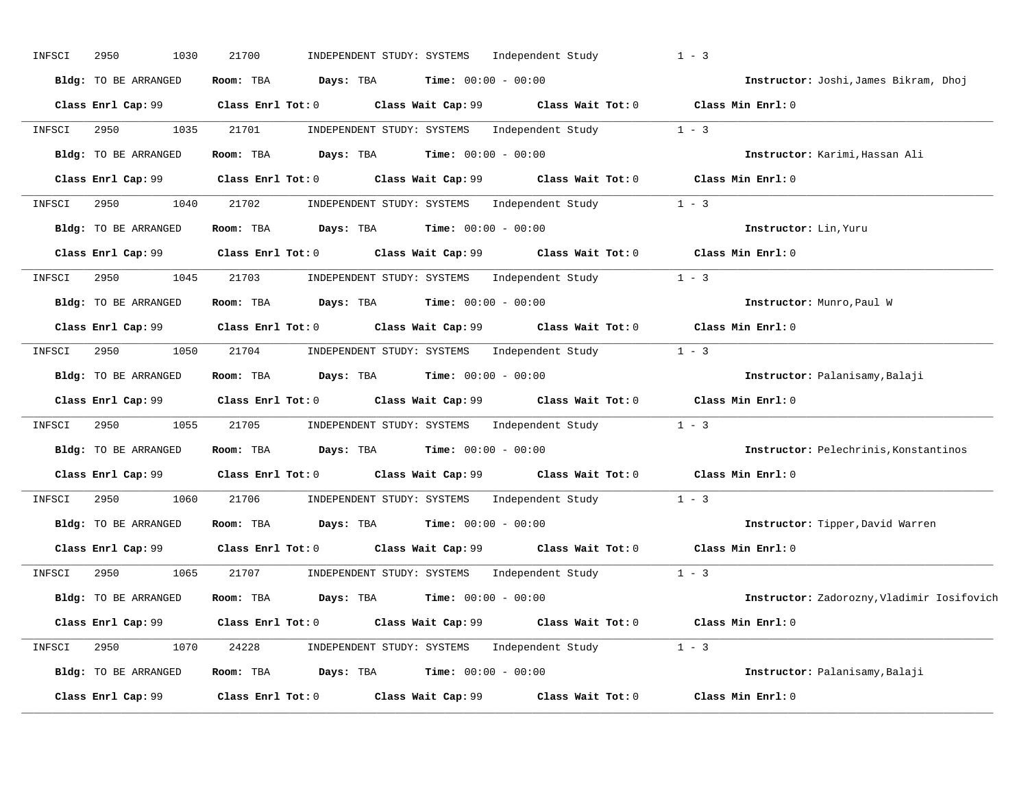| INFSCI | 2950<br>1030         | 21700<br>INDEPENDENT STUDY: SYSTEMS                                       | Independent Study                                       | $1 - 3$                                    |
|--------|----------------------|---------------------------------------------------------------------------|---------------------------------------------------------|--------------------------------------------|
|        | Bldg: TO BE ARRANGED | Room: TBA<br>Days: TBA                                                    | <b>Time:</b> $00:00 - 00:00$                            | Instructor: Joshi, James Bikram, Dhoj      |
|        | Class Enrl Cap: 99   | $Class$ $Enrl$ $Tot: 0$                                                   | Class Wait Cap: 99 Class Wait Tot: 0 Class Min Enrl: 0  |                                            |
| INFSCI | 2950<br>1035         | 21701                                                                     | INDEPENDENT STUDY: SYSTEMS Independent Study 1 - 3      |                                            |
|        | Bldg: TO BE ARRANGED | Room: TBA<br>Days: TBA                                                    | <b>Time:</b> $00:00 - 00:00$                            | Instructor: Karimi, Hassan Ali             |
|        |                      | Class Enrl Cap: $99$ Class Enrl Tot: 0                                    | Class Wait Cap: 99 Class Wait Tot: 0 Class Min Enrl: 0  |                                            |
| INFSCI | 2950<br>1040         | 21702                                                                     | INDEPENDENT STUDY: SYSTEMS Independent Study 1 - 3      |                                            |
|        | Bldg: TO BE ARRANGED | $\texttt{Davis:}$ TBA $\texttt{Time:}$ 00:00 - 00:00<br>Room: TBA         |                                                         | Instructor: Lin, Yuru                      |
|        | Class Enrl Cap: 99   | $Class$ $Enr1$ $Tot: 0$                                                   | Class Wait Cap: 99 Class Wait Tot: 0 Class Min Enrl: 0  |                                            |
| INFSCI | 2950<br>1045         | 21703                                                                     | INDEPENDENT STUDY: SYSTEMS Independent Study<br>$1 - 3$ |                                            |
|        | Bldg: TO BE ARRANGED | Room: TBA                                                                 | <b>Days:</b> TBA <b>Time:</b> $00:00 - 00:00$           | Instructor: Munro, Paul W                  |
|        | Class Enrl Cap: 99   | Class Enrl Tot: 0                                                         | Class Wait Cap: 99 Class Wait Tot: 0                    | Class Min Enrl: 0                          |
| INFSCI | 2950<br>1050         | 21704                                                                     | INDEPENDENT STUDY: SYSTEMS Independent Study 1 - 3      |                                            |
|        | Bldg: TO BE ARRANGED | Room: TBA                                                                 | <b>Days:</b> TBA <b>Time:</b> $00:00 - 00:00$           | Instructor: Palanisamy, Balaji             |
|        | Class Enrl Cap: 99   | Class Enrl Tot: 0 Class Wait Cap: 99 Class Wait Tot: 0                    |                                                         | Class Min Enrl: 0                          |
| INFSCI | 2950<br>1055         | 21705                                                                     | INDEPENDENT STUDY: SYSTEMS Independent Study            | $1 - 3$                                    |
|        | Bldg: TO BE ARRANGED | Room: TBA<br>Days: TBA                                                    | <b>Time:</b> $00:00 - 00:00$                            | Instructor: Pelechrinis, Konstantinos      |
|        |                      | Class Enrl Cap: 99 Class Enrl Tot: 0 Class Wait Cap: 99 Class Wait Tot: 0 |                                                         | Class Min Enrl: 0                          |
| INFSCI | 2950<br>1060         | 21706                                                                     | INDEPENDENT STUDY: SYSTEMS Independent Study            | $1 - 3$                                    |
|        | Bldg: TO BE ARRANGED | Room: TBA<br><b>Days:</b> TBA <b>Time:</b> $00:00 - 00:00$                |                                                         | Instructor: Tipper, David Warren           |
|        | Class Enrl Cap: 99   | Class Enrl Tot: 0 Class Wait Cap: 99 Class Wait Tot: 0                    |                                                         | Class Min Enrl: 0                          |
| INFSCI | 2950<br>1065         | 21707                                                                     | $1 - 3$<br>INDEPENDENT STUDY: SYSTEMS Independent Study |                                            |
|        | Bldg: TO BE ARRANGED | Room: TBA Days: TBA                                                       | $Time: 00:00 - 00:00$                                   | Instructor: Zadorozny, Vladimir Iosifovich |
|        | Class Enrl Cap: 99   | Class Enrl Tot: 0                                                         | Class Wait Cap: 99 Class Wait Tot: 0                    | Class Min Enrl: 0                          |
| INFSCI | 2950<br>1070         | 24228                                                                     | INDEPENDENT STUDY: SYSTEMS Independent Study 1 - 3      |                                            |
|        | Bldg: TO BE ARRANGED | Room: TBA                                                                 | <b>Days:</b> TBA <b>Time:</b> $00:00 - 00:00$           | Instructor: Palanisamy, Balaji             |
|        | Class Enrl Cap: 99   | Class Enrl Tot: 0<br>Class Wait Cap: 99                                   | Class Wait Tot: 0                                       | Class Min Enrl: 0                          |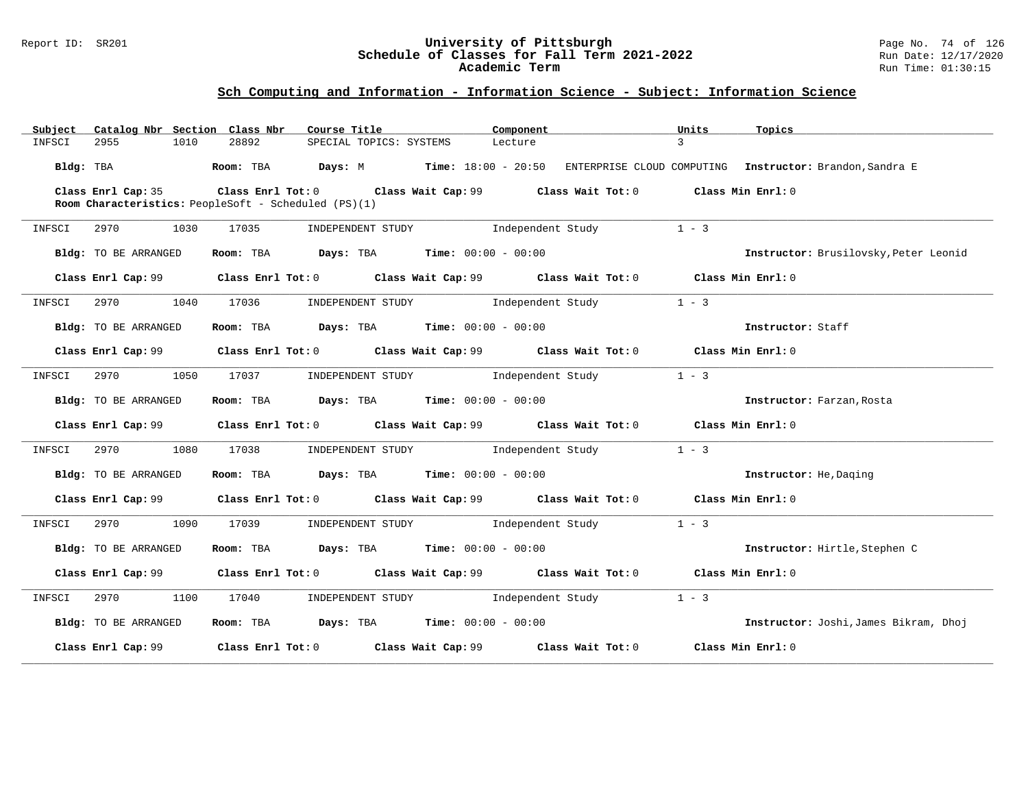### Report ID: SR201 **University of Pittsburgh** Page No. 74 of 126 **Schedule of Classes for Fall Term 2021-2022** Run Date: 12/17/2020 **Academic Term** Run Time: 01:30:15

## **Sch Computing and Information - Information Science - Subject: Information Science**

| Subject   |                                                      |      | Catalog Nbr Section Class Nbr                                  | Course Title                              |                         |                                     | Component |                                                                                                      | Units         | Topics                                                      |
|-----------|------------------------------------------------------|------|----------------------------------------------------------------|-------------------------------------------|-------------------------|-------------------------------------|-----------|------------------------------------------------------------------------------------------------------|---------------|-------------------------------------------------------------|
| INFSCI    | 2955                                                 | 1010 | 28892                                                          |                                           | SPECIAL TOPICS: SYSTEMS | Lecture                             |           |                                                                                                      | $\mathcal{L}$ |                                                             |
| Bldg: TBA |                                                      |      | Room: TBA $Days: M$ Time: $18:00 - 20:50$                      |                                           |                         |                                     |           |                                                                                                      |               | ENTERPRISE CLOUD COMPUTING    Instructor: Brandon, Sandra E |
|           | Class Enrl Cap: 35                                   |      |                                                                |                                           |                         |                                     |           | Class Enrl Tot: $0$ Class Wait Cap: $99$ Class Wait Tot: $0$ Class Min Enrl: $0$                     |               |                                                             |
|           | Room Characteristics: PeopleSoft - Scheduled (PS)(1) |      |                                                                |                                           |                         |                                     |           |                                                                                                      |               |                                                             |
| INFSCI    | 2970                                                 | 1030 | 17035                                                          |                                           | INDEPENDENT STUDY       |                                     |           | Independent Study                                                                                    | $1 - 3$       |                                                             |
|           | Bldg: TO BE ARRANGED                                 |      | Room: TBA $\rule{1em}{0.15mm}$ Days: TBA Time: $00:00 - 00:00$ |                                           |                         |                                     |           |                                                                                                      |               | Instructor: Brusilovsky, Peter Leonid                       |
|           | Class Enrl Cap: 99                                   |      |                                                                |                                           |                         |                                     |           | Class Enrl Tot: $0$ Class Wait Cap: $99$ Class Wait Tot: $0$ Class Min Enrl: $0$                     |               |                                                             |
| INFSCI    | 2970                                                 | 1040 | 17036                                                          |                                           |                         |                                     |           | INDEPENDENT STUDY 1ndependent Study                                                                  | $1 - 3$       |                                                             |
|           | Bldg: TO BE ARRANGED                                 |      | Room: TBA $Days:$ TBA $Time: 00:00 - 00:00$                    |                                           |                         |                                     |           |                                                                                                      |               | Instructor: Staff                                           |
|           | Class Enrl Cap: 99                                   |      |                                                                |                                           |                         |                                     |           | Class Enrl Tot: $0$ Class Wait Cap: $99$ Class Wait Tot: $0$ Class Min Enrl: $0$                     |               |                                                             |
| INFSCI    | 2970 1050                                            |      | 17037                                                          |                                           |                         |                                     |           | INDEPENDENT STUDY 1ndependent Study                                                                  | $1 - 3$       |                                                             |
|           | Bldg: TO BE ARRANGED                                 |      | Room: TBA $Days:$ TBA $Time: 00:00 - 00:00$                    |                                           |                         |                                     |           |                                                                                                      |               | Instructor: Farzan, Rosta                                   |
|           | Class Enrl Cap: 99                                   |      |                                                                |                                           |                         |                                     |           | Class Enrl Tot: 0 Class Wait Cap: 99 Class Wait Tot: 0 Class Min Enrl: 0                             |               |                                                             |
| INFSCI    | 2970 1080                                            |      | 17038                                                          |                                           |                         |                                     |           | INDEPENDENT STUDY 1ndependent Study                                                                  | $1 - 3$       |                                                             |
|           | Bldg: TO BE ARRANGED                                 |      | Room: TBA $Days: TBA$ Time: $00:00 - 00:00$                    |                                           |                         |                                     |           |                                                                                                      |               | Instructor: He, Daging                                      |
|           | Class Enrl Cap: 99                                   |      |                                                                |                                           |                         |                                     |           | Class Enrl Tot: $0$ Class Wait Cap: $99$ Class Wait Tot: $0$ Class Min Enrl: $0$                     |               |                                                             |
| INFSCI    | 2970 1090                                            |      | 17039                                                          |                                           |                         | INDEPENDENT STUDY 1ndependent Study |           |                                                                                                      | $1 - 3$       |                                                             |
|           | Bldg: TO BE ARRANGED                                 |      | Room: TBA $Days:$ TBA $Time: 00:00 - 00:00$                    |                                           |                         |                                     |           |                                                                                                      |               | Instructor: Hirtle, Stephen C                               |
|           | Class Enrl Cap: 99                                   |      |                                                                |                                           |                         |                                     |           | Class Enrl Tot: $0$ Class Wait Cap: $99$ Class Wait Tot: $0$ Class Min Enrl: $0$                     |               |                                                             |
| INFSCI    | 2970                                                 | 1100 |                                                                | 17040 INDEPENDENT STUDY 1ndependent Study |                         |                                     |           |                                                                                                      | $1 - 3$       |                                                             |
|           | Bldg: TO BE ARRANGED                                 |      | Room: TBA $Days:$ TBA $Time: 00:00 - 00:00$                    |                                           |                         |                                     |           |                                                                                                      |               | Instructor: Joshi, James Bikram, Dhoj                       |
|           |                                                      |      |                                                                |                                           |                         |                                     |           | Class Enrl Cap: 99 $\qquad$ Class Enrl Tot: 0 $\qquad$ Class Wait Cap: 99 $\qquad$ Class Wait Tot: 0 |               | Class Min Enrl: 0                                           |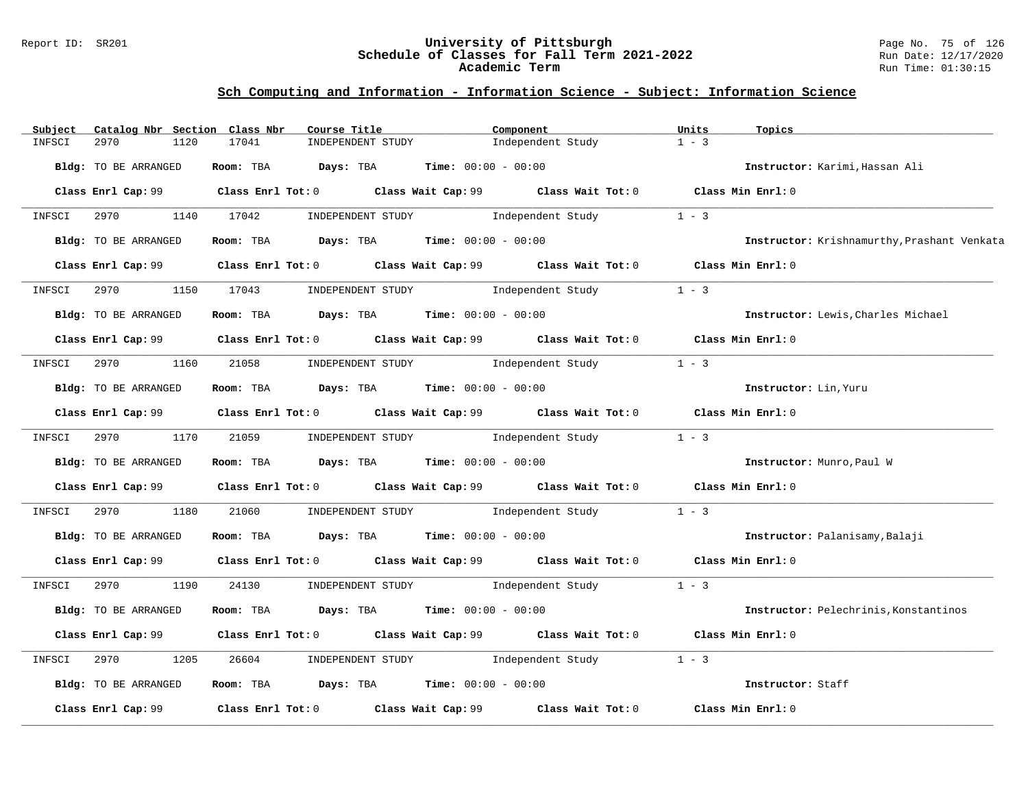### Report ID: SR201 **University of Pittsburgh** Page No. 75 of 126 **Schedule of Classes for Fall Term 2021-2022** Run Date: 12/17/2020 **Academic Term** Run Time: 01:30:15

# **Sch Computing and Information - Information Science - Subject: Information Science**

| Subject | Catalog Nbr Section  | Class Nbr<br>Course Title                                                                   | Component                           |                   | Units<br>Topics                             |
|---------|----------------------|---------------------------------------------------------------------------------------------|-------------------------------------|-------------------|---------------------------------------------|
| INFSCI  | 2970<br>1120         | 17041<br>INDEPENDENT STUDY                                                                  |                                     | Independent Study | $1 - 3$                                     |
|         | Bldg: TO BE ARRANGED | Room: TBA $Days: TBA$ Time: $00:00 - 00:00$                                                 |                                     |                   | Instructor: Karimi, Hassan Ali              |
|         |                      | Class Enrl Cap: 99 Class Enrl Tot: 0 Class Wait Cap: 99 Class Wait Tot: 0 Class Min Enrl: 0 |                                     |                   |                                             |
| INFSCI  | 2970 1140 17042      |                                                                                             | INDEPENDENT STUDY 1 - 3             |                   |                                             |
|         | Bldg: TO BE ARRANGED | Room: TBA $Days:$ TBA $Time: 00:00 - 00:00$                                                 |                                     |                   | Instructor: Krishnamurthy, Prashant Venkata |
|         |                      | Class Enrl Cap: 99 Class Enrl Tot: 0 Class Wait Cap: 99 Class Wait Tot: 0 Class Min Enrl: 0 |                                     |                   |                                             |
| INFSCI  | 2970                 | 1150 17043 INDEPENDENT STUDY 1ndependent Study                                              |                                     |                   | $1 - 3$                                     |
|         | Bldg: TO BE ARRANGED | Room: TBA $Days:$ TBA $Time: 00:00 - 00:00$                                                 |                                     |                   | Instructor: Lewis, Charles Michael          |
|         |                      | Class Enrl Cap: 99 Class Enrl Tot: 0 Class Wait Cap: 99 Class Wait Tot: 0 Class Min Enrl: 0 |                                     |                   |                                             |
| INFSCI  | 2970 1160            | 21058                                                                                       | INDEPENDENT STUDY 1ndependent Study |                   | $1 - 3$                                     |
|         | Bldg: TO BE ARRANGED | Room: TBA $Days:$ TBA $Time: 00:00 - 00:00$                                                 |                                     |                   | Instructor: Lin, Yuru                       |
|         |                      | Class Enrl Cap: 99 Class Enrl Tot: 0 Class Wait Cap: 99 Class Wait Tot: 0 Class Min Enrl: 0 |                                     |                   |                                             |
| INFSCI  | 2970 1170 21059      |                                                                                             | INDEPENDENT STUDY 1 - 3             |                   |                                             |
|         | Bldg: TO BE ARRANGED | Room: TBA $\rule{1em}{0.15mm}$ Days: TBA $\rule{1.15mm}]{0.15mm}$ Time: $0.0100 - 0.0100$   |                                     |                   | Instructor: Munro, Paul W                   |
|         |                      | Class Enrl Cap: 99 Class Enrl Tot: 0 Class Wait Cap: 99 Class Wait Tot: 0 Class Min Enrl: 0 |                                     |                   |                                             |
| INFSCI  | 2970<br>1180         | 21060                                                                                       | INDEPENDENT STUDY 1ndependent Study |                   | $1 - 3$                                     |
|         | Bldg: TO BE ARRANGED | <b>Room:</b> TBA $\rule{1em}{0.15mm}$ Days: TBA $\rule{1em}{0.15mm}$ Time: $00:00 - 00:00$  |                                     |                   | Instructor: Palanisamy, Balaji              |
|         |                      | Class Enrl Cap: 99 Class Enrl Tot: 0 Class Wait Cap: 99 Class Wait Tot: 0 Class Min Enrl: 0 |                                     |                   |                                             |
| INFSCI  | 2970 1190            | 24130                                                                                       | INDEPENDENT STUDY 1 - 3             |                   |                                             |
|         | Bldg: TO BE ARRANGED | Room: TBA $Days:$ TBA $Time: 00:00 - 00:00$                                                 |                                     |                   | Instructor: Pelechrinis, Konstantinos       |
|         |                      | Class Enrl Cap: 99 Class Enrl Tot: 0 Class Wait Cap: 99 Class Wait Tot: 0 Class Min Enrl: 0 |                                     |                   |                                             |
| INFSCI  | 2970<br>1205         | 26604                                                                                       | INDEPENDENT STUDY 1ndependent Study |                   | $1 - 3$                                     |
|         | Bldg: TO BE ARRANGED | Room: TBA $Days: TBA$ Time: $00:00 - 00:00$                                                 |                                     |                   | Instructor: Staff                           |
|         | Class Enrl Cap: 99   | Class Enrl Tot: $0$ Class Wait Cap: 99 $\,$ Class Wait Tot: $0$                             |                                     |                   | Class Min Enrl: 0                           |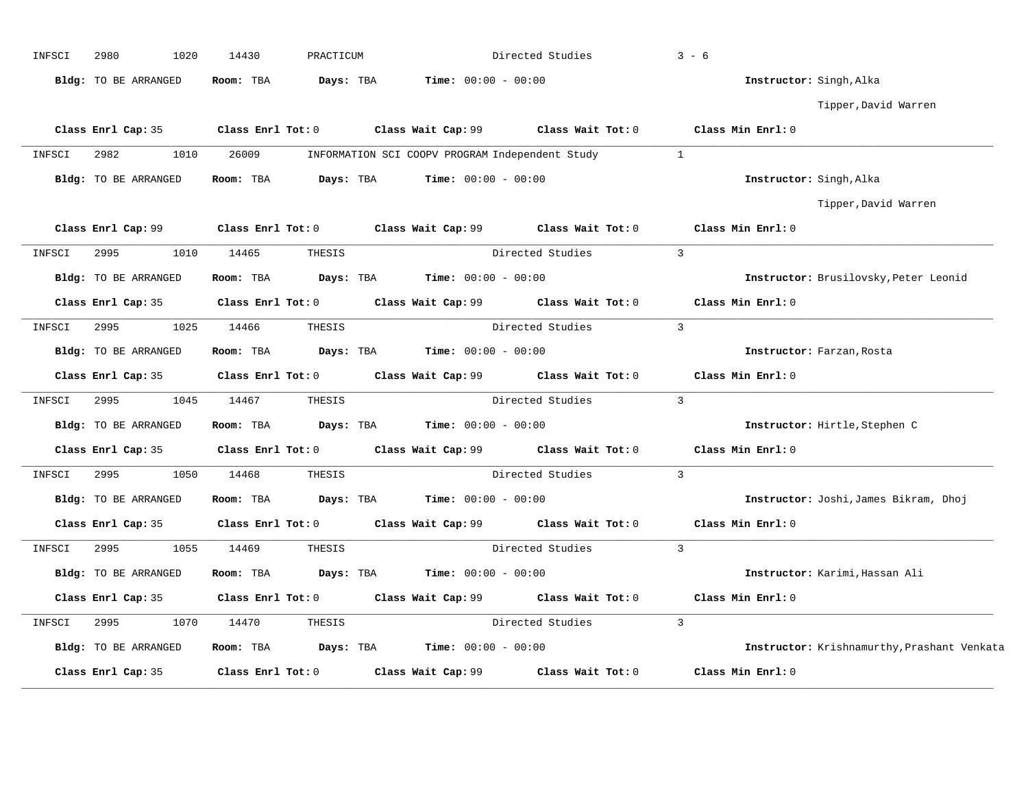| INFSCI | 2980<br>1020                         | 14430             | PRACTICUM |                                                                                             | Directed Studies                                       | $3 - 6$                                     |
|--------|--------------------------------------|-------------------|-----------|---------------------------------------------------------------------------------------------|--------------------------------------------------------|---------------------------------------------|
|        | Bldg: TO BE ARRANGED                 | Room: TBA         | Days: TBA | <b>Time:</b> $00:00 - 00:00$                                                                |                                                        | Instructor: Singh, Alka                     |
|        |                                      |                   |           |                                                                                             |                                                        | Tipper, David Warren                        |
|        | Class Enrl Cap: 35                   | Class Enrl Tot: 0 |           | Class Wait Cap: $99$ Class Wait Tot: 0                                                      |                                                        | Class Min Enrl: 0                           |
| INFSCI | 2982<br>1010                         | 26009             |           | INFORMATION SCI COOPV PROGRAM Independent Study                                             |                                                        | $\mathbf{1}$                                |
|        | Bldg: TO BE ARRANGED                 | Room: TBA         | Days: TBA | $Time: 00:00 - 00:00$                                                                       |                                                        | Instructor: Singh, Alka                     |
|        |                                      |                   |           |                                                                                             |                                                        | Tipper,David Warren                         |
|        |                                      |                   |           | Class Enrl Cap: 99 Class Enrl Tot: 0 Class Wait Cap: 99 Class Wait Tot: 0 Class Min Enrl: 0 |                                                        |                                             |
| INFSCI | 2995<br>1010                         | 14465             | THESIS    |                                                                                             | Directed Studies                                       | $\mathbf{3}$                                |
|        | Bldg: TO BE ARRANGED                 | Room: TBA         | Days: TBA | $Time: 00:00 - 00:00$                                                                       |                                                        | Instructor: Brusilovsky, Peter Leonid       |
|        | Class Enrl Cap: 35                   |                   |           | Class Enrl Tot: 0 Class Wait Cap: 99 Class Wait Tot: 0                                      |                                                        | Class Min Enrl: 0                           |
| INFSCI | 2995<br>1025                         | 14466             | THESIS    |                                                                                             | Directed Studies                                       | $\overline{3}$                              |
|        | Bldg: TO BE ARRANGED                 | Room: TBA         |           | <b>Days:</b> TBA <b>Time:</b> $00:00 - 00:00$                                               |                                                        | Instructor: Farzan, Rosta                   |
|        | Class Enrl Cap: 35                   |                   |           | Class Enrl Tot: 0 Class Wait Cap: 99 Class Wait Tot: 0                                      |                                                        | Class Min Enrl: 0                           |
| INFSCI | 1045<br>2995                         | 14467             | THESIS    |                                                                                             | Directed Studies                                       | $\overline{3}$                              |
|        | Bldg: TO BE ARRANGED                 | Room: TBA         |           | <b>Days:</b> TBA <b>Time:</b> $00:00 - 00:00$                                               |                                                        | Instructor: Hirtle, Stephen C               |
|        | Class Enrl Cap: 35 Class Enrl Tot: 0 |                   |           |                                                                                             | Class Wait Cap: 99 Class Wait Tot: 0 Class Min Enrl: 0 |                                             |
| INFSCI | 2995<br>1050                         | 14468             | THESIS    |                                                                                             | Directed Studies                                       | $\overline{3}$                              |
|        | Bldg: TO BE ARRANGED                 | Room: TBA         | Days: TBA | $Time: 00:00 - 00:00$                                                                       |                                                        | Instructor: Joshi, James Bikram, Dhoj       |
|        | Class Enrl Cap: 35                   |                   |           | Class Enrl Tot: 0 Class Wait Cap: 99 Class Wait Tot: 0                                      |                                                        | Class Min Enrl: 0                           |
| INFSCI | 2995<br>1055                         | 14469             | THESIS    |                                                                                             | Directed Studies                                       | $\overline{3}$                              |
|        | Bldg: TO BE ARRANGED                 | Room: TBA         |           | <b>Days:</b> TBA <b>Time:</b> $00:00 - 00:00$                                               |                                                        | Instructor: Karimi, Hassan Ali              |
|        | Class Enrl Cap: 35                   |                   |           | Class Enrl Tot: 0 Class Wait Cap: 99 Class Wait Tot: 0                                      |                                                        | Class Min Enrl: 0                           |
| INFSCI | 1070<br>2995                         | 14470             | THESIS    |                                                                                             | Directed Studies                                       | $\overline{3}$                              |
|        | Bldg: TO BE ARRANGED                 | Room: TBA         | Days: TBA | <b>Time:</b> $00:00 - 00:00$                                                                |                                                        | Instructor: Krishnamurthy, Prashant Venkata |
|        | Class Enrl Cap: 35                   | Class Enrl Tot: 0 |           | Class Wait Cap: 99                                                                          | Class Wait Tot: 0                                      | Class Min Enrl: 0                           |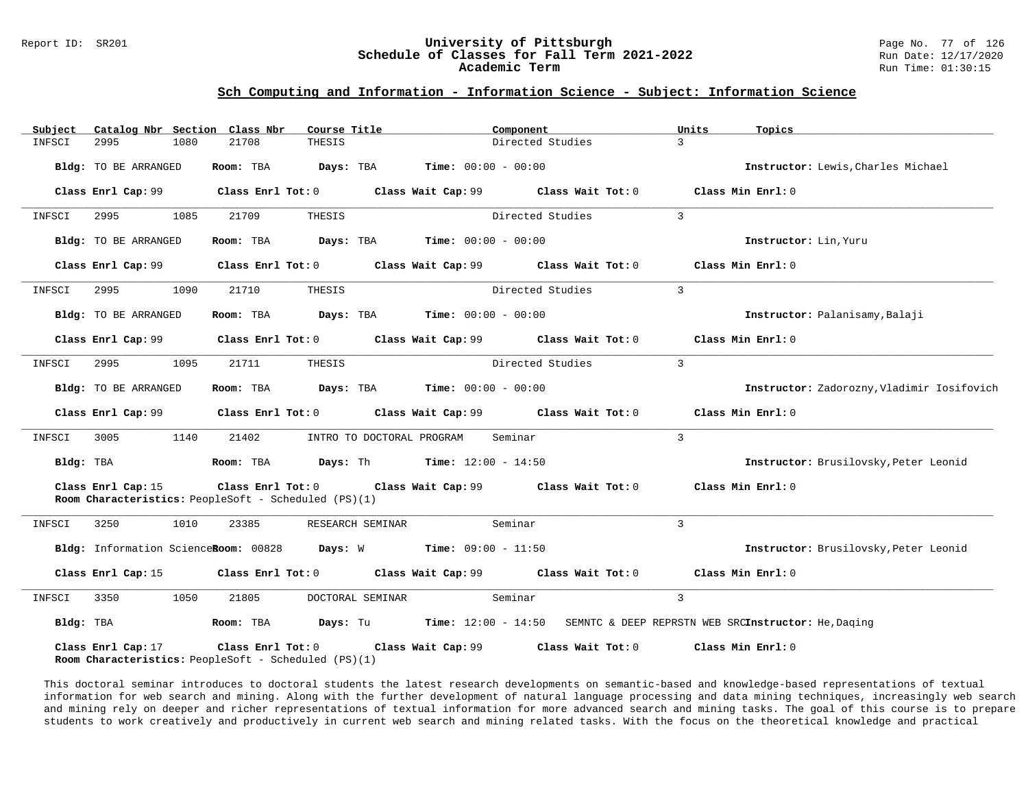# Report ID: SR201 **1988 Constrained Building Constrained Building Constrained Building Page No. 77 of 126 Classes for Fall Term 2021-2022 2020 Run Date: 12/17/2020** Schedule of Classes for Fall Term 2021-2022

## **Sch Computing and Information - Information Science - Subject: Information Science**

| Subject   |                      |      | Catalog Nbr Section Class Nbr                                                                | Course Title |                  |                                                                                                      | Component         | Units          | Topics                                                                                     |
|-----------|----------------------|------|----------------------------------------------------------------------------------------------|--------------|------------------|------------------------------------------------------------------------------------------------------|-------------------|----------------|--------------------------------------------------------------------------------------------|
| INFSCI    | 2995                 | 1080 | 21708                                                                                        | THESIS       |                  |                                                                                                      | Directed Studies  | 3              |                                                                                            |
|           | Bldg: TO BE ARRANGED |      | Room: TBA                                                                                    |              |                  | <b>Days:</b> TBA <b>Time:</b> $00:00 - 00:00$                                                        |                   |                | Instructor: Lewis, Charles Michael                                                         |
|           | Class Enrl Cap: 99   |      |                                                                                              |              |                  | Class Enrl Tot: 0 Class Wait Cap: 99 Class Wait Tot: 0                                               |                   |                | Class Min Enrl: 0                                                                          |
| INFSCI    | 2995                 | 1085 | 21709                                                                                        | THESIS       |                  |                                                                                                      | Directed Studies  | $\mathbf{3}$   |                                                                                            |
|           | Bldg: TO BE ARRANGED |      | Room: TBA                                                                                    |              |                  | <b>Days:</b> TBA <b>Time:</b> $00:00 - 00:00$                                                        |                   |                | Instructor: Lin, Yuru                                                                      |
|           |                      |      |                                                                                              |              |                  | Class Enrl Cap: 99 $\hbox{Class Enrl Tot: 0}$ Class Wait Cap: 99 $\hbox{Class Nait Tot: 0}$          |                   |                | Class Min Enrl: 0                                                                          |
| INFSCI    | 2995                 | 1090 | 21710                                                                                        | THESIS       |                  |                                                                                                      | Directed Studies  | $\overline{3}$ |                                                                                            |
|           | Bldg: TO BE ARRANGED |      |                                                                                              |              |                  | Room: TBA $Days:$ TBA $Time: 00:00 - 00:00$                                                          |                   |                | Instructor: Palanisamy, Balaji                                                             |
|           |                      |      |                                                                                              |              |                  |                                                                                                      |                   |                | Class Min Enrl: 0                                                                          |
| INFSCI    | 2995                 | 1095 | 21711                                                                                        | THESIS       |                  |                                                                                                      | Directed Studies  | $\overline{3}$ |                                                                                            |
|           | Bldg: TO BE ARRANGED |      |                                                                                              |              |                  | <b>Room:</b> TBA <b>Days:</b> TBA <b>Time:</b> 00:00 - 00:00                                         |                   |                | Instructor: Zadorozny, Vladimir Iosifovich                                                 |
|           |                      |      |                                                                                              |              |                  | Class Enrl Cap: 99 $\qquad$ Class Enrl Tot: 0 $\qquad$ Class Wait Cap: 99 $\qquad$ Class Wait Tot: 0 |                   |                | Class Min Enrl: 0                                                                          |
| INFSCI    | 3005                 | 1140 | 21402                                                                                        |              |                  | INTRO TO DOCTORAL PROGRAM                                                                            | Seminar           | $\overline{3}$ |                                                                                            |
| Bldg: TBA |                      |      |                                                                                              |              |                  | Room: TBA $Days:$ Th Time: $12:00 - 14:50$                                                           |                   |                | Instructor: Brusilovsky, Peter Leonid                                                      |
|           | Class Enrl Cap: 15   |      | Room Characteristics: PeopleSoft - Scheduled (PS)(1)                                         |              |                  | Class Enrl Tot: $0$ Class Wait Cap: $99$ Class Wait Tot: $0$                                         |                   |                | Class Min Enrl: 0                                                                          |
| INFSCI    | 3250                 | 1010 | 23385                                                                                        |              | RESEARCH SEMINAR |                                                                                                      | Seminar           | $\overline{3}$ |                                                                                            |
|           |                      |      |                                                                                              |              |                  | Bldg: Information ScienceRoom: 00828 Days: W Time: 09:00 - 11:50                                     |                   |                | Instructor: Brusilovsky, Peter Leonid                                                      |
|           |                      |      |                                                                                              |              |                  | Class Enrl Cap: 15 		 Class Enrl Tot: 0 		 Class Wait Cap: 99 		 Class Wait Tot: 0                   |                   |                | Class Min Enrl: 0                                                                          |
| INFSCI    | 3350                 | 1050 | 21805                                                                                        |              | DOCTORAL SEMINAR |                                                                                                      | Seminar           | $\overline{3}$ |                                                                                            |
| Bldg: TBA |                      |      |                                                                                              |              |                  |                                                                                                      |                   |                | Room: TBA Days: Tu Time: 12:00 - 14:50 SEMNTC & DEEP REPRSTN WEB SRCInstructor: He, Daging |
|           | Class Enrl Cap: 17   |      | Class Enrl Tot: 0 Class Wait Cap: 99<br>Room Characteristics: PeopleSoft - Scheduled (PS)(1) |              |                  |                                                                                                      | Class Wait Tot: 0 |                | Class Min Enrl: 0                                                                          |

This doctoral seminar introduces to doctoral students the latest research developments on semantic-based and knowledge-based representations of textual information for web search and mining. Along with the further development of natural language processing and data mining techniques, increasingly web search and mining rely on deeper and richer representations of textual information for more advanced search and mining tasks. The goal of this course is to prepare students to work creatively and productively in current web search and mining related tasks. With the focus on the theoretical knowledge and practical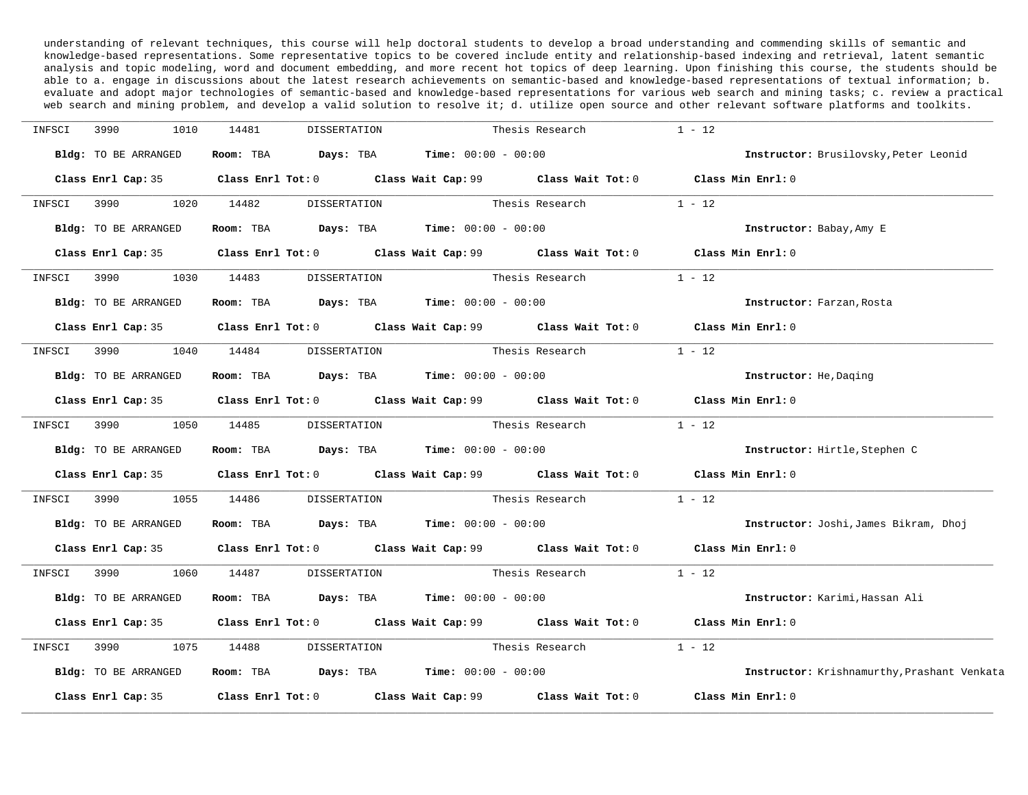understanding of relevant techniques, this course will help doctoral students to develop a broad understanding and commending skills of semantic and knowledge-based representations. Some representative topics to be covered include entity and relationship-based indexing and retrieval, latent semantic analysis and topic modeling, word and document embedding, and more recent hot topics of deep learning. Upon finishing this course, the students should be able to a. engage in discussions about the latest research achievements on semantic-based and knowledge-based representations of textual information; b. evaluate and adopt major technologies of semantic-based and knowledge-based representations for various web search and mining tasks; c. review a practical web search and mining problem, and develop a valid solution to resolve it; d. utilize open source and other relevant software platforms and toolkits.

| INFSCI | 3990<br>1010         | 14481<br>DISSERTATION               |                                                                                             | Thesis Research | $1 - 12$                                    |
|--------|----------------------|-------------------------------------|---------------------------------------------------------------------------------------------|-----------------|---------------------------------------------|
|        | Bldg: TO BE ARRANGED |                                     | Room: TBA $Days: TBA$ Time: $00:00 - 00:00$                                                 |                 | Instructor: Brusilovsky, Peter Leonid       |
|        |                      |                                     | Class Enrl Cap: 35 Class Enrl Tot: 0 Class Wait Cap: 99 Class Wait Tot: 0 Class Min Enrl: 0 |                 |                                             |
| INFSCI | 1020                 | 14482                               | DISSERTATION                                                                                | Thesis Research | $1 - 12$                                    |
|        | Bldg: TO BE ARRANGED |                                     | Room: TBA $Days:$ TBA $Time: 00:00 - 00:00$                                                 |                 | Instructor: Babay, Amy E                    |
|        |                      |                                     | Class Enrl Cap: 35 Class Enrl Tot: 0 Class Wait Cap: 99 Class Wait Tot: 0 Class Min Enrl: 0 |                 |                                             |
| INFSCI | 3990<br>1030         | 14483<br>DISSERTATION               |                                                                                             | Thesis Research | $1 - 12$                                    |
|        | Bldg: TO BE ARRANGED |                                     | Room: TBA $Days:$ TBA $Time: 00:00 - 00:00$                                                 |                 | Instructor: Farzan, Rosta                   |
|        |                      |                                     | Class Enrl Cap: 35 Class Enrl Tot: 0 Class Wait Cap: 99 Class Wait Tot: 0 Class Min Enrl: 0 |                 |                                             |
|        |                      | INFSCI 3990 1040 14484 DISSERTATION |                                                                                             | Thesis Research | $1 - 12$                                    |
|        | Bldg: TO BE ARRANGED |                                     | Room: TBA $Days:$ TBA $Time: 00:00 - 00:00$                                                 |                 | Instructor: He, Daging                      |
|        |                      |                                     | Class Enrl Cap: 35 Class Enrl Tot: 0 Class Wait Cap: 99 Class Wait Tot: 0 Class Min Enrl: 0 |                 |                                             |
| INFSCI | 3990<br>1050         | 14485                               | DISSERTATION                                                                                | Thesis Research | $1 - 12$                                    |
|        | Bldg: TO BE ARRANGED |                                     | Room: TBA $Days: TBA$ Time: $00:00 - 00:00$                                                 |                 | Instructor: Hirtle, Stephen C               |
|        |                      |                                     | Class Enrl Cap: 35 Class Enrl Tot: 0 Class Wait Cap: 99 Class Wait Tot: 0 Class Min Enrl: 0 |                 |                                             |
| INFSCI |                      | 3990 1055 14486 DISSERTATION        |                                                                                             | Thesis Research | $1 - 12$                                    |
|        | Bldg: TO BE ARRANGED |                                     | Room: TBA $Days:$ TBA $Time: 00:00 - 00:00$                                                 |                 | Instructor: Joshi, James Bikram, Dhoj       |
|        |                      |                                     | Class Enrl Cap: 35 Class Enrl Tot: 0 Class Wait Cap: 99 Class Wait Tot: 0                   |                 | Class Min Enrl: 0                           |
| INFSCI | 3990 1060            | 14487<br>DISSERTATION               |                                                                                             | Thesis Research | $1 - 12$                                    |
|        | Bldg: TO BE ARRANGED |                                     | Room: TBA $Days:$ TBA $Time: 00:00 - 00:00$                                                 |                 | Instructor: Karimi, Hassan Ali              |
|        |                      |                                     | Class Enrl Cap: 35 Class Enrl Tot: 0 Class Wait Cap: 99 Class Wait Tot: 0 Class Min Enrl: 0 |                 |                                             |
| INFSCI | 3990<br>1075         | 14488<br>DISSERTATION               |                                                                                             | Thesis Research | $1 - 12$                                    |
|        | Bldg: TO BE ARRANGED |                                     | Room: TBA $Days:$ TBA $Time: 00:00 - 00:00$                                                 |                 | Instructor: Krishnamurthy, Prashant Venkata |
|        |                      |                                     | Class Enrl Cap: 35 Class Enrl Tot: 0 Class Wait Cap: 99 Class Wait Tot: 0 Class Min Enrl: 0 |                 |                                             |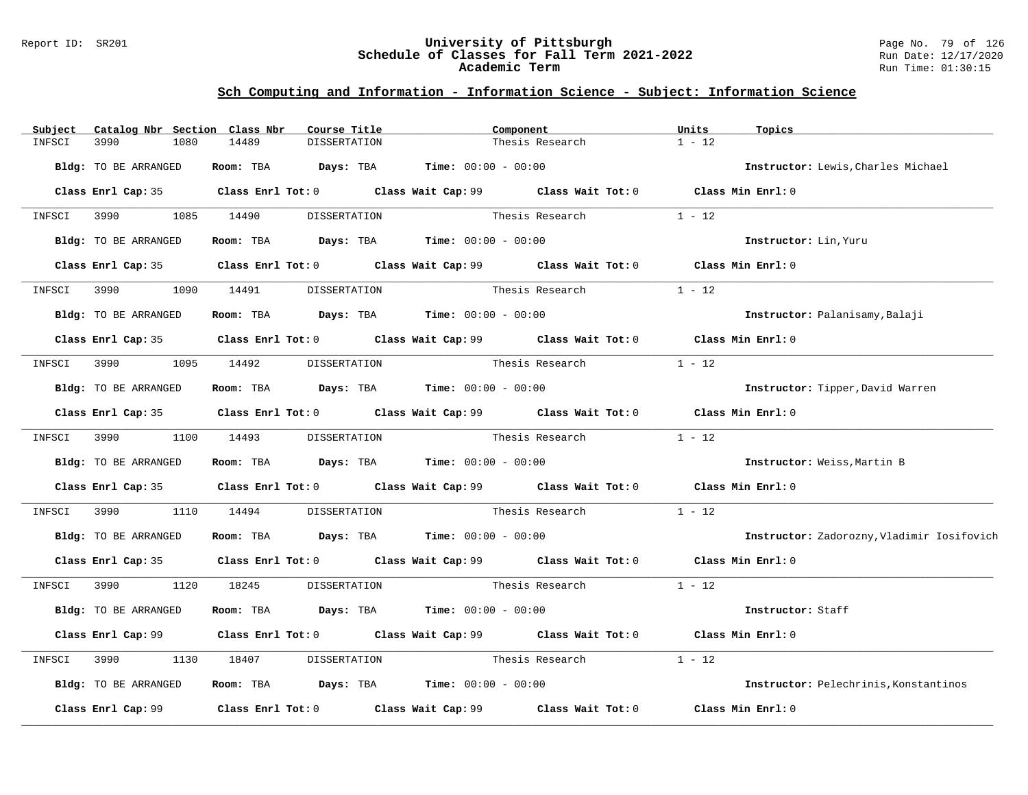### Report ID: SR201 **University of Pittsburgh** Page No. 79 of 126 **Schedule of Classes for Fall Term 2021-2022** Run Date: 12/17/2020 **Academic Term** Run Time: 01:30:15

## **Sch Computing and Information - Information Science - Subject: Information Science**

| Subject | Catalog Nbr Section Class Nbr | Course Title                                                                                |              | Component       |                              | Units             | Topics                                       |
|---------|-------------------------------|---------------------------------------------------------------------------------------------|--------------|-----------------|------------------------------|-------------------|----------------------------------------------|
| INFSCI  | 3990<br>1080                  | 14489<br><b>DISSERTATION</b>                                                                |              |                 | Thesis Research              | $1 - 12$          |                                              |
|         | Bldg: TO BE ARRANGED          | Room: TBA $Days:$ TBA $Time: 00:00 - 00:00$                                                 |              |                 |                              |                   | Instructor: Lewis, Charles Michael           |
|         |                               | Class Enrl Cap: 35 Class Enrl Tot: 0 Class Wait Cap: 99 Class Wait Tot: 0 Class Min Enrl: 0 |              |                 |                              |                   |                                              |
|         | INFSCI 3990 1085 14490        |                                                                                             | DISSERTATION |                 | Thesis Research              | $1 - 12$          |                                              |
|         | Bldg: TO BE ARRANGED          | Room: TBA $Days:$ TBA $Time: 00:00 - 00:00$                                                 |              |                 |                              |                   | Instructor: Lin, Yuru                        |
|         |                               | Class Enrl Cap: 35 Class Enrl Tot: 0 Class Wait Cap: 99 Class Wait Tot: 0 Class Min Enrl: 0 |              |                 |                              |                   |                                              |
| INFSCI  | 3990<br>1090                  | 14491                                                                                       | DISSERTATION |                 | Thesis Research              | $1 - 12$          |                                              |
|         | Bldg: TO BE ARRANGED          | Room: TBA $Days:$ TBA $Time: 00:00 - 00:00$                                                 |              |                 |                              |                   | Instructor: Palanisamy, Balaji               |
|         |                               | Class Enrl Cap: 35 Class Enrl Tot: 0 Class Wait Cap: 99 Class Wait Tot: 0 Class Min Enrl: 0 |              |                 |                              |                   |                                              |
|         | INFSCI 3990 1095 14492        |                                                                                             | DISSERTATION | Thesis Research |                              | $1 - 12$          |                                              |
|         | Bldg: TO BE ARRANGED          | Room: TBA $\rule{1em}{0.15mm}$ Days: TBA Time: $00:00 - 00:00$                              |              |                 |                              |                   | Instructor: Tipper, David Warren             |
|         |                               | Class Enrl Cap: 35 Class Enrl Tot: 0 Class Wait Cap: 99 Class Wait Tot: 0 Class Min Enrl: 0 |              |                 |                              |                   |                                              |
|         |                               | INFSCI 3990 1100 14493 DISSERTATION                                                         |              |                 | Thesis Research              | $1 - 12$          |                                              |
|         | Bldg: TO BE ARRANGED          | Room: TBA $Days:$ TBA $Time: 00:00 - 00:00$                                                 |              |                 |                              |                   | Instructor: Weiss, Martin B                  |
|         |                               | Class Enrl Cap: 35 Class Enrl Tot: 0 Class Wait Cap: 99 Class Wait Tot: 0                   |              |                 |                              | Class Min Enrl: 0 |                                              |
| INFSCI  | 3990<br>1110                  | 14494                                                                                       |              |                 | DISSERTATION Thesis Research | $1 - 12$          |                                              |
|         | Bldg: TO BE ARRANGED          | Room: TBA $Days: TBA$ Time: $00:00 - 00:00$                                                 |              |                 |                              |                   | Instructor: Zadorozny, Vladimir Iosifovich   |
|         |                               | Class Enrl Cap: 35 Class Enrl Tot: 0 Class Wait Cap: 99 Class Wait Tot: 0 Class Min Enrl: 0 |              |                 |                              |                   |                                              |
| INFSCI  | 3990 3990                     | 1120 18245<br>DISSERTATION                                                                  |              |                 | Thesis Research              | $1 - 12$          |                                              |
|         | Bldg: TO BE ARRANGED          | Room: TBA $Days: TBA$ Time: $00:00 - 00:00$                                                 |              |                 |                              |                   | Instructor: Staff                            |
|         | Class Enrl Cap: 99            | Class Enrl Tot: $0$ Class Wait Cap: $99$ Class Wait Tot: $0$                                |              |                 |                              | Class Min Enrl: 0 |                                              |
| INFSCI  | 1130<br>3990                  | 18407<br>DISSERTATION                                                                       |              | Thesis Research |                              | $1 - 12$          |                                              |
|         | Bldg: TO BE ARRANGED          | Room: TBA $Days: TBA$ Time: $00:00 - 00:00$                                                 |              |                 |                              |                   | <b>Instructor:</b> Pelechrinis, Konstantinos |
|         | Class Enrl Cap: 99            | Class Enrl Tot: 0 Class Wait Cap: 99                                                        |              |                 | $Class$ Wait Tot: $0$        |                   | Class Min Enrl: 0                            |
|         |                               |                                                                                             |              |                 |                              |                   |                                              |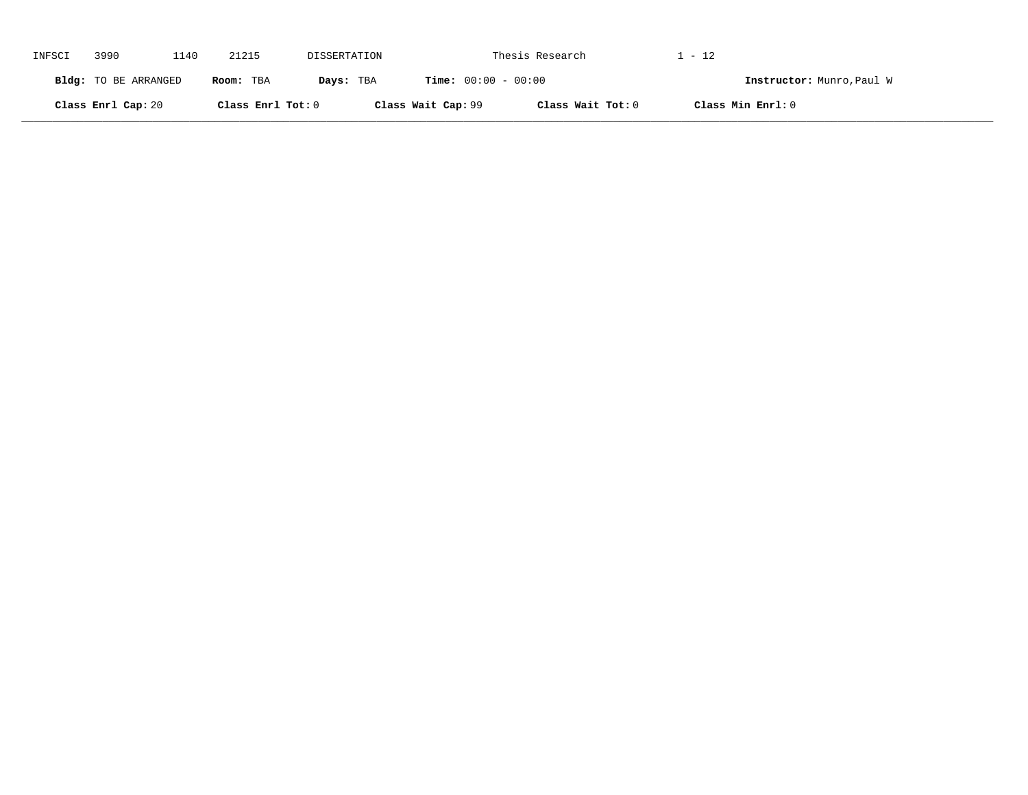| INFSCI | 3990                 | 1140 | 21215             | DISSERTATION |                              | Thesis Research   | . - 12                    |  |
|--------|----------------------|------|-------------------|--------------|------------------------------|-------------------|---------------------------|--|
|        | Bldg: TO BE ARRANGED |      | Room: TBA         | Days: TBA    | <b>Time:</b> $00:00 - 00:00$ |                   | Instructor: Munro, Paul W |  |
|        | Class Enrl Cap: 20   |      | Class Enrl Tot: 0 |              | Class Wait Cap: 99           | Class Wait Tot: 0 | Class Min Enrl: 0         |  |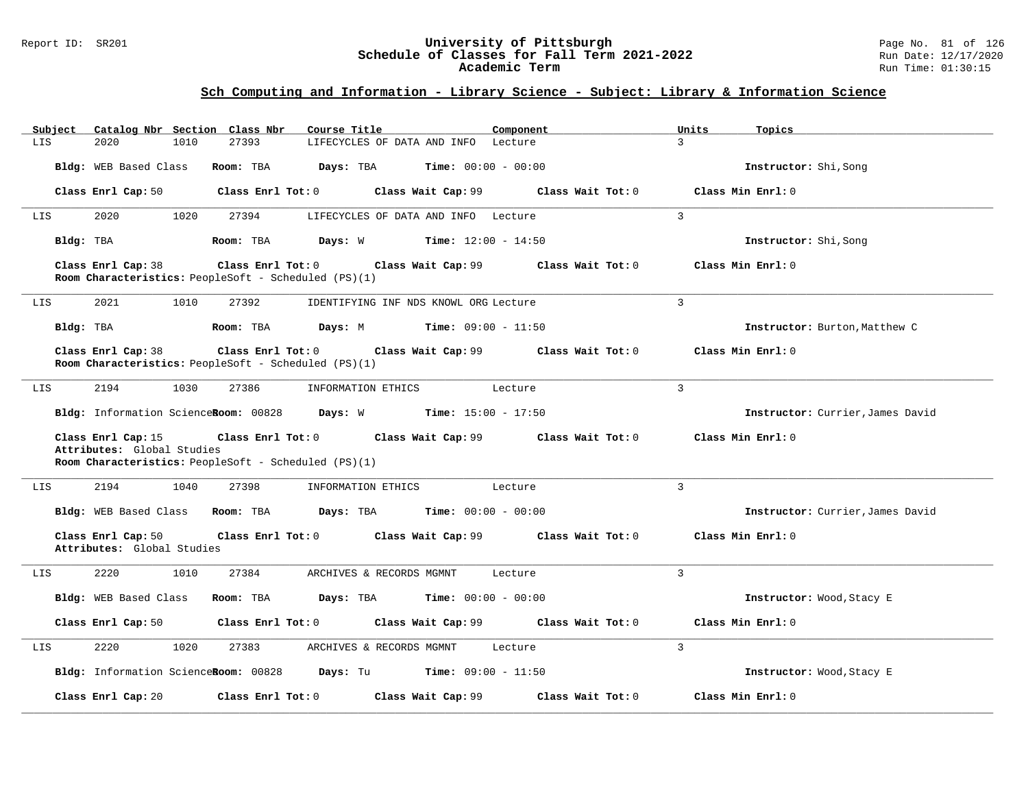### Report ID: SR201 **University of Pittsburgh** Page No. 81 of 126 **Schedule of Classes for Fall Term 2021-2022** Run Date: 12/17/2020 **Academic Term** Run Time: 01:30:15

| Catalog Nbr Section Class Nbr<br>Subject         | Course Title                                                                                                                        | Component                            | Units<br>Topics                  |  |  |  |  |  |  |
|--------------------------------------------------|-------------------------------------------------------------------------------------------------------------------------------------|--------------------------------------|----------------------------------|--|--|--|--|--|--|
| LIS<br>2020<br>1010                              | 27393<br>LIFECYCLES OF DATA AND INFO Lecture                                                                                        |                                      | $\overline{3}$                   |  |  |  |  |  |  |
| Bldg: WEB Based Class                            | Room: TBA<br><b>Days:</b> TBA <b>Time:</b> $00:00 - 00:00$                                                                          |                                      | Instructor: Shi, Song            |  |  |  |  |  |  |
|                                                  | Class Enrl Cap: 50 Class Enrl Tot: 0                                                                                                | Class Wait Cap: 99 Class Wait Tot: 0 | Class Min Enrl: 0                |  |  |  |  |  |  |
| 2020<br>1020<br>LIS                              | 27394<br>LIFECYCLES OF DATA AND INFO Lecture                                                                                        |                                      | $\mathbf{3}$                     |  |  |  |  |  |  |
| Bldg: TBA                                        | <b>Days:</b> W <b>Time:</b> $12:00 - 14:50$<br>Room: TBA                                                                            |                                      | Instructor: Shi, Song            |  |  |  |  |  |  |
| Class Enrl Cap: 38                               | Class Enrl Tot: 0 Class Wait Cap: 99 Class Wait Tot: 0<br>Class Min Enrl: 0<br>Room Characteristics: PeopleSoft - Scheduled (PS)(1) |                                      |                                  |  |  |  |  |  |  |
| 2021<br>1010<br>LIS                              | 27392<br>IDENTIFYING INF NDS KNOWL ORG Lecture                                                                                      | 3                                    |                                  |  |  |  |  |  |  |
| Bldg: TBA                                        | Room: TBA $\rule{1em}{0.15em}$ Days: M Time: $09:00 - 11:50$                                                                        |                                      | Instructor: Burton, Matthew C    |  |  |  |  |  |  |
| Class Enrl Cap: 38                               | Class Enrl Tot: 0 Class Wait Cap: 99 Class Wait Tot: 0<br>Room Characteristics: PeopleSoft - Scheduled (PS)(1)                      |                                      | Class Min Enrl: 0                |  |  |  |  |  |  |
| 2194<br>LIS<br>1030                              | 27386<br>INFORMATION ETHICS                                                                                                         | $\overline{3}$<br>Lecture            |                                  |  |  |  |  |  |  |
|                                                  | Bldg: Information ScienceRoom: 00828 Days: W Time: 15:00 - 17:50                                                                    |                                      | Instructor: Currier, James David |  |  |  |  |  |  |
| Class Enrl Cap: 15<br>Attributes: Global Studies | Class Enrl Tot: 0 Class Wait Cap: 99 Class Wait Tot: 0<br>Room Characteristics: PeopleSoft - Scheduled (PS)(1)                      |                                      | Class Min Enrl: 0                |  |  |  |  |  |  |
| 2194<br>1040<br>LIS                              | 27398<br>INFORMATION ETHICS                                                                                                         | Lecture                              | $\mathbf{3}$                     |  |  |  |  |  |  |
|                                                  | Bldg: WEB Based Class Room: TBA Days: TBA Time: 00:00 - 00:00                                                                       |                                      | Instructor: Currier, James David |  |  |  |  |  |  |
| Class Enrl Cap: 50<br>Attributes: Global Studies | Class Enrl Tot: 0 Class Wait Cap: 99 Class Wait Tot: 0                                                                              |                                      | Class Min Enrl: 0                |  |  |  |  |  |  |
| 2220<br>1010<br>LIS                              | 27384<br>ARCHIVES & RECORDS MGMNT                                                                                                   | $\mathcal{L}$<br>Lecture             |                                  |  |  |  |  |  |  |
| Bldg: WEB Based Class                            | Room: TBA $Days:$ TBA $Time: 00:00 - 00:00$                                                                                         |                                      | Instructor: Wood, Stacy E        |  |  |  |  |  |  |
| Class Enrl Cap: 50                               | Class Enrl Tot: 0 Class Wait Cap: 99 Class Wait Tot: 0                                                                              |                                      | Class Min Enrl: 0                |  |  |  |  |  |  |
| 2220<br>1020<br>LIS                              | 27383<br>ARCHIVES & RECORDS MGMNT                                                                                                   | $\overline{3}$<br>Lecture            |                                  |  |  |  |  |  |  |
|                                                  | Bldg: Information ScienceRoom: 00828 Days: Tu Time: 09:00 - 11:50                                                                   |                                      | Instructor: Wood, Stacy E        |  |  |  |  |  |  |
| Class Enrl Cap: 20                               | $Class$ $Enr1$ $Tot: 0$<br>Class Wait Cap: 99                                                                                       | Class Wait Tot: 0                    | Class Min Enrl: 0                |  |  |  |  |  |  |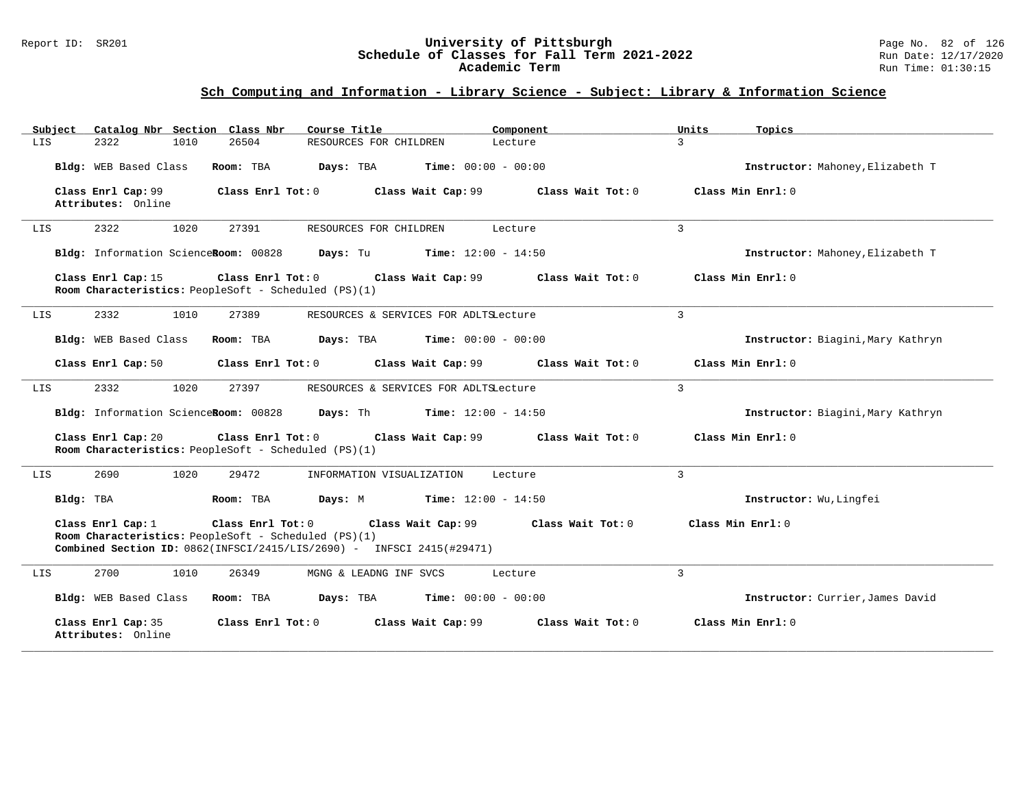### Report ID: SR201 **University of Pittsburgh** Page No. 82 of 126 **Schedule of Classes for Fall Term 2021-2022** Run Date: 12/17/2020 **Academic Term** Run Time: 01:30:15

| Catalog Nbr Section Class Nbr<br>Subject                                                                                                                        | Course Title                                                                                                                                                                                                         | Component<br>Units        | Topics                            |  |  |  |  |  |
|-----------------------------------------------------------------------------------------------------------------------------------------------------------------|----------------------------------------------------------------------------------------------------------------------------------------------------------------------------------------------------------------------|---------------------------|-----------------------------------|--|--|--|--|--|
| 26504<br>LIS<br>2322<br>1010                                                                                                                                    | RESOURCES FOR CHILDREN                                                                                                                                                                                               | $\overline{3}$<br>Lecture |                                   |  |  |  |  |  |
| Bldg: WEB Based Class<br>Room: TBA                                                                                                                              | <b>Time:</b> $00:00 - 00:00$<br>Days: TBA                                                                                                                                                                            |                           | Instructor: Mahoney, Elizabeth T  |  |  |  |  |  |
| Class Enrl Cap: 99<br>Attributes: Online                                                                                                                        | Class Enrl Tot: 0<br>Class Wait Cap: 99                                                                                                                                                                              | Class Wait Tot: 0         | Class Min $Err1:0$                |  |  |  |  |  |
| 2322<br>1020<br>27391<br>LIS                                                                                                                                    | RESOURCES FOR CHILDREN                                                                                                                                                                                               | $\mathbf{3}$<br>Lecture   |                                   |  |  |  |  |  |
| Bldg: Information ScienceRoom: 00828                                                                                                                            | <b>Time:</b> $12:00 - 14:50$<br>Days: Tu                                                                                                                                                                             |                           | Instructor: Mahoney, Elizabeth T  |  |  |  |  |  |
| Class Enrl Cap: 15<br>Class Enrl Tot: 0<br>Class Wait Cap: 99<br>Class Wait Tot: 0<br>Class Min Enrl: 0<br>Room Characteristics: PeopleSoft - Scheduled (PS)(1) |                                                                                                                                                                                                                      |                           |                                   |  |  |  |  |  |
| 2332<br>1010<br>27389<br>LIS                                                                                                                                    | RESOURCES & SERVICES FOR ADLTSLecture                                                                                                                                                                                | $\overline{3}$            |                                   |  |  |  |  |  |
| Bldg: WEB Based Class<br>Room: TBA                                                                                                                              | Days: TBA<br><b>Time:</b> $00:00 - 00:00$                                                                                                                                                                            |                           | Instructor: Biagini, Mary Kathryn |  |  |  |  |  |
| Class Enrl Cap: 50                                                                                                                                              | Class Enrl Tot: 0<br>Class Wait Cap: 99                                                                                                                                                                              | Class Wait Tot: 0         | Class Min Enrl: 0                 |  |  |  |  |  |
| 2332<br>1020<br>27397<br>LIS                                                                                                                                    | RESOURCES & SERVICES FOR ADLTSLecture                                                                                                                                                                                | $\overline{3}$            |                                   |  |  |  |  |  |
| Bldg: Information ScienceRoom: 00828                                                                                                                            | <b>Time:</b> $12:00 - 14:50$<br>Days: Th                                                                                                                                                                             |                           | Instructor: Biagini, Mary Kathryn |  |  |  |  |  |
| Class Enrl Cap: 20<br>Room Characteristics: PeopleSoft - Scheduled (PS)(1)                                                                                      | Class Enrl Tot: 0<br>Class Wait Cap: 99                                                                                                                                                                              | Class Wait Tot: 0         | Class Min Enrl: 0                 |  |  |  |  |  |
| 2690<br>1020<br>29472<br>LIS                                                                                                                                    | INFORMATION VISUALIZATION                                                                                                                                                                                            | $\overline{3}$<br>Lecture |                                   |  |  |  |  |  |
| Bldg: TBA<br>Room: TBA                                                                                                                                          | $Time: 12:00 - 14:50$<br>Days: M                                                                                                                                                                                     |                           | Instructor: Wu, Lingfei           |  |  |  |  |  |
| Class Enrl Cap: 1                                                                                                                                               | Class Enrl Tot: 0<br>Class Min Enrl: 0<br>Class Wait Cap: 99<br>Class Wait $Tot: 0$<br>Room Characteristics: PeopleSoft - Scheduled (PS)(1)<br>Combined Section ID: 0862(INFSCI/2415/LIS/2690) - INFSCI 2415(#29471) |                           |                                   |  |  |  |  |  |
| 2700<br>1010<br>26349<br>LIS                                                                                                                                    | MGNG & LEADNG INF SVCS                                                                                                                                                                                               | $\overline{3}$<br>Lecture |                                   |  |  |  |  |  |
| Bldg: WEB Based Class<br>Room: TBA                                                                                                                              | Days: TBA<br><b>Time:</b> $00:00 - 00:00$                                                                                                                                                                            |                           | Instructor: Currier, James David  |  |  |  |  |  |
| Class Enrl Cap: 35<br>Attributes: Online                                                                                                                        | Class Wait Cap: 99<br>Class Enrl Tot: 0                                                                                                                                                                              | Class Wait Tot: 0         | Class Min Enrl: 0                 |  |  |  |  |  |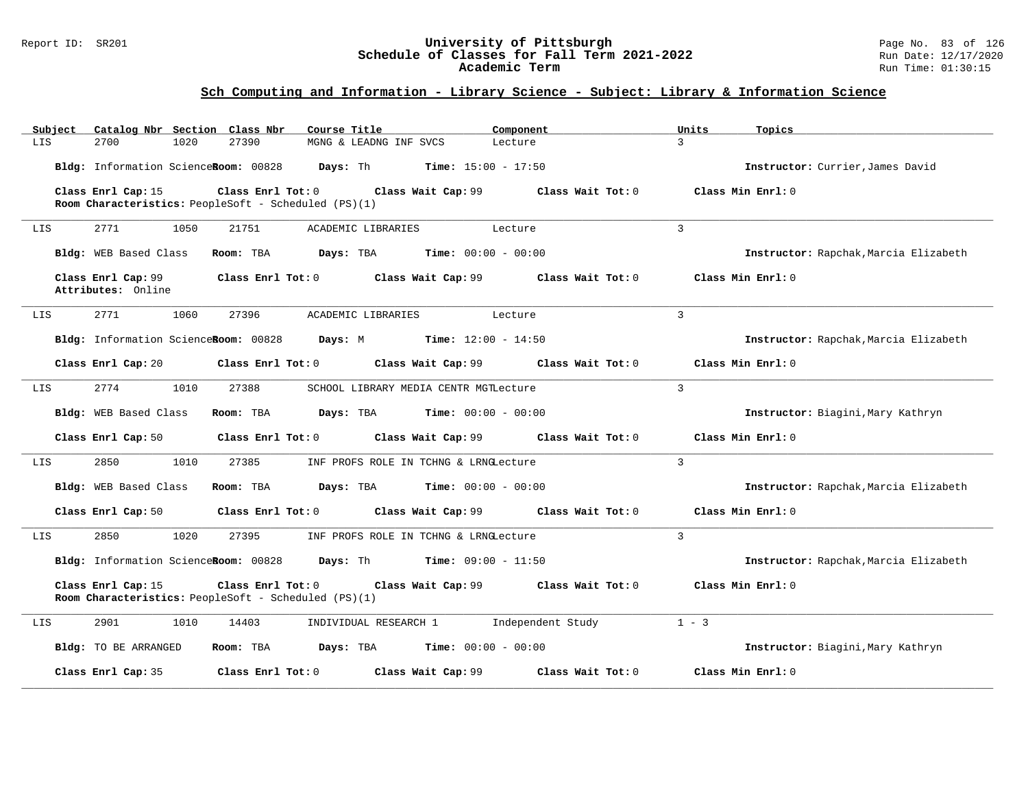### Report ID: SR201 **University of Pittsburgh** Page No. 83 of 126 **Schedule of Classes for Fall Term 2021-2022** Run Date: 12/17/2020 **Academic Term** Run Time: 01:30:15

| Subject | Catalog Nbr Section Class Nbr            |                                                                           | Course Title                                                      | Component         | Units<br>Topics                       |  |
|---------|------------------------------------------|---------------------------------------------------------------------------|-------------------------------------------------------------------|-------------------|---------------------------------------|--|
| LIS     | 2700<br>1020                             | 27390                                                                     | MGNG & LEADNG INF SVCS                                            | Lecture           | $\mathcal{L}$                         |  |
|         | Bldg: Information ScienceRoom: 00828     |                                                                           | <b>Days:</b> Th <b>Time:</b> $15:00 - 17:50$                      |                   | Instructor: Currier, James David      |  |
|         | Class Enrl Cap: 15                       | Class Enrl Tot: 0<br>Room Characteristics: PeopleSoft - Scheduled (PS)(1) | Class Wait Cap: 99                                                | Class Wait Tot: 0 | Class Min Enrl: 0                     |  |
| LIS     | 2771<br>1050                             | 21751                                                                     | ACADEMIC LIBRARIES                                                | Lecture           | $\overline{3}$                        |  |
|         | Bldg: WEB Based Class                    | Room: TBA                                                                 | $\texttt{Davis:}$ TBA $\texttt{Time:}$ 00:00 - 00:00              |                   | Instructor: Rapchak, Marcia Elizabeth |  |
|         | Class Enrl Cap: 99<br>Attributes: Online | $Class$ $Enr1$ $Tot: 0$                                                   | Class Wait Cap: 99                                                | Class Wait Tot: 0 | Class Min Enrl: 0                     |  |
| LIS     | 2771<br>1060                             | 27396                                                                     | ACADEMIC LIBRARIES                                                | Lecture           | $\overline{3}$                        |  |
|         |                                          |                                                                           | Bldg: Information ScienceRoom: 00828 Days: M Time: 12:00 - 14:50  |                   | Instructor: Rapchak, Marcia Elizabeth |  |
|         | Class Enrl Cap: 20                       |                                                                           | Class Enrl Tot: 0 Class Wait Cap: 99                              | Class Wait Tot: 0 | Class Min Enrl: 0                     |  |
| LIS     | 2774<br>1010                             | 27388                                                                     | SCHOOL LIBRARY MEDIA CENTR MGTLecture                             |                   | $\mathcal{E}$                         |  |
|         | Bldg: WEB Based Class                    | Room: TBA                                                                 | $\texttt{Days:}$ TBA $\texttt{Time:}$ 00:00 - 00:00               |                   | Instructor: Biagini, Mary Kathryn     |  |
|         | Class Enrl Cap: 50                       | Class Enrl Tot: 0                                                         | Class Wait Cap: 99                                                | Class Wait Tot: 0 | Class Min Enrl: 0                     |  |
| LIS     | 1010<br>2850                             | 27385                                                                     | INF PROFS ROLE IN TCHNG & LRNGLecture                             |                   | 3                                     |  |
|         | Bldg: WEB Based Class                    | Room: TBA                                                                 | <b>Days:</b> TBA <b>Time:</b> $00:00 - 00:00$                     |                   | Instructor: Rapchak, Marcia Elizabeth |  |
|         | Class Enrl Cap: 50                       | Class Enrl Tot: 0                                                         | Class Wait Cap: 99                                                | Class Wait Tot: 0 | Class Min Enrl: 0                     |  |
| LIS     | 2850<br>1020                             | 27395                                                                     | INF PROFS ROLE IN TCHNG & LRNGLecture                             |                   | $\overline{3}$                        |  |
|         |                                          |                                                                           | Bldg: Information ScienceRoom: 00828 Days: Th Time: 09:00 - 11:50 |                   | Instructor: Rapchak, Marcia Elizabeth |  |
|         | Class Enrl Cap: 15                       | Class Enrl Tot: 0<br>Room Characteristics: PeopleSoft - Scheduled (PS)(1) | Class Wait Cap: 99<br>Class Wait Tot: 0                           | Class Min Enrl: 0 |                                       |  |
| LIS     | 2901<br>1010                             | 14403                                                                     | INDIVIDUAL RESEARCH 1 1 Independent Study                         |                   | $1 - 3$                               |  |
|         | Bldg: TO BE ARRANGED                     | Room: TBA                                                                 | $\texttt{Days:}$ TBA $\texttt{Time:}$ 00:00 - 00:00               |                   | Instructor: Biagini, Mary Kathryn     |  |
|         | Class Enrl Cap: 35                       | Class Enrl Tot: 0                                                         | Class Wait Cap: 99                                                | Class Wait Tot: 0 | Class Min Enrl: 0                     |  |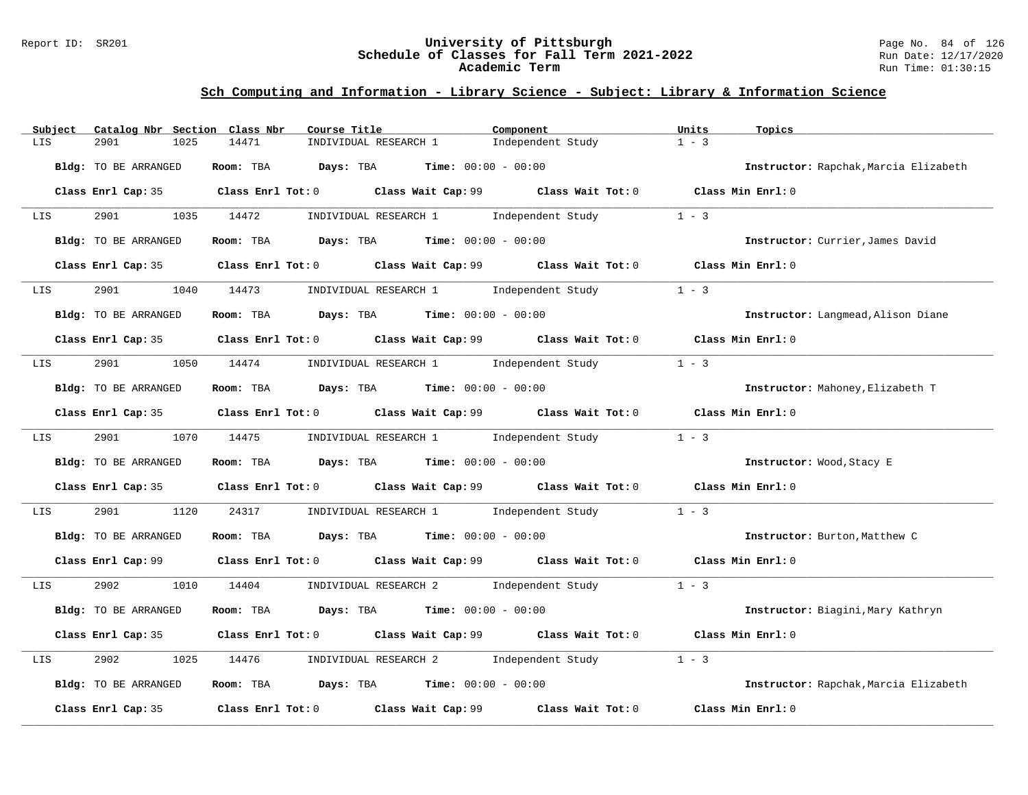### Report ID: SR201 **University of Pittsburgh** Page No. 84 of 126 **Schedule of Classes for Fall Term 2021-2022** Run Date: 12/17/2020 **Academic Term** Run Time: 01:30:15

| Subject                     | Catalog Nbr Section Class Nbr | Course Title                                                   | Component                                                                                   | Units<br>Topics               |                                       |
|-----------------------------|-------------------------------|----------------------------------------------------------------|---------------------------------------------------------------------------------------------|-------------------------------|---------------------------------------|
| 2901<br>LIS                 | 1025<br>14471                 | INDIVIDUAL RESEARCH 1                                          | Independent Study                                                                           | $1 - 3$                       |                                       |
| Bldg: TO BE ARRANGED        |                               | Room: TBA $Days:$ TBA $Time: 00:00 - 00:00$                    |                                                                                             |                               | Instructor: Rapchak, Marcia Elizabeth |
| Class Enrl Cap: 35          |                               |                                                                | Class Enrl Tot: 0 Class Wait Cap: 99 Class Wait Tot: 0 Class Min Enrl: 0                    |                               |                                       |
| LIS                         |                               |                                                                | 2901 1035 14472 INDIVIDUAL RESEARCH 1 Independent Study                                     | $1 - 3$                       |                                       |
| Bldg: TO BE ARRANGED        |                               | Room: TBA $Days:$ TBA $Time: 00:00 - 00:00$                    |                                                                                             |                               | Instructor: Currier, James David      |
|                             |                               |                                                                | Class Enrl Cap: 35 Class Enrl Tot: 0 Class Wait Cap: 99 Class Wait Tot: 0 Class Min Enrl: 0 |                               |                                       |
| 2901<br>LIS                 |                               | 1040 14473 INDIVIDUAL RESEARCH 1 Independent Study             |                                                                                             | $1 - 3$                       |                                       |
| <b>Bldg:</b> TO BE ARRANGED |                               | Room: TBA $\rule{1em}{0.15mm}$ Days: TBA Time: $00:00 - 00:00$ |                                                                                             |                               | Instructor: Langmead, Alison Diane    |
|                             |                               |                                                                | Class Enrl Cap: 35 Class Enrl Tot: 0 Class Wait Cap: 99 Class Wait Tot: 0 Class Min Enrl: 0 |                               |                                       |
| LIS                         |                               | 2901 1050 14474 INDIVIDUAL RESEARCH 1 Independent Study        |                                                                                             | $1 - 3$                       |                                       |
| Bldg: TO BE ARRANGED        |                               | Room: TBA $Days:$ TBA $Time: 00:00 - 00:00$                    |                                                                                             |                               | Instructor: Mahoney, Elizabeth T      |
|                             |                               |                                                                | Class Enrl Cap: 35 Class Enrl Tot: 0 Class Wait Cap: 99 Class Wait Tot: 0 Class Min Enrl: 0 |                               |                                       |
| LIS                         |                               |                                                                | 2901 1070 14475 INDIVIDUAL RESEARCH 1 Independent Study 1 - 3                               |                               |                                       |
| Bldg: TO BE ARRANGED        |                               | Room: TBA $Days:$ TBA $Time: 00:00 - 00:00$                    |                                                                                             | Instructor: Wood, Stacy E     |                                       |
|                             |                               |                                                                | Class Enrl Cap: 35 Class Enrl Tot: 0 Class Wait Cap: 99 Class Wait Tot: 0 Class Min Enrl: 0 |                               |                                       |
| 2901<br>LIS                 | 1120<br>24317                 |                                                                | INDIVIDUAL RESEARCH 1 1 Independent Study                                                   | $1 - 3$                       |                                       |
| Bldg: TO BE ARRANGED        |                               | Room: TBA $Days:$ TBA $Time: 00:00 - 00:00$                    |                                                                                             | Instructor: Burton, Matthew C |                                       |
|                             |                               |                                                                | Class Enrl Cap: 99 Class Enrl Tot: 0 Class Wait Cap: 99 Class Wait Tot: 0 Class Min Enrl: 0 |                               |                                       |
| LIS                         |                               |                                                                | 2902 1010 14404 INDIVIDUAL RESEARCH 2 Independent Study 1 - 3                               |                               |                                       |
| Bldg: TO BE ARRANGED        |                               | Room: TBA $Days:$ TBA $Time: 00:00 - 00:00$                    |                                                                                             |                               | Instructor: Biagini, Mary Kathryn     |
|                             |                               |                                                                | Class Enrl Cap: 35 Class Enrl Tot: 0 Class Wait Cap: 99 Class Wait Tot: 0 Class Min Enrl: 0 |                               |                                       |
| 2902<br>LIS                 | 1025                          |                                                                | 14476       INDIVIDUAL RESEARCH 2         Independent Study                                 | $1 - 3$                       |                                       |
| Bldg: TO BE ARRANGED        |                               | Room: TBA $Days:$ TBA $Time: 00:00 - 00:00$                    |                                                                                             |                               | Instructor: Rapchak, Marcia Elizabeth |
| Class Enrl Cap: 35          |                               |                                                                | Class Enrl Tot: 0 Class Wait Cap: 99 Class Wait Tot: 0                                      | Class Min Enrl: 0             |                                       |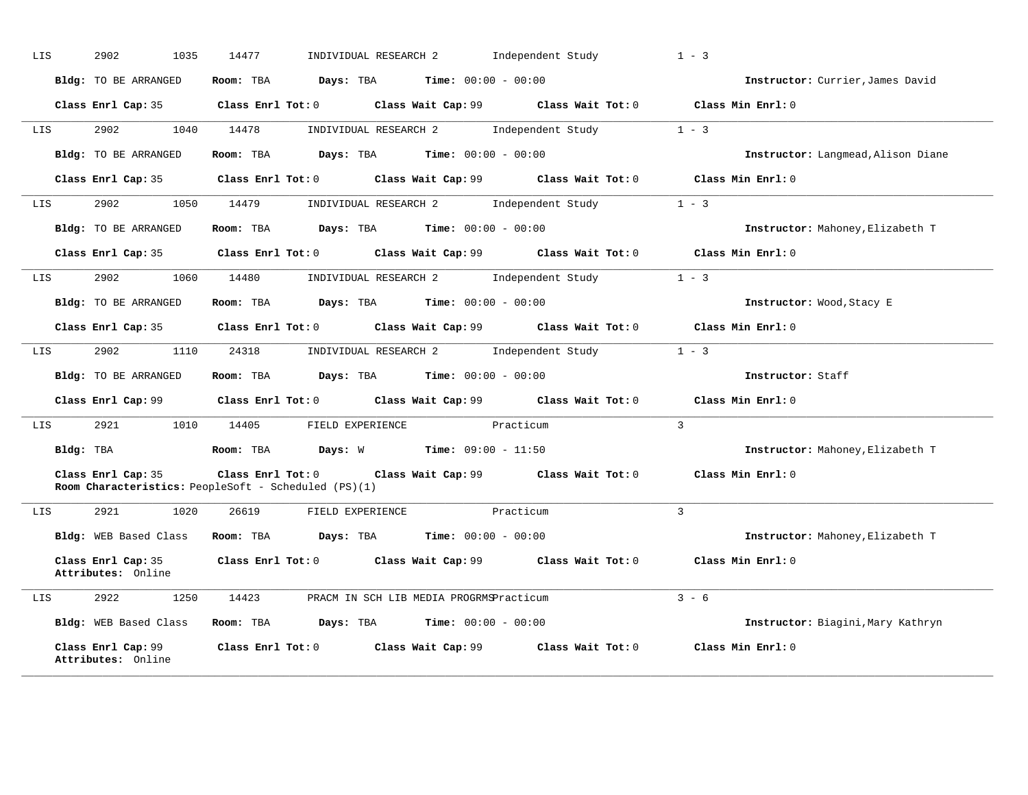| LIS                       | 2902<br>1035                             | 14477                                                                              | INDIVIDUAL RESEARCH 2 Independent Study                                                     | $1 - 3$                            |
|---------------------------|------------------------------------------|------------------------------------------------------------------------------------|---------------------------------------------------------------------------------------------|------------------------------------|
|                           | Bldg: TO BE ARRANGED                     | Room: TBA $Days:$ TBA $Time: 00:00 - 00:00$                                        |                                                                                             | Instructor: Currier, James David   |
|                           |                                          |                                                                                    | Class Enrl Cap: 35 Class Enrl Tot: 0 Class Wait Cap: 99 Class Wait Tot: 0 Class Min Enrl: 0 |                                    |
| LIS                       | 2902                                     | 1040 14478                                                                         | INDIVIDUAL RESEARCH 2 Independent Study 1 - 3                                               |                                    |
|                           | Bldg: TO BE ARRANGED                     | Room: TBA $Days: TBA$ Time: $00:00 - 00:00$                                        |                                                                                             | Instructor: Langmead, Alison Diane |
|                           |                                          |                                                                                    | Class Enrl Cap: 35 Class Enrl Tot: 0 Class Wait Cap: 99 Class Wait Tot: 0 Class Min Enrl: 0 |                                    |
| LIS                       | 2902<br>1050                             | 14479                                                                              | INDIVIDUAL RESEARCH 2 Independent Study                                                     | $1 - 3$                            |
|                           | Bldg: TO BE ARRANGED                     | Room: TBA $Days:$ TBA $Time: 00:00 - 00:00$                                        |                                                                                             | Instructor: Mahoney, Elizabeth T   |
|                           |                                          |                                                                                    | Class Enrl Cap: 35 Class Enrl Tot: 0 Class Wait Cap: 99 Class Wait Tot: 0 Class Min Enrl: 0 |                                    |
| LIS <b>Extending Stru</b> | 2902 200                                 | 1060 14480                                                                         | INDIVIDUAL RESEARCH 2 1 - 1 1 - 3                                                           |                                    |
|                           | Bldg: TO BE ARRANGED                     | Room: TBA $Days:$ TBA $Time:$ $00:00 - 00:00$                                      |                                                                                             | Instructor: Wood, Stacy E          |
|                           |                                          |                                                                                    | Class Enrl Cap: 35 Class Enrl Tot: 0 Class Wait Cap: 99 Class Wait Tot: 0 Class Min Enrl: 0 |                                    |
| LIS                       |                                          |                                                                                    | 2902 1110 24318 INDIVIDUAL RESEARCH 2 Independent Study                                     | $1 - 3$                            |
|                           | Bldg: TO BE ARRANGED                     | Room: TBA $\rule{1em}{0.15mm}$ Days: TBA Time: $00:00 - 00:00$                     |                                                                                             | Instructor: Staff                  |
|                           |                                          |                                                                                    | Class Enrl Cap: 99 Class Enrl Tot: 0 Class Wait Cap: 99 Class Wait Tot: 0 Class Min Enrl: 0 |                                    |
| LIS <b>Album</b>          | 2921                                     | 1010 14405 FIELD EXPERIENCE Practicum                                              |                                                                                             | $\mathcal{L}$                      |
|                           |                                          | Bldg: TBA                   Room: TBA         Days: W          Time: 09:00 - 11:50 |                                                                                             | Instructor: Mahoney, Elizabeth T   |
|                           | Class Enrl Cap: 35                       | Room Characteristics: PeopleSoft - Scheduled (PS)(1)                               | Class Enrl Tot: 0 Class Wait Cap: 99 Class Wait Tot: 0                                      | Class Min Enrl: 0                  |
| LIS                       | 2921 1020                                | 26619<br>FIELD EXPERIENCE                                                          | Practicum                                                                                   | $\mathcal{R}$                      |
|                           |                                          | Bldg: WEB Based Class Room: TBA Days: TBA Time: 00:00 - 00:00                      |                                                                                             | Instructor: Mahoney, Elizabeth T   |
|                           | Class Enrl Cap: 35<br>Attributes: Online |                                                                                    | Class Enrl Tot: $0$ Class Wait Cap: $99$ Class Wait Tot: $0$ Class Min Enrl: $0$            |                                    |
| LIS                       | 2922 1250                                | 14423<br>PRACM IN SCH LIB MEDIA PROGRMSPracticum                                   |                                                                                             | $3 - 6$                            |
|                           | Bldg: WEB Based Class                    | Room: TBA $Days: TBA$ Time: $00:00 - 00:00$                                        |                                                                                             | Instructor: Biagini, Mary Kathryn  |
|                           | Class Enrl Cap: 99<br>Attributes: Online |                                                                                    | Class Enrl Tot: $0$ Class Wait Cap: $99$ Class Wait Tot: $0$                                | Class Min Enrl: 0                  |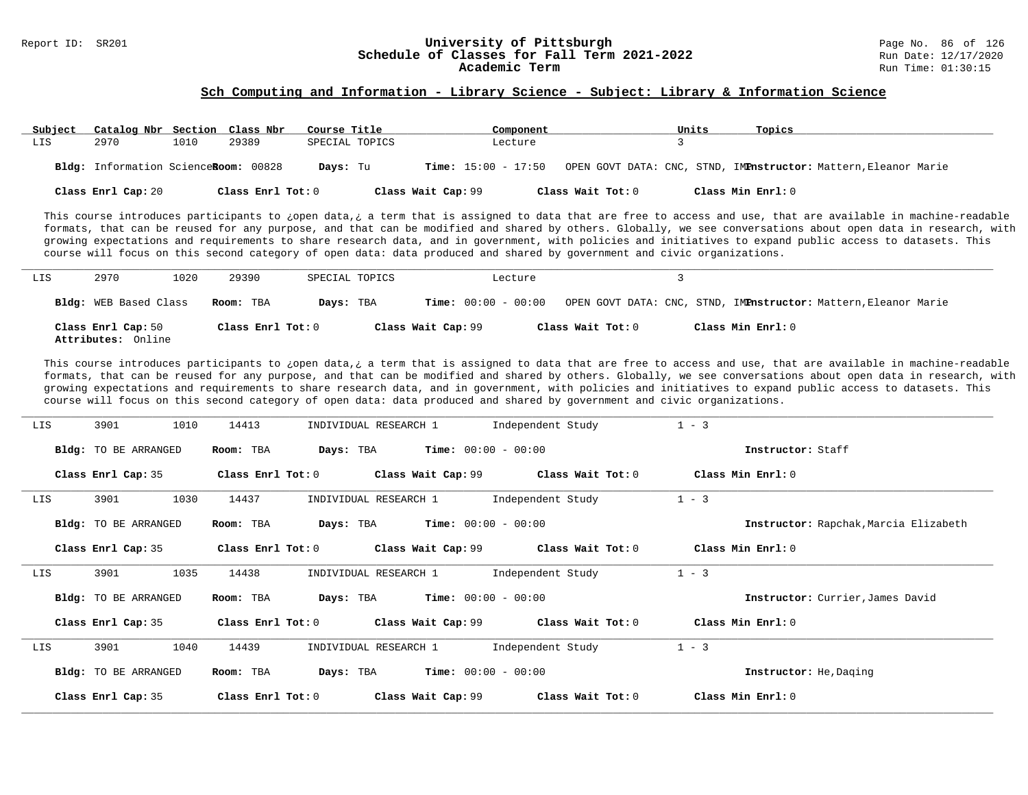# Report ID: SR201 **1988 Constrained Building Constrained Building Constrained Building Page No. 86 of 126 and D**<br>**Schedule of Classes for Fall Term 2021-2022** 1997 2001 1998: 12/17/2020 Schedule of Classes for Fall Term 2021-2022

#### **Sch Computing and Information - Library Science - Subject: Library & Information Science**

| Subject | Catalog Nbr Section Class Nbr        |      |                   | Course Title   |                              | Component |                   | Units | Topics                                                          |
|---------|--------------------------------------|------|-------------------|----------------|------------------------------|-----------|-------------------|-------|-----------------------------------------------------------------|
| LIS     | 2970                                 | 1010 | 29389             | SPECIAL TOPICS |                              | Lecture   |                   |       |                                                                 |
|         | Bldg: Information ScienceRoom: 00828 |      |                   | Days: Tu       | <b>Time:</b> $15:00 - 17:50$ |           |                   |       | OPEN GOVT DATA: CNC, STND, IMPnstructor: Mattern, Eleanor Marie |
|         | Class Enrl Cap: 20                   |      | Class Enrl Tot: 0 |                | Class Wait Cap: 99           |           | Class Wait Tot: 0 |       | Class Min Enrl: 0                                               |

This course introduces participants to ¿open data,¿ a term that is assigned to data that are free to access and use, that are available in machine-readable formats, that can be reused for any purpose, and that can be modified and shared by others. Globally, we see conversations about open data in research, with growing expectations and requirements to share research data, and in government, with policies and initiatives to expand public access to datasets. This course will focus on this second category of open data: data produced and shared by government and civic organizations.

| LIS | 2970                                     | 1020 | 29390             | SPECIAL TOPICS | Lecture                      |                   |                                                                 |
|-----|------------------------------------------|------|-------------------|----------------|------------------------------|-------------------|-----------------------------------------------------------------|
|     | <b>Bldg:</b> WEB Based Class             |      | Room: TBA         | Days: TBA      | <b>Time:</b> $00:00 - 00:00$ |                   | OPEN GOVT DATA: CNC, STND, IMPnstructor: Mattern, Eleanor Marie |
|     | Class Enrl Cap: 50<br>Attributes: Online |      | Class Enrl Tot: 0 |                | Class Wait Cap: 99           | Class Wait Tot: 0 | Class Min Enrl: 0                                               |

This course introduces participants to ¿open data,¿ a term that is assigned to data that are free to access and use, that are available in machine-readable formats, that can be reused for any purpose, and that can be modified and shared by others. Globally, we see conversations about open data in research, with growing expectations and requirements to share research data, and in government, with policies and initiatives to expand public access to datasets. This course will focus on this second category of open data: data produced and shared by government and civic organizations.

| LIS | 1010<br>3901                | 14413             | INDIVIDUAL RESEARCH 1                     | Independent Study | $1 - 3$                               |
|-----|-----------------------------|-------------------|-------------------------------------------|-------------------|---------------------------------------|
|     | Bldg: TO BE ARRANGED        | Room: TBA         | <b>Time:</b> $00:00 - 00:00$<br>Days: TBA |                   | Instructor: Staff                     |
|     | Class Enrl Cap: 35          | Class Enrl Tot: 0 | Class Wait Cap: 99                        | Class Wait Tot: 0 | Class Min Enrl: 0                     |
| LIS | 1030<br>3901                | 14437             | INDIVIDUAL RESEARCH 1                     | Independent Study | $1 - 3$                               |
|     | Bldg: TO BE ARRANGED        | Room: TBA         | <b>Time:</b> $00:00 - 00:00$<br>Days: TBA |                   | Instructor: Rapchak, Marcia Elizabeth |
|     | Class Enrl Cap: 35          | Class Enrl Tot: 0 | Class Wait Cap: 99                        | Class Wait Tot: 0 | Class Min Enrl: 0                     |
| LIS | 1035<br>3901                | 14438             | INDIVIDUAL RESEARCH 1                     | Independent Study | $1 - 3$                               |
|     | Bldg: TO BE ARRANGED        | Room: TBA         | <b>Time:</b> $00:00 - 00:00$<br>Days: TBA |                   | Instructor: Currier, James David      |
|     | Class Enrl Cap: 35          | Class Enrl Tot: 0 | Class Wait Cap: 99                        | Class Wait Tot: 0 | Class Min Enrl: 0                     |
| LIS | 3901<br>1040                | 14439             | INDIVIDUAL RESEARCH 1                     | Independent Study | $1 - 3$                               |
|     | <b>Bldg:</b> TO BE ARRANGED | Room: TBA         | <b>Time:</b> $00:00 - 00:00$<br>Days: TBA |                   | <b>Instructor:</b> He, Daging         |
|     | Class Enrl Cap: 35          | Class Enrl Tot: 0 | Class Wait Cap: 99                        | Class Wait Tot: 0 | Class Min Enrl: 0                     |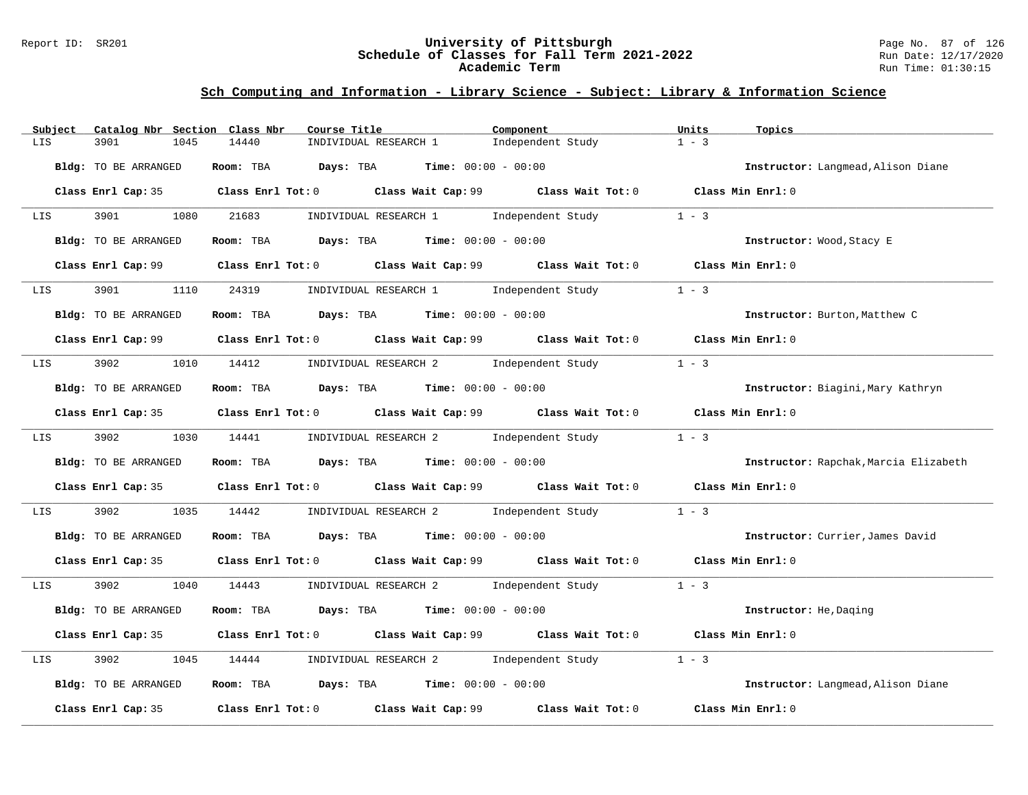### Report ID: SR201 **University of Pittsburgh** Page No. 87 of 126 **Schedule of Classes for Fall Term 2021-2022** Run Date: 12/17/2020 **Academic Term** Run Time: 01:30:15

| Subject<br>Catalog Nbr Section Class Nbr | Course Title                                                                                | Component         | Units<br>Topics                       |
|------------------------------------------|---------------------------------------------------------------------------------------------|-------------------|---------------------------------------|
| LIS<br>3901<br>1045                      | 14440<br>INDIVIDUAL RESEARCH 1                                                              | Independent Study | $1 - 3$                               |
| Bldg: TO BE ARRANGED                     | Room: TBA $Days:$ TBA $Time: 00:00 - 00:00$                                                 |                   | Instructor: Langmead, Alison Diane    |
|                                          | Class Enrl Cap: 35 Class Enrl Tot: 0 Class Wait Cap: 99 Class Wait Tot: 0 Class Min Enrl: 0 |                   |                                       |
| LIS                                      | 3901 1080 21683 INDIVIDUAL RESEARCH 1 Independent Study                                     |                   | $1 - 3$                               |
| Bldg: TO BE ARRANGED                     | Room: TBA $Days:$ TBA $Time: 00:00 - 00:00$                                                 |                   | Instructor: Wood, Stacy E             |
|                                          | Class Enrl Cap: 99 Class Enrl Tot: 0 Class Wait Cap: 99 Class Wait Tot: 0 Class Min Enrl: 0 |                   |                                       |
| LIS 3901                                 | 1110 24319 INDIVIDUAL RESEARCH 1 Independent Study                                          |                   | $1 - 3$                               |
| Bldg: TO BE ARRANGED                     | Room: TBA $Days:$ TBA $Time: 00:00 - 00:00$                                                 |                   | Instructor: Burton, Matthew C         |
|                                          | Class Enrl Cap: 99 Class Enrl Tot: 0 Class Wait Cap: 99 Class Wait Tot: 0 Class Min Enrl: 0 |                   |                                       |
|                                          | LIS 3902 1010 14412 INDIVIDUAL RESEARCH 2 Independent Study                                 |                   | $1 - 3$                               |
| Bldg: TO BE ARRANGED                     | Room: TBA $Days:$ TBA Time: $00:00 - 00:00$                                                 |                   | Instructor: Biagini, Mary Kathryn     |
|                                          | Class Enrl Cap: 35 Class Enrl Tot: 0 Class Wait Cap: 99 Class Wait Tot: 0 Class Min Enrl: 0 |                   |                                       |
|                                          | LIS 3902 1030 14441 INDIVIDUAL RESEARCH 2 Independent Study 1 - 3                           |                   |                                       |
| Bldg: TO BE ARRANGED                     | Room: TBA $Days:$ TBA $Time: 00:00 - 00:00$                                                 |                   | Instructor: Rapchak, Marcia Elizabeth |
|                                          | Class Enrl Cap: 35 Class Enrl Tot: 0 Class Wait Cap: 99 Class Wait Tot: 0 Class Min Enrl: 0 |                   |                                       |
| 3902<br>LIS                              | 1035 14442 INDIVIDUAL RESEARCH 2 Independent Study                                          |                   | $1 - 3$                               |
| Bldg: TO BE ARRANGED                     | Room: TBA $\rule{1em}{0.15mm}$ Days: TBA $\rule{1.5mm}{0.15mm}$ Time: $00:00 - 00:00$       |                   | Instructor: Currier, James David      |
|                                          | Class Enrl Cap: 35 Class Enrl Tot: 0 Class Wait Cap: 99 Class Wait Tot: 0 Class Min Enrl: 0 |                   |                                       |
| LIS <b>LETER</b>                         | 3902 1040 14443 INDIVIDUAL RESEARCH 2 Independent Study 1 - 3                               |                   |                                       |
| Bldg: TO BE ARRANGED                     | Room: TBA $Days:$ TBA $Time: 00:00 - 00:00$                                                 |                   | Instructor: He, Daging                |
|                                          | Class Enrl Cap: 35 Class Enrl Tot: 0 Class Wait Cap: 99 Class Wait Tot: 0 Class Min Enrl: 0 |                   |                                       |
| 3902<br>1045<br>LIS                      | 14444 INDIVIDUAL RESEARCH 2 Independent Study                                               |                   | $1 - 3$                               |
| Bldg: TO BE ARRANGED                     | Room: TBA $Days:$ TBA $Time: 00:00 - 00:00$                                                 |                   | Instructor: Langmead, Alison Diane    |
| Class Enrl Cap: 35                       | Class Enrl Tot: 0 Class Wait Cap: 99 Class Wait Tot: 0                                      |                   | Class Min Enrl: 0                     |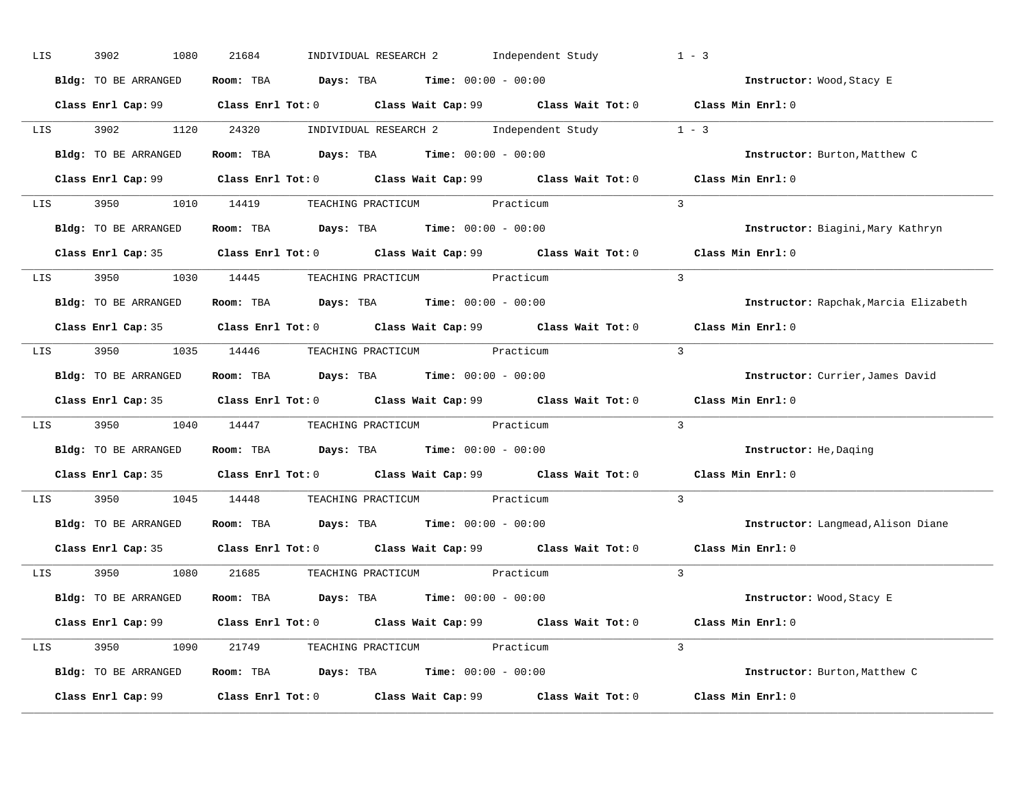| LIS | 3902<br>1080         | INDIVIDUAL RESEARCH 2 Independent Study<br>21684                                                     | $1 - 3$                               |
|-----|----------------------|------------------------------------------------------------------------------------------------------|---------------------------------------|
|     | Bldg: TO BE ARRANGED | Room: TBA $Days:$ TBA $Time: 00:00 - 00:00$                                                          | Instructor: Wood, Stacy E             |
|     |                      | Class Enrl Cap: 99 Class Enrl Tot: 0 Class Wait Cap: 99 Class Wait Tot: 0 Class Min Enrl: 0          |                                       |
|     |                      | LIS 3902 1120 24320 INDIVIDUAL RESEARCH 2 Independent Study 1 - 3                                    |                                       |
|     | Bldg: TO BE ARRANGED | Room: TBA $\rule{1em}{0.15mm}$ Days: TBA Time: $00:00 - 00:00$                                       | Instructor: Burton, Matthew C         |
|     |                      | Class Enrl Cap: 99 Class Enrl Tot: 0 Class Wait Cap: 99 Class Wait Tot: 0                            | Class Min Enrl: 0                     |
|     |                      | LIS 3950 1010 14419 TEACHING PRACTICUM Practicum                                                     | $\overline{3}$                        |
|     |                      | Bldg: TO BE ARRANGED Room: TBA Days: TBA Time: 00:00 - 00:00                                         | Instructor: Biagini, Mary Kathryn     |
|     |                      | Class Enrl Cap: 35 Class Enrl Tot: 0 Class Wait Cap: 99 Class Wait Tot: 0 Class Min Enrl: 0          |                                       |
|     |                      | LIS 3950 1030 14445 TEACHING PRACTICUM Practicum                                                     | $\mathbf{3}$                          |
|     | Bldg: TO BE ARRANGED | Room: TBA $\rule{1em}{0.15mm}$ Days: TBA Time: $00:00 - 00:00$                                       | Instructor: Rapchak, Marcia Elizabeth |
|     |                      | Class Enrl Cap: 35 Class Enrl Tot: 0 Class Wait Cap: 99 Class Wait Tot: 0                            | Class Min Enrl: 0                     |
|     |                      | LIS 3950 1035 14446 TEACHING PRACTICUM Practicum                                                     | $\overline{3}$                        |
|     | Bldg: TO BE ARRANGED | Room: TBA $\rule{1em}{0.15mm}$ Days: TBA Time: $00:00 - 00:00$                                       | Instructor: Currier, James David      |
|     |                      | Class Enrl Cap: 35 Class Enrl Tot: 0 Class Wait Cap: 99 Class Wait Tot: 0                            | Class Min Enrl: 0                     |
| LIS |                      | 3950 1040 14447 TEACHING PRACTICUM Practicum                                                         | $\overline{3}$                        |
|     | Bldg: TO BE ARRANGED | Room: TBA $Days:$ TBA Time: $00:00 - 00:00$                                                          | Instructor: He, Daging                |
|     |                      | Class Enrl Cap: 35 Class Enrl Tot: 0 Class Wait Cap: 99 Class Wait Tot: 0 Class Min Enrl: 0          |                                       |
| LIS |                      | 3950 1045 14448 TEACHING PRACTICUM Practicum                                                         | $\overline{3}$                        |
|     | Bldg: TO BE ARRANGED | Room: TBA $\rule{1em}{0.15mm}$ Days: TBA $\rule{1.15mm}]{0.15mm}$ Time: $0.000 - 0.0000$             | Instructor: Langmead, Alison Diane    |
|     |                      | Class Enrl Cap: 35 Class Enrl Tot: 0 Class Wait Cap: 99 Class Wait Tot: 0                            | Class Min Enrl: 0                     |
|     |                      | LIS 3950 1080 21685 TEACHING PRACTICUM Practicum                                                     | $\mathcal{R}$                         |
|     | Bldg: TO BE ARRANGED | Room: TBA $\rule{1em}{0.15mm}$ Days: TBA Time: $00:00 - 00:00$                                       | Instructor: Wood, Stacy E             |
|     |                      | Class Enrl Cap: 99 $\qquad$ Class Enrl Tot: 0 $\qquad$ Class Wait Cap: 99 $\qquad$ Class Wait Tot: 0 | Class Min Enrl: 0                     |
|     |                      | LIS 3950 1090 21749 TEACHING PRACTICUM Practicum                                                     | $\mathcal{R}$                         |
|     | Bldg: TO BE ARRANGED | Room: TBA $Days:$ TBA $Time: 00:00 - 00:00$                                                          | Instructor: Burton, Matthew C         |
|     |                      |                                                                                                      | Class Min Enrl: 0                     |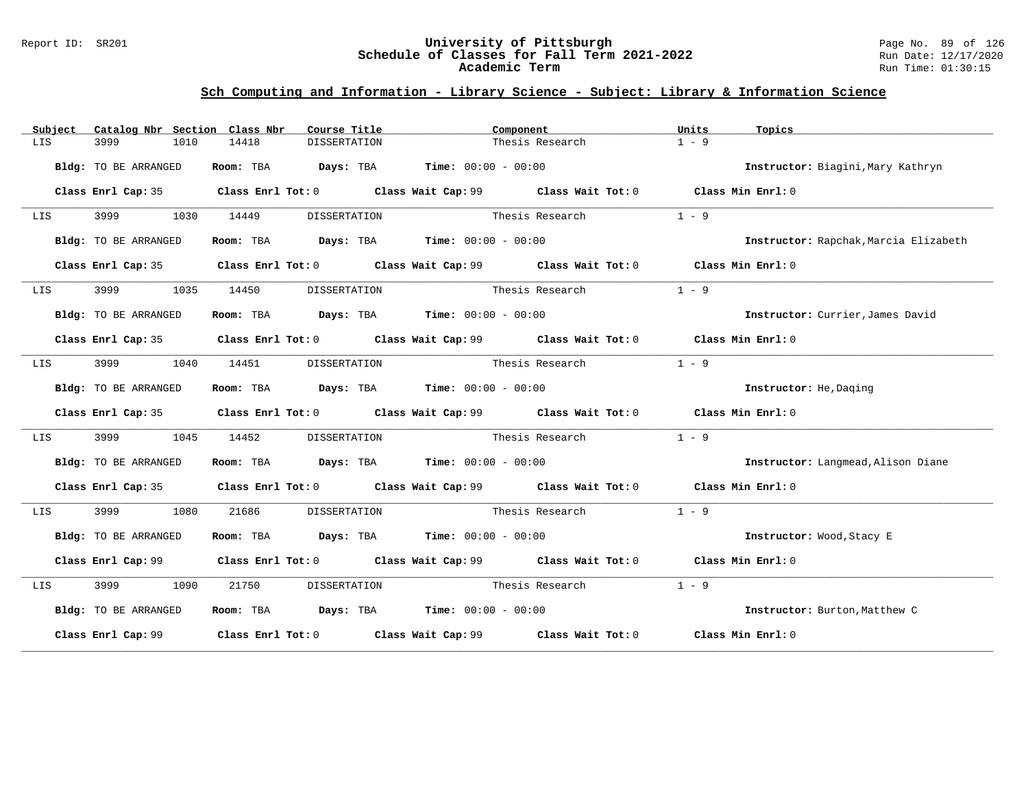### Report ID: SR201 **University of Pittsburgh** Page No. 89 of 126 **Schedule of Classes for Fall Term 2021-2022** Run Date: 12/17/2020 **Academic Term** Run Time: 01:30:15

| Subject | Catalog Nbr Section Class Nbr | Course Title                 |                                                                                             | Component       |                        |                                       |
|---------|-------------------------------|------------------------------|---------------------------------------------------------------------------------------------|-----------------|------------------------|---------------------------------------|
| LIS     | 3999<br>1010                  | 14418<br><b>DISSERTATION</b> |                                                                                             | Thesis Research | $1 - 9$                |                                       |
|         | Bldg: TO BE ARRANGED          |                              | Room: TBA Days: TBA Time: $00:00 - 00:00$                                                   |                 |                        | Instructor: Biagini, Mary Kathryn     |
|         | Class Enrl Cap: 35            |                              | Class Enrl Tot: 0 Class Wait Cap: 99 Class Wait Tot: 0 Class Min Enrl: 0                    |                 |                        |                                       |
| LIS     | 3999 1030                     | 14449<br>DISSERTATION        |                                                                                             | Thesis Research | $1 - 9$                |                                       |
|         | Bldg: TO BE ARRANGED          |                              | Room: TBA $Days:$ TBA $Time: 00:00 - 00:00$                                                 |                 |                        | Instructor: Rapchak, Marcia Elizabeth |
|         | Class Enrl Cap: 35            |                              | Class Enrl Tot: $0$ Class Wait Cap: $99$ Class Wait Tot: $0$ Class Min Enrl: $0$            |                 |                        |                                       |
| LIS     | 1035                          | 14450<br>DISSERTATION        | Thesis Research                                                                             |                 | $1 - 9$                |                                       |
|         | Bldg: TO BE ARRANGED          |                              | Room: TBA $Days:$ TBA $Time: 00:00 - 00:00$                                                 |                 |                        | Instructor: Currier, James David      |
|         | Class Enrl Cap: 35            |                              | Class Enrl Tot: $0$ Class Wait Cap: $99$ Class Wait Tot: $0$ Class Min Enrl: $0$            |                 |                        |                                       |
| LIS     | 3999<br>1040                  | 14451                        | DISSERTATION Thesis Research                                                                |                 | $1 - 9$                |                                       |
|         | Bldg: TO BE ARRANGED          |                              | Room: TBA $Days:$ TBA $Time: 00:00 - 00:00$                                                 |                 | Instructor: He, Daging |                                       |
|         | Class Enrl Cap: 35            |                              | Class Enrl Tot: 0 Class Wait Cap: 99 Class Wait Tot: 0 Class Min Enrl: 0                    |                 |                        |                                       |
| LIS     | 3999<br>1045                  | 14452                        | DISSERTATION Thesis Research                                                                |                 | $1 - 9$                |                                       |
|         | Bldg: TO BE ARRANGED          |                              | Room: TBA $\rule{1em}{0.15mm}$ Days: TBA $\rule{1.5mm}{0.15mm}$ Time: $00:00 - 00:00$       |                 |                        | Instructor: Langmead, Alison Diane    |
|         | Class Enrl Cap: 35            |                              | Class Enrl Tot: 0 Class Wait Cap: 99 Class Wait Tot: 0 Class Min Enrl: 0                    |                 |                        |                                       |
| LIS     | 3999<br>1080                  | 21686<br>DISSERTATION        |                                                                                             | Thesis Research | $1 - 9$                |                                       |
|         | Bldg: TO BE ARRANGED          |                              | Room: TBA $Days:$ TBA $Time: 00:00 - 00:00$                                                 |                 |                        | Instructor: Wood, Stacy E             |
|         | Class Enrl Cap: 99            |                              | Class Enrl Tot: 0 Class Wait Cap: 99 Class Wait Tot: 0 Class Min Enrl: 0                    |                 |                        |                                       |
| LIS     | 3999 700<br>1090              | 21750<br>DISSERTATION        | Thesis Research                                                                             |                 | $1 - 9$                |                                       |
|         | Bldg: TO BE ARRANGED          |                              | Room: TBA $Days:$ TBA $Time: 00:00 - 00:00$                                                 |                 |                        | Instructor: Burton, Matthew C         |
|         |                               |                              | Class Enrl Cap: 99 Class Enrl Tot: 0 Class Wait Cap: 99 Class Wait Tot: 0 Class Min Enrl: 0 |                 |                        |                                       |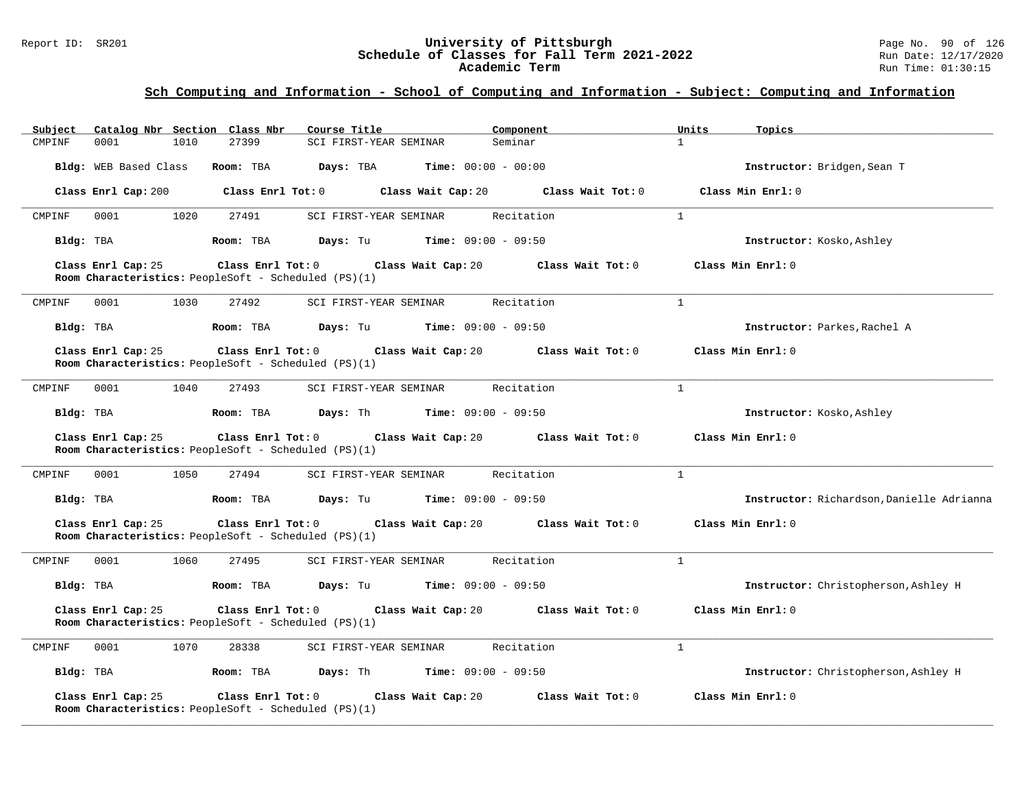### Report ID: SR201 **University of Pittsburgh** Page No. 90 of 126 **Schedule of Classes for Fall Term 2021-2022** Run Date: 12/17/2020 **Academic Term** Run Time: 01:30:15

## **Sch Computing and Information - School of Computing and Information - Subject: Computing and Information**

| Catalog Nbr Section Class Nbr<br>Subject | Course Title                                                                                          | Component                            | Units<br>Topics                           |
|------------------------------------------|-------------------------------------------------------------------------------------------------------|--------------------------------------|-------------------------------------------|
| 1010<br>CMPINF<br>0001                   | 27399<br>SCI FIRST-YEAR SEMINAR                                                                       | Seminar                              | $\mathbf{1}$                              |
| Bldg: WEB Based Class                    | Room: TBA<br>Days: TBA<br><b>Time:</b> $00:00 - 00:00$                                                |                                      | Instructor: Bridgen, Sean T               |
| Class Enrl Cap: 200                      | Class Enrl Tot: 0                                                                                     | Class Wait Cap: 20 Class Wait Tot: 0 | Class Min Enrl: 0                         |
| 0001<br>1020<br>CMPINF                   | 27491<br>SCI FIRST-YEAR SEMINAR                                                                       | Recitation                           | $\mathbf{1}$                              |
| Bldg: TBA                                | <b>Days:</b> Tu <b>Time:</b> $09:00 - 09:50$<br>Room: TBA                                             |                                      | Instructor: Kosko, Ashley                 |
| Class Enrl Cap: 25                       | $Class$ $Enr1$ $Tot: 0$<br>Class Wait Cap: 20<br>Room Characteristics: PeopleSoft - Scheduled (PS)(1) | Class Wait Tot: 0                    | Class Min Enrl: 0                         |
| 0001<br>1030<br>CMPINF                   | 27492<br>SCI FIRST-YEAR SEMINAR                                                                       | Recitation                           | $\mathbf{1}$                              |
| Bldg: TBA                                | Room: TBA<br>Days: Tu<br><b>Time:</b> $09:00 - 09:50$                                                 |                                      | Instructor: Parkes, Rachel A              |
| Class Enrl Cap: 25                       | Class Enrl Tot: 0 Class Wait Cap: 20<br>Room Characteristics: PeopleSoft - Scheduled (PS)(1)          | Class Wait Tot: 0                    | Class Min Enrl: 0                         |
| 1040<br>CMPINF<br>0001                   | 27493<br>SCI FIRST-YEAR SEMINAR                                                                       | $\mathbf{1}$<br>Recitation           |                                           |
| Bldg: TBA                                | Room: TBA<br><b>Days:</b> Th $\frac{1}{2}$ <b>Time:</b> $09:00 - 09:50$                               |                                      | Instructor: Kosko, Ashley                 |
| Class Enrl Cap: 25                       | Class Enrl Tot: 0 Class Wait Cap: 20<br>Room Characteristics: PeopleSoft - Scheduled (PS)(1)          | Class Wait Tot: 0                    | Class Min Enrl: 0                         |
| 1050<br>CMPINF<br>0001                   | 27494<br>SCI FIRST-YEAR SEMINAR                                                                       | $\mathbf{1}$<br>Recitation           |                                           |
| Bldg: TBA                                | Room: TBA<br>Days: Tu<br><b>Time:</b> $09:00 - 09:50$                                                 |                                      | Instructor: Richardson, Danielle Adrianna |
| Class Enrl Cap: 25                       | Class Enrl Tot: 0 Class Wait Cap: 20<br>Room Characteristics: PeopleSoft - Scheduled (PS)(1)          | Class Wait Tot: 0                    | Class Min Enrl: 0                         |
| 0001<br>1060<br>CMPINF                   | SCI FIRST-YEAR SEMINAR<br>27495                                                                       | Recitation                           | $\mathbf{1}$                              |
| Bldg: TBA                                | <b>Time:</b> $09:00 - 09:50$<br>Room: TBA<br>Days: Tu                                                 |                                      | Instructor: Christopherson, Ashley H      |
| Class Enrl Cap: 25                       | Class Enrl Tot: 0<br>Class Wait Cap: 20<br>Room Characteristics: PeopleSoft - Scheduled (PS)(1)       | Class Wait Tot: 0                    | Class Min Enrl: 0                         |
| 0001<br>1070<br>CMPINF                   | 28338<br>SCI FIRST-YEAR SEMINAR                                                                       | Recitation                           | $\mathbf{1}$                              |
| Bldg: TBA                                | <b>Days:</b> Th <b>Time:</b> $09:00 - 09:50$<br>Room: TBA                                             |                                      | Instructor: Christopherson, Ashley H      |
| Class Enrl Cap: 25                       | Class Enrl Tot: $0$<br>Class Wait Cap: 20<br>Room Characteristics: PeopleSoft - Scheduled (PS)(1)     | Class Wait Tot: 0                    | Class Min Enrl: 0                         |

**\_\_\_\_\_\_\_\_\_\_\_\_\_\_\_\_\_\_\_\_\_\_\_\_\_\_\_\_\_\_\_\_\_\_\_\_\_\_\_\_\_\_\_\_\_\_\_\_\_\_\_\_\_\_\_\_\_\_\_\_\_\_\_\_\_\_\_\_\_\_\_\_\_\_\_\_\_\_\_\_\_\_\_\_\_\_\_\_\_\_\_\_\_\_\_\_\_\_\_\_\_\_\_\_\_\_\_\_\_\_\_\_\_\_\_\_\_\_\_\_\_\_\_\_\_\_\_\_\_\_\_\_\_\_\_\_\_\_\_\_\_\_\_\_\_\_\_\_\_\_\_\_\_\_\_\_**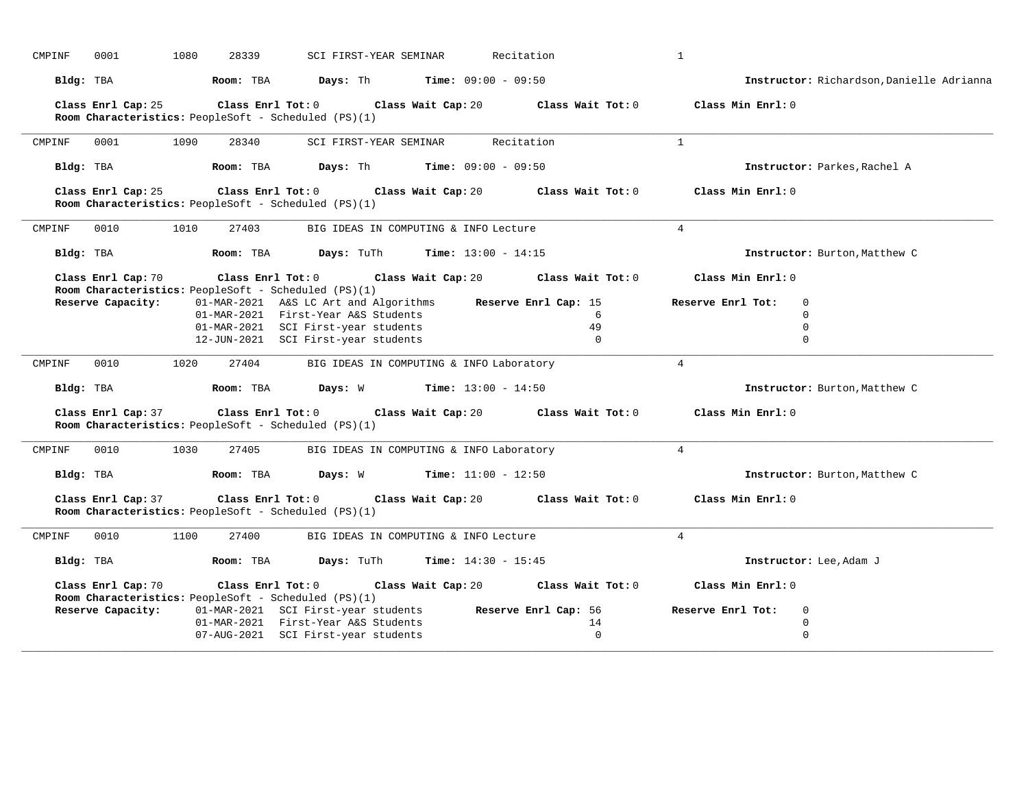| CMPINF | 0001               | 1080              | 28339               | SCI FIRST-YEAR SEMINAR                                                                                                                                     |                                          | Recitation                   |                                                | $\mathbf{1}$      |                                                       |
|--------|--------------------|-------------------|---------------------|------------------------------------------------------------------------------------------------------------------------------------------------------------|------------------------------------------|------------------------------|------------------------------------------------|-------------------|-------------------------------------------------------|
|        | Bldg: TBA          |                   | Room: TBA           | <b>Days:</b> Th <b>Time:</b> $09:00 - 09:50$                                                                                                               |                                          |                              |                                                |                   | Instructor: Richardson, Danielle Adrianna             |
|        | Class Enrl Cap: 25 | Class Enrl Tot: 0 |                     | Room Characteristics: PeopleSoft - Scheduled (PS)(1)                                                                                                       | Class Wait Cap: 20                       |                              | Class Wait Tot: 0                              | Class Min Enrl: 0 |                                                       |
| CMPINF | 0001               | 1090              | 28340               | SCI FIRST-YEAR SEMINAR                                                                                                                                     |                                          | Recitation                   |                                                | $\mathbf{1}$      |                                                       |
|        | Bldg: TBA          |                   | Room: TBA           | Days: Th                                                                                                                                                   |                                          | <b>Time:</b> $09:00 - 09:50$ |                                                |                   | Instructor: Parkes, Rachel A                          |
|        | Class Enrl Cap: 25 |                   | Class Enrl Tot: 0   | Room Characteristics: PeopleSoft - Scheduled (PS)(1)                                                                                                       | Class Wait Cap: 20                       |                              | Class Wait Tot: 0                              | Class Min Enrl: 0 |                                                       |
| CMPINF | 0010               | 1010              | 27403               |                                                                                                                                                            | BIG IDEAS IN COMPUTING & INFO Lecture    |                              |                                                | 4                 |                                                       |
|        | Bldg: TBA          |                   | Room: TBA           | Days: TuTh                                                                                                                                                 | <b>Time:</b> $13:00 - 14:15$             |                              |                                                |                   | Instructor: Burton, Matthew C                         |
|        | Class Enrl Cap: 70 |                   |                     | $Class$ $Enr1$ $Tot: 0$<br>Room Characteristics: PeopleSoft - Scheduled (PS)(1)                                                                            | Class Wait Cap: 20                       |                              | Class Wait Tot: 0                              | Class Min Enrl: 0 |                                                       |
|        | Reserve Capacity:  |                   |                     | 01-MAR-2021 A&S LC Art and Algorithms<br>01-MAR-2021 First-Year A&S Students<br>01-MAR-2021 SCI First-year students<br>12-JUN-2021 SCI First-year students |                                          |                              | Reserve Enrl Cap: 15<br>6<br>49<br>$\mathbf 0$ | Reserve Enrl Tot: | $\mathbf 0$<br>$\mathbf 0$<br>$\mathbf 0$<br>$\Omega$ |
| CMPINF | 0010               | 1020              | 27404               |                                                                                                                                                            | BIG IDEAS IN COMPUTING & INFO Laboratory |                              |                                                | $\overline{4}$    |                                                       |
|        | Bldg: TBA          |                   | Room: TBA           | <b>Days:</b> W <b>Time:</b> $13:00 - 14:50$                                                                                                                |                                          |                              |                                                |                   | Instructor: Burton, Matthew C                         |
|        | Class Enrl Cap: 37 |                   | Class Enrl Tot: 0   | Room Characteristics: PeopleSoft - Scheduled (PS)(1)                                                                                                       | Class Wait Cap: 20                       |                              | Class Wait Tot: 0                              | Class Min Enrl: 0 |                                                       |
| CMPINF | 0010               | 1030              | 27405               |                                                                                                                                                            | BIG IDEAS IN COMPUTING & INFO Laboratory |                              |                                                | $\overline{4}$    |                                                       |
|        | Bldg: TBA          | Room: TBA         |                     | Days: W                                                                                                                                                    |                                          | <b>Time:</b> $11:00 - 12:50$ |                                                |                   | Instructor: Burton, Matthew C                         |
|        | Class Enrl Cap: 37 |                   | Class Enrl Tot: $0$ | Room Characteristics: PeopleSoft - Scheduled (PS)(1)                                                                                                       | Class Wait Cap: 20                       |                              | Class Wait Tot: 0                              | Class Min Enrl: 0 |                                                       |
| CMPINF | 0010               | 1100              | 27400               |                                                                                                                                                            | BIG IDEAS IN COMPUTING & INFO Lecture    |                              |                                                | $\overline{4}$    |                                                       |
|        | Bldg: TBA          |                   | Room: TBA           | Days: TuTh                                                                                                                                                 |                                          | <b>Time:</b> $14:30 - 15:45$ |                                                |                   | Instructor: Lee, Adam J                               |
|        | Class Enrl Cap: 70 | Class Enrl Tot: 0 |                     | Room Characteristics: PeopleSoft - Scheduled (PS)(1)                                                                                                       | Class Wait Cap: 20                       |                              | Class Wait Tot: 0                              | Class Min Enrl: 0 |                                                       |
|        | Reserve Capacity:  |                   |                     | 01-MAR-2021 SCI First-year students                                                                                                                        |                                          |                              | Reserve Enrl Cap: 56                           | Reserve Enrl Tot: | $\mathbf 0$                                           |
|        |                    |                   |                     | 01-MAR-2021 First-Year A&S Students                                                                                                                        |                                          |                              | 14                                             |                   | $\mathbf 0$                                           |
|        |                    |                   |                     | 07-AUG-2021 SCI First-year students                                                                                                                        |                                          |                              | $\Omega$                                       |                   | $\Omega$                                              |
|        |                    |                   |                     |                                                                                                                                                            |                                          |                              |                                                |                   |                                                       |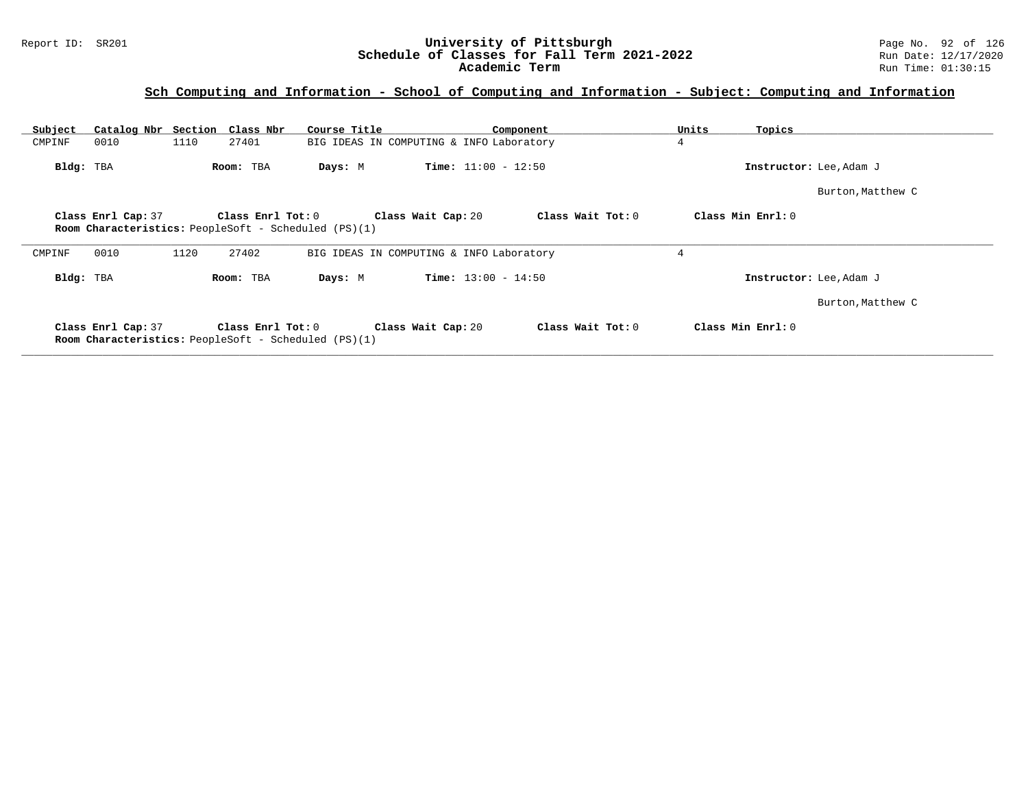## **Sch Computing and Information - School of Computing and Information - Subject: Computing and Information**

| Subject   | Catalog Nbr Section Class Nbr                                                                                                                                            |      |                   | Course Title                                                |                                          | Component         | Units | Topics                  |  |  |  |
|-----------|--------------------------------------------------------------------------------------------------------------------------------------------------------------------------|------|-------------------|-------------------------------------------------------------|------------------------------------------|-------------------|-------|-------------------------|--|--|--|
| CMPINF    | 0010                                                                                                                                                                     | 1110 | 27401             |                                                             | BIG IDEAS IN COMPUTING & INFO Laboratory |                   | 4     |                         |  |  |  |
| Bldg: TBA |                                                                                                                                                                          |      | Room: TBA         | Days: M                                                     | <b>Time:</b> $11:00 - 12:50$             |                   |       | Instructor: Lee, Adam J |  |  |  |
|           |                                                                                                                                                                          |      |                   |                                                             |                                          |                   |       | Burton, Matthew C       |  |  |  |
|           | Class Min Enrl: 0<br>Class Enrl Cap: 37<br>Class Enrl Tot: $0$<br>Class Wait Cap: 20<br>Class Wait Tot: 0<br><b>Room Characteristics:</b> PeopleSoft - Scheduled (PS)(1) |      |                   |                                                             |                                          |                   |       |                         |  |  |  |
| CMPINF    | 0010                                                                                                                                                                     | 1120 | 27402             |                                                             | BIG IDEAS IN COMPUTING & INFO Laboratory |                   | 4     |                         |  |  |  |
| Bldg: TBA |                                                                                                                                                                          |      | Room: TBA         | Days: M                                                     | <b>Time:</b> $13:00 - 14:50$             |                   |       | Instructor: Lee, Adam J |  |  |  |
|           |                                                                                                                                                                          |      |                   |                                                             |                                          |                   |       | Burton, Matthew C       |  |  |  |
|           | Class Enrl Cap: 37                                                                                                                                                       |      | Class Enrl Tot: 0 | <b>Room Characteristics:</b> PeopleSoft - Scheduled (PS)(1) | Class Wait Cap: 20                       | Class Wait Tot: 0 |       | Class Min Enrl: 0       |  |  |  |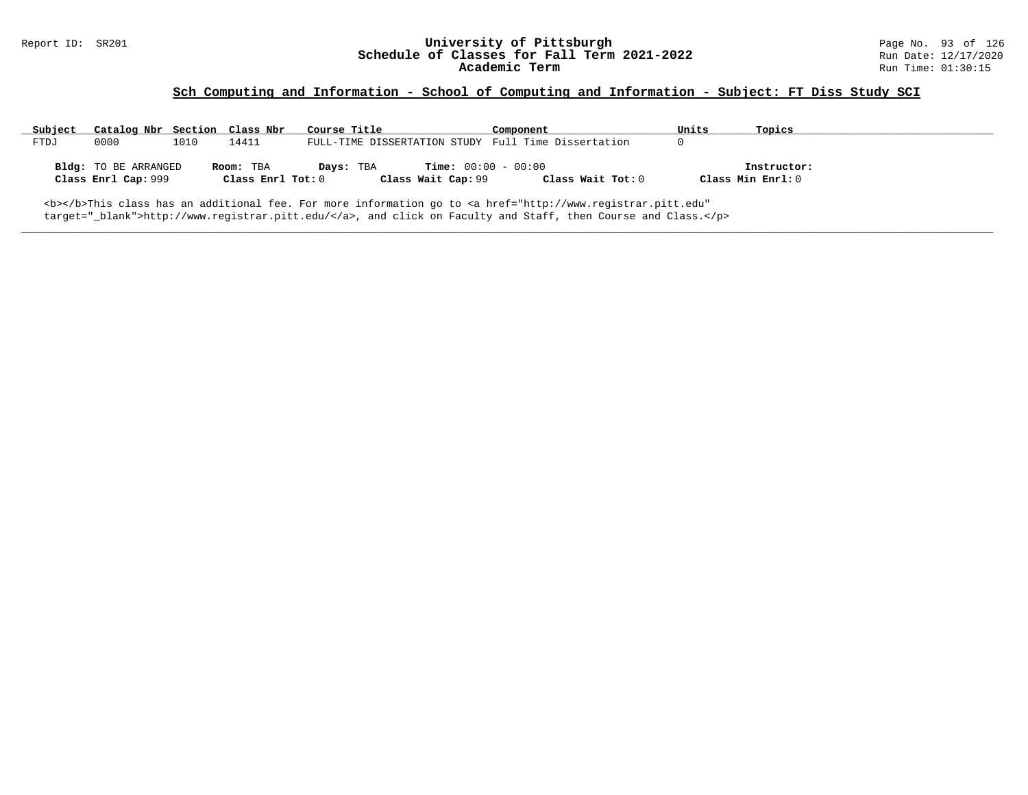### Report ID: SR201 **University of Pittsburgh** Page No. 93 of 126 **Schedule of Classes for Fall Term 2021-2022** Run Date: 12/17/2020 **Academic Term** Run Time: 01:30:15

## **Sch Computing and Information - School of Computing and Information - Subject: FT Diss Study SCI**

| Subject | Catalog Nbr Section Class Nbr                                                                                                                                                                                                       |      |                                | Course Title                                                    | Component         | Units             | Topics      |  |  |  |  |
|---------|-------------------------------------------------------------------------------------------------------------------------------------------------------------------------------------------------------------------------------------|------|--------------------------------|-----------------------------------------------------------------|-------------------|-------------------|-------------|--|--|--|--|
| FTDJ    | 0000                                                                                                                                                                                                                                | 1010 | 14411                          | FULL-TIME DISSERTATION STUDY Full Time Dissertation             |                   |                   |             |  |  |  |  |
|         | <b>Bldg:</b> TO BE ARRANGED<br>Class Enrl Cap: 999                                                                                                                                                                                  |      | Room: TBA<br>Class Enrl Tot: 0 | <b>Time:</b> $00:00 - 00:00$<br>Days: TBA<br>Class Wait Cap: 99 | Class Wait Tot: 0 | Class Min Enrl: 0 | Instructor: |  |  |  |  |
|         | <b></b> >This class has an additional fee. For more information go to <a <br="" href="http://www.registrar.pitt.edu">target="_blank"&gt;http://www.registrar.pitt.edu/</a> , and click on Faculty and Staff, then Course and Class. |      |                                |                                                                 |                   |                   |             |  |  |  |  |

**\_\_\_\_\_\_\_\_\_\_\_\_\_\_\_\_\_\_\_\_\_\_\_\_\_\_\_\_\_\_\_\_\_\_\_\_\_\_\_\_\_\_\_\_\_\_\_\_\_\_\_\_\_\_\_\_\_\_\_\_\_\_\_\_\_\_\_\_\_\_\_\_\_\_\_\_\_\_\_\_\_\_\_\_\_\_\_\_\_\_\_\_\_\_\_\_\_\_\_\_\_\_\_\_\_\_\_\_\_\_\_\_\_\_\_\_\_\_\_\_\_\_\_\_\_\_\_\_\_\_\_\_\_\_\_\_\_\_\_\_\_\_\_\_\_\_\_\_\_\_\_\_\_\_\_\_**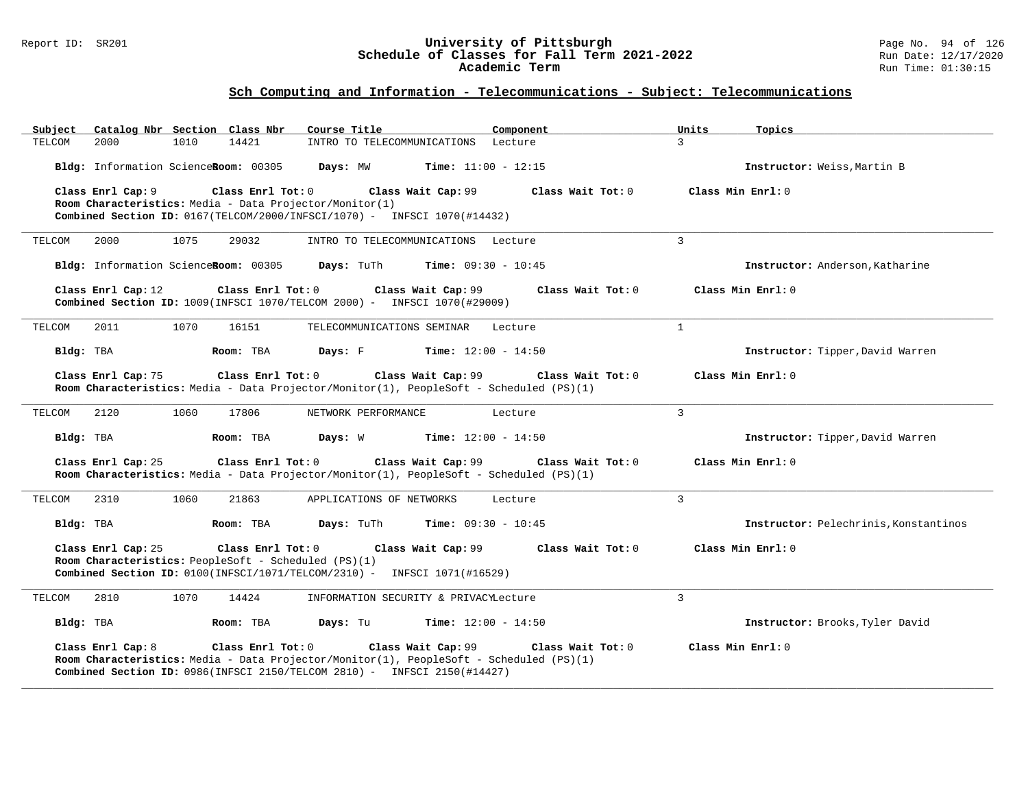### Report ID: SR201 **University of Pittsburgh** Page No. 94 of 126 **Schedule of Classes for Fall Term 2021-2022** Run Date: 12/17/2020 **Academic Term** Run Time: 01:30:15

| Subject   | Catalog Nbr Section Class Nbr                                                                                                                                                                                                                      |      |                   | Course Title                                                                                                                                                        |                              | Component         |  | Units          | Topics                                |
|-----------|----------------------------------------------------------------------------------------------------------------------------------------------------------------------------------------------------------------------------------------------------|------|-------------------|---------------------------------------------------------------------------------------------------------------------------------------------------------------------|------------------------------|-------------------|--|----------------|---------------------------------------|
| TELCOM    | 2000                                                                                                                                                                                                                                               | 1010 | 14421             | INTRO TO TELECOMMUNICATIONS Lecture                                                                                                                                 |                              |                   |  | $\mathcal{L}$  |                                       |
|           | Bldg: Information ScienceRoom: 00305                                                                                                                                                                                                               |      |                   | Days: MW                                                                                                                                                            | $Time: 11:00 - 12:15$        |                   |  |                | Instructor: Weiss, Martin B           |
|           | Class Enrl Cap: 9                                                                                                                                                                                                                                  |      | Class Enrl Tot: 0 |                                                                                                                                                                     | Class Wait Cap: 99           | Class Wait Tot: 0 |  |                | Class Min Enrl: 0                     |
|           |                                                                                                                                                                                                                                                    |      |                   | Room Characteristics: Media - Data Projector/Monitor(1)<br>Combined Section ID: 0167(TELCOM/2000/INFSCI/1070) - INFSCI 1070(#14432)                                 |                              |                   |  |                |                                       |
|           |                                                                                                                                                                                                                                                    |      |                   |                                                                                                                                                                     |                              |                   |  |                |                                       |
| TELCOM    | 2000                                                                                                                                                                                                                                               | 1075 | 29032             | INTRO TO TELECOMMUNICATIONS Lecture                                                                                                                                 |                              |                   |  | $\mathbf{3}$   |                                       |
|           | Bldg: Information ScienceRoom: 00305                                                                                                                                                                                                               |      |                   | Days: TuTh                                                                                                                                                          | <b>Time:</b> $09:30 - 10:45$ |                   |  |                | Instructor: Anderson, Katharine       |
|           | Class Enrl Cap: 12                                                                                                                                                                                                                                 |      | Class Enrl Tot: 0 | Combined Section ID: 1009(INFSCI 1070/TELCOM 2000) - INFSCI 1070(#29009)                                                                                            | Class Wait Cap: 99           | Class Wait Tot: 0 |  |                | Class Min Enrl: 0                     |
| TELCOM    | 2011                                                                                                                                                                                                                                               | 1070 | 16151             | TELECOMMUNICATIONS SEMINAR Lecture                                                                                                                                  |                              |                   |  | $\mathbf{1}$   |                                       |
| Bldg: TBA |                                                                                                                                                                                                                                                    |      | Room: TBA         | <b>Days:</b> F Time: $12:00 - 14:50$                                                                                                                                |                              |                   |  |                | Instructor: Tipper, David Warren      |
|           | Class Enrl Cap: 75<br>Class Enrl Tot: 0<br>Class Wait Cap: 99<br>Class Wait Tot: 0<br>Room Characteristics: Media - Data Projector/Monitor(1), PeopleSoft - Scheduled (PS)(1)                                                                      |      |                   |                                                                                                                                                                     |                              |                   |  |                | Class Min Enrl: 0                     |
| TELCOM    | 2120                                                                                                                                                                                                                                               | 1060 | 17806             | NETWORK PERFORMANCE                                                                                                                                                 |                              | Lecture           |  | $\overline{3}$ |                                       |
| Bldg: TBA |                                                                                                                                                                                                                                                    |      | Room: TBA         | Days: W                                                                                                                                                             | <b>Time:</b> $12:00 - 14:50$ |                   |  |                | Instructor: Tipper, David Warren      |
|           | Class Enrl Cap: 25                                                                                                                                                                                                                                 |      | Class Enrl Tot: 0 | Room Characteristics: Media - Data Projector/Monitor(1), PeopleSoft - Scheduled (PS)(1)                                                                             | Class Wait Cap: 99           | Class Wait Tot: 0 |  |                | Class Min Enrl: 0                     |
| TELCOM    | 2310                                                                                                                                                                                                                                               | 1060 | 21863             | APPLICATIONS OF NETWORKS                                                                                                                                            |                              | Lecture           |  | $\mathbf{3}$   |                                       |
| Bldg: TBA |                                                                                                                                                                                                                                                    |      | Room: TBA         | Days: TuTh                                                                                                                                                          | <b>Time:</b> $09:30 - 10:45$ |                   |  |                | Instructor: Pelechrinis, Konstantinos |
|           | Class Enrl Cap: 25<br>Class Enrl Tot: 0<br>Class Wait Cap: 99<br>Class Wait Tot: 0<br>Class Min Enrl: 0<br><b>Room Characteristics:</b> PeopleSoft - Scheduled (PS)(1)<br>Combined Section ID: 0100(INFSCI/1071/TELCOM/2310) - INFSCI 1071(#16529) |      |                   |                                                                                                                                                                     |                              |                   |  |                |                                       |
| TELCOM    | 2810                                                                                                                                                                                                                                               | 1070 | 14424             | INFORMATION SECURITY & PRIVACYLecture                                                                                                                               |                              |                   |  | 3              |                                       |
| Bldg: TBA |                                                                                                                                                                                                                                                    |      | Room: TBA         | Days: Tu                                                                                                                                                            | <b>Time:</b> $12:00 - 14:50$ |                   |  |                | Instructor: Brooks, Tyler David       |
|           | Class Enrl Cap: 8                                                                                                                                                                                                                                  |      | Class Enrl Tot: 0 | Room Characteristics: Media - Data Projector/Monitor(1), PeopleSoft - Scheduled (PS)(1)<br>Combined Section ID: 0986(INFSCI 2150/TELCOM 2810) - INFSCI 2150(#14427) | Class Wait Cap: 99           | Class Wait Tot: 0 |  |                | Class Min $Err1:0$                    |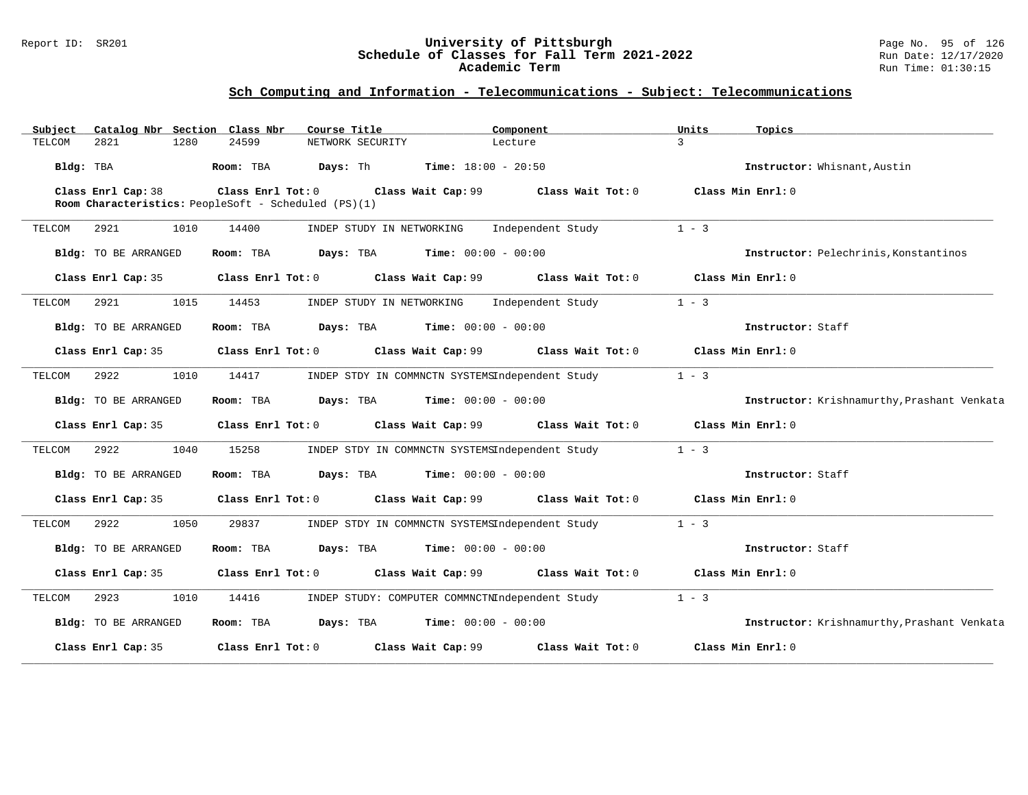### Report ID: SR201 **University of Pittsburgh** Page No. 95 of 126 **Schedule of Classes for Fall Term 2021-2022** Run Date: 12/17/2020 **Academic Term** Run Time: 01:30:15

| Subject   |                      |      | Catalog Nbr Section Class Nbr                                             | Course Title                                    |                              | Component                            | Units                 | Topics                                      |
|-----------|----------------------|------|---------------------------------------------------------------------------|-------------------------------------------------|------------------------------|--------------------------------------|-----------------------|---------------------------------------------|
| TELCOM    | 2821                 | 1280 | 24599                                                                     | NETWORK SECURITY                                |                              | Lecture                              | $\overline{3}$        |                                             |
| Bldg: TBA |                      |      | Room: TBA                                                                 | Days: Th                                        | <b>Time:</b> $18:00 - 20:50$ |                                      |                       | Instructor: Whisnant, Austin                |
|           | Class Enrl Cap: 38   |      | Class Enrl Tot: 0<br>Room Characteristics: PeopleSoft - Scheduled (PS)(1) |                                                 |                              | Class Wait Cap: 99 Class Wait Tot: 0 | Class Min Enrl: 0     |                                             |
| TELCOM    | 2921                 | 1010 | 14400                                                                     | INDEP STUDY IN NETWORKING                       |                              | Independent Study                    | $1 - 3$               |                                             |
|           | Bldg: TO BE ARRANGED |      | Room: TBA                                                                 | <b>Days:</b> TBA <b>Time:</b> $00:00 - 00:00$   |                              |                                      |                       | Instructor: Pelechrinis, Konstantinos       |
|           | Class Enrl Cap: 35   |      | $Class$ $Enrl$ $Tot: 0$                                                   |                                                 |                              | Class Wait Cap: 99 Class Wait Tot: 0 | $Class$ Min $Enrl: 0$ |                                             |
| TELCOM    | 2921                 | 1015 | 14453                                                                     | INDEP STUDY IN NETWORKING                       |                              | Independent Study                    | $1 - 3$               |                                             |
|           | Bldg: TO BE ARRANGED |      | Room: TBA                                                                 | <b>Days:</b> TBA <b>Time:</b> $00:00 - 00:00$   |                              |                                      |                       | Instructor: Staff                           |
|           | Class Enrl Cap: 35   |      | Class Enrl Tot: 0                                                         |                                                 |                              | Class Wait Cap: 99 Class Wait Tot: 0 | Class Min Enrl: 0     |                                             |
| TELCOM    | 2922                 | 1010 | 14417                                                                     | INDEP STDY IN COMMNCTN SYSTEMSIndependent Study |                              |                                      | $1 - 3$               |                                             |
|           | Bldg: TO BE ARRANGED |      | Room: TBA                                                                 | <b>Days:</b> TBA <b>Time:</b> $00:00 - 00:00$   |                              |                                      |                       | Instructor: Krishnamurthy, Prashant Venkata |
|           | Class Enrl Cap: 35   |      |                                                                           | Class Enrl Tot: 0 Class Wait Cap: 99            |                              | Class Wait Tot: 0                    |                       | Class Min Enrl: 0                           |
| TELCOM    | 2922                 | 1040 | 15258                                                                     | INDEP STDY IN COMMNCTN SYSTEMSIndependent Study |                              |                                      | $1 - 3$               |                                             |
|           | Bldg: TO BE ARRANGED |      | Room: TBA                                                                 | Days: TBA                                       | <b>Time:</b> $00:00 - 00:00$ |                                      |                       | Instructor: Staff                           |
|           | Class Enrl Cap: 35   |      | Class Enrl Tot: 0                                                         | Class Wait Cap: 99                              |                              | Class Wait Tot: 0                    | Class Min Enrl: 0     |                                             |
| TELCOM    | 2922                 | 1050 | 29837                                                                     | INDEP STDY IN COMMNCTN SYSTEMSIndependent Study |                              |                                      | $1 - 3$               |                                             |
|           | Bldg: TO BE ARRANGED |      | Room: TBA                                                                 | <b>Days:</b> TBA <b>Time:</b> $00:00 - 00:00$   |                              |                                      |                       | Instructor: Staff                           |
|           | Class Enrl Cap: 35   |      | Class Enrl Tot: 0                                                         | Class Wait Cap: 99                              |                              | Class Wait Tot: 0                    | Class Min Enrl: 0     |                                             |
| TELCOM    | 2923                 | 1010 | 14416                                                                     | INDEP STUDY: COMPUTER COMMNCTNIndependent Study |                              |                                      | $1 - 3$               |                                             |
|           | Bldg: TO BE ARRANGED |      | Room: TBA                                                                 | <b>Days:</b> TBA <b>Time:</b> $00:00 - 00:00$   |                              |                                      |                       | Instructor: Krishnamurthy, Prashant Venkata |
|           | Class Enrl Cap: 35   |      | Class Enrl Tot: 0                                                         | Class Wait Cap: 99                              |                              | Class Wait Tot: 0                    |                       | Class Min Enrl: 0                           |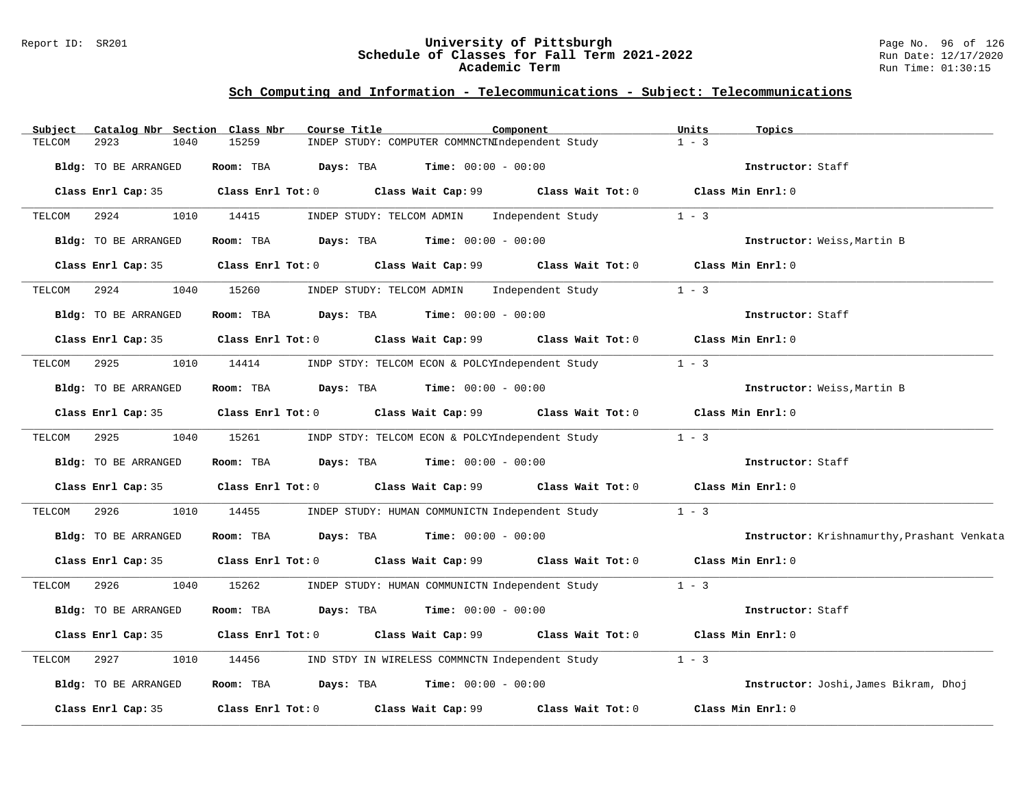### Report ID: SR201 **University of Pittsburgh** Page No. 96 of 126 **Schedule of Classes for Fall Term 2021-2022** Run Date: 12/17/2020 **Academic Term** Run Time: 01:30:15

| Subject<br>Catalog Nbr Section Class Nbr | Course Title                                                   | Component                                                                                   | Units<br>Topics                             |
|------------------------------------------|----------------------------------------------------------------|---------------------------------------------------------------------------------------------|---------------------------------------------|
| 2923<br>1040<br>TELCOM                   | 15259                                                          | INDEP STUDY: COMPUTER COMMNCTNIndependent Study                                             | $1 - 3$                                     |
| Bldg: TO BE ARRANGED                     | Room: TBA<br>Days: TBA                                         | $Time: 00:00 - 00:00$                                                                       | Instructor: Staff                           |
| Class Enrl Cap: 35                       |                                                                | Class Enrl Tot: 0 Class Wait Cap: 99 Class Wait Tot: 0 Class Min Enrl: 0                    |                                             |
| TELCOM<br>2924                           | 1010<br>14415                                                  | INDEP STUDY: TELCOM ADMIN Independent Study                                                 | $1 - 3$                                     |
| Bldg: TO BE ARRANGED                     | Room: TBA $\rule{1em}{0.15mm}$ Days: TBA Time: $00:00 - 00:00$ |                                                                                             | Instructor: Weiss, Martin B                 |
| Class Enrl Cap: 35                       |                                                                | Class Enrl Tot: $0$ Class Wait Cap: $99$ Class Wait Tot: $0$ Class Min Enrl: $0$            |                                             |
| 2924<br>1040<br>TELCOM                   | 15260                                                          | INDEP STUDY: TELCOM ADMIN Independent Study                                                 | $1 - 3$                                     |
| Bldg: TO BE ARRANGED                     | Room: TBA $Days:$ TBA $Time: 00:00 - 00:00$                    |                                                                                             | Instructor: Staff                           |
|                                          |                                                                | Class Enrl Cap: 35 Class Enrl Tot: 0 Class Wait Cap: 99 Class Wait Tot: 0 Class Min Enrl: 0 |                                             |
| 2925<br>1010<br>TELCOM                   | 14414                                                          | INDP STDY: TELCOM ECON & POLCYIndependent Study                                             | $1 - 3$                                     |
| Bldg: TO BE ARRANGED                     | Room: TBA $Days:$ TBA $Time: 00:00 - 00:00$                    |                                                                                             | Instructor: Weiss, Martin B                 |
| Class Enrl Cap: 35                       | Class Enrl Tot: 0 Class Wait Cap: 99                           | Class Wait Tot: 0                                                                           | Class Min $Enr1:0$                          |
| 2925 30<br>1040<br>TELCOM                | 15261                                                          | INDP STDY: TELCOM ECON & POLCYIndependent Study 1 - 3                                       |                                             |
| Bldg: TO BE ARRANGED                     | Room: TBA                                                      | <b>Days:</b> TBA <b>Time:</b> $00:00 - 00:00$                                               | Instructor: Staff                           |
| Class Enrl Cap: 35                       |                                                                | Class Enrl Tot: $0$ Class Wait Cap: $99$ Class Wait Tot: $0$ Class Min Enrl: $0$            |                                             |
| 2926<br>TELCOM<br>1010                   | 14455                                                          | INDEP STUDY: HUMAN COMMUNICTN Independent Study                                             | $1 - 3$                                     |
| Bldg: TO BE ARRANGED                     | Room: TBA $Days:$ TBA $Time: 00:00 - 00:00$                    |                                                                                             | Instructor: Krishnamurthy, Prashant Venkata |
| Class Enrl Cap: 35                       |                                                                | Class Enrl Tot: 0 Class Wait Cap: 99 Class Wait Tot: 0 Class Min Enrl: 0                    |                                             |
| 2926<br>1040<br>TELCOM                   | 15262                                                          | INDEP STUDY: HUMAN COMMUNICTN Independent Study 1 - 3                                       |                                             |
| Bldg: TO BE ARRANGED                     | Room: TBA                                                      | <b>Days:</b> TBA <b>Time:</b> $00:00 - 00:00$                                               | Instructor: Staff                           |
| Class Enrl Cap: 35                       |                                                                | Class Enrl Tot: $0$ Class Wait Cap: $99$ Class Wait Tot: $0$                                | Class Min Enrl: 0                           |
| 2927<br>1010<br>TELCOM                   | 14456                                                          | IND STDY IN WIRELESS COMMNCTN Independent Study                                             | $1 - 3$                                     |
| Bldg: TO BE ARRANGED                     | Room: TBA $Days: TBA$ Time: $00:00 - 00:00$                    |                                                                                             | Instructor: Joshi, James Bikram, Dhoj       |
| Class Enrl Cap: 35                       | Class Enrl Tot: 0 Class Wait Cap: 99                           | Class Wait Tot: 0                                                                           | Class Min Enrl: 0                           |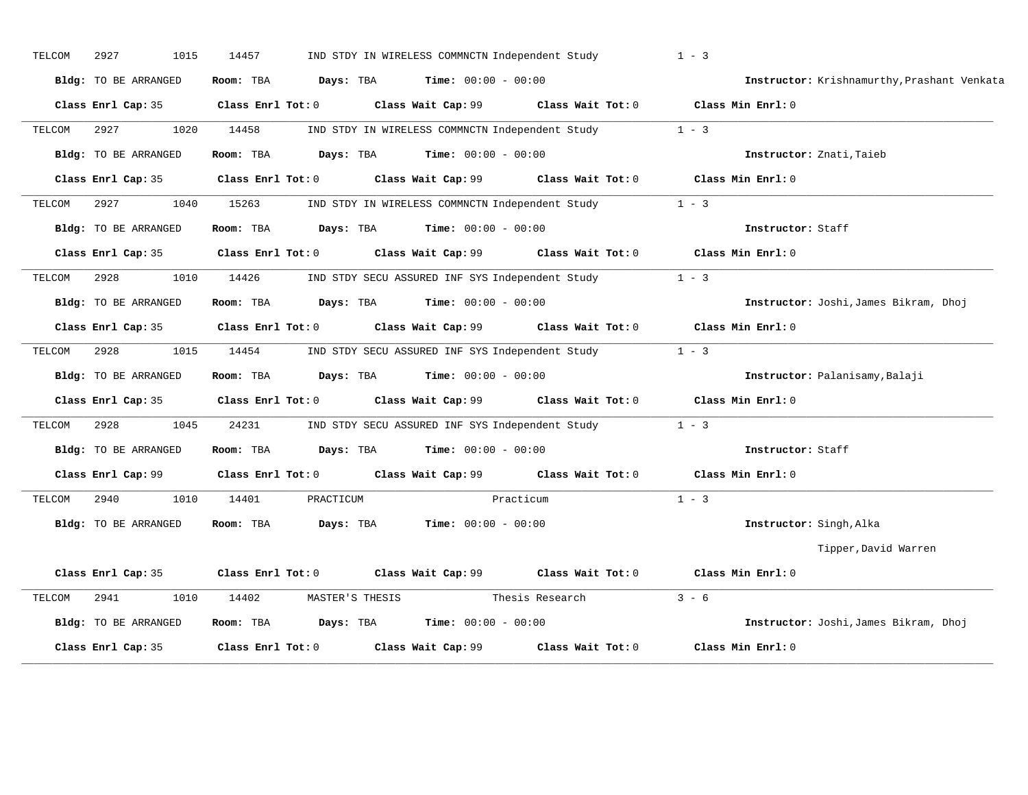| TELCOM | 2927<br>1015         | 14457                   |                 | IND STDY IN WIRELESS COMMNCTN Independent Study |                                                        | $1 - 3$                                     |
|--------|----------------------|-------------------------|-----------------|-------------------------------------------------|--------------------------------------------------------|---------------------------------------------|
|        | Bldg: TO BE ARRANGED | Room: TBA               | Days: TBA       | <b>Time:</b> $00:00 - 00:00$                    |                                                        | Instructor: Krishnamurthy, Prashant Venkata |
|        | Class Enrl Cap: 35   | $Class$ $Enrl$ $Tot: 0$ |                 |                                                 | Class Wait Cap: 99 Class Wait Tot: 0 Class Min Enrl: 0 |                                             |
| TELCOM | 2927<br>1020         | 14458                   |                 |                                                 | IND STDY IN WIRELESS COMMNCTN Independent Study        | $1 - 3$                                     |
|        | Bldg: TO BE ARRANGED | Room: TBA               | Days: TBA       | $Time: 00:00 - 00:00$                           |                                                        | Instructor: Znati, Taieb                    |
|        | Class Enrl Cap: 35   | $Class$ $Enr1$ $Tot: 0$ |                 | Class Wait Cap: 99                              | Class Wait Tot: 0                                      | Class Min Enrl: 0                           |
| TELCOM | 2927<br>1040         | 15263                   |                 |                                                 | IND STDY IN WIRELESS COMMNCTN Independent Study        | $1 - 3$                                     |
|        | Bldg: TO BE ARRANGED | Room: TBA               | Days: TBA       | <b>Time:</b> $00:00 - 00:00$                    |                                                        | Instructor: Staff                           |
|        | Class Enrl Cap: 35   | $Class$ $Enr1$ $Tot: 0$ |                 |                                                 | Class Wait Cap: 99 Class Wait Tot: 0 Class Min Enrl: 0 |                                             |
| TELCOM | 2928<br>1010         | 14426                   |                 |                                                 | IND STDY SECU ASSURED INF SYS Independent Study        | $1 - 3$                                     |
|        | Bldg: TO BE ARRANGED | Room: TBA               | Days: TBA       | $Time: 00:00 - 00:00$                           |                                                        | Instructor: Joshi, James Bikram, Dhoj       |
|        | Class Enrl Cap: 35   | $Class$ $Enrl$ $Tot: 0$ |                 |                                                 | Class Wait Cap: 99 Class Wait Tot: 0                   | Class Min Enrl: 0                           |
| TELCOM | 2928<br>1015         | 14454                   |                 |                                                 | IND STDY SECU ASSURED INF SYS Independent Study        | $1 - 3$                                     |
|        | Bldg: TO BE ARRANGED | Room: TBA               | Days: TBA       | <b>Time:</b> $00:00 - 00:00$                    |                                                        | Instructor: Palanisamy, Balaji              |
|        | Class Enrl Cap: 35   | $Class$ $Enr1$ $Tot: 0$ |                 |                                                 | Class Wait Cap: 99 Class Wait Tot: 0 Class Min Enrl: 0 |                                             |
| TELCOM | 1045<br>2928         | 24231                   |                 |                                                 | IND STDY SECU ASSURED INF SYS Independent Study        | $1 - 3$                                     |
|        | Bldg: TO BE ARRANGED | Room: TBA               | Days: TBA       | <b>Time:</b> $00:00 - 00:00$                    |                                                        | Instructor: Staff                           |
|        | Class Enrl Cap: 99   | $Class$ $Enrl$ $Tot: 0$ |                 | Class Wait Cap: 99                              | Class Wait Tot: 0                                      | Class Min Enrl: 0                           |
| TELCOM | 2940<br>1010         | 14401                   | PRACTICUM       |                                                 | Practicum                                              | $1 - 3$                                     |
|        | Bldg: TO BE ARRANGED | Room: TBA               | Days: TBA       | <b>Time:</b> $00:00 - 00:00$                    |                                                        | Instructor: Singh, Alka                     |
|        |                      |                         |                 |                                                 |                                                        | Tipper, David Warren                        |
|        | Class Enrl Cap: 35   |                         |                 |                                                 | Class Enrl Tot: 0 Class Wait Cap: 99 Class Wait Tot: 0 | Class Min Enrl: 0                           |
| TELCOM | 2941<br>1010         | 14402                   | MASTER'S THESIS |                                                 | Thesis Research                                        | $3 - 6$                                     |
|        | Bldg: TO BE ARRANGED | Room: TBA               | Days: TBA       | <b>Time:</b> $00:00 - 00:00$                    |                                                        | Instructor: Joshi, James Bikram, Dhoj       |
|        | Class Enrl Cap: 35   | Class Enrl Tot: 0       |                 | Class Wait Cap: 99                              | Class Wait Tot: 0                                      | Class Min Enrl: 0                           |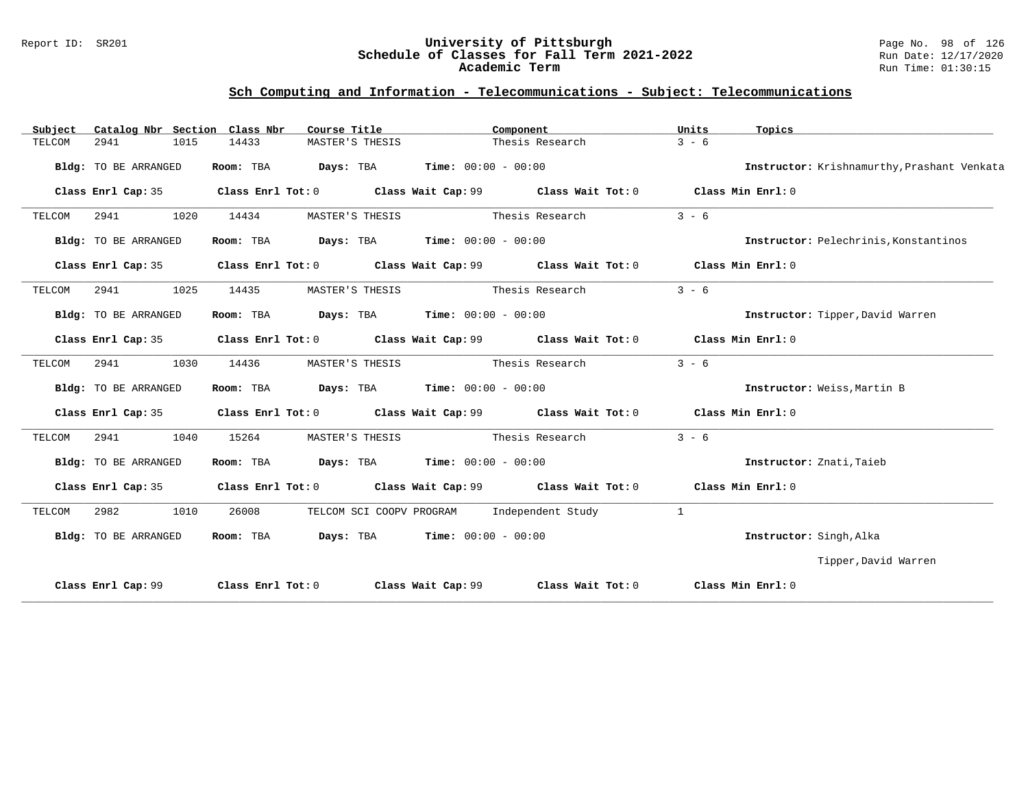### Report ID: SR201 **University of Pittsburgh** Page No. 98 of 126 **Schedule of Classes for Fall Term 2021-2022** Run Date: 12/17/2020 **Academic Term** Run Time: 01:30:15

| Subject |                      |      | Catalog Nbr Section Class Nbr | Course Title    |                                                      | Component                                                                                           | Units   | Topics                                      |
|---------|----------------------|------|-------------------------------|-----------------|------------------------------------------------------|-----------------------------------------------------------------------------------------------------|---------|---------------------------------------------|
| TELCOM  | 2941                 | 1015 | 14433                         | MASTER'S THESIS |                                                      | Thesis Research                                                                                     | $3 - 6$ |                                             |
|         | Bldg: TO BE ARRANGED |      | Room: TBA                     |                 | <b>Days:</b> TBA <b>Time:</b> $00:00 - 00:00$        |                                                                                                     |         | Instructor: Krishnamurthy, Prashant Venkata |
|         | Class Enrl Cap: 35   |      |                               |                 |                                                      | Class Enrl Tot: 0 $\qquad$ Class Wait Cap: 99 $\qquad$ Class Wait Tot: 0 $\qquad$ Class Min Enrl: 0 |         |                                             |
| TELCOM  | 2941                 | 1020 | 14434                         | MASTER'S THESIS |                                                      | Thesis Research                                                                                     | $3 - 6$ |                                             |
|         | Bldg: TO BE ARRANGED |      | Room: TBA                     |                 | $\texttt{DayS:}$ TBA $\texttt{Time:}$ 00:00 - 00:00  |                                                                                                     |         | Instructor: Pelechrinis, Konstantinos       |
|         | Class Enrl Cap: 35   |      |                               |                 |                                                      | Class Enrl Tot: $0$ Class Wait Cap: $99$ Class Wait Tot: $0$ Class Min Enrl: $0$                    |         |                                             |
| TELCOM  | 2941                 | 1025 | 14435                         | MASTER'S THESIS |                                                      | Thesis Research                                                                                     | $3 - 6$ |                                             |
|         | Bldg: TO BE ARRANGED |      |                               |                 | Room: TBA $Days:$ TBA $Time: 00:00 - 00:00$          |                                                                                                     |         | Instructor: Tipper, David Warren            |
|         |                      |      |                               |                 |                                                      | Class Enrl Cap: 35 Class Enrl Tot: 0 Class Wait Cap: 99 Class Wait Tot: 0 Class Min Enrl: 0         |         |                                             |
| TELCOM  | 2941                 | 1030 | 14436                         | MASTER'S THESIS |                                                      | Thesis Research                                                                                     | $3 - 6$ |                                             |
|         | Bldg: TO BE ARRANGED |      | Room: TBA                     |                 | <b>Days:</b> TBA <b>Time:</b> $00:00 - 00:00$        |                                                                                                     |         | Instructor: Weiss, Martin B                 |
|         | Class Enrl Cap: 35   |      |                               |                 |                                                      | Class Enrl Tot: $0$ Class Wait Cap: $99$ Class Wait Tot: $0$ Class Min Enrl: $0$                    |         |                                             |
| TELCOM  | 2941                 | 1040 | 15264                         | MASTER'S THESIS |                                                      | Thesis Research                                                                                     | $3 - 6$ |                                             |
|         | Bldg: TO BE ARRANGED |      | Room: TBA                     |                 | <b>Days:</b> TBA <b>Time:</b> $00:00 - 00:00$        |                                                                                                     |         | Instructor: Znati, Taieb                    |
|         | Class Enrl Cap: 35   |      |                               |                 |                                                      | Class Enrl Tot: $0$ Class Wait Cap: $99$ Class Wait Tot: $0$ Class Min Enrl: $0$                    |         |                                             |
| TELCOM  | 2982                 | 1010 | 26008                         |                 | TELCOM SCI COOPV PROGRAM                             | Independent Study                                                                                   | 1       |                                             |
|         | Bldg: TO BE ARRANGED |      | Room: TBA                     |                 | $\texttt{Davis:}$ TBA $\texttt{Time:}$ 00:00 - 00:00 |                                                                                                     |         | Instructor: Singh, Alka                     |
|         |                      |      |                               |                 |                                                      |                                                                                                     |         | Tipper, David Warren                        |
|         | Class Enrl Cap: 99   |      |                               |                 |                                                      | Class Enrl Tot: 0 Class Wait Cap: 99 Class Wait Tot: 0 Class Min Enrl: 0                            |         |                                             |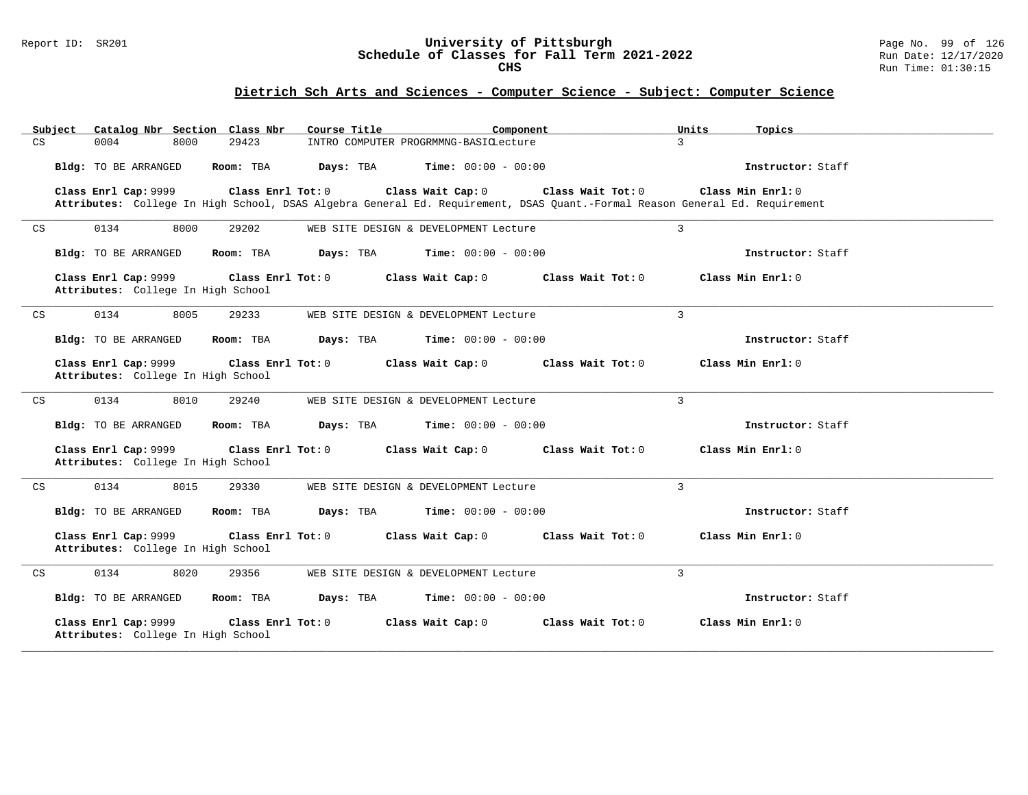#### Report ID: SR201 **University of Pittsburgh** Page No. 99 of 126 **Schedule of Classes for Fall Term 2021-2022** Run Date: 12/17/2020 **CHS** Run Time: 01:30:15

| Catalog Nbr Section Class Nbr<br>Subject                   | Course Title                                                                                                                                                          | Component<br>Units           | Topics            |
|------------------------------------------------------------|-----------------------------------------------------------------------------------------------------------------------------------------------------------------------|------------------------------|-------------------|
| CS<br>0004<br>8000                                         | 29423<br>INTRO COMPUTER PROGRMMNG-BASICLecture                                                                                                                        | 3                            |                   |
| Bldg: TO BE ARRANGED                                       | Room: TBA<br>Days: TBA                                                                                                                                                | <b>Time:</b> $00:00 - 00:00$ | Instructor: Staff |
| Class Enrl Cap: 9999                                       | Class Enrl Tot: 0<br>Class Wait Cap: 0<br>Attributes: College In High School, DSAS Algebra General Ed. Requirement, DSAS Quant.-Formal Reason General Ed. Requirement | Class Wait Tot: 0            | Class Min Enrl: 0 |
| 0134<br>8000<br>$\mathop{\rm CS}\nolimits$                 | 29202<br>WEB SITE DESIGN & DEVELOPMENT Lecture                                                                                                                        | $\overline{3}$               |                   |
| Bldg: TO BE ARRANGED                                       | Room: TBA<br>Days: TBA                                                                                                                                                | <b>Time:</b> $00:00 - 00:00$ | Instructor: Staff |
| Class Enrl Cap: 9999<br>Attributes: College In High School | Class Enrl Tot: 0<br>Class Wait Cap: 0                                                                                                                                | Class Wait Tot: 0            | Class Min Enrl: 0 |
| 0134<br>8005<br>$\mathop{\rm CS}\nolimits$                 | 29233<br>WEB SITE DESIGN & DEVELOPMENT Lecture                                                                                                                        | $\overline{3}$               |                   |
| Bldg: TO BE ARRANGED                                       | Days: TBA<br>Room: TBA                                                                                                                                                | <b>Time:</b> $00:00 - 00:00$ | Instructor: Staff |
| Class Enrl Cap: 9999<br>Attributes: College In High School | Class Enrl Tot: 0<br>Class Wait Cap: 0                                                                                                                                | Class Wait Tot: 0            | Class Min Enrl: 0 |
| 0134<br>8010<br>$\mathop{\rm CS}\nolimits$                 | 29240<br>WEB SITE DESIGN & DEVELOPMENT Lecture                                                                                                                        | 3                            |                   |
| Bldg: TO BE ARRANGED                                       | Room: TBA<br>Days: TBA                                                                                                                                                | <b>Time:</b> $00:00 - 00:00$ | Instructor: Staff |
| Class Enrl Cap: 9999<br>Attributes: College In High School | Class Enrl Tot: 0<br>Class Wait Cap: 0                                                                                                                                | Class Wait Tot: 0            | Class Min Enrl: 0 |
| 0134<br>8015<br>CS                                         | 29330<br>WEB SITE DESIGN & DEVELOPMENT Lecture                                                                                                                        | 3                            |                   |
| Bldg: TO BE ARRANGED                                       | Room: TBA<br>Days: TBA                                                                                                                                                | <b>Time:</b> $00:00 - 00:00$ | Instructor: Staff |
| Class Enrl Cap: 9999<br>Attributes: College In High School | Class Enrl Tot: 0<br>Class Wait Cap: 0                                                                                                                                | Class Wait Tot: 0            | Class Min Enrl: 0 |
| 8020<br>0134<br>CS                                         | 29356<br>WEB SITE DESIGN & DEVELOPMENT Lecture                                                                                                                        | $\overline{3}$               |                   |
| Bldg: TO BE ARRANGED                                       | Room: TBA<br>Days: TBA                                                                                                                                                | <b>Time:</b> $00:00 - 00:00$ | Instructor: Staff |
| Class Enrl Cap: 9999<br>Attributes: College In High School | Class Enrl Tot: 0<br>Class Wait Cap: 0                                                                                                                                | Class Wait Tot: 0            | Class Min Enrl: 0 |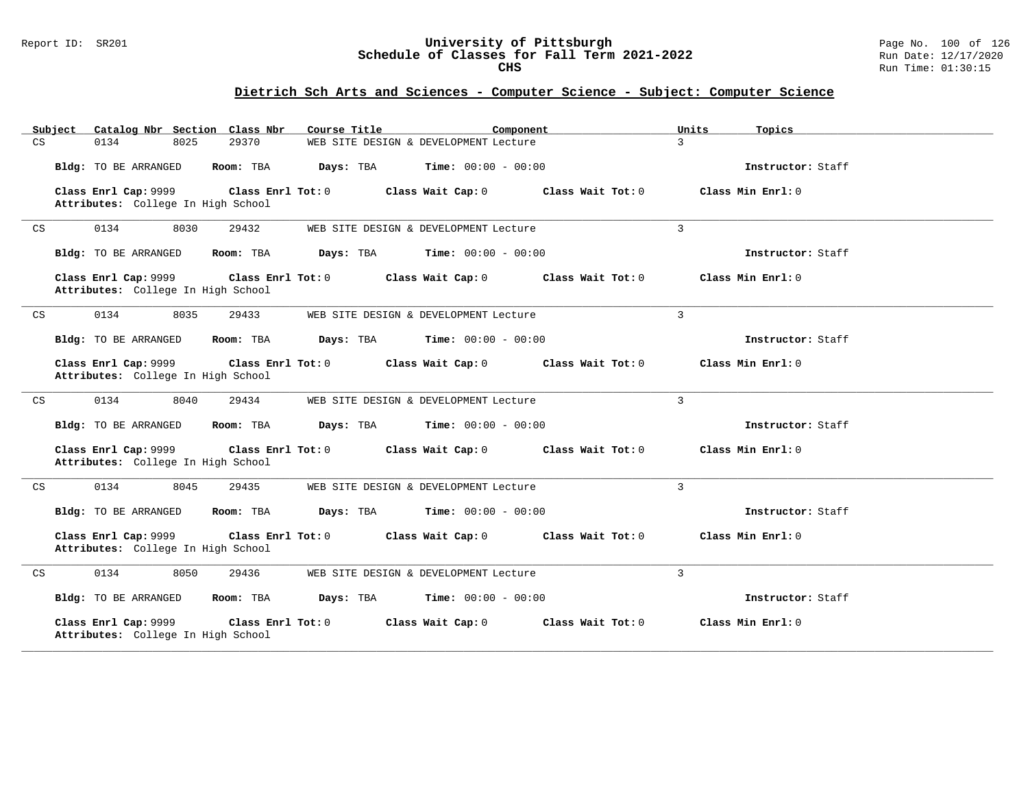#### Report ID: SR201 **University of Pittsburgh** Page No. 100 of 126 **Schedule of Classes for Fall Term 2021-2022** Run Date: 12/17/2020 **CHS** Run Time: 01:30:15

|    | Subject |      |                      |      | Catalog Nbr Section Class Nbr                           | Course Title |                                       | Component         | Units          | Topics              |
|----|---------|------|----------------------|------|---------------------------------------------------------|--------------|---------------------------------------|-------------------|----------------|---------------------|
| CS |         | 0134 |                      | 8025 | 29370                                                   |              | WEB SITE DESIGN & DEVELOPMENT Lecture |                   | $\mathcal{L}$  |                     |
|    |         |      | Bldg: TO BE ARRANGED |      | Room: TBA                                               | Days: TBA    | <b>Time:</b> $00:00 - 00:00$          |                   |                | Instructor: Staff   |
|    |         |      | Class Enrl Cap: 9999 |      | Class Enrl Tot: 0<br>Attributes: College In High School |              | Class Wait Cap: 0                     | Class Wait Tot: 0 |                | Class Min $Enrl: 0$ |
| CS |         | 0134 |                      | 8030 | 29432                                                   |              | WEB SITE DESIGN & DEVELOPMENT Lecture |                   | $\overline{3}$ |                     |
|    |         |      | Bldg: TO BE ARRANGED |      | Room: TBA                                               | Days: TBA    | <b>Time:</b> $00:00 - 00:00$          |                   |                | Instructor: Staff   |
|    |         |      | Class Enrl Cap: 9999 |      | Class Enrl Tot: 0<br>Attributes: College In High School |              | Class Wait Cap: 0                     | Class Wait Tot: 0 |                | Class Min Enrl: 0   |
| CS |         | 0134 |                      | 8035 | 29433                                                   |              | WEB SITE DESIGN & DEVELOPMENT Lecture |                   | $\mathbf{3}$   |                     |
|    |         |      | Bldg: TO BE ARRANGED |      | Room: TBA                                               | Days: TBA    | <b>Time:</b> $00:00 - 00:00$          |                   |                | Instructor: Staff   |
|    |         |      | Class Enrl Cap: 9999 |      | Class Enrl Tot: 0<br>Attributes: College In High School |              | Class Wait Cap: 0                     | Class Wait Tot: 0 |                | Class Min Enrl: 0   |
| CS |         | 0134 |                      | 8040 | 29434                                                   |              | WEB SITE DESIGN & DEVELOPMENT Lecture |                   | $\overline{3}$ |                     |
|    |         |      | Bldg: TO BE ARRANGED |      | Room: TBA                                               | Days: TBA    | <b>Time:</b> $00:00 - 00:00$          |                   |                | Instructor: Staff   |
|    |         |      | Class Enrl Cap: 9999 |      | Class Enrl Tot: 0<br>Attributes: College In High School |              | Class Wait Cap: 0                     | Class Wait Tot: 0 |                | Class Min Enrl: 0   |
| CS |         | 0134 |                      | 8045 | 29435                                                   |              | WEB SITE DESIGN & DEVELOPMENT Lecture |                   | $\overline{3}$ |                     |
|    |         |      | Bldg: TO BE ARRANGED |      | Room: TBA                                               | Days: TBA    | <b>Time:</b> $00:00 - 00:00$          |                   |                | Instructor: Staff   |
|    |         |      | Class Enrl Cap: 9999 |      | Class Enrl Tot: 0<br>Attributes: College In High School |              | Class Wait Cap: 0                     | Class Wait Tot: 0 |                | Class Min Enrl: 0   |
| CS |         | 0134 |                      | 8050 | 29436                                                   |              | WEB SITE DESIGN & DEVELOPMENT Lecture |                   | $\overline{3}$ |                     |
|    |         |      | Bldg: TO BE ARRANGED |      | Room: TBA                                               | Days: TBA    | <b>Time:</b> $00:00 - 00:00$          |                   |                | Instructor: Staff   |
|    |         |      | Class Enrl Cap: 9999 |      | Class Enrl Tot: 0<br>Attributes: College In High School |              | Class Wait Cap: 0                     | Class Wait Tot: 0 |                | Class Min Enrl: 0   |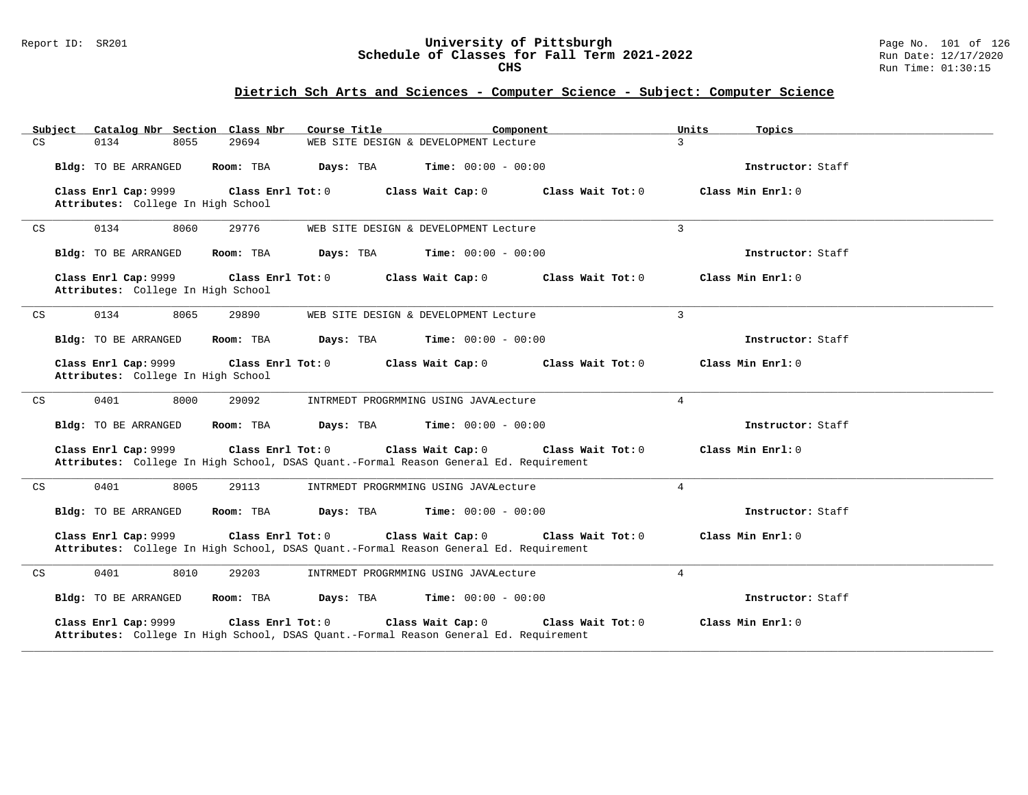#### Report ID: SR201 **University of Pittsburgh** Page No. 101 of 126 **Schedule of Classes for Fall Term 2021-2022** Run Date: 12/17/2020 **CHS** Run Time: 01:30:15

| Subject<br>Catalog Nbr Section Class Nbr                   | Course Title                                                                                                                    | Component<br>Units           | Topics            |
|------------------------------------------------------------|---------------------------------------------------------------------------------------------------------------------------------|------------------------------|-------------------|
| CS<br>0134<br>8055                                         | 29694<br>WEB SITE DESIGN & DEVELOPMENT Lecture                                                                                  | 3                            |                   |
| Bldg: TO BE ARRANGED                                       | Room: TBA<br>Days: TBA                                                                                                          | Time: $00:00 - 00:00$        | Instructor: Staff |
| Class Enrl Cap: 9999<br>Attributes: College In High School | Class Enrl Tot: 0<br>Class Wait Cap: 0                                                                                          | Class Wait Tot: 0            | Class Min Enrl: 0 |
| 0134<br>8060<br>CS                                         | 29776<br>WEB SITE DESIGN & DEVELOPMENT Lecture                                                                                  | $\overline{3}$               |                   |
| Bldg: TO BE ARRANGED                                       | Room: TBA<br>Days: TBA                                                                                                          | <b>Time:</b> $00:00 - 00:00$ | Instructor: Staff |
| Class Enrl Cap: 9999<br>Attributes: College In High School | Class Enrl Tot: 0<br>Class Wait Cap: 0                                                                                          | Class Wait Tot: 0            | Class Min Enrl: 0 |
| 0134<br>8065<br>CS                                         | 29890<br>WEB SITE DESIGN & DEVELOPMENT Lecture                                                                                  | $\mathbf{3}$                 |                   |
| Bldg: TO BE ARRANGED                                       | Room: TBA<br>Days: TBA                                                                                                          | <b>Time:</b> $00:00 - 00:00$ | Instructor: Staff |
| Class Enrl Cap: 9999<br>Attributes: College In High School | Class Enrl Tot: 0<br>Class Wait Cap: 0                                                                                          | Class Wait Tot: 0            | Class Min Enrl: 0 |
| CS<br>0401<br>8000                                         | 29092<br>INTRMEDT PROGRMMING USING JAVALecture                                                                                  | $\overline{4}$               |                   |
| Bldg: TO BE ARRANGED                                       | Room: TBA<br>Days: TBA                                                                                                          | <b>Time:</b> $00:00 - 00:00$ | Instructor: Staff |
| Class Enrl Cap: 9999                                       | Class Enrl Tot: 0<br>Class Wait Cap: 0<br>Attributes: College In High School, DSAS Quant.-Formal Reason General Ed. Requirement | Class Wait Tot: 0            | Class Min Enrl: 0 |
| 0401<br>8005<br>CS                                         | 29113<br>INTRMEDT PROGRMMING USING JAVALecture                                                                                  | $\overline{4}$               |                   |
| Bldg: TO BE ARRANGED                                       | Room: TBA<br>Days: TBA                                                                                                          | <b>Time:</b> $00:00 - 00:00$ | Instructor: Staff |
| Class Enrl Cap: 9999                                       | Class Enrl Tot: 0<br>Class Wait Cap: 0<br>Attributes: College In High School, DSAS Quant.-Formal Reason General Ed. Requirement | Class Wait $Tot: 0$          | Class Min Enrl: 0 |
| 0401<br>8010<br>CS                                         | 29203<br>INTRMEDT PROGRMMING USING JAVALecture                                                                                  | $\overline{4}$               |                   |
| Bldg: TO BE ARRANGED                                       | Room: TBA<br>Days: TBA                                                                                                          | <b>Time:</b> $00:00 - 00:00$ | Instructor: Staff |
| Class Enrl Cap: 9999                                       | Class Enrl Tot: 0<br>Class Wait Cap: 0<br>Attributes: College In High School, DSAS Quant.-Formal Reason General Ed. Requirement | Class Wait Tot: 0            | Class Min Enrl: 0 |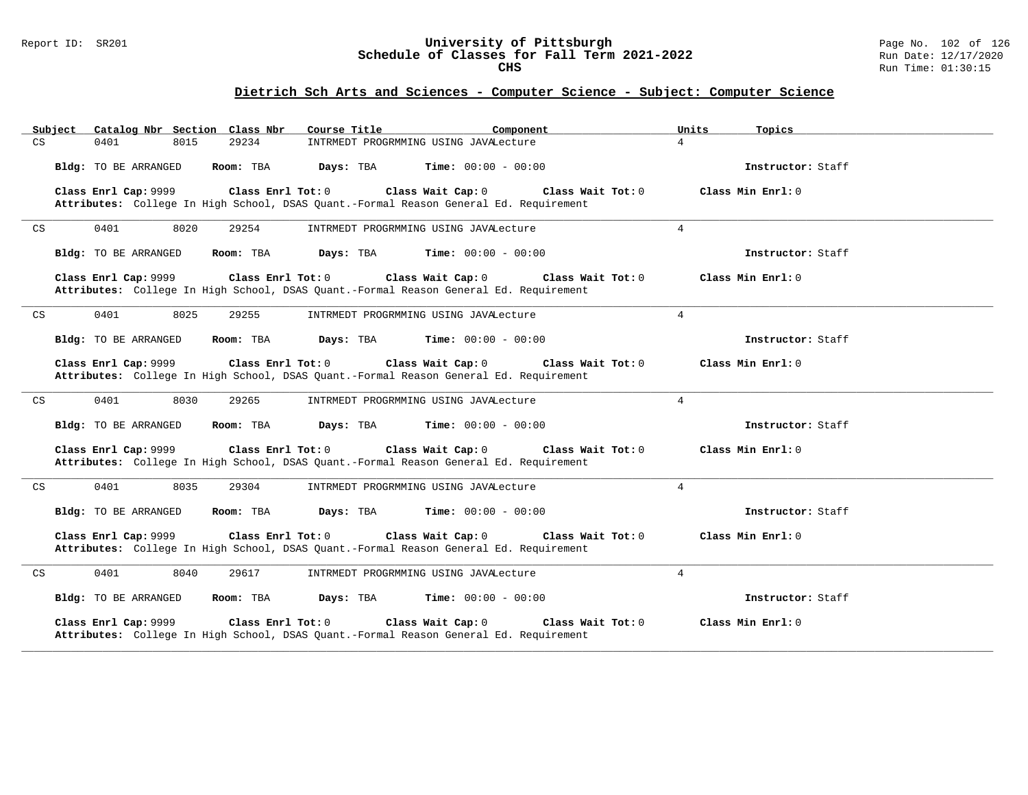#### Report ID: SR201 **University of Pittsburgh** Page No. 102 of 126 **Schedule of Classes for Fall Term 2021-2022** Run Date: 12/17/2020 **CHS** Run Time: 01:30:15

| Catalog Nbr Section Class Nbr<br>Subject            | Course Title<br>Component                                                                                                         | Units<br>Topics   |
|-----------------------------------------------------|-----------------------------------------------------------------------------------------------------------------------------------|-------------------|
| CS<br>0401<br>8015<br>29234                         | INTRMEDT PROGRMMING USING JAVALecture                                                                                             | $\overline{4}$    |
| Room: TBA<br>Bldg: TO BE ARRANGED                   | <b>Time:</b> $00:00 - 00:00$<br>Days: TBA                                                                                         | Instructor: Staff |
| Class Enrl Cap: 9999<br>Class Enrl Tot: 0           | Class Wait Cap: 0<br>Class Wait Tot: 0<br>Attributes: College In High School, DSAS Quant.-Formal Reason General Ed. Requirement   | Class Min Enrl: 0 |
| 0401<br>8020<br>29254<br>CS                         | INTRMEDT PROGRMMING USING JAVALecture                                                                                             | $4\overline{ }$   |
| Bldg: TO BE ARRANGED<br>Room: TBA                   | Days: TBA<br><b>Time:</b> $00:00 - 00:00$                                                                                         | Instructor: Staff |
| Class Enrl Cap: 9999<br>Class Enrl Tot: 0           | Class Wait Cap: 0<br>Class Wait Tot: 0<br>Attributes: College In High School, DSAS Quant.-Formal Reason General Ed. Requirement   | Class Min Enrl: 0 |
| 0401<br>8025<br>$\mathop{\rm CS}\nolimits$<br>29255 | INTRMEDT PROGRMMING USING JAVALecture                                                                                             | $\overline{4}$    |
| Bldg: TO BE ARRANGED<br>Room: TBA                   | Days: TBA<br><b>Time:</b> $00:00 - 00:00$                                                                                         | Instructor: Staff |
| Class Enrl Cap: 9999<br>Class Enrl Tot: 0           | Class Wait Cap: 0<br>Class Wait Tot: 0<br>Attributes: College In High School, DSAS Quant.-Formal Reason General Ed. Requirement   | Class Min Enrl: 0 |
| 8030<br>0401<br>29265<br>CS                         | INTRMEDT PROGRMMING USING JAVALecture                                                                                             | $\overline{4}$    |
| Bldg: TO BE ARRANGED<br>Room: TBA                   | Days: TBA<br><b>Time:</b> $00:00 - 00:00$                                                                                         | Instructor: Staff |
| Class Enrl Cap: 9999<br>Class Enrl Tot: 0           | Class Wait Cap: 0<br>Class Wait Tot: 0<br>Attributes: College In High School, DSAS Quant.-Formal Reason General Ed. Requirement   | Class Min Enrl: 0 |
| 0401<br>8035<br>29304<br>CS.                        | INTRMEDT PROGRMMING USING JAVALecture                                                                                             | $\overline{4}$    |
| Bldg: TO BE ARRANGED<br>Room: TBA                   | <b>Time:</b> $00:00 - 00:00$<br>Days: TBA                                                                                         | Instructor: Staff |
| Class Enrl Cap: 9999<br>Class Enrl Tot: $0$         | Class Wait Cap: 0<br>Class Wait $Tot: 0$<br>Attributes: College In High School, DSAS Quant.-Formal Reason General Ed. Requirement | Class Min Enrl: 0 |
| 0401<br>8040<br>29617<br>CS                         | INTRMEDT PROGRMMING USING JAVALecture                                                                                             | $\overline{4}$    |
| Bldg: TO BE ARRANGED<br>Room: TBA                   | Days: TBA<br><b>Time:</b> $00:00 - 00:00$                                                                                         | Instructor: Staff |
| Class Enrl Cap: 9999<br>Class Enrl Tot: 0           | Class Wait Cap: 0<br>Class Wait Tot: 0<br>Attributes: College In High School, DSAS Quant.-Formal Reason General Ed. Requirement   | Class Min Enrl: 0 |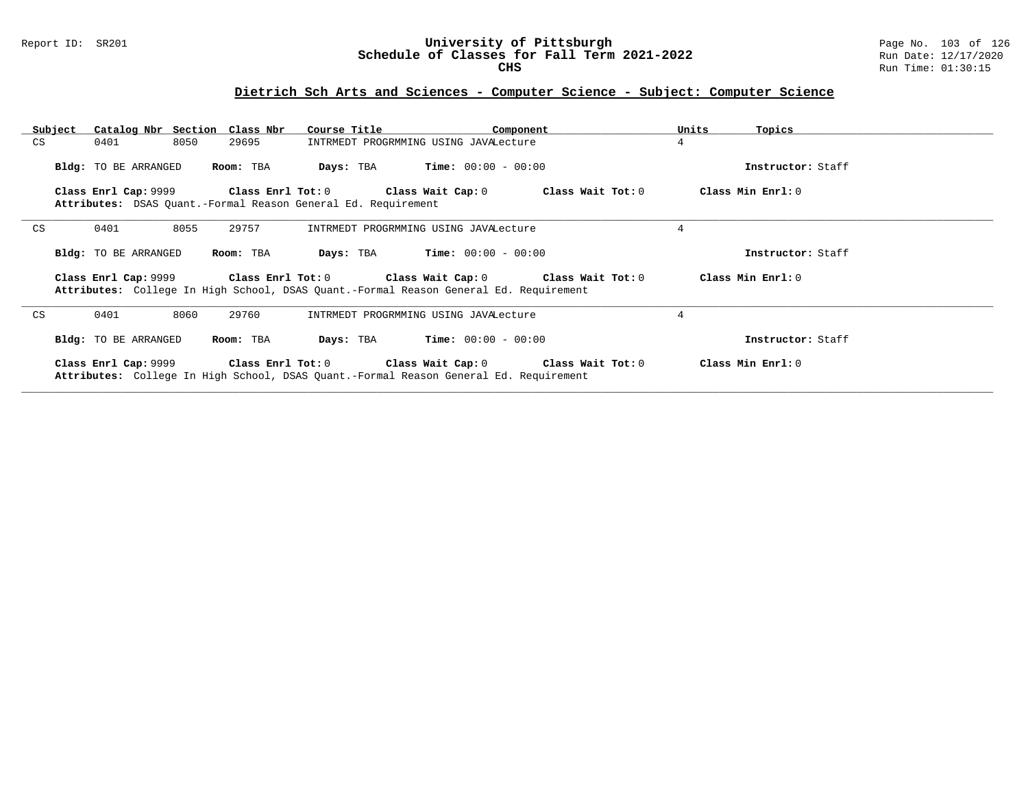#### Report ID: SR201 **University of Pittsburgh** Page No. 103 of 126 **Schedule of Classes for Fall Term 2021-2022** Run Date: 12/17/2020 **CHS** Run Time: 01:30:15

| Subject | Catalog Nbr Section Class Nbr |           | Course Title                                                                          | Component                                                                  | Units<br>Topics   |
|---------|-------------------------------|-----------|---------------------------------------------------------------------------------------|----------------------------------------------------------------------------|-------------------|
| CS      | 8050<br>0401                  | 29695     | INTRMEDT PROGRMMING USING JAVALecture                                                 |                                                                            | $\overline{4}$    |
|         | Bldg: TO BE ARRANGED          | Room: TBA | <b>Days:</b> TBA <b>Time:</b> $00:00 - 00:00$                                         |                                                                            | Instructor: Staff |
|         |                               |           | Attributes: DSAS Quant.-Formal Reason General Ed. Requirement                         | Class Enrl Cap: 9999 Class Enrl Tot: 0 Class Wait Cap: 0 Class Wait Tot: 0 | Class Min Enrl: 0 |
| CS      | 8055<br>0401                  | 29757     | INTRMEDT PROGRMMING USING JAVALecture                                                 |                                                                            | 4                 |
|         | Bldg: TO BE ARRANGED          | Room: TBA | $Time: 00:00 - 00:00$<br>Days: TBA                                                    |                                                                            | Instructor: Staff |
|         |                               |           | Attributes: College In High School, DSAS Quant.-Formal Reason General Ed. Requirement | Class Enrl Cap: 9999 Class Enrl Tot: 0 Class Wait Cap: 0 Class Wait Tot: 0 | Class Min Enrl: 0 |
| CS      | 8060<br>0401                  | 29760     | INTRMEDT PROGRMMING USING JAVALecture                                                 |                                                                            | 4                 |
|         | Bldg: TO BE ARRANGED          | Room: TBA | $Time: 00:00 - 00:00$<br>Days: TBA                                                    |                                                                            | Instructor: Staff |
|         |                               |           | Attributes: College In High School, DSAS Quant.-Formal Reason General Ed. Requirement | Class Enrl Cap: 9999 Class Enrl Tot: 0 Class Wait Cap: 0 Class Wait Tot: 0 | Class Min Enrl: 0 |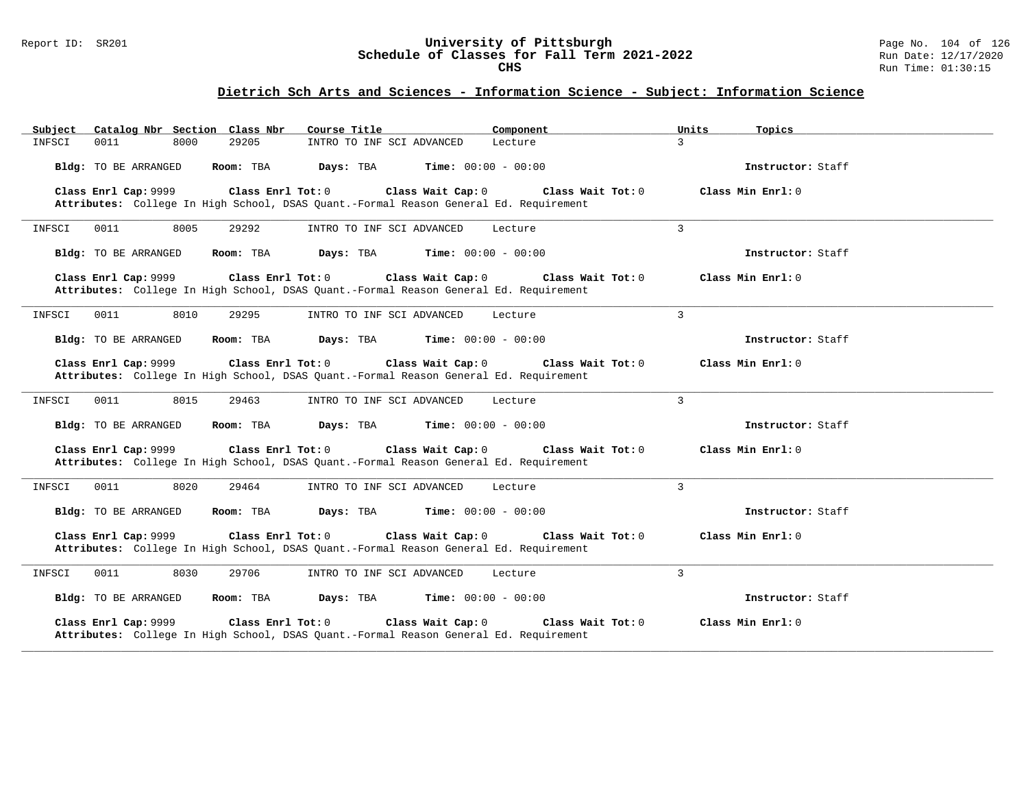#### Report ID: SR201 **University of Pittsburgh** Page No. 104 of 126 **Schedule of Classes for Fall Term 2021-2022** Run Date: 12/17/2020 **CHS** Run Time: 01:30:15

## **Dietrich Sch Arts and Sciences - Information Science - Subject: Information Science**

| Catalog Nbr Section Class Nbr<br>Subject | Course Title                                                                                                                    | Component               | Units<br>Topics     |
|------------------------------------------|---------------------------------------------------------------------------------------------------------------------------------|-------------------------|---------------------|
| 0011<br>8000<br>29205<br>INFSCI          | INTRO TO INF SCI ADVANCED                                                                                                       | 3<br>Lecture            |                     |
| Bldg: TO BE ARRANGED<br>Room: TBA        | Days: TBA<br><b>Time:</b> $00:00 - 00:00$                                                                                       |                         | Instructor: Staff   |
| Class Enrl Cap: 9999                     | Class Enrl Tot: 0<br>Class Wait Cap: 0<br>Attributes: College In High School, DSAS Quant.-Formal Reason General Ed. Requirement | Class Wait Tot: 0       | Class Min $Enrl: 0$ |
| 0011<br>8005<br>29292<br>INFSCI          | INTRO TO INF SCI ADVANCED                                                                                                       | 3<br>Lecture            |                     |
| Bldg: TO BE ARRANGED<br>Room: TBA        | Days: TBA<br><b>Time:</b> $00:00 - 00:00$                                                                                       |                         | Instructor: Staff   |
| Class Enrl Cap: 9999                     | Class Enrl Tot: 0<br>Class Wait Cap: 0<br>Attributes: College In High School, DSAS Quant.-Formal Reason General Ed. Requirement | Class Wait Tot: 0       | Class Min Enrl: 0   |
| 0011<br>8010<br>29295<br>INFSCI          | INTRO TO INF SCI ADVANCED                                                                                                       | 3<br>Lecture            |                     |
| Room: TBA<br>Bldg: TO BE ARRANGED        | <b>Time:</b> $00:00 - 00:00$<br>Days: TBA                                                                                       |                         | Instructor: Staff   |
| Class Enrl Cap: 9999                     | Class Enrl Tot: 0<br>Class Wait Cap: 0<br>Attributes: College In High School, DSAS Quant.-Formal Reason General Ed. Requirement | Class Wait Tot: 0       | Class Min $Enr1: 0$ |
| 8015<br>INFSCI<br>0011<br>29463          | INTRO TO INF SCI ADVANCED                                                                                                       | $\mathbf{3}$<br>Lecture |                     |
| Bldg: TO BE ARRANGED<br>Room: TBA        | Days: TBA<br><b>Time:</b> $00:00 - 00:00$                                                                                       |                         | Instructor: Staff   |
| Class Enrl Cap: 9999                     | Class Wait Cap: 0<br>Class Enrl Tot: 0<br>Attributes: College In High School, DSAS Quant.-Formal Reason General Ed. Requirement | Class Wait Tot: 0       | Class Min Enrl: 0   |
| 0011<br>8020<br>INFSCI<br>29464          | INTRO TO INF SCI ADVANCED                                                                                                       | 3<br>Lecture            |                     |
| Bldg: TO BE ARRANGED<br>Room: TBA        | Days: TBA<br><b>Time:</b> $00:00 - 00:00$                                                                                       |                         | Instructor: Staff   |
| Class Enrl Cap: 9999                     | Class Enrl Tot: 0<br>Class Wait Cap: 0<br>Attributes: College In High School, DSAS Quant.-Formal Reason General Ed. Requirement | Class Wait Tot: 0       | Class Min $Enr1: 0$ |
| 8030<br>29706<br>INFSCI<br>0011          | INTRO TO INF SCI ADVANCED                                                                                                       | 3<br>Lecture            |                     |
| Bldg: TO BE ARRANGED<br>Room: TBA        | Days: TBA<br><b>Time:</b> $00:00 - 00:00$                                                                                       |                         | Instructor: Staff   |
| Class Enrl Cap: 9999                     | Class Enrl Tot: 0<br>Class Wait Cap: 0<br>Attributes: College In High School, DSAS Quant.-Formal Reason General Ed. Requirement | Class Wait Tot: 0       | Class Min Enrl: 0   |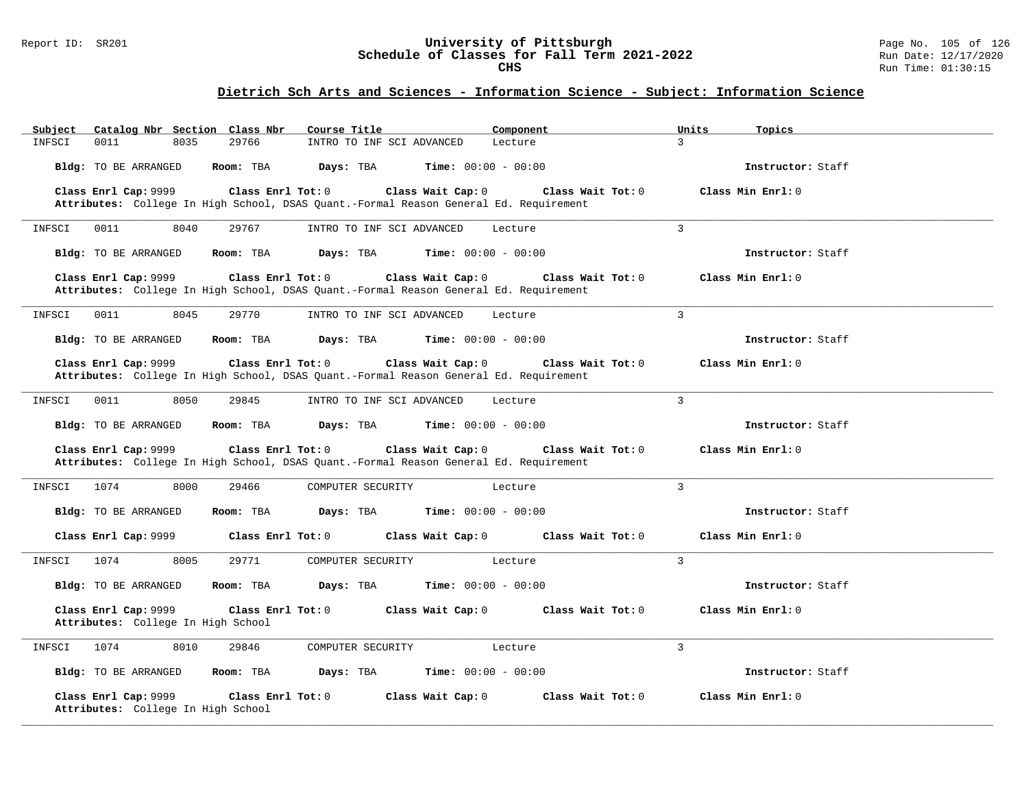#### Report ID: SR201 **University of Pittsburgh** Page No. 105 of 126 **Schedule of Classes for Fall Term 2021-2022** Run Date: 12/17/2020 **CHS** Run Time: 01:30:15

## **Dietrich Sch Arts and Sciences - Information Science - Subject: Information Science**

| Catalog Nbr Section Class Nbr<br>Subject                   | Course Title<br>Component                                                                                                       | Topics<br>Units                        |
|------------------------------------------------------------|---------------------------------------------------------------------------------------------------------------------------------|----------------------------------------|
| 29766<br>INFSCI<br>0011<br>8035                            | INTRO TO INF SCI ADVANCED<br>Lecture                                                                                            | 3                                      |
| Bldg: TO BE ARRANGED<br>Room: TBA                          | Days: TBA<br><b>Time:</b> $00:00 - 00:00$                                                                                       | Instructor: Staff                      |
| Class Enrl Cap: 9999                                       | Class Enrl Tot: 0<br>Class Wait Cap: 0                                                                                          | Class Wait Tot: 0<br>Class Min Enrl: 0 |
|                                                            | Attributes: College In High School, DSAS Quant.-Formal Reason General Ed. Requirement                                           |                                        |
| INFSCI<br>0011<br>8040<br>29767                            | INTRO TO INF SCI ADVANCED<br>Lecture                                                                                            | 3                                      |
| <b>Bldg:</b> TO BE ARRANGED<br>Room: TBA                   | Days: TBA<br><b>Time:</b> $00:00 - 00:00$                                                                                       | Instructor: Staff                      |
| Class Enrl Cap: 9999                                       | Class Enrl Tot: 0<br>Class Wait Cap: 0<br>Attributes: College In High School, DSAS Quant.-Formal Reason General Ed. Requirement | Class Wait Tot: 0<br>Class Min Enrl: 0 |
| 29770<br>0011<br>8045<br>INFSCI                            | INTRO TO INF SCI ADVANCED<br>Lecture                                                                                            | 3                                      |
| Bldg: TO BE ARRANGED<br>Room: TBA                          | <b>Time:</b> $00:00 - 00:00$<br>Days: TBA                                                                                       | Instructor: Staff                      |
| Class Enrl Cap: 9999                                       | Class Wait Cap: 0<br>Class Enrl Tot: 0<br>Attributes: College In High School, DSAS Quant.-Formal Reason General Ed. Requirement | Class Wait Tot: 0<br>Class Min Enrl: 0 |
| 8050<br>29845<br>INFSCI<br>0011                            | INTRO TO INF SCI ADVANCED<br>Lecture                                                                                            | 3                                      |
| <b>Bldg:</b> TO BE ARRANGED<br>Room: TBA                   | Days: TBA<br><b>Time:</b> $00:00 - 00:00$                                                                                       | Instructor: Staff                      |
| Class Enrl Cap: 9999                                       | Class Enrl Tot: 0<br>Class Wait Cap: 0<br>Attributes: College In High School, DSAS Quant.-Formal Reason General Ed. Requirement | Class Wait Tot: 0<br>Class Min Enrl: 0 |
| 1074<br>INFSCI<br>8000<br>29466                            | COMPUTER SECURITY<br>Lecture                                                                                                    | 3                                      |
| <b>Bldg:</b> TO BE ARRANGED<br>Room: TBA                   | Days: TBA<br><b>Time:</b> $00:00 - 00:00$                                                                                       | Instructor: Staff                      |
| Class Enrl Cap: 9999                                       | Class Enrl Tot: 0<br>Class Wait Cap: 0                                                                                          | Class Wait Tot: 0<br>Class Min Enrl: 0 |
| 29771<br>INFSCI<br>1074<br>8005                            | COMPUTER SECURITY<br>Lecture                                                                                                    | $\overline{3}$                         |
| Bldg: TO BE ARRANGED<br>Room: TBA                          | Days: TBA<br><b>Time:</b> $00:00 - 00:00$                                                                                       | Instructor: Staff                      |
| Class Enrl Cap: 9999<br>Attributes: College In High School | Class Enrl Tot: 0<br>Class Wait Cap: 0                                                                                          | Class Wait Tot: 0<br>Class Min Enrl: 0 |
| 29846<br>1074<br>8010<br>INFSCI                            | COMPUTER SECURITY<br>Lecture                                                                                                    | 3                                      |
| <b>Bldg:</b> TO BE ARRANGED<br>Room: TBA                   | Days: TBA<br><b>Time:</b> $00:00 - 00:00$                                                                                       | Instructor: Staff                      |
| Class Enrl Cap: 9999<br>Attributes: College In High School | Class Enrl Tot: 0<br>Class Wait Cap: 0                                                                                          | Class Wait Tot: 0<br>Class Min Enrl: 0 |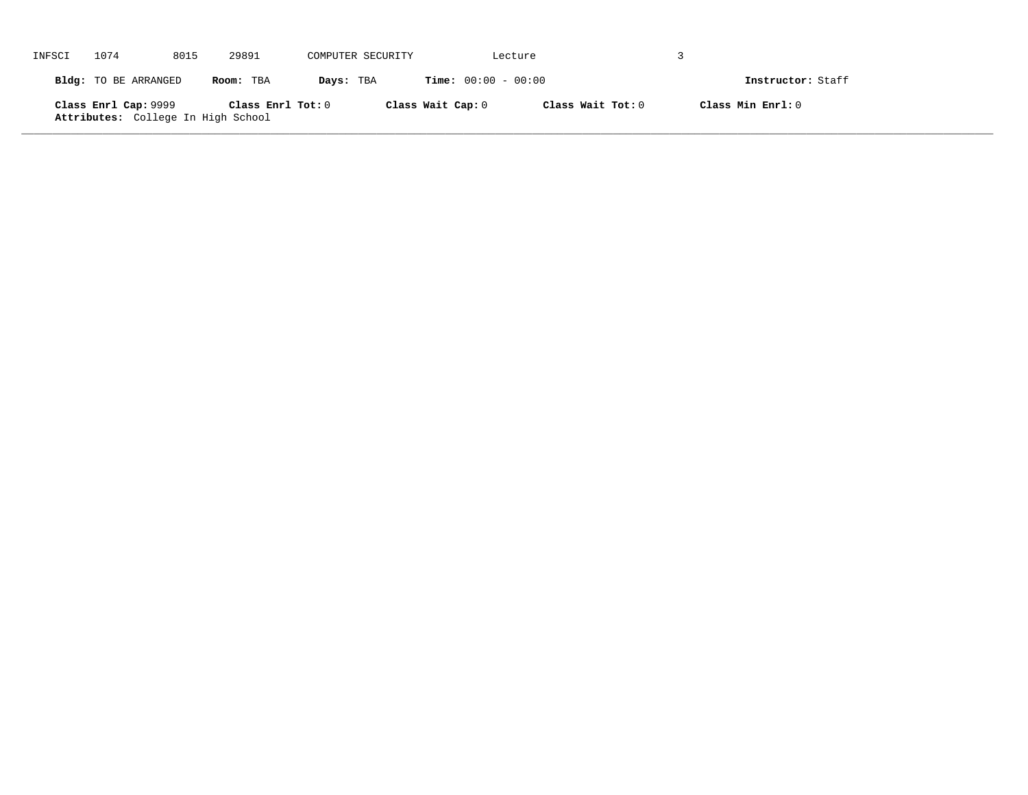| INFSCI | 1074                                                       | 8015 | 29891               | COMPUTER SECURITY |                   | Lecture                      |                   |                   |  |
|--------|------------------------------------------------------------|------|---------------------|-------------------|-------------------|------------------------------|-------------------|-------------------|--|
|        | Bldg: TO BE ARRANGED                                       |      | Room: TBA           | Days: TBA         |                   | <b>Time:</b> $00:00 - 00:00$ |                   | Instructor: Staff |  |
|        | Class Enrl Cap: 9999<br>Attributes: College In High School |      | Class Enrl Tot: $0$ |                   | Class Wait Cap: 0 |                              | Class Wait Tot: 0 | Class Min Enrl: 0 |  |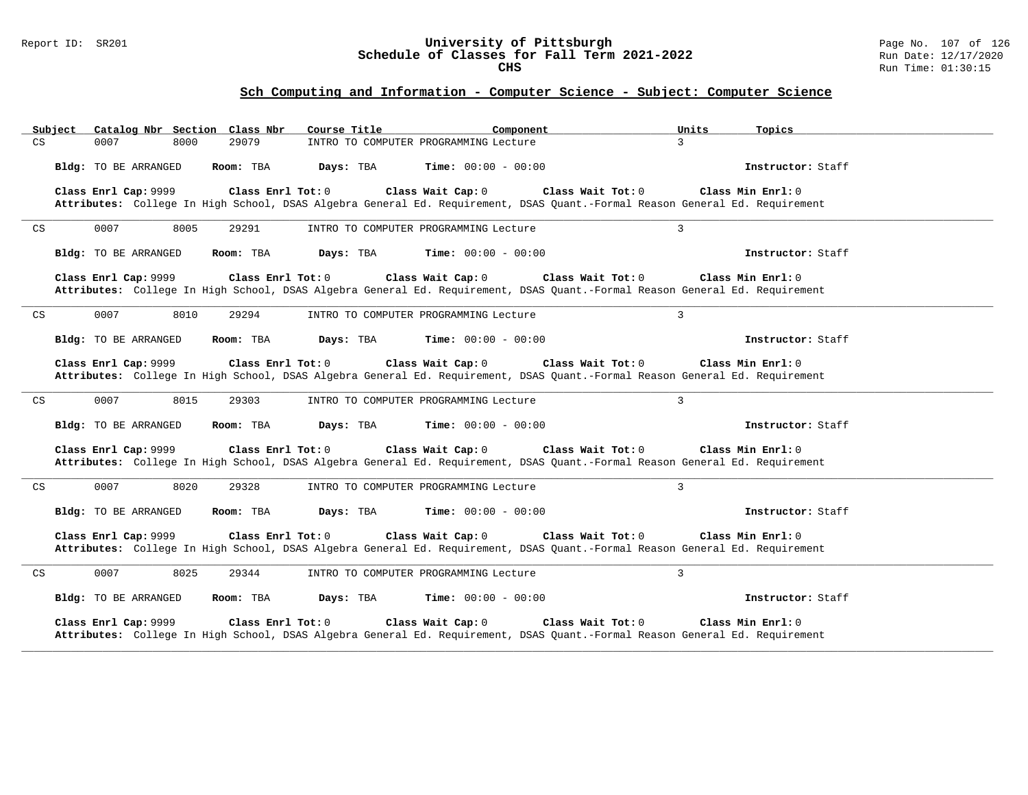#### Report ID: SR201 **University of Pittsburgh** Page No. 107 of 126 **Schedule of Classes for Fall Term 2021-2022** Run Date: 12/17/2020 **CHS** Run Time: 01:30:15

# **Sch Computing and Information - Computer Science - Subject: Computer Science**

|                            | Subject |                      | Catalog Nbr Section Class Nbr | Course Title | Component                                                                                                                                        |                   | Units | Topics              |  |
|----------------------------|---------|----------------------|-------------------------------|--------------|--------------------------------------------------------------------------------------------------------------------------------------------------|-------------------|-------|---------------------|--|
| CS                         | 0007    |                      | 29079<br>8000                 |              | INTRO TO COMPUTER PROGRAMMING Lecture                                                                                                            | $\mathbf{3}$      |       |                     |  |
|                            |         | Bldg: TO BE ARRANGED | Room: TBA                     | Days: TBA    | <b>Time:</b> $00:00 - 00:00$                                                                                                                     |                   |       | Instructor: Staff   |  |
|                            |         | Class Enrl Cap: 9999 | Class Enrl Tot: 0             |              | Class Wait Cap: 0<br>Attributes: College In High School, DSAS Algebra General Ed. Requirement, DSAS Quant.-Formal Reason General Ed. Requirement | Class Wait Tot: 0 |       | Class Min Enrl: 0   |  |
| $\mathop{\rm CS}\nolimits$ | 0007    |                      | 8005<br>29291                 |              | INTRO TO COMPUTER PROGRAMMING Lecture                                                                                                            | $\overline{3}$    |       |                     |  |
|                            |         | Bldg: TO BE ARRANGED | Room: TBA                     | Days: TBA    | <b>Time:</b> $00:00 - 00:00$                                                                                                                     |                   |       | Instructor: Staff   |  |
|                            |         | Class Enrl Cap: 9999 | Class Enrl Tot: 0             |              | Class Wait Cap: 0<br>Attributes: College In High School, DSAS Algebra General Ed. Requirement, DSAS Quant.-Formal Reason General Ed. Requirement | Class Wait Tot: 0 |       | Class Min Enrl: 0   |  |
| CS                         | 0007    |                      | 8010<br>29294                 |              | INTRO TO COMPUTER PROGRAMMING Lecture                                                                                                            | $\overline{3}$    |       |                     |  |
|                            |         | Bldg: TO BE ARRANGED | Room: TBA                     | Days: TBA    | <b>Time:</b> $00:00 - 00:00$                                                                                                                     |                   |       | Instructor: Staff   |  |
|                            |         | Class Enrl Cap: 9999 | Class $Enr1 Tot: 0$           |              | Class Wait Cap: 0<br>Attributes: College In High School, DSAS Algebra General Ed. Requirement, DSAS Quant.-Formal Reason General Ed. Requirement | Class Wait Tot: 0 |       | Class Min $Enr1: 0$ |  |
| CS                         | 0007    |                      | 8015<br>29303                 |              | INTRO TO COMPUTER PROGRAMMING Lecture                                                                                                            | 3                 |       |                     |  |
|                            |         | Bldg: TO BE ARRANGED | Room: TBA                     | Days: TBA    | <b>Time:</b> $00:00 - 00:00$                                                                                                                     |                   |       | Instructor: Staff   |  |
|                            |         | Class Enrl Cap: 9999 | Class Enrl Tot: 0             |              | Class Wait Cap: 0<br>Attributes: College In High School, DSAS Algebra General Ed. Requirement, DSAS Quant.-Formal Reason General Ed. Requirement | Class Wait Tot: 0 |       | Class Min Enrl: 0   |  |
| CS                         | 0007    |                      | 8020<br>29328                 |              | INTRO TO COMPUTER PROGRAMMING Lecture                                                                                                            | $\overline{3}$    |       |                     |  |
|                            |         | Bldg: TO BE ARRANGED | Room: TBA                     | Days: TBA    | <b>Time:</b> $00:00 - 00:00$                                                                                                                     |                   |       | Instructor: Staff   |  |
|                            |         | Class Enrl Cap: 9999 | Class Enrl Tot: 0             |              | Class Wait Cap: 0<br>Attributes: College In High School, DSAS Algebra General Ed. Requirement, DSAS Quant.-Formal Reason General Ed. Requirement | Class Wait Tot: 0 |       | Class Min Enrl: 0   |  |
| CS                         | 0007    |                      | 8025<br>29344                 |              | INTRO TO COMPUTER PROGRAMMING Lecture                                                                                                            | $\overline{3}$    |       |                     |  |
|                            |         | Bldg: TO BE ARRANGED | Room: TBA                     | Days: TBA    | <b>Time:</b> $00:00 - 00:00$                                                                                                                     |                   |       | Instructor: Staff   |  |
|                            |         | Class Enrl Cap: 9999 | Class Enrl Tot: 0             |              | Class Wait Cap: 0<br>Attributes: College In High School, DSAS Algebra General Ed. Requirement, DSAS Quant.-Formal Reason General Ed. Requirement | Class Wait Tot: 0 |       | Class Min Enrl: 0   |  |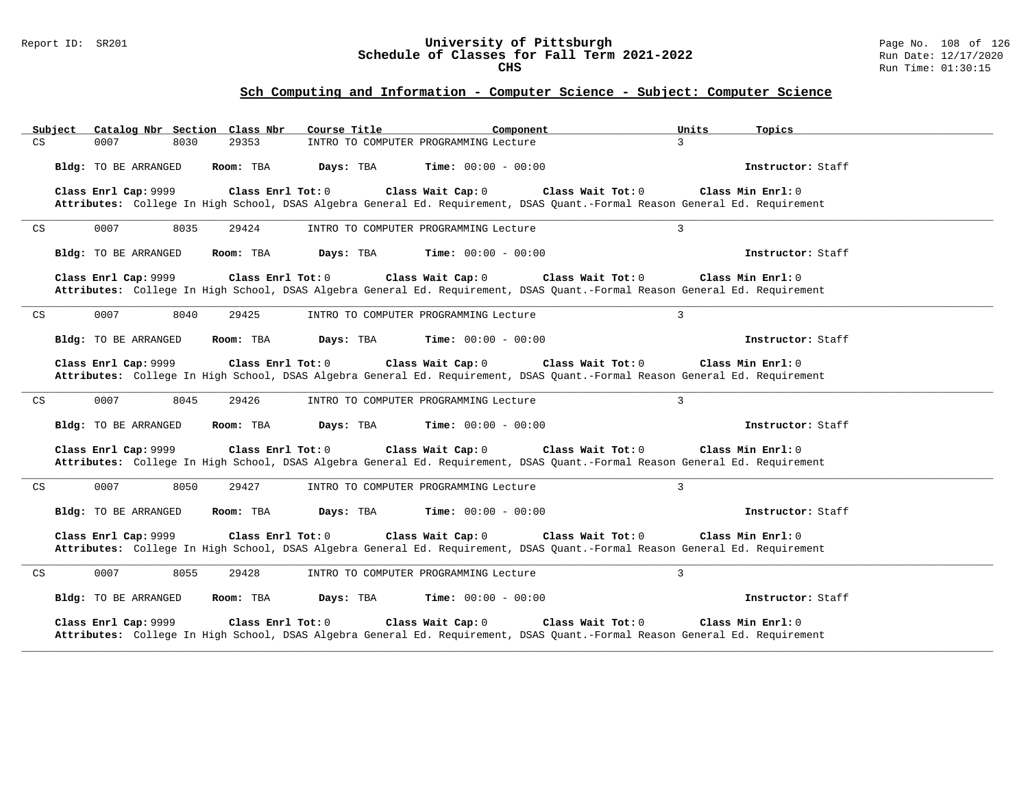#### Report ID: SR201 **University of Pittsburgh** Page No. 108 of 126 **Schedule of Classes for Fall Term 2021-2022** Run Date: 12/17/2020 **CHS** Run Time: 01:30:15

# **Sch Computing and Information - Computer Science - Subject: Computer Science**

| Subject                    | Catalog Nbr Section Class Nbr     | Course Title                                                                                                                                                            | Component         | Units<br>Topics     |
|----------------------------|-----------------------------------|-------------------------------------------------------------------------------------------------------------------------------------------------------------------------|-------------------|---------------------|
| CS                         | 0007<br>8030                      | 29353<br>INTRO TO COMPUTER PROGRAMMING Lecture                                                                                                                          |                   | $\mathbf{3}$        |
|                            | Bldg: TO BE ARRANGED<br>Room: TBA | Days: TBA<br><b>Time:</b> $00:00 - 00:00$                                                                                                                               |                   | Instructor: Staff   |
|                            | Class Enrl Cap: 9999              | Class Enrl Tot: $0$<br>Class Wait Cap: 0<br>Attributes: College In High School, DSAS Algebra General Ed. Requirement, DSAS Quant.-Formal Reason General Ed. Requirement | Class Wait Tot: 0 | Class Min $Enrl: 0$ |
| CS                         | 0007<br>8035                      | 29424<br>INTRO TO COMPUTER PROGRAMMING Lecture                                                                                                                          |                   | $\overline{3}$      |
|                            | Bldg: TO BE ARRANGED<br>Room: TBA | Days: TBA<br><b>Time:</b> $00:00 - 00:00$                                                                                                                               |                   | Instructor: Staff   |
|                            | Class Enrl Cap: 9999              | Class Enrl Tot: 0<br>Class Wait Cap: 0<br>Attributes: College In High School, DSAS Algebra General Ed. Requirement, DSAS Quant.-Formal Reason General Ed. Requirement   | Class Wait Tot: 0 | Class Min Enrl: 0   |
| $\mathop{\rm CS}\nolimits$ | 0007<br>8040                      | 29425<br>INTRO TO COMPUTER PROGRAMMING Lecture                                                                                                                          |                   | $\overline{3}$      |
|                            | Bldg: TO BE ARRANGED<br>Room: TBA | Days: TBA<br><b>Time:</b> $00:00 - 00:00$                                                                                                                               |                   | Instructor: Staff   |
|                            | Class Enrl Cap: 9999              | Class Enrl Tot: 0<br>Class Wait Cap: 0<br>Attributes: College In High School, DSAS Algebra General Ed. Requirement, DSAS Quant.-Formal Reason General Ed. Requirement   | Class Wait Tot: 0 | Class Min Enrl: 0   |
| CS                         | 0007<br>8045                      | 29426<br>INTRO TO COMPUTER PROGRAMMING Lecture                                                                                                                          | 3                 |                     |
|                            | Bldg: TO BE ARRANGED<br>Room: TBA | Days: TBA<br><b>Time:</b> $00:00 - 00:00$                                                                                                                               |                   | Instructor: Staff   |
|                            | Class Enrl Cap: 9999              | Class Enrl Tot: 0<br>Class Wait Cap: 0<br>Attributes: College In High School, DSAS Algebra General Ed. Requirement, DSAS Quant.-Formal Reason General Ed. Requirement   | Class Wait Tot: 0 | Class Min Enrl: 0   |
| CS                         | 0007<br>8050                      | 29427<br>INTRO TO COMPUTER PROGRAMMING Lecture                                                                                                                          | 3                 |                     |
|                            | Bldg: TO BE ARRANGED<br>Room: TBA | <b>Time:</b> $00:00 - 00:00$<br>Days: TBA                                                                                                                               |                   | Instructor: Staff   |
|                            | Class Enrl Cap: 9999              | Class Enrl Tot: 0<br>Class Wait Cap: 0<br>Attributes: College In High School, DSAS Algebra General Ed. Requirement, DSAS Quant.-Formal Reason General Ed. Requirement   | Class Wait Tot: 0 | Class Min Enrl: 0   |
| CS                         | 0007<br>8055                      | 29428<br>INTRO TO COMPUTER PROGRAMMING Lecture                                                                                                                          | $\overline{3}$    |                     |
|                            | Bldg: TO BE ARRANGED<br>Room: TBA | Days: TBA<br><b>Time:</b> $00:00 - 00:00$                                                                                                                               |                   | Instructor: Staff   |
|                            | Class Enrl Cap: 9999              | Class Enrl Tot: 0<br>Class Wait Cap: 0<br>Attributes: College In High School, DSAS Algebra General Ed. Requirement, DSAS Quant.-Formal Reason General Ed. Requirement   | Class Wait Tot: 0 | Class Min Enrl: 0   |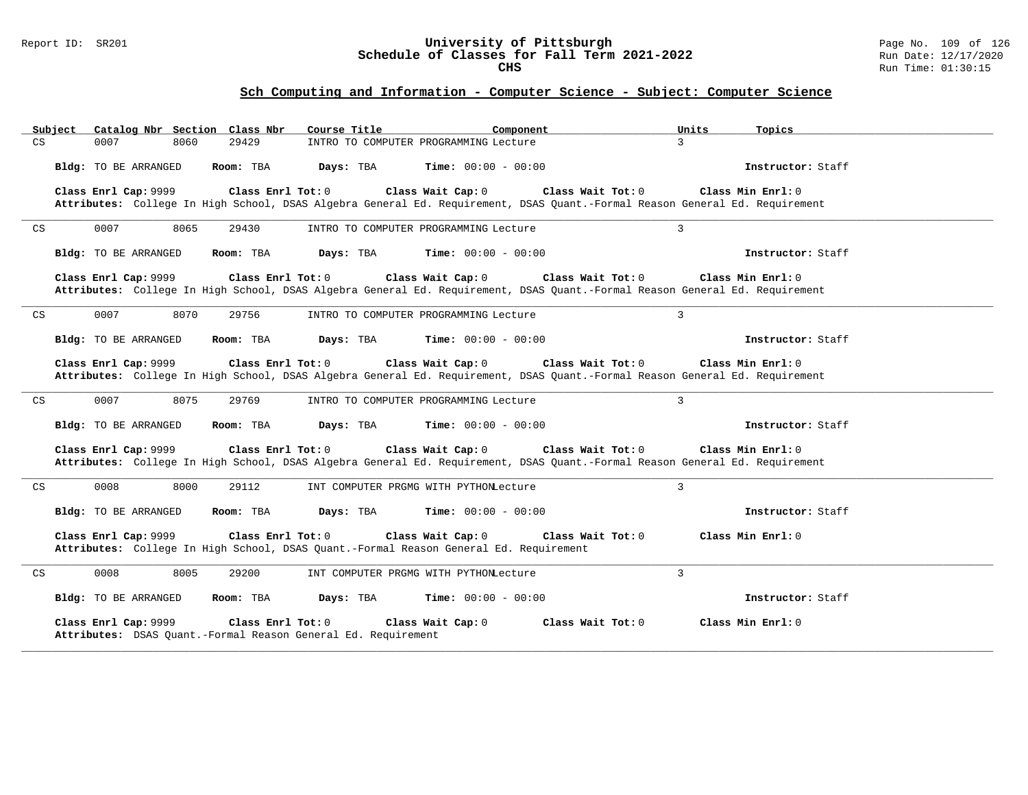#### Report ID: SR201 **University of Pittsburgh** Page No. 109 of 126 **Schedule of Classes for Fall Term 2021-2022** Run Date: 12/17/2020 **CHS** Run Time: 01:30:15

| Catalog Nbr Section Class Nbr<br>Subject                                              | Course Title                                                                                                                                                            | Units<br>Component | Topics              |
|---------------------------------------------------------------------------------------|-------------------------------------------------------------------------------------------------------------------------------------------------------------------------|--------------------|---------------------|
| CS<br>0007<br>29429<br>8060                                                           | INTRO TO COMPUTER PROGRAMMING Lecture                                                                                                                                   | $\mathcal{L}$      |                     |
| Bldg: TO BE ARRANGED<br>Room: TBA                                                     | Days: TBA<br><b>Time:</b> $00:00 - 00:00$                                                                                                                               |                    | Instructor: Staff   |
| Class Enrl Cap: 9999                                                                  | Class Enrl Tot: $0$<br>Class Wait Cap: 0<br>Attributes: College In High School, DSAS Algebra General Ed. Requirement, DSAS Quant.-Formal Reason General Ed. Requirement | Class Wait Tot: 0  | Class Min $Enrl: 0$ |
| 0007<br>8065<br>CS<br>29430                                                           | INTRO TO COMPUTER PROGRAMMING Lecture                                                                                                                                   | $\overline{3}$     |                     |
| Bldg: TO BE ARRANGED<br>Room: TBA                                                     | Days: TBA<br><b>Time:</b> $00:00 - 00:00$                                                                                                                               |                    | Instructor: Staff   |
| Class Enrl Cap: 9999                                                                  | Class Enrl Tot: 0<br>Class Wait Cap: 0<br>Attributes: College In High School, DSAS Algebra General Ed. Requirement, DSAS Quant.-Formal Reason General Ed. Requirement   | Class Wait Tot: 0  | Class Min Enrl: 0   |
| 0007<br>8070<br>$\mathop{\rm CS}\nolimits$<br>29756                                   | INTRO TO COMPUTER PROGRAMMING Lecture                                                                                                                                   | $\overline{3}$     |                     |
| Bldg: TO BE ARRANGED<br>Room: TBA                                                     | Days: TBA<br><b>Time:</b> $00:00 - 00:00$                                                                                                                               |                    | Instructor: Staff   |
| Class Enrl Cap: 9999                                                                  | Class Enrl Tot: 0<br>Class Wait Cap: 0<br>Attributes: College In High School, DSAS Algebra General Ed. Requirement, DSAS Quant.-Formal Reason General Ed. Requirement   | Class Wait Tot: 0  | Class Min Enrl: 0   |
| 0007<br>8075<br>29769<br>CS                                                           | INTRO TO COMPUTER PROGRAMMING Lecture                                                                                                                                   | $\overline{3}$     |                     |
| Bldg: TO BE ARRANGED<br>Room: TBA                                                     | Days: TBA<br><b>Time:</b> $00:00 - 00:00$                                                                                                                               |                    | Instructor: Staff   |
| Class Enrl Cap: 9999                                                                  | Class Enrl Tot: 0<br>Class Wait Cap: 0<br>Attributes: College In High School, DSAS Algebra General Ed. Requirement, DSAS Quant.-Formal Reason General Ed. Requirement   | Class Wait Tot: 0  | Class Min Enrl: 0   |
| 0008<br>8000<br>29112<br>CS                                                           | INT COMPUTER PRGMG WITH PYTHONLecture                                                                                                                                   | $\overline{3}$     |                     |
| Bldg: TO BE ARRANGED<br>Room: TBA                                                     | <b>Time:</b> $00:00 - 00:00$<br>Days: TBA                                                                                                                               |                    | Instructor: Staff   |
| Class Enrl Cap: 9999                                                                  | Class Enrl Tot: 0<br>Class Wait Cap: 0<br>Attributes: College In High School, DSAS Quant.-Formal Reason General Ed. Requirement                                         | Class Wait Tot: 0  | Class Min Enrl: 0   |
| 8005<br>0008<br>29200<br>CS                                                           | INT COMPUTER PRGMG WITH PYTHONLecture                                                                                                                                   | $\overline{3}$     |                     |
| Bldg: TO BE ARRANGED<br>Room: TBA                                                     | Days: TBA<br><b>Time:</b> $00:00 - 00:00$                                                                                                                               |                    | Instructor: Staff   |
| Class Enrl Cap: 9999<br>Attributes: DSAS Quant.-Formal Reason General Ed. Requirement | Class Enrl Tot: 0<br>Class Wait Cap: 0                                                                                                                                  | Class Wait Tot: 0  | Class Min Enrl: 0   |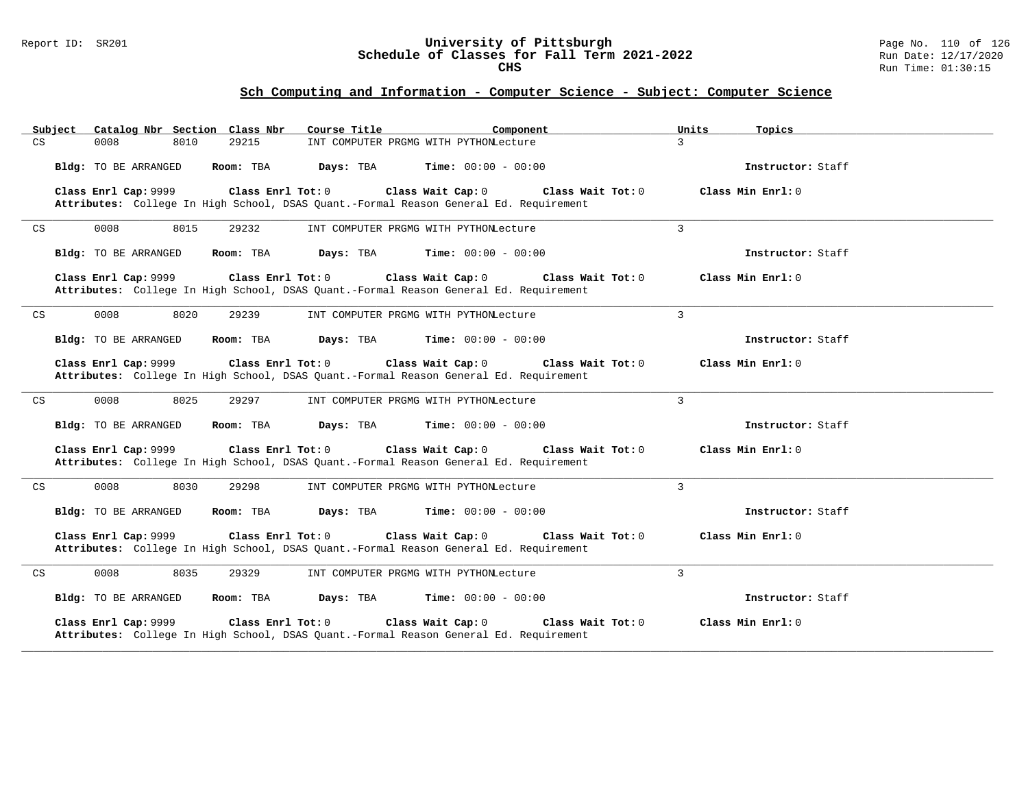#### Report ID: SR201 **University of Pittsburgh** Page No. 110 of 126 **Schedule of Classes for Fall Term 2021-2022** Run Date: 12/17/2020 **CHS** Run Time: 01:30:15

| Catalog Nbr Section Class Nbr<br>Subject            | Course Title<br>Component                                                                                                       | Units               | Topics              |
|-----------------------------------------------------|---------------------------------------------------------------------------------------------------------------------------------|---------------------|---------------------|
| CS<br>0008<br>8010<br>29215                         | INT COMPUTER PRGMG WITH PYTHONLecture                                                                                           | $\mathcal{L}$       |                     |
| Bldg: TO BE ARRANGED<br>Room: TBA                   | Days: TBA<br><b>Time:</b> $00:00 - 00:00$                                                                                       |                     | Instructor: Staff   |
| Class Enrl Cap: 9999                                | Class Enrl Tot: 0<br>Class Wait Cap: 0<br>Attributes: College In High School, DSAS Quant.-Formal Reason General Ed. Requirement | Class Wait $Tot: 0$ | Class Min $Enr1: 0$ |
| 0008<br>8015<br>CS<br>29232                         | INT COMPUTER PRGMG WITH PYTHONLecture                                                                                           | $\overline{3}$      |                     |
| Bldg: TO BE ARRANGED<br>Room: TBA                   | Days: TBA<br><b>Time:</b> $00:00 - 00:00$                                                                                       |                     | Instructor: Staff   |
| Class Enrl Cap: 9999                                | Class Enrl Tot: 0<br>Class Wait Cap: 0<br>Attributes: College In High School, DSAS Quant.-Formal Reason General Ed. Requirement | Class Wait Tot: 0   | Class Min Enrl: 0   |
| $\mathop{\rm CS}\nolimits$<br>0008<br>8020<br>29239 | INT COMPUTER PRGMG WITH PYTHONLecture                                                                                           | 3                   |                     |
| Bldg: TO BE ARRANGED<br>Room: TBA                   | Days: TBA<br><b>Time:</b> $00:00 - 00:00$                                                                                       |                     | Instructor: Staff   |
| Class Enrl Cap: 9999                                | Class Enrl Tot: 0<br>Class Wait Cap: 0<br>Attributes: College In High School, DSAS Quant.-Formal Reason General Ed. Requirement | Class Wait Tot: 0   | Class Min Enrl: 0   |
| 0008<br>8025<br>29297<br>CS                         | INT COMPUTER PRGMG WITH PYTHONLecture                                                                                           | $\overline{3}$      |                     |
| Bldg: TO BE ARRANGED<br>Room: TBA                   | Days: TBA<br><b>Time:</b> $00:00 - 00:00$                                                                                       |                     | Instructor: Staff   |
| Class Enrl Cap: 9999                                | Class Wait Cap: 0<br>Class Enrl Tot: 0<br>Attributes: College In High School, DSAS Quant.-Formal Reason General Ed. Requirement | Class Wait Tot: 0   | Class Min Enrl: 0   |
| 0008<br>8030<br>29298<br>CS                         | INT COMPUTER PRGMG WITH PYTHONLecture                                                                                           | 3                   |                     |
| Bldg: TO BE ARRANGED<br>Room: TBA                   | Days: TBA<br><b>Time:</b> $00:00 - 00:00$                                                                                       |                     | Instructor: Staff   |
| Class Enrl Cap: 9999                                | Class Enrl Tot: 0<br>Class Wait Cap: 0<br>Attributes: College In High School, DSAS Quant.-Formal Reason General Ed. Requirement | Class Wait Tot: 0   | Class Min Enrl: 0   |
| 0008<br>8035<br>29329<br>CS                         | INT COMPUTER PRGMG WITH PYTHONLecture                                                                                           | 3                   |                     |
| Bldg: TO BE ARRANGED<br>Room: TBA                   | Days: TBA<br><b>Time:</b> $00:00 - 00:00$                                                                                       |                     | Instructor: Staff   |
| Class Enrl Cap: 9999                                | Class Enrl Tot: 0<br>Class Wait Cap: 0<br>Attributes: College In High School, DSAS Quant.-Formal Reason General Ed. Requirement | Class Wait Tot: 0   | Class Min Enrl: 0   |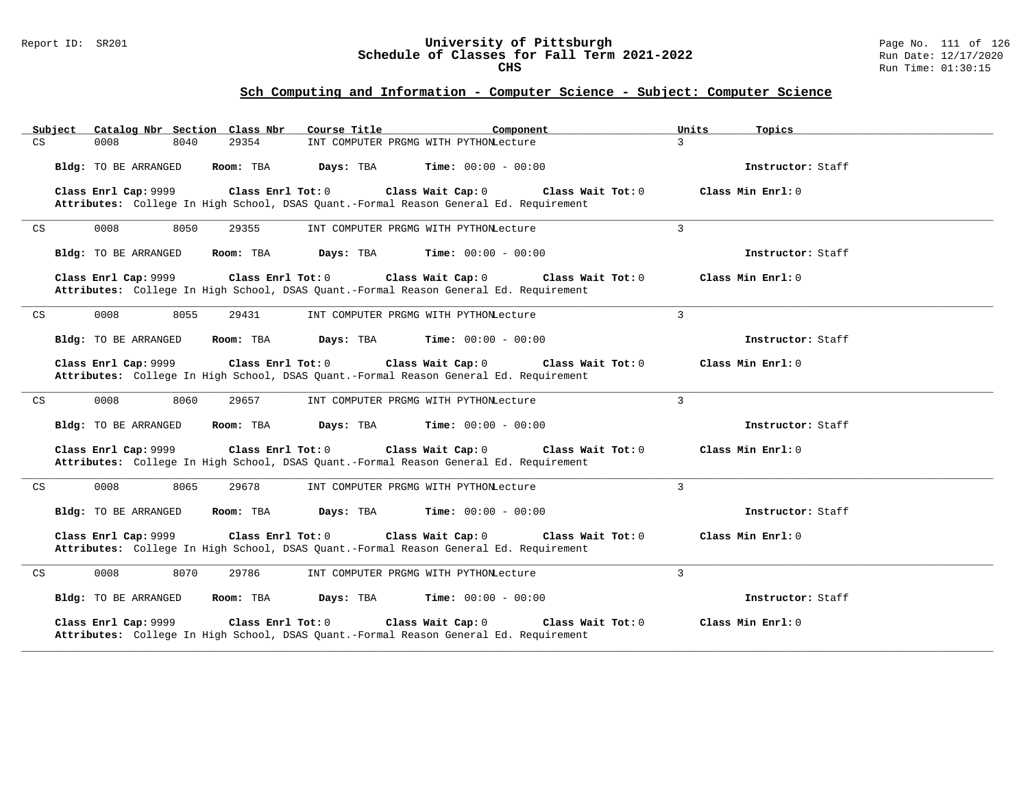#### Report ID: SR201 **University of Pittsburgh** Page No. 111 of 126 **Schedule of Classes for Fall Term 2021-2022** Run Date: 12/17/2020 **CHS** Run Time: 01:30:15

| Catalog Nbr Section Class Nbr<br>Subject   | Course Title                                                                                                                    | Component<br>Units           | Topics              |
|--------------------------------------------|---------------------------------------------------------------------------------------------------------------------------------|------------------------------|---------------------|
| CS<br>0008<br>8040                         | 29354<br>INT COMPUTER PRGMG WITH PYTHONLecture                                                                                  | $\mathcal{L}$                |                     |
| Bldg: TO BE ARRANGED                       | Room: TBA<br>Days: TBA<br>$Time: 00:00 - 00:00$                                                                                 |                              | Instructor: Staff   |
| Class Enrl Cap: 9999                       | Class Enrl Tot: 0<br>Class Wait Cap: 0<br>Attributes: College In High School, DSAS Quant.-Formal Reason General Ed. Requirement | Class Wait Tot: 0            | Class Min $Enrl: 0$ |
| 0008<br>8050<br>CS                         | 29355<br>INT COMPUTER PRGMG WITH PYTHONLecture                                                                                  | 3                            |                     |
| Bldg: TO BE ARRANGED                       | Room: TBA<br>Days: TBA                                                                                                          | <b>Time:</b> $00:00 - 00:00$ | Instructor: Staff   |
| Class Enrl Cap: 9999                       | Class Enrl Tot: 0<br>Class Wait Cap: 0<br>Attributes: College In High School, DSAS Quant.-Formal Reason General Ed. Requirement | Class Wait Tot: 0            | Class Min Enrl: 0   |
| 0008<br>8055<br>CS                         | 29431<br>INT COMPUTER PRGMG WITH PYTHONLecture                                                                                  | $\overline{3}$               |                     |
| Bldg: TO BE ARRANGED                       | Room: TBA<br>Days: TBA<br>$Time: 00:00 - 00:00$                                                                                 |                              | Instructor: Staff   |
| Class Enrl Cap: 9999                       | Class Enrl Tot: 0<br>Class Wait Cap: 0<br>Attributes: College In High School, DSAS Quant.-Formal Reason General Ed. Requirement | Class Wait Tot: 0            | Class Min Enrl: 0   |
| $\mathop{\rm CS}\nolimits$<br>0008<br>8060 | 29657<br>INT COMPUTER PRGMG WITH PYTHONLecture                                                                                  | 3                            |                     |
| Bldg: TO BE ARRANGED                       | Days: TBA<br>Room: TBA                                                                                                          | <b>Time:</b> $00:00 - 00:00$ | Instructor: Staff   |
| Class Enrl Cap: 9999                       | Class Enrl Tot: 0<br>Class Wait Cap: 0<br>Attributes: College In High School, DSAS Quant.-Formal Reason General Ed. Requirement | Class Wait Tot: 0            | Class Min Enrl: 0   |
| 0008<br>8065<br>CS                         | 29678<br>INT COMPUTER PRGMG WITH PYTHONLecture                                                                                  | $\overline{3}$               |                     |
| Bldg: TO BE ARRANGED                       | Days: TBA<br>Room: TBA                                                                                                          | <b>Time:</b> $00:00 - 00:00$ | Instructor: Staff   |
| Class Enrl Cap: 9999                       | Class Enrl Tot: 0<br>Class Wait Cap: 0<br>Attributes: College In High School, DSAS Quant.-Formal Reason General Ed. Requirement | Class Wait Tot: 0            | Class Min Enrl: 0   |
| 8070<br>0008<br>CS                         | 29786<br>INT COMPUTER PRGMG WITH PYTHONLecture                                                                                  | $\overline{3}$               |                     |
| Bldg: TO BE ARRANGED                       | Room: TBA<br>Days: TBA<br>$Time: 00:00 - 00:00$                                                                                 |                              | Instructor: Staff   |
| Class Enrl Cap: 9999                       | Class Enrl Tot: 0<br>Class Wait Cap: 0<br>Attributes: College In High School, DSAS Quant.-Formal Reason General Ed. Requirement | Class Wait Tot: 0            | Class Min Enrl: 0   |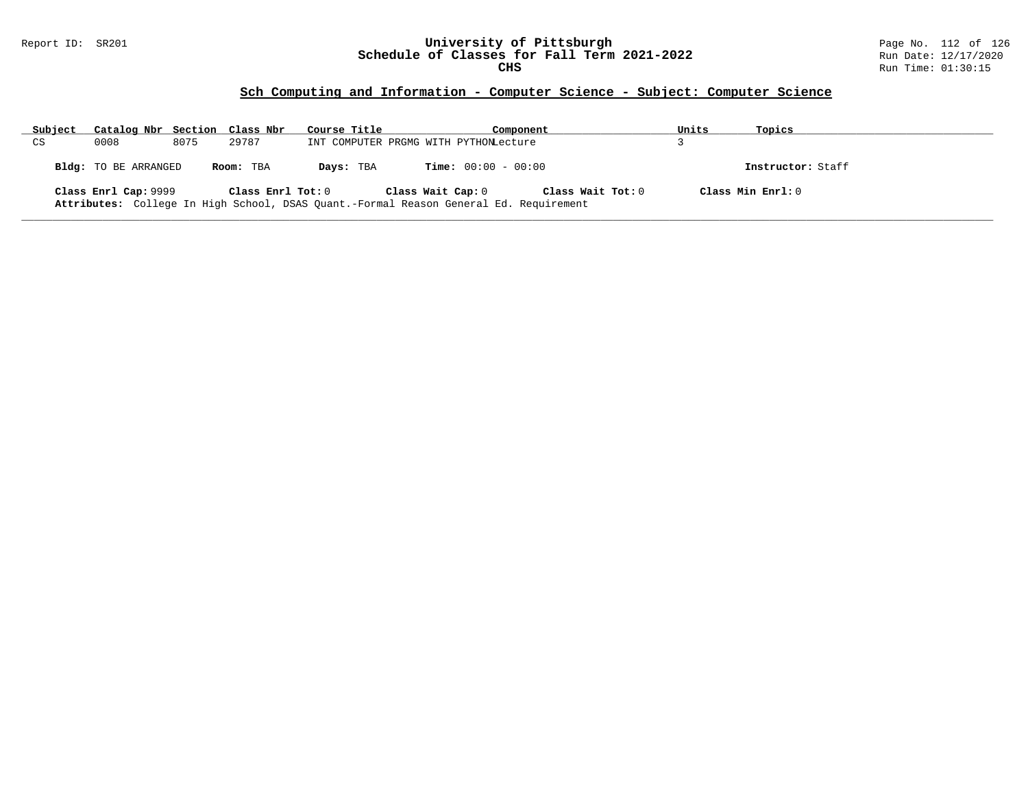#### Report ID: SR201 **University of Pittsburgh** Page No. 112 of 126 **Schedule of Classes for Fall Term 2021-2022** Run Date: 12/17/2020 **CHS** Run Time: 01:30:15

| Subject | Catalog Nbr Section Class Nbr |      |                   | Course Title                                                                          |                                       | Component         | Units | Topics              |
|---------|-------------------------------|------|-------------------|---------------------------------------------------------------------------------------|---------------------------------------|-------------------|-------|---------------------|
| CS      | 0008                          | 8075 | 29787             |                                                                                       | INT COMPUTER PRGMG WITH PYTHONLecture |                   |       |                     |
|         | Bldg: TO BE ARRANGED          |      | Room: TBA         | Days: TBA                                                                             | <b>Time:</b> $00:00 - 00:00$          |                   |       | Instructor: Staff   |
|         | Class Enrl Cap: 9999          |      | Class Enrl Tot: 0 | Attributes: College In High School, DSAS Quant.-Formal Reason General Ed. Requirement | Class Wait Cap: 0                     | Class Wait Tot: 0 |       | Class Min $Enrl: 0$ |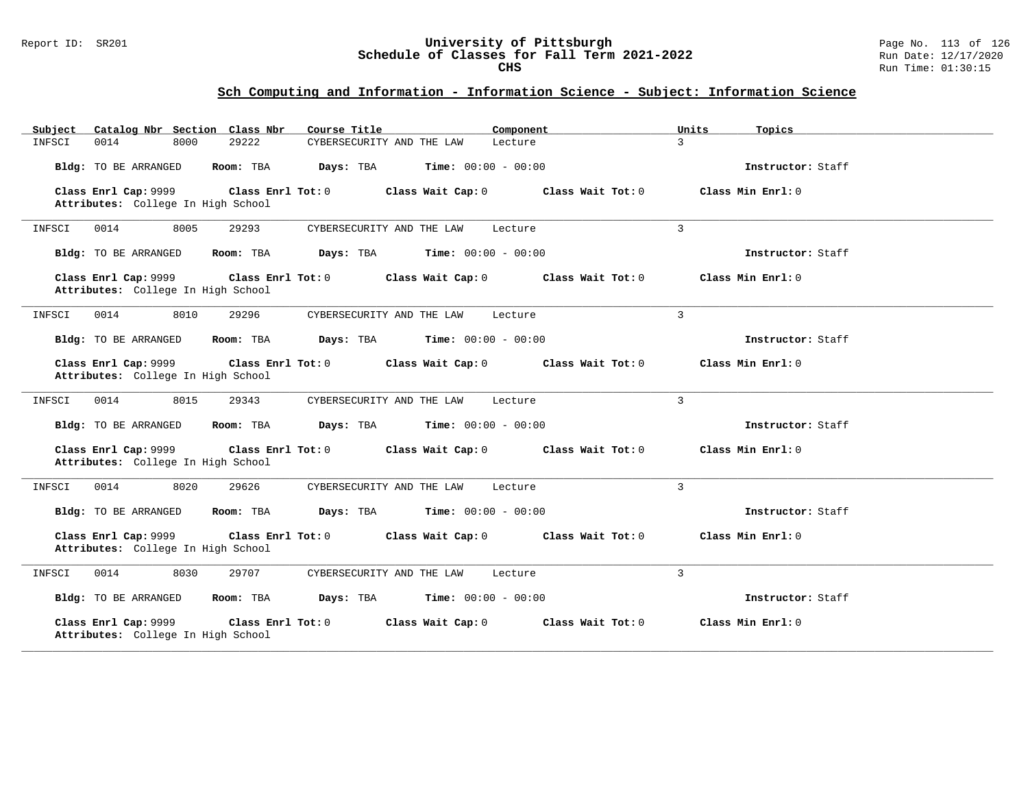#### Report ID: SR201 **University of Pittsburgh** Page No. 113 of 126 **Schedule of Classes for Fall Term 2021-2022** Run Date: 12/17/2020 **CHS** Run Time: 01:30:15

| Catalog Nbr Section Class Nbr<br>Subject                   | Course Title                                           | Component<br>Units       | Topics              |
|------------------------------------------------------------|--------------------------------------------------------|--------------------------|---------------------|
| 0014<br>8000<br>INFSCI                                     | 29222<br>CYBERSECURITY AND THE LAW                     | $\mathcal{E}$<br>Lecture |                     |
| Bldg: TO BE ARRANGED                                       | Days: TBA<br><b>Time:</b> $00:00 - 00:00$<br>Room: TBA |                          | Instructor: Staff   |
| Class Enrl Cap: 9999<br>Attributes: College In High School | Class Enrl Tot: 0<br>Class Wait Cap: 0                 | Class Wait Tot: $0$      | Class Min $Enrl: 0$ |
| 0014<br>8005<br>INFSCI                                     | 29293<br>CYBERSECURITY AND THE LAW                     | $\mathbf{3}$<br>Lecture  |                     |
| Bldg: TO BE ARRANGED                                       | Room: TBA<br>Days: TBA<br><b>Time:</b> $00:00 - 00:00$ |                          | Instructor: Staff   |
| Class Enrl Cap: 9999<br>Attributes: College In High School | Class Enrl Tot: 0<br>Class Wait Cap: 0                 | Class Wait Tot: 0        | Class Min $Enrl: 0$ |
| 8010<br>INFSCI<br>0014                                     | 29296<br>CYBERSECURITY AND THE LAW                     | $\mathbf{3}$<br>Lecture  |                     |
| Bldg: TO BE ARRANGED                                       | Days: TBA<br>$Time: 00:00 - 00:00$<br>Room: TBA        |                          | Instructor: Staff   |
| Class Enrl Cap: 9999<br>Attributes: College In High School | Class Enrl Tot: 0<br>Class Wait Cap: 0                 | Class Wait Tot: 0        | Class Min Enrl: 0   |
| 0014<br>8015<br>INFSCI                                     | 29343<br>CYBERSECURITY AND THE LAW                     | $\mathcal{L}$<br>Lecture |                     |
| Bldg: TO BE ARRANGED                                       | Days: TBA<br><b>Time:</b> $00:00 - 00:00$<br>Room: TBA |                          | Instructor: Staff   |
| Class Enrl Cap: 9999<br>Attributes: College In High School | Class Enrl Tot: 0<br>Class Wait Cap: 0                 | Class Wait Tot: 0        | Class Min Enrl: 0   |
| 8020<br>0014<br>INFSCI                                     | 29626<br>CYBERSECURITY AND THE LAW                     | 3<br>Lecture             |                     |
| Bldg: TO BE ARRANGED                                       | Room: TBA<br>Days: TBA<br><b>Time:</b> $00:00 - 00:00$ |                          | Instructor: Staff   |
| Class Enrl Cap: 9999<br>Attributes: College In High School | Class Enrl Tot: 0<br>Class Wait Cap: 0                 | Class Wait Tot: 0        | Class Min Enrl: 0   |
| 8030<br>INFSCI<br>0014                                     | 29707<br>CYBERSECURITY AND THE LAW                     | 3<br>Lecture             |                     |
| Bldg: TO BE ARRANGED                                       | Room: TBA<br>Days: TBA<br><b>Time:</b> $00:00 - 00:00$ |                          | Instructor: Staff   |
| Class Enrl Cap: 9999<br>Attributes: College In High School | Class Enrl Tot: 0<br>Class Wait Cap: 0                 | Class Wait Tot: 0        | Class Min Enrl: 0   |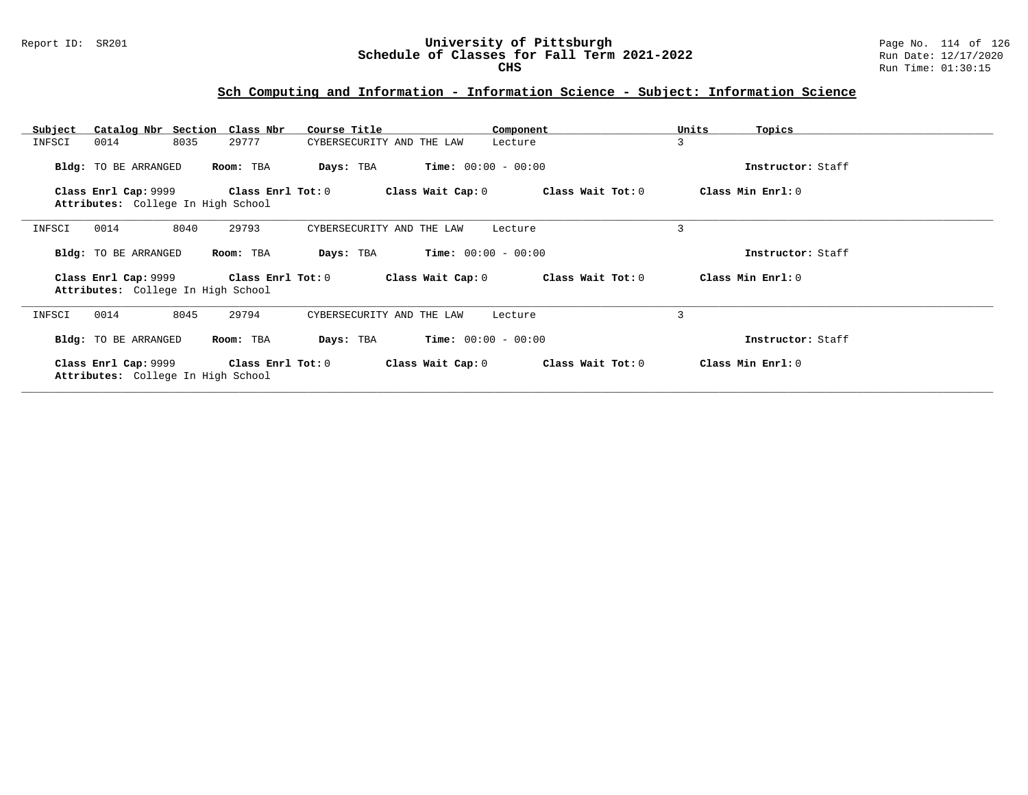| Catalog Nbr Section Class Nbr<br>Subject                   | Course Title                       | Component                              | Units<br>Topics   |
|------------------------------------------------------------|------------------------------------|----------------------------------------|-------------------|
| 8035<br>0014<br>INFSCI                                     | 29777<br>CYBERSECURITY AND THE LAW | Lecture                                | 3                 |
| Bldg: TO BE ARRANGED                                       | Room: TBA<br>Days: TBA             | $Time: 00:00 - 00:00$                  | Instructor: Staff |
| Class Enrl Cap: 9999<br>Attributes: College In High School | Class Enrl Tot: 0                  | Class Wait Tot: 0<br>Class Wait Cap: 0 | Class Min Enrl: 0 |
| 8040<br>0014<br>INFSCI                                     | 29793<br>CYBERSECURITY AND THE LAW | Lecture                                | 3                 |
| Bldg: TO BE ARRANGED                                       | Room: TBA<br>Days: TBA             | $Time: 00:00 - 00:00$                  | Instructor: Staff |
| Class Enrl Cap: 9999<br>Attributes: College In High School | Class Enrl Tot: 0                  | Class Wait Tot: 0<br>Class Wait Cap: 0 | Class Min Enrl: 0 |
| 8045<br>0014<br>INFSCI                                     | 29794<br>CYBERSECURITY AND THE LAW | Lecture                                | 3                 |
| Bldg: TO BE ARRANGED                                       | Room: TBA<br>Days: TBA             | <b>Time:</b> $00:00 - 00:00$           | Instructor: Staff |
| Class Enrl Cap: 9999<br>Attributes: College In High School | Class Enrl Tot:0                   | Class Wait Cap: 0<br>Class Wait Tot: 0 | Class Min Enrl: 0 |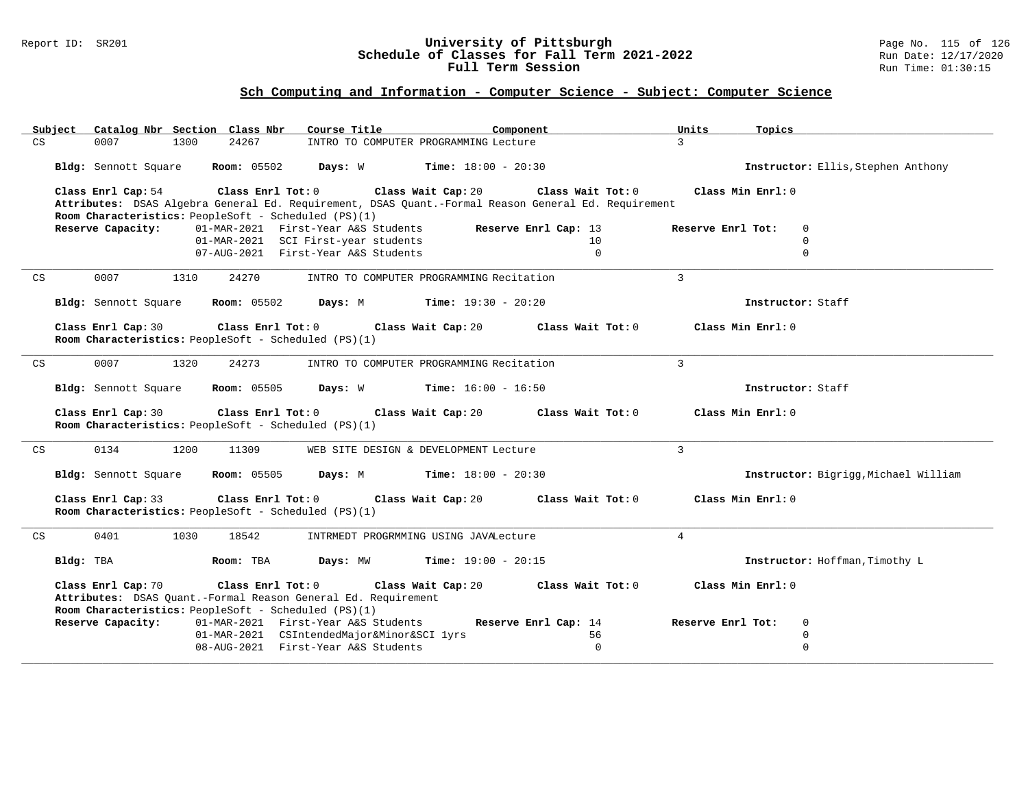### Report ID: SR201 **University of Pittsburgh** Page No. 115 of 126 **Schedule of Classes for Fall Term 2021-2022** Run Date: 12/17/2020 **Full Term Session Run Time: 01:30:15**

| Catalog Nbr Section Class Nbr<br>Course Title<br>Subject<br>Component                                                                                                                                       | Units<br>Topics                           |
|-------------------------------------------------------------------------------------------------------------------------------------------------------------------------------------------------------------|-------------------------------------------|
| 24267<br>CS<br>0007<br>1300<br>INTRO TO COMPUTER PROGRAMMING Lecture                                                                                                                                        | $\mathcal{E}$                             |
| Bldg: Sennott Square<br><b>Room:</b> 05502<br>Days: W<br><b>Time:</b> $18:00 - 20:30$                                                                                                                       | Instructor: Ellis, Stephen Anthony        |
| Class Enrl Tot: 0<br>Class Enrl Cap: 54<br>Class Wait Cap: 20<br>Class Wait Tot: 0                                                                                                                          | Class Min Enrl: 0                         |
| Attributes: DSAS Algebra General Ed. Requirement, DSAS Quant.-Formal Reason General Ed. Requirement                                                                                                         |                                           |
| Room Characteristics: PeopleSoft - Scheduled (PS)(1)                                                                                                                                                        |                                           |
| Reserve Capacity:<br>01-MAR-2021 First-Year A&S Students<br>Reserve Enrl Cap: 13<br>10                                                                                                                      | Reserve Enrl Tot:<br>$\Omega$<br>$\Omega$ |
| 01-MAR-2021 SCI First-year students<br>07-AUG-2021 First-Year A&S Students<br>$\mathbf 0$                                                                                                                   | $\mathbf 0$                               |
|                                                                                                                                                                                                             |                                           |
| 0007<br>1310<br>24270<br>INTRO TO COMPUTER PROGRAMMING Recitation<br>CS                                                                                                                                     | $\mathbf{3}$                              |
| <b>Room: 05502</b><br>Days: M<br><b>Time:</b> $19:30 - 20:20$<br>Bldg: Sennott Square                                                                                                                       | Instructor: Staff                         |
| Class Enrl Cap: 30<br>Class Enrl Tot: 0<br>Class Wait Cap: 20<br>Class Wait Tot: 0<br>Room Characteristics: PeopleSoft - Scheduled (PS)(1)                                                                  | Class Min Enrl: 0                         |
|                                                                                                                                                                                                             |                                           |
| 0007<br>1320<br>24273<br>CS<br>INTRO TO COMPUTER PROGRAMMING Recitation                                                                                                                                     | $\mathcal{E}$                             |
| Bldg: Sennott Square<br><b>Room: 05505</b><br>Days: W<br><b>Time:</b> $16:00 - 16:50$                                                                                                                       | Instructor: Staff                         |
| Class Enrl Cap: 30<br>Class Enrl Tot: 0<br>Class Wait Cap: 20<br>Class Wait Tot: 0                                                                                                                          | Class Min Enrl: 0                         |
| Room Characteristics: PeopleSoft - Scheduled (PS)(1)                                                                                                                                                        |                                           |
| 0134<br>1200<br>CS<br>11309<br>WEB SITE DESIGN & DEVELOPMENT Lecture                                                                                                                                        | $\overline{3}$                            |
| <b>Room: 05505</b><br><b>Time:</b> $18:00 - 20:30$<br><b>Bldg:</b> Sennott Square<br>Days: M                                                                                                                | Instructor: Bigrigg, Michael William      |
| Class Enrl Cap: 33<br>Class Enrl Tot: 0<br>Class Wait Cap: 20<br>Class Wait Tot: 0<br>Room Characteristics: PeopleSoft - Scheduled (PS)(1)                                                                  | Class Min Enrl: 0                         |
| 0401<br>1030<br>18542<br>CS<br>INTRMEDT PROGRMMING USING JAVALecture                                                                                                                                        | $\overline{4}$                            |
| <b>Time:</b> $19:00 - 20:15$<br>Bldg: TBA<br>Room: TBA<br>Days: MW                                                                                                                                          | Instructor: Hoffman, Timothy L            |
| Class Enrl Cap: 70<br>Class Enrl Tot: 0<br>Class Wait Cap: 20<br>Class Wait Tot: 0<br>Attributes: DSAS Quant.-Formal Reason General Ed. Requirement<br>Room Characteristics: PeopleSoft - Scheduled (PS)(1) | Class Min Enrl: 0                         |
| Reserve Capacity:<br>01-MAR-2021 First-Year A&S Students<br>Reserve Enrl Cap: 14                                                                                                                            | Reserve Enrl Tot:<br>$\overline{0}$       |
| 01-MAR-2021 CSIntendedMajor&Minor&SCI lyrs<br>56                                                                                                                                                            | $\mathbf 0$                               |
| 08-AUG-2021 First-Year A&S Students<br>$\Omega$                                                                                                                                                             | $\mathbf 0$                               |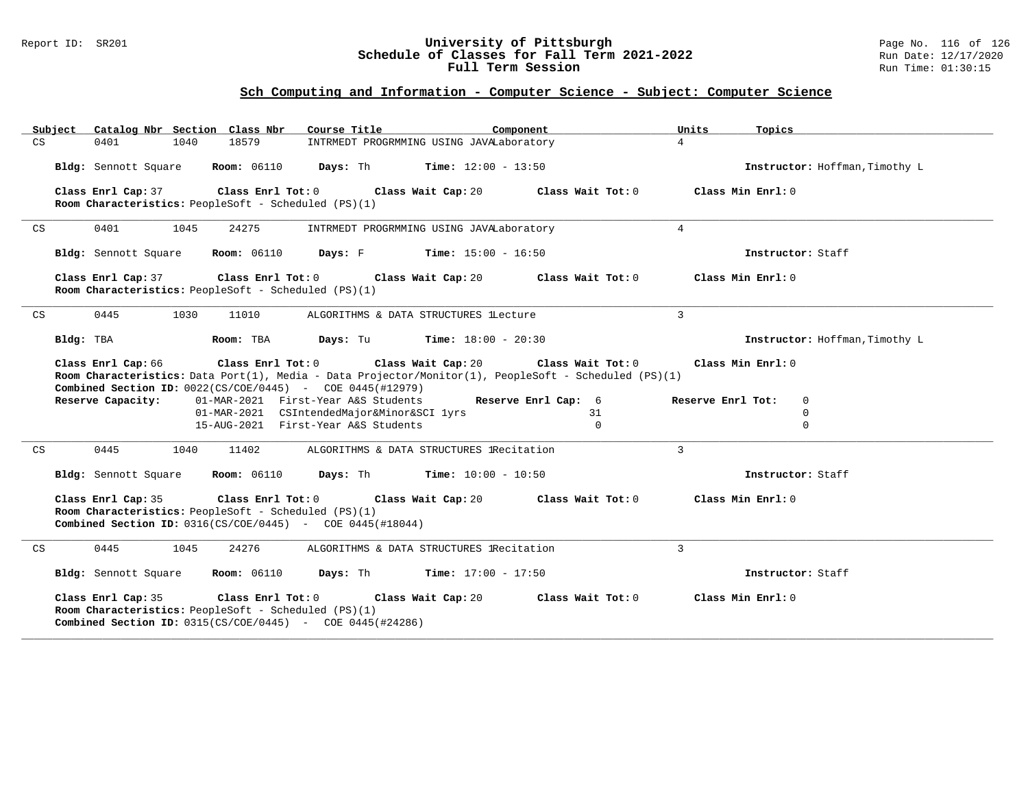#### Report ID: SR201 **University of Pittsburgh** Page No. 116 of 126 **Schedule of Classes for Fall Term 2021-2022** Run Date: 12/17/2020 **Full Term Session Run Time: 01:30:15**

| Subject | Catalog Nbr Section Class Nbr                                                                                                                                                                                                                                                                                                                                                                                                                                                                                                                      | Course Title                             | Component         | Units<br>Topics                |  |  |  |
|---------|----------------------------------------------------------------------------------------------------------------------------------------------------------------------------------------------------------------------------------------------------------------------------------------------------------------------------------------------------------------------------------------------------------------------------------------------------------------------------------------------------------------------------------------------------|------------------------------------------|-------------------|--------------------------------|--|--|--|
| CS      | 18579<br>0401<br>1040                                                                                                                                                                                                                                                                                                                                                                                                                                                                                                                              | INTRMEDT PROGRMMING USING JAVALaboratory |                   | $\overline{4}$                 |  |  |  |
|         | <b>Room: 06110</b><br>Bldg: Sennott Square                                                                                                                                                                                                                                                                                                                                                                                                                                                                                                         | Days: Th<br><b>Time:</b> $12:00 - 13:50$ |                   | Instructor: Hoffman, Timothy L |  |  |  |
|         | Class Enrl Cap: 37<br>Class Enrl Tot: 0<br>Room Characteristics: PeopleSoft - Scheduled (PS)(1)                                                                                                                                                                                                                                                                                                                                                                                                                                                    | Class Wait Cap: 20                       | Class Wait Tot: 0 | Class Min Enrl: 0              |  |  |  |
| CS      | 0401<br>1045<br>24275                                                                                                                                                                                                                                                                                                                                                                                                                                                                                                                              | INTRMEDT PROGRMMING USING JAVALaboratory |                   | $\overline{4}$                 |  |  |  |
|         | Bldg: Sennott Square<br><b>Room:</b> 06110                                                                                                                                                                                                                                                                                                                                                                                                                                                                                                         | Davs: F<br><b>Time:</b> $15:00 - 16:50$  |                   | Instructor: Staff              |  |  |  |
|         | Class Enrl Cap: 37<br>Class Enrl Tot: 0<br>Room Characteristics: PeopleSoft - Scheduled (PS)(1)                                                                                                                                                                                                                                                                                                                                                                                                                                                    | Class Wait Cap: 20                       | Class Wait Tot: 0 | Class Min Enrl: 0              |  |  |  |
| CS      | 0445<br>1030<br>11010                                                                                                                                                                                                                                                                                                                                                                                                                                                                                                                              | ALGORITHMS & DATA STRUCTURES lLecture    |                   | 3                              |  |  |  |
|         | Bldg: TBA<br>Room: TBA                                                                                                                                                                                                                                                                                                                                                                                                                                                                                                                             | Days: Tu<br>$Time: 18:00 - 20:30$        |                   | Instructor: Hoffman, Timothy L |  |  |  |
|         | Class Enrl Cap: 66<br>$Class$ $Enrl$ $Tot: 0$<br>Class Wait Cap: 20<br>Class Min Enrl: 0<br>Class Wait Tot: 0<br>Room Characteristics: Data Port(1), Media - Data Projector/Monitor(1), PeopleSoft - Scheduled (PS)(1)<br><b>Combined Section ID:</b> $0022(CS/COE/0445)$ - COE 0445(#12979)<br>Reserve Capacity:<br>01-MAR-2021 First-Year A&S Students<br>Reserve Enrl Cap: 6<br>Reserve Enrl Tot:<br>$\Omega$<br>01-MAR-2021 CSIntendedMajor&Minor&SCI lyrs<br>$\mathbf 0$<br>31<br>15-AUG-2021 First-Year A&S Students<br>$\Omega$<br>$\Omega$ |                                          |                   |                                |  |  |  |
| CS      | 0445<br>1040<br>11402                                                                                                                                                                                                                                                                                                                                                                                                                                                                                                                              | ALGORITHMS & DATA STRUCTURES IRecitation |                   | $\mathcal{E}$                  |  |  |  |
|         | Bldg: Sennott Square<br><b>Room:</b> 06110                                                                                                                                                                                                                                                                                                                                                                                                                                                                                                         | Days: Th<br><b>Time:</b> $10:00 - 10:50$ |                   | Instructor: Staff              |  |  |  |
|         | Class Enrl Cap: 35<br>Class Wait Cap: 20<br>Class Wait Tot: 0<br>Class Min Enrl: 0<br>Class Enrl Tot: 0<br>Room Characteristics: PeopleSoft - Scheduled (PS)(1)<br><b>Combined Section ID:</b> $0316(CS/COE/0445)$ - COE 0445(#18044)                                                                                                                                                                                                                                                                                                              |                                          |                   |                                |  |  |  |
| CS      | 0445<br>24276<br>1045                                                                                                                                                                                                                                                                                                                                                                                                                                                                                                                              | ALGORITHMS & DATA STRUCTURES IRecitation |                   | 3                              |  |  |  |
|         | Bldg: Sennott Square<br><b>Room:</b> 06110                                                                                                                                                                                                                                                                                                                                                                                                                                                                                                         | Days: Th<br><b>Time:</b> $17:00 - 17:50$ |                   | Instructor: Staff              |  |  |  |
|         | Class Enrl Cap: 35<br>Class Enrl Tot: 0<br>Class Wait Cap: 20<br>Class Wait Tot: 0<br>Class Min Enrl: 0<br>Room Characteristics: PeopleSoft - Scheduled (PS)(1)<br><b>Combined Section ID:</b> $0315(CS/COE/0445)$ - COE $0445(#24286)$                                                                                                                                                                                                                                                                                                            |                                          |                   |                                |  |  |  |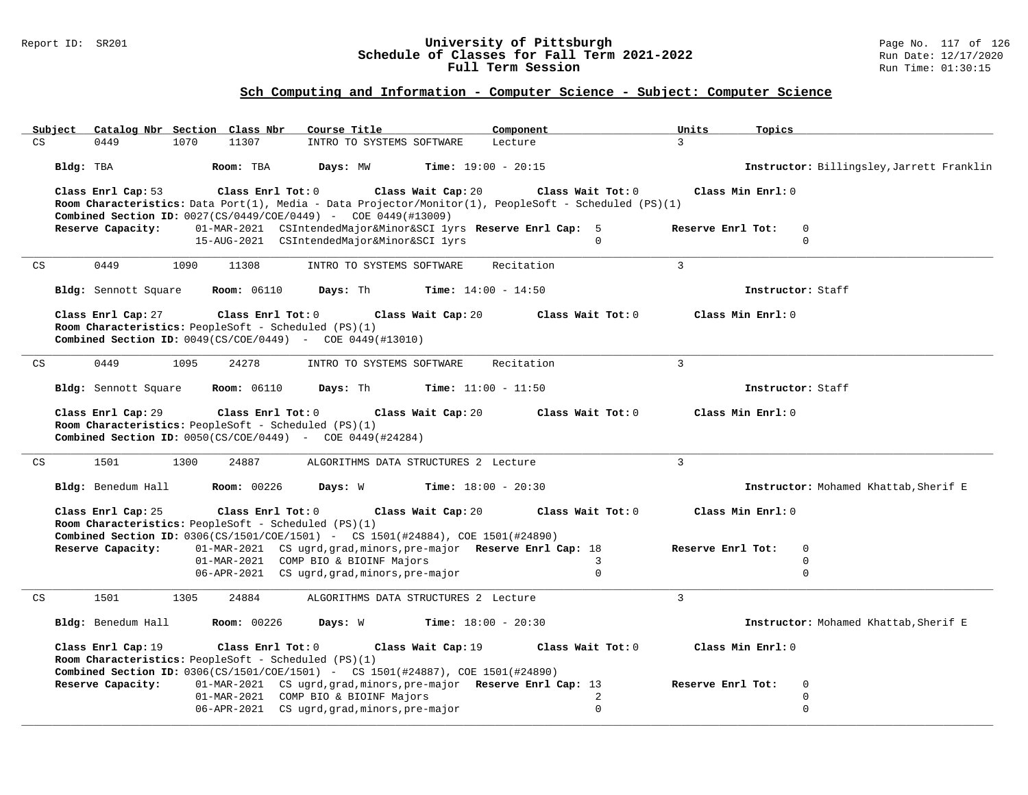### Report ID: SR201 **University of Pittsburgh** Page No. 117 of 126 **Schedule of Classes for Fall Term 2021-2022** Run Date: 12/17/2020 **Full Term Session Run Time: 01:30:15**

|           | Subject Catalog Nbr Section Class Nbr |                                                                           | Course Title                                                                                                                                                | Component                                                                                                                  | Units<br>Topics                           |
|-----------|---------------------------------------|---------------------------------------------------------------------------|-------------------------------------------------------------------------------------------------------------------------------------------------------------|----------------------------------------------------------------------------------------------------------------------------|-------------------------------------------|
| CS        | 0449<br>1070                          | 11307                                                                     | INTRO TO SYSTEMS SOFTWARE                                                                                                                                   | Lecture                                                                                                                    | $\mathbf{R}$                              |
| Bldg: TBA |                                       | Room: TBA                                                                 | Days: MW                                                                                                                                                    | <b>Time:</b> $19:00 - 20:15$                                                                                               | Instructor: Billingsley, Jarrett Franklin |
|           | Class Enrl Cap: 53                    | Class Enrl Tot: 0                                                         | Class Wait Cap: 20<br>Combined Section ID: 0027(CS/0449/COE/0449) - COE 0449(#13009)                                                                        | Class Wait Tot: 0<br>Room Characteristics: Data Port(1), Media - Data Projector/Monitor(1), PeopleSoft - Scheduled (PS)(1) | Class Min Enrl: 0                         |
|           | Reserve Capacity:                     |                                                                           | 01-MAR-2021 CSIntendedMajor&Minor&SCI lyrs Reserve Enrl Cap: 5                                                                                              |                                                                                                                            | Reserve Enrl Tot:<br>$\mathbf 0$          |
|           |                                       |                                                                           | 15-AUG-2021 CSIntendedMajor&Minor&SCI lyrs                                                                                                                  | $\Omega$                                                                                                                   | $\mathbf 0$                               |
| CS        | 0449<br>1090                          | 11308                                                                     | INTRO TO SYSTEMS SOFTWARE                                                                                                                                   | Recitation                                                                                                                 | 3                                         |
|           | Bldg: Sennott Square                  | <b>Room: 06110</b>                                                        | Days: Th                                                                                                                                                    | Time: $14:00 - 14:50$                                                                                                      | Instructor: Staff                         |
|           | Class Enrl Cap: 27                    | Class Enrl Tot: 0<br>Room Characteristics: PeopleSoft - Scheduled (PS)(1) | Class Wait Cap: 20<br><b>Combined Section ID:</b> $0049(CS/COE/0449)$ - COE 0449(#13010)                                                                    | Class Wait Tot: 0                                                                                                          | Class Min Enrl: 0                         |
| CS        | 0449<br>1095                          | 24278                                                                     | INTRO TO SYSTEMS SOFTWARE                                                                                                                                   | Recitation                                                                                                                 | $\overline{3}$                            |
|           | Bldg: Sennott Square                  | <b>Room: 06110</b>                                                        | Days: Th                                                                                                                                                    | <b>Time:</b> $11:00 - 11:50$                                                                                               | Instructor: Staff                         |
|           | Class Enrl Cap: 29                    | Class Enrl Tot: 0<br>Room Characteristics: PeopleSoft - Scheduled (PS)(1) | Class Wait Cap: 20<br><b>Combined Section ID:</b> $0050(CS/COE/0449)$ - COE 0449(#24284)                                                                    | Class Wait Tot: 0                                                                                                          | Class Min Enrl: 0                         |
| CS        | 1501<br>1300                          | 24887                                                                     | ALGORITHMS DATA STRUCTURES 2 Lecture                                                                                                                        |                                                                                                                            | $\overline{3}$                            |
|           | Bldg: Benedum Hall                    | <b>Room: 00226</b>                                                        | Days: W                                                                                                                                                     | <b>Time:</b> $18:00 - 20:30$                                                                                               | Instructor: Mohamed Khattab, Sherif E     |
|           | Class Enrl Cap: 25                    | Class Enrl Tot: 0<br>Room Characteristics: PeopleSoft - Scheduled (PS)(1) | Class Wait Cap: 20                                                                                                                                          | Class Wait Tot: 0                                                                                                          | Class Min Enrl: 0                         |
|           | Reserve Capacity:                     |                                                                           | <b>Combined Section ID:</b> 0306(CS/1501/COE/1501) - CS 1501(#24884), COE 1501(#24890)<br>01-MAR-2021 CS ugrd, grad, minors, pre-major Reserve Enrl Cap: 18 |                                                                                                                            | Reserve Enrl Tot:<br>$\mathbf 0$          |
|           |                                       |                                                                           | 01-MAR-2021 COMP BIO & BIOINF Majors                                                                                                                        | 3                                                                                                                          | $\mathbf 0$                               |
|           |                                       |                                                                           | 06-APR-2021 CS ugrd, grad, minors, pre-major                                                                                                                | 0                                                                                                                          | $\mathbf 0$                               |
| CS        | 1305<br>1501                          | 24884                                                                     | ALGORITHMS DATA STRUCTURES 2 Lecture                                                                                                                        |                                                                                                                            | $\mathbf{3}$                              |
|           | Bldg: Benedum Hall                    | Room: 00226                                                               | Days: W                                                                                                                                                     | <b>Time:</b> $18:00 - 20:30$                                                                                               | Instructor: Mohamed Khattab, Sherif E     |
|           | Class Enrl Cap: 19                    | Class Enrl Tot: 0<br>Room Characteristics: PeopleSoft - Scheduled (PS)(1) | Class Wait Cap: 19<br>Combined Section ID: 0306(CS/1501/COE/1501) - CS 1501(#24887), COE 1501(#24890)                                                       | Class Wait Tot: 0                                                                                                          | Class Min Enrl: 0                         |
|           | Reserve Capacity:                     |                                                                           | 01-MAR-2021 CS ugrd, grad, minors, pre-major Reserve Enrl Cap: 13                                                                                           |                                                                                                                            | Reserve Enrl Tot:<br>$\mathbf 0$          |
|           |                                       |                                                                           | 01-MAR-2021 COMP BIO & BIOINF Majors                                                                                                                        | 2                                                                                                                          | $\mathsf 0$                               |
|           |                                       |                                                                           | 06-APR-2021 CS ugrd, grad, minors, pre-major                                                                                                                | $\Omega$                                                                                                                   | $\mathbf 0$                               |
|           |                                       |                                                                           |                                                                                                                                                             |                                                                                                                            |                                           |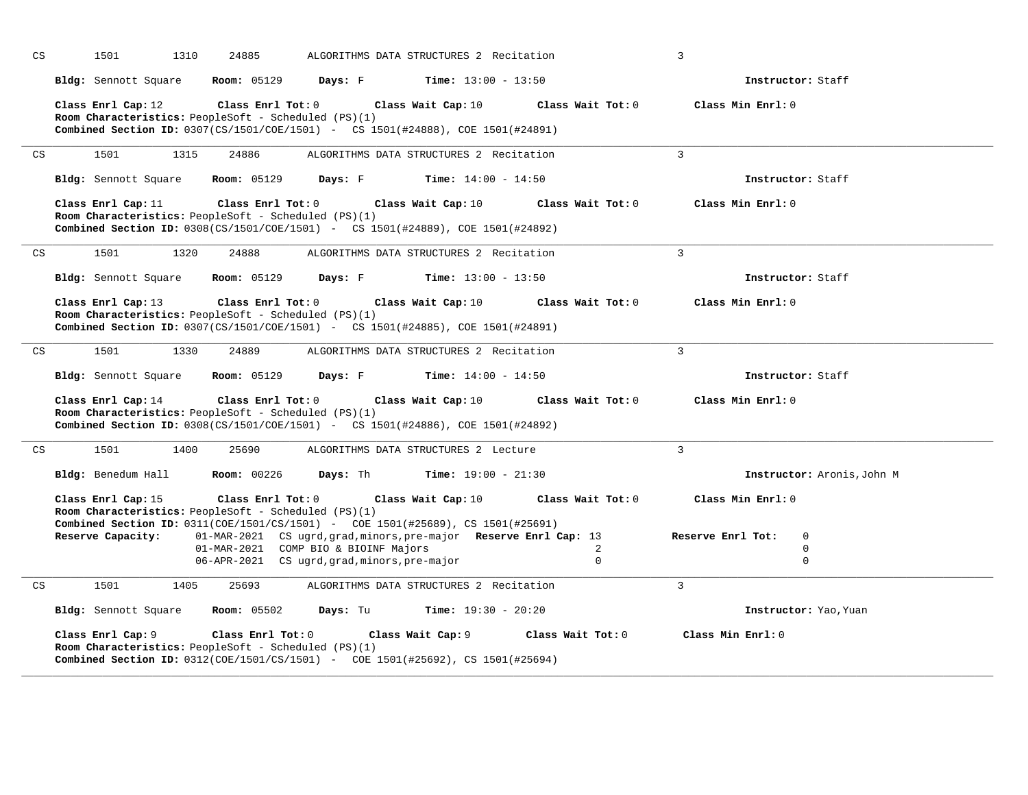| CS                         | 1501                                    | 24885<br>1310      |                                                                                                                                                                                                                                                                                                                           | ALGORITHMS DATA STRUCTURES 2 Recitation |                                        | 3                                                                                   |  |
|----------------------------|-----------------------------------------|--------------------|---------------------------------------------------------------------------------------------------------------------------------------------------------------------------------------------------------------------------------------------------------------------------------------------------------------------------|-----------------------------------------|----------------------------------------|-------------------------------------------------------------------------------------|--|
|                            | Bldg: Sennott Square                    | <b>Room: 05129</b> | Days: F                                                                                                                                                                                                                                                                                                                   | <b>Time:</b> $13:00 - 13:50$            |                                        | Instructor: Staff                                                                   |  |
|                            | Class Enrl Cap: 12                      |                    | Class Enrl Tot: 0<br>Room Characteristics: PeopleSoft - Scheduled (PS)(1)<br>Combined Section ID: 0307(CS/1501/COE/1501) - CS 1501(#24888), COE 1501(#24891)                                                                                                                                                              | Class Wait Cap: 10                      | Class Wait Tot: 0                      | Class Min Enrl: 0                                                                   |  |
| CS                         | 1501                                    | 1315<br>24886      |                                                                                                                                                                                                                                                                                                                           | ALGORITHMS DATA STRUCTURES 2 Recitation |                                        | $\overline{3}$                                                                      |  |
|                            | Bldg: Sennott Square                    | <b>Room: 05129</b> | Days: F                                                                                                                                                                                                                                                                                                                   | <b>Time:</b> $14:00 - 14:50$            |                                        | Instructor: Staff                                                                   |  |
|                            | Class Enrl Cap: 11                      |                    | Class Enrl Tot: 0<br>Room Characteristics: PeopleSoft - Scheduled (PS)(1)<br>Combined Section ID: 0308(CS/1501/COE/1501) - CS 1501(#24889), COE 1501(#24892)                                                                                                                                                              | Class Wait Cap: 10                      | Class Wait Tot: 0                      | Class Min Enrl: 0                                                                   |  |
| CS                         | 1501                                    | 1320<br>24888      |                                                                                                                                                                                                                                                                                                                           | ALGORITHMS DATA STRUCTURES 2 Recitation |                                        | $\overline{3}$                                                                      |  |
|                            | Bldg: Sennott Square                    | <b>Room: 05129</b> | Days: F                                                                                                                                                                                                                                                                                                                   | <b>Time:</b> $13:00 - 13:50$            |                                        | Instructor: Staff                                                                   |  |
|                            | Class Enrl Cap: 13                      |                    | Class Enrl Tot: 0<br>Room Characteristics: PeopleSoft - Scheduled (PS)(1)<br>Combined Section ID: 0307(CS/1501/COE/1501) - CS 1501(#24885), COE 1501(#24891)                                                                                                                                                              | Class Wait Cap: 10                      | Class Wait Tot: 0                      | Class Min Enrl: 0                                                                   |  |
| CS                         | 1501                                    | 24889<br>1330      |                                                                                                                                                                                                                                                                                                                           | ALGORITHMS DATA STRUCTURES 2 Recitation |                                        | $\overline{3}$                                                                      |  |
|                            | Bldg: Sennott Square                    | <b>Room: 05129</b> | Days: F                                                                                                                                                                                                                                                                                                                   | <b>Time:</b> $14:00 - 14:50$            |                                        | Instructor: Staff                                                                   |  |
|                            | Class Enrl Cap: 14                      |                    | Class Enrl Tot: 0<br>Room Characteristics: PeopleSoft - Scheduled (PS)(1)<br><b>Combined Section ID:</b> 0308(CS/1501/COE/1501) - CS 1501(#24886), COE 1501(#24892)                                                                                                                                                       | Class Wait Cap: 10                      | Class Wait Tot: 0                      | Class Min Enrl: 0                                                                   |  |
| CS                         | 1501                                    | 1400<br>25690      |                                                                                                                                                                                                                                                                                                                           | ALGORITHMS DATA STRUCTURES 2 Lecture    |                                        | $\overline{3}$                                                                      |  |
|                            | Bldg: Benedum Hall                      | <b>Room: 00226</b> | Days: Th                                                                                                                                                                                                                                                                                                                  | <b>Time:</b> $19:00 - 21:30$            |                                        | Instructor: Aronis, John M                                                          |  |
|                            | Class Enrl Cap: 15<br>Reserve Capacity: |                    | Class Enrl Tot: 0<br>Room Characteristics: PeopleSoft - Scheduled (PS)(1)<br>Combined Section ID: 0311(COE/1501/CS/1501) - COE 1501(#25689), CS 1501(#25691)<br>01-MAR-2021 CS ugrd, grad, minors, pre-major Reserve Enrl Cap: 13<br>01-MAR-2021 COMP BIO & BIOINF Majors<br>06-APR-2021 CS ugrd, grad, minors, pre-major | Class Wait Cap: 10                      | Class Wait Tot: 0<br>2<br>$\mathbf{0}$ | Class Min Enrl: 0<br>$\mathbf 0$<br>Reserve Enrl Tot:<br>$\mathbf 0$<br>$\mathbf 0$ |  |
| $\mathop{\rm CS}\nolimits$ | 1501                                    | 25693<br>1405      |                                                                                                                                                                                                                                                                                                                           | ALGORITHMS DATA STRUCTURES 2 Recitation |                                        | $\overline{3}$                                                                      |  |
|                            | Bldg: Sennott Square                    | <b>Room:</b> 05502 | Days: Tu                                                                                                                                                                                                                                                                                                                  | <b>Time:</b> $19:30 - 20:20$            |                                        | Instructor: Yao, Yuan                                                               |  |
|                            | Class Enrl Cap: 9                       | Class Enrl Tot: 0  | Room Characteristics: PeopleSoft - Scheduled (PS)(1)<br>Combined Section ID: 0312(COE/1501/CS/1501) - COE 1501(#25692), CS 1501(#25694)                                                                                                                                                                                   | Class Wait Cap: 9                       | Class Wait Tot: 0                      | Class Min Enrl: 0                                                                   |  |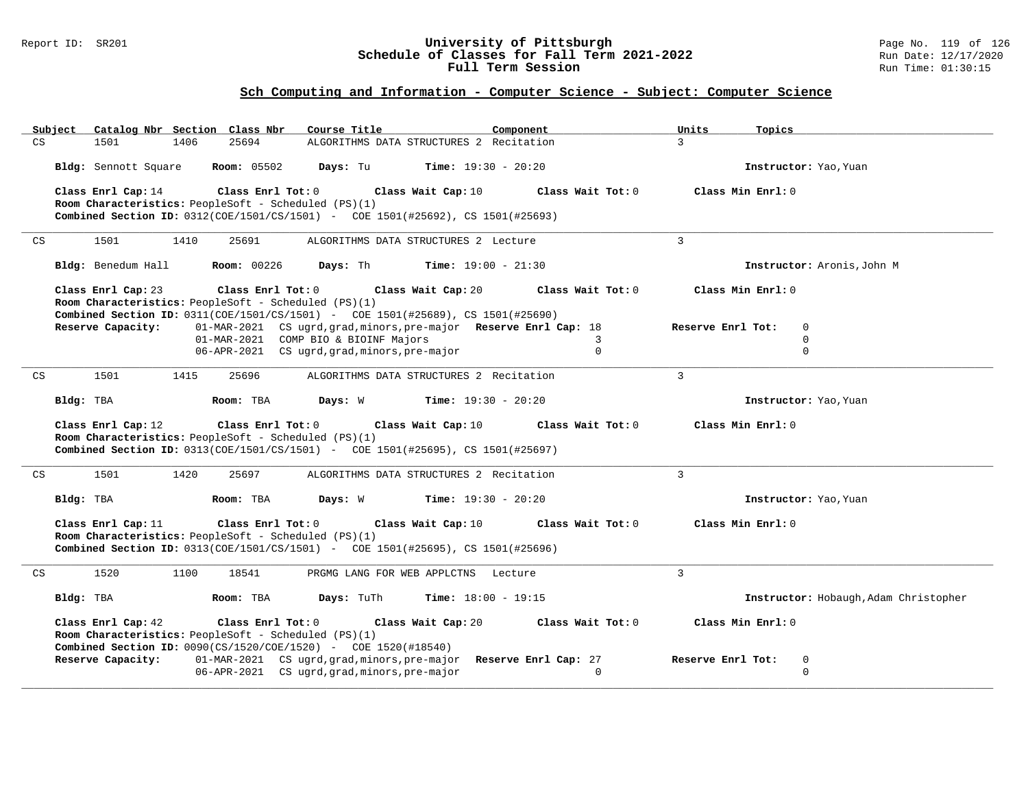#### Report ID: SR201 **University of Pittsburgh** Page No. 119 of 126 **Schedule of Classes for Fall Term 2021-2022** Run Date: 12/17/2020 **Full Term Session Run Time: 01:30:15**

| Subject |                      | Catalog Nbr Section Class Nbr<br>Course Title                                                                                   | Component                                                         | Units<br>Topics                       |
|---------|----------------------|---------------------------------------------------------------------------------------------------------------------------------|-------------------------------------------------------------------|---------------------------------------|
| CS      | 1501                 | 25694<br>1406                                                                                                                   | ALGORITHMS DATA STRUCTURES 2 Recitation                           | $\mathcal{L}$                         |
|         | Bldg: Sennott Square | <b>Room: 05502</b><br>Days: Tu                                                                                                  | <b>Time:</b> $19:30 - 20:20$                                      | Instructor: Yao, Yuan                 |
|         | Class Enrl Cap: 14   | Class Enrl Tot: 0                                                                                                               | Class Wait Tot: 0<br>Class Wait Cap: 10                           | Class Min Enrl: 0                     |
|         |                      | Room Characteristics: PeopleSoft - Scheduled (PS)(1)                                                                            |                                                                   |                                       |
|         |                      | Combined Section ID: 0312(COE/1501/CS/1501) - COE 1501(#25692), CS 1501(#25693)                                                 |                                                                   |                                       |
| CS      | 1501                 | 1410<br>25691                                                                                                                   | ALGORITHMS DATA STRUCTURES 2 Lecture                              | 3                                     |
|         | Bldg: Benedum Hall   | <b>Room: 00226</b><br>Days: Th                                                                                                  | <b>Time:</b> $19:00 - 21:30$                                      | Instructor: Aronis, John M            |
|         | Class Enrl Cap: 23   | Class Enrl Tot: 0                                                                                                               | Class Wait Cap: 20<br>Class Wait Tot: 0                           | Class Min Enrl: 0                     |
|         |                      | Room Characteristics: PeopleSoft - Scheduled (PS)(1)                                                                            |                                                                   |                                       |
|         | Reserve Capacity:    | <b>Combined Section ID:</b> 0311(COE/1501/CS/1501) - COE 1501(#25689), CS 1501(#25690)                                          | 01-MAR-2021 CS ugrd, grad, minors, pre-major Reserve Enrl Cap: 18 | Reserve Enrl Tot:<br>$\mathbf 0$      |
|         |                      | 01-MAR-2021 COMP BIO & BIOINF Majors                                                                                            | 3                                                                 | 0                                     |
|         |                      | 06-APR-2021 CS ugrd, grad, minors, pre-major                                                                                    | $\Omega$                                                          | $\mathbf 0$                           |
| CS      | 1501                 | 1415<br>25696                                                                                                                   | ALGORITHMS DATA STRUCTURES 2 Recitation                           | $\mathbf{3}$                          |
|         | Bldg: TBA            | Days: W<br>Room: TBA                                                                                                            | $Time: 19:30 - 20:20$                                             | Instructor: Yao, Yuan                 |
|         | Class Enrl Cap: 12   | Class Enrl Tot: 0                                                                                                               | Class Wait Cap: 10<br>Class Wait Tot: 0                           | Class Min Enrl: 0                     |
|         |                      | Room Characteristics: PeopleSoft - Scheduled (PS)(1)                                                                            |                                                                   |                                       |
|         |                      | <b>Combined Section ID:</b> 0313(COE/1501/CS/1501) - COE 1501(#25695), CS 1501(#25697)                                          |                                                                   |                                       |
| CS      | 1501                 | 1420<br>25697                                                                                                                   | ALGORITHMS DATA STRUCTURES 2 Recitation                           | $\overline{3}$                        |
|         | Bldg: TBA            | Room: TBA<br>Days: W                                                                                                            | <b>Time:</b> $19:30 - 20:20$                                      | Instructor: Yao, Yuan                 |
|         | Class Enrl Cap: 11   | Class Enrl Tot: $0$                                                                                                             | Class Wait Cap: 10<br>Class Wait Tot: 0                           | Class Min Enrl: 0                     |
|         |                      | Room Characteristics: PeopleSoft - Scheduled (PS)(1)                                                                            |                                                                   |                                       |
|         |                      | <b>Combined Section ID:</b> 0313(COE/1501/CS/1501) - COE 1501(#25695), CS 1501(#25696)                                          |                                                                   |                                       |
| CS      | 1520                 | 1100<br>18541                                                                                                                   | PRGMG LANG FOR WEB APPLCTNS Lecture                               | $\mathbf{3}$                          |
|         | Bldg: TBA            | Days: TuTh<br>Room: TBA                                                                                                         | <b>Time:</b> $18:00 - 19:15$                                      | Instructor: Hobaugh, Adam Christopher |
|         | Class Enrl Cap: 42   | Class Enrl Tot: 0                                                                                                               | Class Wait Cap: 20<br>Class Wait Tot: 0                           | Class Min Enrl: 0                     |
|         |                      | Room Characteristics: PeopleSoft - Scheduled (PS)(1)<br><b>Combined Section ID:</b> $0090(CS/1520/COE/1520)$ - COE 1520(#18540) |                                                                   |                                       |
|         | Reserve Capacity:    |                                                                                                                                 | 01-MAR-2021 CS ugrd, grad, minors, pre-major Reserve Enrl Cap: 27 | Reserve Enrl Tot:<br>$\mathbf 0$      |
|         |                      | 06-APR-2021 CS ugrd, grad, minors, pre-major                                                                                    | $\Omega$                                                          | $\Omega$                              |
|         |                      |                                                                                                                                 |                                                                   |                                       |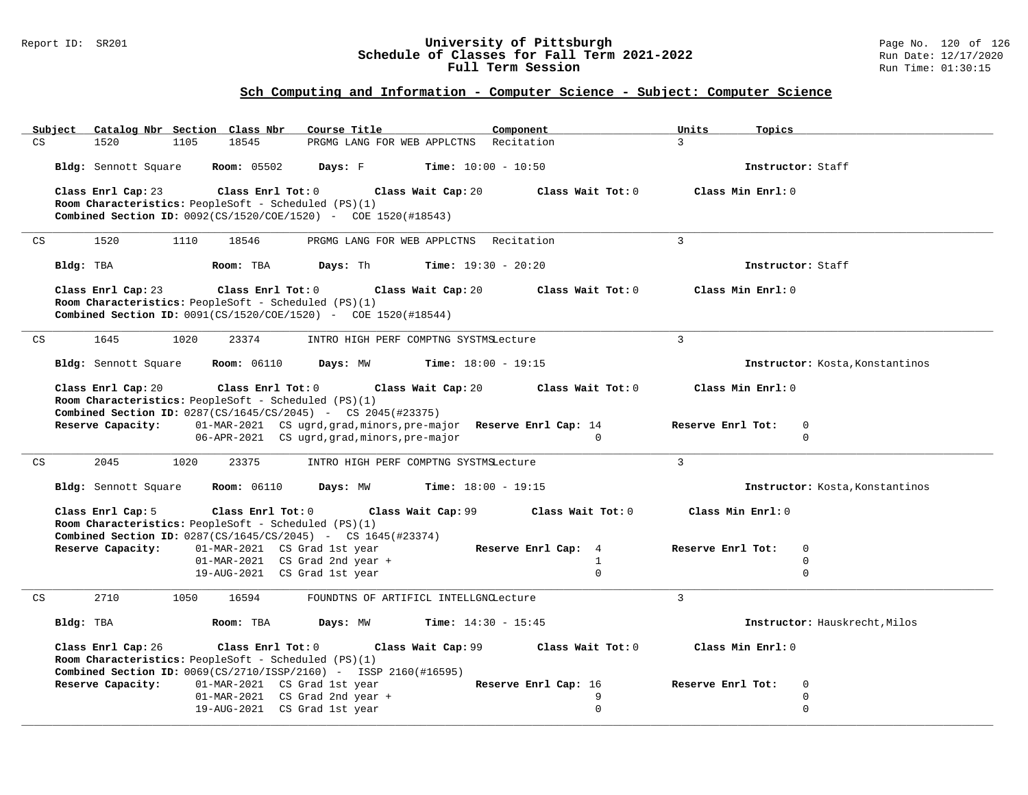### Report ID: SR201 **University of Pittsburgh** Page No. 120 of 126 **Schedule of Classes for Fall Term 2021-2022** Run Date: 12/17/2020 **Full Term Session Run Time: 01:30:15**

| Catalog Nbr Section Class Nbr<br>Subject                                   | Course Title                                                                                                      | Component                    | Units<br>Topics                    |
|----------------------------------------------------------------------------|-------------------------------------------------------------------------------------------------------------------|------------------------------|------------------------------------|
| 18545<br>$\mathop{\mathsf{CS}}\nolimits$<br>1520<br>1105                   | PRGMG LANG FOR WEB APPLCTNS Recitation                                                                            |                              | 3 <sup>1</sup>                     |
| Bldg: Sennott Square<br><b>Room:</b> 05502                                 | Days: F<br>$Time: 10:00 - 10:50$                                                                                  |                              | Instructor: Staff                  |
| Class Enrl Cap: 23<br>Class Enrl Tot: 0                                    | Class Wait Cap: 20                                                                                                | Class Wait Tot: 0            | Class Min Enrl: 0                  |
| Room Characteristics: PeopleSoft - Scheduled (PS)(1)                       |                                                                                                                   |                              |                                    |
| Combined Section ID: 0092(CS/1520/COE/1520) - COE 1520(#18543)             |                                                                                                                   |                              |                                    |
| 1520<br>1110<br>CS<br>18546                                                | PRGMG LANG FOR WEB APPLCTNS Recitation                                                                            |                              | $\mathcal{L}$                      |
| Bldg: TBA<br>Room: TBA                                                     | Days: Th                                                                                                          | <b>Time:</b> $19:30 - 20:20$ | Instructor: Staff                  |
| Class Enrl Cap: 23<br>$\texttt{Class}$ $\texttt{Enrl}$ $\texttt{Tot:}$ $0$ | Class Wait Cap: 20                                                                                                | Class Wait Tot: 0            | Class Min Enrl: 0                  |
| Room Characteristics: PeopleSoft - Scheduled (PS)(1)                       |                                                                                                                   |                              |                                    |
| <b>Combined Section ID:</b> $0091(CS/1520/COE/1520)$ - COE 1520(#18544)    |                                                                                                                   |                              |                                    |
| 1645<br>1020<br>23374<br>CS                                                | INTRO HIGH PERF COMPTNG SYSTMSLecture                                                                             |                              | $\mathcal{L}$                      |
|                                                                            |                                                                                                                   |                              |                                    |
| Bldg: Sennott Square<br><b>Room:</b> 06110                                 | Days: MW                                                                                                          | <b>Time:</b> $18:00 - 19:15$ | Instructor: Kosta, Konstantinos    |
| Class Enrl Cap: 20<br>Class Enrl Tot: 0                                    | Class Wait Cap: 20                                                                                                | Class Wait Tot: 0            | Class Min Enrl: 0                  |
| Room Characteristics: PeopleSoft - Scheduled (PS)(1)                       |                                                                                                                   |                              |                                    |
| <b>Combined Section ID:</b> 0287(CS/1645/CS/2045) - CS 2045(#23375)        |                                                                                                                   |                              |                                    |
| Reserve Capacity:                                                          | 01-MAR-2021 CS ugrd, grad, minors, pre-major Reserve Enrl Cap: 14<br>06-APR-2021 CS ugrd, grad, minors, pre-major | $\cap$                       | Reserve Enrl Tot:<br>0<br>$\Omega$ |
|                                                                            |                                                                                                                   |                              |                                    |
| 2045<br>CS<br>1020<br>23375                                                | INTRO HIGH PERF COMPTNG SYSTMSLecture                                                                             |                              | $\mathbf{3}$                       |
| Bldg: Sennott Square<br><b>Room:</b> 06110                                 | Days: MW                                                                                                          | <b>Time:</b> $18:00 - 19:15$ | Instructor: Kosta, Konstantinos    |
| Class Enrl Cap: 5<br>Class Enrl Tot: 0                                     | Class Wait Cap: 99                                                                                                | Class Wait Tot: 0            | Class Min Enrl: 0                  |
| Room Characteristics: PeopleSoft - Scheduled (PS)(1)                       |                                                                                                                   |                              |                                    |
| <b>Combined Section ID:</b> 0287(CS/1645/CS/2045) - CS 1645(#23374)        |                                                                                                                   |                              |                                    |
| <b>Reserve Capacity:</b> 01-MAR-2021 CS Grad 1st year                      | $01-MAR-2021$ CS Grad 2nd year +                                                                                  | Reserve Enrl Cap: 4<br>1     | Reserve Enrl Tot:<br>0<br>$\Omega$ |
|                                                                            | 19-AUG-2021 CS Grad 1st year                                                                                      | $\Omega$                     | $\Omega$                           |
|                                                                            |                                                                                                                   |                              |                                    |
| 2710<br>CS<br>1050<br>16594                                                | FOUNDTNS OF ARTIFICL INTELLGNCLecture                                                                             |                              | $\mathcal{L}$                      |
| Bldg: TBA<br>Room: TBA                                                     | Days: MW                                                                                                          | <b>Time:</b> $14:30 - 15:45$ | Instructor: Hauskrecht, Milos      |
| Class Enrl Cap: 26<br>Class Enrl Tot: 0                                    | Class Wait Cap: 99                                                                                                | Class Wait Tot: 0            | Class Min Enrl: 0                  |
| Room Characteristics: PeopleSoft - Scheduled (PS)(1)                       |                                                                                                                   |                              |                                    |
| <b>Combined Section ID:</b> $0069(CS/2710/ISSP/2160)$ - ISSP 2160(#16595)  |                                                                                                                   |                              |                                    |
| Reserve Capacity:<br>01-MAR-2021 CS Grad 1st year                          |                                                                                                                   | Reserve Enrl Cap: 16         | Reserve Enrl Tot:<br>0             |
|                                                                            | 01-MAR-2021 CS Grad 2nd year +<br>19-AUG-2021 CS Grad 1st year                                                    | 9<br>$\Omega$                | $\mathbf 0$<br>$\Omega$            |
|                                                                            |                                                                                                                   |                              |                                    |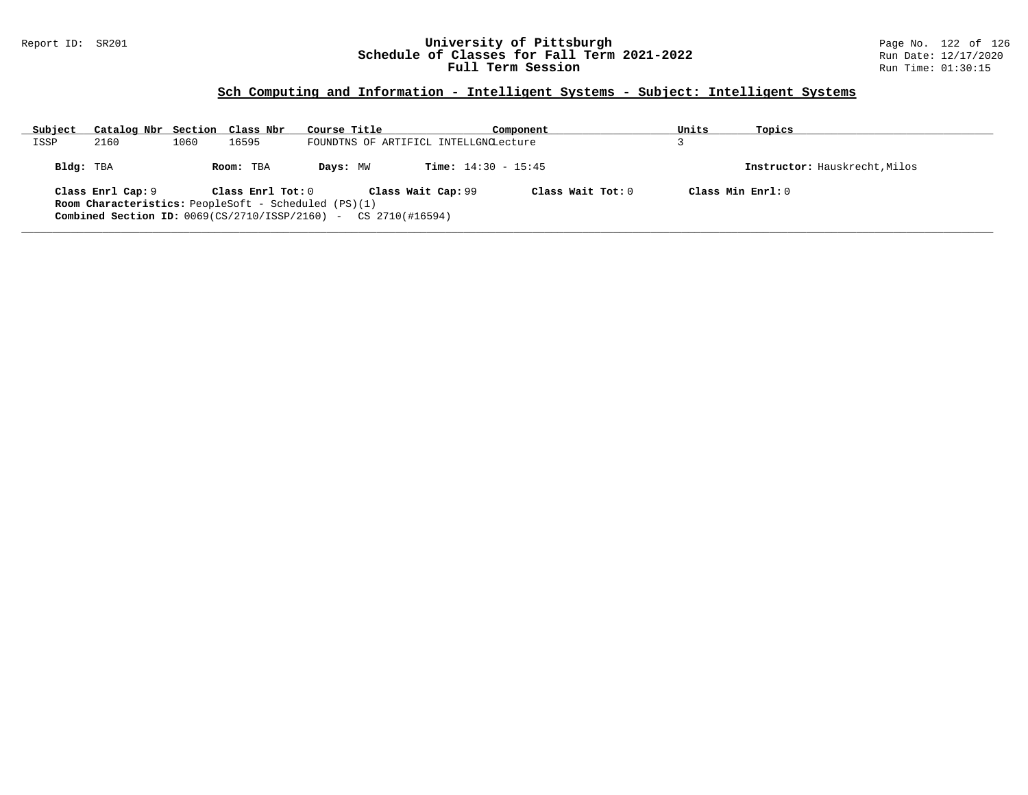### Report ID: SR201 **University of Pittsburgh** Page No. 122 of 126 **Schedule of Classes for Fall Term 2021-2022** Run Date: 12/17/2020 **Full Term Session Run Time: 01:30:15**

# **Sch Computing and Information - Intelligent Systems - Subject: Intelligent Systems**

| Subject                                                     | Catalog Nbr Section Class Nbr                                             |      |                   | Course Title |                                       | Component           | Units | Topics                        |  |
|-------------------------------------------------------------|---------------------------------------------------------------------------|------|-------------------|--------------|---------------------------------------|---------------------|-------|-------------------------------|--|
| ISSP                                                        | 2160                                                                      | 1060 | 16595             |              | FOUNDTNS OF ARTIFICL INTELLGNCLecture |                     |       |                               |  |
| Bldg: TBA                                                   |                                                                           |      | Room: TBA         | Days: MW     | <b>Time:</b> $14:30 - 15:45$          |                     |       | Instructor: Hauskrecht, Milos |  |
|                                                             | Class Enrl Cap: 9                                                         |      | Class Enrl Tot: 0 |              | Class Wait Cap: 99                    | Class Wait $Tot: 0$ |       | Class Min Enrl: 0             |  |
| <b>Room Characteristics:</b> PeopleSoft - Scheduled (PS)(1) |                                                                           |      |                   |              |                                       |                     |       |                               |  |
|                                                             | <b>Combined Section ID:</b> $0069(CS/2710/ISSP/2160)$ - CS $2710(H16594)$ |      |                   |              |                                       |                     |       |                               |  |
|                                                             |                                                                           |      |                   |              |                                       |                     |       |                               |  |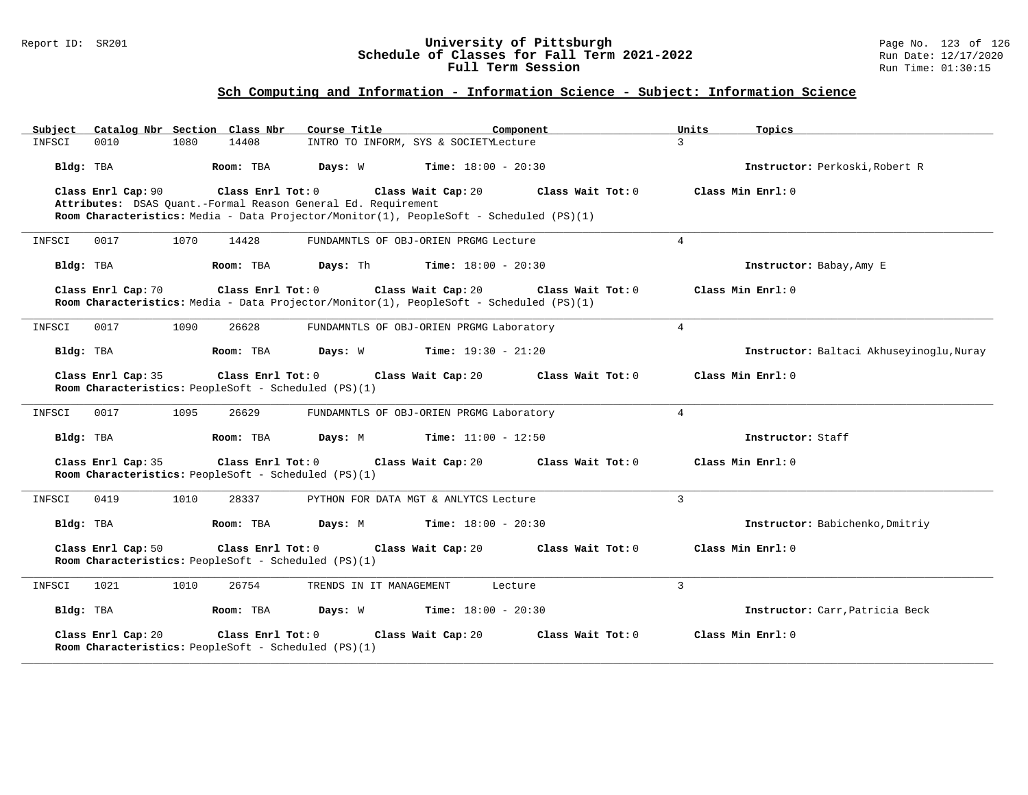#### Report ID: SR201 **University of Pittsburgh** Page No. 123 of 126 **Schedule of Classes for Fall Term 2021-2022** Run Date: 12/17/2020 **Full Term Session Run Time: 01:30:15**

| Catalog Nbr Section Class Nbr<br>Subject                                                        | Course Title<br>Component                                                                                                          | Units<br>Topics                          |
|-------------------------------------------------------------------------------------------------|------------------------------------------------------------------------------------------------------------------------------------|------------------------------------------|
| INFSCI<br>0010<br>1080<br>14408                                                                 | INTRO TO INFORM, SYS & SOCIETYLecture                                                                                              | $\mathcal{L}$                            |
| Bldg: TBA<br>Room: TBA                                                                          | Days: W<br><b>Time:</b> $18:00 - 20:30$                                                                                            | Instructor: Perkoski, Robert R           |
| Class Enrl Tot: 0<br>Class Enrl Cap: 90                                                         | Class Wait Cap: 20<br>Class Wait Tot: 0                                                                                            | Class Min Enrl: 0                        |
| Attributes: DSAS Quant.-Formal Reason General Ed. Requirement                                   | Room Characteristics: Media - Data Projector/Monitor(1), PeopleSoft - Scheduled (PS)(1)                                            |                                          |
| 1070<br>0017<br>14428<br>INFSCI                                                                 | FUNDAMNTLS OF OBJ-ORIEN PRGMG Lecture                                                                                              | $\overline{4}$                           |
|                                                                                                 |                                                                                                                                    |                                          |
| Bldg: TBA<br>Room: TBA                                                                          | <b>Days:</b> Th <b>Time:</b> $18:00 - 20:30$                                                                                       | Instructor: Babay, Amy E                 |
| Class Enrl Cap: 70<br>Class Enrl Tot: 0                                                         | Class Wait Cap: 20<br>Class Wait Tot: 0<br>Room Characteristics: Media - Data Projector/Monitor(1), PeopleSoft - Scheduled (PS)(1) | Class Min Enrl: 0                        |
| 0017<br>1090<br>26628<br>INFSCI                                                                 | FUNDAMNTLS OF OBJ-ORIEN PRGMG Laboratory                                                                                           | $4\overline{ }$                          |
| Bldg: TBA<br>Room: TBA                                                                          | <b>Days:</b> W <b>Time:</b> $19:30 - 21:20$                                                                                        | Instructor: Baltaci Akhuseyinoglu, Nuray |
| Class Enrl Cap: 35<br>Class Enrl Tot: 0<br>Room Characteristics: PeopleSoft - Scheduled (PS)(1) | Class Wait Tot: 0<br>Class Wait Cap: 20                                                                                            | Class Min Enrl: 0                        |
| 26629<br>0017<br>1095<br>INFSCI                                                                 | FUNDAMNTLS OF OBJ-ORIEN PRGMG Laboratory                                                                                           | $\overline{4}$                           |
| Bldg: TBA<br>Room: TBA                                                                          | Days: M<br><b>Time:</b> $11:00 - 12:50$                                                                                            | Instructor: Staff                        |
| Class Enrl Cap: 35<br>Class Enrl Tot: 0<br>Room Characteristics: PeopleSoft - Scheduled (PS)(1) | Class Wait Cap: 20<br>Class Wait Tot: 0                                                                                            | Class Min Enrl: 0                        |
| 0419<br>1010<br>28337<br>INFSCI                                                                 | PYTHON FOR DATA MGT & ANLYTCS Lecture                                                                                              | 3                                        |
| Bldg: TBA<br>Room: TBA                                                                          | Days: M<br><b>Time:</b> $18:00 - 20:30$                                                                                            | Instructor: Babichenko, Dmitriy          |
| Class Enrl Cap: 50<br>Class Enrl Tot: 0<br>Room Characteristics: PeopleSoft - Scheduled (PS)(1) | Class Wait Cap: 20<br>Class Wait Tot: 0                                                                                            | Class Min Enrl: 0                        |
| 1021<br>1010<br>26754<br>INFSCI                                                                 | TRENDS IN IT MANAGEMENT<br>Lecture                                                                                                 | $\overline{3}$                           |
| Bldg: TBA<br>Room: TBA                                                                          | <b>Days:</b> W <b>Time:</b> $18:00 - 20:30$                                                                                        | Instructor: Carr, Patricia Beck          |
| Class Enrl Cap: 20<br>Class Enrl Tot: 0<br>Room Characteristics: PeopleSoft - Scheduled (PS)(1) | Class Wait Cap: 20<br>Class Wait Tot: 0                                                                                            | Class Min Enrl: 0                        |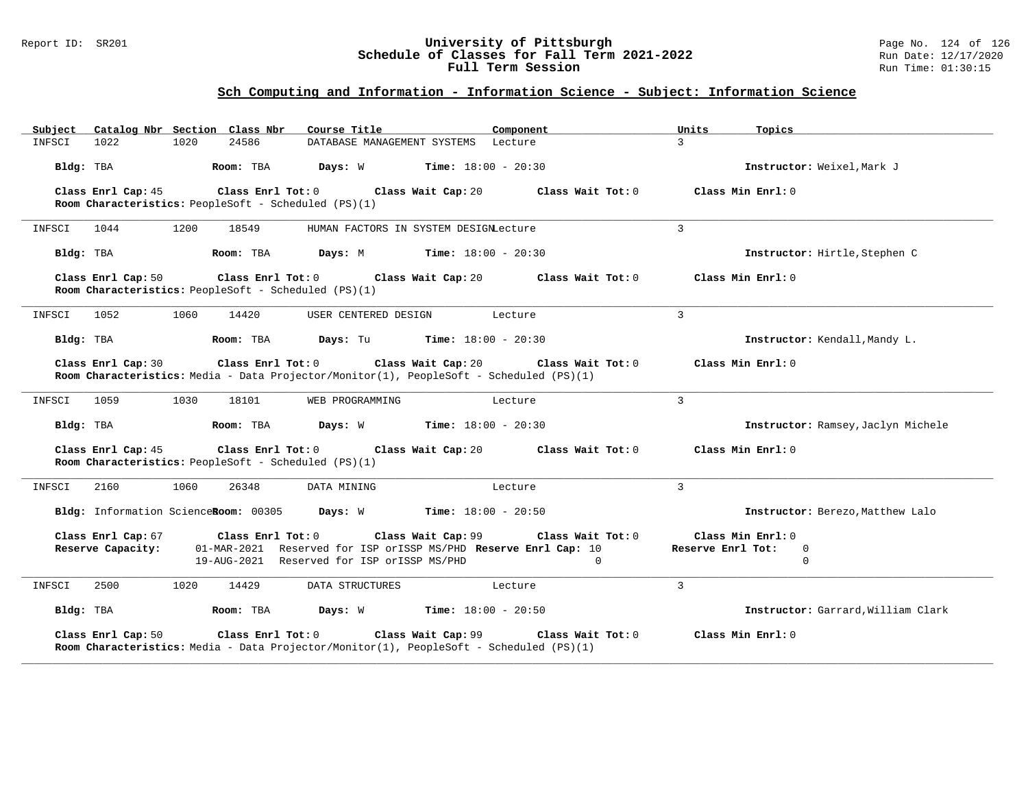#### Report ID: SR201 **University of Pittsburgh** Page No. 124 of 126 **Schedule of Classes for Fall Term 2021-2022** Run Date: 12/17/2020 **Full Term Session Run Time: 01:30:15**

| Catalog Nbr Section Class Nbr<br>Subject                                                                                           | Course Title<br>Component                                                                                                           | Units                                              | Topics                             |
|------------------------------------------------------------------------------------------------------------------------------------|-------------------------------------------------------------------------------------------------------------------------------------|----------------------------------------------------|------------------------------------|
| 1022<br>1020<br>24586<br>INFSCI                                                                                                    | DATABASE MANAGEMENT SYSTEMS Lecture                                                                                                 | $\overline{3}$                                     |                                    |
| Bldg: TBA<br>Room: TBA                                                                                                             | <b>Days:</b> W <b>Time:</b> $18:00 - 20:30$                                                                                         |                                                    | Instructor: Weixel, Mark J         |
| Class Enrl Cap: 45<br>Room Characteristics: PeopleSoft - Scheduled (PS)(1)                                                         | Class Enrl Tot: 0 Class Wait Cap: 20                                                                                                | Class Wait Tot: 0                                  | Class Min Enrl: 0                  |
| 1200<br>INFSCI<br>1044<br>18549                                                                                                    | HUMAN FACTORS IN SYSTEM DESIGNLecture                                                                                               | $\overline{3}$                                     |                                    |
| Bldg: TBA<br>Room: TBA                                                                                                             | <b>Days:</b> M <b>Time:</b> $18:00 - 20:30$                                                                                         |                                                    | Instructor: Hirtle, Stephen C      |
| Class Enrl Cap: 50<br>Room Characteristics: PeopleSoft - Scheduled (PS)(1)                                                         | Class Enrl Tot: 0 Class Wait Cap: 20                                                                                                | Class Wait Tot: 0                                  | Class Min Enrl: 0                  |
| 1052<br>1060<br>14420<br>INFSCI                                                                                                    | USER CENTERED DESIGN<br>Lecture                                                                                                     | $\overline{3}$                                     |                                    |
| Room: TBA<br>Bldg: TBA                                                                                                             | <b>Days:</b> Tu <b>Time:</b> $18:00 - 20:30$                                                                                        |                                                    | Instructor: Kendall, Mandy L.      |
| Class Enrl Cap: 30<br>Class Enrl Tot: 0<br>Room Characteristics: Media - Data Projector/Monitor(1), PeopleSoft - Scheduled (PS)(1) | Class Wait Cap: 20                                                                                                                  | Class Wait Tot: 0                                  | Class Min Enrl: 0                  |
| 1030<br>18101<br>INFSCI<br>1059                                                                                                    | WEB PROGRAMMING<br>Lecture                                                                                                          | $\overline{3}$                                     |                                    |
| Bldg: TBA<br>Room: TBA                                                                                                             | <b>Days:</b> W <b>Time:</b> $18:00 - 20:30$                                                                                         |                                                    | Instructor: Ramsey, Jaclyn Michele |
| Class Enrl Cap: 45<br>Class Enrl Tot: 0<br>Room Characteristics: PeopleSoft - Scheduled (PS)(1)                                    | Class Wait Cap: 20                                                                                                                  | Class Wait Tot: 0                                  | Class Min Enrl: 0                  |
| 1060<br>26348<br>INFSCI<br>2160                                                                                                    | DATA MINING<br>Lecture                                                                                                              | $\overline{3}$                                     |                                    |
| Bldg: Information ScienceRoom: 00305 Days: W Time: 18:00 - 20:50                                                                   |                                                                                                                                     |                                                    | Instructor: Berezo, Matthew Lalo   |
| Class Enrl Cap: 67<br>Class Enrl Tot: 0<br>Reserve Capacity:                                                                       | Class Wait Cap: 99<br>01-MAR-2021 Reserved for ISP orISSP MS/PHD Reserve Enrl Cap: 10<br>19-AUG-2021 Reserved for ISP orISSP MS/PHD | Class Wait Tot: 0<br>Reserve Enrl Tot:<br>$\Omega$ | Class Min Enrl: 0<br>0<br>$\Omega$ |
| INFSCI<br>2500<br>1020<br>14429                                                                                                    | DATA STRUCTURES<br>Lecture                                                                                                          | $\overline{3}$                                     |                                    |
| Room: TBA<br>Bldg: TBA                                                                                                             | <b>Days:</b> W <b>Time:</b> $18:00 - 20:50$                                                                                         |                                                    | Instructor: Garrard, William Clark |
| Class Enrl Cap: 50<br>Room Characteristics: Media - Data Projector/Monitor(1), PeopleSoft - Scheduled (PS)(1)                      | Class Enrl Tot: 0 Class Wait Cap: 99                                                                                                | Class Wait Tot: 0                                  | Class Min Enrl: 0                  |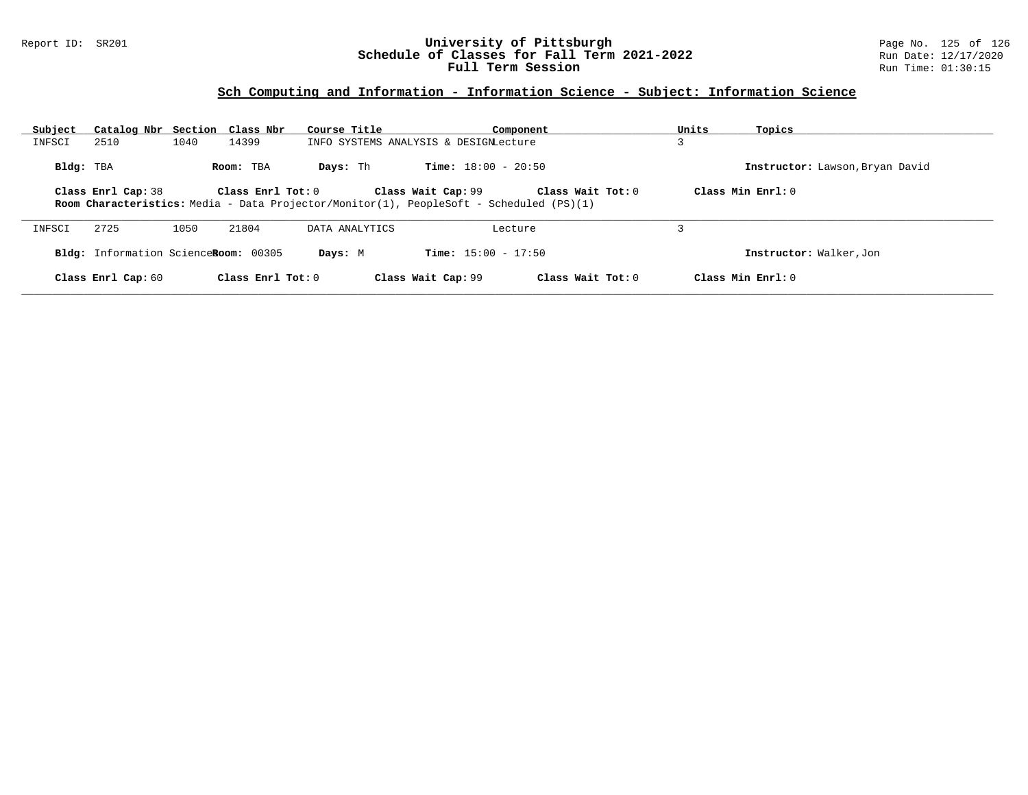### Report ID: SR201 **University of Pittsburgh** Page No. 125 of 126 **Schedule of Classes for Fall Term 2021-2022** Run Date: 12/17/2020 **Full Term Session Run Time: 01:30:15**

| Subject   | Catalog Nbr Section Class Nbr        |      |                     | Course Title   |                                                                                                                      | Component           | Units | Topics                          |
|-----------|--------------------------------------|------|---------------------|----------------|----------------------------------------------------------------------------------------------------------------------|---------------------|-------|---------------------------------|
| INFSCI    | 2510                                 | 1040 | 14399               |                | INFO SYSTEMS ANALYSIS & DESIGNLecture                                                                                |                     |       |                                 |
| Bldg: TBA |                                      |      | Room: TBA           | Days: Th       | <b>Time:</b> $18:00 - 20:50$                                                                                         |                     |       | Instructor: Lawson, Bryan David |
|           | Class Enrl Cap: 38                   |      | Class Enrl Tot: 0   |                | Class Wait Cap: 99<br><b>Room Characteristics:</b> Media - Data Projector/Monitor(1), PeopleSoft - Scheduled (PS)(1) | Class Wait Tot: 0   |       | Class Min $Enrl: 0$             |
| INFSCI    | 2725                                 | 1050 | 21804               | DATA ANALYTICS | Lecture                                                                                                              |                     |       |                                 |
|           | Bldg: Information ScienceRoom: 00305 |      |                     | Days: M        | <b>Time:</b> $15:00 - 17:50$                                                                                         |                     |       | Instructor: Walker, Jon         |
|           | Class Enrl Cap: 60                   |      | Class Enrl Tot: $0$ |                | Class Wait Cap: 99                                                                                                   | Class Wait Tot: $0$ |       | Class Min $Enr1: 0$             |